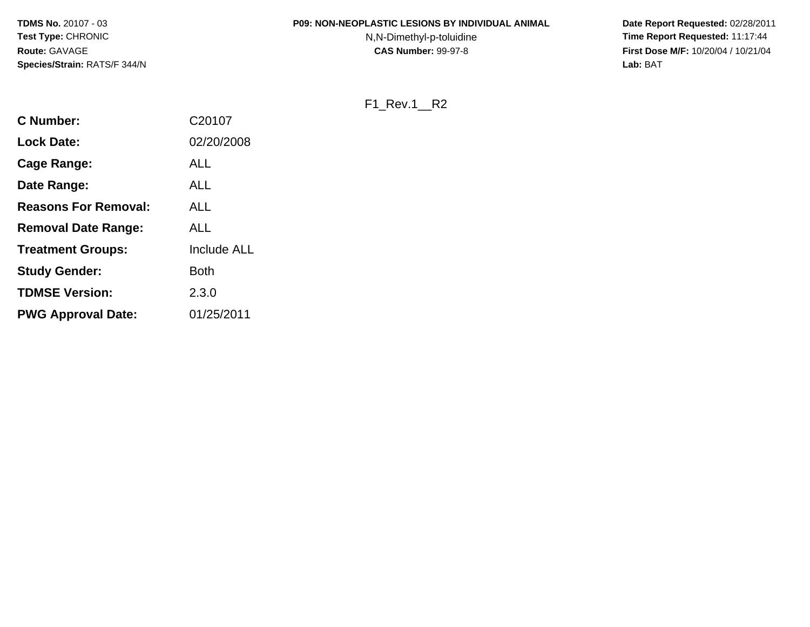#### **P09: NON-NEOPLASTIC LESIONS BY INDIVIDUAL ANIMAL**

N,N-Dimethyl-p-toluidine

 **Date Report Requested:** 02/28/2011 **Time Report Requested:** 11:17:44 **First Dose M/F:** 10/20/04 / 10/21/04<br>**Lab:** BAT **Lab:** BAT

F1\_Rev.1\_\_R2

| <b>C</b> Number:            | C20107             |
|-----------------------------|--------------------|
| <b>Lock Date:</b>           | 02/20/2008         |
| Cage Range:                 | ALL                |
| Date Range:                 | ALL                |
| <b>Reasons For Removal:</b> | <b>ALL</b>         |
| <b>Removal Date Range:</b>  | ALL                |
| <b>Treatment Groups:</b>    | <b>Include ALL</b> |
| <b>Study Gender:</b>        | Both               |
| <b>TDMSE Version:</b>       | 2.3.0              |
| <b>PWG Approval Date:</b>   | 01/25/2011         |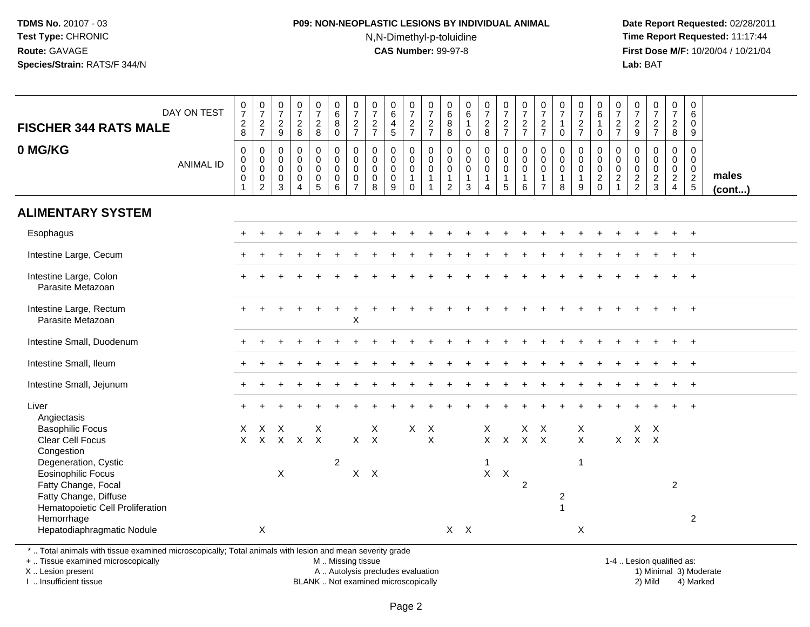#### **P09: NON-NEOPLASTIC LESIONS BY INDIVIDUAL ANIMAL**N,N-Dimethyl-p-toluidine

 **Date Report Requested:** 02/28/2011 **Time Report Requested:** 11:17:44 **First Dose M/F:** 10/20/04 / 10/21/04<br>**Lab:** BAT **Lab:** BAT

| <b>FISCHER 344 RATS MALE</b>                                                                                                                        | DAY ON TEST      | $\frac{0}{7}$<br>$\frac{2}{8}$                         | $\frac{0}{7}$<br>$\frac{2}{7}$                            | $\begin{smallmatrix}0\\7\end{smallmatrix}$<br>$\frac{2}{9}$ | $\begin{array}{c} 0 \\ 7 \end{array}$<br>$_{\rm 8}^2$             | $\begin{smallmatrix}0\\7\end{smallmatrix}$<br>$\frac{2}{8}$  | $\begin{array}{c} 0 \\ 6 \end{array}$<br>$\bf 8$<br>$\mathbf 0$ | $\frac{0}{7}$<br>$\frac{2}{7}$                                                | $\frac{0}{7}$<br>$\frac{2}{7}$                      | $_{6}^{\rm 0}$<br>$\overline{4}$<br>5     | $\begin{array}{c} 0 \\ 7 \end{array}$<br>$\frac{2}{7}$                            | $\frac{0}{7}$<br>$\frac{2}{7}$                                              | $\begin{array}{c} 0 \\ 6 \end{array}$<br>$\,8\,$<br>8                       | $\begin{array}{c} 0 \\ 6 \end{array}$<br>$\mathbf{1}$<br>$\mathbf 0$ | $\frac{0}{7}$<br>$\frac{2}{8}$                                        | $\begin{smallmatrix}0\\7\end{smallmatrix}$<br>$\frac{2}{7}$ | $\frac{0}{7}$<br>$\frac{2}{7}$                     | $\frac{0}{7}$<br>$\frac{2}{7}$                                                | $\frac{0}{7}$<br>$\mathbf{1}$<br>$\mathbf{0}$                  | $\frac{0}{7}$<br>$\frac{2}{7}$                          | $_{6}^{\rm 0}$<br>$\mathbf{1}$<br>$\mathbf 0$                       | $\begin{array}{c} 0 \\ 7 \end{array}$<br>$\frac{2}{7}$                                          | $\frac{0}{7}$<br>$\frac{2}{9}$                   | $\frac{0}{7}$<br>$\frac{2}{7}$                                          | $\frac{0}{7}$<br>$\frac{2}{8}$                                      | $_{6}^{\rm 0}$<br>$\mathbf 0$<br>9               |                 |
|-----------------------------------------------------------------------------------------------------------------------------------------------------|------------------|--------------------------------------------------------|-----------------------------------------------------------|-------------------------------------------------------------|-------------------------------------------------------------------|--------------------------------------------------------------|-----------------------------------------------------------------|-------------------------------------------------------------------------------|-----------------------------------------------------|-------------------------------------------|-----------------------------------------------------------------------------------|-----------------------------------------------------------------------------|-----------------------------------------------------------------------------|----------------------------------------------------------------------|-----------------------------------------------------------------------|-------------------------------------------------------------|----------------------------------------------------|-------------------------------------------------------------------------------|----------------------------------------------------------------|---------------------------------------------------------|---------------------------------------------------------------------|-------------------------------------------------------------------------------------------------|--------------------------------------------------|-------------------------------------------------------------------------|---------------------------------------------------------------------|--------------------------------------------------|-----------------|
| 0 MG/KG                                                                                                                                             | <b>ANIMAL ID</b> | $\mathbf 0$<br>$\mathbf 0$<br>0<br>0<br>$\overline{1}$ | $\mathsf{O}$<br>$_{\rm 0}^{\rm 0}$<br>0<br>$\overline{2}$ | $\pmb{0}$<br>$\boldsymbol{0}$<br>$\mathbf 0$<br>0<br>3      | $\mathsf{O}\xspace$<br>$\overline{0}$<br>0<br>0<br>$\overline{4}$ | $\mathbf 0$<br>$\mathbf 0$<br>$\mathbf 0$<br>0<br>$\sqrt{5}$ | $\pmb{0}$<br>$\mathbf 0$<br>$\overline{0}$<br>$\mathbf 0$<br>6  | $\mathbf 0$<br>$\mathbf 0$<br>$\mathbf 0$<br>$\overline{0}$<br>$\overline{7}$ | $\mathbf 0$<br>0<br>$\mathbf 0$<br>$\mathbf 0$<br>8 | 0<br>0<br>$\mathbf 0$<br>$\mathbf 0$<br>9 | $\mathbf 0$<br>$\mathbf 0$<br>$\ddot{\mathbf{0}}$<br>$\mathbf{1}$<br>$\mathbf{0}$ | $\mathbf 0$<br>$\mathbf 0$<br>$\mathbf 0$<br>$\mathbf{1}$<br>$\overline{1}$ | $\mathbf 0$<br>$\mathbf 0$<br>$\mathbf 0$<br>$\mathbf{1}$<br>$\overline{2}$ | $\mathbf 0$<br>$\overline{0}$<br>$\mathbf{1}$<br>3                   | $\mathsf{O}$<br>$\overline{0}$<br>0<br>$\mathbf{1}$<br>$\overline{4}$ | $\overline{0}$<br>$_0^0$<br>$\mathbf{1}$<br>5               | $\pmb{0}$<br>$\overline{0}$<br>$\overline{1}$<br>6 | $\mathbf 0$<br>$\mathbf 0$<br>$\mathbf 0$<br>$\overline{1}$<br>$\overline{7}$ | $\mathbf 0$<br>$\mathbf 0$<br>$\mathbf 0$<br>$\mathbf{1}$<br>8 | 0<br>$\mathbf 0$<br>$\overline{0}$<br>$\mathbf{1}$<br>9 | $\pmb{0}$<br>$\overline{0}$<br>0<br>$\boldsymbol{2}$<br>$\mathbf 0$ | $\boldsymbol{0}$<br>$\mathsf{O}\xspace$<br>$\overline{0}$<br>$\boldsymbol{2}$<br>$\overline{1}$ | $\mathbf 0$<br>0<br>$\mathbf 0$<br>$\frac{2}{2}$ | $\mathbf 0$<br>$\mathbf 0$<br>$\mathsf 0$<br>$\sqrt{2}$<br>$\mathbf{3}$ | 0<br>$\mathbf 0$<br>$\mathbf 0$<br>$\overline{2}$<br>$\overline{4}$ | $\mathsf 0$<br>0<br>$\mathbf 0$<br>$\frac{2}{5}$ | males<br>(cont) |
| <b>ALIMENTARY SYSTEM</b>                                                                                                                            |                  |                                                        |                                                           |                                                             |                                                                   |                                                              |                                                                 |                                                                               |                                                     |                                           |                                                                                   |                                                                             |                                                                             |                                                                      |                                                                       |                                                             |                                                    |                                                                               |                                                                |                                                         |                                                                     |                                                                                                 |                                                  |                                                                         |                                                                     |                                                  |                 |
| Esophagus                                                                                                                                           |                  |                                                        |                                                           |                                                             |                                                                   |                                                              |                                                                 |                                                                               |                                                     |                                           |                                                                                   |                                                                             |                                                                             |                                                                      |                                                                       |                                                             |                                                    |                                                                               |                                                                |                                                         |                                                                     |                                                                                                 |                                                  |                                                                         |                                                                     | $\ddot{}$                                        |                 |
| Intestine Large, Cecum                                                                                                                              |                  |                                                        |                                                           |                                                             |                                                                   |                                                              |                                                                 |                                                                               |                                                     |                                           |                                                                                   |                                                                             |                                                                             |                                                                      |                                                                       |                                                             |                                                    |                                                                               |                                                                |                                                         |                                                                     |                                                                                                 |                                                  |                                                                         |                                                                     |                                                  |                 |
| Intestine Large, Colon<br>Parasite Metazoan                                                                                                         |                  |                                                        |                                                           |                                                             |                                                                   |                                                              |                                                                 |                                                                               |                                                     |                                           |                                                                                   |                                                                             |                                                                             |                                                                      |                                                                       |                                                             |                                                    |                                                                               |                                                                |                                                         |                                                                     |                                                                                                 |                                                  |                                                                         |                                                                     |                                                  |                 |
| Intestine Large, Rectum<br>Parasite Metazoan                                                                                                        |                  |                                                        |                                                           |                                                             |                                                                   |                                                              |                                                                 | Χ                                                                             |                                                     |                                           |                                                                                   |                                                                             |                                                                             |                                                                      |                                                                       |                                                             |                                                    |                                                                               |                                                                |                                                         |                                                                     |                                                                                                 |                                                  |                                                                         |                                                                     |                                                  |                 |
| Intestine Small, Duodenum                                                                                                                           |                  |                                                        |                                                           |                                                             |                                                                   |                                                              |                                                                 |                                                                               |                                                     |                                           |                                                                                   |                                                                             |                                                                             |                                                                      |                                                                       |                                                             |                                                    |                                                                               |                                                                |                                                         |                                                                     |                                                                                                 |                                                  |                                                                         |                                                                     |                                                  |                 |
| Intestine Small, Ileum                                                                                                                              |                  |                                                        |                                                           |                                                             |                                                                   |                                                              |                                                                 |                                                                               |                                                     |                                           |                                                                                   |                                                                             |                                                                             |                                                                      |                                                                       |                                                             |                                                    |                                                                               |                                                                |                                                         |                                                                     |                                                                                                 |                                                  |                                                                         |                                                                     |                                                  |                 |
| Intestine Small, Jejunum                                                                                                                            |                  |                                                        |                                                           |                                                             |                                                                   |                                                              |                                                                 |                                                                               |                                                     |                                           |                                                                                   |                                                                             |                                                                             |                                                                      |                                                                       |                                                             |                                                    |                                                                               |                                                                |                                                         |                                                                     |                                                                                                 |                                                  |                                                                         |                                                                     |                                                  |                 |
| Liver<br>Angiectasis<br><b>Basophilic Focus</b>                                                                                                     |                  | $\times$                                               | $\times$                                                  | $\times$                                                    |                                                                   | $\sf X$                                                      |                                                                 |                                                                               | $\mathsf{X}$                                        |                                           | $X$ $X$                                                                           |                                                                             |                                                                             |                                                                      | X                                                                     |                                                             | $X$ $X$                                            |                                                                               |                                                                | X                                                       |                                                                     |                                                                                                 | $\boldsymbol{\mathsf{X}}$                        | $\boldsymbol{\mathsf{X}}$                                               |                                                                     |                                                  |                 |
| Clear Cell Focus<br>Congestion                                                                                                                      |                  | $\mathsf{X}$                                           | $\mathsf{X}$                                              |                                                             | X X                                                               | $\boldsymbol{\mathsf{X}}$                                    |                                                                 | $X$ $X$                                                                       |                                                     |                                           |                                                                                   | $\mathsf X$                                                                 |                                                                             |                                                                      | $\mathsf{X}$                                                          | $\mathsf{X}$                                                | $X$ $X$                                            |                                                                               |                                                                | $\mathsf{X}$                                            |                                                                     | X                                                                                               |                                                  | $X$ $X$                                                                 |                                                                     |                                                  |                 |
| Degeneration, Cystic<br><b>Eosinophilic Focus</b><br>Fatty Change, Focal<br>Fatty Change, Diffuse<br>Hematopoietic Cell Proliferation<br>Hemorrhage |                  |                                                        |                                                           | $\pmb{\times}$                                              |                                                                   |                                                              | $\overline{2}$                                                  | $X$ $X$                                                                       |                                                     |                                           |                                                                                   |                                                                             |                                                                             |                                                                      | $\mathbf{1}$<br>$\mathsf{X}^-$                                        | $\boldsymbol{\mathsf{X}}$                                   | $\overline{2}$                                     |                                                                               | $\overline{c}$<br>$\overline{1}$                               | -1                                                      |                                                                     |                                                                                                 |                                                  |                                                                         | 2                                                                   | $\overline{2}$                                   |                 |
| Hepatodiaphragmatic Nodule                                                                                                                          |                  |                                                        | $\times$                                                  |                                                             |                                                                   |                                                              |                                                                 |                                                                               |                                                     |                                           |                                                                                   |                                                                             | $X$ $X$                                                                     |                                                                      |                                                                       |                                                             |                                                    |                                                                               |                                                                | X                                                       |                                                                     |                                                                                                 |                                                  |                                                                         |                                                                     |                                                  |                 |

\* .. Total animals with tissue examined microscopically; Total animals with lesion and mean severity grade

+ .. Tissue examined microscopically

X .. Lesion present

I .. Insufficient tissue

M .. Missing tissue

A .. Autolysis precludes evaluation

1-4 .. Lesion qualified as:<br>1) Minimal 3) Moderate BLANK .. Not examined microscopically 2) Mild 4) Marked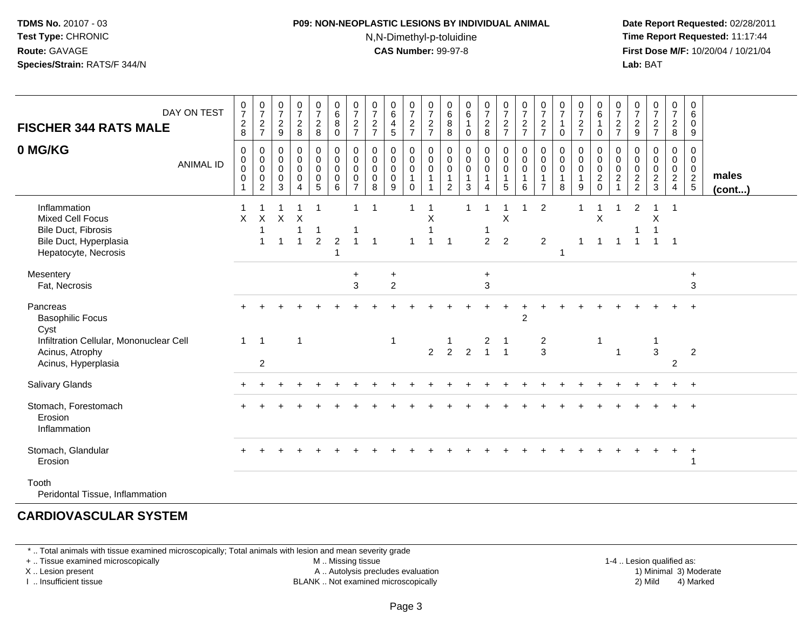#### **P09: NON-NEOPLASTIC LESIONS BY INDIVIDUAL ANIMAL**N,N-Dimethyl-p-toluidine

 **Date Report Requested:** 02/28/2011 **Time Report Requested:** 11:17:44 **First Dose M/F:** 10/20/04 / 10/21/04<br>**Lab:** BAT **Lab:** BAT

| DAY ON TEST<br><b>FISCHER 344 RATS MALE</b>                                                                             | $\frac{0}{7}$<br>$_{\rm 2}^2$                                        | $\frac{0}{7}$<br>$\frac{2}{7}$                               | $\frac{0}{7}$<br>$\frac{2}{9}$                                  | $\frac{0}{7}$<br>$\boldsymbol{2}$<br>8                               | $\frac{0}{7}$<br>$\overline{a}$<br>8                                | $_6^0$<br>8<br>$\mathbf 0$                                                    | $\frac{0}{7}$<br>$\frac{2}{7}$                                 | $\frac{0}{7}$<br>$\overline{\mathbf{c}}$<br>$\overline{7}$ | $\begin{array}{c} 0 \\ 6 \end{array}$<br>$\overline{\mathbf{4}}$<br>5 | $\frac{0}{7}$<br>$\frac{2}{7}$                                 | $\frac{0}{7}$<br>$\frac{2}{7}$                                            | 0<br>$\,6$<br>8<br>8                              | $\boldsymbol{0}$<br>$\,6\,$<br>$\Omega$                   | $\frac{0}{7}$<br>$_{\rm 8}^2$           | $\frac{0}{7}$<br>$\frac{2}{7}$               | $\frac{0}{7}$<br>$\frac{2}{7}$                                    | $\frac{0}{7}$<br>$\frac{2}{7}$                                    | $\pmb{0}$<br>$\overline{\mathcal{I}}$<br>$\Omega$       | $\frac{0}{7}$<br>$\overline{\mathbf{c}}$<br>$\overline{7}$ | 0<br>6<br>$\mathbf{1}$<br>0                                           | $\frac{0}{7}$<br>$\frac{2}{7}$            | $\frac{0}{7}$<br>$\frac{2}{9}$                   | $\frac{0}{7}$<br>$\frac{2}{7}$                     | $\frac{0}{7}$<br>$\frac{2}{8}$                                                     | 0<br>6<br>$\mathbf 0$<br>9                        |                       |
|-------------------------------------------------------------------------------------------------------------------------|----------------------------------------------------------------------|--------------------------------------------------------------|-----------------------------------------------------------------|----------------------------------------------------------------------|---------------------------------------------------------------------|-------------------------------------------------------------------------------|----------------------------------------------------------------|------------------------------------------------------------|-----------------------------------------------------------------------|----------------------------------------------------------------|---------------------------------------------------------------------------|---------------------------------------------------|-----------------------------------------------------------|-----------------------------------------|----------------------------------------------|-------------------------------------------------------------------|-------------------------------------------------------------------|---------------------------------------------------------|------------------------------------------------------------|-----------------------------------------------------------------------|-------------------------------------------|--------------------------------------------------|----------------------------------------------------|------------------------------------------------------------------------------------|---------------------------------------------------|-----------------------|
| 0 MG/KG<br><b>ANIMAL ID</b>                                                                                             | $\pmb{0}$<br>$\mathbf 0$<br>$\mathbf 0$<br>$\pmb{0}$<br>$\mathbf{1}$ | 0<br>$\mathbf 0$<br>$\pmb{0}$<br>$\pmb{0}$<br>$\overline{2}$ | 0<br>$\,0\,$<br>$\mathbf 0$<br>$\boldsymbol{0}$<br>$\mathbf{3}$ | $\pmb{0}$<br>$\pmb{0}$<br>$\mathbf 0$<br>$\pmb{0}$<br>$\overline{4}$ | 0<br>$\mathsf{O}\xspace$<br>$\mathsf{O}\xspace$<br>$\mathbf 0$<br>5 | $\begin{smallmatrix} 0\\0 \end{smallmatrix}$<br>$\pmb{0}$<br>$\mathbf 0$<br>6 | 0<br>$\mathsf{O}\xspace$<br>$\mathbf 0$<br>0<br>$\overline{7}$ | 0<br>0<br>0<br>$\pmb{0}$<br>8                              | 0<br>$\pmb{0}$<br>$\pmb{0}$<br>$\pmb{0}$<br>9                         | 0<br>$\mathsf{O}\xspace$<br>$\mathsf 0$<br>$\overline{1}$<br>0 | $\pmb{0}$<br>$\mathbf 0$<br>$\mathbf 0$<br>$\overline{1}$<br>$\mathbf{1}$ | 0<br>$\mathsf{O}\xspace$<br>$\mathsf 0$<br>1<br>2 | 0<br>$\boldsymbol{0}$<br>$\pmb{0}$<br>$\overline{1}$<br>3 | 0<br>$\pmb{0}$<br>$\mathbf 0$<br>1<br>4 | 0<br>$\ddot{\mathbf{0}}$<br>$\mathbf 0$<br>5 | $\pmb{0}$<br>$\overline{0}$<br>$\mathbf 0$<br>$\overline{1}$<br>6 | 0<br>$\mathbf 0$<br>$\pmb{0}$<br>$\overline{1}$<br>$\overline{7}$ | 0<br>$\pmb{0}$<br>$\boldsymbol{0}$<br>$\mathbf{1}$<br>8 | 0<br>$\mathbf 0$<br>$\mathbf 0$<br>1<br>9                  | 0<br>$\mathsf{O}\xspace$<br>$\mathbf 0$<br>$\overline{2}$<br>$\Omega$ | 0<br>$\pmb{0}$<br>$\pmb{0}$<br>$\sqrt{2}$ | $\mathbf 0$<br>$\boldsymbol{0}$<br>$\frac{0}{2}$ | 0<br>$\mathsf 0$<br>$\mathbf 0$<br>$\sqrt{2}$<br>3 | 0<br>$\mathbf 0$<br>$\begin{smallmatrix} 0\\2 \end{smallmatrix}$<br>$\overline{4}$ | $\pmb{0}$<br>$\mathsf{O}\xspace$<br>$\frac{0}{2}$ | males<br>$($ cont $)$ |
| Inflammation<br><b>Mixed Cell Focus</b><br><b>Bile Duct, Fibrosis</b><br>Bile Duct, Hyperplasia<br>Hepatocyte, Necrosis | $\overline{1}$<br>X                                                  | X<br>$\overline{1}$                                          | $\mathsf{X}$<br>$\overline{1}$                                  | 1<br>$\times$<br>1<br>$\overline{1}$                                 | $\overline{c}$                                                      | $\overline{2}$                                                                | $\overline{1}$<br>$\overline{1}$                               | $\overline{1}$                                             |                                                                       | $\overline{1}$<br>$\overline{1}$                               | 1<br>X<br>$\mathbf 1$                                                     | $\overline{1}$                                    | -1                                                        | $\overline{1}$<br>$\overline{2}$        | X<br>$\overline{2}$                          | $\overline{ }$                                                    | $\overline{c}$<br>$\overline{2}$                                  |                                                         | 1<br>$\mathbf{1}$                                          | $\times$<br>$\mathbf{1}$                                              | $\overline{1}$                            | 2<br>$\overline{1}$                              | $\overline{ }$<br>X<br>-1<br>$\overline{1}$        | 1<br>$\overline{\phantom{0}}$ 1                                                    |                                                   |                       |
| Mesentery<br>Fat, Necrosis                                                                                              |                                                                      |                                                              |                                                                 |                                                                      |                                                                     |                                                                               | $\ddot{}$<br>$\overline{3}$                                    |                                                            | $\ddot{}$<br>$\overline{2}$                                           |                                                                |                                                                           |                                                   |                                                           | $\ddot{}$<br>$\mathfrak{S}$             |                                              |                                                                   |                                                                   |                                                         |                                                            |                                                                       |                                           |                                                  |                                                    |                                                                                    | $\ddot{}$<br>3                                    |                       |
| Pancreas<br><b>Basophilic Focus</b><br>Cyst                                                                             |                                                                      |                                                              |                                                                 |                                                                      |                                                                     |                                                                               |                                                                |                                                            |                                                                       |                                                                |                                                                           |                                                   |                                                           |                                         |                                              | $\overline{2}$                                                    |                                                                   |                                                         |                                                            |                                                                       |                                           |                                                  |                                                    |                                                                                    |                                                   |                       |
| Infiltration Cellular, Mononuclear Cell<br>Acinus, Atrophy<br>Acinus, Hyperplasia                                       | $\mathbf{1}$                                                         | $\overline{1}$<br>$\overline{2}$                             |                                                                 | $\overline{1}$                                                       |                                                                     |                                                                               |                                                                |                                                            | 1                                                                     |                                                                | $\overline{2}$                                                            | $\overline{2}$                                    | $\overline{2}$                                            | $\frac{2}{1}$                           | $\overline{1}$                               |                                                                   | $\frac{2}{3}$                                                     |                                                         |                                                            | -1                                                                    | $\overline{1}$                            |                                                  | -1<br>3                                            | $\overline{2}$                                                                     | $\overline{c}$                                    |                       |
| Salivary Glands                                                                                                         |                                                                      |                                                              |                                                                 |                                                                      |                                                                     |                                                                               |                                                                |                                                            |                                                                       |                                                                |                                                                           |                                                   |                                                           |                                         |                                              |                                                                   |                                                                   |                                                         |                                                            |                                                                       |                                           |                                                  |                                                    |                                                                                    | $\ddot{}$                                         |                       |
| Stomach, Forestomach<br>Erosion<br>Inflammation                                                                         |                                                                      |                                                              |                                                                 |                                                                      |                                                                     |                                                                               |                                                                |                                                            |                                                                       |                                                                |                                                                           |                                                   |                                                           |                                         |                                              |                                                                   |                                                                   |                                                         |                                                            |                                                                       |                                           |                                                  |                                                    |                                                                                    |                                                   |                       |
| Stomach, Glandular<br>Erosion                                                                                           |                                                                      |                                                              |                                                                 |                                                                      |                                                                     |                                                                               |                                                                |                                                            |                                                                       |                                                                |                                                                           |                                                   |                                                           |                                         |                                              |                                                                   |                                                                   |                                                         |                                                            |                                                                       |                                           |                                                  |                                                    |                                                                                    |                                                   |                       |
| Tooth<br>Peridontal Tissue, Inflammation                                                                                |                                                                      |                                                              |                                                                 |                                                                      |                                                                     |                                                                               |                                                                |                                                            |                                                                       |                                                                |                                                                           |                                                   |                                                           |                                         |                                              |                                                                   |                                                                   |                                                         |                                                            |                                                                       |                                           |                                                  |                                                    |                                                                                    |                                                   |                       |

#### **CARDIOVASCULAR SYSTEM**

\* .. Total animals with tissue examined microscopically; Total animals with lesion and mean severity grade

+ .. Tissue examined microscopically

X .. Lesion present

I .. Insufficient tissue

 M .. Missing tissueA .. Autolysis precludes evaluation

BLANK .. Not examined microscopically 2) Mild 4) Marked

1-4 .. Lesion qualified as: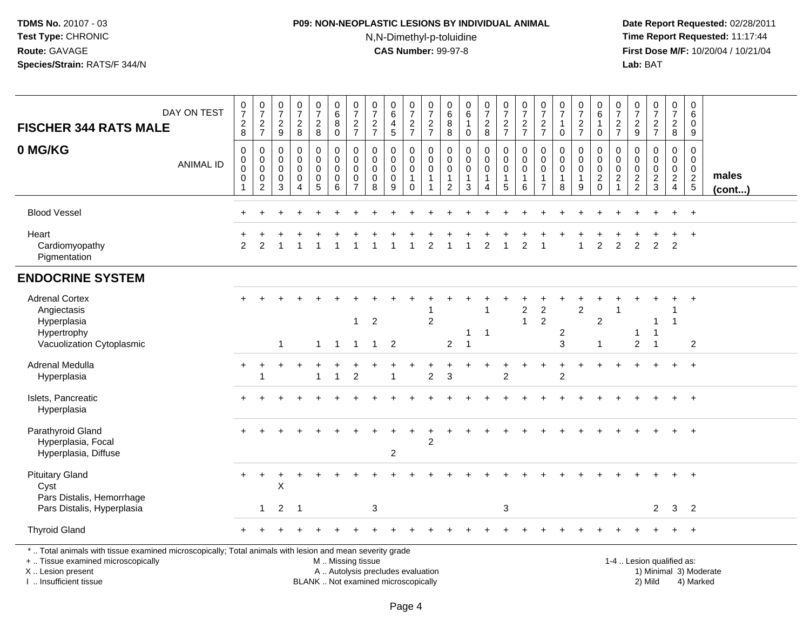## **P09: NON-NEOPLASTIC LESIONS BY INDIVIDUAL ANIMAL**N,N-Dimethyl-p-toluidine

 **Date Report Requested:** 02/28/2011 **Time Report Requested:** 11:17:44 **First Dose M/F:** 10/20/04 / 10/21/04<br>**Lab:** BAT **Lab:** BAT

| <b>FISCHER 344 RATS MALE</b>                                                                                                                                                                  | DAY ON TEST      | $\frac{0}{7}$<br>$\frac{2}{8}$                                           | $\begin{array}{c} 0 \\ 7 \end{array}$<br>$rac{2}{7}$           | $\frac{0}{7}$<br>$\frac{2}{9}$             | $\begin{smallmatrix}0\\7\end{smallmatrix}$<br>$\frac{2}{8}$                | $\begin{array}{c} 0 \\ 7 \end{array}$<br>$_{8}^{\rm 2}$ | $\pmb{0}$<br>6<br>8<br>$\mathbf 0$                            | 0<br>$\overline{7}$<br>$\frac{2}{7}$                | $\frac{0}{7}$<br>$\frac{2}{7}$                | $\begin{array}{c} 0 \\ 6 \end{array}$<br>$\overline{4}$<br>$\overline{5}$ | $\begin{array}{c} 0 \\ 7 \end{array}$<br>$\frac{2}{7}$ | $\frac{0}{7}$<br>$\frac{2}{7}$                                                | 0<br>$\,6$<br>8<br>$\overline{8}$                                        | $\mathbf 0$<br>$\overline{6}$<br>1<br>$\mathbf 0$             | $\frac{0}{7}$<br>$_{8}^2$                                   | $\begin{smallmatrix}0\\7\end{smallmatrix}$<br>$rac{2}{7}$         | $\begin{array}{c} 0 \\ 7 \end{array}$<br>$\frac{2}{7}$ | $\begin{array}{c} 0 \\ 7 \end{array}$<br>$\frac{2}{7}$ | $\frac{0}{7}$<br>-1<br>$\pmb{0}$                                       | $\begin{array}{c} 0 \\ 7 \end{array}$<br>$\frac{2}{7}$ | 0<br>$\overline{6}$<br>$\mathbf 1$<br>$\mathbf 0$ | $\frac{0}{7}$<br>$\frac{2}{7}$                                    | $\begin{array}{c} 0 \\ 7 \end{array}$<br>$\frac{2}{9}$ | $\begin{smallmatrix}0\\7\end{smallmatrix}$<br>$\frac{2}{7}$ | $\frac{0}{7}$<br>$\frac{2}{8}$                           | $\boldsymbol{0}$<br>$6\phantom{1}6$<br>$\mathbf 0$<br>9  |                        |
|-----------------------------------------------------------------------------------------------------------------------------------------------------------------------------------------------|------------------|--------------------------------------------------------------------------|----------------------------------------------------------------|--------------------------------------------|----------------------------------------------------------------------------|---------------------------------------------------------|---------------------------------------------------------------|-----------------------------------------------------|-----------------------------------------------|---------------------------------------------------------------------------|--------------------------------------------------------|-------------------------------------------------------------------------------|--------------------------------------------------------------------------|---------------------------------------------------------------|-------------------------------------------------------------|-------------------------------------------------------------------|--------------------------------------------------------|--------------------------------------------------------|------------------------------------------------------------------------|--------------------------------------------------------|---------------------------------------------------|-------------------------------------------------------------------|--------------------------------------------------------|-------------------------------------------------------------|----------------------------------------------------------|----------------------------------------------------------|------------------------|
| 0 MG/KG                                                                                                                                                                                       | <b>ANIMAL ID</b> | $\mathbf 0$<br>$\pmb{0}$<br>$\mathbf 0$<br>$\mathbf 0$<br>$\overline{1}$ | $\mathbf 0$<br>$\pmb{0}$<br>$\mathbf 0$<br>0<br>$\overline{2}$ | $\mathbf{0}$<br>0<br>$\mathbf 0$<br>0<br>3 | $\mathbf 0$<br>$\mathbf 0$<br>$\mathbf 0$<br>$\mathbf 0$<br>$\overline{4}$ | 0<br>0<br>$\mathbf 0$<br>0<br>5                         | $\mathbf 0$<br>$\mathbf 0$<br>$\mathbf 0$<br>$\mathbf 0$<br>6 | 0<br>$\mathbf 0$<br>$\Omega$<br>0<br>$\overline{7}$ | $\Omega$<br>$\mathbf 0$<br>$\Omega$<br>0<br>8 | $\mathbf 0$<br>0<br>$\mathbf 0$<br>0<br>9                                 | $\mathbf 0$<br>0<br>$\Omega$<br>1<br>$\Omega$          | $\mathbf 0$<br>$\mathbf 0$<br>$\mathbf 0$<br>$\overline{1}$<br>$\overline{1}$ | $\mathbf 0$<br>$\mathbf 0$<br>$\Omega$<br>$\mathbf{1}$<br>$\overline{2}$ | $\mathbf 0$<br>$\mathbf 0$<br>$\Omega$<br>1<br>$\overline{3}$ | $\mathbf 0$<br>0<br>$\mathbf 0$<br>$\mathbf{1}$<br>$\Delta$ | $\mathbf 0$<br>0<br>$\mathbf 0$<br>$\mathbf{1}$<br>$\overline{5}$ | $\Omega$<br>$\mathbf 0$<br>$\mathbf 0$<br>1<br>6       | $\mathbf{0}$<br>0<br>$\mathbf 0$<br>$\frac{1}{7}$      | $\Omega$<br>$\mathbf 0$<br>$\mathbf 0$<br>$\mathbf{1}$<br>$\mathbf{8}$ | 0<br>0<br>$\mathbf 0$<br>$\mathbf{1}$<br>9             | 0<br>$\mathbf 0$<br>$\mathbf 0$<br>$^2_{\rm 0}$   | 0<br>$\mathbf 0$<br>$\mathbf 0$<br>$\overline{c}$<br>$\mathbf{1}$ | $\mathbf 0$<br>0<br>$\mathbf 0$<br>$\frac{2}{2}$       | $\mathbf 0$<br>0<br>$\mathbf 0$<br>$\frac{2}{3}$            | $\mathbf 0$<br>$\mathbf 0$<br>$\pmb{0}$<br>$\frac{2}{4}$ | $\mathbf 0$<br>$\mathbf 0$<br>$\mathbf 0$<br>$rac{2}{5}$ | males<br>$($ cont $)$  |
| <b>Blood Vessel</b>                                                                                                                                                                           |                  |                                                                          |                                                                |                                            |                                                                            |                                                         |                                                               |                                                     |                                               |                                                                           |                                                        |                                                                               |                                                                          |                                                               |                                                             |                                                                   |                                                        |                                                        |                                                                        |                                                        |                                                   |                                                                   |                                                        |                                                             |                                                          | $\ddot{}$                                                |                        |
| Heart<br>Cardiomyopathy<br>Pigmentation                                                                                                                                                       |                  | 2                                                                        | 2                                                              |                                            |                                                                            |                                                         |                                                               |                                                     |                                               |                                                                           |                                                        |                                                                               |                                                                          |                                                               | $\mathcal{P}$                                               |                                                                   | $\overline{2}$                                         |                                                        |                                                                        |                                                        | 2                                                 | $\overline{2}$                                                    | $\overline{2}$                                         | 2                                                           | 2                                                        | $\overline{+}$                                           |                        |
| <b>ENDOCRINE SYSTEM</b>                                                                                                                                                                       |                  |                                                                          |                                                                |                                            |                                                                            |                                                         |                                                               |                                                     |                                               |                                                                           |                                                        |                                                                               |                                                                          |                                                               |                                                             |                                                                   |                                                        |                                                        |                                                                        |                                                        |                                                   |                                                                   |                                                        |                                                             |                                                          |                                                          |                        |
| <b>Adrenal Cortex</b><br>Angiectasis<br>Hyperplasia<br>Hypertrophy<br>Vacuolization Cytoplasmic                                                                                               |                  |                                                                          |                                                                | $\mathbf{1}$                               |                                                                            | $\mathbf{1}$                                            | $\overline{1}$                                                | $\mathbf{1}$<br>$\mathbf{1}$                        | $\overline{2}$<br>$\mathbf{1}$                | $\overline{2}$                                                            |                                                        | $\overline{2}$                                                                | $\sqrt{2}$                                                               | 1<br>1                                                        | -1<br>$\mathbf{1}$                                          |                                                                   | $\overline{2}$<br>$\overline{1}$                       | $\boldsymbol{2}$<br>$\overline{c}$                     | $\overline{\mathbf{c}}$<br>3                                           | $\overline{2}$                                         | $\boldsymbol{2}$<br>-1                            |                                                                   | $\overline{2}$                                         | -1                                                          | $\overline{1}$                                           | $\overline{+}$<br>$\overline{c}$                         |                        |
| Adrenal Medulla<br>Hyperplasia                                                                                                                                                                |                  |                                                                          |                                                                |                                            |                                                                            | 1                                                       |                                                               | $\mathfrak{p}$                                      |                                               | $\overline{1}$                                                            |                                                        | $\overline{2}$                                                                | 3                                                                        |                                                               |                                                             | $\overline{2}$                                                    |                                                        |                                                        | $\overline{2}$                                                         |                                                        |                                                   |                                                                   |                                                        |                                                             |                                                          |                                                          |                        |
| Islets, Pancreatic<br>Hyperplasia                                                                                                                                                             |                  |                                                                          |                                                                |                                            |                                                                            |                                                         |                                                               |                                                     |                                               |                                                                           |                                                        |                                                                               |                                                                          |                                                               |                                                             |                                                                   |                                                        |                                                        |                                                                        |                                                        |                                                   |                                                                   |                                                        |                                                             |                                                          | $\overline{+}$                                           |                        |
| Parathyroid Gland<br>Hyperplasia, Focal<br>Hyperplasia, Diffuse                                                                                                                               |                  |                                                                          |                                                                |                                            |                                                                            |                                                         |                                                               |                                                     |                                               | 2                                                                         |                                                        | 2                                                                             |                                                                          |                                                               |                                                             |                                                                   |                                                        |                                                        |                                                                        |                                                        |                                                   |                                                                   |                                                        |                                                             |                                                          |                                                          |                        |
| <b>Pituitary Gland</b><br>Cyst<br>Pars Distalis, Hemorrhage                                                                                                                                   |                  |                                                                          |                                                                | $\mathsf X$                                |                                                                            |                                                         |                                                               |                                                     |                                               |                                                                           |                                                        |                                                                               |                                                                          |                                                               |                                                             |                                                                   |                                                        |                                                        |                                                                        |                                                        |                                                   |                                                                   |                                                        |                                                             |                                                          | $\overline{+}$                                           |                        |
| Pars Distalis, Hyperplasia                                                                                                                                                                    |                  |                                                                          | $\mathbf 1$                                                    | 2                                          | -1                                                                         |                                                         |                                                               |                                                     | 3                                             |                                                                           |                                                        |                                                                               |                                                                          |                                                               |                                                             | 3                                                                 |                                                        |                                                        |                                                                        |                                                        |                                                   |                                                                   |                                                        | $\overline{2}$                                              | $\mathbf{3}$                                             | $\overline{2}$                                           |                        |
| <b>Thyroid Gland</b>                                                                                                                                                                          |                  |                                                                          |                                                                |                                            |                                                                            |                                                         |                                                               |                                                     |                                               |                                                                           |                                                        |                                                                               |                                                                          |                                                               |                                                             |                                                                   |                                                        |                                                        |                                                                        |                                                        |                                                   |                                                                   |                                                        |                                                             |                                                          | $+$                                                      |                        |
| *  Total animals with tissue examined microscopically; Total animals with lesion and mean severity grade<br>+  Tissue examined microscopically<br>X  Lesion present<br>I  Insufficient tissue |                  |                                                                          |                                                                |                                            |                                                                            |                                                         | M  Missing tissue                                             |                                                     |                                               | A  Autolysis precludes evaluation<br>BLANK  Not examined microscopically  |                                                        |                                                                               |                                                                          |                                                               |                                                             |                                                                   |                                                        |                                                        |                                                                        |                                                        |                                                   |                                                                   |                                                        | 1-4  Lesion qualified as:<br>2) Mild                        |                                                          | 4) Marked                                                | 1) Minimal 3) Moderate |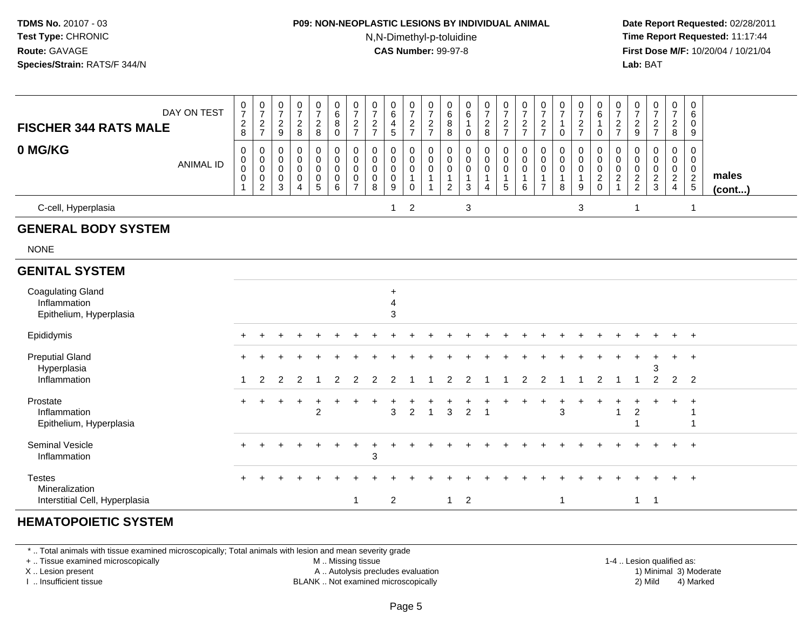## **P09: NON-NEOPLASTIC LESIONS BY INDIVIDUAL ANIMAL**

N,N-Dimethyl-p-toluidine

 **Date Report Requested:** 02/28/2011 **Time Report Requested:** 11:17:44 **First Dose M/F:** 10/20/04 / 10/21/04<br>**Lab:** BAT **Lab:** BAT

| <b>FISCHER 344 RATS MALE</b>                                        | DAY ON TEST      | $\frac{0}{7}$<br>$_{\rm 8}^2$ | $\frac{0}{7}$<br>$\frac{2}{7}$                                                | $\pmb{0}$<br>$\overline{7}$<br>$\overline{\mathbf{c}}$<br>9 | $\frac{0}{7}$<br>$\sqrt{2}$<br>$\bf{8}$                      | $\frac{0}{7}$<br>$\overline{2}$<br>8                          | $\pmb{0}$<br>$\,6\,$<br>$\bf 8$<br>$\mathbf 0$    | $\frac{0}{7}$<br>$\frac{2}{7}$                                 | 0<br>$\overline{7}$<br>$\overline{2}$<br>$\overline{7}$ | 0<br>$\,6\,$<br>$\overline{4}$<br>5       | $\mathbf 0$<br>$\overline{7}$<br>$\overline{c}$<br>$\overline{7}$ | $\frac{0}{7}$<br>$\frac{2}{7}$                                          | 0<br>$\,6$<br>$\overline{8}$<br>8                               | 0<br>6<br>0      | $\begin{smallmatrix}0\\7\end{smallmatrix}$<br>$\frac{2}{8}$ | $\frac{0}{7}$<br>$\frac{2}{7}$                        | $\frac{0}{7}$<br>$\frac{2}{7}$                               | 0<br>$\overline{7}$<br>$\overline{\mathbf{c}}$<br>$\overline{7}$ | 0<br>$\overline{7}$<br>$\mathbf{1}$<br>$\mathbf 0$ | $\pmb{0}$<br>$\overline{7}$<br>$\sqrt{2}$<br>$\overline{7}$ | 0<br>6<br>$\mathbf 0$                                     | $\frac{0}{7}$<br>$\frac{2}{7}$                                | 0<br>$\overline{7}$<br>$\sqrt{2}$<br>9  | 0<br>$\overline{7}$<br>$\overline{c}$<br>$\overline{7}$ | 0<br>$\overline{7}$<br>$\overline{c}$<br>8                | $\mathbf 0$<br>$\,6\,$<br>0<br>$\boldsymbol{9}$                     |                 |
|---------------------------------------------------------------------|------------------|-------------------------------|-------------------------------------------------------------------------------|-------------------------------------------------------------|--------------------------------------------------------------|---------------------------------------------------------------|---------------------------------------------------|----------------------------------------------------------------|---------------------------------------------------------|-------------------------------------------|-------------------------------------------------------------------|-------------------------------------------------------------------------|-----------------------------------------------------------------|------------------|-------------------------------------------------------------|-------------------------------------------------------|--------------------------------------------------------------|------------------------------------------------------------------|----------------------------------------------------|-------------------------------------------------------------|-----------------------------------------------------------|---------------------------------------------------------------|-----------------------------------------|---------------------------------------------------------|-----------------------------------------------------------|---------------------------------------------------------------------|-----------------|
| 0 MG/KG                                                             | <b>ANIMAL ID</b> | 0<br>$\mathbf 0$<br>0<br>0    | $\mathbf 0$<br>$\boldsymbol{0}$<br>$\mathbf 0$<br>$\pmb{0}$<br>$\overline{2}$ | 0<br>0<br>$\mathbf 0$<br>0<br>3                             | 0<br>$\pmb{0}$<br>$\mathbf 0$<br>0<br>$\boldsymbol{\Lambda}$ | $\mathbf 0$<br>$\mathsf{O}$<br>$\mathsf{O}$<br>$\pmb{0}$<br>5 | 0<br>$\mathsf{O}\xspace$<br>0<br>$\mathbf 0$<br>6 | 0<br>$\pmb{0}$<br>$\mathbf 0$<br>$\mathbf 0$<br>$\overline{7}$ | 0<br>$\mathbf 0$<br>$\Omega$<br>0<br>8                  | 0<br>$\mathbf 0$<br>$\mathbf 0$<br>0<br>9 | 0<br>$\mathbf 0$<br>$\mathbf 0$<br>$\Omega$                       | $\pmb{0}$<br>$\mathsf{O}\xspace$<br>$\mathsf{O}\xspace$<br>$\mathbf{1}$ | 0<br>$\mathsf{O}\xspace$<br>0<br>$\mathbf{1}$<br>$\overline{2}$ | 0<br>0<br>0<br>3 | $\mathbf 0$<br>$\mathbf 0$<br>$\pmb{0}$<br>1<br>4           | 0<br>$\mathsf{O}$<br>$\mathbf 0$<br>$\mathbf{1}$<br>5 | $\pmb{0}$<br>$\mathbf 0$<br>$\mathbf 0$<br>$\mathbf{1}$<br>6 | 0<br>$\mathbf 0$<br>$\mathbf 0$<br>$\overline{7}$                | 0<br>$\mathbf 0$<br>0<br>-1<br>8                   | 0<br>$\mathsf{O}\xspace$<br>0<br>$\mathbf{1}$<br>9          | 0<br>$\mathbf 0$<br>$\mathbf 0$<br>$\sqrt{2}$<br>$\Omega$ | 0<br>$\mathbf 0$<br>$\pmb{0}$<br>$\sqrt{2}$<br>$\overline{1}$ | 0<br>0<br>$\mathbf{0}$<br>$\frac{2}{2}$ | 0<br>$\mathbf 0$<br>$\Omega$<br>$\overline{c}$<br>3     | 0<br>0<br>$\mathbf 0$<br>$\overline{a}$<br>$\overline{4}$ | 0<br>$\mathbf 0$<br>$\mathbf 0$<br>$\overline{c}$<br>$\overline{5}$ | males<br>(cont) |
| C-cell, Hyperplasia                                                 |                  |                               |                                                                               |                                                             |                                                              |                                                               |                                                   |                                                                |                                                         | $\mathbf{1}$                              | $\overline{c}$                                                    |                                                                         |                                                                 | $\mathbf{3}$     |                                                             |                                                       |                                                              |                                                                  |                                                    | $\mathbf{3}$                                                |                                                           |                                                               | 1                                       |                                                         |                                                           | -1                                                                  |                 |
| <b>GENERAL BODY SYSTEM</b>                                          |                  |                               |                                                                               |                                                             |                                                              |                                                               |                                                   |                                                                |                                                         |                                           |                                                                   |                                                                         |                                                                 |                  |                                                             |                                                       |                                                              |                                                                  |                                                    |                                                             |                                                           |                                                               |                                         |                                                         |                                                           |                                                                     |                 |
| <b>NONE</b>                                                         |                  |                               |                                                                               |                                                             |                                                              |                                                               |                                                   |                                                                |                                                         |                                           |                                                                   |                                                                         |                                                                 |                  |                                                             |                                                       |                                                              |                                                                  |                                                    |                                                             |                                                           |                                                               |                                         |                                                         |                                                           |                                                                     |                 |
| <b>GENITAL SYSTEM</b>                                               |                  |                               |                                                                               |                                                             |                                                              |                                                               |                                                   |                                                                |                                                         |                                           |                                                                   |                                                                         |                                                                 |                  |                                                             |                                                       |                                                              |                                                                  |                                                    |                                                             |                                                           |                                                               |                                         |                                                         |                                                           |                                                                     |                 |
| <b>Coagulating Gland</b><br>Inflammation<br>Epithelium, Hyperplasia |                  |                               |                                                                               |                                                             |                                                              |                                                               |                                                   |                                                                |                                                         | +<br>$\overline{4}$<br>3                  |                                                                   |                                                                         |                                                                 |                  |                                                             |                                                       |                                                              |                                                                  |                                                    |                                                             |                                                           |                                                               |                                         |                                                         |                                                           |                                                                     |                 |
| Epididymis                                                          |                  |                               |                                                                               |                                                             |                                                              |                                                               |                                                   |                                                                |                                                         |                                           |                                                                   |                                                                         |                                                                 |                  |                                                             |                                                       |                                                              |                                                                  |                                                    |                                                             |                                                           |                                                               |                                         |                                                         |                                                           | $+$                                                                 |                 |
| <b>Preputial Gland</b><br>Hyperplasia<br>Inflammation               |                  |                               | 2                                                                             | 2                                                           | $\mathcal{P}$                                                |                                                               | 2                                                 | $\overline{2}$                                                 | 2                                                       | 2                                         |                                                                   |                                                                         | 2                                                               | $\overline{c}$   |                                                             |                                                       | 2                                                            | 2                                                                |                                                    |                                                             | 2                                                         |                                                               | 1                                       | 2                                                       | $+$<br>$\overline{2}$                                     | $\ddot{}$<br>$\overline{2}$                                         |                 |
| Prostate<br>Inflammation<br>Epithelium, Hyperplasia                 |                  | $+$                           |                                                                               |                                                             |                                                              | $\overline{2}$                                                |                                                   |                                                                |                                                         | 3                                         | $\overline{c}$                                                    | $\overline{1}$                                                          | 3                                                               | $\overline{2}$   | $\overline{1}$                                              |                                                       |                                                              |                                                                  | 3                                                  |                                                             |                                                           | $\overline{1}$                                                | $\overline{c}$                          |                                                         | $\ddot{}$                                                 | $\ddot{}$                                                           |                 |
| Seminal Vesicle<br>Inflammation                                     |                  |                               |                                                                               |                                                             |                                                              |                                                               |                                                   |                                                                | 3                                                       |                                           |                                                                   |                                                                         |                                                                 |                  |                                                             |                                                       |                                                              |                                                                  |                                                    |                                                             |                                                           |                                                               |                                         |                                                         |                                                           | $\ddot{}$                                                           |                 |
| <b>Testes</b><br>Mineralization<br>Interstitial Cell, Hyperplasia   |                  | $+$                           |                                                                               |                                                             |                                                              |                                                               |                                                   | $\overline{1}$                                                 |                                                         | $\overline{2}$                            |                                                                   |                                                                         | $\mathbf{1}$                                                    | 2                |                                                             |                                                       |                                                              |                                                                  | -1                                                 |                                                             |                                                           |                                                               | $\mathbf{1}$                            | -1                                                      |                                                           | $\ddot{}$                                                           |                 |

#### **HEMATOPOIETIC SYSTEM**

\* .. Total animals with tissue examined microscopically; Total animals with lesion and mean severity grade

+ .. Tissue examined microscopically

X .. Lesion present

I .. Insufficient tissue

M .. Missing tissue

A .. Autolysis precludes evaluation

BLANK .. Not examined microscopically 2) Mild 4) Marked

1-4 .. Lesion qualified as: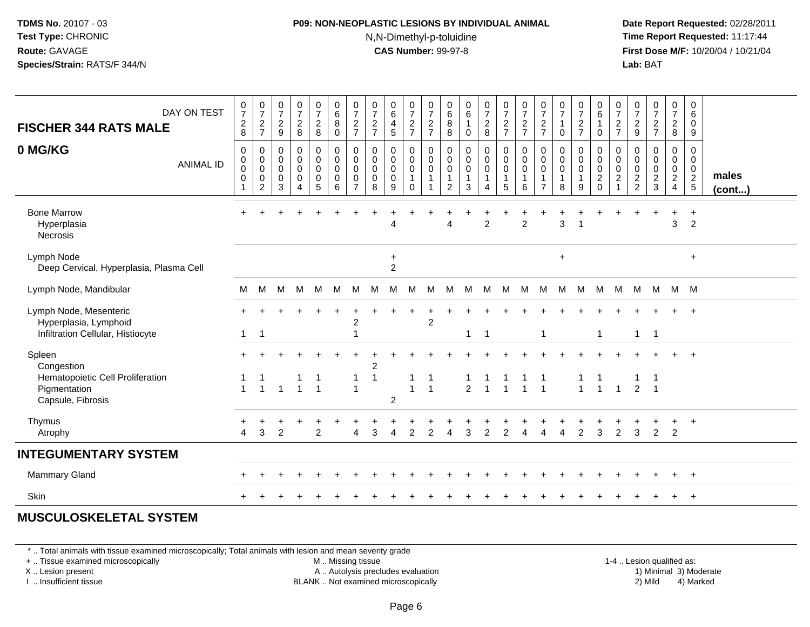#### **P09: NON-NEOPLASTIC LESIONS BY INDIVIDUAL ANIMAL**N,N-Dimethyl-p-toluidine

 **Date Report Requested:** 02/28/2011 **Time Report Requested:** 11:17:44 **First Dose M/F:** 10/20/04 / 10/21/04<br>**Lab:** BAT **Lab:** BAT

| DAY ON TEST<br><b>FISCHER 344 RATS MALE</b>                                                   | $\frac{0}{7}$<br>$\frac{2}{8}$                 | $\frac{0}{7}$<br>$\sqrt{2}$<br>$\overline{7}$                                   | $\frac{0}{7}$<br>$\boldsymbol{2}$<br>9    | $\frac{0}{7}$<br>$\overline{a}$<br>8                | $\begin{array}{c} 0 \\ 7 \end{array}$<br>$_{8}^2$                    | $\begin{array}{c} 0 \\ 6 \end{array}$<br>$\, 8$<br>$\mathbf 0$ | $\frac{0}{7}$<br>$\frac{2}{7}$                                          | $\frac{0}{7}$<br>$\frac{2}{7}$                           | $_6^0$<br>4<br>5                                    | $\frac{0}{7}$<br>$\frac{2}{7}$                    | $\frac{0}{7}$<br>$\frac{2}{7}$                        | $\begin{array}{c} 0 \\ 6 \end{array}$<br>$\bf 8$<br>8 | $\begin{array}{c} 0 \\ 6 \end{array}$<br>$\overline{1}$<br>$\mathbf 0$ | $\frac{0}{7}$<br>$\frac{2}{8}$                             | $\frac{0}{7}$<br>$\frac{2}{7}$                     | $\frac{0}{7}$<br>$\frac{2}{7}$   | $\frac{0}{7}$<br>$\sqrt{2}$<br>$\overline{7}$   | $\begin{array}{c} 0 \\ 7 \end{array}$<br>$\mathbf 0$       | $\frac{0}{7}$<br>$\frac{2}{7}$     | $\begin{array}{c} 0 \\ 6 \end{array}$<br>$\mathbf{1}$<br>$\mathbf 0$ | $\frac{0}{7}$<br>$\frac{2}{7}$           | $\frac{0}{7}$<br>$\frac{2}{9}$         | $\frac{0}{7}$<br>$\frac{2}{7}$               | $\begin{smallmatrix}0\\7\end{smallmatrix}$<br>$\frac{2}{8}$ | 0<br>$\,6\,$<br>0<br>9                                     |                 |
|-----------------------------------------------------------------------------------------------|------------------------------------------------|---------------------------------------------------------------------------------|-------------------------------------------|-----------------------------------------------------|----------------------------------------------------------------------|----------------------------------------------------------------|-------------------------------------------------------------------------|----------------------------------------------------------|-----------------------------------------------------|---------------------------------------------------|-------------------------------------------------------|-------------------------------------------------------|------------------------------------------------------------------------|------------------------------------------------------------|----------------------------------------------------|----------------------------------|-------------------------------------------------|------------------------------------------------------------|------------------------------------|----------------------------------------------------------------------|------------------------------------------|----------------------------------------|----------------------------------------------|-------------------------------------------------------------|------------------------------------------------------------|-----------------|
| 0 MG/KG<br><b>ANIMAL ID</b>                                                                   | $\mathbf 0$<br>0<br>$\mathbf 0$<br>$\mathbf 0$ | $\mathbf 0$<br>$\mathbf 0$<br>$\boldsymbol{0}$<br>$\mathbf 0$<br>$\overline{2}$ | 0<br>0<br>$\mathbf 0$<br>$\mathbf 0$<br>3 | $\mathbf 0$<br>0<br>$\mathbf 0$<br>$\mathbf 0$<br>4 | $\pmb{0}$<br>$\mathbf 0$<br>$\pmb{0}$<br>$\pmb{0}$<br>$\overline{5}$ | $\mathbf 0$<br>$\pmb{0}$<br>$\pmb{0}$<br>$\pmb{0}$<br>$\,6\,$  | $\mathbf 0$<br>$\mathbf 0$<br>$\Omega$<br>$\mathbf 0$<br>$\overline{7}$ | $\mathbf 0$<br>0<br>$\mathbf 0$<br>$\boldsymbol{0}$<br>8 | 0<br>$\mathbf 0$<br>$\mathbf 0$<br>$\mathbf 0$<br>9 | 0<br>0<br>$\mathbf 0$<br>$\mathbf{1}$<br>$\Omega$ | $\mathbf 0$<br>$\pmb{0}$<br>$\pmb{0}$<br>$\mathbf{1}$ | 0<br>0<br>0<br>$\mathbf{1}$<br>2                      | $\mathbf 0$<br>$\mathbf 0$<br>$\mathbf 0$<br>$\mathbf{1}$<br>3         | $\pmb{0}$<br>$\mathbf 0$<br>$\pmb{0}$<br>$\mathbf{1}$<br>4 | 0<br>$\mathbf 0$<br>$\pmb{0}$<br>$\mathbf{1}$<br>5 | 0<br>0<br>0<br>$\mathbf{1}$<br>6 | $\mathbf 0$<br>0<br>$\mathbf 0$<br>$\mathbf{1}$ | $\mathbf 0$<br>$\pmb{0}$<br>$\pmb{0}$<br>$\mathbf{1}$<br>8 | 0<br>0<br>0<br>$\overline{1}$<br>9 | $\boldsymbol{0}$<br>$\mathbf 0$<br>$\pmb{0}$<br>$\frac{2}{0}$        | 0<br>0<br>$\mathbf{0}$<br>$\overline{c}$ | 0<br>0<br>$\mathbf 0$<br>$\frac{2}{2}$ | 0<br>$\pmb{0}$<br>$\pmb{0}$<br>$\frac{2}{3}$ | 0<br>$\mathbf 0$<br>$_2^0$<br>$\overline{4}$                | $\mathbf 0$<br>$\mathbf 0$<br>$\mathbf 0$<br>$\frac{2}{5}$ | males<br>(cont) |
| <b>Bone Marrow</b><br>Hyperplasia<br><b>Necrosis</b>                                          |                                                |                                                                                 |                                           |                                                     |                                                                      |                                                                |                                                                         |                                                          | 4                                                   |                                                   |                                                       | 4                                                     |                                                                        | $\overline{2}$                                             |                                                    | $\overline{2}$                   |                                                 | $\overline{3}$                                             | $\overline{\phantom{a}}$           |                                                                      |                                          |                                        |                                              | $\ddot{}$<br>3                                              | $+$<br>$\overline{2}$                                      |                 |
| Lymph Node<br>Deep Cervical, Hyperplasia, Plasma Cell                                         |                                                |                                                                                 |                                           |                                                     |                                                                      |                                                                |                                                                         |                                                          | $\ddot{}$<br>2                                      |                                                   |                                                       |                                                       |                                                                        |                                                            |                                                    |                                  |                                                 | $\ddot{}$                                                  |                                    |                                                                      |                                          |                                        |                                              |                                                             | $+$                                                        |                 |
| Lymph Node, Mandibular                                                                        | M                                              | M                                                                               | M                                         | M                                                   | M                                                                    | м                                                              | M                                                                       | м                                                        | м                                                   | м                                                 | М                                                     | м                                                     | м                                                                      | M                                                          | M                                                  | M                                | M                                               | м                                                          | M                                  | M                                                                    | M                                        | M                                      | M                                            | M                                                           | M                                                          |                 |
| Lymph Node, Mesenteric<br>Hyperplasia, Lymphoid<br>Infiltration Cellular, Histiocyte          | -1                                             | 1                                                                               |                                           |                                                     |                                                                      |                                                                | 2<br>$\overline{\phantom{a}}$                                           |                                                          |                                                     |                                                   | $\overline{2}$                                        |                                                       | -1                                                                     | -1                                                         |                                                    |                                  | $\overline{1}$                                  |                                                            |                                    | $\mathbf{1}$                                                         |                                          | $\mathbf 1$                            | $\overline{1}$                               |                                                             |                                                            |                 |
| Spleen<br>Congestion<br>Hematopoietic Cell Proliferation<br>Pigmentation<br>Capsule, Fibrosis | -1<br>$\overline{1}$                           | $\mathbf{1}$                                                                    | $\overline{1}$                            | $\overline{1}$                                      | $\overline{1}$                                                       |                                                                | -1<br>$\overline{1}$                                                    | 2<br>$\overline{1}$                                      | $\overline{2}$                                      | $\overline{1}$                                    | $\mathbf 1$<br>$\overline{1}$                         |                                                       | -1<br>$\overline{2}$                                                   |                                                            | $1 \quad 1$                                        | $\overline{1}$                   | $\overline{1}$                                  |                                                            | $\overline{1}$                     | $\overline{1}$                                                       | $\mathbf{1}$                             | $\overline{2}$                         | -1<br>$\overline{1}$                         |                                                             | $+$                                                        |                 |
| Thymus<br>Atrophy                                                                             | 4                                              | 3                                                                               | $\mathcal{P}$                             |                                                     | 2                                                                    |                                                                | 4                                                                       | 3                                                        | Δ                                                   | 2                                                 | $\overline{2}$                                        | Δ                                                     | 3                                                                      | $\overline{2}$                                             | 2                                                  |                                  |                                                 |                                                            | $\overline{2}$                     | 3                                                                    | 2                                        | 3                                      | $\overline{2}$                               | $\overline{2}$                                              | $+$                                                        |                 |
| <b>INTEGUMENTARY SYSTEM</b>                                                                   |                                                |                                                                                 |                                           |                                                     |                                                                      |                                                                |                                                                         |                                                          |                                                     |                                                   |                                                       |                                                       |                                                                        |                                                            |                                                    |                                  |                                                 |                                                            |                                    |                                                                      |                                          |                                        |                                              |                                                             |                                                            |                 |
| <b>Mammary Gland</b>                                                                          |                                                |                                                                                 |                                           |                                                     |                                                                      |                                                                |                                                                         |                                                          |                                                     |                                                   |                                                       |                                                       |                                                                        |                                                            |                                                    |                                  |                                                 |                                                            |                                    |                                                                      |                                          |                                        | ÷                                            | $+$                                                         | $+$                                                        |                 |
| Skin                                                                                          |                                                |                                                                                 |                                           |                                                     |                                                                      |                                                                |                                                                         |                                                          |                                                     |                                                   |                                                       |                                                       |                                                                        |                                                            |                                                    |                                  |                                                 |                                                            |                                    |                                                                      |                                          |                                        |                                              |                                                             | $+$                                                        |                 |

#### **MUSCULOSKELETAL SYSTEM**

\* .. Total animals with tissue examined microscopically; Total animals with lesion and mean severity grade

+ .. Tissue examined microscopically

X .. Lesion present

I .. Insufficient tissue

M .. Missing tissue

A .. Autolysis precludes evaluation

BLANK .. Not examined microscopically 2) Mild 4) Marked

1-4 .. Lesion qualified as: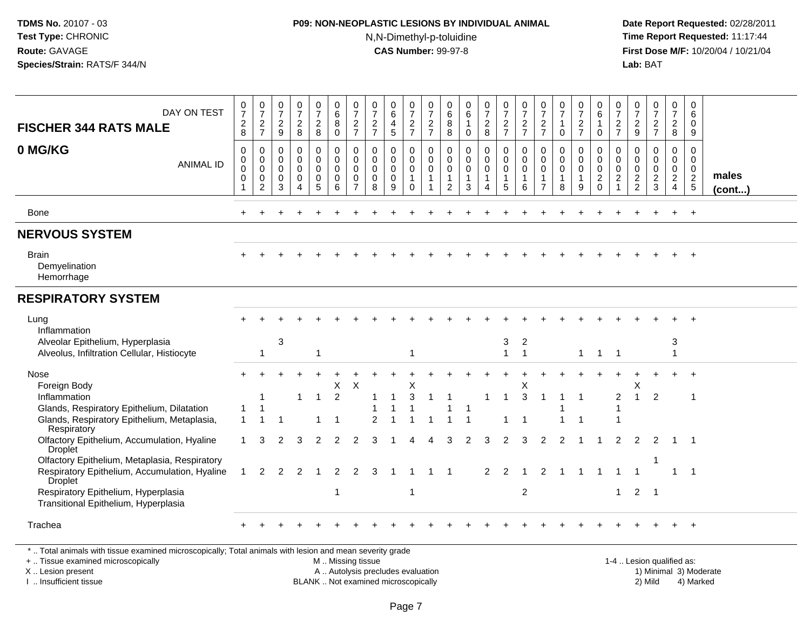### **P09: NON-NEOPLASTIC LESIONS BY INDIVIDUAL ANIMAL**N,N-Dimethyl-p-toluidine

 **Date Report Requested:** 02/28/2011 **Time Report Requested:** 11:17:44 **First Dose M/F:** 10/20/04 / 10/21/04<br>**Lab:** BAT **Lab:** BAT

| DAY ON TEST<br><b>FISCHER 344 RATS MALE</b>                                                                                                                                                                                                                                                                                                                                                                                     | 0<br>$\overline{7}$<br>$\overline{2}$<br>8       | $\frac{0}{7}$<br>$\frac{2}{7}$                         | $\frac{0}{7}$<br>$\overline{2}$<br>$\mathsf g$ | $\frac{0}{7}$<br>$\overline{c}$<br>$\,8\,$                                 | 0<br>$\overline{7}$<br>$\overline{c}$<br>$\bf 8$                 | 0<br>$\,6\,$<br>8<br>$\mathbf 0$                           | 0<br>$\overline{7}$<br>$\overline{2}$<br>$\overline{7}$          | $\frac{0}{7}$<br>$\mathbf{2}$<br>$\overline{7}$          | 0<br>$\overline{6}$<br>$\overline{4}$<br>5                  | 0<br>$\overline{7}$<br>$\overline{2}$<br>$\overline{7}$     | 0<br>$\overline{7}$<br>$\frac{2}{7}$                           | 0<br>$\,6\,$<br>8<br>$\,8\,$                                   | 0<br>6<br>$\mathbf{1}$<br>$\pmb{0}$                 | $\frac{0}{7}$<br>$\overline{a}$<br>$\,8\,$ | $\begin{smallmatrix}0\\7\end{smallmatrix}$<br>$\frac{2}{7}$    | 0<br>$\overline{7}$<br>$\frac{2}{7}$              | 0<br>$\overline{7}$<br>$\frac{2}{7}$                                       | $\frac{0}{7}$<br>$\mathbf{1}$<br>$\mathbf 0$                    | 0<br>$\overline{7}$<br>$\overline{c}$<br>$\overline{7}$ | 0<br>$\overline{6}$<br>$\mathbf{1}$<br>$\mathbf 0$            | 0<br>$\overline{7}$<br>$\overline{c}$<br>$\overline{7}$ | 0<br>$\overline{7}$<br>$\overline{2}$<br>$9\,$ | $\begin{smallmatrix}0\\7\end{smallmatrix}$<br>$\frac{2}{7}$     | 0<br>$\overline{7}$<br>$\overline{2}$<br>$\bf 8$                           | 0<br>6<br>$\mathbf 0$<br>9                               |                 |
|---------------------------------------------------------------------------------------------------------------------------------------------------------------------------------------------------------------------------------------------------------------------------------------------------------------------------------------------------------------------------------------------------------------------------------|--------------------------------------------------|--------------------------------------------------------|------------------------------------------------|----------------------------------------------------------------------------|------------------------------------------------------------------|------------------------------------------------------------|------------------------------------------------------------------|----------------------------------------------------------|-------------------------------------------------------------|-------------------------------------------------------------|----------------------------------------------------------------|----------------------------------------------------------------|-----------------------------------------------------|--------------------------------------------|----------------------------------------------------------------|---------------------------------------------------|----------------------------------------------------------------------------|-----------------------------------------------------------------|---------------------------------------------------------|---------------------------------------------------------------|---------------------------------------------------------|------------------------------------------------|-----------------------------------------------------------------|----------------------------------------------------------------------------|----------------------------------------------------------|-----------------|
| 0 MG/KG<br><b>ANIMAL ID</b>                                                                                                                                                                                                                                                                                                                                                                                                     | $\Omega$<br>0<br>$\mathbf 0$<br>0<br>$\mathbf 1$ | $\mathbf 0$<br>0<br>$\mathbf 0$<br>0<br>$\overline{c}$ | $\mathbf 0$<br>$\mathbf 0$<br>0<br>0<br>3      | $\mathbf 0$<br>$\mathbf 0$<br>$\mathbf 0$<br>$\mathbf 0$<br>$\overline{4}$ | $\mathbf 0$<br>0<br>$\mathbf 0$<br>$\mathbf 0$<br>$\overline{5}$ | $\Omega$<br>$\mathbf 0$<br>$\mathbf 0$<br>$\mathbf 0$<br>6 | $\mathbf 0$<br>$\mathbf 0$<br>$\mathbf 0$<br>0<br>$\overline{7}$ | $\Omega$<br>$\mathbf 0$<br>$\mathbf 0$<br>$\pmb{0}$<br>8 | $\mathbf 0$<br>$\mathbf 0$<br>$\mathsf{O}\xspace$<br>0<br>9 | $\mathbf 0$<br>0<br>$\mathbf 0$<br>$\mathbf{1}$<br>$\Omega$ | $\Omega$<br>$\mathbf 0$<br>$\mathbf 0$<br>$\overline{1}$<br>-1 | $\mathbf 0$<br>$\mathbf 0$<br>$\mathbf 0$<br>$\mathbf{1}$<br>2 | $\mathbf 0$<br>$\mathbf 0$<br>$\mathbf 0$<br>1<br>3 | 0<br>0<br>$\mathbf 0$<br>$\mathbf{1}$<br>4 | $\mathbf 0$<br>$\mathbf 0$<br>$\mathsf 0$<br>$\mathbf{1}$<br>5 | $\mathbf 0$<br>$\mathbf 0$<br>$\pmb{0}$<br>1<br>6 | $\mathbf 0$<br>$\mathbf 0$<br>$\mathbf 0$<br>$\mathbf 1$<br>$\overline{7}$ | $\mathbf{0}$<br>$\mathbf 0$<br>$\mathbf 0$<br>$\mathbf{1}$<br>8 | 0<br>0<br>$\mathbf 0$<br>$\mathbf{1}$<br>9              | $\mathbf 0$<br>0<br>$\mathbf 0$<br>$\overline{c}$<br>$\Omega$ | $\mathbf 0$<br>0<br>0<br>$\overline{c}$<br>$\mathbf{1}$ | $\Omega$<br>$\mathbf 0$<br>0<br>$\frac{2}{2}$  | $\Omega$<br>$\mathbf 0$<br>$\mathsf{O}\xspace$<br>$\frac{2}{3}$ | $\Omega$<br>$\mathbf 0$<br>$\mathbf 0$<br>$\overline{2}$<br>$\overline{4}$ | $\mathbf 0$<br>$\mathbf 0$<br>$\mathbf 0$<br>$rac{2}{5}$ | males<br>(cont) |
| Bone                                                                                                                                                                                                                                                                                                                                                                                                                            |                                                  |                                                        |                                                |                                                                            |                                                                  |                                                            |                                                                  |                                                          |                                                             |                                                             |                                                                |                                                                |                                                     |                                            |                                                                |                                                   |                                                                            |                                                                 |                                                         |                                                               |                                                         |                                                |                                                                 |                                                                            | $+$                                                      |                 |
| <b>NERVOUS SYSTEM</b>                                                                                                                                                                                                                                                                                                                                                                                                           |                                                  |                                                        |                                                |                                                                            |                                                                  |                                                            |                                                                  |                                                          |                                                             |                                                             |                                                                |                                                                |                                                     |                                            |                                                                |                                                   |                                                                            |                                                                 |                                                         |                                                               |                                                         |                                                |                                                                 |                                                                            |                                                          |                 |
| <b>Brain</b><br>Demyelination<br>Hemorrhage                                                                                                                                                                                                                                                                                                                                                                                     |                                                  |                                                        |                                                |                                                                            |                                                                  |                                                            |                                                                  |                                                          |                                                             |                                                             |                                                                |                                                                |                                                     |                                            |                                                                |                                                   |                                                                            |                                                                 |                                                         |                                                               |                                                         |                                                |                                                                 |                                                                            |                                                          |                 |
| <b>RESPIRATORY SYSTEM</b>                                                                                                                                                                                                                                                                                                                                                                                                       |                                                  |                                                        |                                                |                                                                            |                                                                  |                                                            |                                                                  |                                                          |                                                             |                                                             |                                                                |                                                                |                                                     |                                            |                                                                |                                                   |                                                                            |                                                                 |                                                         |                                                               |                                                         |                                                |                                                                 |                                                                            |                                                          |                 |
| Lung<br>Inflammation<br>Alveolar Epithelium, Hyperplasia<br>Alveolus, Infiltration Cellular, Histiocyte                                                                                                                                                                                                                                                                                                                         |                                                  | -1                                                     | $\sqrt{3}$                                     |                                                                            | -1                                                               |                                                            |                                                                  |                                                          |                                                             |                                                             |                                                                |                                                                |                                                     |                                            | 3<br>$\mathbf{1}$                                              | $\overline{c}$<br>$\overline{1}$                  |                                                                            |                                                                 | $\mathbf 1$                                             | $\overline{1}$                                                | $\overline{\phantom{1}}$                                |                                                |                                                                 | 3<br>1                                                                     |                                                          |                 |
| Nose<br>Foreign Body<br>Inflammation<br>Glands, Respiratory Epithelium, Dilatation<br>Glands, Respiratory Epithelium, Metaplasia,<br>Respiratory<br>Olfactory Epithelium, Accumulation, Hyaline<br><b>Droplet</b><br>Olfactory Epithelium, Metaplasia, Respiratory<br>Respiratory Epithelium, Accumulation, Hyaline<br><b>Droplet</b><br>Respiratory Epithelium, Hyperplasia<br>Transitional Epithelium, Hyperplasia<br>Trachea | 1<br>$\mathbf{1}$<br>1<br>$\mathbf{1}$           | -1<br>3<br>$\overline{2}$                              | 2<br>2                                         | $\mathbf{1}$<br>3<br>2                                                     | $\overline{\mathbf{1}}$<br>2<br>-1                               | X<br>$\overline{2}$<br>2<br>2<br>1                         | $\times$<br>2                                                    | 2<br>3                                                   | 1                                                           | Χ<br>3                                                      |                                                                | 1                                                              |                                                     | 1<br>3<br>2                                | 1<br>2<br>2                                                    | X<br>$\mathbf{3}$<br>3<br>$\overline{2}$          | 2<br>2                                                                     |                                                                 | 1                                                       |                                                               | $\overline{2}$<br>-1<br>1                               | х<br>2                                         | $\overline{2}$<br>$2 \quad 1$                                   |                                                                            | $\mathbf 1$<br>- 1                                       |                 |
| *  Total animals with tissue examined microscopically; Total animals with lesion and mean severity grade<br>+  Tissue examined microscopically                                                                                                                                                                                                                                                                                  |                                                  |                                                        |                                                |                                                                            |                                                                  | M  Missing tissue                                          |                                                                  |                                                          |                                                             |                                                             |                                                                |                                                                |                                                     |                                            |                                                                |                                                   |                                                                            |                                                                 |                                                         |                                                               |                                                         |                                                | 1-4  Lesion qualified as:                                       |                                                                            |                                                          |                 |

+ .. Tissue examined microscopically

X .. Lesion present

I .. Insufficient tissue

BLANK .. Not examined microscopically

1-4 .. Lesion qualified as:<br>1) Minimal 3) Moderate A .. Autolysis precludes evaluation 19 and 10 minimal 3) Moderate 1 and 20 minimal 3) Moderate 19 minimal 3) Moderat<br>19 and 19 and 19 and 19 and 19 and 19 and 19 and 19 and 19 and 19 and 19 and 19 and 19 and 19 and 19 and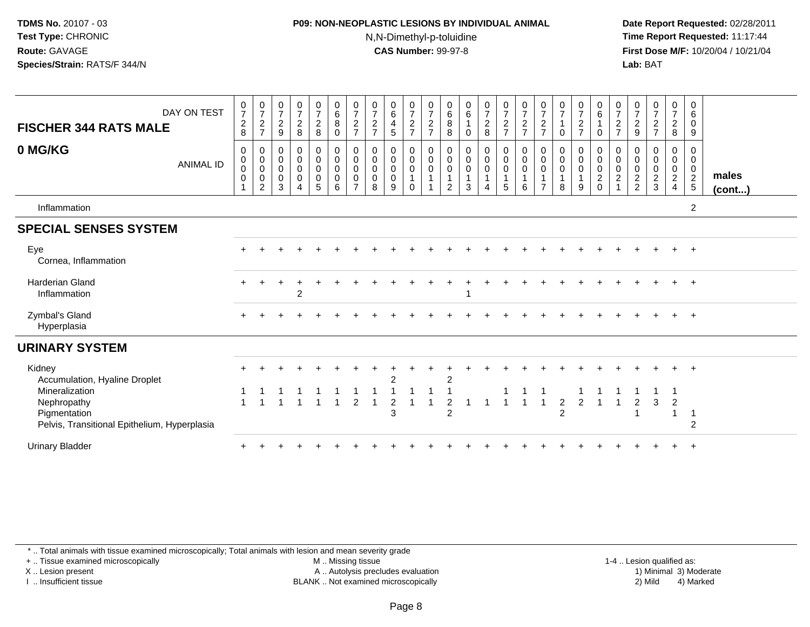### **P09: NON-NEOPLASTIC LESIONS BY INDIVIDUAL ANIMAL**N,N-Dimethyl-p-toluidine

 **Date Report Requested:** 02/28/2011 **Time Report Requested:** 11:17:44 **First Dose M/F:** 10/20/04 / 10/21/04<br>**Lab:** BAT **Lab:** BAT

| DAY ON TEST<br><b>FISCHER 344 RATS MALE</b>                                                   | $\frac{0}{7}$<br>$\overline{c}$<br>8 | $\frac{0}{7}$<br>$\overline{c}$<br>$\overline{7}$                | $\frac{0}{7}$<br>$\sqrt{2}$<br>$9\,$                 | $\begin{array}{c} 0 \\ 7 \end{array}$<br>$\overline{c}$<br>8 | $\frac{0}{7}$<br>$\overline{a}$<br>8                                            | $\begin{matrix}0\\6\\8\end{matrix}$<br>$\mathsf 0$ | $\frac{0}{7}$<br>$\boldsymbol{2}$<br>$\overline{7}$                | $\frac{0}{7}$<br>$\boldsymbol{2}$<br>$\overline{7}$     | $\begin{array}{c} 0 \\ 6 \end{array}$<br>$\overline{4}$<br>$\sqrt{5}$ | $\frac{0}{7}$<br>$\overline{c}$<br>$\overline{7}$ | $\frac{0}{7}$<br>$\overline{c}$<br>$\overline{7}$             | $\begin{array}{c} 0 \\ 6 \end{array}$<br>$\overline{8}$<br>8 | 0<br>$\,6\,$<br>0                                  | $\frac{0}{7}$<br>$\boldsymbol{2}$<br>$\,8\,$           | $\frac{0}{7}$<br>$\overline{c}$<br>$\overline{7}$                 | $\frac{0}{7}$<br>$\overline{c}$<br>$\overline{7}$          | $\frac{0}{7}$<br>$\overline{c}$<br>$\overline{7}$ | $\frac{0}{7}$<br>$\overline{1}$<br>0 | $\frac{0}{7}$<br>$\mathbf 2$<br>$\overline{ }$   | $\begin{matrix} 0 \\ 6 \end{matrix}$<br>$\overline{1}$<br>0                  | $\frac{0}{7}$<br>$\sqrt{2}$<br>$\overline{7}$                   | $\frac{0}{7}$<br>$\sqrt{2}$<br>$\boldsymbol{9}$             | $\frac{0}{7}$<br>$\overline{c}$<br>$\overline{7}$      | $\frac{0}{7}$<br>$\overline{a}$<br>8                      | $_{6}^{\rm 0}$<br>0<br>9                         |                 |
|-----------------------------------------------------------------------------------------------|--------------------------------------|------------------------------------------------------------------|------------------------------------------------------|--------------------------------------------------------------|---------------------------------------------------------------------------------|----------------------------------------------------|--------------------------------------------------------------------|---------------------------------------------------------|-----------------------------------------------------------------------|---------------------------------------------------|---------------------------------------------------------------|--------------------------------------------------------------|----------------------------------------------------|--------------------------------------------------------|-------------------------------------------------------------------|------------------------------------------------------------|---------------------------------------------------|--------------------------------------|--------------------------------------------------|------------------------------------------------------------------------------|-----------------------------------------------------------------|-------------------------------------------------------------|--------------------------------------------------------|-----------------------------------------------------------|--------------------------------------------------|-----------------|
| 0 MG/KG<br><b>ANIMAL ID</b>                                                                   | $\mathbf 0$<br>0<br>0<br>$\pmb{0}$   | $\mathbf 0$<br>$_{\rm 0}^{\rm 0}$<br>$\pmb{0}$<br>$\overline{2}$ | 0<br>$\boldsymbol{0}$<br>$\pmb{0}$<br>$\pmb{0}$<br>3 | 0<br>$\pmb{0}$<br>$\mathbf 0$<br>$\mathbf 0$<br>4            | $\mathbf 0$<br>$\boldsymbol{0}$<br>$\ddot{\mathbf{0}}$<br>$\boldsymbol{0}$<br>5 | 0<br>$\mathbf 0$<br>$\mathbf 0$<br>$\pmb{0}$<br>6  | $\pmb{0}$<br>$\pmb{0}$<br>$\pmb{0}$<br>$\pmb{0}$<br>$\overline{7}$ | $\mathbf 0$<br>$\pmb{0}$<br>$\pmb{0}$<br>$\pmb{0}$<br>8 | 0<br>$\mathbf 0$<br>$\ddot{\mathbf{0}}$<br>$\mathbf 0$<br>9           | 0<br>$\pmb{0}$<br>$\pmb{0}$<br>1<br>$\Omega$      | $\mathbf 0$<br>$\overline{0}$<br>$\mathbf{1}$<br>$\mathbf{1}$ | 0<br>$_0^0$<br>$\mathbf{1}$<br>$\overline{2}$                | 0<br>$\pmb{0}$<br>$\pmb{0}$<br>$\overline{1}$<br>3 | $\mathbf 0$<br>$_{\rm 0}^{\rm 0}$<br>$\mathbf{1}$<br>4 | $\mathbf 0$<br>$\pmb{0}$<br>$\boldsymbol{0}$<br>$\mathbf{1}$<br>5 | $\pmb{0}$<br>$\pmb{0}$<br>$\pmb{0}$<br>$\overline{1}$<br>6 | 0<br>$\mathbf 0$<br>$\mathbf 0$<br>$\overline{7}$ | 0<br>$\pmb{0}$<br>0<br>1<br>8        | 0<br>$\pmb{0}$<br>$\pmb{0}$<br>$\mathbf{1}$<br>9 | $\mathbf{0}$<br>$\mathsf{O}\xspace$<br>$\mathbf 0$<br>$\sqrt{2}$<br>$\Omega$ | 0<br>$\pmb{0}$<br>$\pmb{0}$<br>$\overline{2}$<br>$\overline{A}$ | 0<br>$\pmb{0}$<br>$\pmb{0}$<br>$\sqrt{2}$<br>$\overline{2}$ | 0<br>$\mathbf 0$<br>$\mathbf 0$<br>$\overline{c}$<br>3 | 0<br>$\mathbf 0$<br>0<br>$\overline{2}$<br>$\overline{4}$ | 0<br>$\mathbf 0$<br>$\mathbf 0$<br>$\frac{2}{5}$ | males<br>(cont) |
| Inflammation                                                                                  |                                      |                                                                  |                                                      |                                                              |                                                                                 |                                                    |                                                                    |                                                         |                                                                       |                                                   |                                                               |                                                              |                                                    |                                                        |                                                                   |                                                            |                                                   |                                      |                                                  |                                                                              |                                                                 |                                                             |                                                        |                                                           | $\overline{2}$                                   |                 |
| <b>SPECIAL SENSES SYSTEM</b>                                                                  |                                      |                                                                  |                                                      |                                                              |                                                                                 |                                                    |                                                                    |                                                         |                                                                       |                                                   |                                                               |                                                              |                                                    |                                                        |                                                                   |                                                            |                                                   |                                      |                                                  |                                                                              |                                                                 |                                                             |                                                        |                                                           |                                                  |                 |
| Eye<br>Cornea, Inflammation                                                                   |                                      |                                                                  |                                                      |                                                              |                                                                                 |                                                    |                                                                    |                                                         |                                                                       |                                                   |                                                               |                                                              |                                                    |                                                        |                                                                   |                                                            |                                                   |                                      |                                                  |                                                                              |                                                                 |                                                             |                                                        |                                                           |                                                  |                 |
| <b>Harderian Gland</b><br>Inflammation                                                        | $\div$                               |                                                                  |                                                      | $\overline{2}$                                               |                                                                                 |                                                    |                                                                    |                                                         |                                                                       |                                                   |                                                               |                                                              |                                                    |                                                        |                                                                   |                                                            |                                                   |                                      |                                                  |                                                                              |                                                                 |                                                             |                                                        |                                                           | $+$                                              |                 |
| Zymbal's Gland<br>Hyperplasia                                                                 |                                      |                                                                  |                                                      |                                                              |                                                                                 |                                                    |                                                                    |                                                         |                                                                       |                                                   |                                                               |                                                              |                                                    |                                                        |                                                                   |                                                            |                                                   |                                      |                                                  |                                                                              |                                                                 |                                                             |                                                        |                                                           | $\overline{+}$                                   |                 |
| <b>URINARY SYSTEM</b>                                                                         |                                      |                                                                  |                                                      |                                                              |                                                                                 |                                                    |                                                                    |                                                         |                                                                       |                                                   |                                                               |                                                              |                                                    |                                                        |                                                                   |                                                            |                                                   |                                      |                                                  |                                                                              |                                                                 |                                                             |                                                        |                                                           |                                                  |                 |
| Kidney<br>Accumulation, Hyaline Droplet                                                       |                                      |                                                                  |                                                      |                                                              |                                                                                 |                                                    |                                                                    |                                                         | $\mathcal{P}$                                                         |                                                   |                                                               | $\overline{c}$                                               |                                                    |                                                        |                                                                   |                                                            |                                                   |                                      |                                                  |                                                                              |                                                                 |                                                             |                                                        |                                                           | $\overline{+}$                                   |                 |
| Mineralization<br>Nephropathy<br>Pigmentation<br>Pelvis, Transitional Epithelium, Hyperplasia |                                      |                                                                  |                                                      |                                                              |                                                                                 |                                                    | $\overline{2}$                                                     |                                                         | 2<br>$\mathbf{3}$                                                     |                                                   |                                                               | $\overline{2}$<br>$\overline{c}$                             |                                                    |                                                        |                                                                   |                                                            |                                                   | $\overline{c}$<br>$\overline{c}$     | $\overline{2}$                                   |                                                                              |                                                                 | $\overline{c}$                                              | 3                                                      | $\overline{c}$                                            | $\overline{2}$                                   |                 |
| <b>Urinary Bladder</b>                                                                        |                                      |                                                                  |                                                      |                                                              |                                                                                 |                                                    |                                                                    |                                                         |                                                                       |                                                   |                                                               |                                                              |                                                    |                                                        |                                                                   |                                                            |                                                   |                                      |                                                  |                                                                              |                                                                 |                                                             |                                                        |                                                           |                                                  |                 |

\* .. Total animals with tissue examined microscopically; Total animals with lesion and mean severity grade

+ .. Tissue examined microscopically

X .. Lesion present

I .. Insufficient tissue

 M .. Missing tissueA .. Autolysis precludes evaluation

BLANK .. Not examined microscopically 2) Mild 4) Marked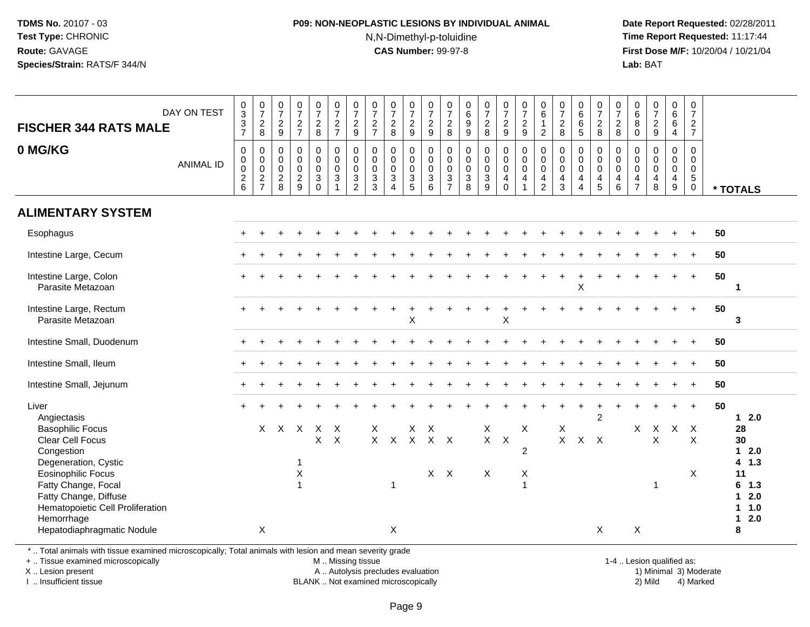#### **P09: NON-NEOPLASTIC LESIONS BY INDIVIDUAL ANIMAL**N,N-Dimethyl-p-toluidine

 **Date Report Requested:** 02/28/2011 **Time Report Requested:** 11:17:44 **First Dose M/F:** 10/20/04 / 10/21/04<br>**Lab:** BAT **Lab:** BAT

| <b>FISCHER 344 RATS MALE</b>                                                                                                                                               | DAY ON TEST      | $_{3}^{\rm 0}$<br>$\frac{3}{7}$                                | 0728                                                         | $\frac{0}{7}$<br>$\frac{2}{9}$                                                 | $\begin{array}{c} 0 \\ 7 \end{array}$<br>$\frac{2}{7}$           | $\frac{0}{7}$<br>$\frac{2}{8}$                                             | $\frac{0}{7}$<br>$\frac{2}{7}$                                                | $\frac{0}{7}$<br>$\frac{2}{9}$                                        | $\begin{array}{c} 0 \\ 7 \end{array}$<br>$\frac{2}{7}$ | $\frac{0}{7}$<br>8                                                     | $\frac{0}{7}$<br>$\overline{c}$<br>9      | $\begin{array}{c} 0 \\ 7 \end{array}$<br>$\frac{2}{9}$    | $\frac{0}{7}$<br>$_{\rm 2}^2$                | $\begin{array}{c} 0 \\ 6 \end{array}$<br>$^9_9$                                     | $\begin{array}{c} 0 \\ 7 \end{array}$<br>$\frac{2}{8}$          | $\frac{0}{7}$<br>$\frac{2}{9}$                                                                | $\frac{0}{7}$<br>$\overline{2}$<br>9               | $_6^0$<br>$\mathbf{1}$<br>$\overline{2}$                               | $\frac{0}{7}$<br>$\sqrt{2}$<br>8                   | $\begin{array}{c} 0 \\ 6 \end{array}$<br>$\,6\,$<br>$\sqrt{5}$           | $\frac{0}{7}$<br>$\sqrt{2}$<br>$\,8\,$    | $\frac{0}{7}$<br>$\sqrt{2}$<br>8                                            | 0<br>$\overline{6}$<br>8<br>$\mathsf{O}\xspace$           | $\begin{smallmatrix}0\\7\end{smallmatrix}$<br>$\frac{2}{9}$ | $_{6}^{\rm 0}$<br>$\,6\,$<br>$\overline{4}$                               | $\mathbf 0$<br>$\overline{7}$<br>$\frac{2}{7}$                         |    |                                                                                        |
|----------------------------------------------------------------------------------------------------------------------------------------------------------------------------|------------------|----------------------------------------------------------------|--------------------------------------------------------------|--------------------------------------------------------------------------------|------------------------------------------------------------------|----------------------------------------------------------------------------|-------------------------------------------------------------------------------|-----------------------------------------------------------------------|--------------------------------------------------------|------------------------------------------------------------------------|-------------------------------------------|-----------------------------------------------------------|----------------------------------------------|-------------------------------------------------------------------------------------|-----------------------------------------------------------------|-----------------------------------------------------------------------------------------------|----------------------------------------------------|------------------------------------------------------------------------|----------------------------------------------------|--------------------------------------------------------------------------|-------------------------------------------|-----------------------------------------------------------------------------|-----------------------------------------------------------|-------------------------------------------------------------|---------------------------------------------------------------------------|------------------------------------------------------------------------|----|----------------------------------------------------------------------------------------|
| 0 MG/KG                                                                                                                                                                    | <b>ANIMAL ID</b> | 0<br>$\mathbf 0$<br>0<br>$\begin{array}{c} 2 \\ 6 \end{array}$ | $\pmb{0}$<br>$\begin{array}{c} 0 \\ 0 \\ 2 \\ 7 \end{array}$ | $\boldsymbol{0}$<br>$\mathbf 0$<br>$\mathbf 0$<br>$\overline{\mathbf{c}}$<br>8 | $\mathbf 0$<br>$\mathbf 0$<br>$\mathbf 0$<br>$\overline{2}$<br>9 | $\mathbf 0$<br>$\mathsf{O}\xspace$<br>$\ddot{\mathbf{0}}$<br>3<br>$\Omega$ | $\pmb{0}$<br>$\pmb{0}$<br>$\ddot{\mathbf{0}}$<br>$\mathbf{3}$<br>$\mathbf{1}$ | $\mathbf 0$<br>$\ddot{\mathbf{0}}$<br>$\overline{0}$<br>$\frac{3}{2}$ | $\mathbf 0$<br>$\mathbf 0$<br>$\mathbf 0$<br>3<br>3    | $\pmb{0}$<br>$\pmb{0}$<br>$\mathbf 0$<br>$\mathbf 3$<br>$\overline{4}$ | 0<br>$\mathbf 0$<br>$\mathbf 0$<br>3<br>5 | $\mathbf 0$<br>$\overline{0}$<br>0<br>$\overline{3}$<br>6 | $\pmb{0}$<br>$\overline{0}$<br>$\frac{3}{7}$ | $\mathbf 0$<br>$\mathsf 0$<br>$\ddot{\mathbf{0}}$<br>$\ensuremath{\mathsf{3}}$<br>8 | $\mathbf 0$<br>$\mathbf 0$<br>$\overline{0}$<br>$\sqrt{3}$<br>9 | $\mathbf 0$<br>$\mathsf{O}\xspace$<br>$\overline{0}$<br>$\begin{array}{c} 4 \\ 0 \end{array}$ | $\mathbf 0$<br>$\overline{0}$<br>4<br>$\mathbf{1}$ | $\mathbf 0$<br>$\pmb{0}$<br>$\ddot{\mathbf{0}}$<br>4<br>$\overline{2}$ | 0<br>$\pmb{0}$<br>$\pmb{0}$<br>$\overline{4}$<br>3 | $\pmb{0}$<br>$\overline{0}$<br>$\overline{\mathbf{4}}$<br>$\overline{4}$ | 0<br>$\mathbf 0$<br>$\mathbf 0$<br>4<br>5 | $\boldsymbol{0}$<br>$\overline{0}$<br>$\begin{array}{c} 4 \\ 6 \end{array}$ | 0<br>0<br>$\mathbf 0$<br>$\overline{4}$<br>$\overline{7}$ | $\pmb{0}$<br>$\pmb{0}$<br>$\mathbf 0$<br>4<br>8             | $\pmb{0}$<br>$\pmb{0}$<br>$\pmb{0}$<br>$\overline{4}$<br>$\boldsymbol{9}$ | $\mathsf 0$<br>$\mathbf 0$<br>$\mathbf 0$<br>$\sqrt{5}$<br>$\mathbf 0$ |    | * TOTALS                                                                               |
| <b>ALIMENTARY SYSTEM</b>                                                                                                                                                   |                  |                                                                |                                                              |                                                                                |                                                                  |                                                                            |                                                                               |                                                                       |                                                        |                                                                        |                                           |                                                           |                                              |                                                                                     |                                                                 |                                                                                               |                                                    |                                                                        |                                                    |                                                                          |                                           |                                                                             |                                                           |                                                             |                                                                           |                                                                        |    |                                                                                        |
| Esophagus                                                                                                                                                                  |                  |                                                                |                                                              |                                                                                |                                                                  |                                                                            |                                                                               |                                                                       |                                                        |                                                                        |                                           |                                                           |                                              |                                                                                     |                                                                 |                                                                                               |                                                    |                                                                        |                                                    |                                                                          |                                           |                                                                             |                                                           |                                                             |                                                                           |                                                                        | 50 |                                                                                        |
| Intestine Large, Cecum                                                                                                                                                     |                  |                                                                |                                                              |                                                                                |                                                                  |                                                                            |                                                                               |                                                                       |                                                        |                                                                        |                                           |                                                           |                                              |                                                                                     |                                                                 |                                                                                               |                                                    |                                                                        |                                                    |                                                                          |                                           |                                                                             |                                                           |                                                             |                                                                           | $\overline{+}$                                                         | 50 |                                                                                        |
| Intestine Large, Colon<br>Parasite Metazoan                                                                                                                                |                  |                                                                |                                                              |                                                                                |                                                                  |                                                                            |                                                                               |                                                                       |                                                        |                                                                        |                                           |                                                           |                                              |                                                                                     |                                                                 |                                                                                               |                                                    |                                                                        |                                                    | X                                                                        |                                           |                                                                             |                                                           |                                                             |                                                                           |                                                                        | 50 | -1                                                                                     |
| Intestine Large, Rectum<br>Parasite Metazoan                                                                                                                               |                  |                                                                |                                                              |                                                                                |                                                                  |                                                                            |                                                                               |                                                                       |                                                        |                                                                        | X                                         |                                                           |                                              |                                                                                     |                                                                 | X                                                                                             |                                                    |                                                                        |                                                    |                                                                          |                                           |                                                                             |                                                           |                                                             |                                                                           | $\ddot{}$                                                              | 50 | 3                                                                                      |
| Intestine Small, Duodenum                                                                                                                                                  |                  |                                                                |                                                              |                                                                                |                                                                  |                                                                            |                                                                               |                                                                       |                                                        |                                                                        |                                           |                                                           |                                              |                                                                                     |                                                                 |                                                                                               |                                                    |                                                                        |                                                    |                                                                          |                                           |                                                                             |                                                           |                                                             |                                                                           | $\ddot{+}$                                                             | 50 |                                                                                        |
| Intestine Small, Ileum                                                                                                                                                     |                  |                                                                |                                                              |                                                                                |                                                                  |                                                                            |                                                                               |                                                                       |                                                        |                                                                        |                                           |                                                           |                                              |                                                                                     |                                                                 |                                                                                               |                                                    |                                                                        |                                                    |                                                                          |                                           |                                                                             |                                                           |                                                             | $\div$                                                                    | $+$                                                                    | 50 |                                                                                        |
| Intestine Small, Jejunum                                                                                                                                                   |                  |                                                                |                                                              |                                                                                |                                                                  |                                                                            |                                                                               |                                                                       |                                                        |                                                                        |                                           |                                                           |                                              |                                                                                     |                                                                 |                                                                                               |                                                    |                                                                        |                                                    |                                                                          |                                           |                                                                             |                                                           |                                                             |                                                                           | $\ddot{}$                                                              | 50 |                                                                                        |
| Liver<br>Angiectasis<br><b>Basophilic Focus</b><br>Clear Cell Focus<br>Congestion                                                                                          |                  |                                                                | $\mathsf{X}$                                                 |                                                                                | $X \times X$                                                     | $\mathsf{X}$<br>X                                                          | $\times$<br>$\pmb{\times}$                                                    |                                                                       | X<br>$\mathsf{X}$                                      | $\mathsf{X}$                                                           | X.<br>$\mathsf{X}$                        | $\mathsf{X}$<br>$X$ $X$                                   |                                              |                                                                                     | Χ<br>$\mathsf{X}$                                               | $\boldsymbol{\mathsf{X}}$                                                                     | X<br>$\overline{2}$                                |                                                                        | X<br>$\mathsf{X}$                                  |                                                                          | $\ddot{}$<br>$\overline{2}$<br>$X$ $X$    |                                                                             | X                                                         | $\boldsymbol{\mathsf{X}}$<br>$\times$                       | $\mathsf{X}$                                                              | $+$<br>$\mathsf{X}$<br>$\times$                                        | 50 | $12.0$<br>28<br>30<br>$\mathbf 1$<br>2.0                                               |
| Degeneration, Cystic<br>Eosinophilic Focus<br>Fatty Change, Focal<br>Fatty Change, Diffuse<br>Hematopoietic Cell Proliferation<br>Hemorrhage<br>Hepatodiaphragmatic Nodule |                  |                                                                | $\times$                                                     |                                                                                | -1<br>X                                                          |                                                                            |                                                                               |                                                                       |                                                        | 1<br>$\pmb{\times}$                                                    |                                           |                                                           | $X$ $X$                                      |                                                                                     | X                                                               |                                                                                               | X<br>1                                             |                                                                        |                                                    |                                                                          | X                                         |                                                                             | $\boldsymbol{\mathsf{X}}$                                 | 1                                                           |                                                                           | X                                                                      |    | 4 1.3<br>11<br>6<br>1.3<br>2.0<br>1<br>1.0<br>$\mathbf{1}$<br>2.0<br>$\mathbf{1}$<br>8 |
|                                                                                                                                                                            |                  |                                                                |                                                              |                                                                                |                                                                  |                                                                            |                                                                               |                                                                       |                                                        |                                                                        |                                           |                                                           |                                              |                                                                                     |                                                                 |                                                                                               |                                                    |                                                                        |                                                    |                                                                          |                                           |                                                                             |                                                           |                                                             |                                                                           |                                                                        |    |                                                                                        |

\* .. Total animals with tissue examined microscopically; Total animals with lesion and mean severity grade

+ .. Tissue examined microscopically

X .. Lesion present

I .. Insufficient tissue

M .. Missing tissue

A .. Autolysis precludes evaluation

BLANK .. Not examined microscopically 2) Mild 4) Marked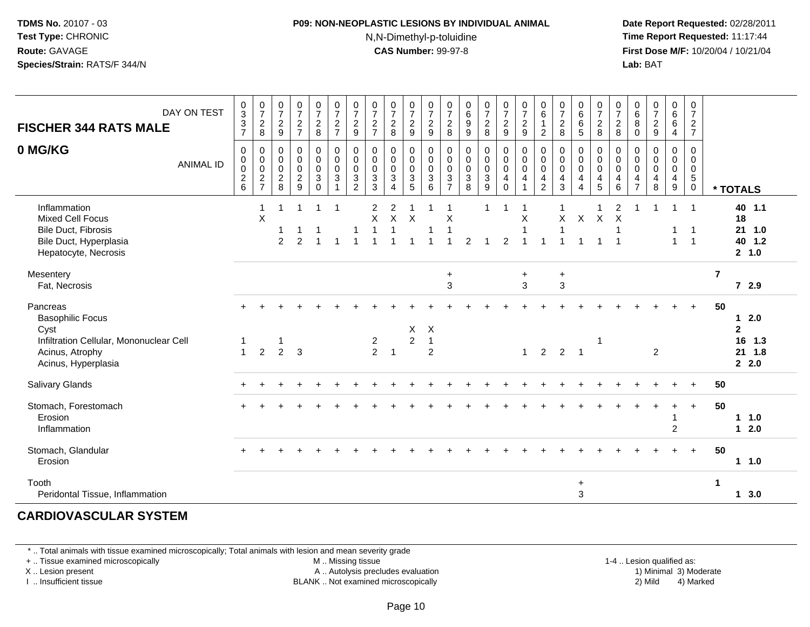#### **P09: NON-NEOPLASTIC LESIONS BY INDIVIDUAL ANIMAL**N,N-Dimethyl-p-toluidine

 **Date Report Requested:** 02/28/2011 **Time Report Requested:** 11:17:44 **First Dose M/F:** 10/20/04 / 10/21/04<br>**Lab:** BAT **Lab:** BAT

| DAY ON TEST<br><b>FISCHER 344 RATS MALE</b><br>0 MG/KG<br><b>ANIMAL ID</b>                                                       | $\begin{smallmatrix}0\3\3\end{smallmatrix}$<br>$\overline{7}$<br>$\mathsf 0$<br>0<br>0<br>$\frac{2}{6}$ | $\frac{0}{7}$<br>$\frac{2}{8}$<br>$\pmb{0}$<br>$\pmb{0}$<br>$\mathbf 0$<br>$\frac{2}{7}$ | $\frac{0}{7}$<br>$\frac{2}{9}$<br>$\pmb{0}$<br>$\boldsymbol{0}$<br>$\boldsymbol{0}$<br>$\begin{array}{c} 2 \\ 8 \end{array}$ | $\frac{0}{7}$<br>$\frac{2}{7}$<br>$\pmb{0}$<br>$\pmb{0}$<br>$\pmb{0}$<br>$\frac{2}{9}$ | $\frac{0}{7}$<br>$\boldsymbol{2}$<br>$\bf 8$<br>0<br>0<br>$\pmb{0}$<br>3<br>$\Omega$ | $072$<br>$72$<br>$\pmb{0}$<br>$\pmb{0}$<br>$_{3}^{\rm 0}$<br>$\overline{1}$ | $\frac{0}{7}$<br>$\frac{2}{9}$<br>$\mathbf 0$<br>$\mathbf 0$<br>$\mathbf 0$<br>$\ensuremath{\mathsf{3}}$<br>$\overline{2}$ | 0<br>$\overline{7}$<br>$\overline{c}$<br>$\overline{7}$<br>0<br>0<br>0<br>3<br>3 | $\frac{0}{7}$<br>$\sqrt{2}$<br>8<br>$\boldsymbol{0}$<br>$\mathbf 0$<br>$\boldsymbol{0}$<br>$\mathbf{3}$<br>$\overline{\mathbf{A}}$ | $\frac{0}{7}$<br>$\boldsymbol{2}$<br>9<br>0<br>0<br>0<br>$\sqrt{3}$<br>$\sqrt{5}$ | $\frac{0}{7}$<br>$\sqrt{2}$<br>$\boldsymbol{9}$<br>$\mathbf 0$<br>0<br>$\pmb{0}$<br>$\sqrt{3}$<br>6 | $\frac{0}{7}$<br>$\overline{c}$<br>8<br>0<br>0<br>0<br>$\ensuremath{\mathsf{3}}$<br>$\overline{7}$ | 0<br>$^6_9$<br>$\boldsymbol{9}$<br>$\pmb{0}$<br>$\pmb{0}$<br>$\mathsf 0$<br>$\begin{array}{c} 3 \\ 8 \end{array}$ | $\frac{0}{7}$<br>$\frac{2}{8}$<br>$\pmb{0}$<br>$\ddot{\mathbf{0}}$<br>$\pmb{0}$<br>$\frac{3}{9}$ | $\begin{array}{c} 0 \\ 7 \end{array}$<br>$rac{2}{9}$<br>$\mathbf 0$<br>$\mathbf 0$<br>$\pmb{0}$<br>$\overline{\mathbf{4}}$<br>$\mathbf 0$ | $\begin{array}{c} 0 \\ 7 \\ 2 \end{array}$<br>$\boldsymbol{9}$<br>$\pmb{0}$<br>$\overline{0}$<br>$\mathbf 0$<br>$\overline{\mathbf{4}}$<br>$\overline{1}$ | 0<br>6<br>$\boldsymbol{2}$<br>0<br>$\mathbf 0$<br>$\mathbf 0$<br>4<br>2 | $\frac{0}{7}$<br>$\frac{2}{8}$<br>$\mathbf 0$<br>$\mathbf 0$<br>$\mathbf 0$<br>$\overline{\mathbf{4}}$<br>3 | $\pmb{0}$<br>$^6_6$<br>$\sqrt{5}$<br>0<br>$\pmb{0}$<br>$\pmb{0}$<br>$\overline{4}$<br>$\overline{A}$ | $\pmb{0}$<br>$\overline{7}$<br>$_{8}^{\rm 2}$<br>0<br>0<br>0<br>4<br>$5\phantom{.0}$ | $\pmb{0}$<br>$\overline{7}$<br>$\frac{2}{8}$<br>0<br>$\mathsf{O}\xspace$<br>$\mathbf 0$<br>$\overline{\mathbf{4}}$<br>$6\phantom{a}$ | $\mathbf 0$<br>6<br>$\, 8$<br>$\pmb{0}$<br>$\mathbf 0$<br>$\mathbf 0$<br>$\mathbf 0$<br>$\overline{4}$<br>$\overline{7}$ | $\begin{array}{c} 0 \\ 7 \end{array}$<br>$\frac{2}{9}$<br>$\mathbf 0$<br>$\mathbf 0$<br>$\mathbf 0$<br>$\overline{\mathbf{4}}$<br>8 | $\begin{matrix} 0\ 6\ 6 \end{matrix}$<br>$\overline{4}$<br>0<br>0<br>$\boldsymbol{0}$<br>$\overline{4}$<br>9 | $\pmb{0}$<br>$\overline{7}$<br>$\overline{a}$<br>$\overline{7}$<br>$\mathsf{O}$<br>$\mathbf 0$<br>0<br>$\sqrt{5}$<br>0 |                | * TOTALS                                                |
|----------------------------------------------------------------------------------------------------------------------------------|---------------------------------------------------------------------------------------------------------|------------------------------------------------------------------------------------------|------------------------------------------------------------------------------------------------------------------------------|----------------------------------------------------------------------------------------|--------------------------------------------------------------------------------------|-----------------------------------------------------------------------------|----------------------------------------------------------------------------------------------------------------------------|----------------------------------------------------------------------------------|------------------------------------------------------------------------------------------------------------------------------------|-----------------------------------------------------------------------------------|-----------------------------------------------------------------------------------------------------|----------------------------------------------------------------------------------------------------|-------------------------------------------------------------------------------------------------------------------|--------------------------------------------------------------------------------------------------|-------------------------------------------------------------------------------------------------------------------------------------------|-----------------------------------------------------------------------------------------------------------------------------------------------------------|-------------------------------------------------------------------------|-------------------------------------------------------------------------------------------------------------|------------------------------------------------------------------------------------------------------|--------------------------------------------------------------------------------------|--------------------------------------------------------------------------------------------------------------------------------------|--------------------------------------------------------------------------------------------------------------------------|-------------------------------------------------------------------------------------------------------------------------------------|--------------------------------------------------------------------------------------------------------------|------------------------------------------------------------------------------------------------------------------------|----------------|---------------------------------------------------------|
| Inflammation<br><b>Mixed Cell Focus</b><br><b>Bile Duct, Fibrosis</b><br>Bile Duct, Hyperplasia<br>Hepatocyte, Necrosis          |                                                                                                         | $\mathbf 1$<br>X                                                                         | 1<br>1<br>2                                                                                                                  | -1<br>-1<br>$\mathfrak{p}$                                                             | 1                                                                                    | -1                                                                          |                                                                                                                            | $\overline{2}$<br>$\mathsf X$                                                    | $\overline{2}$<br>$\mathsf{X}$                                                                                                     | $\boldsymbol{\mathsf{X}}$<br>1                                                    |                                                                                                     | -1<br>Χ<br>$\overline{1}$                                                                          | 2                                                                                                                 | 1                                                                                                | -1<br>$\overline{c}$                                                                                                                      | -1<br>X                                                                                                                                                   |                                                                         | X                                                                                                           |                                                                                                      | $X$ $X$ $X$                                                                          | $\overline{2}$<br>$\overline{\mathbf{1}}$                                                                                            | $\overline{1}$                                                                                                           | -1                                                                                                                                  | $\mathbf{1}$<br>1<br>$\mathbf{1}$                                                                            | $\overline{1}$<br>$\overline{1}$                                                                                       |                | 40 1.1<br>18<br>$21$ 1.0<br>40 1.2<br>2, 1.0            |
| Mesentery<br>Fat, Necrosis                                                                                                       |                                                                                                         |                                                                                          |                                                                                                                              |                                                                                        |                                                                                      |                                                                             |                                                                                                                            |                                                                                  |                                                                                                                                    |                                                                                   |                                                                                                     | $\ddot{}$<br>3                                                                                     |                                                                                                                   |                                                                                                  |                                                                                                                                           | $\ddot{}$<br>3                                                                                                                                            |                                                                         | $\ddot{}$<br>3                                                                                              |                                                                                                      |                                                                                      |                                                                                                                                      |                                                                                                                          |                                                                                                                                     |                                                                                                              |                                                                                                                        | $\overline{7}$ | 7 2.9                                                   |
| Pancreas<br><b>Basophilic Focus</b><br>Cyst<br>Infiltration Cellular, Mononuclear Cell<br>Acinus, Atrophy<br>Acinus, Hyperplasia | $\overline{4}$                                                                                          | 2                                                                                        | $\overline{2}$                                                                                                               | 3                                                                                      |                                                                                      |                                                                             |                                                                                                                            | $\mathbf{2}$<br>$\overline{2}$                                                   | -1                                                                                                                                 | X<br>$\overline{c}$                                                               | X<br>$\overline{2}$                                                                                 |                                                                                                    |                                                                                                                   |                                                                                                  |                                                                                                                                           | $\mathbf{1}$                                                                                                                                              | $\overline{2}$                                                          | $\overline{2}$                                                                                              | $\overline{\mathbf{1}}$                                                                              |                                                                                      |                                                                                                                                      |                                                                                                                          | $\overline{c}$                                                                                                                      |                                                                                                              | $+$                                                                                                                    | 50             | 12.0<br>$\mathbf{2}$<br>16<br>$1.3$<br>1.8<br>21<br>2.0 |
| <b>Salivary Glands</b>                                                                                                           |                                                                                                         |                                                                                          |                                                                                                                              |                                                                                        |                                                                                      |                                                                             |                                                                                                                            |                                                                                  |                                                                                                                                    |                                                                                   |                                                                                                     |                                                                                                    |                                                                                                                   |                                                                                                  |                                                                                                                                           |                                                                                                                                                           |                                                                         |                                                                                                             |                                                                                                      |                                                                                      |                                                                                                                                      |                                                                                                                          |                                                                                                                                     |                                                                                                              | $+$                                                                                                                    | 50             |                                                         |
| Stomach, Forestomach<br>Erosion<br>Inflammation                                                                                  |                                                                                                         |                                                                                          |                                                                                                                              |                                                                                        |                                                                                      |                                                                             |                                                                                                                            |                                                                                  |                                                                                                                                    |                                                                                   |                                                                                                     |                                                                                                    |                                                                                                                   |                                                                                                  |                                                                                                                                           |                                                                                                                                                           |                                                                         |                                                                                                             |                                                                                                      |                                                                                      |                                                                                                                                      |                                                                                                                          |                                                                                                                                     | $\overline{2}$                                                                                               | $+$                                                                                                                    | 50             | 1 1.0<br>$12.0$                                         |
| Stomach, Glandular<br>Erosion                                                                                                    |                                                                                                         |                                                                                          |                                                                                                                              |                                                                                        |                                                                                      |                                                                             |                                                                                                                            |                                                                                  |                                                                                                                                    |                                                                                   |                                                                                                     |                                                                                                    |                                                                                                                   |                                                                                                  |                                                                                                                                           |                                                                                                                                                           |                                                                         |                                                                                                             |                                                                                                      |                                                                                      |                                                                                                                                      |                                                                                                                          |                                                                                                                                     |                                                                                                              | $+$                                                                                                                    | 50             | 11.0                                                    |
| Tooth<br>Peridontal Tissue, Inflammation                                                                                         |                                                                                                         |                                                                                          |                                                                                                                              |                                                                                        |                                                                                      |                                                                             |                                                                                                                            |                                                                                  |                                                                                                                                    |                                                                                   |                                                                                                     |                                                                                                    |                                                                                                                   |                                                                                                  |                                                                                                                                           |                                                                                                                                                           |                                                                         |                                                                                                             | $\ddot{}$<br>3                                                                                       |                                                                                      |                                                                                                                                      |                                                                                                                          |                                                                                                                                     |                                                                                                              |                                                                                                                        | -1             | 13.0                                                    |

#### **CARDIOVASCULAR SYSTEM**

\* .. Total animals with tissue examined microscopically; Total animals with lesion and mean severity grade

+ .. Tissue examined microscopically

X .. Lesion present

I .. Insufficient tissue

 M .. Missing tissueA .. Autolysis precludes evaluation

BLANK .. Not examined microscopically 2) Mild 4) Marked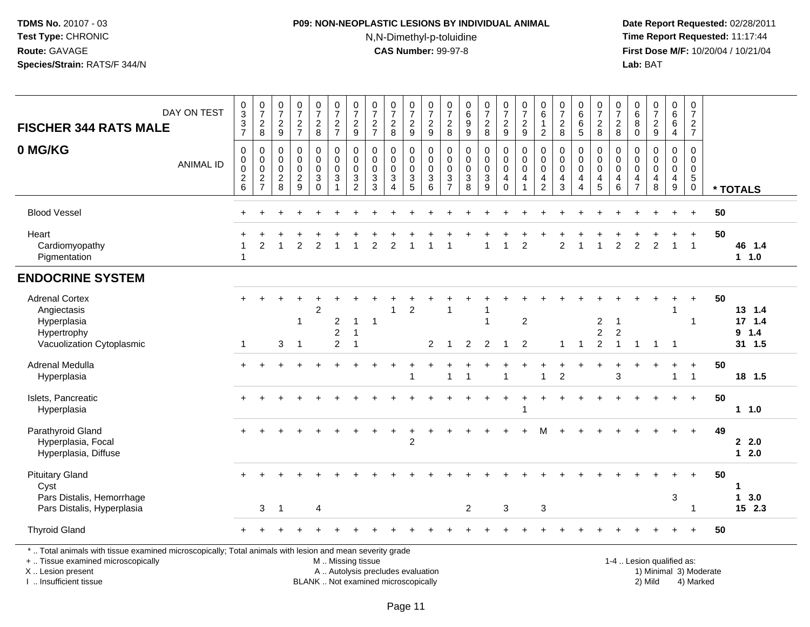## **P09: NON-NEOPLASTIC LESIONS BY INDIVIDUAL ANIMAL**N,N-Dimethyl-p-toluidine

 **Date Report Requested:** 02/28/2011 **Time Report Requested:** 11:17:44 **First Dose M/F:** 10/20/04 / 10/21/04<br>**Lab:** BAT **Lab:** BAT

| <b>FISCHER 344 RATS MALE</b>                                                                                                                                                                  | DAY ON TEST      | $_{3}^{\rm 0}$<br>$\frac{3}{7}$                      | $\frac{0}{7}$<br>$\sqrt{2}$<br>8                           | $\frac{0}{7}$<br>$\overline{c}$<br>$9\,$                         | $\begin{matrix}0\\7\end{matrix}$<br>$\sqrt{2}$<br>$\overline{7}$ | $\frac{0}{7}$<br>$_{\rm 8}^2$                              | $\begin{array}{c} 0 \\ 7 \end{array}$<br>$\frac{2}{7}$          | $\frac{0}{7}$<br>$\overline{c}$<br>$9\,$                                                         | $\begin{array}{c} 0 \\ 7 \end{array}$<br>$\sqrt{2}$<br>$\overline{7}$    | $\frac{0}{7}$<br>$\overline{c}$<br>8                                                     | $\frac{0}{7}$<br>$\sqrt{2}$<br>$\boldsymbol{9}$ | $\frac{0}{7}$<br>$\sqrt{2}$<br>$\boldsymbol{9}$                           | $\frac{0}{7}$<br>$\overline{c}$<br>8                   | 0<br>$\,6$<br>$\boldsymbol{9}$<br>$\boldsymbol{9}$                | $\begin{array}{c} 0 \\ 7 \end{array}$<br>$\frac{2}{8}$       | $\begin{array}{c} 0 \\ 7 \end{array}$<br>$\boldsymbol{2}$<br>$\boldsymbol{9}$ | $\frac{0}{7}$<br>$\overline{c}$<br>$9\,$                                    | 0<br>$\overline{6}$<br>$\mathbf{1}$<br>$\overline{c}$ | $\frac{0}{7}$<br>$\sqrt{2}$<br>$\,8\,$           | $\begin{array}{c} 0 \\ 6 \end{array}$<br>$\,6\,$<br>5                                 | $\mathbf 0$<br>$\overline{7}$<br>$_{\rm 8}^2$          | $\frac{0}{7}$<br>$\boldsymbol{2}$<br>8                           | 0<br>6<br>$\bf 8$<br>$\boldsymbol{0}$               | $\begin{array}{c} 0 \\ 7 \end{array}$<br>$\sqrt{2}$<br>$\boldsymbol{9}$ | $_{6}^{\rm 0}$<br>6<br>$\overline{4}$               | $\begin{array}{c} 0 \\ 7 \end{array}$<br>$\sqrt{2}$<br>$\overline{7}$    |                        |                                      |
|-----------------------------------------------------------------------------------------------------------------------------------------------------------------------------------------------|------------------|------------------------------------------------------|------------------------------------------------------------|------------------------------------------------------------------|------------------------------------------------------------------|------------------------------------------------------------|-----------------------------------------------------------------|--------------------------------------------------------------------------------------------------|--------------------------------------------------------------------------|------------------------------------------------------------------------------------------|-------------------------------------------------|---------------------------------------------------------------------------|--------------------------------------------------------|-------------------------------------------------------------------|--------------------------------------------------------------|-------------------------------------------------------------------------------|-----------------------------------------------------------------------------|-------------------------------------------------------|--------------------------------------------------|---------------------------------------------------------------------------------------|--------------------------------------------------------|------------------------------------------------------------------|-----------------------------------------------------|-------------------------------------------------------------------------|-----------------------------------------------------|--------------------------------------------------------------------------|------------------------|--------------------------------------|
| 0 MG/KG                                                                                                                                                                                       | <b>ANIMAL ID</b> | 0<br>0<br>0<br>$\begin{array}{c} 2 \\ 6 \end{array}$ | $\mathbf 0$<br>$\mathbf 0$<br>$\mathbf 0$<br>$\frac{2}{7}$ | $\mathbf 0$<br>$\mathbf 0$<br>$\mathbf 0$<br>$\overline{c}$<br>8 | $\mathbf 0$<br>$\mathbf 0$<br>$\Omega$<br>$\mathbf 2$<br>9       | $\mathbf 0$<br>$\mathbf 0$<br>$\mathbf 0$<br>3<br>$\Omega$ | $\mathbf 0$<br>$\mathbf 0$<br>0<br>$\mathbf{3}$<br>$\mathbf{1}$ | $\mathbf 0$<br>$\mathsf{O}\xspace$<br>$\mathbf 0$<br>$\ensuremath{\mathsf{3}}$<br>$\overline{2}$ | $\mathbf 0$<br>$\mathbf 0$<br>$\mathbf 0$<br>$\frac{3}{3}$               | $\mathbf 0$<br>$\mathbf 0$<br>$\mathbf 0$<br>$\ensuremath{\mathsf{3}}$<br>$\overline{4}$ | 0<br>0<br>$\mathbf 0$<br>3<br>5                 | 0<br>$\mathsf{O}\xspace$<br>$\mathbf 0$<br>$\ensuremath{\mathsf{3}}$<br>6 | $\mathbf 0$<br>0<br>$\mathbf 0$<br>3<br>$\overline{7}$ | $\mathbf 0$<br>0<br>$\mathbf 0$<br>$\ensuremath{\mathsf{3}}$<br>8 | $\mathbf 0$<br>$\mathbf 0$<br>$\mathbf 0$<br>$\sqrt{3}$<br>9 | 0<br>$\mathsf{O}$<br>$\mathbf 0$<br>4<br>$\Omega$                             | $\mathbf 0$<br>$\pmb{0}$<br>$\mathbf 0$<br>$\overline{4}$<br>$\overline{1}$ | 0<br>0<br>$\mathbf 0$<br>4<br>$\overline{2}$          | $\Omega$<br>$\mathbf 0$<br>$\mathbf 0$<br>4<br>3 | $\mathbf 0$<br>$\mathbf 0$<br>$\mathbf 0$<br>$\overline{4}$<br>$\boldsymbol{\Lambda}$ | 0<br>$\mathbf 0$<br>$\mathbf 0$<br>$\overline{4}$<br>5 | $\mathbf 0$<br>$\mathbf 0$<br>$\mathbf 0$<br>$\overline{4}$<br>6 | 0<br>$\mathbf 0$<br>$\Omega$<br>4<br>$\overline{7}$ | $\Omega$<br>$\mathbf 0$<br>$\Omega$<br>4<br>8                           | $\mathbf 0$<br>$\mathbf 0$<br>$\mathbf 0$<br>4<br>9 | $\mathbf 0$<br>$\mathsf 0$<br>$\mathbf 0$<br>$\overline{5}$<br>$\pmb{0}$ |                        | * TOTALS                             |
| <b>Blood Vessel</b>                                                                                                                                                                           |                  |                                                      |                                                            |                                                                  |                                                                  |                                                            |                                                                 |                                                                                                  |                                                                          |                                                                                          |                                                 |                                                                           |                                                        |                                                                   |                                                              |                                                                               |                                                                             |                                                       |                                                  |                                                                                       |                                                        |                                                                  |                                                     |                                                                         |                                                     | $\ddot{}$                                                                | 50                     |                                      |
| Heart<br>Cardiomyopathy<br>Pigmentation                                                                                                                                                       |                  |                                                      | 2                                                          |                                                                  |                                                                  | $\overline{2}$                                             |                                                                 |                                                                                                  | $\overline{c}$                                                           | 2                                                                                        |                                                 |                                                                           |                                                        |                                                                   |                                                              |                                                                               | $\overline{2}$                                                              |                                                       | $\overline{c}$                                   |                                                                                       |                                                        | $\overline{2}$                                                   | $\overline{2}$                                      | 2                                                                       | $\mathbf{1}$                                        | $\ddot{}$<br>$\overline{1}$                                              | 50                     | 46 1.4<br>$1 1.0$                    |
| <b>ENDOCRINE SYSTEM</b>                                                                                                                                                                       |                  |                                                      |                                                            |                                                                  |                                                                  |                                                            |                                                                 |                                                                                                  |                                                                          |                                                                                          |                                                 |                                                                           |                                                        |                                                                   |                                                              |                                                                               |                                                                             |                                                       |                                                  |                                                                                       |                                                        |                                                                  |                                                     |                                                                         |                                                     |                                                                          |                        |                                      |
| <b>Adrenal Cortex</b><br>Angiectasis<br>Hyperplasia<br>Hypertrophy<br>Vacuolization Cytoplasmic                                                                                               |                  | $\mathbf{1}$                                         |                                                            | 3                                                                | -1<br>$\overline{1}$                                             | $\overline{2}$                                             | $\overline{c}$<br>$\overline{\mathbf{c}}$<br>$\overline{2}$     | $\overline{1}$<br>-1                                                                             | -1                                                                       | 1                                                                                        | $\overline{2}$                                  | 2                                                                         | $\overline{1}$<br>$\mathbf 1$                          | 2                                                                 | $\overline{1}$<br>$\overline{2}$                             | $\overline{1}$                                                                | $\overline{2}$<br>$\overline{2}$                                            |                                                       | 1                                                | $\overline{1}$                                                                        | $\overline{c}$<br>2<br>$\overline{c}$                  | -1<br>$\overline{2}$<br>$\overline{1}$                           | $\mathbf{1}$                                        | -1                                                                      | -1                                                  | $\ddot{}$<br>-1                                                          | 50                     | 13 1.4<br>17, 1.4<br>9 1.4<br>31 1.5 |
| Adrenal Medulla<br>Hyperplasia                                                                                                                                                                |                  | $\ddot{}$                                            |                                                            |                                                                  |                                                                  |                                                            |                                                                 |                                                                                                  |                                                                          | $\ddot{}$                                                                                | $\ddot{}$                                       |                                                                           |                                                        |                                                                   |                                                              |                                                                               |                                                                             |                                                       | $\overline{2}$                                   | $\div$                                                                                | $\ddot{}$                                              | 3                                                                |                                                     |                                                                         | $\ddot{}$<br>$\mathbf{1}$                           | $\ddot{}$<br>$\mathbf{1}$                                                | 50                     | 18 1.5                               |
| Islets, Pancreatic<br>Hyperplasia                                                                                                                                                             |                  |                                                      |                                                            |                                                                  |                                                                  |                                                            |                                                                 |                                                                                                  |                                                                          |                                                                                          |                                                 |                                                                           |                                                        |                                                                   |                                                              |                                                                               | -1                                                                          |                                                       |                                                  |                                                                                       |                                                        |                                                                  |                                                     |                                                                         | $\ddot{}$                                           | $+$                                                                      | 50                     | 1 1.0                                |
| Parathyroid Gland<br>Hyperplasia, Focal<br>Hyperplasia, Diffuse                                                                                                                               |                  |                                                      |                                                            |                                                                  |                                                                  |                                                            |                                                                 |                                                                                                  |                                                                          |                                                                                          | $\ddot{}$<br>$\overline{2}$                     |                                                                           |                                                        |                                                                   |                                                              |                                                                               |                                                                             |                                                       |                                                  |                                                                                       |                                                        |                                                                  |                                                     |                                                                         |                                                     | $\ddot{}$                                                                | 49                     | 22.0<br>$12.0$                       |
| <b>Pituitary Gland</b><br>Cyst<br>Pars Distalis, Hemorrhage<br>Pars Distalis, Hyperplasia                                                                                                     |                  |                                                      | 3                                                          | -1                                                               |                                                                  | 4                                                          |                                                                 |                                                                                                  |                                                                          |                                                                                          |                                                 |                                                                           |                                                        | $\overline{2}$                                                    |                                                              | $\mathbf{3}$                                                                  |                                                                             | 3                                                     |                                                  |                                                                                       |                                                        |                                                                  |                                                     |                                                                         | 3                                                   | -1                                                                       | 50                     | $\mathbf 1$<br>13.0<br>15 2.3        |
| <b>Thyroid Gland</b>                                                                                                                                                                          |                  |                                                      |                                                            |                                                                  |                                                                  |                                                            |                                                                 |                                                                                                  |                                                                          |                                                                                          |                                                 |                                                                           |                                                        |                                                                   |                                                              |                                                                               |                                                                             |                                                       |                                                  |                                                                                       |                                                        |                                                                  |                                                     |                                                                         |                                                     | $\ddot{}$                                                                | 50                     |                                      |
| *  Total animals with tissue examined microscopically; Total animals with lesion and mean severity grade<br>+  Tissue examined microscopically<br>X  Lesion present<br>L. Insufficient tissue |                  |                                                      |                                                            |                                                                  |                                                                  |                                                            | M  Missing tissue                                               |                                                                                                  | A  Autolysis precludes evaluation<br>BLANK  Not examined microscopically |                                                                                          |                                                 |                                                                           |                                                        |                                                                   |                                                              |                                                                               |                                                                             |                                                       |                                                  |                                                                                       |                                                        |                                                                  |                                                     | 1-4  Lesion qualified as:<br>2) Mild 4) Marked                          |                                                     |                                                                          | 1) Minimal 3) Moderate |                                      |

I .. Insufficient tissue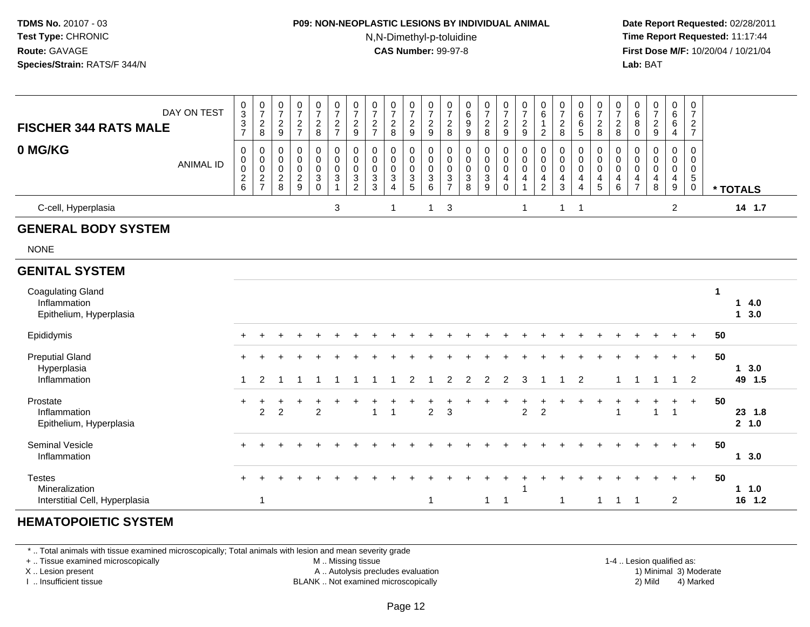## **P09: NON-NEOPLASTIC LESIONS BY INDIVIDUAL ANIMAL**

N,N-Dimethyl-p-toluidine

 **Date Report Requested:** 02/28/2011 **Time Report Requested:** 11:17:44 **First Dose M/F:** 10/20/04 / 10/21/04<br>**Lab:** BAT **Lab:** BAT

| <b>FISCHER 344 RATS MALE</b>                                        | DAY ON TEST      | $\pmb{0}$<br>$\ensuremath{\mathsf{3}}$<br>$\ensuremath{\mathsf{3}}$<br>$\overline{7}$ | 0<br>$\overline{7}$<br>$_{8}^{2}$                      | 0<br>$\overline{7}$<br>$\overline{a}$<br>9 | $\pmb{0}$<br>$\overline{7}$<br>$\frac{2}{7}$           | $\frac{0}{7}$<br>$\frac{2}{8}$                                                  | 0<br>$\overline{7}$<br>$\frac{2}{7}$                              | $\frac{0}{7}$<br>$\frac{2}{9}$                                            | 0<br>$\overline{7}$<br>$\boldsymbol{2}$<br>$\overline{7}$ | $\frac{0}{7}$<br>$_{\rm 8}^2$                                                   | $\frac{0}{7}$<br>$\overline{2}$<br>$\boldsymbol{9}$           | $\frac{0}{7}$<br>$\frac{2}{9}$                                                      | $\pmb{0}$<br>$\overline{7}$<br>$\frac{2}{8}$                              | 0<br>$\,6\,$<br>$\boldsymbol{9}$<br>9                             | 0<br>$\overline{7}$<br>$\overline{c}$<br>8                                  | $\frac{0}{7}$<br>$\frac{2}{9}$ | $\begin{smallmatrix}0\\7\end{smallmatrix}$<br>$\frac{2}{9}$            | 0<br>$\,6\,$<br>$\overline{2}$                                  | $\pmb{0}$<br>$\overline{7}$<br>$\frac{2}{8}$                  | 0<br>$\,6\,$<br>$\,6\,$<br>$\sqrt{5}$                                      | 0<br>$\overline{7}$<br>$\overline{c}$<br>8 | 0<br>$\boldsymbol{7}$<br>$\frac{2}{8}$                      | $\,0\,$<br>$\,6\,$<br>8<br>0                 | 0<br>$\overline{7}$<br>$\overline{2}$<br>9 | $\pmb{0}$<br>$\,6\,$<br>$\,6\,$<br>$\overline{4}$            | 0<br>$\overline{7}$<br>$\frac{2}{7}$          |             |                    |
|---------------------------------------------------------------------|------------------|---------------------------------------------------------------------------------------|--------------------------------------------------------|--------------------------------------------|--------------------------------------------------------|---------------------------------------------------------------------------------|-------------------------------------------------------------------|---------------------------------------------------------------------------|-----------------------------------------------------------|---------------------------------------------------------------------------------|---------------------------------------------------------------|-------------------------------------------------------------------------------------|---------------------------------------------------------------------------|-------------------------------------------------------------------|-----------------------------------------------------------------------------|--------------------------------|------------------------------------------------------------------------|-----------------------------------------------------------------|---------------------------------------------------------------|----------------------------------------------------------------------------|--------------------------------------------|-------------------------------------------------------------|----------------------------------------------|--------------------------------------------|--------------------------------------------------------------|-----------------------------------------------|-------------|--------------------|
| 0 MG/KG                                                             | <b>ANIMAL ID</b> | $\mathbf 0$<br>$\pmb{0}$<br>$\pmb{0}$<br>$\frac{2}{6}$                                | $\mathbf 0$<br>$\pmb{0}$<br>$\pmb{0}$<br>$\frac{2}{7}$ | 0<br>$\pmb{0}$<br>0<br>$\overline{c}$<br>8 | $\mathbf 0$<br>$\pmb{0}$<br>$\pmb{0}$<br>$\frac{2}{9}$ | $\pmb{0}$<br>$\pmb{0}$<br>$\pmb{0}$<br>$\ensuremath{\mathsf{3}}$<br>$\mathbf 0$ | 0<br>$\pmb{0}$<br>$\mathbf 0$<br>$\overline{3}$<br>$\overline{1}$ | $\pmb{0}$<br>$\pmb{0}$<br>$\mathbf 0$<br>$\overline{3}$<br>$\overline{2}$ | $\mathbf 0$<br>$\mathbf 0$<br>0<br>3<br>$\mathbf{3}$      | 0<br>$\mathsf{O}\xspace$<br>$\mathsf{O}\xspace$<br>$\sqrt{3}$<br>$\overline{4}$ | 0<br>$\pmb{0}$<br>$\pmb{0}$<br>$\ensuremath{\mathsf{3}}$<br>5 | 0<br>$\mathbf 0$<br>$\boldsymbol{0}$<br>$\ensuremath{\mathsf{3}}$<br>$6\phantom{1}$ | $\mathbf 0$<br>$\pmb{0}$<br>$\pmb{0}$<br>$\overline{3}$<br>$\overline{7}$ | 0<br>$\mathbf 0$<br>$\mathbf 0$<br>$\ensuremath{\mathsf{3}}$<br>8 | $\mathbf 0$<br>$\mathbf 0$<br>$\mathbf 0$<br>$\ensuremath{\mathsf{3}}$<br>9 | 0<br>0<br>0<br>4<br>$\Omega$   | 0<br>$\pmb{0}$<br>$\pmb{0}$<br>$\overline{\mathbf{4}}$<br>$\mathbf{1}$ | 0<br>$\pmb{0}$<br>$\pmb{0}$<br>$\overline{4}$<br>$\overline{c}$ | 0<br>$\pmb{0}$<br>$\pmb{0}$<br>$\overline{4}$<br>$\mathbf{3}$ | 0<br>$\mathbf 0$<br>$\pmb{0}$<br>$\overline{\mathbf{4}}$<br>$\overline{4}$ | 0<br>$\pmb{0}$<br>$\pmb{0}$<br>4<br>5      | 0<br>$\pmb{0}$<br>$\pmb{0}$<br>$\overline{\mathbf{4}}$<br>6 | $\mathbf 0$<br>0<br>0<br>4<br>$\overline{7}$ | 0<br>0<br>0<br>4<br>8                      | $\mathbf 0$<br>$\pmb{0}$<br>$\pmb{0}$<br>$\overline{4}$<br>9 | 0<br>0<br>0<br>$5\phantom{.0}$<br>$\mathbf 0$ |             | * TOTALS           |
| C-cell, Hyperplasia                                                 |                  |                                                                                       |                                                        |                                            |                                                        |                                                                                 | 3                                                                 |                                                                           |                                                           | $\mathbf{1}$                                                                    |                                                               | $\mathbf{1}$                                                                        | $\mathbf{3}$                                                              |                                                                   |                                                                             |                                | $\mathbf{1}$                                                           |                                                                 | $\mathbf{1}$                                                  | $\overline{1}$                                                             |                                            |                                                             |                                              |                                            | $\overline{c}$                                               |                                               |             | 14 1.7             |
| <b>GENERAL BODY SYSTEM</b>                                          |                  |                                                                                       |                                                        |                                            |                                                        |                                                                                 |                                                                   |                                                                           |                                                           |                                                                                 |                                                               |                                                                                     |                                                                           |                                                                   |                                                                             |                                |                                                                        |                                                                 |                                                               |                                                                            |                                            |                                                             |                                              |                                            |                                                              |                                               |             |                    |
| <b>NONE</b>                                                         |                  |                                                                                       |                                                        |                                            |                                                        |                                                                                 |                                                                   |                                                                           |                                                           |                                                                                 |                                                               |                                                                                     |                                                                           |                                                                   |                                                                             |                                |                                                                        |                                                                 |                                                               |                                                                            |                                            |                                                             |                                              |                                            |                                                              |                                               |             |                    |
| <b>GENITAL SYSTEM</b>                                               |                  |                                                                                       |                                                        |                                            |                                                        |                                                                                 |                                                                   |                                                                           |                                                           |                                                                                 |                                                               |                                                                                     |                                                                           |                                                                   |                                                                             |                                |                                                                        |                                                                 |                                                               |                                                                            |                                            |                                                             |                                              |                                            |                                                              |                                               |             |                    |
| <b>Coagulating Gland</b><br>Inflammation<br>Epithelium, Hyperplasia |                  |                                                                                       |                                                        |                                            |                                                        |                                                                                 |                                                                   |                                                                           |                                                           |                                                                                 |                                                               |                                                                                     |                                                                           |                                                                   |                                                                             |                                |                                                                        |                                                                 |                                                               |                                                                            |                                            |                                                             |                                              |                                            |                                                              |                                               | $\mathbf 1$ | 4.0<br>1<br>13.0   |
| Epididymis                                                          |                  |                                                                                       |                                                        |                                            |                                                        |                                                                                 |                                                                   |                                                                           |                                                           |                                                                                 |                                                               |                                                                                     |                                                                           |                                                                   |                                                                             |                                |                                                                        |                                                                 |                                                               |                                                                            |                                            |                                                             |                                              |                                            |                                                              |                                               | 50          |                    |
| <b>Preputial Gland</b><br>Hyperplasia<br>Inflammation               |                  | 1                                                                                     | $\overline{2}$                                         |                                            |                                                        |                                                                                 |                                                                   |                                                                           |                                                           |                                                                                 | 2                                                             |                                                                                     | $\overline{2}$                                                            | 2                                                                 | $\overline{2}$                                                              | $\overline{2}$                 | 3                                                                      |                                                                 |                                                               | 2                                                                          |                                            | 1                                                           | 1                                            |                                            | $\overline{1}$                                               | $\ddot{}$<br>$\overline{2}$                   | 50          | 13.0<br>49 1.5     |
| Prostate<br>Inflammation<br>Epithelium, Hyperplasia                 |                  | +                                                                                     | +<br>$\overline{2}$                                    | $\overline{2}$                             |                                                        | $\overline{2}$                                                                  |                                                                   |                                                                           |                                                           |                                                                                 |                                                               | $\overline{c}$                                                                      | 3                                                                         |                                                                   |                                                                             | $\ddot{}$                      | +<br>$\overline{2}$                                                    | $\ddot{}$<br>$\overline{c}$                                     |                                                               |                                                                            | $\ddot{}$                                  |                                                             | +                                            |                                            | $\overline{1}$                                               | $\ddot{}$                                     | 50          | 23 1.8<br>2, 1.0   |
| <b>Seminal Vesicle</b><br>Inflammation                              |                  |                                                                                       |                                                        |                                            |                                                        |                                                                                 |                                                                   |                                                                           |                                                           |                                                                                 |                                                               |                                                                                     |                                                                           |                                                                   |                                                                             |                                |                                                                        |                                                                 |                                                               |                                                                            |                                            |                                                             |                                              |                                            |                                                              | $+$                                           | 50          | 13.0               |
| <b>Testes</b><br>Mineralization<br>Interstitial Cell, Hyperplasia   |                  |                                                                                       | 1                                                      |                                            |                                                        |                                                                                 |                                                                   |                                                                           |                                                           |                                                                                 |                                                               |                                                                                     |                                                                           |                                                                   | $\mathbf{1}$                                                                | $\overline{1}$                 |                                                                        |                                                                 | $\overline{1}$                                                |                                                                            | 1                                          | $\mathbf 1$                                                 | $\overline{1}$                               |                                            | $\overline{2}$                                               | $\ddot{}$                                     | 50          | 1 1.0<br>1.2<br>16 |

#### **HEMATOPOIETIC SYSTEM**

\* .. Total animals with tissue examined microscopically; Total animals with lesion and mean severity grade

+ .. Tissue examined microscopically

X .. Lesion present

I .. Insufficient tissue

M .. Missing tissue

A .. Autolysis precludes evaluation

BLANK .. Not examined microscopically 2) Mild 4) Marked

1-4 .. Lesion qualified as: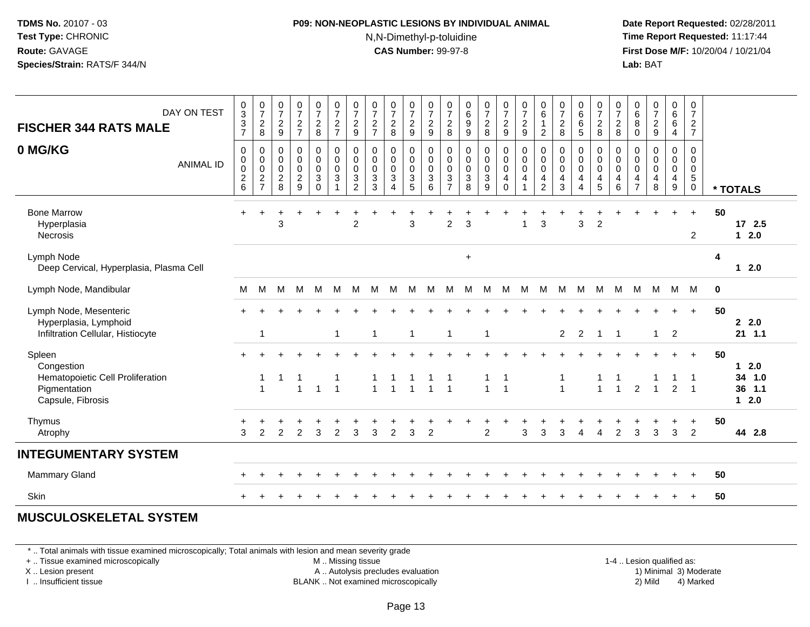#### **P09: NON-NEOPLASTIC LESIONS BY INDIVIDUAL ANIMAL**N,N-Dimethyl-p-toluidine

 **Date Report Requested:** 02/28/2011 **Time Report Requested:** 11:17:44 **First Dose M/F:** 10/20/04 / 10/21/04<br>**Lab:** BAT **Lab:** BAT

| DAY ON TEST<br><b>FISCHER 344 RATS MALE</b>                                                   | $_{3}^{\rm 0}$<br>$\frac{3}{7}$                                   | $\begin{array}{c} 0 \\ 7 \end{array}$<br>$\overline{\mathbf{c}}$<br>8 | $\begin{smallmatrix}0\\7\end{smallmatrix}$<br>$\frac{2}{9}$ | $\begin{array}{c} 0 \\ 7 \end{array}$<br>$\frac{2}{7}$ | $\begin{array}{c} 0 \\ 7 \end{array}$<br>$\frac{2}{8}$                 | $\frac{0}{7}$<br>$\frac{2}{7}$                                            | $\frac{0}{7}$<br>$\overline{2}$<br>$\boldsymbol{9}$ | $\frac{0}{7}$<br>$\frac{2}{7}$                                              | $\frac{0}{7}$<br>$\overline{a}$<br>$\overline{8}$ | $\frac{0}{7}$<br>$\frac{2}{9}$                                                  | $\frac{0}{7}$<br>$\frac{2}{9}$                               | $\frac{0}{7}$<br>$\boldsymbol{2}$<br>8                 | $\begin{array}{c} 0 \\ 6 \end{array}$<br>$\boldsymbol{9}$<br>9 | $\frac{0}{7}$<br>$\frac{2}{8}$        | $\begin{smallmatrix}0\\7\end{smallmatrix}$<br>$\frac{2}{9}$            | $\frac{0}{7}$<br>$\frac{2}{9}$                          | $\begin{array}{c} 0 \\ 6 \end{array}$<br>$\overline{\mathbf{1}}$<br>$\overline{2}$ | $\frac{0}{7}$<br>$\sqrt{2}$<br>8                             | $\mathbf 0$<br>$6\phantom{a}$<br>6<br>5    | $\frac{0}{7}$<br>$_{\rm 8}^2$                                            | $\begin{array}{c} 0 \\ 7 \end{array}$<br>$_{\rm 2}^2$                   | $\begin{array}{c} 0 \\ 6 \end{array}$<br>$\,8\,$<br>$\pmb{0}$       | $\begin{array}{c} 0 \\ 7 \end{array}$<br>$\frac{2}{9}$ | 0<br>$6\phantom{a}$<br>$\frac{6}{4}$         | 0<br>$\overline{7}$<br>$\frac{2}{7}$    |             |                                      |
|-----------------------------------------------------------------------------------------------|-------------------------------------------------------------------|-----------------------------------------------------------------------|-------------------------------------------------------------|--------------------------------------------------------|------------------------------------------------------------------------|---------------------------------------------------------------------------|-----------------------------------------------------|-----------------------------------------------------------------------------|---------------------------------------------------|---------------------------------------------------------------------------------|--------------------------------------------------------------|--------------------------------------------------------|----------------------------------------------------------------|---------------------------------------|------------------------------------------------------------------------|---------------------------------------------------------|------------------------------------------------------------------------------------|--------------------------------------------------------------|--------------------------------------------|--------------------------------------------------------------------------|-------------------------------------------------------------------------|---------------------------------------------------------------------|--------------------------------------------------------|----------------------------------------------|-----------------------------------------|-------------|--------------------------------------|
| 0 MG/KG<br><b>ANIMAL ID</b>                                                                   | $\boldsymbol{0}$<br>$\pmb{0}$<br>$\pmb{0}$<br>$\overline{c}$<br>6 | 0<br>0<br>$\pmb{0}$<br>$\frac{2}{7}$                                  | 0<br>0<br>$\mathbf 0$<br>$_{8}^2$                           | $\pmb{0}$<br>0<br>$\mathbf 0$<br>$\frac{2}{9}$         | $\mathbf 0$<br>$\mathbf 0$<br>$\pmb{0}$<br>$\mathbf{3}$<br>$\mathbf 0$ | $\pmb{0}$<br>$\mathbf 0$<br>$\mathbf 0$<br>$\mathbf{3}$<br>$\overline{1}$ | 0<br>0<br>$\mathbf 0$<br>3<br>$\overline{2}$        | $\mathbf 0$<br>$\mathbf 0$<br>$\mathsf 0$<br>$\ensuremath{\mathsf{3}}$<br>3 | $\mathsf{O}$<br>0<br>$\mathbf 0$<br>3<br>4        | 0<br>0<br>0<br>$\frac{3}{5}$                                                    | $\mathbf 0$<br>$\mathbf 0$<br>$\mathbf 0$<br>$\sqrt{3}$<br>6 | $\mathbf 0$<br>0<br>$\mathbf 0$<br>3<br>$\overline{7}$ | $\mathbf 0$<br>$\mathbf 0$<br>$\pmb{0}$<br>$\sqrt{3}$<br>8     | 0<br>0<br>$\mathsf 0$<br>$_9^3$       | $\pmb{0}$<br>$\mathbf 0$<br>$\pmb{0}$<br>$\overline{4}$<br>$\mathbf 0$ | $\pmb{0}$<br>$\mathbf 0$<br>$\pmb{0}$<br>$\overline{4}$ | 0<br>$\mathbf 0$<br>0<br>$\overline{\mathbf{4}}$<br>$\overline{2}$                 | $\pmb{0}$<br>$\mathbf 0$<br>$\pmb{0}$<br>4<br>$\overline{3}$ | 0<br>0<br>$\pmb{0}$<br>$\overline{4}$<br>4 | $\pmb{0}$<br>0<br>$\pmb{0}$<br>$\overline{\mathbf{4}}$<br>$\overline{5}$ | $\pmb{0}$<br>$\mathbf 0$<br>$\,0\,$<br>$\overline{4}$<br>$6\phantom{1}$ | $\mathbf 0$<br>$\mathbf 0$<br>0<br>$\overline{a}$<br>$\overline{7}$ | $\mathbf 0$<br>$\mathbf 0$<br>$\mathbf 0$<br>4<br>8    | 0<br>0<br>$\pmb{0}$<br>4<br>$\boldsymbol{9}$ | 0<br>0<br>$\pmb{0}$<br>5<br>$\mathbf 0$ |             | * TOTALS                             |
| <b>Bone Marrow</b><br>Hyperplasia<br><b>Necrosis</b>                                          | $+$                                                               | $\ddot{}$                                                             | ÷<br>3                                                      | $\ddot{}$                                              | $\div$                                                                 | $\ddot{}$                                                                 | +<br>$\overline{2}$                                 |                                                                             | $\ddot{}$                                         | $\ddot{}$<br>$\mathbf{3}$                                                       |                                                              | $\overline{2}$                                         | 3                                                              |                                       |                                                                        | $\overline{1}$                                          | 3                                                                                  |                                                              | $\overline{3}$                             | $\overline{2}$                                                           |                                                                         |                                                                     |                                                        | $+$                                          | $\ddot{}$<br>$\overline{2}$             | 50          | 17 2.5<br>$12.0$                     |
| Lymph Node<br>Deep Cervical, Hyperplasia, Plasma Cell                                         |                                                                   |                                                                       |                                                             |                                                        |                                                                        |                                                                           |                                                     |                                                                             |                                                   |                                                                                 |                                                              |                                                        | $\ddot{}$                                                      |                                       |                                                                        |                                                         |                                                                                    |                                                              |                                            |                                                                          |                                                                         |                                                                     |                                                        |                                              |                                         | 4           | $12.0$                               |
| Lymph Node, Mandibular                                                                        | M                                                                 | M                                                                     | м                                                           | M                                                      | M                                                                      | M                                                                         | M                                                   | M                                                                           | M                                                 | M                                                                               | М                                                            | м                                                      | M                                                              | M                                     | M                                                                      | м                                                       | м                                                                                  | M                                                            | M                                          | M                                                                        | M                                                                       | М                                                                   | м                                                      | M                                            | <b>M</b>                                | $\mathbf 0$ |                                      |
| Lymph Node, Mesenteric<br>Hyperplasia, Lymphoid<br>Infiltration Cellular, Histiocyte          |                                                                   | $\mathbf 1$                                                           |                                                             |                                                        |                                                                        | $\overline{\mathbf{1}}$                                                   |                                                     | $\mathbf 1$                                                                 |                                                   | $\mathbf{1}$                                                                    |                                                              | $\mathbf{1}$                                           |                                                                | $\mathbf{1}$                          |                                                                        |                                                         |                                                                                    | $\overline{2}$                                               | $\overline{2}$                             | -1                                                                       | $\overline{1}$                                                          |                                                                     | $\overline{1}$                                         | $\overline{2}$                               |                                         | 50          | 2.0<br>$21$ 1.1                      |
| Spleen<br>Congestion<br>Hematopoietic Cell Proliferation<br>Pigmentation<br>Capsule, Fibrosis |                                                                   | $\overline{1}$                                                        |                                                             | $\overline{1}$                                         | $\overline{1}$                                                         | $\overline{1}$                                                            |                                                     |                                                                             |                                                   | $\begin{array}{ccccccccc}\n1 & 1 & 1 & 1 & 1 \\ 1 & 1 & 1 & 1 & 1\n\end{array}$ |                                                              |                                                        |                                                                | $\begin{array}{c} 1 \\ 1 \end{array}$ | 1<br>$\overline{1}$                                                    |                                                         |                                                                                    | 1<br>$\mathbf{1}$                                            |                                            | $\overline{4}$                                                           | $\overline{1}$                                                          | $\overline{2}$                                                      | $\overline{1}$                                         | $\overline{2}$                               | $\ddot{}$<br>$\overline{\phantom{1}}$   | 50          | $12.0$<br>34 1.0<br>36 1.1<br>$12.0$ |
| Thymus<br>Atrophy                                                                             | 3                                                                 | 2                                                                     | 2                                                           | $\overline{2}$                                         | 3                                                                      | 2                                                                         | 3                                                   | 3                                                                           | $\overline{2}$                                    | 3                                                                               | $\overline{2}$                                               |                                                        |                                                                | $\overline{2}$                        |                                                                        | 3                                                       | 3                                                                                  | 3                                                            | Δ                                          | Δ                                                                        | $\overline{2}$                                                          | 3                                                                   | 3                                                      | 3                                            | 2                                       | 50          | 44 2.8                               |
| <b>INTEGUMENTARY SYSTEM</b>                                                                   |                                                                   |                                                                       |                                                             |                                                        |                                                                        |                                                                           |                                                     |                                                                             |                                                   |                                                                                 |                                                              |                                                        |                                                                |                                       |                                                                        |                                                         |                                                                                    |                                                              |                                            |                                                                          |                                                                         |                                                                     |                                                        |                                              |                                         |             |                                      |
| <b>Mammary Gland</b>                                                                          |                                                                   |                                                                       |                                                             |                                                        |                                                                        |                                                                           |                                                     |                                                                             |                                                   |                                                                                 |                                                              |                                                        |                                                                |                                       |                                                                        |                                                         |                                                                                    |                                                              |                                            |                                                                          |                                                                         |                                                                     |                                                        |                                              |                                         | 50          |                                      |
| Skin                                                                                          |                                                                   |                                                                       |                                                             |                                                        |                                                                        |                                                                           |                                                     |                                                                             |                                                   |                                                                                 |                                                              |                                                        |                                                                |                                       |                                                                        |                                                         |                                                                                    |                                                              |                                            |                                                                          |                                                                         |                                                                     |                                                        |                                              |                                         | 50          |                                      |

#### **MUSCULOSKELETAL SYSTEM**

\* .. Total animals with tissue examined microscopically; Total animals with lesion and mean severity grade

+ .. Tissue examined microscopically

X .. Lesion present

I .. Insufficient tissue

M .. Missing tissue

A .. Autolysis precludes evaluation

BLANK .. Not examined microscopically 2) Mild 4) Marked

1-4 .. Lesion qualified as: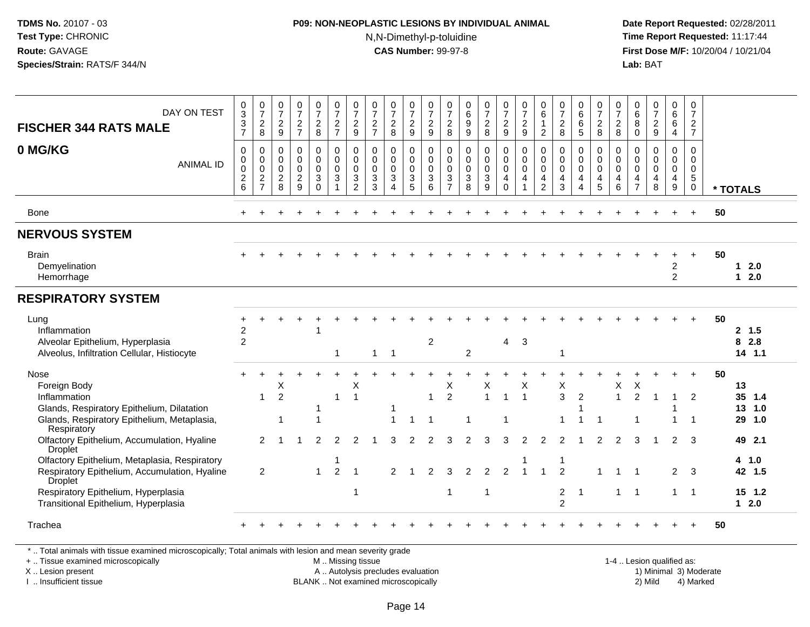#### **P09: NON-NEOPLASTIC LESIONS BY INDIVIDUAL ANIMAL**N,N-Dimethyl-p-toluidine

 **Date Report Requested:** 02/28/2011 **Time Report Requested:** 11:17:44 **First Dose M/F:** 10/20/04 / 10/21/04<br>**Lab:** BAT **Lab:** BAT

| DAY ON TEST<br><b>FISCHER 344 RATS MALE</b>                                                                                                                                                                                                                                                                                           | 0<br>$\mathbf{3}$<br>$\sqrt{3}$<br>$\overline{7}$                       | $\frac{0}{7}$<br>$\boldsymbol{2}$<br>8            | $\frac{0}{7}$<br>$\frac{2}{9}$               | $\frac{0}{7}$<br>$\frac{2}{7}$                         | 0<br>$\boldsymbol{7}$<br>$_{\rm 8}^2$               | $\frac{0}{7}$<br>$\frac{2}{7}$                                               | $\frac{0}{7}$<br>$\overline{c}$<br>9                                        | $\frac{0}{7}$<br>$\overline{c}$<br>$\overline{7}$            | $\frac{0}{7}$<br>$\overline{c}$<br>8         | $\frac{0}{7}$<br>$\frac{2}{9}$            | $\frac{0}{7}$<br>$\boldsymbol{2}$<br>$9\,$         | $\frac{0}{7}$<br>$_{\rm 8}^2$                                                         | $\begin{array}{c} 0 \\ 6 \end{array}$<br>$\boldsymbol{9}$<br>9 | $\frac{0}{7}$<br>$\overline{c}$<br>8                                      | $\frac{0}{7}$<br>$\frac{2}{9}$                              | $\frac{0}{7}$<br>$\overline{c}$<br>9                             | 0<br>$\,6\,$<br>$\mathbf{1}$<br>$\overline{2}$ | $\frac{0}{7}$<br>$_{\rm 8}^2$                                            | 0<br>$6\phantom{a}$<br>$\,6\,$<br>$\sqrt{5}$              | $\frac{0}{7}$<br>$\frac{2}{8}$                                            | 0<br>$\overline{7}$<br>$\overline{a}$<br>8   | $\begin{matrix} 0 \\ 6 \end{matrix}$<br>8<br>$\mathbf 0$                  | $\frac{0}{7}$<br>$\frac{2}{9}$                                 | 0<br>$\,6\,$<br>$\,6\,$<br>$\overline{4}$       | $\mathbf 0$<br>$\boldsymbol{7}$<br>$\frac{2}{7}$                                |    |                                                                     |
|---------------------------------------------------------------------------------------------------------------------------------------------------------------------------------------------------------------------------------------------------------------------------------------------------------------------------------------|-------------------------------------------------------------------------|---------------------------------------------------|----------------------------------------------|--------------------------------------------------------|-----------------------------------------------------|------------------------------------------------------------------------------|-----------------------------------------------------------------------------|--------------------------------------------------------------|----------------------------------------------|-------------------------------------------|----------------------------------------------------|---------------------------------------------------------------------------------------|----------------------------------------------------------------|---------------------------------------------------------------------------|-------------------------------------------------------------|------------------------------------------------------------------|------------------------------------------------|--------------------------------------------------------------------------|-----------------------------------------------------------|---------------------------------------------------------------------------|----------------------------------------------|---------------------------------------------------------------------------|----------------------------------------------------------------|-------------------------------------------------|---------------------------------------------------------------------------------|----|---------------------------------------------------------------------|
| 0 MG/KG<br><b>ANIMAL ID</b>                                                                                                                                                                                                                                                                                                           | $\boldsymbol{0}$<br>$\mathbf 0$<br>$\mathbf 0$<br>$\sqrt{2}$<br>$\,6\,$ | 0<br>0<br>0<br>$\boldsymbol{2}$<br>$\overline{7}$ | 0<br>$\mathbf 0$<br>0<br>$\overline{c}$<br>8 | $\mathsf 0$<br>0<br>$\mathbf 0$<br>$\overline{c}$<br>9 | $\mathbf 0$<br>0<br>$\mathbf 0$<br>3<br>$\mathbf 0$ | $\pmb{0}$<br>$\overline{0}$<br>$\mathbf 0$<br>$\mathbf{3}$<br>$\overline{1}$ | $\mathbf 0$<br>$\mathbf 0$<br>$\mathbf 0$<br>$\mathbf{3}$<br>$\overline{2}$ | $\pmb{0}$<br>$\mathbf 0$<br>$\mathbf 0$<br>$\mathbf{3}$<br>3 | 0<br>0<br>$\mathbf 0$<br>3<br>$\overline{4}$ | $\mathbf 0$<br>0<br>$\mathbf 0$<br>3<br>5 | $\mathbf 0$<br>$\pmb{0}$<br>0<br>$\mathbf{3}$<br>6 | $\boldsymbol{0}$<br>$\boldsymbol{0}$<br>$\mathbf 0$<br>$\mathbf{3}$<br>$\overline{7}$ | 0<br>0<br>$\mathbf 0$<br>$\mathbf{3}$<br>8                     | 0<br>$\mathsf{O}\xspace$<br>$\mathbf 0$<br>$\ensuremath{\mathsf{3}}$<br>9 | $\pmb{0}$<br>$\mathbf 0$<br>$\mathbf 0$<br>4<br>$\mathbf 0$ | $\mathsf 0$<br>$\mathsf 0$<br>$\mathbf 0$<br>$\overline{4}$<br>1 | 0<br>$\pmb{0}$<br>0<br>4<br>$\overline{2}$     | $\mathbf 0$<br>$\ddot{\mathbf{0}}$<br>$\mathbf 0$<br>$\overline{4}$<br>3 | 0<br>0<br>$\mathbf 0$<br>$\overline{4}$<br>$\overline{4}$ | $\mathbf 0$<br>$\mathbf 0$<br>$\mathbf 0$<br>$\overline{4}$<br>$\sqrt{5}$ | 0<br>0<br>$\mathbf 0$<br>$\overline{4}$<br>6 | 0<br>$\pmb{0}$<br>$\mathsf{O}\xspace$<br>$\overline{4}$<br>$\overline{7}$ | $\mathsf 0$<br>$\mathsf{O}\xspace$<br>0<br>$\overline{4}$<br>8 | 0<br>0<br>$\overline{0}$<br>$\overline{4}$<br>9 | $\mathbf 0$<br>$\mathbf 0$<br>$\mathbf 0$<br>$\,$ 5 $\,$<br>$\mathsf{O}\xspace$ |    | * TOTALS                                                            |
| Bone                                                                                                                                                                                                                                                                                                                                  |                                                                         |                                                   |                                              |                                                        |                                                     |                                                                              |                                                                             |                                                              |                                              |                                           |                                                    |                                                                                       |                                                                |                                                                           |                                                             |                                                                  |                                                |                                                                          |                                                           |                                                                           |                                              |                                                                           |                                                                |                                                 |                                                                                 | 50 |                                                                     |
| <b>NERVOUS SYSTEM</b>                                                                                                                                                                                                                                                                                                                 |                                                                         |                                                   |                                              |                                                        |                                                     |                                                                              |                                                                             |                                                              |                                              |                                           |                                                    |                                                                                       |                                                                |                                                                           |                                                             |                                                                  |                                                |                                                                          |                                                           |                                                                           |                                              |                                                                           |                                                                |                                                 |                                                                                 |    |                                                                     |
| <b>Brain</b><br>Demyelination<br>Hemorrhage                                                                                                                                                                                                                                                                                           |                                                                         |                                                   |                                              |                                                        |                                                     |                                                                              |                                                                             |                                                              |                                              |                                           |                                                    |                                                                                       |                                                                |                                                                           |                                                             |                                                                  |                                                |                                                                          |                                                           |                                                                           |                                              |                                                                           |                                                                | $\overline{c}$<br>$\overline{2}$                | $\ddot{}$                                                                       | 50 | 2.0<br>1<br>2.0<br>$\mathbf 1$                                      |
| <b>RESPIRATORY SYSTEM</b>                                                                                                                                                                                                                                                                                                             |                                                                         |                                                   |                                              |                                                        |                                                     |                                                                              |                                                                             |                                                              |                                              |                                           |                                                    |                                                                                       |                                                                |                                                                           |                                                             |                                                                  |                                                |                                                                          |                                                           |                                                                           |                                              |                                                                           |                                                                |                                                 |                                                                                 |    |                                                                     |
| Lung<br>Inflammation<br>Alveolar Epithelium, Hyperplasia<br>Alveolus, Infiltration Cellular, Histiocyte                                                                                                                                                                                                                               | $\overline{c}$<br>$\overline{2}$                                        |                                                   |                                              |                                                        |                                                     | -1                                                                           |                                                                             | -1                                                           | $\overline{1}$                               |                                           | $\overline{2}$                                     |                                                                                       | $\overline{2}$                                                 |                                                                           | $\overline{4}$                                              | $\overline{3}$                                                   |                                                |                                                                          |                                                           |                                                                           |                                              |                                                                           |                                                                |                                                 |                                                                                 | 50 | 2, 1.5<br>2.8<br>8<br>$14$ 1.1                                      |
| Nose<br>Foreign Body<br>Inflammation<br>Glands, Respiratory Epithelium, Dilatation<br>Glands, Respiratory Epithelium, Metaplasia,<br>Respiratory<br>Olfactory Epithelium, Accumulation, Hyaline<br><b>Droplet</b><br>Olfactory Epithelium, Metaplasia, Respiratory<br>Respiratory Epithelium, Accumulation, Hyaline<br><b>Droplet</b> |                                                                         | 1<br>2<br>2                                       | Χ<br>$\overline{2}$                          |                                                        | $\mathcal{P}$<br>$\mathbf{1}$                       | -1<br>2<br>-1<br>$\overline{2}$                                              | Х<br>$\mathbf{1}$<br>$\mathfrak{p}$<br>$\overline{1}$                       |                                                              | 1<br>3<br>$\mathcal{P}$                      | $\overline{2}$                            | $\mathcal{P}$<br>$\mathcal{P}$                     | X<br>2<br>3<br>3                                                                      | -1<br>$\mathcal{P}$<br>$\mathfrak{p}$                          | Χ<br>$\mathbf{1}$<br>3<br>2                                               | 1<br>1<br>3<br>$\overline{2}$                               | Χ<br>$\overline{1}$<br>$\mathcal{P}$                             | $\mathfrak{p}$                                 | X<br>$\mathbf{3}$<br>$\mathcal{P}$<br>$\overline{1}$<br>$\overline{2}$   | $\overline{2}$                                            | $\mathfrak{p}$                                                            | Χ<br>$\overline{1}$<br>2                     | X<br>2<br>З                                                               | -1                                                             | $\overline{2}$<br>$\overline{2}$                | $\overline{2}$<br>$\overline{1}$<br>3<br>3                                      | 50 | 13<br>35 1.4<br>13<br>1.0<br>29<br>1.0<br>49 2.1<br>4 1.0<br>42 1.5 |
| Respiratory Epithelium, Hyperplasia<br>Transitional Epithelium, Hyperplasia                                                                                                                                                                                                                                                           |                                                                         |                                                   |                                              |                                                        |                                                     |                                                                              | 1                                                                           |                                                              |                                              |                                           |                                                    | $\overline{1}$                                                                        |                                                                | 1                                                                         |                                                             |                                                                  |                                                | $\overline{c}$<br>$\overline{2}$                                         | -1                                                        |                                                                           | 1                                            | $\overline{1}$                                                            |                                                                | $\mathbf{1}$                                    | $\overline{1}$                                                                  |    | $15$ 1.2<br>$12.0$                                                  |
| Trachea                                                                                                                                                                                                                                                                                                                               |                                                                         |                                                   |                                              |                                                        |                                                     |                                                                              |                                                                             |                                                              |                                              |                                           |                                                    |                                                                                       |                                                                |                                                                           |                                                             |                                                                  |                                                |                                                                          |                                                           |                                                                           |                                              |                                                                           |                                                                |                                                 |                                                                                 | 50 |                                                                     |

\* .. Total animals with tissue examined microscopically; Total animals with lesion and mean severity grade

+ .. Tissue examined microscopically

X .. Lesion present

I .. Insufficient tissue

 M .. Missing tissueA .. Autolysis precludes evaluation

BLANK .. Not examined microscopically 2) Mild 4) Marked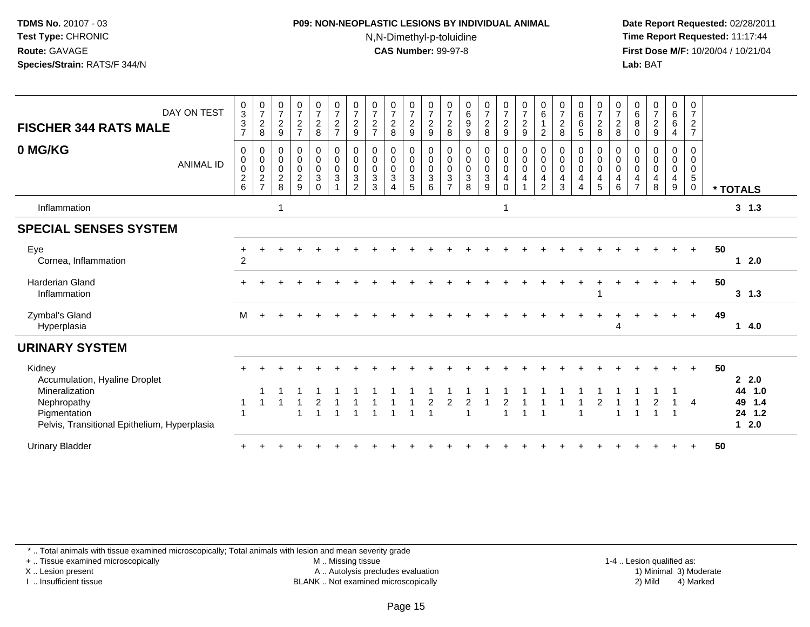### **P09: NON-NEOPLASTIC LESIONS BY INDIVIDUAL ANIMAL**N,N-Dimethyl-p-toluidine

 **Date Report Requested:** 02/28/2011 **Time Report Requested:** 11:17:44 **First Dose M/F:** 10/20/04 / 10/21/04<br>**Lab:** BAT **Lab:** BAT

| DAY ON TEST<br><b>FISCHER 344 RATS MALE</b>                                                   | $_{3}^{\rm 0}$<br>$\frac{3}{7}$                                                  | $\frac{0}{7}$<br>$\boldsymbol{2}$<br>8                              | $\frac{0}{7}$<br>$\frac{2}{9}$                        | $\frac{0}{7}$<br>$\frac{2}{7}$                             | $\frac{0}{7}$<br>$\frac{2}{8}$                             | $\frac{0}{7}$<br>$\frac{2}{7}$                          | $\frac{0}{7}$<br>$\overline{2}$<br>9                 | $\frac{0}{7}$<br>$\frac{2}{7}$                                    | $\frac{0}{7}$<br>$\overline{\mathbf{c}}$<br>8 | $\frac{0}{7}$<br>$\frac{2}{9}$           | $\frac{0}{7}$<br>$\frac{2}{9}$                           | $\frac{0}{7}$<br>$\frac{2}{8}$                                   | $\begin{array}{c} 0 \\ 6 \\ 9 \end{array}$<br>$9\,$ | $\frac{0}{7}$<br>$\boldsymbol{2}$<br>8                    | $\frac{0}{7}$<br>$\frac{2}{9}$                                                         | $\frac{0}{7}$<br>$\boldsymbol{2}$<br>$\boldsymbol{9}$ | $\begin{array}{c} 0 \\ 6 \end{array}$<br>$\overline{2}$ | $\frac{0}{7}$<br>$\overline{2}$<br>8                   | 0<br>$6\phantom{a}$<br>$\,6\,$<br>$\overline{5}$                | 0<br>$\overline{7}$<br>$\frac{2}{8}$      | 0<br>$\overline{7}$<br>$\frac{2}{8}$ | 068<br>$\mathbf 0$                         | 0729                                                                   | $\begin{array}{c} 0 \\ 6 \end{array}$<br>$\,6\,$<br>4  | 0<br>$\overline{7}$<br>$\frac{2}{7}$                                   |    |                                       |
|-----------------------------------------------------------------------------------------------|----------------------------------------------------------------------------------|---------------------------------------------------------------------|-------------------------------------------------------|------------------------------------------------------------|------------------------------------------------------------|---------------------------------------------------------|------------------------------------------------------|-------------------------------------------------------------------|-----------------------------------------------|------------------------------------------|----------------------------------------------------------|------------------------------------------------------------------|-----------------------------------------------------|-----------------------------------------------------------|----------------------------------------------------------------------------------------|-------------------------------------------------------|---------------------------------------------------------|--------------------------------------------------------|-----------------------------------------------------------------|-------------------------------------------|--------------------------------------|--------------------------------------------|------------------------------------------------------------------------|--------------------------------------------------------|------------------------------------------------------------------------|----|---------------------------------------|
| 0 MG/KG<br><b>ANIMAL ID</b>                                                                   | $\boldsymbol{0}$<br>$\pmb{0}$<br>$\pmb{0}$<br>$\boldsymbol{2}$<br>$6\phantom{a}$ | 0<br>$\mathbf 0$<br>$\pmb{0}$<br>$\boldsymbol{2}$<br>$\overline{7}$ | 0<br>0<br>$\mathsf 0$<br>$\overline{\mathbf{c}}$<br>8 | $\pmb{0}$<br>$\pmb{0}$<br>$\pmb{0}$<br>$\overline{2}$<br>9 | $\mathbf 0$<br>$\mathbf 0$<br>$\mathbf 0$<br>3<br>$\Omega$ | $\pmb{0}$<br>$\mathbf 0$<br>$\mathbf 0$<br>$\mathbf{3}$ | 0<br>$\mathbf 0$<br>$\mathbf 0$<br>$\mathbf{3}$<br>2 | $\boldsymbol{0}$<br>$\mathbf 0$<br>$\mathbf 0$<br>$\sqrt{3}$<br>3 | 0<br>0<br>$\mathbf 0$<br>3                    | $_{\rm 0}^{\rm 0}$<br>$\frac{0}{3}$<br>5 | $\mathbf 0$<br>$\pmb{0}$<br>$\pmb{0}$<br>$\sqrt{3}$<br>6 | 0<br>$\mathbf 0$<br>$\mathbf 0$<br>$\mathbf 3$<br>$\overline{7}$ | $\pmb{0}$<br>$\pmb{0}$<br>$\frac{0}{3}$<br>8        | $\mathbf 0$<br>$\mathsf{O}\xspace$<br>$\pmb{0}$<br>3<br>9 | 0<br>$\ddot{\mathbf{0}}$<br>$\mathsf{O}\xspace$<br>$\overline{\mathbf{4}}$<br>$\Omega$ | $_{\rm 0}^{\rm 0}$<br>$\pmb{0}$<br>4                  | 0<br>0<br>$\mathbf 0$<br>$\overline{4}$<br>2            | 0<br>$\mathbf 0$<br>$\mathbf 0$<br>$\overline{4}$<br>3 | 0<br>$\pmb{0}$<br>$\pmb{0}$<br>$\overline{4}$<br>$\overline{4}$ | 0<br>$\mathbf 0$<br>$\mathbf 0$<br>4<br>5 | 0<br>0<br>0<br>4<br>6                | 0<br>0<br>$\pmb{0}$<br>4<br>$\overline{7}$ | $\mathbf 0$<br>$\mathsf{O}\xspace$<br>$\pmb{0}$<br>$\overline{4}$<br>8 | 0<br>$\mathbf 0$<br>$\mathbf 0$<br>$\overline{4}$<br>9 | $\mathbf 0$<br>$\mathbf 0$<br>$\mathbf 0$<br>$\sqrt{5}$<br>$\mathbf 0$ |    | * TOTALS                              |
| Inflammation                                                                                  |                                                                                  |                                                                     |                                                       |                                                            |                                                            |                                                         |                                                      |                                                                   |                                               |                                          |                                                          |                                                                  |                                                     |                                                           |                                                                                        |                                                       |                                                         |                                                        |                                                                 |                                           |                                      |                                            |                                                                        |                                                        |                                                                        |    | 3, 1.3                                |
| <b>SPECIAL SENSES SYSTEM</b>                                                                  |                                                                                  |                                                                     |                                                       |                                                            |                                                            |                                                         |                                                      |                                                                   |                                               |                                          |                                                          |                                                                  |                                                     |                                                           |                                                                                        |                                                       |                                                         |                                                        |                                                                 |                                           |                                      |                                            |                                                                        |                                                        |                                                                        |    |                                       |
| Eye<br>Cornea, Inflammation                                                                   | $\overline{2}$                                                                   |                                                                     |                                                       |                                                            |                                                            |                                                         |                                                      |                                                                   |                                               |                                          |                                                          |                                                                  |                                                     |                                                           |                                                                                        |                                                       |                                                         |                                                        |                                                                 |                                           |                                      |                                            |                                                                        | $+$                                                    | $+$                                                                    | 50 | 12.0                                  |
| <b>Harderian Gland</b><br>Inflammation                                                        |                                                                                  |                                                                     |                                                       |                                                            |                                                            |                                                         |                                                      |                                                                   |                                               |                                          |                                                          |                                                                  |                                                     |                                                           |                                                                                        |                                                       |                                                         |                                                        |                                                                 |                                           |                                      |                                            |                                                                        |                                                        | $+$                                                                    | 50 | 3, 1.3                                |
| Zymbal's Gland<br>Hyperplasia                                                                 | M                                                                                |                                                                     |                                                       |                                                            |                                                            |                                                         |                                                      |                                                                   |                                               |                                          |                                                          |                                                                  |                                                     |                                                           |                                                                                        |                                                       |                                                         |                                                        |                                                                 |                                           | Δ                                    |                                            |                                                                        |                                                        | $+$                                                                    | 49 | 14.0                                  |
| <b>URINARY SYSTEM</b>                                                                         |                                                                                  |                                                                     |                                                       |                                                            |                                                            |                                                         |                                                      |                                                                   |                                               |                                          |                                                          |                                                                  |                                                     |                                                           |                                                                                        |                                                       |                                                         |                                                        |                                                                 |                                           |                                      |                                            |                                                                        |                                                        |                                                                        |    |                                       |
| Kidney<br>Accumulation, Hyaline Droplet                                                       |                                                                                  |                                                                     |                                                       |                                                            |                                                            |                                                         |                                                      |                                                                   |                                               |                                          |                                                          |                                                                  |                                                     |                                                           |                                                                                        |                                                       |                                                         |                                                        |                                                                 |                                           |                                      |                                            |                                                                        |                                                        |                                                                        | 50 | 2.2.0                                 |
| Mineralization<br>Nephropathy<br>Pigmentation<br>Pelvis, Transitional Epithelium, Hyperplasia |                                                                                  |                                                                     |                                                       |                                                            |                                                            |                                                         |                                                      |                                                                   |                                               |                                          | $\overline{2}$                                           | $\overline{c}$                                                   | 2<br>4                                              |                                                           |                                                                                        |                                                       |                                                         |                                                        |                                                                 |                                           |                                      |                                            |                                                                        |                                                        | 4                                                                      |    | 44<br>1.0<br>49 1.4<br>24 1.2<br>12.0 |
| <b>Urinary Bladder</b>                                                                        |                                                                                  |                                                                     |                                                       |                                                            |                                                            |                                                         |                                                      |                                                                   |                                               |                                          |                                                          |                                                                  |                                                     |                                                           |                                                                                        |                                                       |                                                         |                                                        |                                                                 |                                           |                                      |                                            |                                                                        |                                                        |                                                                        | 50 |                                       |

\* .. Total animals with tissue examined microscopically; Total animals with lesion and mean severity grade

+ .. Tissue examined microscopically

X .. Lesion present

I .. Insufficient tissue

 M .. Missing tissueA .. Autolysis precludes evaluation

BLANK .. Not examined microscopically 2) Mild 4) Marked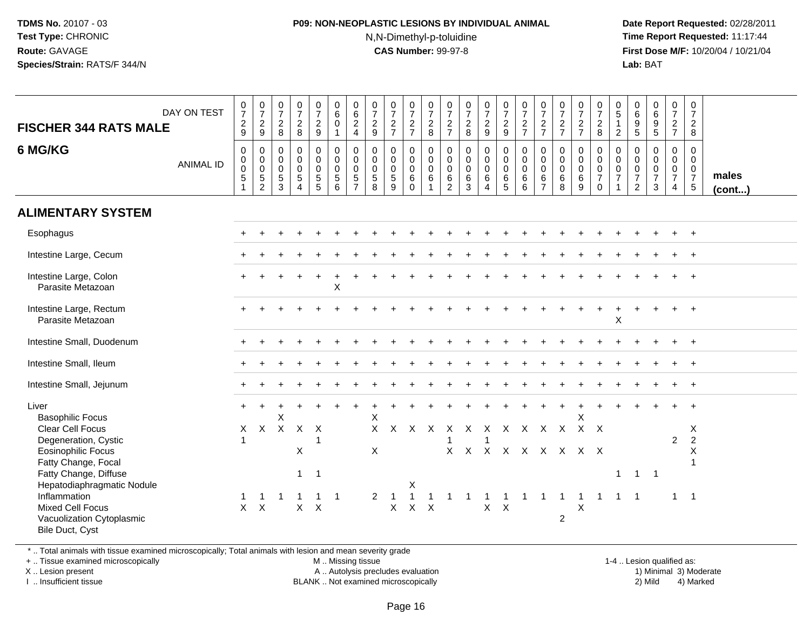#### **P09: NON-NEOPLASTIC LESIONS BY INDIVIDUAL ANIMAL**N,N-Dimethyl-p-toluidine

 **Date Report Requested:** 02/28/2011 **Time Report Requested:** 11:17:44 **First Dose M/F:** 10/20/04 / 10/21/04<br>**Lab:** BAT **Lab:** BAT

| <b>FISCHER 344 RATS MALE</b><br>6 MG/KG                                                                                                                                                                                                                                     | DAY ON TEST<br><b>ANIMAL ID</b> | $\frac{0}{7}$<br>$\frac{2}{9}$<br>$\mathbf 0$<br>0<br>$\mathsf 0$<br>$\sqrt{5}$ | $\begin{smallmatrix}0\\7\end{smallmatrix}$<br>$\frac{2}{9}$<br>$\mathbf 0$<br>$\overline{0}$<br>5<br>$\overline{2}$ | 0<br>$\overline{7}$<br>$\frac{2}{8}$<br>$\mathbf 0$<br>$\mathbf 0$<br>$\mathsf{O}\xspace$<br>$\,$ 5 $\,$<br>3 | $\begin{array}{c} 0 \\ 7 \end{array}$<br>$\frac{2}{8}$<br>$\mathbf 0$<br>$\mathbf 0$<br>$\mathbf 0$<br>$\,$ 5 $\,$<br>$\boldsymbol{\Lambda}$ | $\begin{smallmatrix}0\\7\end{smallmatrix}$<br>$\overline{c}$<br>$\overline{9}$<br>0<br>$\mathbf 0$<br>$\mathsf{O}\xspace$<br>$\overline{5}$ | $\pmb{0}$<br>6<br>$\mathbf 0$<br>$\mathbf{1}$<br>0<br>$\mathbf 0$<br>$\mathbf 0$<br>$5\phantom{.0}$<br>6 | $\begin{array}{c} 0 \\ 6 \end{array}$<br>$\frac{2}{4}$<br>$\mathbf 0$<br>$\mathbf 0$<br>$\mathbf 0$<br>$\frac{5}{7}$ | $\frac{0}{7}$<br>$\frac{2}{9}$<br>0<br>$\pmb{0}$<br>$\pmb{0}$<br>$\,$ 5 $\,$<br>8 | $\begin{array}{c} 0 \\ 7 \end{array}$<br>$\frac{2}{7}$<br>$\mathbf 0$<br>$\mathsf{O}\xspace$<br>$\overline{0}$<br>$\sqrt{5}$<br>9 | $\frac{0}{7}$<br>$\frac{2}{7}$<br>$\boldsymbol{0}$<br>$\mathbf 0$<br>$\ddot{\mathbf{0}}$<br>$\,6\,$<br>$\Omega$ | $\frac{0}{7}$<br>$_{8}^2$<br>$\mathbf 0$<br>$\mathbf 0$<br>$\overline{0}$<br>6<br>$\blacktriangleleft$ | $\frac{0}{7}$<br>$\frac{2}{7}$<br>0<br>$\mathbf 0$<br>$\mathbf 0$<br>$\,6\,$<br>$\overline{2}$ | $\frac{0}{7}$<br>$_{8}^2$<br>$\mathsf 0$<br>$\overline{0}$<br>$\frac{6}{3}$ | $\frac{0}{7}$<br>$\frac{2}{9}$<br>$\mathbf 0$<br>$\overline{0}$<br>0<br>$6^{\circ}$<br>$\overline{A}$ | $\frac{0}{7}$<br>$\frac{2}{9}$<br>0<br>$\overline{0}$<br>$\ddot{\mathbf{0}}$<br>$\frac{6}{5}$ | $\frac{0}{7}$<br>$\frac{2}{7}$<br>$\mathbf 0$<br>$\pmb{0}$<br>$\ddot{\mathbf{0}}$<br>$\,6\,$<br>6 | $\frac{0}{7}$<br>$\frac{2}{7}$<br>$\mathbf 0$<br>$\pmb{0}$<br>$\mathbf 0$<br>6<br>$\overline{7}$ | $\frac{0}{7}$<br>$\frac{2}{7}$<br>$\mathbf 0$<br>$\mathbf 0$<br>$\overline{0}$<br>6<br>8 | $\frac{0}{7}$<br>$\frac{2}{7}$<br>0<br>$\mathbf 0$<br>$\pmb{0}$<br>$\,6\,$<br>9 | $\begin{array}{c} 0 \\ 7 \end{array}$<br>$^2_8$<br>$\mathbf 0$<br>$\mathbf 0$<br>$\mathbf 0$<br>$\overline{7}$<br>$\Omega$ | $\begin{array}{c} 0 \\ 5 \end{array}$<br>$\mathbf{1}$<br>$\overline{2}$<br>$\mathbf 0$<br>$\mathbf 0$<br>$\frac{0}{7}$ | $\begin{array}{c} 0 \\ 6 \end{array}$<br>$\begin{array}{c} 9 \\ 5 \end{array}$<br>$\mathbf 0$<br>$\mathbf 0$<br>$\mathbf 0$<br>$\overline{7}$<br>$\overline{2}$ | $\begin{array}{c} 0 \\ 6 \end{array}$<br>9<br>$\overline{5}$<br>$\pmb{0}$<br>$\mathbf 0$<br>$\mathbf 0$<br>$\overline{7}$<br>3 | $\frac{0}{7}$<br>$\frac{2}{7}$<br>$\mathbf 0$<br>$\mathbf 0$<br>$\pmb{0}$<br>$\overline{7}$<br>$\overline{4}$ | $\mathbf 0$<br>$\boldsymbol{7}$<br>$\overline{2}$<br>8<br>$\mathbf 0$<br>$\mathbf 0$<br>$\mathbf 0$<br>$\overline{7}$<br>$\overline{5}$ | males<br>(cont) |
|-----------------------------------------------------------------------------------------------------------------------------------------------------------------------------------------------------------------------------------------------------------------------------|---------------------------------|---------------------------------------------------------------------------------|---------------------------------------------------------------------------------------------------------------------|---------------------------------------------------------------------------------------------------------------|----------------------------------------------------------------------------------------------------------------------------------------------|---------------------------------------------------------------------------------------------------------------------------------------------|----------------------------------------------------------------------------------------------------------|----------------------------------------------------------------------------------------------------------------------|-----------------------------------------------------------------------------------|-----------------------------------------------------------------------------------------------------------------------------------|-----------------------------------------------------------------------------------------------------------------|--------------------------------------------------------------------------------------------------------|------------------------------------------------------------------------------------------------|-----------------------------------------------------------------------------|-------------------------------------------------------------------------------------------------------|-----------------------------------------------------------------------------------------------|---------------------------------------------------------------------------------------------------|--------------------------------------------------------------------------------------------------|------------------------------------------------------------------------------------------|---------------------------------------------------------------------------------|----------------------------------------------------------------------------------------------------------------------------|------------------------------------------------------------------------------------------------------------------------|-----------------------------------------------------------------------------------------------------------------------------------------------------------------|--------------------------------------------------------------------------------------------------------------------------------|---------------------------------------------------------------------------------------------------------------|-----------------------------------------------------------------------------------------------------------------------------------------|-----------------|
| <b>ALIMENTARY SYSTEM</b>                                                                                                                                                                                                                                                    |                                 |                                                                                 |                                                                                                                     |                                                                                                               |                                                                                                                                              |                                                                                                                                             |                                                                                                          |                                                                                                                      |                                                                                   |                                                                                                                                   |                                                                                                                 |                                                                                                        |                                                                                                |                                                                             |                                                                                                       |                                                                                               |                                                                                                   |                                                                                                  |                                                                                          |                                                                                 |                                                                                                                            |                                                                                                                        |                                                                                                                                                                 |                                                                                                                                |                                                                                                               |                                                                                                                                         |                 |
| Esophagus                                                                                                                                                                                                                                                                   |                                 |                                                                                 |                                                                                                                     |                                                                                                               |                                                                                                                                              |                                                                                                                                             |                                                                                                          |                                                                                                                      |                                                                                   |                                                                                                                                   |                                                                                                                 |                                                                                                        |                                                                                                |                                                                             |                                                                                                       |                                                                                               |                                                                                                   |                                                                                                  |                                                                                          |                                                                                 |                                                                                                                            |                                                                                                                        |                                                                                                                                                                 |                                                                                                                                |                                                                                                               |                                                                                                                                         |                 |
| Intestine Large, Cecum                                                                                                                                                                                                                                                      |                                 |                                                                                 |                                                                                                                     |                                                                                                               |                                                                                                                                              |                                                                                                                                             |                                                                                                          |                                                                                                                      |                                                                                   |                                                                                                                                   |                                                                                                                 |                                                                                                        |                                                                                                |                                                                             |                                                                                                       |                                                                                               |                                                                                                   |                                                                                                  |                                                                                          |                                                                                 |                                                                                                                            |                                                                                                                        |                                                                                                                                                                 |                                                                                                                                |                                                                                                               |                                                                                                                                         |                 |
| Intestine Large, Colon<br>Parasite Metazoan                                                                                                                                                                                                                                 |                                 |                                                                                 |                                                                                                                     |                                                                                                               |                                                                                                                                              |                                                                                                                                             | X                                                                                                        |                                                                                                                      |                                                                                   |                                                                                                                                   |                                                                                                                 |                                                                                                        |                                                                                                |                                                                             |                                                                                                       |                                                                                               |                                                                                                   |                                                                                                  |                                                                                          |                                                                                 |                                                                                                                            |                                                                                                                        |                                                                                                                                                                 |                                                                                                                                |                                                                                                               |                                                                                                                                         |                 |
| Intestine Large, Rectum<br>Parasite Metazoan                                                                                                                                                                                                                                |                                 |                                                                                 |                                                                                                                     |                                                                                                               |                                                                                                                                              |                                                                                                                                             |                                                                                                          |                                                                                                                      |                                                                                   |                                                                                                                                   |                                                                                                                 |                                                                                                        |                                                                                                |                                                                             |                                                                                                       |                                                                                               |                                                                                                   |                                                                                                  |                                                                                          |                                                                                 |                                                                                                                            | X                                                                                                                      |                                                                                                                                                                 |                                                                                                                                |                                                                                                               |                                                                                                                                         |                 |
| Intestine Small, Duodenum                                                                                                                                                                                                                                                   |                                 |                                                                                 |                                                                                                                     |                                                                                                               |                                                                                                                                              |                                                                                                                                             |                                                                                                          |                                                                                                                      |                                                                                   |                                                                                                                                   |                                                                                                                 |                                                                                                        |                                                                                                |                                                                             |                                                                                                       |                                                                                               |                                                                                                   |                                                                                                  |                                                                                          |                                                                                 |                                                                                                                            |                                                                                                                        |                                                                                                                                                                 |                                                                                                                                |                                                                                                               |                                                                                                                                         |                 |
| Intestine Small, Ileum                                                                                                                                                                                                                                                      |                                 |                                                                                 |                                                                                                                     |                                                                                                               |                                                                                                                                              |                                                                                                                                             |                                                                                                          |                                                                                                                      |                                                                                   |                                                                                                                                   |                                                                                                                 |                                                                                                        |                                                                                                |                                                                             |                                                                                                       |                                                                                               |                                                                                                   |                                                                                                  |                                                                                          |                                                                                 |                                                                                                                            |                                                                                                                        |                                                                                                                                                                 |                                                                                                                                |                                                                                                               |                                                                                                                                         |                 |
| Intestine Small, Jejunum                                                                                                                                                                                                                                                    |                                 |                                                                                 |                                                                                                                     |                                                                                                               |                                                                                                                                              |                                                                                                                                             |                                                                                                          |                                                                                                                      |                                                                                   |                                                                                                                                   |                                                                                                                 |                                                                                                        |                                                                                                |                                                                             |                                                                                                       |                                                                                               |                                                                                                   |                                                                                                  |                                                                                          |                                                                                 |                                                                                                                            |                                                                                                                        |                                                                                                                                                                 |                                                                                                                                |                                                                                                               |                                                                                                                                         |                 |
| Liver<br><b>Basophilic Focus</b><br>Clear Cell Focus<br>Degeneration, Cystic<br><b>Eosinophilic Focus</b><br>Fatty Change, Focal<br>Fatty Change, Diffuse<br>Hepatodiaphragmatic Nodule<br>Inflammation<br>Mixed Cell Focus<br>Vacuolization Cytoplasmic<br>Bile Duct, Cyst |                                 | Χ<br>$\mathsf{X}$                                                               | $\mathsf{X}$<br>$\mathsf{X}$                                                                                        | X<br>X                                                                                                        | X<br>X<br>$\mathbf{1}$<br>-1<br>X                                                                                                            | $\times$<br>$\mathbf{1}$<br>$\overline{1}$<br>$\mathbf{1}$<br>$\times$                                                                      | $\overline{\phantom{0}}$                                                                                 |                                                                                                                      | X<br>X.<br>X<br>$\overline{2}$                                                    | $\mathsf{X}$<br>$\overline{1}$<br>X                                                                                               | $\boldsymbol{\mathsf{X}}$<br>Х<br>$\overline{1}$<br>$\mathsf X$                                                 | $\mathsf{X}$<br>$\mathsf{X}$                                                                           | X<br>$\mathsf{X}$                                                                              | $\mathsf{X}$                                                                | $\mathsf{X}$<br>$\mathsf{X}$                                                                          | $\mathsf{X}$                                                                                  |                                                                                                   |                                                                                                  | x x x x x x<br>X X X X X X X X<br>$\overline{2}$                                         | $\overline{\mathsf{X}}$<br>$\mathbf{1}$<br>$\mathsf X$                          | $\mathbf{1}$                                                                                                               | $\mathbf{1}$<br>$1 \quad 1$                                                                                            | $\mathbf{1}$                                                                                                                                                    | $\overline{1}$                                                                                                                 | $\overline{c}$                                                                                                | X<br>$\overline{2}$<br>X<br>$1 \quad 1$                                                                                                 |                 |

\* .. Total animals with tissue examined microscopically; Total animals with lesion and mean severity grade

+ .. Tissue examined microscopically

X .. Lesion present

I .. Insufficient tissue

M .. Missing tissue

A .. Autolysis precludes evaluation

BLANK .. Not examined microscopically 2) Mild 4) Marked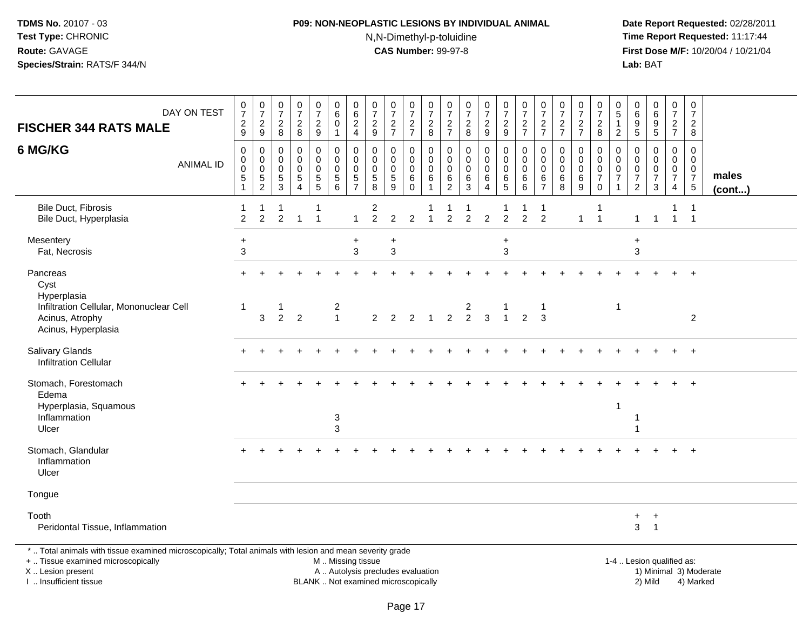## **P09: NON-NEOPLASTIC LESIONS BY INDIVIDUAL ANIMAL**N,N-Dimethyl-p-toluidine

 **Date Report Requested:** 02/28/2011 **Time Report Requested:** 11:17:44 **First Dose M/F:** 10/20/04 / 10/21/04<br>**Lab:** BAT **Lab:** BAT

| DAY ON TEST<br><b>FISCHER 344 RATS MALE</b>                                                                                                                         | $\frac{0}{7}$<br>$\frac{2}{9}$            | $\frac{0}{7}$<br>$\overline{c}$<br>9                   | $\begin{array}{c} 0 \\ 7 \end{array}$<br>$\sqrt{2}$<br>8            | $\frac{0}{7}$<br>$\sqrt{2}$<br>8                                         | $\begin{smallmatrix}0\\7\end{smallmatrix}$<br>$\sqrt{2}$<br>9                      | 0<br>$\overline{6}$<br>$\mathbf 0$<br>$\overline{1}$   | $\pmb{0}$<br>$\overline{6}$<br>$\sqrt{2}$<br>$\overline{4}$      | $\frac{0}{7}$<br>$\sqrt{2}$<br>$\boldsymbol{9}$              | $\frac{0}{7}$<br>$\frac{2}{7}$                                 | $\begin{array}{c} 0 \\ 7 \end{array}$<br>$\sqrt{2}$<br>$\overline{7}$ | $\frac{0}{7}$<br>$\boldsymbol{2}$<br>8 | $\begin{smallmatrix} 0\\7 \end{smallmatrix}$<br>$\frac{2}{7}$    | $\begin{smallmatrix}0\\7\end{smallmatrix}$<br>$\sqrt{2}$<br>8                | $\begin{array}{c} 0 \\ 7 \end{array}$<br>$\sqrt{2}$<br>9           | $\frac{0}{7}$<br>$\overline{c}$<br>$9\,$          | $\frac{0}{7}$<br>$\frac{2}{7}$                                  | $\begin{array}{c} 0 \\ 7 \end{array}$<br>$\sqrt{2}$<br>$\overline{7}$ | $\frac{0}{7}$<br>$\frac{2}{7}$                    | $\begin{array}{c} 0 \\ 7 \end{array}$<br>$\frac{2}{7}$   | $\frac{0}{7}$<br>$\sqrt{2}$<br>$\,8\,$                                             | $\mathbf 0$<br>$\overline{5}$<br>$\mathbf{1}$<br>$\overline{2}$             | $\mathbf 0$<br>$\overline{6}$<br>$\boldsymbol{9}$<br>$\sqrt{5}$               | $_6^0$<br>$\frac{9}{5}$                                         | $\frac{0}{7}$<br>$\overline{2}$<br>$\overline{7}$                   | $\pmb{0}$<br>$\overline{7}$<br>$\overline{2}$<br>8                                |                        |
|---------------------------------------------------------------------------------------------------------------------------------------------------------------------|-------------------------------------------|--------------------------------------------------------|---------------------------------------------------------------------|--------------------------------------------------------------------------|------------------------------------------------------------------------------------|--------------------------------------------------------|------------------------------------------------------------------|--------------------------------------------------------------|----------------------------------------------------------------|-----------------------------------------------------------------------|----------------------------------------|------------------------------------------------------------------|------------------------------------------------------------------------------|--------------------------------------------------------------------|---------------------------------------------------|-----------------------------------------------------------------|-----------------------------------------------------------------------|---------------------------------------------------|----------------------------------------------------------|------------------------------------------------------------------------------------|-----------------------------------------------------------------------------|-------------------------------------------------------------------------------|-----------------------------------------------------------------|---------------------------------------------------------------------|-----------------------------------------------------------------------------------|------------------------|
| 6 MG/KG<br><b>ANIMAL ID</b>                                                                                                                                         | $\mathbf 0$<br>0<br>$\mathbf 0$<br>5<br>1 | 0<br>$\pmb{0}$<br>$\mathsf{O}\xspace$<br>$\frac{5}{2}$ | 0<br>$\mathbf 0$<br>$\mathbf 0$<br>$\overline{5}$<br>$\overline{3}$ | $\mathbf 0$<br>$\mathbf 0$<br>$\pmb{0}$<br>$\,$ 5 $\,$<br>$\overline{4}$ | $\mathbf 0$<br>$\mathbf 0$<br>$\mathbf 0$<br>$\begin{array}{c} 5 \\ 5 \end{array}$ | 0<br>$\mathbf 0$<br>$\mathbf 0$<br>$\sqrt{5}$<br>6     | $\mathbf 0$<br>$\mathbf 0$<br>$\mathbf 0$<br>5<br>$\overline{7}$ | $\mathbf 0$<br>$\mathbf 0$<br>$\mathbf 0$<br>$\sqrt{5}$<br>8 | 0<br>$\mathbf 0$<br>$\pmb{0}$<br>$\,$ 5 $\,$<br>$\overline{9}$ | 0<br>$\overline{0}$<br>$\mathbf 0$<br>6<br>0                          | 0<br>$\mathbf 0$<br>$\pmb{0}$<br>6     | $\mathbf 0$<br>$\mathbf 0$<br>$\mathbf 0$<br>6<br>$\overline{2}$ | $\mathbf 0$<br>$\mathbf 0$<br>$\mathbf 0$<br>$6\phantom{1}6$<br>$\mathbf{3}$ | 0<br>$\mathsf{O}\xspace$<br>$\mathbf 0$<br>$\,6$<br>$\overline{4}$ | 0<br>$\mathsf{O}\xspace$<br>$\mathbf 0$<br>6<br>5 | $\mathbf 0$<br>$\mathbf 0$<br>$\pmb{0}$<br>6<br>$6\overline{6}$ | $\mathbf 0$<br>$\Omega$<br>$\mathbf 0$<br>6<br>$\overline{7}$         | $\mathbf 0$<br>$\mathbf 0$<br>$\pmb{0}$<br>6<br>8 | 0<br>$\mathbf 0$<br>$\mathbf 0$<br>6<br>$\boldsymbol{9}$ | $\mathbf 0$<br>$\mathbf 0$<br>$\mathsf{O}\xspace$<br>$\overline{7}$<br>$\mathbf 0$ | $\mathbf 0$<br>$\mathbf 0$<br>$\mathbf 0$<br>$\overline{7}$<br>$\mathbf{1}$ | $\mathbf 0$<br>$\mathbf 0$<br>$\mathbf 0$<br>$\overline{7}$<br>$\overline{c}$ | 0<br>$\mathbf 0$<br>$\pmb{0}$<br>$\overline{7}$<br>$\mathbf{3}$ | 0<br>$\mathbf 0$<br>$\mathbf 0$<br>$\overline{7}$<br>$\overline{4}$ | $\mathbf 0$<br>$\mathbf 0$<br>$\mathsf{O}\xspace$<br>$\overline{7}$<br>$\sqrt{5}$ | males<br>$($ cont $)$  |
| <b>Bile Duct, Fibrosis</b><br>Bile Duct, Hyperplasia                                                                                                                | 2                                         | $\overline{2}$                                         | 1<br>$\overline{2}$                                                 | $\overline{1}$                                                           | 1<br>$\overline{1}$                                                                |                                                        | 1                                                                | 2<br>2                                                       | 2                                                              | $\overline{2}$                                                        | $\overline{1}$                         | $\overline{2}$                                                   | $\overline{2}$                                                               | $\overline{c}$                                                     | $\overline{2}$                                    | -1<br>$\overline{2}$                                            | 1<br>2                                                                |                                                   | $\mathbf{1}$                                             | -1<br>$\overline{1}$                                                               |                                                                             | $\mathbf{1}$                                                                  | $\overline{1}$                                                  | $\mathbf{1}$                                                        | -1<br>$\overline{1}$                                                              |                        |
| Mesentery<br>Fat, Necrosis                                                                                                                                          | $\ddot{}$<br>3                            |                                                        |                                                                     |                                                                          |                                                                                    |                                                        | $\ddot{}$<br>3                                                   |                                                              | $\ddot{}$<br>$\mathfrak{Z}$                                    |                                                                       |                                        |                                                                  |                                                                              |                                                                    | $\ddot{}$<br>3                                    |                                                                 |                                                                       |                                                   |                                                          |                                                                                    |                                                                             | $\ddot{}$<br>3                                                                |                                                                 |                                                                     |                                                                                   |                        |
| Pancreas<br>Cyst<br>Hyperplasia<br>Infiltration Cellular, Mononuclear Cell<br>Acinus, Atrophy<br>Acinus, Hyperplasia                                                | $\overline{1}$                            | 3                                                      | 1<br>$\overline{2}$                                                 | $\overline{2}$                                                           |                                                                                    | $\overline{c}$<br>$\overline{1}$                       |                                                                  |                                                              | $2 \quad 2$                                                    | $\overline{2}$                                                        | $\overline{1}$                         |                                                                  | $\overline{a}$<br>$2 \quad 2$                                                | $\mathbf{3}$                                                       | $\overline{1}$                                    | $\overline{2}$                                                  | $\mathbf{1}$<br>3                                                     |                                                   |                                                          |                                                                                    | $\mathbf{1}$                                                                |                                                                               |                                                                 |                                                                     | $+$<br>2                                                                          |                        |
| Salivary Glands<br><b>Infiltration Cellular</b>                                                                                                                     |                                           |                                                        |                                                                     |                                                                          |                                                                                    |                                                        |                                                                  |                                                              |                                                                |                                                                       |                                        |                                                                  |                                                                              |                                                                    |                                                   |                                                                 |                                                                       |                                                   |                                                          |                                                                                    |                                                                             |                                                                               |                                                                 |                                                                     | $\overline{+}$                                                                    |                        |
| Stomach, Forestomach<br>Edema<br>Hyperplasia, Squamous<br>Inflammation<br>Ulcer                                                                                     |                                           |                                                        |                                                                     |                                                                          |                                                                                    | 3<br>3                                                 |                                                                  |                                                              |                                                                |                                                                       |                                        |                                                                  |                                                                              |                                                                    |                                                   |                                                                 |                                                                       |                                                   |                                                          |                                                                                    | 1                                                                           |                                                                               |                                                                 |                                                                     | $\div$                                                                            |                        |
| Stomach, Glandular<br>Inflammation<br>Ulcer                                                                                                                         |                                           |                                                        |                                                                     |                                                                          |                                                                                    |                                                        |                                                                  |                                                              |                                                                |                                                                       |                                        |                                                                  |                                                                              |                                                                    |                                                   |                                                                 |                                                                       |                                                   |                                                          |                                                                                    |                                                                             |                                                                               |                                                                 |                                                                     | $\overline{+}$                                                                    |                        |
| Tongue                                                                                                                                                              |                                           |                                                        |                                                                     |                                                                          |                                                                                    |                                                        |                                                                  |                                                              |                                                                |                                                                       |                                        |                                                                  |                                                                              |                                                                    |                                                   |                                                                 |                                                                       |                                                   |                                                          |                                                                                    |                                                                             |                                                                               |                                                                 |                                                                     |                                                                                   |                        |
| Tooth<br>Peridontal Tissue, Inflammation                                                                                                                            |                                           |                                                        |                                                                     |                                                                          |                                                                                    |                                                        |                                                                  |                                                              |                                                                |                                                                       |                                        |                                                                  |                                                                              |                                                                    |                                                   |                                                                 |                                                                       |                                                   |                                                          |                                                                                    |                                                                             | $\ddot{}$<br>$\mathbf{3}$                                                     | $\overline{+}$<br>$\overline{1}$                                |                                                                     |                                                                                   |                        |
| *  Total animals with tissue examined microscopically; Total animals with lesion and mean severity grade<br>+  Tissue examined microscopically<br>X  Lesion present |                                           |                                                        |                                                                     |                                                                          |                                                                                    | M  Missing tissue<br>A  Autolysis precludes evaluation |                                                                  |                                                              |                                                                |                                                                       |                                        |                                                                  |                                                                              |                                                                    |                                                   |                                                                 |                                                                       |                                                   |                                                          |                                                                                    |                                                                             | 1-4  Lesion qualified as:                                                     |                                                                 |                                                                     |                                                                                   | 1) Minimal 3) Moderate |

I .. Insufficient tissue

BLANK .. Not examined microscopically 2) Mild 4) Marked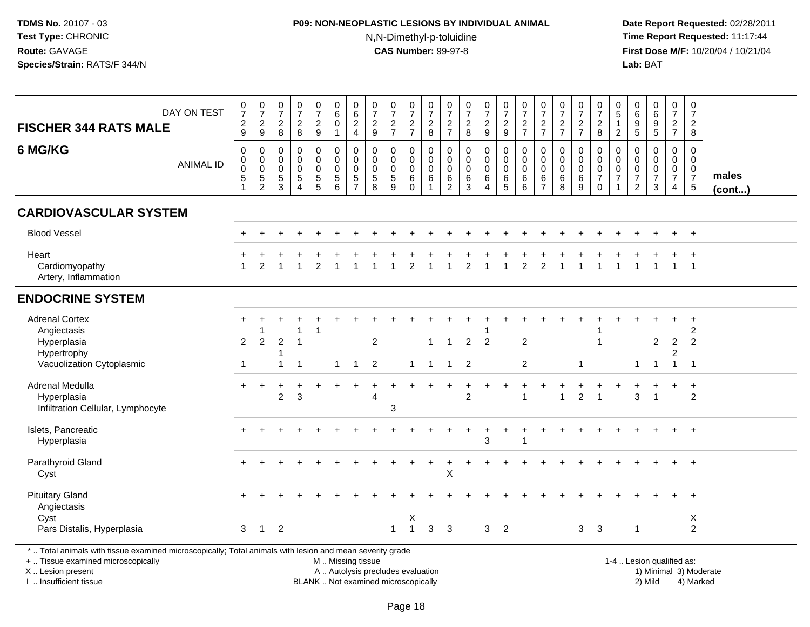## **P09: NON-NEOPLASTIC LESIONS BY INDIVIDUAL ANIMAL**N,N-Dimethyl-p-toluidine

 **Date Report Requested:** 02/28/2011 **Time Report Requested:** 11:17:44 **First Dose M/F:** 10/20/04 / 10/21/04<br>**Lab:** BAT **Lab:** BAT

| <b>FISCHER 344 RATS MALE</b>                                                                                                                                        | DAY ON TEST      | $\frac{0}{7}$<br>$\frac{2}{9}$                           | $\begin{array}{c} 0 \\ 7 \end{array}$<br>$\frac{2}{9}$ | $\frac{0}{7}$<br>$\frac{2}{8}$         | $\frac{0}{7}$<br>$_{\rm 8}^2$                                               | 0<br>$\boldsymbol{7}$<br>$\frac{2}{9}$     | $\begin{array}{c} 0 \\ 6 \end{array}$<br>$\mathbf 0$<br>$\mathbf{1}$ | $\begin{array}{c} 0 \\ 6 \end{array}$<br>$\frac{2}{4}$                    | $\frac{0}{7}$<br>$\frac{2}{9}$                               | $\frac{0}{7}$<br>$\frac{2}{7}$                   | $\frac{0}{7}$<br>$\frac{2}{7}$                  | $\frac{0}{7}$<br>$_{\rm 8}^2$              | $\frac{0}{7}$<br>$\frac{2}{7}$                                       | $\frac{0}{7}$<br>$\frac{2}{8}$                       | $\frac{0}{7}$<br>$\frac{2}{9}$                             | $\frac{0}{7}$<br>$\frac{2}{9}$                                   | $\frac{0}{7}$<br>$\frac{2}{7}$                               | 0<br>$\overline{7}$<br>$\frac{2}{7}$                   | $\frac{0}{7}$<br>$\frac{2}{7}$                | $\frac{0}{7}$<br>$\frac{2}{7}$            | $\pmb{0}$<br>$\overline{7}$<br>$_{\rm 8}^2$                                | 0<br>$\sqrt{5}$<br>$\overline{2}$              | 0<br>$\,6\,$<br>$\begin{array}{c} 9 \\ 5 \end{array}$     | 0<br>0<br>0<br>0<br>5                                        | $\mathsf 0$<br>$\overline{7}$<br>$\frac{2}{7}$                   | 0<br>$\overline{7}$<br>$\overline{2}$<br>8                                     |                        |
|---------------------------------------------------------------------------------------------------------------------------------------------------------------------|------------------|----------------------------------------------------------|--------------------------------------------------------|----------------------------------------|-----------------------------------------------------------------------------|--------------------------------------------|----------------------------------------------------------------------|---------------------------------------------------------------------------|--------------------------------------------------------------|--------------------------------------------------|-------------------------------------------------|--------------------------------------------|----------------------------------------------------------------------|------------------------------------------------------|------------------------------------------------------------|------------------------------------------------------------------|--------------------------------------------------------------|--------------------------------------------------------|-----------------------------------------------|-------------------------------------------|----------------------------------------------------------------------------|------------------------------------------------|-----------------------------------------------------------|--------------------------------------------------------------|------------------------------------------------------------------|--------------------------------------------------------------------------------|------------------------|
| 6 MG/KG                                                                                                                                                             | <b>ANIMAL ID</b> | $\pmb{0}$<br>$\mathbf 0$<br>$\pmb{0}$<br>$\sqrt{5}$<br>1 | $\mathbf 0$<br>$\mathbf 0$<br>0<br>5<br>$\overline{c}$ | 0<br>0<br>$\mathbf 0$<br>$\frac{5}{3}$ | 0<br>$\mathsf 0$<br>$\mathsf 0$<br>$\overline{5}$<br>$\boldsymbol{\Lambda}$ | 0<br>$\overline{0}$<br>0<br>$\overline{5}$ | $\mathbf 0$<br>$\mathbf 0$<br>$\mathsf{O}\xspace$<br>$\frac{5}{6}$   | $\mathbf 0$<br>$\mathbf 0$<br>$\mathbf 0$<br>$\sqrt{5}$<br>$\overline{7}$ | $\mathbf 0$<br>$\mathbf 0$<br>$\mathbf 0$<br>$\sqrt{5}$<br>8 | 0<br>$\mathbf 0$<br>$\pmb{0}$<br>$\sqrt{5}$<br>9 | 0<br>0<br>$\mathbf 0$<br>$\,6\,$<br>$\mathbf 0$ | 0<br>$\mathbf 0$<br>$\mathsf 0$<br>$\,6\,$ | $\mathbf 0$<br>$\mathbf 0$<br>$\mathbf 0$<br>$\,6$<br>$\overline{2}$ | $\pmb{0}$<br>$\Omega$<br>$\mathbf 0$<br>$\,6\,$<br>3 | $\pmb{0}$<br>$\mathbf 0$<br>0<br>$\,6\,$<br>$\overline{4}$ | $\pmb{0}$<br>$\mathbf 0$<br>$\mathsf{O}\xspace$<br>$\frac{6}{5}$ | 0<br>$\mathbf 0$<br>$\mathbf 0$<br>$\,6\,$<br>$6\phantom{a}$ | $\mathbf 0$<br>$\mathbf 0$<br>0<br>6<br>$\overline{7}$ | 0<br>$\mathbf 0$<br>$\pmb{0}$<br>$\,6\,$<br>8 | 0<br>$\mathbf 0$<br>0<br>$\,6\,$<br>$9\,$ | $\mathbf 0$<br>$\mathbf 0$<br>$\mathbf 0$<br>$\overline{7}$<br>$\mathbf 0$ | 0<br>$\Omega$<br>$\mathbf 0$<br>$\overline{7}$ | 0<br>$\mathbf 0$<br>0<br>$\overline{7}$<br>$\overline{2}$ | 0<br>$\pmb{0}$<br>$\begin{array}{c} 0 \\ 7 \end{array}$<br>3 | $\mathbf 0$<br>$\mathbf 0$<br>$\mathbf 0$<br>$\overline{7}$<br>4 | $\mathbf 0$<br>$\mathbf{0}$<br>$\mathbf 0$<br>$\overline{7}$<br>$\overline{5}$ | males<br>$($ cont $)$  |
| <b>CARDIOVASCULAR SYSTEM</b>                                                                                                                                        |                  |                                                          |                                                        |                                        |                                                                             |                                            |                                                                      |                                                                           |                                                              |                                                  |                                                 |                                            |                                                                      |                                                      |                                                            |                                                                  |                                                              |                                                        |                                               |                                           |                                                                            |                                                |                                                           |                                                              |                                                                  |                                                                                |                        |
| <b>Blood Vessel</b>                                                                                                                                                 |                  |                                                          |                                                        |                                        |                                                                             |                                            |                                                                      |                                                                           |                                                              |                                                  |                                                 |                                            |                                                                      |                                                      |                                                            |                                                                  |                                                              |                                                        |                                               |                                           |                                                                            |                                                |                                                           |                                                              | $\ddot{}$                                                        | $+$                                                                            |                        |
| Heart<br>Cardiomyopathy<br>Artery, Inflammation                                                                                                                     |                  | 1                                                        | $\mathfrak{p}$                                         |                                        |                                                                             | $\mathcal{P}$                              |                                                                      |                                                                           |                                                              |                                                  | $\mathcal{P}$                                   |                                            | $\overline{1}$                                                       | $\mathcal{P}$                                        | $\mathbf{1}$                                               | $\mathbf{1}$                                                     | $\overline{2}$                                               | $\overline{2}$                                         |                                               |                                           | $\overline{1}$                                                             | $\overline{1}$                                 |                                                           | $\overline{1}$                                               | $\mathbf{1}$                                                     | $\overline{\phantom{0}}$                                                       |                        |
| <b>ENDOCRINE SYSTEM</b>                                                                                                                                             |                  |                                                          |                                                        |                                        |                                                                             |                                            |                                                                      |                                                                           |                                                              |                                                  |                                                 |                                            |                                                                      |                                                      |                                                            |                                                                  |                                                              |                                                        |                                               |                                           |                                                                            |                                                |                                                           |                                                              |                                                                  |                                                                                |                        |
| <b>Adrenal Cortex</b><br>Angiectasis<br>Hyperplasia<br>Hypertrophy<br>Vacuolization Cytoplasmic                                                                     |                  | $\overline{2}$<br>$\mathbf 1$                            | $\overline{2}$                                         | $\overline{2}$                         | $\overline{1}$                                                              |                                            | -1                                                                   | 1                                                                         | 2<br>$\overline{2}$                                          |                                                  | $\mathbf{1}$                                    | -1<br>$\overline{1}$                       | $\overline{1}$<br>$\mathbf 1$                                        | $\overline{2}$<br>$\overline{2}$                     | $\overline{2}$                                             |                                                                  | $\overline{2}$<br>$\overline{c}$                             |                                                        |                                               | $\mathbf{1}$                              | -1                                                                         |                                                | $\mathbf 1$                                               | $\overline{c}$<br>$\mathbf{1}$                               | $\overline{2}$<br>2<br>$\overline{1}$                            | $\ddot{}$<br>$\overline{2}$<br>$\overline{c}$<br>-1                            |                        |
| Adrenal Medulla<br>Hyperplasia<br>Infiltration Cellular, Lymphocyte                                                                                                 |                  | $\ddot{}$                                                | $\ddot{}$                                              | $\overline{2}$                         | 3                                                                           |                                            |                                                                      |                                                                           | Δ                                                            | 3                                                |                                                 |                                            |                                                                      | $\overline{2}$                                       |                                                            |                                                                  | $\overline{1}$                                               |                                                        | $\overline{1}$                                | $\overline{c}$                            | $\overline{1}$                                                             |                                                | 3                                                         | $\overline{1}$                                               | $\ddot{}$                                                        | $\ddot{}$<br>$\overline{2}$                                                    |                        |
| Islets, Pancreatic<br>Hyperplasia                                                                                                                                   |                  |                                                          |                                                        |                                        |                                                                             |                                            |                                                                      |                                                                           |                                                              |                                                  |                                                 |                                            |                                                                      |                                                      | 3                                                          |                                                                  | $\overline{1}$                                               |                                                        |                                               |                                           |                                                                            |                                                |                                                           |                                                              |                                                                  | $\ddot{}$                                                                      |                        |
| Parathyroid Gland<br>Cyst                                                                                                                                           |                  |                                                          |                                                        |                                        |                                                                             |                                            |                                                                      |                                                                           |                                                              |                                                  |                                                 |                                            | X                                                                    |                                                      |                                                            |                                                                  |                                                              |                                                        |                                               |                                           |                                                                            |                                                |                                                           |                                                              |                                                                  | $+$                                                                            |                        |
| <b>Pituitary Gland</b><br>Angiectasis                                                                                                                               |                  |                                                          |                                                        |                                        |                                                                             |                                            |                                                                      |                                                                           |                                                              |                                                  |                                                 |                                            |                                                                      |                                                      |                                                            |                                                                  |                                                              |                                                        |                                               |                                           |                                                                            |                                                |                                                           |                                                              |                                                                  |                                                                                |                        |
| Cyst<br>Pars Distalis, Hyperplasia                                                                                                                                  |                  | 3                                                        | $\mathbf{1}$                                           | 2                                      |                                                                             |                                            |                                                                      |                                                                           |                                                              | $\mathbf{1}$                                     | X<br>$\mathbf{1}$                               | 3                                          | 3                                                                    |                                                      | 3                                                          | $\overline{2}$                                                   |                                                              |                                                        |                                               | 3                                         | $\overline{3}$                                                             |                                                | 1                                                         |                                                              |                                                                  | Χ<br>$\overline{c}$                                                            |                        |
| *  Total animals with tissue examined microscopically; Total animals with lesion and mean severity grade<br>+  Tissue examined microscopically<br>X  Lesion present |                  |                                                          |                                                        |                                        |                                                                             |                                            | M  Missing tissue                                                    |                                                                           | A  Autolysis precludes evaluation                            |                                                  |                                                 |                                            |                                                                      |                                                      |                                                            |                                                                  |                                                              |                                                        |                                               |                                           |                                                                            |                                                |                                                           | 1-4  Lesion qualified as:                                    |                                                                  |                                                                                | 1) Minimal 3) Moderate |

I .. Insufficient tissue

BLANK .. Not examined microscopically 2) Mild 4) Marked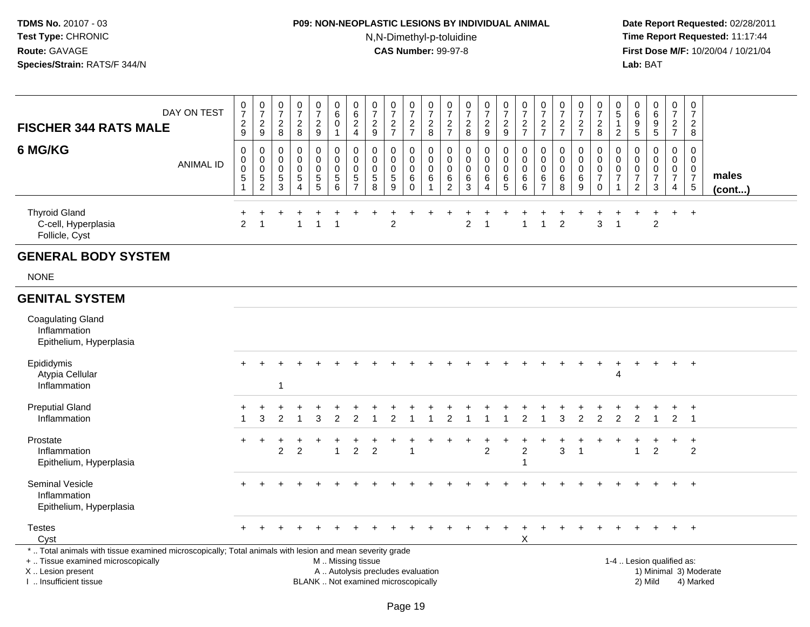## **P09: NON-NEOPLASTIC LESIONS BY INDIVIDUAL ANIMAL**N,N-Dimethyl-p-toluidine

 **Date Report Requested:** 02/28/2011 **Time Report Requested:** 11:17:44 **First Dose M/F:** 10/20/04 / 10/21/04<br>**Lab:** BAT **Lab:** BAT

| <b>FISCHER 344 RATS MALE</b><br>6 MG/KG                                                                                                                                                      | DAY ON TEST<br><b>ANIMAL ID</b> | $\frac{0}{7}$<br>$\frac{2}{9}$<br>$\mathbf 0$<br>$\pmb{0}$<br>$\pmb{0}$<br>$\,$ 5 $\,$<br>$\mathbf{1}$ | $\frac{0}{7}$<br>$\frac{2}{9}$<br>0<br>$\pmb{0}$<br>$\pmb{0}$<br>$\frac{5}{2}$ | $\begin{array}{c} 0 \\ 7 \end{array}$<br>$\frac{2}{8}$<br>0<br>$\mathbf 0$<br>$\mathbf 0$<br>$\frac{5}{3}$ | $\begin{array}{c} 0 \\ 7 \end{array}$<br>$\sqrt{2}$<br>8<br>$\mathbf 0$<br>$\Omega$<br>$\Omega$<br>$\sqrt{5}$<br>$\boldsymbol{\Lambda}$ | $\frac{0}{7}$<br>$\sqrt{2}$<br>$\boldsymbol{9}$<br>0<br>$\mathbf 0$<br>$\mathbf 0$<br>$\frac{5}{5}$ | $_{6}^{\rm 0}$<br>$\pmb{0}$<br>$\mathbf{1}$<br>$\pmb{0}$<br>$\mathbf 0$<br>$\mathbf 0$<br>$\begin{array}{c} 5 \\ 6 \end{array}$ | $\begin{array}{c} 0 \\ 6 \end{array}$<br>$\overline{2}$<br>$\overline{4}$<br>0<br>$\mathbf 0$<br>$\Omega$<br>$\frac{5}{7}$ | $\begin{array}{c} 0 \\ 7 \end{array}$<br>$\sqrt{2}$<br>9<br>0<br>0<br>0<br>$\begin{array}{c} 5 \\ 8 \end{array}$ | $\frac{0}{7}$<br>$\frac{2}{7}$<br>$\mathbf 0$<br>$\mathbf 0$<br>0<br>$\frac{5}{9}$ | $\begin{array}{c} 0 \\ 7 \end{array}$<br>$\frac{2}{7}$<br>$\mathbf 0$<br>$\mathbf 0$<br>$\mathbf 0$<br>$\,6\,$<br>$\mathbf 0$ | $\begin{array}{c} 0 \\ 7 \end{array}$<br>$\sqrt{2}$<br>$\,8\,$<br>$\mathbf 0$<br>$\mathbf 0$<br>$\mathbf 0$<br>$\,6\,$<br>$\overline{1}$ | 0<br>$\overline{7}$<br>$\frac{2}{7}$<br>0<br>$\Omega$<br>$\Omega$<br>6<br>$\overline{c}$ | $\begin{array}{c} 0 \\ 7 \end{array}$<br>$\sqrt{2}$<br>8<br>$\mathbf 0$<br>$\Omega$<br>$\Omega$<br>6<br>3 | $\frac{0}{7}$<br>$\overline{c}$<br>$\boldsymbol{9}$<br>0<br>$\mathbf 0$<br>0<br>$\,6$<br>$\Delta$ | $\begin{array}{c} 0 \\ 7 \end{array}$<br>$\overline{2}$<br>$\boldsymbol{9}$<br>0<br>$\mathbf 0$<br>$\mathbf 0$<br>$6\over 5$ | $\frac{0}{7}$<br>$\frac{2}{7}$<br>$\mathbf 0$<br>$\pmb{0}$<br>0<br>$\,6$<br>$\overline{6}$ | $\begin{array}{c} 0 \\ 7 \end{array}$<br>$\sqrt{2}$<br>$\overline{7}$<br>0<br>$\mathbf 0$<br>0<br>6<br>$\overline{7}$ | $\frac{0}{7}$<br>$\frac{2}{7}$<br>$\mathbf 0$<br>$\mathbf 0$<br>0<br>$\,6\,$<br>8 | $\begin{array}{c} 0 \\ 7 \end{array}$<br>$\frac{2}{7}$<br>0<br>$\mathbf 0$<br>0<br>$\,6\,$<br>9 | $\frac{0}{7}$<br>$\sqrt{2}$<br>8<br>$\mathbf 0$<br>$\mathbf 0$<br>$\mathbf 0$<br>$\boldsymbol{7}$<br>$\mathsf 0$ | 0<br>$\overline{5}$<br>$\sqrt{2}$<br>0<br>$\Omega$<br>0<br>7 | $\pmb{0}$<br>$\overline{6}$<br>$\frac{9}{5}$<br>0<br>$\Omega$<br>$\mathbf 0$<br>$\overline{\mathcal{I}}$<br>$\overline{2}$ | $_6^0$<br>$\frac{9}{5}$<br>$\mathbf 0$<br>$\Omega$<br>0<br>$\overline{7}$<br>3 | $\begin{array}{c} 0 \\ 7 \end{array}$<br>$\frac{2}{7}$<br>$\mathbf 0$<br>$\pmb{0}$<br>0<br>$\overline{7}$<br>$\overline{4}$ | $\frac{0}{7}$<br>$\overline{c}$<br>8<br>$\mathbf 0$<br>$\mathbf 0$<br>$\mathbf 0$<br>$\overline{7}$<br>$\sqrt{5}$ | males<br>$($ cont $)$  |
|----------------------------------------------------------------------------------------------------------------------------------------------------------------------------------------------|---------------------------------|--------------------------------------------------------------------------------------------------------|--------------------------------------------------------------------------------|------------------------------------------------------------------------------------------------------------|-----------------------------------------------------------------------------------------------------------------------------------------|-----------------------------------------------------------------------------------------------------|---------------------------------------------------------------------------------------------------------------------------------|----------------------------------------------------------------------------------------------------------------------------|------------------------------------------------------------------------------------------------------------------|------------------------------------------------------------------------------------|-------------------------------------------------------------------------------------------------------------------------------|------------------------------------------------------------------------------------------------------------------------------------------|------------------------------------------------------------------------------------------|-----------------------------------------------------------------------------------------------------------|---------------------------------------------------------------------------------------------------|------------------------------------------------------------------------------------------------------------------------------|--------------------------------------------------------------------------------------------|-----------------------------------------------------------------------------------------------------------------------|-----------------------------------------------------------------------------------|-------------------------------------------------------------------------------------------------|------------------------------------------------------------------------------------------------------------------|--------------------------------------------------------------|----------------------------------------------------------------------------------------------------------------------------|--------------------------------------------------------------------------------|-----------------------------------------------------------------------------------------------------------------------------|-------------------------------------------------------------------------------------------------------------------|------------------------|
| <b>Thyroid Gland</b><br>C-cell, Hyperplasia<br>Follicle, Cyst                                                                                                                                |                                 | $\overline{2}$                                                                                         | $\overline{1}$                                                                 |                                                                                                            | 1                                                                                                                                       | $\mathbf{1}$                                                                                        |                                                                                                                                 |                                                                                                                            |                                                                                                                  | $\overline{2}$                                                                     |                                                                                                                               |                                                                                                                                          |                                                                                          | $\overline{2}$                                                                                            |                                                                                                   |                                                                                                                              | $\overline{1}$                                                                             |                                                                                                                       | $\overline{2}$                                                                    |                                                                                                 | 3                                                                                                                |                                                              |                                                                                                                            | $\overline{2}$                                                                 | $+$                                                                                                                         | $+$                                                                                                               |                        |
| <b>GENERAL BODY SYSTEM</b>                                                                                                                                                                   |                                 |                                                                                                        |                                                                                |                                                                                                            |                                                                                                                                         |                                                                                                     |                                                                                                                                 |                                                                                                                            |                                                                                                                  |                                                                                    |                                                                                                                               |                                                                                                                                          |                                                                                          |                                                                                                           |                                                                                                   |                                                                                                                              |                                                                                            |                                                                                                                       |                                                                                   |                                                                                                 |                                                                                                                  |                                                              |                                                                                                                            |                                                                                |                                                                                                                             |                                                                                                                   |                        |
| <b>NONE</b>                                                                                                                                                                                  |                                 |                                                                                                        |                                                                                |                                                                                                            |                                                                                                                                         |                                                                                                     |                                                                                                                                 |                                                                                                                            |                                                                                                                  |                                                                                    |                                                                                                                               |                                                                                                                                          |                                                                                          |                                                                                                           |                                                                                                   |                                                                                                                              |                                                                                            |                                                                                                                       |                                                                                   |                                                                                                 |                                                                                                                  |                                                              |                                                                                                                            |                                                                                |                                                                                                                             |                                                                                                                   |                        |
| <b>GENITAL SYSTEM</b>                                                                                                                                                                        |                                 |                                                                                                        |                                                                                |                                                                                                            |                                                                                                                                         |                                                                                                     |                                                                                                                                 |                                                                                                                            |                                                                                                                  |                                                                                    |                                                                                                                               |                                                                                                                                          |                                                                                          |                                                                                                           |                                                                                                   |                                                                                                                              |                                                                                            |                                                                                                                       |                                                                                   |                                                                                                 |                                                                                                                  |                                                              |                                                                                                                            |                                                                                |                                                                                                                             |                                                                                                                   |                        |
| <b>Coagulating Gland</b><br>Inflammation<br>Epithelium, Hyperplasia                                                                                                                          |                                 |                                                                                                        |                                                                                |                                                                                                            |                                                                                                                                         |                                                                                                     |                                                                                                                                 |                                                                                                                            |                                                                                                                  |                                                                                    |                                                                                                                               |                                                                                                                                          |                                                                                          |                                                                                                           |                                                                                                   |                                                                                                                              |                                                                                            |                                                                                                                       |                                                                                   |                                                                                                 |                                                                                                                  |                                                              |                                                                                                                            |                                                                                |                                                                                                                             |                                                                                                                   |                        |
| Epididymis<br>Atypia Cellular<br>Inflammation                                                                                                                                                |                                 |                                                                                                        |                                                                                | $\overline{1}$                                                                                             |                                                                                                                                         |                                                                                                     |                                                                                                                                 |                                                                                                                            |                                                                                                                  |                                                                                    |                                                                                                                               |                                                                                                                                          |                                                                                          |                                                                                                           |                                                                                                   |                                                                                                                              |                                                                                            |                                                                                                                       |                                                                                   |                                                                                                 |                                                                                                                  | 4                                                            |                                                                                                                            |                                                                                | $+$                                                                                                                         | $+$                                                                                                               |                        |
| <b>Preputial Gland</b><br>Inflammation                                                                                                                                                       |                                 | $\pm$                                                                                                  | $\ddot{}$<br>3                                                                 | $\ddot{}$<br>$\overline{2}$                                                                                |                                                                                                                                         | 3                                                                                                   | $\mathfrak{p}$                                                                                                                  | 2                                                                                                                          |                                                                                                                  | 2                                                                                  |                                                                                                                               |                                                                                                                                          | 2                                                                                        |                                                                                                           |                                                                                                   |                                                                                                                              | $\mathcal{P}$                                                                              |                                                                                                                       | 3                                                                                 | $\ddot{}$<br>$\overline{c}$                                                                     | 2                                                                                                                | $\mathfrak{p}$                                               | $\mathfrak{p}$                                                                                                             |                                                                                | $+$<br>2                                                                                                                    | $\ddot{}$<br>$\overline{1}$                                                                                       |                        |
| Prostate<br>Inflammation<br>Epithelium, Hyperplasia                                                                                                                                          |                                 | $+$                                                                                                    | $\overline{+}$                                                                 | $\overline{c}$                                                                                             | $\overline{2}$                                                                                                                          |                                                                                                     | $\mathbf{1}$                                                                                                                    | $\overline{c}$                                                                                                             | $\overline{2}$                                                                                                   |                                                                                    |                                                                                                                               |                                                                                                                                          |                                                                                          |                                                                                                           | ÷<br>$\overline{c}$                                                                               | $\div$                                                                                                                       | $\ddot{}$<br>$\boldsymbol{2}$<br>-1                                                        | ÷                                                                                                                     | 3                                                                                 | ÷<br>$\overline{1}$                                                                             |                                                                                                                  |                                                              | $\blacktriangleleft$                                                                                                       | $\overline{2}$                                                                 | $\pm$                                                                                                                       | $\ddot{}$<br>$\overline{2}$                                                                                       |                        |
| Seminal Vesicle<br>Inflammation<br>Epithelium, Hyperplasia                                                                                                                                   |                                 |                                                                                                        |                                                                                |                                                                                                            |                                                                                                                                         |                                                                                                     |                                                                                                                                 |                                                                                                                            |                                                                                                                  |                                                                                    |                                                                                                                               |                                                                                                                                          |                                                                                          |                                                                                                           |                                                                                                   |                                                                                                                              |                                                                                            |                                                                                                                       |                                                                                   |                                                                                                 |                                                                                                                  |                                                              |                                                                                                                            |                                                                                |                                                                                                                             | $\div$                                                                                                            |                        |
| <b>Testes</b><br>Cyst                                                                                                                                                                        |                                 |                                                                                                        |                                                                                |                                                                                                            |                                                                                                                                         |                                                                                                     |                                                                                                                                 |                                                                                                                            |                                                                                                                  |                                                                                    |                                                                                                                               |                                                                                                                                          |                                                                                          |                                                                                                           |                                                                                                   | $\ddot{}$                                                                                                                    | $\ddot{}$<br>Χ                                                                             |                                                                                                                       |                                                                                   | $\pm$                                                                                           |                                                                                                                  |                                                              |                                                                                                                            |                                                                                | $+$                                                                                                                         | $+$                                                                                                               |                        |
| *  Total animals with tissue examined microscopically; Total animals with lesion and mean severity grade<br>+  Tissue examined microscopically<br>X Lesion present<br>I. Insufficient tissue |                                 |                                                                                                        |                                                                                |                                                                                                            |                                                                                                                                         |                                                                                                     | M  Missing tissue                                                                                                               |                                                                                                                            |                                                                                                                  | A  Autolysis precludes evaluation<br>BLANK  Not examined microscopically           |                                                                                                                               |                                                                                                                                          |                                                                                          |                                                                                                           |                                                                                                   |                                                                                                                              |                                                                                            |                                                                                                                       |                                                                                   |                                                                                                 |                                                                                                                  |                                                              |                                                                                                                            | 1-4  Lesion qualified as:<br>2) Mild                                           |                                                                                                                             | 4) Marked                                                                                                         | 1) Minimal 3) Moderate |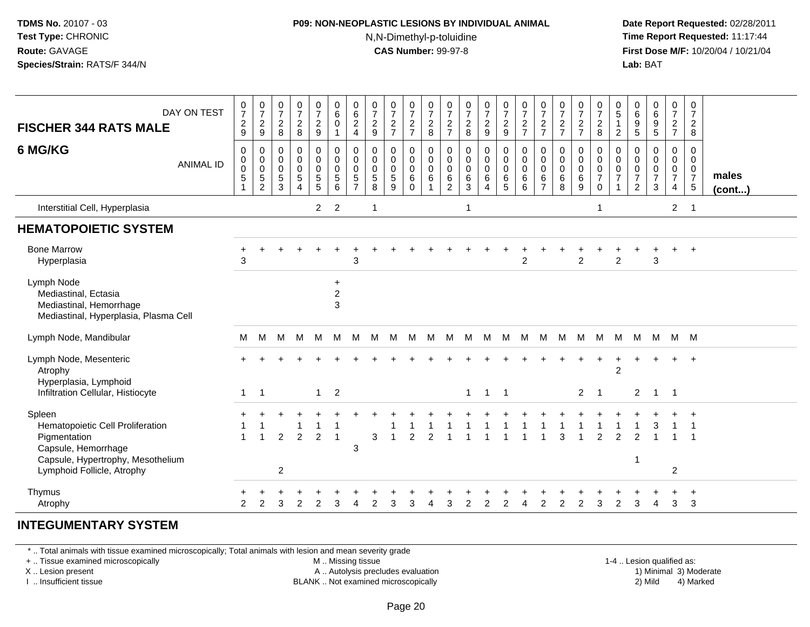#### **P09: NON-NEOPLASTIC LESIONS BY INDIVIDUAL ANIMAL**N,N-Dimethyl-p-toluidine

 **Date Report Requested:** 02/28/2011 **Time Report Requested:** 11:17:44 **First Dose M/F:** 10/20/04 / 10/21/04<br>**Lab:** BAT **Lab:** BAT

| DAY ON TEST<br><b>FISCHER 344 RATS MALE</b>                                                                                                          | $\frac{0}{7}$<br>$\sqrt{2}$<br>$\overline{9}$                     | $\frac{0}{7}$<br>$\sqrt{2}$<br>9                   | $\frac{0}{7}$<br>$\sqrt{2}$<br>$\,8\,$ | $\frac{0}{7}$<br>$_{\rm 8}^2$                                 | $\frac{0}{7}$<br>$\sqrt{2}$<br>$9\,$                                           | $\begin{matrix} 0 \\ 6 \end{matrix}$<br>$\mathbf 0$<br>$\overline{1}$ | $\begin{array}{c} 0 \\ 6 \end{array}$<br>$\sqrt{2}$<br>$\overline{\mathbf{4}}$ | $\frac{0}{7}$<br>$\sqrt{2}$<br>$\boldsymbol{9}$             | $\frac{0}{7}$<br>$\frac{2}{7}$ | $\frac{0}{7}$<br>$\frac{2}{7}$              | $\frac{0}{7}$<br>$^{\,2}_{\,8}$                       | $\frac{0}{7}$<br>$\frac{2}{7}$                                       | $\frac{0}{7}$<br>$\frac{2}{8}$                      | $\frac{0}{7}$<br>$\frac{2}{9}$              | $\begin{smallmatrix} 0\\7 \end{smallmatrix}$<br>$\frac{2}{9}$ | $\frac{0}{7}$<br>$\frac{2}{7}$          | $\frac{0}{7}$<br>$\frac{2}{7}$             | $\frac{0}{7}$<br>$\frac{2}{7}$                                         | $\frac{0}{7}$<br>$\frac{2}{7}$              | $\frac{0}{7}$<br>$\frac{2}{8}$                                              | $\begin{array}{c} 0 \\ 5 \end{array}$<br>1<br>$\overline{c}$ | $\begin{matrix} 0 \\ 6 \end{matrix}$<br>$\frac{9}{5}$             | 0<br>0<br>0<br>5                                           | $\begin{smallmatrix}0\\7\end{smallmatrix}$<br>$\frac{2}{7}$ | 0<br>$\overline{7}$<br>$\overline{c}$<br>$\bf8$ |                       |
|------------------------------------------------------------------------------------------------------------------------------------------------------|-------------------------------------------------------------------|----------------------------------------------------|----------------------------------------|---------------------------------------------------------------|--------------------------------------------------------------------------------|-----------------------------------------------------------------------|--------------------------------------------------------------------------------|-------------------------------------------------------------|--------------------------------|---------------------------------------------|-------------------------------------------------------|----------------------------------------------------------------------|-----------------------------------------------------|---------------------------------------------|---------------------------------------------------------------|-----------------------------------------|--------------------------------------------|------------------------------------------------------------------------|---------------------------------------------|-----------------------------------------------------------------------------|--------------------------------------------------------------|-------------------------------------------------------------------|------------------------------------------------------------|-------------------------------------------------------------|-------------------------------------------------|-----------------------|
| 6 MG/KG<br><b>ANIMAL ID</b>                                                                                                                          | $\mathbf 0$<br>$\mathbf 0$<br>$\boldsymbol{0}$<br>$\sqrt{5}$<br>1 | 0<br>$\pmb{0}$<br>$\pmb{0}$<br>5<br>$\overline{2}$ | 0<br>0<br>$\pmb{0}$<br>5<br>3          | $\pmb{0}$<br>$\pmb{0}$<br>$\pmb{0}$<br>$\sqrt{5}$<br>$\Delta$ | 0<br>$\pmb{0}$<br>$\mathsf{O}\xspace$<br>$\begin{array}{c} 5 \\ 5 \end{array}$ | $\pmb{0}$<br>$\pmb{0}$<br>$\mathbf 0$<br>5<br>6                       | 0<br>0<br>$\mathbf 0$<br>$\sqrt{5}$<br>$\overline{7}$                          | $\mathbf 0$<br>$\pmb{0}$<br>$\mathbf 0$<br>$\mathbf 5$<br>8 | 0<br>0<br>0<br>5<br>9          | 0<br>0<br>$\boldsymbol{0}$<br>6<br>$\Omega$ | $\boldsymbol{0}$<br>$\pmb{0}$<br>$\pmb{0}$<br>$\,6\,$ | $\mathbf 0$<br>$\pmb{0}$<br>$\mathbf 0$<br>$\,6\,$<br>$\overline{2}$ | $\mathbf 0$<br>$\pmb{0}$<br>$\pmb{0}$<br>$\,6$<br>3 | 0<br>$\pmb{0}$<br>$\pmb{0}$<br>$\,6\,$<br>4 | 0<br>$\mathsf 0$<br>$\mathsf{O}\xspace$<br>6<br>5             | 0<br>$\pmb{0}$<br>$\mathbf 0$<br>6<br>6 | 0<br>0<br>$\pmb{0}$<br>6<br>$\overline{7}$ | $_{\rm 0}^{\rm 0}$<br>$\mathsf{O}\xspace$<br>$\,6\,$<br>$\overline{8}$ | 0<br>$\pmb{0}$<br>$\pmb{0}$<br>$\,6\,$<br>9 | $\,0\,$<br>$\mathbf 0$<br>$\mathsf{O}\xspace$<br>$\overline{7}$<br>$\Omega$ | 0<br>0<br>0<br>$\overline{7}$                                | $\mathbf 0$<br>0<br>$\pmb{0}$<br>$\overline{7}$<br>$\overline{2}$ | $\pmb{0}$<br>$\pmb{0}$<br>$\pmb{0}$<br>$\overline{7}$<br>3 | 0<br>0<br>$\mathbf 0$<br>$\overline{7}$<br>4                | 0<br>0<br>$\mathbf 0$<br>$\overline{7}$<br>5    | males<br>$($ cont $)$ |
| Interstitial Cell, Hyperplasia                                                                                                                       |                                                                   |                                                    |                                        |                                                               | 2 <sup>7</sup>                                                                 | $\overline{2}$                                                        |                                                                                | $\overline{\phantom{a}}$                                    |                                |                                             |                                                       |                                                                      | -1                                                  |                                             |                                                               |                                         |                                            |                                                                        |                                             | 1                                                                           |                                                              |                                                                   |                                                            | $\overline{2}$                                              | $\overline{1}$                                  |                       |
| <b>HEMATOPOIETIC SYSTEM</b>                                                                                                                          |                                                                   |                                                    |                                        |                                                               |                                                                                |                                                                       |                                                                                |                                                             |                                |                                             |                                                       |                                                                      |                                                     |                                             |                                                               |                                         |                                            |                                                                        |                                             |                                                                             |                                                              |                                                                   |                                                            |                                                             |                                                 |                       |
| <b>Bone Marrow</b><br>Hyperplasia                                                                                                                    | 3                                                                 |                                                    |                                        |                                                               |                                                                                |                                                                       | 3                                                                              |                                                             |                                |                                             |                                                       |                                                                      |                                                     |                                             |                                                               | $\overline{2}$                          |                                            |                                                                        | $\overline{2}$                              |                                                                             | $\overline{2}$                                               |                                                                   | $\ddot{}$<br>3                                             | $+$                                                         | $+$                                             |                       |
| Lymph Node<br>Mediastinal, Ectasia<br>Mediastinal, Hemorrhage<br>Mediastinal, Hyperplasia, Plasma Cell                                               |                                                                   |                                                    |                                        |                                                               |                                                                                | $+$<br>$\sqrt{2}$<br>$\mathbf{3}$                                     |                                                                                |                                                             |                                |                                             |                                                       |                                                                      |                                                     |                                             |                                                               |                                         |                                            |                                                                        |                                             |                                                                             |                                                              |                                                                   |                                                            |                                                             |                                                 |                       |
| Lymph Node, Mandibular                                                                                                                               | M                                                                 | M                                                  | м                                      | M                                                             | M                                                                              | м                                                                     | M                                                                              | M                                                           | M                              | M                                           | M                                                     | м                                                                    | м                                                   | M                                           | M                                                             | M                                       | M                                          | M                                                                      | M                                           | M                                                                           | M                                                            | M                                                                 | M                                                          | M M                                                         |                                                 |                       |
| Lymph Node, Mesenteric<br>Atrophy<br>Hyperplasia, Lymphoid                                                                                           |                                                                   |                                                    |                                        |                                                               |                                                                                |                                                                       |                                                                                |                                                             |                                |                                             |                                                       |                                                                      |                                                     |                                             |                                                               |                                         |                                            |                                                                        |                                             |                                                                             | 2                                                            |                                                                   |                                                            |                                                             |                                                 |                       |
| Infiltration Cellular, Histiocyte                                                                                                                    | 1                                                                 | $\overline{1}$                                     |                                        |                                                               | $\mathbf{1}$                                                                   | $\overline{2}$                                                        |                                                                                |                                                             |                                |                                             |                                                       |                                                                      | $\mathbf{1}$                                        | $\overline{1}$                              | $\overline{\phantom{0}}$                                      |                                         |                                            |                                                                        | $\overline{2}$                              | -1                                                                          |                                                              | $\overline{2}$                                                    | $\overline{1}$                                             | -1                                                          |                                                 |                       |
| Spleen<br>Hematopoietic Cell Proliferation<br>Pigmentation<br>Capsule, Hemorrhage<br>Capsule, Hypertrophy, Mesothelium<br>Lymphoid Follicle, Atrophy | 1                                                                 |                                                    | 2<br>$\overline{c}$                    | $\overline{2}$                                                | 2                                                                              | - 1                                                                   | 3                                                                              | 3                                                           |                                | $\overline{2}$                              | $\mathcal{P}$                                         |                                                                      |                                                     |                                             |                                                               |                                         |                                            | 3                                                                      |                                             | 2                                                                           | $\mathcal{P}$                                                | っ                                                                 |                                                            | $\overline{c}$                                              |                                                 |                       |
| Thymus<br>Atrophy                                                                                                                                    | 2                                                                 | $\mathcal{P}$                                      | 3                                      | $\overline{2}$                                                | $\overline{2}$                                                                 | 3                                                                     |                                                                                |                                                             | 3                              | 3                                           |                                                       | 3                                                                    |                                                     | 2                                           |                                                               |                                         |                                            | 2                                                                      | $\overline{2}$                              |                                                                             | 2                                                            |                                                                   |                                                            | 3                                                           | $\ddot{}$<br>3                                  |                       |

#### **INTEGUMENTARY SYSTEM**

\* .. Total animals with tissue examined microscopically; Total animals with lesion and mean severity grade

+ .. Tissue examined microscopically

X .. Lesion present

I .. Insufficient tissue

M .. Missing tissue

A .. Autolysis precludes evaluation

BLANK .. Not examined microscopically 2) Mild 4) Marked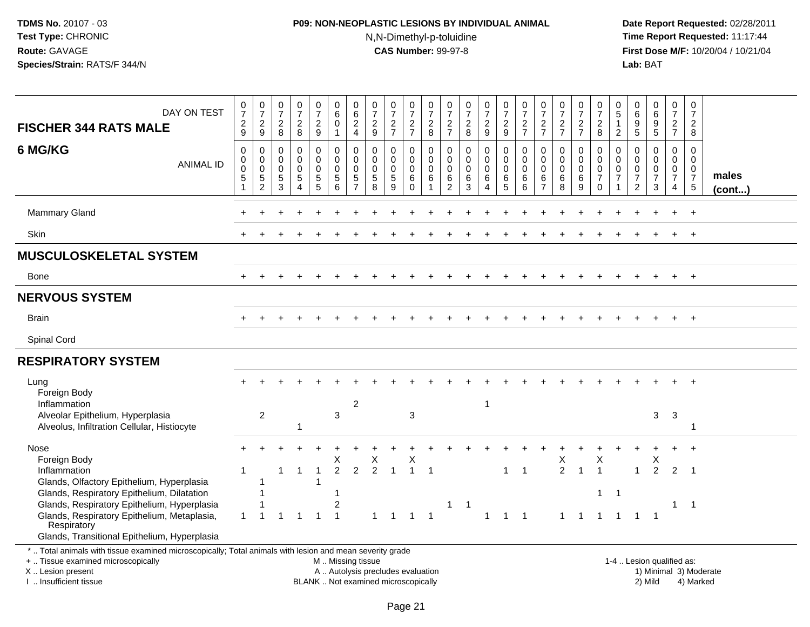## **P09: NON-NEOPLASTIC LESIONS BY INDIVIDUAL ANIMAL**N,N-Dimethyl-p-toluidine

 **Date Report Requested:** 02/28/2011 **Time Report Requested:** 11:17:44 **First Dose M/F:** 10/20/04 / 10/21/04<br>**Lab:** BAT **Lab:** BAT

| DAY ON TEST<br><b>FISCHER 344 RATS MALE</b>                                                                                                                                                   | $\frac{0}{7}$<br>$\frac{2}{9}$ | $\begin{array}{c} 0 \\ 7 \end{array}$<br>$\frac{2}{9}$          | $\begin{array}{c} 0 \\ 7 \end{array}$<br>$_{8}^{\rm 2}$             | $\frac{0}{7}$<br>$\frac{2}{8}$                                                  | $\frac{0}{7}$<br>$\frac{2}{9}$                                  | 0<br>$\overline{6}$<br>$\mathbf 0$<br>$\mathbf{1}$ | 0<br>$\overline{6}$<br>$\frac{2}{4}$                                      | $\frac{0}{7}$<br>$\frac{2}{9}$                                           | $\frac{0}{7}$<br>$\frac{2}{7}$                          | $\frac{0}{7}$<br>$\frac{2}{7}$                                              | $\frac{0}{7}$<br>$\frac{2}{8}$            | 0<br>$\overline{7}$<br>$\frac{2}{7}$                             | $\frac{0}{7}$<br>$\frac{2}{8}$                         | $\begin{smallmatrix}0\\7\end{smallmatrix}$<br>$\frac{2}{9}$ | $\begin{array}{c} 0 \\ 7 \end{array}$<br>$\frac{2}{9}$       | $\frac{0}{7}$<br>$\frac{2}{7}$                                    | $\frac{0}{7}$<br>$\frac{2}{7}$                                   | $\frac{0}{7}$<br>$\frac{2}{7}$            | $\frac{0}{7}$<br>$\frac{2}{7}$                             | $\frac{0}{7}$<br>$_{\rm 8}^2$                                    | $\begin{array}{c} 0 \\ 5 \end{array}$<br>1<br>$\overline{2}$ | $\begin{array}{c} 0 \\ 6 \end{array}$<br>9<br>$\overline{5}$                | $_{\rm 6}^{\rm 0}$<br>$9\,$<br>$\overline{5}$                   | 0<br>$\overline{7}$<br>$rac{2}{7}$                                            | 0<br>$\overline{7}$<br>$\overline{2}$<br>8                         |                        |
|-----------------------------------------------------------------------------------------------------------------------------------------------------------------------------------------------|--------------------------------|-----------------------------------------------------------------|---------------------------------------------------------------------|---------------------------------------------------------------------------------|-----------------------------------------------------------------|----------------------------------------------------|---------------------------------------------------------------------------|--------------------------------------------------------------------------|---------------------------------------------------------|-----------------------------------------------------------------------------|-------------------------------------------|------------------------------------------------------------------|--------------------------------------------------------|-------------------------------------------------------------|--------------------------------------------------------------|-------------------------------------------------------------------|------------------------------------------------------------------|-------------------------------------------|------------------------------------------------------------|------------------------------------------------------------------|--------------------------------------------------------------|-----------------------------------------------------------------------------|-----------------------------------------------------------------|-------------------------------------------------------------------------------|--------------------------------------------------------------------|------------------------|
| 6 MG/KG<br><b>ANIMAL ID</b>                                                                                                                                                                   | 0<br>0<br>0<br>5<br>1          | 0<br>$\mathbf 0$<br>$\mathbf 0$<br>$\sqrt{5}$<br>$\overline{2}$ | 0<br>$\mathbf 0$<br>$\mathbf 0$<br>$\overline{5}$<br>$\overline{3}$ | $\mathbf 0$<br>$\pmb{0}$<br>$\mathsf{O}\xspace$<br>$\sqrt{5}$<br>$\overline{4}$ | 0<br>$\mathbf 0$<br>$\mathbf 0$<br>$\sqrt{5}$<br>$\overline{5}$ | 0<br>$\mathbf 0$<br>$\mathbf 0$<br>5<br>6          | $\mathbf 0$<br>$\mathbf 0$<br>$\mathbf 0$<br>$\sqrt{5}$<br>$\overline{7}$ | 0<br>$\mathbf 0$<br>$\mathbf 0$<br>5<br>$\overline{8}$                   | 0<br>$\mathbf 0$<br>$\mathbf 0$<br>$5\phantom{.0}$<br>9 | $\mathbf 0$<br>$\mathbf 0$<br>$\mathbf 0$<br>$6\phantom{1}6$<br>$\mathbf 0$ | 0<br>$\mathbf 0$<br>$\mathbf 0$<br>6<br>1 | $\mathbf 0$<br>$\mathbf 0$<br>$\mathbf 0$<br>6<br>$\overline{2}$ | 0<br>$\mathbf 0$<br>$\mathbf 0$<br>6<br>$\overline{3}$ | 0<br>$\mathbf 0$<br>$\mathbf 0$<br>6<br>$\overline{4}$      | 0<br>$\mathbf 0$<br>$\mathbf 0$<br>$\,6\,$<br>$\overline{5}$ | $\mathbf 0$<br>$\mathbf 0$<br>$\mathbf 0$<br>6<br>$6\phantom{1}6$ | $\mathbf 0$<br>$\mathbf 0$<br>$\mathbf 0$<br>6<br>$\overline{7}$ | 0<br>$\mathbf 0$<br>$\mathbf 0$<br>6<br>8 | 0<br>$\mathbf 0$<br>$\pmb{0}$<br>$\,6\,$<br>$\overline{9}$ | 0<br>$\mathbf 0$<br>$\mathbf 0$<br>$\overline{7}$<br>$\mathbf 0$ | 0<br>0<br>$\mathsf 0$<br>$\overline{7}$                      | $\mathbf 0$<br>$\mathbf 0$<br>$\pmb{0}$<br>$\overline{7}$<br>$\overline{2}$ | 0<br>$\mathbf 0$<br>$\pmb{0}$<br>$\overline{7}$<br>$\mathbf{3}$ | $\mathbf 0$<br>$\mathbf 0$<br>$\mathbf 0$<br>$\overline{7}$<br>$\overline{4}$ | $\mathbf 0$<br>$\overline{0}$<br>0<br>$\overline{7}$<br>$\sqrt{5}$ | males<br>(cont)        |
| <b>Mammary Gland</b>                                                                                                                                                                          |                                |                                                                 |                                                                     |                                                                                 |                                                                 |                                                    |                                                                           |                                                                          |                                                         |                                                                             |                                           |                                                                  |                                                        |                                                             |                                                              |                                                                   |                                                                  |                                           |                                                            |                                                                  |                                                              |                                                                             |                                                                 |                                                                               |                                                                    |                        |
| <b>Skin</b>                                                                                                                                                                                   |                                |                                                                 |                                                                     |                                                                                 |                                                                 |                                                    |                                                                           |                                                                          |                                                         |                                                                             |                                           |                                                                  |                                                        |                                                             |                                                              |                                                                   |                                                                  |                                           |                                                            |                                                                  |                                                              |                                                                             |                                                                 |                                                                               |                                                                    |                        |
| <b>MUSCULOSKELETAL SYSTEM</b>                                                                                                                                                                 |                                |                                                                 |                                                                     |                                                                                 |                                                                 |                                                    |                                                                           |                                                                          |                                                         |                                                                             |                                           |                                                                  |                                                        |                                                             |                                                              |                                                                   |                                                                  |                                           |                                                            |                                                                  |                                                              |                                                                             |                                                                 |                                                                               |                                                                    |                        |
| <b>Bone</b>                                                                                                                                                                                   |                                |                                                                 |                                                                     |                                                                                 |                                                                 |                                                    |                                                                           |                                                                          |                                                         |                                                                             |                                           |                                                                  |                                                        |                                                             |                                                              |                                                                   |                                                                  |                                           |                                                            |                                                                  |                                                              |                                                                             |                                                                 |                                                                               | $+$                                                                |                        |
| <b>NERVOUS SYSTEM</b>                                                                                                                                                                         |                                |                                                                 |                                                                     |                                                                                 |                                                                 |                                                    |                                                                           |                                                                          |                                                         |                                                                             |                                           |                                                                  |                                                        |                                                             |                                                              |                                                                   |                                                                  |                                           |                                                            |                                                                  |                                                              |                                                                             |                                                                 |                                                                               |                                                                    |                        |
| <b>Brain</b>                                                                                                                                                                                  |                                |                                                                 |                                                                     |                                                                                 |                                                                 |                                                    |                                                                           |                                                                          |                                                         |                                                                             |                                           |                                                                  |                                                        |                                                             |                                                              |                                                                   |                                                                  |                                           |                                                            |                                                                  |                                                              |                                                                             |                                                                 |                                                                               |                                                                    |                        |
| Spinal Cord                                                                                                                                                                                   |                                |                                                                 |                                                                     |                                                                                 |                                                                 |                                                    |                                                                           |                                                                          |                                                         |                                                                             |                                           |                                                                  |                                                        |                                                             |                                                              |                                                                   |                                                                  |                                           |                                                            |                                                                  |                                                              |                                                                             |                                                                 |                                                                               |                                                                    |                        |
| <b>RESPIRATORY SYSTEM</b>                                                                                                                                                                     |                                |                                                                 |                                                                     |                                                                                 |                                                                 |                                                    |                                                                           |                                                                          |                                                         |                                                                             |                                           |                                                                  |                                                        |                                                             |                                                              |                                                                   |                                                                  |                                           |                                                            |                                                                  |                                                              |                                                                             |                                                                 |                                                                               |                                                                    |                        |
| Lung<br>Foreign Body<br>Inflammation                                                                                                                                                          |                                |                                                                 |                                                                     |                                                                                 |                                                                 |                                                    | $\overline{2}$                                                            |                                                                          |                                                         |                                                                             |                                           |                                                                  |                                                        | $\mathbf{1}$                                                |                                                              |                                                                   |                                                                  |                                           |                                                            |                                                                  |                                                              |                                                                             |                                                                 |                                                                               |                                                                    |                        |
| Alveolar Epithelium, Hyperplasia<br>Alveolus, Infiltration Cellular, Histiocyte                                                                                                               |                                | $\overline{c}$                                                  |                                                                     | 1                                                                               |                                                                 | 3                                                  |                                                                           |                                                                          |                                                         | 3                                                                           |                                           |                                                                  |                                                        |                                                             |                                                              |                                                                   |                                                                  |                                           |                                                            |                                                                  |                                                              |                                                                             | 3                                                               | 3                                                                             | $\mathbf{1}$                                                       |                        |
| Nose<br>Foreign Body                                                                                                                                                                          |                                |                                                                 |                                                                     |                                                                                 |                                                                 | X                                                  |                                                                           | Χ                                                                        |                                                         | Х                                                                           |                                           |                                                                  |                                                        |                                                             |                                                              |                                                                   |                                                                  | X                                         |                                                            | Χ                                                                |                                                              |                                                                             | X                                                               |                                                                               |                                                                    |                        |
| Inflammation<br>Glands, Olfactory Epithelium, Hyperplasia<br>Glands, Respiratory Epithelium, Dilatation                                                                                       | 1                              | 1<br>$\mathbf{1}$                                               | -1                                                                  | $\overline{1}$                                                                  | $\overline{1}$<br>$\overline{1}$                                | $\overline{2}$<br>1                                | 2                                                                         | $\overline{2}$                                                           | $\overline{1}$                                          | $\overline{1}$                                                              | $\overline{1}$                            |                                                                  |                                                        |                                                             | $\mathbf{1}$                                                 | $\overline{1}$                                                    |                                                                  | $\overline{2}$                            | $\overline{1}$                                             | $\overline{1}$<br>$\mathbf{1}$                                   | $\overline{1}$                                               | $\mathbf{1}$                                                                | 2                                                               | 2                                                                             | $\overline{\phantom{1}}$                                           |                        |
| Glands, Respiratory Epithelium, Hyperplasia<br>Glands, Respiratory Epithelium, Metaplasia,<br>Respiratory<br>Glands, Transitional Epithelium, Hyperplasia                                     | 1                              |                                                                 |                                                                     |                                                                                 |                                                                 | $\overline{2}$<br>$\mathbf{1}$                     |                                                                           | $\mathbf{1}$                                                             |                                                         | $\overline{1}$                                                              | $\overline{1}$                            | $\mathbf{1}$                                                     | $\overline{1}$                                         | $\mathbf{1}$                                                | $\mathbf{1}$                                                 | $\overline{\mathbf{1}}$                                           |                                                                  | $\mathbf{1}$                              |                                                            | $\mathbf{1}$                                                     |                                                              | $\overline{1}$                                                              | $\overline{1}$                                                  | 1                                                                             | $\overline{1}$                                                     |                        |
| *  Total animals with tissue examined microscopically; Total animals with lesion and mean severity grade<br>+  Tissue examined microscopically<br>X  Lesion present<br>I  Insufficient tissue |                                |                                                                 |                                                                     |                                                                                 |                                                                 | M  Missing tissue                                  |                                                                           | A  Autolysis precludes evaluation<br>BLANK  Not examined microscopically |                                                         |                                                                             |                                           |                                                                  |                                                        |                                                             |                                                              |                                                                   |                                                                  |                                           |                                                            |                                                                  |                                                              | 1-4  Lesion qualified as:                                                   | 2) Mild                                                         |                                                                               | 4) Marked                                                          | 1) Minimal 3) Moderate |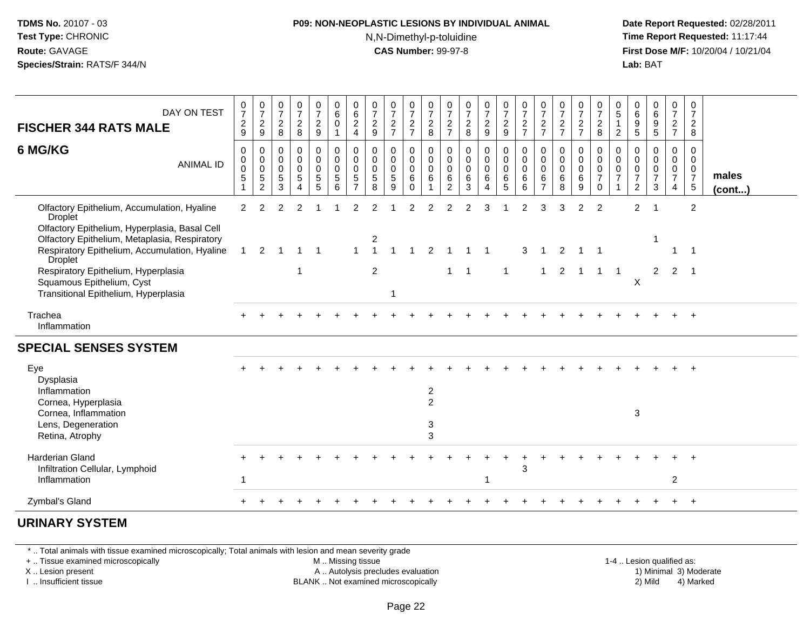#### **P09: NON-NEOPLASTIC LESIONS BY INDIVIDUAL ANIMAL**N,N-Dimethyl-p-toluidine

 **Date Report Requested:** 02/28/2011 **Time Report Requested:** 11:17:44 **First Dose M/F:** 10/20/04 / 10/21/04<br>**Lab:** BAT **Lab:** BAT

| DAY ON TEST<br><b>FISCHER 344 RATS MALE</b>                                                                                                                | $\frac{0}{7}$<br>$\overline{c}$<br>9      | $\frac{0}{7}$<br>$\boldsymbol{2}$<br>9                                         | $\frac{0}{7}$<br>$\sqrt{2}$<br>8                                      | $\frac{0}{7}$<br>$\sqrt{2}$<br>8                                                      | $\frac{0}{7}$<br>$\mathbf{2}$<br>9                                  | $\begin{matrix} 0 \\ 6 \end{matrix}$<br>$\mathbf 0$<br>$\overline{1}$ | $\begin{matrix} 0 \\ 6 \end{matrix}$<br>$\overline{c}$<br>$\overline{4}$ | $\frac{0}{7}$<br>$\sqrt{2}$<br>9                              | $\frac{0}{7}$<br>$\overline{c}$<br>$\overline{7}$ | $\frac{0}{7}$<br>$\sqrt{2}$<br>$\overline{7}$                                  | $\frac{0}{7}$<br>$\sqrt{2}$<br>8                                    | $\frac{0}{7}$<br>$\frac{2}{7}$                                | $\frac{0}{7}$<br>8                                                         | $\frac{0}{7}$<br>$\frac{2}{9}$                         | $\frac{0}{7}$<br>$\frac{2}{9}$                  | $\frac{0}{7}$<br>$\frac{2}{7}$                             | $\frac{0}{7}$<br>$\frac{2}{7}$                                   | $\frac{0}{7}$<br>$\frac{2}{7}$                      | $\frac{0}{7}$<br>$\overline{\mathbf{c}}$<br>$\overline{7}$     | $\frac{0}{7}$<br>$\sqrt{2}$<br>8                              | 0<br>$\overline{5}$<br>$\mathbf{1}$<br>2                 | 0<br>$\,6\,$<br>$\frac{9}{5}$                                    | $\begin{matrix} 0 \\ 6 \end{matrix}$<br>$\boldsymbol{9}$<br>5 | $\frac{0}{7}$<br>$\overline{a}$<br>$\overline{7}$             | 0<br>$\overline{7}$<br>$\overline{c}$<br>8                                         |                       |
|------------------------------------------------------------------------------------------------------------------------------------------------------------|-------------------------------------------|--------------------------------------------------------------------------------|-----------------------------------------------------------------------|---------------------------------------------------------------------------------------|---------------------------------------------------------------------|-----------------------------------------------------------------------|--------------------------------------------------------------------------|---------------------------------------------------------------|---------------------------------------------------|--------------------------------------------------------------------------------|---------------------------------------------------------------------|---------------------------------------------------------------|----------------------------------------------------------------------------|--------------------------------------------------------|-------------------------------------------------|------------------------------------------------------------|------------------------------------------------------------------|-----------------------------------------------------|----------------------------------------------------------------|---------------------------------------------------------------|----------------------------------------------------------|------------------------------------------------------------------|---------------------------------------------------------------|---------------------------------------------------------------|------------------------------------------------------------------------------------|-----------------------|
| 6 MG/KG<br><b>ANIMAL ID</b>                                                                                                                                | $\Omega$<br>0<br>0<br>5<br>$\overline{1}$ | $\mathbf 0$<br>$\mathsf{O}$<br>$\mathsf 0$<br>$\overline{5}$<br>$\overline{c}$ | $\mathbf 0$<br>$\boldsymbol{0}$<br>$\mathbf 0$<br>$\overline{5}$<br>3 | $\mathbf 0$<br>$\ddot{\mathbf{0}}$<br>$\mathbf 0$<br>$\overline{5}$<br>$\overline{4}$ | 0<br>$\overline{0}$<br>$\mathbf 0$<br>$\sqrt{5}$<br>$5\phantom{.0}$ | $\mathbf 0$<br>$\ddot{\mathbf{0}}$<br>$\mathbf 0$<br>$\sqrt{5}$<br>6  | $\mathbf{0}$<br>$\mathbf 0$<br>$\mathbf 0$<br>5<br>7                     | $\Omega$<br>$\mathbf 0$<br>$\mathbf 0$<br>$\overline{5}$<br>8 | $\Omega$<br>0<br>$\pmb{0}$<br>$\sqrt{5}$<br>9     | $\mathbf 0$<br>$\mathsf{O}\xspace$<br>$\mathsf{O}\xspace$<br>6<br>$\mathbf{0}$ | $\Omega$<br>$\mathbf 0$<br>$\mathbf 0$<br>6<br>$\blacktriangleleft$ | $\Omega$<br>$\mathbf 0$<br>$\mathbf 0$<br>6<br>$\overline{2}$ | $\mathbf 0$<br>$\mathbf 0$<br>$\mathsf{O}\xspace$<br>$\,6$<br>$\mathbf{3}$ | 0<br>$\tilde{0}$<br>$\mathbf 0$<br>6<br>$\overline{4}$ | 0<br>$\overline{0}$<br>$\overline{0}$<br>6<br>5 | $\mathbf 0$<br>$\overline{0}$<br>$\pmb{0}$<br>$\,6\,$<br>6 | $\mathbf 0$<br>$\mathbf 0$<br>$\mathbf 0$<br>6<br>$\overline{7}$ | $\mathbf 0$<br>$\mathbf 0$<br>$\mathbf 0$<br>6<br>8 | $\Omega$<br>$\mathsf{O}$<br>$\mathbf 0$<br>$\overline{6}$<br>9 | $\mathbf 0$<br>$\overline{0}$<br>$\frac{0}{7}$<br>$\mathbf 0$ | $\Omega$<br>$\mathbf 0$<br>$\mathsf 0$<br>$\overline{7}$ | $\Omega$<br>$\mathbf 0$<br>0<br>$\overline{7}$<br>$\overline{2}$ | $\Omega$<br>$\mathbf 0$<br>$\pmb{0}$<br>$\overline{7}$<br>3   | $\Omega$<br>$\mathbf 0$<br>$\mathbf 0$<br>$\overline{7}$<br>4 | $\Omega$<br>$\mathbf 0$<br>$\mathsf{O}\xspace$<br>$\overline{7}$<br>$\overline{5}$ | males<br>$($ cont $)$ |
| Olfactory Epithelium, Accumulation, Hyaline<br><b>Droplet</b>                                                                                              | $\overline{2}$                            | $\overline{2}$                                                                 | $\overline{2}$                                                        | $\overline{2}$                                                                        |                                                                     |                                                                       | $\overline{2}$                                                           | 2                                                             |                                                   | 2                                                                              | 2                                                                   | 2                                                             |                                                                            | 3                                                      |                                                 | $\overline{2}$                                             | 3                                                                | 3                                                   | $\overline{2}$                                                 | 2                                                             |                                                          | $\overline{2}$                                                   | -1                                                            |                                                               | 2                                                                                  |                       |
| Olfactory Epithelium, Hyperplasia, Basal Cell<br>Olfactory Epithelium, Metaplasia, Respiratory<br>Respiratory Epithelium, Accumulation, Hyaline<br>Droplet | $\mathbf{1}$                              | $\overline{2}$                                                                 |                                                                       |                                                                                       | -1                                                                  |                                                                       |                                                                          | 2                                                             |                                                   |                                                                                | $\mathcal{P}$                                                       |                                                               |                                                                            |                                                        |                                                 | 3                                                          |                                                                  | 2                                                   |                                                                |                                                               |                                                          |                                                                  | 1                                                             | $\mathbf{1}$                                                  |                                                                                    |                       |
| Respiratory Epithelium, Hyperplasia<br>Squamous Epithelium, Cyst<br>Transitional Epithelium, Hyperplasia                                                   |                                           |                                                                                |                                                                       | -1                                                                                    |                                                                     |                                                                       |                                                                          | $\overline{2}$                                                | $\mathbf{1}$                                      |                                                                                |                                                                     | 1                                                             |                                                                            |                                                        |                                                 |                                                            |                                                                  | 2                                                   |                                                                | $\mathbf{1}$                                                  | -1                                                       | $\boldsymbol{\mathsf{X}}$                                        | $\mathbf{2}$                                                  | $\overline{2}$                                                | $\overline{\phantom{1}}$                                                           |                       |
| Trachea<br>Inflammation                                                                                                                                    |                                           |                                                                                |                                                                       |                                                                                       |                                                                     |                                                                       |                                                                          |                                                               |                                                   |                                                                                |                                                                     |                                                               |                                                                            |                                                        |                                                 |                                                            |                                                                  |                                                     |                                                                |                                                               |                                                          |                                                                  |                                                               |                                                               | $\ddot{}$                                                                          |                       |
| <b>SPECIAL SENSES SYSTEM</b>                                                                                                                               |                                           |                                                                                |                                                                       |                                                                                       |                                                                     |                                                                       |                                                                          |                                                               |                                                   |                                                                                |                                                                     |                                                               |                                                                            |                                                        |                                                 |                                                            |                                                                  |                                                     |                                                                |                                                               |                                                          |                                                                  |                                                               |                                                               |                                                                                    |                       |
| Eye<br>Dysplasia<br>Inflammation                                                                                                                           |                                           |                                                                                |                                                                       |                                                                                       |                                                                     |                                                                       |                                                                          |                                                               |                                                   |                                                                                | $\overline{c}$                                                      |                                                               |                                                                            |                                                        |                                                 |                                                            |                                                                  |                                                     |                                                                |                                                               |                                                          |                                                                  |                                                               |                                                               |                                                                                    |                       |
| Cornea, Hyperplasia<br>Cornea, Inflammation<br>Lens, Degeneration<br>Retina, Atrophy                                                                       |                                           |                                                                                |                                                                       |                                                                                       |                                                                     |                                                                       |                                                                          |                                                               |                                                   |                                                                                | $\overline{2}$<br>$\mathbf{3}$<br>3                                 |                                                               |                                                                            |                                                        |                                                 |                                                            |                                                                  |                                                     |                                                                |                                                               |                                                          | 3                                                                |                                                               |                                                               |                                                                                    |                       |
| <b>Harderian Gland</b><br>Infiltration Cellular, Lymphoid<br>Inflammation                                                                                  |                                           |                                                                                |                                                                       |                                                                                       |                                                                     |                                                                       |                                                                          |                                                               |                                                   |                                                                                |                                                                     |                                                               |                                                                            | -1                                                     |                                                 | 3                                                          |                                                                  |                                                     |                                                                |                                                               |                                                          |                                                                  |                                                               | $\overline{2}$                                                |                                                                                    |                       |
| Zymbal's Gland                                                                                                                                             |                                           |                                                                                |                                                                       |                                                                                       |                                                                     |                                                                       |                                                                          |                                                               |                                                   |                                                                                |                                                                     |                                                               |                                                                            |                                                        |                                                 |                                                            |                                                                  |                                                     |                                                                |                                                               |                                                          |                                                                  |                                                               |                                                               | $+$                                                                                |                       |
|                                                                                                                                                            |                                           |                                                                                |                                                                       |                                                                                       |                                                                     |                                                                       |                                                                          |                                                               |                                                   |                                                                                |                                                                     |                                                               |                                                                            |                                                        |                                                 |                                                            |                                                                  |                                                     |                                                                |                                                               |                                                          |                                                                  |                                                               |                                                               |                                                                                    |                       |

#### **URINARY SYSTEM**

\* .. Total animals with tissue examined microscopically; Total animals with lesion and mean severity grade

+ .. Tissue examined microscopically

X .. Lesion present

I .. Insufficient tissue

M .. Missing tissue

A .. Autolysis precludes evaluation

BLANK .. Not examined microscopically 2) Mild 4) Marked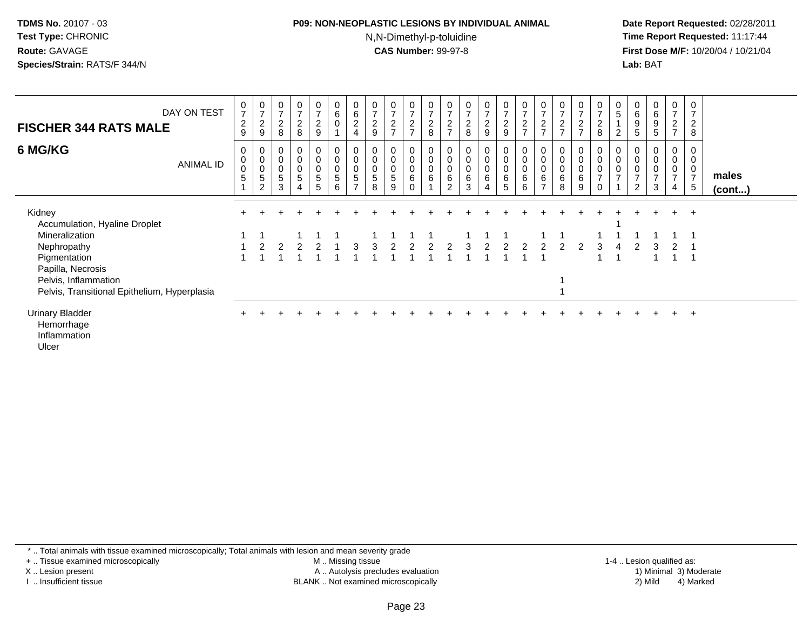#### **P09: NON-NEOPLASTIC LESIONS BY INDIVIDUAL ANIMAL**N,N-Dimethyl-p-toluidine

 **Date Report Requested:** 02/28/2011 **Time Report Requested:** 11:17:44 **First Dose M/F:** 10/20/04 / 10/21/04<br>**Lab:** BAT **Lab:** BAT

| <b>FISCHER 344 RATS MALE</b>                                                                                                                                                          | DAY ON TEST      | $\begin{array}{c} 0 \\ 7 \end{array}$<br>$\sqrt{2}$<br>$\boldsymbol{9}$ | 0<br>$\overline{ }$<br>$\overline{c}$<br>9 | $\overline{ }$<br>$\overline{c}$<br>8                     | 0<br>$\overline{ }$<br>$\overline{c}$<br>8 | 0<br>$\overline{ }$<br>$\overline{a}$<br>9 | $\begin{smallmatrix}0\0\0\end{smallmatrix}$ | 0<br>$\,6\,$<br>$\sqrt{2}$<br>$\overline{4}$               | $\overline{7}$<br>$\sqrt{2}$<br>$\boldsymbol{9}$ | $\mathbf{0}$<br>$\overline{ }$<br>$\overline{\mathbf{c}}$<br>$\overline{ }$ | $\frac{0}{7}$<br>$\sqrt{2}$<br>$\overline{7}$ | 0<br>$\overline{z}$<br>$\overline{c}$<br>8     | $\overline{7}$<br>$\boldsymbol{2}$<br>$\overline{z}$ | 0<br>$\overline{7}$<br>$\sqrt{2}$<br>8             | $\begin{smallmatrix}0\\7\end{smallmatrix}$<br>$\frac{2}{9}$   | $\begin{array}{c} 0 \\ 7 \end{array}$<br>$\frac{2}{9}$                 | 0<br>$\overline{ }$<br>$\overline{c}$<br>$\overline{ }$ | $\overline{7}$<br>$\overline{c}$<br>$\overline{7}$ | 0<br>$\overline{7}$<br>$\overline{c}$<br>$\overline{ }$ | $\frac{0}{7}$<br>$\frac{2}{7}$                              | 0<br>$\overline{7}$<br>$\boldsymbol{2}$<br>8         | $\pmb{0}$<br>$\sqrt{5}$<br>2                    | 0<br>$\,6\,$<br>$\boldsymbol{9}$<br>5               | 0<br>6<br>$\boldsymbol{9}$<br>5                              | 0<br>7<br>$\overline{c}$<br>$\overline{7}$           | 0<br>$\overline{ }$<br>$\overline{c}$<br>8 |                       |
|---------------------------------------------------------------------------------------------------------------------------------------------------------------------------------------|------------------|-------------------------------------------------------------------------|--------------------------------------------|-----------------------------------------------------------|--------------------------------------------|--------------------------------------------|---------------------------------------------|------------------------------------------------------------|--------------------------------------------------|-----------------------------------------------------------------------------|-----------------------------------------------|------------------------------------------------|------------------------------------------------------|----------------------------------------------------|---------------------------------------------------------------|------------------------------------------------------------------------|---------------------------------------------------------|----------------------------------------------------|---------------------------------------------------------|-------------------------------------------------------------|------------------------------------------------------|-------------------------------------------------|-----------------------------------------------------|--------------------------------------------------------------|------------------------------------------------------|--------------------------------------------|-----------------------|
| 6 MG/KG                                                                                                                                                                               | <b>ANIMAL ID</b> | $\mathbf 0$<br>$\pmb{0}$<br>$\boldsymbol{0}$<br>5                       | 0<br>$\pmb{0}$<br>$\pmb{0}$<br>5<br>2      | 0<br>$\begin{smallmatrix}0\\0\end{smallmatrix}$<br>5<br>3 | 0<br>$\pmb{0}$<br>$\pmb{0}$<br>5<br>4      | 0<br>0<br>0<br>5<br>5                      | 0<br>$\overline{0}$<br>$\sqrt{5}$<br>6      | $\pmb{0}$<br>$\pmb{0}$<br>$\overline{5}$<br>$\overline{ }$ | $\pmb{0}$<br>$\pmb{0}$<br>5<br>8                 | 0<br>$\mathbf 0$<br>$\pmb{0}$<br>5<br>9                                     | $\pmb{0}$<br>$\bar{0}$<br>6                   | 0<br>$\boldsymbol{0}$<br>$\boldsymbol{0}$<br>6 | 0<br>$\pmb{0}$<br>$\,6\,$<br>$\overline{2}$          | $\mathbf 0$<br>$\overline{0}$<br>0<br>$\,6\,$<br>3 | $\begin{smallmatrix}0\\0\\0\end{smallmatrix}$<br>$\,6\,$<br>4 | $\begin{smallmatrix}0\\0\\0\end{smallmatrix}$<br>$\,6\,$<br>$\sqrt{5}$ | 0<br>$\mathbf 0$<br>$\pmb{0}$<br>6<br>6                 | $\pmb{0}$<br>$\pmb{0}$<br>$\,6$<br>$\overline{ }$  | 0<br>$\pmb{0}$<br>$\pmb{0}$<br>6<br>8                   | $\begin{smallmatrix}0\0\0\end{smallmatrix}$<br>$\,6\,$<br>9 | $\pmb{0}$<br>$\pmb{0}$<br>$\overline{ }$<br>$\Omega$ | $\mathbf 0$<br>$\overline{0}$<br>$\overline{7}$ | 0<br>$\pmb{0}$<br>$\mbox{O}$<br>$\overline{7}$<br>2 | $\mathbf 0$<br>$\pmb{0}$<br>$\pmb{0}$<br>$\overline{7}$<br>3 | 0<br>$\mathbf 0$<br>$\pmb{0}$<br>$\overline{7}$<br>4 | $\mathbf 0$<br>0<br>$\overline{7}$<br>5    | males<br>$($ cont $)$ |
| Kidney<br>Accumulation, Hyaline Droplet<br>Mineralization<br>Nephropathy<br>Pigmentation<br>Papilla, Necrosis<br>Pelvis, Inflammation<br>Pelvis, Transitional Epithelium, Hyperplasia |                  |                                                                         |                                            |                                                           |                                            |                                            |                                             |                                                            |                                                  |                                                                             |                                               |                                                |                                                      |                                                    |                                                               |                                                                        |                                                         |                                                    |                                                         |                                                             |                                                      |                                                 |                                                     |                                                              |                                                      | $^+$                                       |                       |
| <b>Urinary Bladder</b><br>Hemorrhage<br>Inflammation<br>Ulcer                                                                                                                         |                  |                                                                         |                                            |                                                           |                                            |                                            |                                             |                                                            |                                                  |                                                                             |                                               |                                                |                                                      |                                                    |                                                               |                                                                        |                                                         |                                                    |                                                         |                                                             |                                                      |                                                 |                                                     |                                                              |                                                      | $\pm$                                      |                       |

\* .. Total animals with tissue examined microscopically; Total animals with lesion and mean severity grade

+ .. Tissue examined microscopically

X .. Lesion present

I .. Insufficient tissue

 M .. Missing tissueA .. Autolysis precludes evaluation

BLANK .. Not examined microscopically 2) Mild 4) Marked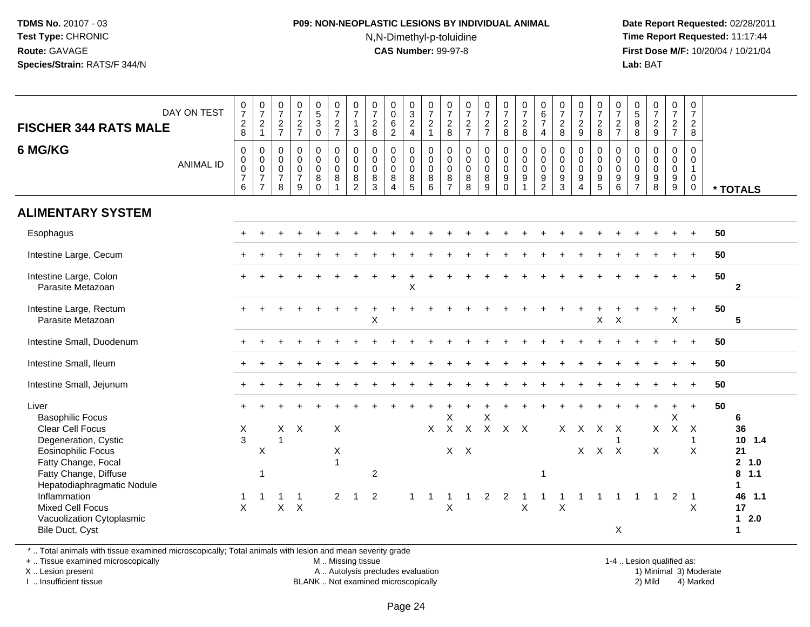#### **P09: NON-NEOPLASTIC LESIONS BY INDIVIDUAL ANIMAL**N,N-Dimethyl-p-toluidine

 **Date Report Requested:** 02/28/2011 **Time Report Requested:** 11:17:44 **First Dose M/F:** 10/20/04 / 10/21/04<br>**Lab:** BAT **Lab:** BAT

| DAY ON TEST<br><b>FISCHER 344 RATS MALE</b>                                                                                                                                                                                                              | $\frac{0}{7}$<br>$^{\,2}_{\,8}$                                    | $\frac{0}{7}$<br>$\overline{2}$<br>$\mathbf{1}$                             | $\frac{0}{7}$<br>$\frac{2}{7}$                                             | $\frac{0}{7}$<br>$\frac{2}{7}$                                          | $\begin{array}{c} 0 \\ 5 \\ 3 \end{array}$<br>$\mathbf 0$    | $\frac{0}{7}$<br>$rac{2}{7}$                                                   | $\frac{0}{7}$<br>$\mathbf{1}$<br>$\mathbf{3}$                          | $\frac{0}{7}$<br>$\frac{2}{8}$                    | 0<br>$\ddot{\mathbf{0}}$<br>$\,6\,$<br>$\overline{2}$     | $\frac{0}{3}$<br>$\frac{2}{4}$                    | $\frac{0}{7}$<br>$\overline{c}$<br>$\mathbf{1}$           | $\frac{0}{7}$<br>$\frac{2}{8}$                                 | $\frac{0}{7}$<br>$\frac{2}{7}$                                | $\frac{0}{7}$<br>$\frac{2}{7}$                                         | $\frac{0}{7}$<br>$\frac{2}{8}$                                                         | $\frac{0}{7}$<br>$\frac{2}{8}$                                        | $\begin{array}{c} 0 \\ 6 \\ 7 \end{array}$<br>$\overline{4}$         | $\frac{0}{7}$<br>$\frac{2}{8}$                                      | $\frac{0}{7}$<br>$\frac{2}{9}$                                              | $\frac{0}{7}$<br>$_{\rm 2}^2$                | $\frac{0}{7}$<br>$\frac{2}{7}$                                   | 0<br>8<br>8<br>8                                       | $\frac{0}{7}$<br>$\frac{2}{9}$                                   | $\frac{0}{7}$<br>$\frac{2}{7}$                                             | 0<br>$\overline{7}$<br>$\overline{2}$<br>8                              |    |                                                                                         |
|----------------------------------------------------------------------------------------------------------------------------------------------------------------------------------------------------------------------------------------------------------|--------------------------------------------------------------------|-----------------------------------------------------------------------------|----------------------------------------------------------------------------|-------------------------------------------------------------------------|--------------------------------------------------------------|--------------------------------------------------------------------------------|------------------------------------------------------------------------|---------------------------------------------------|-----------------------------------------------------------|---------------------------------------------------|-----------------------------------------------------------|----------------------------------------------------------------|---------------------------------------------------------------|------------------------------------------------------------------------|----------------------------------------------------------------------------------------|-----------------------------------------------------------------------|----------------------------------------------------------------------|---------------------------------------------------------------------|-----------------------------------------------------------------------------|----------------------------------------------|------------------------------------------------------------------|--------------------------------------------------------|------------------------------------------------------------------|----------------------------------------------------------------------------|-------------------------------------------------------------------------|----|-----------------------------------------------------------------------------------------|
| 6 MG/KG<br><b>ANIMAL ID</b>                                                                                                                                                                                                                              | $\mathbf 0$<br>$\pmb{0}$<br>$\pmb{0}$<br>$\overline{7}$<br>$\,6\,$ | 0<br>$\mathbf 0$<br>$\mathsf{O}\xspace$<br>$\overline{7}$<br>$\overline{7}$ | $\mathbf 0$<br>$\mathbf 0$<br>$\mathsf{O}\xspace$<br>$\boldsymbol{7}$<br>8 | $\mathsf{O}$<br>$\mathsf{O}\xspace$<br>$\pmb{0}$<br>$\overline{7}$<br>9 | 0<br>$\mathsf{O}\xspace$<br>$\pmb{0}$<br>8<br>$\overline{0}$ | $\mathsf 0$<br>$\ddot{\mathbf{0}}$<br>$\overline{0}$<br>$\, 8$<br>$\mathbf{1}$ | $\boldsymbol{0}$<br>$\pmb{0}$<br>$\pmb{0}$<br>$\bf8$<br>$\overline{2}$ | $\pmb{0}$<br>$\mathbf 0$<br>$\mathbf 0$<br>8<br>3 | 0<br>$\pmb{0}$<br>$\mathsf 0$<br>$\, 8$<br>$\overline{4}$ | $\mathbf 0$<br>$\mathbf 0$<br>$\pmb{0}$<br>8<br>5 | 0<br>$\mathsf{O}\xspace$<br>$\mathsf{O}\xspace$<br>8<br>6 | 0<br>$\mathbf 0$<br>$\mathsf{O}\xspace$<br>8<br>$\overline{7}$ | $\mathsf{O}$<br>$\pmb{0}$<br>$\pmb{0}$<br>8<br>$\overline{8}$ | 0<br>$\mathsf{O}\xspace$<br>$\mathsf{O}\xspace$<br>8<br>$\overline{9}$ | $\begin{smallmatrix}0\\0\\0\\0\end{smallmatrix}$<br>$\boldsymbol{9}$<br>$\overline{0}$ | $\pmb{0}$<br>$\pmb{0}$<br>$\mathbf 0$<br>9<br>$\overline{\mathbf{1}}$ | $\mathbf 0$<br>$\mathbf 0$<br>$\mathbf 0$<br>$9\,$<br>$\overline{2}$ | 0<br>$\pmb{0}$<br>$\mathsf 0$<br>$\boldsymbol{9}$<br>$\overline{3}$ | $\pmb{0}$<br>$\mathbf 0$<br>$\pmb{0}$<br>$\boldsymbol{9}$<br>$\overline{4}$ | 0<br>$\pmb{0}$<br>$\pmb{0}$<br>$\frac{9}{5}$ | 0<br>$\mathbf 0$<br>$\mathsf{O}\xspace$<br>$\boldsymbol{9}$<br>6 | $\pmb{0}$<br>$\pmb{0}$<br>$\mathbf 0$<br>$\frac{9}{7}$ | 0<br>$\ddot{\mathbf{0}}$<br>$\mathsf{O}\xspace$<br>$\frac{9}{8}$ | $\mathbf 0$<br>$\mathsf{O}\xspace$<br>$\ddot{\mathbf{0}}$<br>$\frac{9}{9}$ | $\Omega$<br>$\mathbf 0$<br>$\overline{1}$<br>$\mathbf 0$<br>$\mathbf 0$ |    | * TOTALS                                                                                |
| <b>ALIMENTARY SYSTEM</b>                                                                                                                                                                                                                                 |                                                                    |                                                                             |                                                                            |                                                                         |                                                              |                                                                                |                                                                        |                                                   |                                                           |                                                   |                                                           |                                                                |                                                               |                                                                        |                                                                                        |                                                                       |                                                                      |                                                                     |                                                                             |                                              |                                                                  |                                                        |                                                                  |                                                                            |                                                                         |    |                                                                                         |
| Esophagus                                                                                                                                                                                                                                                |                                                                    |                                                                             |                                                                            |                                                                         |                                                              |                                                                                |                                                                        |                                                   |                                                           |                                                   |                                                           |                                                                |                                                               |                                                                        |                                                                                        |                                                                       |                                                                      |                                                                     |                                                                             |                                              |                                                                  |                                                        |                                                                  |                                                                            |                                                                         | 50 |                                                                                         |
| Intestine Large, Cecum                                                                                                                                                                                                                                   |                                                                    |                                                                             |                                                                            |                                                                         |                                                              |                                                                                |                                                                        |                                                   |                                                           |                                                   |                                                           |                                                                |                                                               |                                                                        |                                                                                        |                                                                       |                                                                      |                                                                     |                                                                             |                                              |                                                                  |                                                        |                                                                  |                                                                            |                                                                         | 50 |                                                                                         |
| Intestine Large, Colon<br>Parasite Metazoan                                                                                                                                                                                                              |                                                                    |                                                                             |                                                                            |                                                                         |                                                              |                                                                                |                                                                        |                                                   |                                                           | $\boldsymbol{\mathsf{X}}$                         |                                                           |                                                                |                                                               |                                                                        |                                                                                        |                                                                       |                                                                      |                                                                     |                                                                             |                                              |                                                                  |                                                        |                                                                  |                                                                            | $+$                                                                     | 50 | $\overline{2}$                                                                          |
| Intestine Large, Rectum<br>Parasite Metazoan                                                                                                                                                                                                             |                                                                    |                                                                             |                                                                            |                                                                         |                                                              |                                                                                |                                                                        | X                                                 |                                                           |                                                   |                                                           |                                                                |                                                               |                                                                        |                                                                                        |                                                                       |                                                                      |                                                                     |                                                                             | X                                            | X                                                                |                                                        |                                                                  | X                                                                          | $\ddot{}$                                                               | 50 | 5                                                                                       |
| Intestine Small, Duodenum                                                                                                                                                                                                                                |                                                                    |                                                                             |                                                                            |                                                                         |                                                              |                                                                                |                                                                        |                                                   |                                                           |                                                   |                                                           |                                                                |                                                               |                                                                        |                                                                                        |                                                                       |                                                                      |                                                                     |                                                                             |                                              |                                                                  |                                                        |                                                                  |                                                                            | $\ddot{}$                                                               | 50 |                                                                                         |
| Intestine Small, Ileum                                                                                                                                                                                                                                   |                                                                    |                                                                             |                                                                            |                                                                         |                                                              |                                                                                |                                                                        |                                                   |                                                           |                                                   |                                                           |                                                                |                                                               |                                                                        |                                                                                        |                                                                       |                                                                      |                                                                     |                                                                             |                                              |                                                                  |                                                        |                                                                  |                                                                            | $+$                                                                     | 50 |                                                                                         |
| Intestine Small, Jejunum                                                                                                                                                                                                                                 |                                                                    |                                                                             |                                                                            |                                                                         |                                                              |                                                                                |                                                                        |                                                   |                                                           |                                                   |                                                           |                                                                |                                                               |                                                                        |                                                                                        |                                                                       |                                                                      |                                                                     |                                                                             |                                              |                                                                  |                                                        |                                                                  |                                                                            | $+$                                                                     | 50 |                                                                                         |
| Liver<br><b>Basophilic Focus</b><br>Clear Cell Focus<br>Degeneration, Cystic<br><b>Eosinophilic Focus</b><br>Fatty Change, Focal<br>Fatty Change, Diffuse<br>Hepatodiaphragmatic Nodule<br>Inflammation<br>Mixed Cell Focus<br>Vacuolization Cytoplasmic | $\boldsymbol{\mathsf{X}}$<br>3<br>-1<br>$\mathsf{X}$               | X<br>1                                                                      | X                                                                          | $X$ $X$<br>$\mathbf{1}$<br>$\times$                                     |                                                              | X<br>X<br>$\overline{1}$<br>2                                                  | -1                                                                     | $\overline{c}$<br>$\overline{2}$                  |                                                           |                                                   | $\times$                                                  | X<br>$X$ $X$<br>X                                              |                                                               | X<br>2                                                                 | X X X X X<br>2                                                                         | $\boldsymbol{\mathsf{X}}$                                             | 1                                                                    | X                                                                   | X X X X                                                                     | X X X                                        |                                                                  |                                                        | $\mathsf{X}$<br>X                                                | $\boldsymbol{\mathsf{X}}$<br>$X$ $X$<br>$\overline{2}$                     | $+$<br>-1<br>$\boldsymbol{\mathsf{X}}$<br>$\overline{1}$<br>X           | 50 | 6<br>36<br>10 1.4<br>21<br>2, 1.0<br>$8$ 1.1<br>1<br>46 1.1<br>17<br>2.0<br>$\mathbf 1$ |
| Bile Duct, Cyst                                                                                                                                                                                                                                          |                                                                    |                                                                             |                                                                            |                                                                         |                                                              |                                                                                |                                                                        |                                                   |                                                           |                                                   |                                                           |                                                                |                                                               |                                                                        |                                                                                        |                                                                       |                                                                      |                                                                     |                                                                             |                                              | X                                                                |                                                        |                                                                  |                                                                            |                                                                         |    | 1                                                                                       |

\* .. Total animals with tissue examined microscopically; Total animals with lesion and mean severity grade

+ .. Tissue examined microscopically

X .. Lesion present

I .. Insufficient tissue

M .. Missing tissue

A .. Autolysis precludes evaluation

BLANK .. Not examined microscopically 2) Mild 4) Marked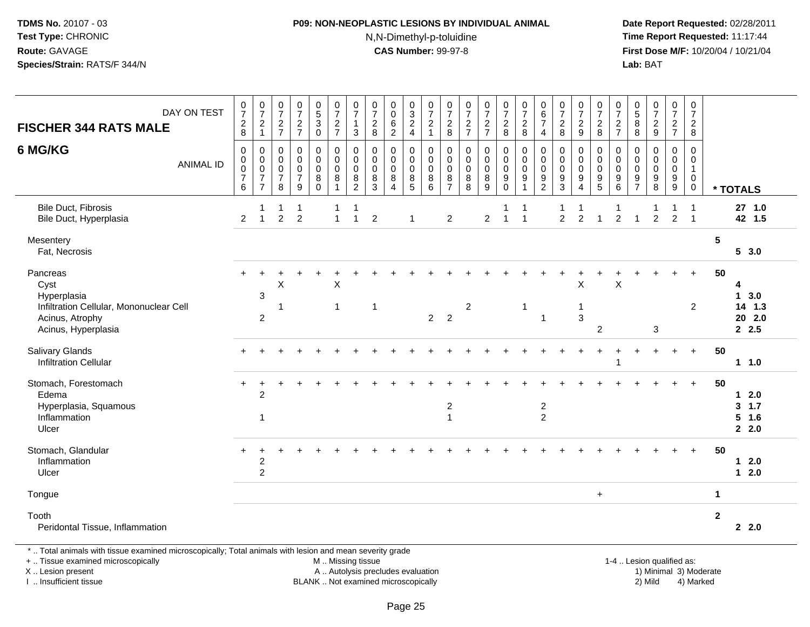# **P09: NON-NEOPLASTIC LESIONS BY INDIVIDUAL ANIMAL**

N,N-Dimethyl-p-toluidine

 **Date Report Requested:** 02/28/2011 **Time Report Requested:** 11:17:44 **First Dose M/F:** 10/20/04 / 10/21/04<br>**Lab:** BAT **Lab:** BAT

| DAY ON TEST<br><b>FISCHER 344 RATS MALE</b>                                                                          | $\frac{0}{7}$<br>$\frac{2}{8}$                              | $\frac{0}{7}$<br>$\frac{2}{1}$                                         | $\begin{array}{c} 0 \\ 7 \end{array}$<br>$\frac{2}{7}$                     | $\frac{0}{7}$<br>$\frac{2}{7}$                                                | $\begin{matrix}0\\5\\3\end{matrix}$<br>$\ddot{\mathbf{0}}$ | $\frac{0}{7}$<br>$\frac{2}{7}$                                             | $\frac{0}{7}$<br>$\mathbf{1}$<br>3                        | $\frac{0}{7}$<br>$_{\rm 8}^2$      |                                                                                  | $\begin{smallmatrix} 0\\ 3\\ 2 \end{smallmatrix}$<br>$\overline{4}$ | $\frac{0}{7}$<br>$\frac{2}{1}$                                    | $\frac{0}{7}$<br>$_{\rm 8}^2$                | $\frac{0}{7}$<br>$\frac{2}{7}$                                      | $\frac{0}{7}$<br>$\frac{2}{7}$                    | $\begin{array}{c} 0 \\ 7 \end{array}$<br>$\frac{2}{8}$        | $\frac{0}{7}$<br>$\frac{2}{8}$                                                     | $\begin{array}{c} 0 \\ 6 \end{array}$<br>$\overline{7}$<br>$\overline{4}$ | $\frac{0}{7}$<br>$\frac{2}{8}$                              | $\frac{0}{7}$<br>$\frac{2}{9}$                                              | $\begin{array}{c} 0 \\ 7 \end{array}$<br>$\frac{2}{8}$ | $\frac{0}{7}$<br>$\frac{2}{7}$                   | 0<br>8<br>8                                                | $\frac{0}{7}$<br>9              | $\begin{smallmatrix}0\\7\end{smallmatrix}$<br>$\frac{2}{7}$ | $\frac{0}{7}$<br>$\frac{2}{8}$                                 |              |                                                    |
|----------------------------------------------------------------------------------------------------------------------|-------------------------------------------------------------|------------------------------------------------------------------------|----------------------------------------------------------------------------|-------------------------------------------------------------------------------|------------------------------------------------------------|----------------------------------------------------------------------------|-----------------------------------------------------------|------------------------------------|----------------------------------------------------------------------------------|---------------------------------------------------------------------|-------------------------------------------------------------------|----------------------------------------------|---------------------------------------------------------------------|---------------------------------------------------|---------------------------------------------------------------|------------------------------------------------------------------------------------|---------------------------------------------------------------------------|-------------------------------------------------------------|-----------------------------------------------------------------------------|--------------------------------------------------------|--------------------------------------------------|------------------------------------------------------------|---------------------------------|-------------------------------------------------------------|----------------------------------------------------------------|--------------|----------------------------------------------------|
| 6 MG/KG<br><b>ANIMAL ID</b>                                                                                          | 0<br>$_{\rm 0}^{\rm 0}$<br>$\overline{7}$<br>$6\phantom{a}$ | 0<br>$\mathbf 0$<br>$\overline{0}$<br>$\overline{7}$<br>$\overline{7}$ | $\mathbf 0$<br>$\mathbf 0$<br>$\ddot{\mathbf{0}}$<br>$\boldsymbol{7}$<br>8 | $\mathsf 0$<br>0<br>$\ddot{\mathbf{0}}$<br>$\overline{7}$<br>$\boldsymbol{9}$ | 0<br>0<br>$\ddot{\mathbf{0}}$<br>8<br>$\mathbf 0$          | $\boldsymbol{0}$<br>$\overline{0}$ <sub>0</sub><br>$\bf 8$<br>$\mathbf{1}$ | 0<br>$\mathbf 0$<br>$\overline{0}$<br>8<br>$\overline{2}$ | 0<br>0<br>0<br>8<br>$\overline{3}$ | $\mathbf 0$<br>$\mathbf 0$<br>$\overline{0}$<br>$\, 8$<br>$\boldsymbol{\Lambda}$ | 0<br>$\mathbf 0$<br>0<br>$\,8\,$<br>$\overline{5}$                  | $\boldsymbol{0}$<br>$\mathbf 0$<br>$\overline{0}$<br>$\bf 8$<br>6 | $\mathbf 0$<br>0<br>0<br>8<br>$\overline{7}$ | $\pmb{0}$<br>$\pmb{0}$<br>$\ddot{\mathbf{0}}$<br>$_{\rm 8}^{\rm 8}$ | 0<br>$\pmb{0}$<br>$\overline{0}$<br>$\frac{8}{9}$ | $\mathbf 0$<br>$\overline{0}$<br>$\overline{0}$<br>$_{0}^{9}$ | $\mathbf 0$<br>$\mathsf 0$<br>$\overline{0}$<br>$\boldsymbol{9}$<br>$\overline{1}$ | $\mathbf 0$<br>$\mathbf 0$<br>$\mathbf 0$<br>9<br>$\overline{2}$          | $\pmb{0}$<br>$\mathbf 0$<br>$\overline{0}$<br>$\frac{9}{3}$ | 0<br>0<br>$\ddot{\mathbf{0}}$<br>$\boldsymbol{9}$<br>$\boldsymbol{\Lambda}$ | 0<br>0<br>$\bar{0}$<br>$\frac{9}{5}$                   | $\mathbf 0$<br>0<br>$\mathbf 0$<br>$\frac{9}{6}$ | $\mathbf 0$<br>$\mathbf 0$<br>$\mathbf 0$<br>$\frac{9}{7}$ | 0<br>$\mathbf 0$<br>0<br>9<br>8 | 0<br>$\mathbf 0$<br>$\overline{0}$<br>$^9_9$                | 0<br>$\mathbf 0$<br>$\mathbf{1}$<br>$\mathbf 0$<br>$\mathbf 0$ |              | * TOTALS                                           |
| <b>Bile Duct, Fibrosis</b><br>Bile Duct, Hyperplasia                                                                 | $\overline{2}$                                              | $\mathbf{1}$                                                           | -1<br>$\overline{2}$                                                       | $\mathbf 1$<br>$\overline{2}$                                                 |                                                            | $\mathbf{1}$                                                               | -1<br>$\mathbf{1}$                                        | $\overline{2}$                     |                                                                                  | $\overline{1}$                                                      |                                                                   | 2                                            |                                                                     | $\overline{2}$                                    | $\overline{1}$                                                | -1<br>$\overline{1}$                                                               |                                                                           | 1<br>$\overline{2}$                                         | -1<br>$\overline{2}$                                                        | $\overline{1}$                                         | 1<br>$\overline{2}$                              | $\overline{1}$                                             | 1<br>$\overline{2}$             | 1<br>$\overline{c}$                                         | $\overline{1}$<br>$\overline{1}$                               |              | 27 1.0<br>42 1.5                                   |
| Mesentery<br>Fat, Necrosis                                                                                           |                                                             |                                                                        |                                                                            |                                                                               |                                                            |                                                                            |                                                           |                                    |                                                                                  |                                                                     |                                                                   |                                              |                                                                     |                                                   |                                                               |                                                                                    |                                                                           |                                                             |                                                                             |                                                        |                                                  |                                                            |                                 |                                                             |                                                                | 5            | 53.0                                               |
| Pancreas<br>Cyst<br>Hyperplasia<br>Infiltration Cellular, Mononuclear Cell<br>Acinus, Atrophy<br>Acinus, Hyperplasia | $+$                                                         | $\mathbf{3}$<br>$\overline{2}$                                         | X<br>$\overline{1}$                                                        |                                                                               |                                                            | X<br>$\mathbf{1}$                                                          |                                                           | 1                                  |                                                                                  |                                                                     | $\overline{2}$                                                    | 2                                            | $\overline{c}$                                                      |                                                   |                                                               | $\overline{1}$                                                                     | $\mathbf{1}$                                                              |                                                             | X<br>1<br>$\mathbf{3}$                                                      | $\overline{c}$                                         | $\mathsf X$                                      |                                                            | $\sqrt{3}$                      |                                                             | $\overline{2}$                                                 | 50           | 4<br>3.0<br>$\mathbf 1$<br>14 1.3<br>20 2.0<br>2.5 |
| Salivary Glands<br><b>Infiltration Cellular</b>                                                                      |                                                             |                                                                        |                                                                            |                                                                               |                                                            |                                                                            |                                                           |                                    |                                                                                  |                                                                     |                                                                   |                                              |                                                                     |                                                   |                                                               |                                                                                    |                                                                           |                                                             |                                                                             | $\ddot{}$                                              |                                                  |                                                            |                                 | $+$                                                         | $+$                                                            | 50           | 11.0                                               |
| Stomach, Forestomach<br>Edema<br>Hyperplasia, Squamous<br>Inflammation<br>Ulcer                                      | $+$                                                         | $\overline{c}$<br>$\overline{1}$                                       |                                                                            |                                                                               |                                                            |                                                                            |                                                           |                                    |                                                                                  |                                                                     |                                                                   | $\overline{c}$<br>$\mathbf{1}$               |                                                                     |                                                   |                                                               |                                                                                    | $\sqrt{2}$<br>$\overline{2}$                                              |                                                             |                                                                             |                                                        |                                                  |                                                            |                                 |                                                             | $\ddot{}$                                                      | 50           | $12.0$<br>3, 1.7<br>$5$ 1.6<br>2.0                 |
| Stomach, Glandular<br>Inflammation<br>Ulcer                                                                          | $+$                                                         | $\overline{c}$<br>$\overline{2}$                                       |                                                                            |                                                                               |                                                            |                                                                            |                                                           |                                    |                                                                                  |                                                                     |                                                                   |                                              |                                                                     |                                                   |                                                               |                                                                                    |                                                                           |                                                             |                                                                             |                                                        |                                                  |                                                            |                                 |                                                             | $\ddot{}$                                                      | 50           | $12.0$<br>$12.0$                                   |
| Tongue                                                                                                               |                                                             |                                                                        |                                                                            |                                                                               |                                                            |                                                                            |                                                           |                                    |                                                                                  |                                                                     |                                                                   |                                              |                                                                     |                                                   |                                                               |                                                                                    |                                                                           |                                                             |                                                                             | $+$                                                    |                                                  |                                                            |                                 |                                                             |                                                                | 1            |                                                    |
| Tooth<br>Peridontal Tissue, Inflammation                                                                             |                                                             |                                                                        |                                                                            |                                                                               |                                                            |                                                                            |                                                           |                                    |                                                                                  |                                                                     |                                                                   |                                              |                                                                     |                                                   |                                                               |                                                                                    |                                                                           |                                                             |                                                                             |                                                        |                                                  |                                                            |                                 |                                                             |                                                                | $\mathbf{2}$ | 2, 2.0                                             |

+ .. Tissue examined microscopically

X .. Lesion present

I .. Insufficient tissue

 M .. Missing tissueA .. Autolysis precludes evaluation

BLANK .. Not examined microscopically 2) Mild 4) Marked

1-4 .. Lesion qualified as: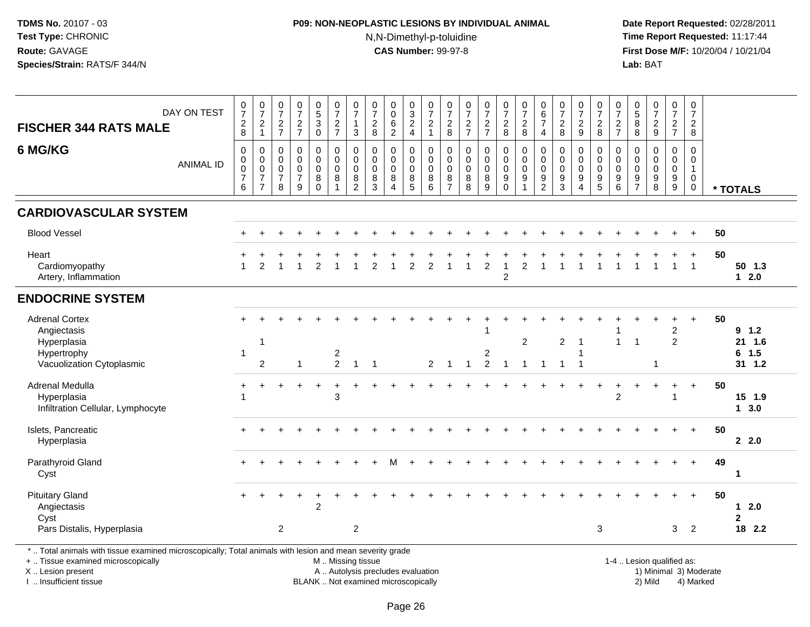## **P09: NON-NEOPLASTIC LESIONS BY INDIVIDUAL ANIMAL**N,N-Dimethyl-p-toluidine

 **Date Report Requested:** 02/28/2011 **Time Report Requested:** 11:17:44 **First Dose M/F:** 10/20/04 / 10/21/04<br>**Lab:** BAT **Lab:** BAT

| <b>FISCHER 344 RATS MALE</b>                                                                                                                                                                  | DAY ON TEST      | $\frac{0}{7}$<br>$\begin{array}{c} 2 \\ 8 \end{array}$               | $\frac{0}{7}$<br>$\frac{2}{1}$                                            | $\frac{0}{7}$<br>$\frac{2}{7}$                               | $\begin{array}{c} 0 \\ 7 \end{array}$<br>$\frac{2}{7}$       | $\begin{array}{c} 0 \\ 5 \\ 3 \end{array}$<br>$\overline{0}$  | $\frac{0}{7}$<br>$\frac{2}{7}$                                 | $\begin{array}{c} 0 \\ 7 \end{array}$<br>$\mathbf{1}$<br>$\sqrt{3}$ | $\begin{array}{c} 0 \\ 7 \end{array}$<br>$_{\rm 8}^2$                    | $\begin{smallmatrix}0\0\0\end{smallmatrix}$<br>6<br>$\overline{2}$ | $\begin{array}{c} 0 \\ 3 \\ 2 \\ 4 \end{array}$   | $\frac{0}{7}$<br>$\frac{2}{1}$                             | $\frac{0}{7}$<br>$\frac{2}{8}$                                           | $\frac{0}{7}$<br>$\frac{2}{7}$                                  | $\frac{0}{7}$<br>$\frac{2}{7}$                                   | $\frac{0}{7}$<br>$\frac{2}{8}$                                          | $\frac{0}{7}$<br>$\frac{2}{8}$                               | $_{6}^{\rm 0}$<br>$\overline{7}$<br>4            | $\frac{0}{7}$<br>$\frac{2}{8}$                             | $\frac{0}{7}$<br>$\frac{2}{9}$                         | $\frac{0}{7}$<br>$^{\mathsf{2}}_{\mathsf{8}}$                                              | $\frac{0}{7}$<br>$\frac{2}{7}$                      | $\begin{array}{c} 0 \\ 5 \\ 8 \end{array}$<br>$\overline{8}$ | $\frac{0}{7}$<br>$\frac{2}{9}$                | $\begin{smallmatrix} 0\\7 \end{smallmatrix}$<br>$\frac{2}{7}$ | $\pmb{0}$<br>$\overline{7}$<br>$\boldsymbol{2}$<br>$\overline{8}$ |                        |                                    |
|-----------------------------------------------------------------------------------------------------------------------------------------------------------------------------------------------|------------------|----------------------------------------------------------------------|---------------------------------------------------------------------------|--------------------------------------------------------------|--------------------------------------------------------------|---------------------------------------------------------------|----------------------------------------------------------------|---------------------------------------------------------------------|--------------------------------------------------------------------------|--------------------------------------------------------------------|---------------------------------------------------|------------------------------------------------------------|--------------------------------------------------------------------------|-----------------------------------------------------------------|------------------------------------------------------------------|-------------------------------------------------------------------------|--------------------------------------------------------------|--------------------------------------------------|------------------------------------------------------------|--------------------------------------------------------|--------------------------------------------------------------------------------------------|-----------------------------------------------------|--------------------------------------------------------------|-----------------------------------------------|---------------------------------------------------------------|-------------------------------------------------------------------|------------------------|------------------------------------|
| 6 MG/KG                                                                                                                                                                                       | <b>ANIMAL ID</b> | $\mathbf 0$<br>$\pmb{0}$<br>$\pmb{0}$<br>$\boldsymbol{7}$<br>$\,6\,$ | $\mathbf 0$<br>$\,0\,$<br>$\mathbf 0$<br>$\overline{7}$<br>$\overline{7}$ | $\mathbf 0$<br>0<br>$\mathbf 0$<br>$\overline{7}$<br>$\,8\,$ | $\mathbf 0$<br>$\pmb{0}$<br>$\pmb{0}$<br>$\overline{7}$<br>9 | $\mathbf 0$<br>$\mathbf 0$<br>$\mathbf 0$<br>8<br>$\mathbf 0$ | $\mathbf 0$<br>$\pmb{0}$<br>$\mathbf 0$<br>8<br>$\overline{1}$ | $\mathbf 0$<br>$\mathbf 0$<br>$\mathbf 0$<br>8<br>$\overline{2}$    | 0<br>$\mathbf 0$<br>$\mathbf 0$<br>8<br>$\overline{3}$                   | $\mathbf 0$<br>$\mathbf 0$<br>$\mathbf 0$<br>8<br>$\overline{4}$   | $\mathbf 0$<br>$\mathbf 0$<br>$\pmb{0}$<br>$^8$ 5 | $\mathbf 0$<br>$\mathsf 0$<br>$\mathbf 0$<br>$\frac{8}{6}$ | 0<br>$\mathbf 0$<br>$\mathbf 0$<br>$\begin{array}{c} 8 \\ 7 \end{array}$ | $\mathbf 0$<br>$\mathbf 0$<br>$\mathbf 0$<br>$_{\rm 8}^{\rm 8}$ | $\mathbf 0$<br>$\mathbf 0$<br>$\mathbf 0$<br>8<br>$\overline{9}$ | $\mathbf 0$<br>$\ddot{\mathbf{0}}$<br>$\mathbf 0$<br>$_{\rm 0}^{\rm 9}$ | $\mathbf 0$<br>$\pmb{0}$<br>$\mathbf 0$<br>9<br>$\mathbf{1}$ | $\mathbf 0$<br>0<br>$\mathbf 0$<br>$\frac{9}{2}$ | $\mathbf 0$<br>$\mathbf 0$<br>$\mathbf 0$<br>$\frac{9}{3}$ | 0<br>$\mathbf 0$<br>$\mathbf 0$<br>9<br>$\overline{4}$ | $\mathbf 0$<br>$\mathsf{O}\xspace$<br>$\mathbf 0$<br>$\begin{array}{c} 9 \\ 5 \end{array}$ | $\mathbf 0$<br>$\mathbf 0$<br>$\mathbf 0$<br>9<br>6 | $\mathbf 0$<br>$\mathbf 0$<br>$\mathbf 0$<br>$\frac{9}{7}$   | 0<br>$\pmb{0}$<br>$\pmb{0}$<br>$_{8}^{\rm 9}$ | $\mathbf 0$<br>$\mathbf 0$<br>$\mathbf 0$<br>$^9_9$           | $\mathbf 0$<br>0<br>$\overline{1}$<br>$\mathbf 0$<br>$\mathbf 0$  |                        | * TOTALS                           |
| <b>CARDIOVASCULAR SYSTEM</b>                                                                                                                                                                  |                  |                                                                      |                                                                           |                                                              |                                                              |                                                               |                                                                |                                                                     |                                                                          |                                                                    |                                                   |                                                            |                                                                          |                                                                 |                                                                  |                                                                         |                                                              |                                                  |                                                            |                                                        |                                                                                            |                                                     |                                                              |                                               |                                                               |                                                                   |                        |                                    |
| <b>Blood Vessel</b>                                                                                                                                                                           |                  |                                                                      |                                                                           |                                                              |                                                              |                                                               |                                                                |                                                                     |                                                                          |                                                                    |                                                   |                                                            |                                                                          |                                                                 |                                                                  |                                                                         |                                                              |                                                  |                                                            |                                                        |                                                                                            |                                                     |                                                              |                                               |                                                               |                                                                   | 50                     |                                    |
| Heart<br>Cardiomyopathy<br>Artery, Inflammation                                                                                                                                               |                  |                                                                      | 2                                                                         |                                                              |                                                              | 2                                                             |                                                                |                                                                     |                                                                          |                                                                    | $\overline{2}$                                    | $\overline{2}$                                             |                                                                          |                                                                 | $\overline{2}$                                                   | $\overline{c}$                                                          | 2                                                            |                                                  |                                                            |                                                        |                                                                                            |                                                     |                                                              |                                               |                                                               | $\overline{1}$                                                    | 50                     | 50 1.3<br>$12.0$                   |
| <b>ENDOCRINE SYSTEM</b>                                                                                                                                                                       |                  |                                                                      |                                                                           |                                                              |                                                              |                                                               |                                                                |                                                                     |                                                                          |                                                                    |                                                   |                                                            |                                                                          |                                                                 |                                                                  |                                                                         |                                                              |                                                  |                                                            |                                                        |                                                                                            |                                                     |                                                              |                                               |                                                               |                                                                   |                        |                                    |
| <b>Adrenal Cortex</b><br>Angiectasis<br>Hyperplasia<br>Hypertrophy<br>Vacuolization Cytoplasmic                                                                                               |                  | -1                                                                   | $\mathbf{1}$<br>$\overline{2}$                                            |                                                              | 1                                                            |                                                               | $\boldsymbol{2}$<br>$\overline{2}$                             | $\mathbf{1}$                                                        | $\overline{1}$                                                           |                                                                    |                                                   | $\overline{2}$                                             | $\overline{1}$                                                           | $\overline{1}$                                                  | 2<br>$\overline{c}$                                              | $\overline{1}$                                                          | $\overline{2}$<br>$\overline{1}$                             |                                                  | $\boldsymbol{2}$<br>$\overline{1}$                         | $\overline{1}$<br>1<br>$\overline{1}$                  |                                                                                            | $\mathbf{1}$                                        | $\mathbf{1}$                                                 | $\overline{\mathbf{1}}$                       | $\overline{c}$<br>$\overline{2}$                              | $+$                                                               | 50                     | 9 1.2<br>21 1.6<br>6 1.5<br>31 1.2 |
| Adrenal Medulla<br>Hyperplasia<br>Infiltration Cellular, Lymphocyte                                                                                                                           |                  |                                                                      |                                                                           |                                                              |                                                              |                                                               | $\mathbf{3}$                                                   |                                                                     |                                                                          |                                                                    |                                                   |                                                            |                                                                          |                                                                 |                                                                  |                                                                         |                                                              |                                                  |                                                            |                                                        |                                                                                            | $\overline{c}$                                      |                                                              |                                               | 1                                                             | $+$                                                               | 50                     | 15 1.9<br>13.0                     |
| Islets, Pancreatic<br>Hyperplasia                                                                                                                                                             |                  |                                                                      |                                                                           |                                                              |                                                              |                                                               |                                                                |                                                                     |                                                                          |                                                                    |                                                   |                                                            |                                                                          |                                                                 |                                                                  |                                                                         |                                                              |                                                  |                                                            |                                                        |                                                                                            |                                                     |                                                              |                                               |                                                               | $+$                                                               | 50                     | 2.0                                |
| Parathyroid Gland<br>Cyst                                                                                                                                                                     |                  |                                                                      |                                                                           |                                                              |                                                              |                                                               |                                                                |                                                                     |                                                                          |                                                                    |                                                   |                                                            |                                                                          |                                                                 |                                                                  |                                                                         |                                                              |                                                  |                                                            |                                                        |                                                                                            |                                                     |                                                              |                                               |                                                               | $\div$                                                            | 49                     | -1                                 |
| <b>Pituitary Gland</b><br>Angiectasis<br>Cyst                                                                                                                                                 |                  |                                                                      |                                                                           |                                                              |                                                              | $\overline{2}$                                                |                                                                |                                                                     |                                                                          |                                                                    |                                                   |                                                            |                                                                          |                                                                 |                                                                  |                                                                         |                                                              |                                                  |                                                            |                                                        |                                                                                            |                                                     |                                                              |                                               |                                                               | $+$                                                               | 50                     | 2.0<br>$\mathbf 1$<br>$\mathbf 2$  |
| Pars Distalis, Hyperplasia                                                                                                                                                                    |                  |                                                                      |                                                                           | $\overline{2}$                                               |                                                              |                                                               |                                                                | $\overline{c}$                                                      |                                                                          |                                                                    |                                                   |                                                            |                                                                          |                                                                 |                                                                  |                                                                         |                                                              |                                                  |                                                            |                                                        | 3                                                                                          |                                                     |                                                              |                                               | 3                                                             | 2                                                                 |                        | 18 2.2                             |
| *  Total animals with tissue examined microscopically; Total animals with lesion and mean severity grade<br>+  Tissue examined microscopically<br>X  Lesion present<br>I  Insufficient tissue |                  |                                                                      |                                                                           |                                                              |                                                              |                                                               | M  Missing tissue                                              |                                                                     | A  Autolysis precludes evaluation<br>BLANK  Not examined microscopically |                                                                    |                                                   |                                                            |                                                                          |                                                                 |                                                                  |                                                                         |                                                              |                                                  |                                                            |                                                        |                                                                                            |                                                     |                                                              | 1-4  Lesion qualified as:<br>2) Mild          |                                                               | 4) Marked                                                         | 1) Minimal 3) Moderate |                                    |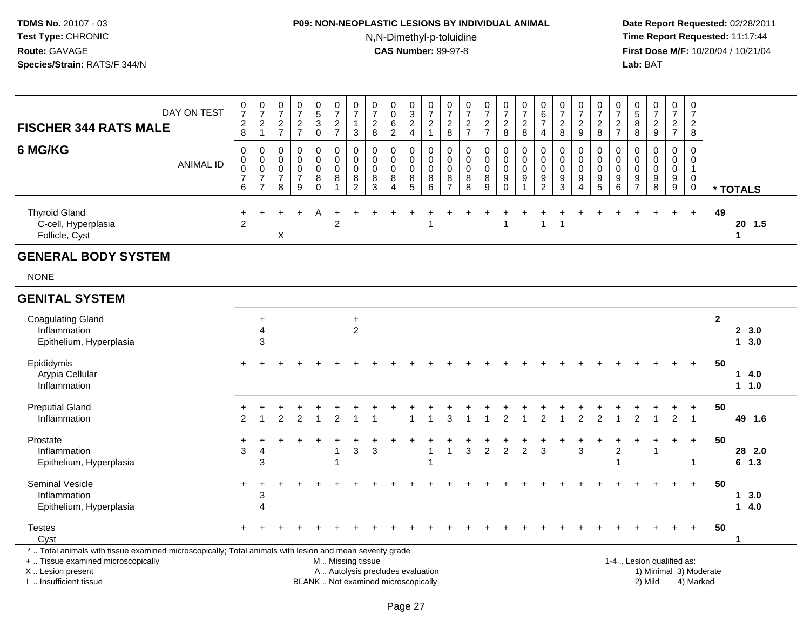## **P09: NON-NEOPLASTIC LESIONS BY INDIVIDUAL ANIMAL**N,N-Dimethyl-p-toluidine

 **Date Report Requested:** 02/28/2011 **Time Report Requested:** 11:17:44 **First Dose M/F:** 10/20/04 / 10/21/04<br>**Lab:** BAT **Lab:** BAT

| <b>FISCHER 344 RATS MALE</b>                                                                                                                                                                  | DAY ON TEST      | 0<br>$\overline{7}$<br>$\frac{2}{8}$                                   | $\frac{0}{7}$<br>$\overline{c}$<br>$\mathbf{1}$        | 0<br>$\overline{7}$<br>$\frac{2}{7}$ | $\frac{0}{7}$<br>$\frac{2}{7}$                       | $\frac{0}{5}$<br>$\ensuremath{\mathsf{3}}$<br>$\mathbf 0$           | 0<br>$\overline{7}$<br>$\frac{2}{7}$                    | 0<br>$\overline{7}$<br>$\mathbf{1}$<br>3                      | 0<br>$\overline{7}$<br>$\overline{\mathbf{c}}$<br>$\bf8$                 | 0<br>0<br>6<br>$\overline{2}$              | 0<br>$\overline{3}$<br>$\overline{a}$<br>$\overline{4}$ | $\frac{0}{7}$<br>$\sqrt{2}$<br>$\mathbf{1}$          | 0<br>$\overline{7}$<br>$\boldsymbol{2}$<br>8                            | $\frac{0}{7}$<br>$\frac{2}{7}$                                    | 0<br>$\overline{7}$<br>$\frac{2}{7}$ | 0<br>$\overline{7}$<br>$\boldsymbol{2}$<br>8                              | 0<br>$\overline{7}$<br>$\boldsymbol{2}$<br>8 | 0<br>$\,6$<br>$\overline{7}$<br>4             | $\frac{0}{7}$<br>$\overline{c}$<br>$\bf8$   | 0<br>$\overline{7}$<br>$\frac{2}{9}$                     | $\frac{0}{7}$<br>$_{\rm 8}^2$                               | 0<br>$\overline{7}$<br>$\frac{2}{7}$                                  | 0<br>$\sqrt{5}$<br>8<br>8                               | 0<br>$\overline{7}$<br>$\frac{2}{9}$                   | 0<br>$\boldsymbol{7}$<br>$\frac{2}{7}$                   | 0<br>$\overline{7}$<br>$\overline{2}$<br>8 |              |                       |
|-----------------------------------------------------------------------------------------------------------------------------------------------------------------------------------------------|------------------|------------------------------------------------------------------------|--------------------------------------------------------|--------------------------------------|------------------------------------------------------|---------------------------------------------------------------------|---------------------------------------------------------|---------------------------------------------------------------|--------------------------------------------------------------------------|--------------------------------------------|---------------------------------------------------------|------------------------------------------------------|-------------------------------------------------------------------------|-------------------------------------------------------------------|--------------------------------------|---------------------------------------------------------------------------|----------------------------------------------|-----------------------------------------------|---------------------------------------------|----------------------------------------------------------|-------------------------------------------------------------|-----------------------------------------------------------------------|---------------------------------------------------------|--------------------------------------------------------|----------------------------------------------------------|--------------------------------------------|--------------|-----------------------|
| 6 MG/KG                                                                                                                                                                                       | <b>ANIMAL ID</b> | $\mathbf 0$<br>$\pmb{0}$<br>$\mathsf{O}\xspace$<br>$\overline{7}$<br>6 | $\Omega$<br>0<br>0<br>$\overline{7}$<br>$\overline{7}$ | 0<br>0<br>0<br>$\overline{7}$<br>8   | $\mathbf 0$<br>0<br>$\pmb{0}$<br>$\overline{7}$<br>9 | $\mathbf 0$<br>$\mathbf 0$<br>$\mathbf 0$<br>$\bf 8$<br>$\mathbf 0$ | $\Omega$<br>0<br>$\mathbf 0$<br>$\bf 8$<br>$\mathbf{1}$ | $\Omega$<br>$\mathbf 0$<br>$\mathbf 0$<br>8<br>$\overline{c}$ | $\mathbf 0$<br>$\mathbf 0$<br>$\mathbf 0$<br>8<br>3                      | 0<br>0<br>0<br>8<br>$\boldsymbol{\Lambda}$ | $\Omega$<br>0<br>0<br>8<br>5                            | $\mathbf 0$<br>0<br>$\mathbf 0$<br>$\bf8$<br>$\,6\,$ | $\mathbf{0}$<br>$\mathbf 0$<br>$\mathbf 0$<br>$\bf 8$<br>$\overline{7}$ | $\mathbf 0$<br>$\mathbf 0$<br>$\mathsf{O}\xspace$<br>$\,8\,$<br>8 | 0<br>0<br>0<br>$\bf 8$<br>9          | $\Omega$<br>$\mathbf 0$<br>$\mathbf 0$<br>$\boldsymbol{9}$<br>$\mathbf 0$ | 0<br>$\mathbf 0$<br>$\mathbf 0$<br>9         | $\Omega$<br>$\mathbf 0$<br>0<br>$\frac{9}{2}$ | $\Omega$<br>0<br>0<br>$\boldsymbol{9}$<br>3 | $\Omega$<br>0<br>0<br>$\boldsymbol{9}$<br>$\overline{4}$ | $\mathbf{0}$<br>$\mathbf 0$<br>$\mathbf 0$<br>$\frac{9}{5}$ | $\mathbf 0$<br>0<br>$\mathbf 0$<br>$\boldsymbol{9}$<br>$6\phantom{1}$ | $\Omega$<br>$\mathbf 0$<br>$\mathbf 0$<br>$\frac{9}{7}$ | $\mathbf 0$<br>0<br>$\pmb{0}$<br>$\boldsymbol{9}$<br>8 | $\mathbf 0$<br>0<br>$\mathbf 0$<br>$\boldsymbol{9}$<br>9 | $\Omega$<br>0<br>$\mathbf{1}$<br>0<br>0    |              | * TOTALS              |
| <b>Thyroid Gland</b><br>C-cell, Hyperplasia<br>Follicle, Cyst                                                                                                                                 |                  | $\overline{2}$                                                         |                                                        | X                                    |                                                      |                                                                     | $\overline{2}$                                          |                                                               |                                                                          |                                            |                                                         |                                                      |                                                                         |                                                                   |                                      | 1                                                                         |                                              | 1                                             | $\overline{1}$                              |                                                          |                                                             |                                                                       |                                                         |                                                        |                                                          | $+$                                        | 49           | 20 1.5<br>$\mathbf 1$ |
| <b>GENERAL BODY SYSTEM</b>                                                                                                                                                                    |                  |                                                                        |                                                        |                                      |                                                      |                                                                     |                                                         |                                                               |                                                                          |                                            |                                                         |                                                      |                                                                         |                                                                   |                                      |                                                                           |                                              |                                               |                                             |                                                          |                                                             |                                                                       |                                                         |                                                        |                                                          |                                            |              |                       |
| <b>NONE</b>                                                                                                                                                                                   |                  |                                                                        |                                                        |                                      |                                                      |                                                                     |                                                         |                                                               |                                                                          |                                            |                                                         |                                                      |                                                                         |                                                                   |                                      |                                                                           |                                              |                                               |                                             |                                                          |                                                             |                                                                       |                                                         |                                                        |                                                          |                                            |              |                       |
| <b>GENITAL SYSTEM</b>                                                                                                                                                                         |                  |                                                                        |                                                        |                                      |                                                      |                                                                     |                                                         |                                                               |                                                                          |                                            |                                                         |                                                      |                                                                         |                                                                   |                                      |                                                                           |                                              |                                               |                                             |                                                          |                                                             |                                                                       |                                                         |                                                        |                                                          |                                            |              |                       |
| <b>Coagulating Gland</b><br>Inflammation<br>Epithelium, Hyperplasia                                                                                                                           |                  |                                                                        | $\ddot{}$<br>4<br>3                                    |                                      |                                                      |                                                                     |                                                         | $\ddot{}$<br>$\overline{c}$                                   |                                                                          |                                            |                                                         |                                                      |                                                                         |                                                                   |                                      |                                                                           |                                              |                                               |                                             |                                                          |                                                             |                                                                       |                                                         |                                                        |                                                          |                                            | $\mathbf{2}$ | 2, 3.0<br>13.0        |
| Epididymis<br>Atypia Cellular<br>Inflammation                                                                                                                                                 |                  |                                                                        |                                                        |                                      |                                                      |                                                                     |                                                         |                                                               |                                                                          |                                            |                                                         |                                                      |                                                                         |                                                                   |                                      |                                                                           |                                              |                                               |                                             |                                                          |                                                             |                                                                       |                                                         |                                                        |                                                          |                                            | 50           | 14.0<br>1 1.0         |
| <b>Preputial Gland</b><br>Inflammation                                                                                                                                                        |                  | $\overline{2}$                                                         | $\mathbf{1}$                                           | 2                                    | $\overline{2}$                                       | $\overline{1}$                                                      | 2                                                       | 1                                                             |                                                                          |                                            | 1                                                       | $\overline{1}$                                       | 3                                                                       | -1                                                                | $\overline{1}$                       | $\overline{2}$                                                            | 1                                            | $\overline{2}$                                | $\overline{1}$                              | $\overline{c}$                                           | $\overline{2}$                                              | 1                                                                     | $\overline{2}$                                          | $\mathbf{1}$                                           | $\overline{2}$                                           | $\ddot{}$<br>$\overline{1}$                | 50           | 49 1.6                |
| Prostate<br>Inflammation<br>Epithelium, Hyperplasia                                                                                                                                           |                  | 3                                                                      | 4<br>3                                                 |                                      |                                                      |                                                                     | 1<br>1                                                  | 3                                                             | 3                                                                        |                                            |                                                         | -1                                                   | 1                                                                       | 3                                                                 | $\overline{c}$                       | $\overline{c}$                                                            | $\overline{c}$                               | 3                                             |                                             | 3                                                        |                                                             | 2                                                                     |                                                         | 1                                                      |                                                          | $+$<br>-1                                  | 50           | 28 2.0<br>$6$ 1.3     |
| <b>Seminal Vesicle</b><br>Inflammation<br>Epithelium, Hyperplasia                                                                                                                             |                  |                                                                        | 3<br>$\boldsymbol{\Lambda}$                            |                                      |                                                      |                                                                     |                                                         |                                                               |                                                                          |                                            |                                                         |                                                      |                                                                         |                                                                   |                                      |                                                                           |                                              |                                               |                                             |                                                          |                                                             |                                                                       |                                                         |                                                        |                                                          | $+$                                        | 50           | 3.0<br>1.<br>14.0     |
| <b>Testes</b><br>Cyst                                                                                                                                                                         |                  |                                                                        |                                                        |                                      |                                                      |                                                                     |                                                         |                                                               |                                                                          |                                            |                                                         |                                                      |                                                                         |                                                                   |                                      |                                                                           |                                              |                                               |                                             |                                                          |                                                             |                                                                       |                                                         |                                                        |                                                          |                                            | 50           | 1                     |
| *  Total animals with tissue examined microscopically; Total animals with lesion and mean severity grade<br>+  Tissue examined microscopically<br>X  Lesion present<br>I  Insufficient tissue |                  |                                                                        |                                                        |                                      |                                                      |                                                                     | M  Missing tissue                                       |                                                               | A  Autolysis precludes evaluation<br>BLANK  Not examined microscopically |                                            |                                                         |                                                      |                                                                         |                                                                   |                                      |                                                                           |                                              |                                               |                                             |                                                          |                                                             |                                                                       |                                                         | 2) Mild                                                | 1-4  Lesion qualified as:<br>1) Minimal 3) Moderate      | 4) Marked                                  |              |                       |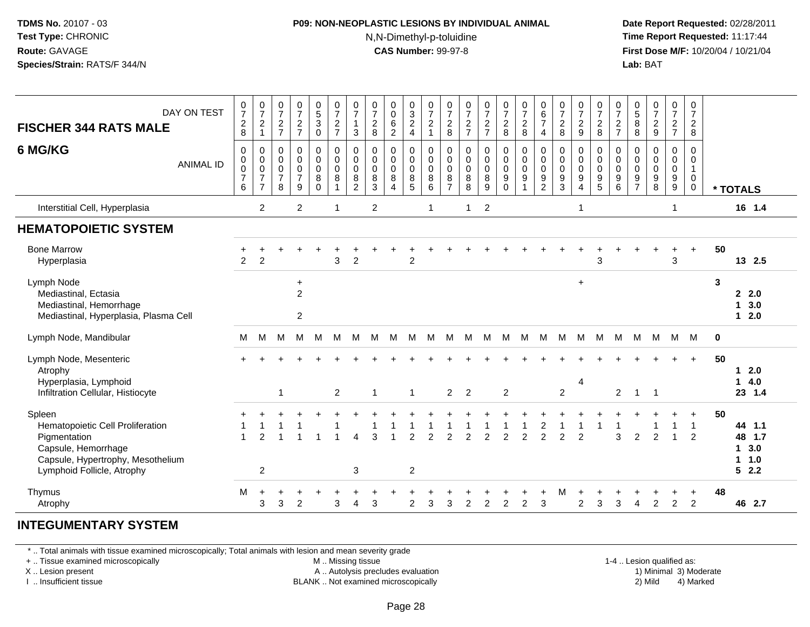#### **P09: NON-NEOPLASTIC LESIONS BY INDIVIDUAL ANIMAL**N,N-Dimethyl-p-toluidine

 **Date Report Requested:** 02/28/2011 **Time Report Requested:** 11:17:44 **First Dose M/F:** 10/20/04 / 10/21/04<br>**Lab:** BAT **Lab:** BAT

| DAY ON TEST<br><b>FISCHER 344 RATS MALE</b>                                                                                                          | $\frac{0}{7}$<br>$\frac{2}{8}$                                    | $\frac{0}{7}$<br>$\overline{c}$<br>$\mathbf{1}$                    | $\frac{0}{7}$<br>$\frac{2}{7}$             | $\frac{0}{7}$<br>$\frac{2}{7}$                                    | 0<br>5<br>3<br>0                                      | $\frac{0}{7}$<br>$\frac{2}{7}$                                  | $\frac{0}{7}$<br>3                           | 0728                                                            | $\begin{smallmatrix}0\0\0\6\end{smallmatrix}$<br>$\overline{c}$ | $\frac{0}{3}$<br>$\frac{2}{4}$            | $\frac{0}{7}$<br>$\frac{2}{1}$               | $\frac{0}{7}$<br>$\frac{2}{8}$                                 | $072$<br>$727$                                        | $\frac{0}{7}$<br>$\frac{2}{7}$    | $\frac{0}{7}$<br>8                                              | $\frac{0}{7}$<br>$\frac{2}{8}$                         | $\begin{array}{c} 0 \\ 6 \\ 7 \end{array}$<br>$\overline{4}$        | $\frac{0}{7}$<br>$\boldsymbol{2}$<br>8                 | $\frac{0}{7}$<br>$\frac{2}{9}$               | 0728                                                           | $\frac{0}{7}$<br>$\frac{2}{7}$                       | $\begin{array}{c} 0 \\ 5 \\ 8 \end{array}$<br>$\,8\,$    | $\frac{0}{7}$<br>$\frac{2}{9}$                           | $\frac{0}{7}$<br>$\frac{2}{7}$                       | $\frac{0}{7}$<br>$\overline{a}$<br>8       |             |                                          |
|------------------------------------------------------------------------------------------------------------------------------------------------------|-------------------------------------------------------------------|--------------------------------------------------------------------|--------------------------------------------|-------------------------------------------------------------------|-------------------------------------------------------|-----------------------------------------------------------------|----------------------------------------------|-----------------------------------------------------------------|-----------------------------------------------------------------|-------------------------------------------|----------------------------------------------|----------------------------------------------------------------|-------------------------------------------------------|-----------------------------------|-----------------------------------------------------------------|--------------------------------------------------------|---------------------------------------------------------------------|--------------------------------------------------------|----------------------------------------------|----------------------------------------------------------------|------------------------------------------------------|----------------------------------------------------------|----------------------------------------------------------|------------------------------------------------------|--------------------------------------------|-------------|------------------------------------------|
| 6 MG/KG<br><b>ANIMAL ID</b>                                                                                                                          | $\mathbf 0$<br>$\pmb{0}$<br>$\overline{0}$<br>$\overline{7}$<br>6 | 0<br>$\,0\,$<br>$\overline{0}$<br>$\overline{7}$<br>$\overline{7}$ | 0<br>0<br>$\pmb{0}$<br>$\overline{7}$<br>8 | 0<br>$\pmb{0}$<br>$\pmb{0}$<br>$\overline{7}$<br>$\boldsymbol{9}$ | $\pmb{0}$<br>$_{\rm 0}^{\rm 0}$<br>$\bf8$<br>$\Omega$ | $\pmb{0}$<br>$\pmb{0}$<br>$\mathbf 0$<br>$\bf8$<br>$\mathbf{1}$ | 0<br>0<br>$\mathbf 0$<br>8<br>$\overline{2}$ | $\pmb{0}$<br>$\pmb{0}$<br>$\pmb{0}$<br>$\bf8$<br>$\overline{3}$ | 0<br>$\pmb{0}$<br>$\pmb{0}$<br>$\bf 8$<br>$\overline{4}$        | 0<br>$\mathbf 0$<br>$\mathbf 0$<br>$^8$ 5 | 0<br>$\pmb{0}$<br>$\mathbf 0$<br>$\, 8$<br>6 | 0<br>$\pmb{0}$<br>$\boldsymbol{0}$<br>$\, 8$<br>$\overline{7}$ | $\pmb{0}$<br>$\pmb{0}$<br>$\mathsf 0$<br>$\bf 8$<br>8 | 0<br>$_{\rm 0}^{\rm 0}$<br>8<br>9 | 0<br>$\mathbf 0$<br>$\mathbf 0$<br>$\boldsymbol{9}$<br>$\Omega$ | $\boldsymbol{0}$<br>$\overline{0}$<br>$\boldsymbol{9}$ | 0<br>$\pmb{0}$<br>$\mathbf 0$<br>$\boldsymbol{9}$<br>$\overline{2}$ | 0<br>$\pmb{0}$<br>$\mathbf 0$<br>$\boldsymbol{9}$<br>3 | 0<br>0<br>$\mathbf 0$<br>9<br>$\overline{4}$ | $\pmb{0}$<br>$\pmb{0}$<br>$\mathsf{O}\xspace$<br>$\frac{9}{5}$ | 0<br>$\pmb{0}$<br>$\pmb{0}$<br>$\boldsymbol{9}$<br>6 | 0<br>$\mathbf 0$<br>$\mathsf{O}\xspace$<br>$\frac{9}{7}$ | 0<br>$\mathbf 0$<br>$\mathbf 0$<br>$\boldsymbol{9}$<br>8 | 0<br>$\pmb{0}$<br>$\pmb{0}$<br>$\boldsymbol{9}$<br>9 | 0<br>0<br>$\mathbf{1}$<br>$\mathbf 0$<br>0 |             | * TOTALS                                 |
| Interstitial Cell, Hyperplasia                                                                                                                       |                                                                   | $\overline{2}$                                                     |                                            | $\overline{2}$                                                    |                                                       | 1                                                               |                                              | $\overline{2}$                                                  |                                                                 |                                           | -1                                           |                                                                | 1                                                     | $\boldsymbol{2}$                  |                                                                 |                                                        |                                                                     |                                                        | $\mathbf 1$                                  |                                                                |                                                      |                                                          |                                                          | 1                                                    |                                            |             | 16 1.4                                   |
| <b>HEMATOPOIETIC SYSTEM</b>                                                                                                                          |                                                                   |                                                                    |                                            |                                                                   |                                                       |                                                                 |                                              |                                                                 |                                                                 |                                           |                                              |                                                                |                                                       |                                   |                                                                 |                                                        |                                                                     |                                                        |                                              |                                                                |                                                      |                                                          |                                                          |                                                      |                                            |             |                                          |
| <b>Bone Marrow</b><br>Hyperplasia                                                                                                                    | $\overline{c}$                                                    | $\overline{c}$                                                     |                                            |                                                                   |                                                       | 3                                                               | $\overline{c}$                               |                                                                 |                                                                 | $\overline{2}$                            |                                              |                                                                |                                                       |                                   |                                                                 |                                                        |                                                                     |                                                        |                                              | 3                                                              |                                                      |                                                          |                                                          | 3                                                    | $\ddot{}$                                  | 50          | 13 2.5                                   |
| Lymph Node<br>Mediastinal, Ectasia<br>Mediastinal, Hemorrhage<br>Mediastinal, Hyperplasia, Plasma Cell                                               |                                                                   |                                                                    |                                            | $\ddot{}$<br>$\overline{2}$<br>2                                  |                                                       |                                                                 |                                              |                                                                 |                                                                 |                                           |                                              |                                                                |                                                       |                                   |                                                                 |                                                        |                                                                     |                                                        | $\ddot{}$                                    |                                                                |                                                      |                                                          |                                                          |                                                      |                                            | 3           | 2.0<br>13.0<br>$12.0$                    |
| Lymph Node, Mandibular                                                                                                                               | M                                                                 | M                                                                  | м                                          | м                                                                 | M                                                     | м                                                               | м                                            | M                                                               | M                                                               | М                                         | м                                            | M                                                              | М                                                     | м                                 | M                                                               | М                                                      | M                                                                   | M                                                      | M                                            | M                                                              | M                                                    | M                                                        | M                                                        | M M                                                  |                                            | $\mathbf 0$ |                                          |
| Lymph Node, Mesenteric<br>Atrophy<br>Hyperplasia, Lymphoid<br>Infiltration Cellular, Histiocyte                                                      |                                                                   |                                                                    | $\mathbf 1$                                |                                                                   |                                                       | $\overline{2}$                                                  |                                              | -1                                                              |                                                                 | $\mathbf{1}$                              |                                              | $\overline{2}$                                                 | 2                                                     |                                   | $\overline{2}$                                                  |                                                        |                                                                     | $\overline{2}$                                         | $\overline{4}$                               |                                                                | $\overline{2}$                                       | $\overline{1}$                                           | $\overline{1}$                                           |                                                      |                                            | 50          | 12.0<br>14.0<br>23 1.4                   |
| Spleen<br>Hematopoietic Cell Proliferation<br>Pigmentation<br>Capsule, Hemorrhage<br>Capsule, Hypertrophy, Mesothelium<br>Lymphoid Follicle, Atrophy | 1                                                                 | 2<br>$\overline{c}$                                                |                                            |                                                                   |                                                       |                                                                 | $\boldsymbol{\Lambda}$<br>3                  | 3                                                               |                                                                 | 2<br>$\overline{c}$                       | 2                                            | $\mathfrak{p}$                                                 |                                                       | $\mathfrak{p}$                    | $\mathfrak{p}$                                                  | $\overline{2}$                                         | $\mathfrak{p}$<br>$\mathfrak{p}$                                    |                                                        | $\mathcal{P}$                                |                                                                | 3                                                    | $\overline{2}$                                           | 2                                                        |                                                      | $\ddot{}$<br>$\overline{2}$                | 50          | 44 1.1<br>48 1.7<br>13.0<br>11.0<br>52.2 |
| Thymus<br>Atrophy                                                                                                                                    | M                                                                 | $\div$<br>3                                                        | 3                                          | $\overline{2}$                                                    |                                                       | 3                                                               | $\overline{4}$                               | 3                                                               |                                                                 | $\overline{2}$                            | 3                                            | 3                                                              | $\mathfrak{p}$                                        | $\overline{2}$                    | $\overline{2}$                                                  | $\overline{2}$                                         | 3                                                                   |                                                        | $\overline{2}$                               | 3                                                              | 3                                                    | Δ                                                        | $\overline{2}$                                           | $\overline{2}$                                       | +<br>$\overline{2}$                        | 48          | 46 2.7                                   |

#### **INTEGUMENTARY SYSTEM**

\* .. Total animals with tissue examined microscopically; Total animals with lesion and mean severity grade

+ .. Tissue examined microscopically

X .. Lesion present

I .. Insufficient tissue

M .. Missing tissue

A .. Autolysis precludes evaluation

BLANK .. Not examined microscopically 2) Mild 4) Marked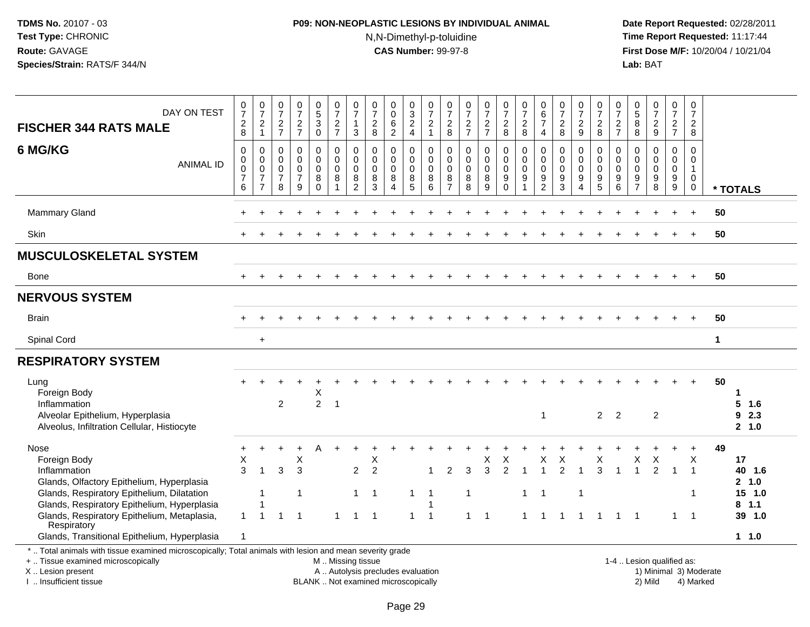### **P09: NON-NEOPLASTIC LESIONS BY INDIVIDUAL ANIMAL**N,N-Dimethyl-p-toluidine

 **Date Report Requested:** 02/28/2011 **Time Report Requested:** 11:17:44 **First Dose M/F:** 10/20/04 / 10/21/04<br>**Lab:** BAT **Lab:** BAT

| DAY ON TEST<br><b>FISCHER 344 RATS MALE</b>                                                                                                                                                                                                                                                         | $\begin{smallmatrix}0\\7\end{smallmatrix}$<br>$\overline{c}$<br>8        | 0<br>$\overline{7}$<br>$\overline{2}$<br>$\mathbf{1}$               | $\frac{0}{7}$<br>$\sqrt{2}$<br>$\overline{7}$                 | $\frac{0}{7}$<br>$\frac{2}{7}$             | $\begin{array}{c} 0 \\ 5 \\ 3 \end{array}$<br>$\mathbf 0$ | $\frac{0}{7}$<br>$\sqrt{2}$<br>$\overline{7}$                      | 0<br>$\overline{7}$<br>$\overline{1}$<br>3       | $\frac{0}{7}$<br>$\overline{2}$<br>8                 | 0<br>$\ddot{\mathbf{0}}$<br>$\,6\,$<br>$\overline{c}$ | $\begin{array}{c} 0 \\ 3 \\ 2 \end{array}$<br>$\overline{4}$ | 0<br>$\overline{7}$<br>$\sqrt{2}$<br>$\overline{1}$  | 0<br>$\overline{7}$<br>$\overline{2}$<br>$\,8\,$                 | $\frac{0}{7}$<br>$\frac{2}{7}$                          | 0<br>$\overline{7}$<br>$\overline{c}$<br>$\overline{7}$ | $\frac{0}{7}$<br>$\overline{c}$<br>8                   | $\frac{0}{7}$<br>$\boldsymbol{2}$<br>8                              | $\begin{array}{c} 0 \\ 6 \end{array}$<br>$\overline{7}$<br>$\overline{4}$ | $\frac{0}{7}$<br>$\overline{c}$<br>8                             | 0<br>$\overline{7}$<br>$\overline{c}$<br>$9\,$              | 0<br>$\overline{7}$<br>$\overline{c}$<br>8 | $\frac{0}{7}$<br>$\overline{c}$<br>$\overline{7}$                     | $\begin{array}{c} 0 \\ 5 \end{array}$<br>$\, 8$<br>8       | $\frac{0}{7}$<br>$\boldsymbol{2}$<br>9                   | 0<br>$\overline{7}$<br>$\overline{2}$<br>$\overline{7}$      | 0<br>$\overline{7}$<br>$\overline{2}$<br>8           |             |                                                                  |
|-----------------------------------------------------------------------------------------------------------------------------------------------------------------------------------------------------------------------------------------------------------------------------------------------------|--------------------------------------------------------------------------|---------------------------------------------------------------------|---------------------------------------------------------------|--------------------------------------------|-----------------------------------------------------------|--------------------------------------------------------------------|--------------------------------------------------|------------------------------------------------------|-------------------------------------------------------|--------------------------------------------------------------|------------------------------------------------------|------------------------------------------------------------------|---------------------------------------------------------|---------------------------------------------------------|--------------------------------------------------------|---------------------------------------------------------------------|---------------------------------------------------------------------------|------------------------------------------------------------------|-------------------------------------------------------------|--------------------------------------------|-----------------------------------------------------------------------|------------------------------------------------------------|----------------------------------------------------------|--------------------------------------------------------------|------------------------------------------------------|-------------|------------------------------------------------------------------|
| 6 MG/KG<br><b>ANIMAL ID</b>                                                                                                                                                                                                                                                                         | $\mathbf 0$<br>$\mathbf 0$<br>$\pmb{0}$<br>$\overline{7}$<br>6           | 0<br>$\mathbf 0$<br>$\mathbf 0$<br>$\overline{7}$<br>$\overline{7}$ | $\Omega$<br>$\mathbf 0$<br>$\mathbf 0$<br>$\overline{7}$<br>8 | 0<br>0<br>$\bar{0}$<br>$\overline{7}$<br>9 | $\pmb{0}$<br>$\mathbf 0$<br>$\pmb{0}$<br>8<br>$\mathbf 0$ | $\mathbf 0$<br>$\mathbf 0$<br>$\pmb{0}$<br>$\,8\,$<br>$\mathbf{1}$ | $\Omega$<br>$\mathbf 0$<br>$\mathbf 0$<br>8<br>2 | $\Omega$<br>$\mathbf 0$<br>$\mathbf 0$<br>8<br>3     | 0<br>0<br>$\mathsf{O}\xspace$<br>$\bf 8$<br>$\Delta$  | 0<br>0<br>$\pmb{0}$<br>8<br>5                                | $\Omega$<br>$\mathbf 0$<br>$\pmb{0}$<br>$\bf 8$<br>6 | $\mathbf 0$<br>$\mathbf 0$<br>$\mathbf 0$<br>8<br>$\overline{7}$ | $\pmb{0}$<br>$\mathbf 0$<br>$\mathbf 0$<br>$\bf 8$<br>8 | 0<br>$\mathbf 0$<br>$\mathbf 0$<br>$\bf 8$<br>9         | 0<br>0<br>$\pmb{0}$<br>$\boldsymbol{9}$<br>$\mathbf 0$ | $\mathbf 0$<br>0<br>$\pmb{0}$<br>$\boldsymbol{9}$<br>$\overline{1}$ | $\mathbf 0$<br>$\mathbf 0$<br>$\pmb{0}$<br>$\frac{9}{2}$                  | $\pmb{0}$<br>$\mathbf 0$<br>$\mathbf 0$<br>$\boldsymbol{9}$<br>3 | 0<br>0<br>$\mathbf 0$<br>$\boldsymbol{9}$<br>$\overline{4}$ | 0<br>0<br>$\mathbf 0$<br>$\frac{9}{5}$     | $\mathbf 0$<br>0<br>$\mathbf 0$<br>$\boldsymbol{9}$<br>$6\phantom{1}$ | $\mathbf 0$<br>$\mathbf 0$<br>$\mathbf 0$<br>$\frac{9}{7}$ | 0<br>$\mathbf 0$<br>$\mathbf 0$<br>$\boldsymbol{9}$<br>8 | 0<br>$\mathbf 0$<br>$\mathbf 0$<br>$9\,$<br>$\boldsymbol{9}$ | 0<br>0<br>$\mathbf{1}$<br>$\mathbf 0$<br>$\mathbf 0$ |             | * TOTALS                                                         |
| <b>Mammary Gland</b>                                                                                                                                                                                                                                                                                |                                                                          |                                                                     |                                                               |                                            |                                                           |                                                                    |                                                  |                                                      |                                                       |                                                              |                                                      |                                                                  |                                                         |                                                         |                                                        |                                                                     |                                                                           |                                                                  |                                                             |                                            |                                                                       |                                                            |                                                          |                                                              |                                                      | 50          |                                                                  |
| <b>Skin</b>                                                                                                                                                                                                                                                                                         |                                                                          |                                                                     |                                                               |                                            |                                                           |                                                                    |                                                  |                                                      |                                                       |                                                              |                                                      |                                                                  |                                                         |                                                         |                                                        |                                                                     |                                                                           |                                                                  |                                                             |                                            |                                                                       |                                                            |                                                          |                                                              |                                                      | 50          |                                                                  |
| <b>MUSCULOSKELETAL SYSTEM</b>                                                                                                                                                                                                                                                                       |                                                                          |                                                                     |                                                               |                                            |                                                           |                                                                    |                                                  |                                                      |                                                       |                                                              |                                                      |                                                                  |                                                         |                                                         |                                                        |                                                                     |                                                                           |                                                                  |                                                             |                                            |                                                                       |                                                            |                                                          |                                                              |                                                      |             |                                                                  |
| Bone                                                                                                                                                                                                                                                                                                |                                                                          |                                                                     |                                                               |                                            |                                                           |                                                                    |                                                  |                                                      |                                                       |                                                              |                                                      |                                                                  |                                                         |                                                         |                                                        |                                                                     |                                                                           |                                                                  |                                                             |                                            |                                                                       |                                                            |                                                          |                                                              |                                                      | 50          |                                                                  |
| <b>NERVOUS SYSTEM</b>                                                                                                                                                                                                                                                                               |                                                                          |                                                                     |                                                               |                                            |                                                           |                                                                    |                                                  |                                                      |                                                       |                                                              |                                                      |                                                                  |                                                         |                                                         |                                                        |                                                                     |                                                                           |                                                                  |                                                             |                                            |                                                                       |                                                            |                                                          |                                                              |                                                      |             |                                                                  |
| <b>Brain</b>                                                                                                                                                                                                                                                                                        |                                                                          |                                                                     |                                                               |                                            |                                                           |                                                                    |                                                  |                                                      |                                                       |                                                              |                                                      |                                                                  |                                                         |                                                         |                                                        |                                                                     |                                                                           |                                                                  |                                                             |                                            |                                                                       |                                                            |                                                          |                                                              |                                                      | 50          |                                                                  |
| Spinal Cord                                                                                                                                                                                                                                                                                         |                                                                          | $\ddot{}$                                                           |                                                               |                                            |                                                           |                                                                    |                                                  |                                                      |                                                       |                                                              |                                                      |                                                                  |                                                         |                                                         |                                                        |                                                                     |                                                                           |                                                                  |                                                             |                                            |                                                                       |                                                            |                                                          |                                                              |                                                      | $\mathbf 1$ |                                                                  |
| <b>RESPIRATORY SYSTEM</b>                                                                                                                                                                                                                                                                           |                                                                          |                                                                     |                                                               |                                            |                                                           |                                                                    |                                                  |                                                      |                                                       |                                                              |                                                      |                                                                  |                                                         |                                                         |                                                        |                                                                     |                                                                           |                                                                  |                                                             |                                            |                                                                       |                                                            |                                                          |                                                              |                                                      |             |                                                                  |
| Lung<br>Foreign Body<br>Inflammation<br>Alveolar Epithelium, Hyperplasia<br>Alveolus, Infiltration Cellular, Histiocyte                                                                                                                                                                             |                                                                          |                                                                     | $\overline{c}$                                                |                                            | X<br>$\overline{2}$                                       | $\overline{1}$                                                     |                                                  |                                                      |                                                       |                                                              |                                                      |                                                                  |                                                         |                                                         |                                                        |                                                                     | $\overline{1}$                                                            |                                                                  |                                                             | $2^{\circ}$                                | $\overline{2}$                                                        |                                                            | $\overline{2}$                                           |                                                              |                                                      | 50          | 1<br>$5$ 1.6<br>92.3<br>2, 1.0                                   |
| <b>Nose</b><br>Foreign Body<br>Inflammation<br>Glands, Olfactory Epithelium, Hyperplasia<br>Glands, Respiratory Epithelium, Dilatation<br>Glands, Respiratory Epithelium, Hyperplasia<br>Glands, Respiratory Epithelium, Metaplasia,<br>Respiratory<br>Glands, Transitional Epithelium, Hyperplasia | $\ddot{}$<br>$\mathsf X$<br>3<br>$\mathbf{1}$<br>$\overline{\mathbf{1}}$ | $\overline{1}$<br>1<br>1<br>$\overline{1}$                          | 3<br>1                                                        | X<br>3<br>$\mathbf{1}$<br>$\overline{1}$   |                                                           | $\mathbf 1$                                                        | 2<br>$\mathbf{1}$                                | X<br>$\overline{2}$<br>$\overline{1}$<br>$1 \quad 1$ |                                                       | $\mathbf{1}$<br>$\mathbf{1}$                                 | $\overline{1}$<br>$\overline{1}$<br>$\overline{1}$   | 2                                                                | 3<br>$\mathbf{1}$<br>$\mathbf{1}$                       | Χ<br>3<br>$\overline{1}$                                | X<br>$\overline{2}$                                    | $\mathbf{1}$                                                        | X<br>$\overline{\mathbf{1}}$<br>$1 \quad 1$                               | Χ<br>$\mathfrak{p}$<br>$\overline{1}$                            | $\overline{1}$<br>$\overline{1}$                            | X<br>3<br>$\overline{1}$                   | -1<br>$\overline{1}$                                                  | X<br>$\overline{1}$                                        | X<br>2                                                   | $\overline{1}$<br>$\mathbf{1}$                               | X<br>$\overline{1}$<br>$\overline{1}$                | 49          | 17<br>40 1.6<br>2, 1.0<br>15 1.0<br>$8$ 1.1<br>39 1.0<br>$1 1.0$ |
| *  Total animals with tissue examined microscopically; Total animals with lesion and mean severity grade<br>+  Tissue examined microscopically                                                                                                                                                      |                                                                          |                                                                     |                                                               |                                            |                                                           | M  Missing tissue                                                  |                                                  |                                                      |                                                       |                                                              |                                                      |                                                                  |                                                         |                                                         |                                                        |                                                                     |                                                                           |                                                                  |                                                             |                                            |                                                                       |                                                            | 1-4  Lesion qualified as:                                |                                                              |                                                      |             |                                                                  |

X .. Lesion present

I .. Insufficient tissue

A .. Autolysis precludes evaluation

BLANK .. Not examined microscopically 2) Mild 4) Marked

1-4 .. Lesion qualified as: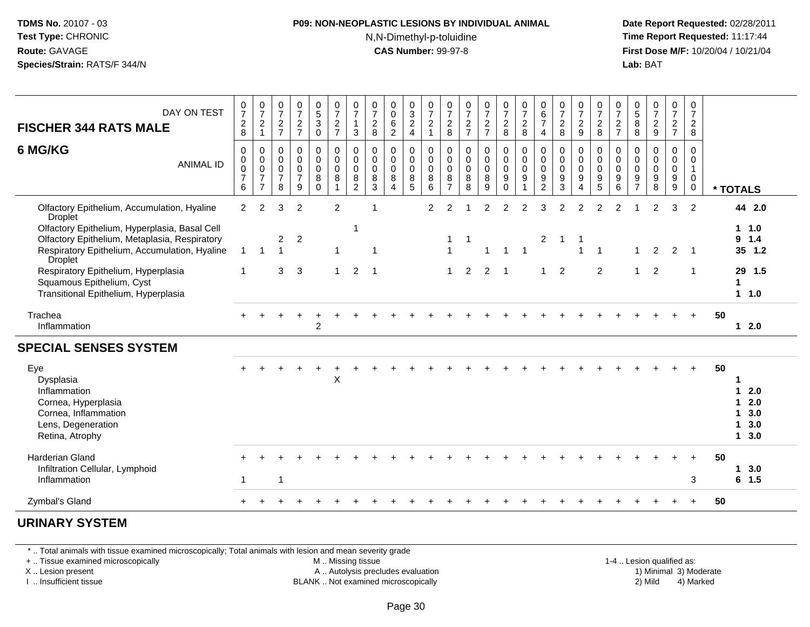#### **P09: NON-NEOPLASTIC LESIONS BY INDIVIDUAL ANIMAL**N,N-Dimethyl-p-toluidine

 **Date Report Requested:** 02/28/2011 **Time Report Requested:** 11:17:44 **First Dose M/F:** 10/20/04 / 10/21/04<br>**Lab:** BAT **Lab:** BAT

| DAY ON TEST<br><b>FISCHER 344 RATS MALE</b>                                                                                                                | $\frac{0}{7}$<br>$\begin{array}{c} 2 \\ 8 \end{array}$         | $\frac{0}{7}$<br>$\frac{2}{1}$                                              | $\frac{0}{7}$<br>$\frac{2}{7}$                                 | $\frac{0}{7}$<br>$\frac{2}{7}$                       | $\begin{array}{c} 0 \\ 5 \\ 3 \end{array}$<br>$\mathsf 0$               | $\frac{0}{7}$<br>$\boldsymbol{2}$<br>$\overline{7}$                | $\frac{0}{7}$<br>$\overline{1}$<br>$\mathbf{3}$        | $\frac{0}{7}$<br>$\sqrt{2}$<br>8                               | $\begin{smallmatrix}0\0\0\end{smallmatrix}$<br>6<br>$\overline{c}$ | $\begin{smallmatrix} 0\\ 3\\ 2 \end{smallmatrix}$<br>$\overline{4}$ | $\frac{0}{7}$<br>$\sqrt{2}$<br>$\overline{1}$                   | $\frac{0}{7}$<br>$\frac{2}{8}$                                         | $\frac{0}{7}$<br>$\frac{2}{7}$                      | $\frac{0}{7}$<br>$\frac{2}{7}$            | $\frac{0}{7}$<br>$\overline{2}$<br>8                              | $\frac{0}{7}$<br>$\frac{2}{8}$                              | $\begin{matrix} 0 \\ 6 \end{matrix}$<br>$\overline{7}$<br>$\overline{4}$ | $\frac{0}{7}$<br>$\overline{2}$<br>8                                      | $\frac{0}{7}$<br>$\overline{c}$<br>9                             | $\frac{0}{7}$<br>$\overline{c}$<br>8                        | $\frac{0}{7}$<br>$\frac{2}{7}$                                           | 0<br>8<br>8                                                                     | $\frac{0}{7}$<br>$\frac{2}{9}$                                   | $\frac{0}{7}$<br>$\frac{2}{7}$                                   | $\frac{0}{7}$<br>$\overline{c}$<br>8                                   |    |                                                      |  |
|------------------------------------------------------------------------------------------------------------------------------------------------------------|----------------------------------------------------------------|-----------------------------------------------------------------------------|----------------------------------------------------------------|------------------------------------------------------|-------------------------------------------------------------------------|--------------------------------------------------------------------|--------------------------------------------------------|----------------------------------------------------------------|--------------------------------------------------------------------|---------------------------------------------------------------------|-----------------------------------------------------------------|------------------------------------------------------------------------|-----------------------------------------------------|-------------------------------------------|-------------------------------------------------------------------|-------------------------------------------------------------|--------------------------------------------------------------------------|---------------------------------------------------------------------------|------------------------------------------------------------------|-------------------------------------------------------------|--------------------------------------------------------------------------|---------------------------------------------------------------------------------|------------------------------------------------------------------|------------------------------------------------------------------|------------------------------------------------------------------------|----|------------------------------------------------------|--|
| 6 MG/KG<br><b>ANIMAL ID</b>                                                                                                                                | $\mathbf 0$<br>$\mathbf 0$<br>$\pmb{0}$<br>$\overline{7}$<br>6 | $\pmb{0}$<br>$\mathbf 0$<br>$\pmb{0}$<br>$\boldsymbol{7}$<br>$\overline{7}$ | $\mathbf 0$<br>$\mathbf 0$<br>$\pmb{0}$<br>$\overline{7}$<br>8 | 0<br>$\mathbf 0$<br>$\pmb{0}$<br>$\overline{7}$<br>9 | $\pmb{0}$<br>$\ddot{\mathbf{0}}$<br>$\pmb{0}$<br>$\bf 8$<br>$\mathbf 0$ | $\pmb{0}$<br>$\mathbf 0$<br>$\mathbf 0$<br>$\bf 8$<br>$\mathbf{1}$ | $\mathbf 0$<br>$\mathbf 0$<br>0<br>8<br>$\overline{2}$ | $\mathbf 0$<br>$\mathbf 0$<br>$\mathbf 0$<br>8<br>$\mathbf{3}$ | 0<br>$\mathbf 0$<br>$\mathbf 0$<br>8<br>$\overline{4}$             | 0<br>$\mathsf{O}\xspace$<br>$\mathbf 0$<br>8<br>5                   | $\Omega$<br>$\pmb{0}$<br>$\pmb{0}$<br>$\,8\,$<br>$6\phantom{1}$ | $\mathbf 0$<br>$\mathbf 0$<br>$\mathsf{O}$<br>$\, 8$<br>$\overline{7}$ | $\pmb{0}$<br>$\pmb{0}$<br>$\pmb{0}$<br>$\,8\,$<br>8 | 0<br>$\mathbf 0$<br>$\mathsf 0$<br>8<br>9 | $\pmb{0}$<br>$\mathsf{O}\xspace$<br>$\pmb{0}$<br>9<br>$\mathbf 0$ | $\pmb{0}$<br>$\mathbf 0$<br>$\mathsf 0$<br>$\boldsymbol{9}$ | 0<br>$\mathbf 0$<br>$\mathsf 0$<br>$\boldsymbol{9}$<br>$\overline{2}$    | $\mathbf 0$<br>$\pmb{0}$<br>$\pmb{0}$<br>$\boldsymbol{9}$<br>$\mathbf{3}$ | 0<br>$\mathbf 0$<br>$\mathsf{O}\xspace$<br>$\boldsymbol{9}$<br>4 | $\mathbf 0$<br>$\mathsf{O}\xspace$<br>$\mathsf 0$<br>9<br>5 | $\Omega$<br>$\pmb{0}$<br>$\pmb{0}$<br>$\boldsymbol{9}$<br>$6\phantom{1}$ | $\mathbf 0$<br>$\mathbf 0$<br>$\mathbf 0$<br>$\boldsymbol{9}$<br>$\overline{7}$ | $\mathbf 0$<br>$\mathbf 0$<br>$\pmb{0}$<br>$\boldsymbol{9}$<br>8 | $\mathbf 0$<br>$\mathbf 0$<br>$\pmb{0}$<br>$\boldsymbol{9}$<br>9 | $\mathbf 0$<br>$\mathsf{O}\xspace$<br>$\mathbf{1}$<br>$\mathbf 0$<br>0 |    | * TOTALS                                             |  |
| Olfactory Epithelium, Accumulation, Hyaline<br><b>Droplet</b>                                                                                              | 2                                                              | $\overline{2}$                                                              | 3                                                              | $\overline{2}$                                       |                                                                         | 2                                                                  |                                                        | -1                                                             |                                                                    |                                                                     | 2                                                               | 2                                                                      |                                                     | $\overline{2}$                            | 2                                                                 | $\overline{2}$                                              | 3                                                                        | 2                                                                         | $\overline{2}$                                                   | $\overline{2}$                                              | $\overline{2}$                                                           |                                                                                 | $\overline{2}$                                                   | 3                                                                | 2                                                                      |    | 44 2.0                                               |  |
| Olfactory Epithelium, Hyperplasia, Basal Cell<br>Olfactory Epithelium, Metaplasia, Respiratory<br>Respiratory Epithelium, Accumulation, Hyaline<br>Droplet | $\mathbf{1}$<br>$\overline{1}$                                 | $\overline{1}$                                                              | $\overline{2}$<br>1                                            | $\overline{c}$                                       |                                                                         | $\mathbf{1}$                                                       | $\overline{\phantom{a}}$                               | -1                                                             |                                                                    |                                                                     |                                                                 | -1<br>$\overline{1}$                                                   | -1                                                  | 1                                         | $\mathbf{1}$                                                      | $\overline{1}$                                              | $\overline{c}$                                                           | -1                                                                        | 1<br>$\overline{1}$                                              |                                                             |                                                                          | -1<br>-1                                                                        | 2                                                                | 2                                                                | -1                                                                     |    | 1 1.0<br>9 1.4<br>35 1.2                             |  |
| Respiratory Epithelium, Hyperplasia<br>Squamous Epithelium, Cyst<br>Transitional Epithelium, Hyperplasia                                                   |                                                                |                                                                             | 3                                                              | 3                                                    |                                                                         | $\mathbf{1}$                                                       | 2                                                      | -1                                                             |                                                                    |                                                                     |                                                                 | $\overline{1}$                                                         | 2                                                   | $\overline{2}$                            | -1                                                                |                                                             |                                                                          | $\overline{2}$                                                            |                                                                  | $\overline{2}$                                              |                                                                          |                                                                                 | 2                                                                |                                                                  |                                                                        |    | 29 1.5<br>1<br>$1 \t1.0$                             |  |
| Trachea<br>Inflammation                                                                                                                                    |                                                                |                                                                             |                                                                |                                                      | $\overline{c}$                                                          |                                                                    |                                                        |                                                                |                                                                    |                                                                     |                                                                 |                                                                        |                                                     |                                           |                                                                   |                                                             |                                                                          |                                                                           |                                                                  |                                                             |                                                                          |                                                                                 |                                                                  |                                                                  | $\ddot{}$                                                              | 50 | $12.0$                                               |  |
| <b>SPECIAL SENSES SYSTEM</b>                                                                                                                               |                                                                |                                                                             |                                                                |                                                      |                                                                         |                                                                    |                                                        |                                                                |                                                                    |                                                                     |                                                                 |                                                                        |                                                     |                                           |                                                                   |                                                             |                                                                          |                                                                           |                                                                  |                                                             |                                                                          |                                                                                 |                                                                  |                                                                  |                                                                        |    |                                                      |  |
| Eye<br>Dysplasia<br>Inflammation<br>Cornea, Hyperplasia<br>Cornea, Inflammation<br>Lens, Degeneration<br>Retina, Atrophy                                   |                                                                |                                                                             |                                                                |                                                      |                                                                         | X                                                                  |                                                        |                                                                |                                                                    |                                                                     |                                                                 |                                                                        |                                                     |                                           |                                                                   |                                                             |                                                                          |                                                                           |                                                                  |                                                             |                                                                          |                                                                                 |                                                                  |                                                                  | $+$                                                                    | 50 | 2.0<br>1.<br>$12.0$<br>13.0<br>$1 \quad 3.0$<br>13.0 |  |
| Harderian Gland<br>Infiltration Cellular, Lymphoid<br>Inflammation                                                                                         | $\overline{1}$                                                 |                                                                             | 1                                                              |                                                      |                                                                         |                                                                    |                                                        |                                                                |                                                                    |                                                                     |                                                                 |                                                                        |                                                     |                                           |                                                                   |                                                             |                                                                          |                                                                           |                                                                  |                                                             |                                                                          |                                                                                 |                                                                  |                                                                  | 3                                                                      | 50 | 13.0<br>$6$ 1.5                                      |  |
| Zymbal's Gland                                                                                                                                             |                                                                |                                                                             |                                                                |                                                      |                                                                         |                                                                    |                                                        |                                                                |                                                                    |                                                                     |                                                                 |                                                                        |                                                     |                                           |                                                                   |                                                             |                                                                          |                                                                           |                                                                  |                                                             |                                                                          |                                                                                 |                                                                  |                                                                  |                                                                        | 50 |                                                      |  |
|                                                                                                                                                            |                                                                |                                                                             |                                                                |                                                      |                                                                         |                                                                    |                                                        |                                                                |                                                                    |                                                                     |                                                                 |                                                                        |                                                     |                                           |                                                                   |                                                             |                                                                          |                                                                           |                                                                  |                                                             |                                                                          |                                                                                 |                                                                  |                                                                  |                                                                        |    |                                                      |  |

#### **URINARY SYSTEM**

\* .. Total animals with tissue examined microscopically; Total animals with lesion and mean severity grade

+ .. Tissue examined microscopically

X .. Lesion present

I .. Insufficient tissue

M .. Missing tissue

A .. Autolysis precludes evaluation

BLANK .. Not examined microscopically 2) Mild 4) Marked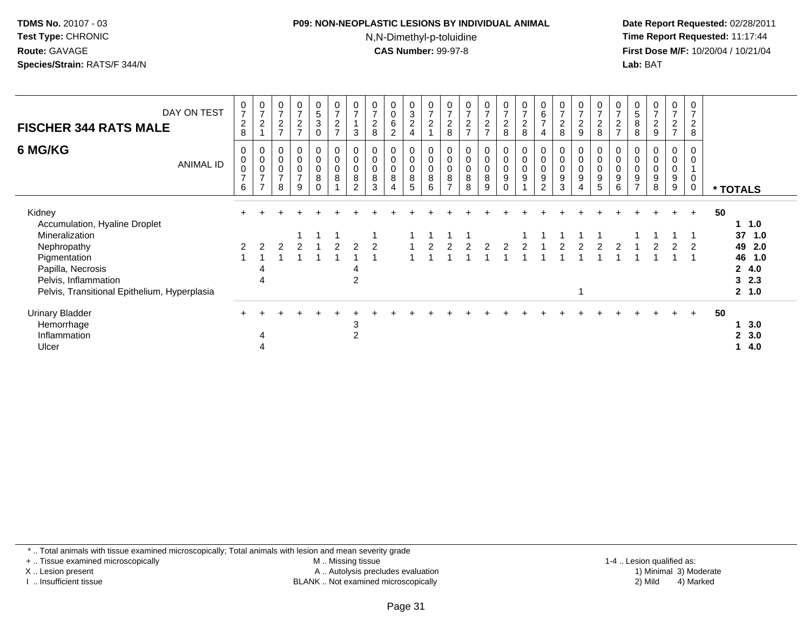### **P09: NON-NEOPLASTIC LESIONS BY INDIVIDUAL ANIMAL**N,N-Dimethyl-p-toluidine

 **Date Report Requested:** 02/28/2011 **Time Report Requested:** 11:17:44 **First Dose M/F:** 10/20/04 / 10/21/04<br>**Lab:** BAT **Lab:** BAT

| DAY ON TEST<br><b>FISCHER 344 RATS MALE</b>                          | $\frac{0}{7}$<br>$\boldsymbol{2}$<br>8     | $\frac{0}{7}$<br>$\boldsymbol{2}$                                         | $\frac{0}{7}$<br>$\sqrt{2}$<br>$\overline{ }$                        | $\frac{0}{7}$<br>$\overline{c}$<br>$\overline{ }$ | $\begin{array}{c} 0 \\ 5 \end{array}$<br>3<br>0 | $\frac{0}{7}$<br>$\sqrt{2}$<br>$\overline{ }$ | $\frac{0}{7}$<br>3              | $\frac{0}{7}$<br>$\sqrt{2}$<br>8        | 0<br>$\mathbf 0$<br>6<br>2                | $_{3}^{\rm 0}$<br>$\boldsymbol{2}$<br>4   | $\frac{0}{7}$<br>$\sqrt{2}$                     | $\frac{0}{7}$<br>$\boldsymbol{2}$<br>8             | $\frac{0}{7}$<br>$\overline{2}$<br>$\overline{ }$ | $\frac{0}{7}$<br>$\frac{2}{7}$                       | 0<br>7<br>$\overline{c}$<br>8                    | $\frac{0}{7}$<br>$\overline{c}$<br>8 | $\begin{matrix} 0 \\ 6 \end{matrix}$<br>$\overline{7}$<br>$\overline{4}$ | $\frac{0}{7}$<br>$\overline{2}$<br>8                     | $\frac{0}{7}$<br>$\frac{2}{9}$                                                                    | $\frac{0}{7}$<br>$\sqrt{2}$<br>$\,8\,$                    | 0<br>$\overline{7}$<br>$\boldsymbol{2}$<br>$\overline{ }$ | $\mathbf 5$<br>$\bf 8$<br>8                          | $\frac{0}{7}$<br>$\overline{c}$<br>9 | 0<br>$\overline{ }$<br>$\overline{a}$<br>$\overline{z}$ | 0<br>$\overline{7}$<br>$\overline{2}$<br>8 |                              |
|----------------------------------------------------------------------|--------------------------------------------|---------------------------------------------------------------------------|----------------------------------------------------------------------|---------------------------------------------------|-------------------------------------------------|-----------------------------------------------|---------------------------------|-----------------------------------------|-------------------------------------------|-------------------------------------------|-------------------------------------------------|----------------------------------------------------|---------------------------------------------------|------------------------------------------------------|--------------------------------------------------|--------------------------------------|--------------------------------------------------------------------------|----------------------------------------------------------|---------------------------------------------------------------------------------------------------|-----------------------------------------------------------|-----------------------------------------------------------|------------------------------------------------------|--------------------------------------|---------------------------------------------------------|--------------------------------------------|------------------------------|
| 6 MG/KG<br>ANIMAL ID                                                 | 0<br>$\pmb{0}$<br>0<br>$\overline{7}$<br>6 | 0<br>$\pmb{0}$<br>$\pmb{0}$<br>$\overline{7}$<br>$\overline{\phantom{a}}$ | 0<br>$\boldsymbol{0}$<br>$\pmb{0}$<br>$\overline{7}$<br>$\mathsf{R}$ | $_0^0$<br>$\pmb{0}$<br>$\overline{ }$<br>9        | $_0^0$<br>0<br>8<br>$\Omega$                    | $_{\rm 0}^{\rm 0}$<br>$\pmb{0}$<br>8          | 0<br>$\mathbf 0$<br>0<br>8<br>2 | 0<br>$\pmb{0}$<br>$\mathbf 0$<br>8<br>3 | 0<br>$\Omega$<br>0<br>8<br>$\overline{4}$ | 0<br>$\mathbf 0$<br>$\mathbf 0$<br>8<br>5 | $_{\rm 0}^{\rm 0}$<br>$\pmb{0}$<br>$\bf 8$<br>6 | 0<br>$\pmb{0}$<br>$\pmb{0}$<br>8<br>$\overline{ }$ | $_{\rm 0}^{\rm 0}$<br>$\pmb{0}$<br>$\bf 8$<br>8   | $\boldsymbol{0}$<br>$\pmb{0}$<br>$\pmb{0}$<br>8<br>9 | 0<br>$\mathbf 0$<br>$\mathbf 0$<br>9<br>$\Omega$ | 0<br>$\bar{0}$<br>0<br>9             | $\pmb{0}$<br>$\mathbf 0$<br>9<br>$\overline{2}$                          | $_{\rm 0}^{\rm 0}$<br>$\pmb{0}$<br>$\boldsymbol{9}$<br>3 | $\begin{smallmatrix} 0\\0 \end{smallmatrix}$<br>$\mathbf 0$<br>$\boldsymbol{9}$<br>$\overline{4}$ | 0<br>$\overline{0}$<br>$\pmb{0}$<br>$\boldsymbol{9}$<br>5 | 0<br>$\boldsymbol{0}$<br>$\mathbf 0$<br>9<br>6            | 0<br>$\mathbf 0$<br>$\pmb{0}$<br>9<br>$\overline{7}$ | $_0^0$<br>$\mathsf{O}$<br>9<br>8     | 0<br>0<br>0<br>9<br>$\boldsymbol{9}$                    | 0<br>$\mathbf 0$<br>0<br>$\pmb{0}$         | * TOTALS                     |
| Kidney<br>Accumulation, Hyaline Droplet                              |                                            |                                                                           |                                                                      |                                                   |                                                 |                                               |                                 |                                         |                                           |                                           |                                                 |                                                    |                                                   |                                                      |                                                  |                                      |                                                                          |                                                          |                                                                                                   |                                                           |                                                           |                                                      |                                      | $+$                                                     | $+$                                        | 50<br>1.0                    |
| Mineralization                                                       |                                            |                                                                           |                                                                      | 2                                                 |                                                 | $\mathcal{P}$                                 | $\mathcal{P}$                   | $\overline{2}$                          |                                           |                                           |                                                 |                                                    |                                                   | 2                                                    |                                                  |                                      |                                                                          |                                                          |                                                                                                   |                                                           | 2                                                         |                                                      | 2                                    | 2                                                       | $\overline{2}$                             | 37<br>1.0<br>2.0             |
| Nephropathy<br>Pigmentation<br>Papilla, Necrosis                     | $\overline{2}$                             | 4                                                                         |                                                                      |                                                   |                                                 |                                               | 4                               |                                         |                                           |                                           |                                                 |                                                    |                                                   |                                                      |                                                  |                                      |                                                                          |                                                          |                                                                                                   |                                                           |                                                           |                                                      |                                      |                                                         |                                            | 49<br>46<br>1.0<br>24.0      |
| Pelvis, Inflammation<br>Pelvis, Transitional Epithelium, Hyperplasia |                                            | 4                                                                         |                                                                      |                                                   |                                                 |                                               | $\overline{2}$                  |                                         |                                           |                                           |                                                 |                                                    |                                                   |                                                      |                                                  |                                      |                                                                          |                                                          |                                                                                                   |                                                           |                                                           |                                                      |                                      |                                                         |                                            | 32.3<br>2, 1.0               |
| <b>Urinary Bladder</b><br>Hemorrhage                                 |                                            |                                                                           |                                                                      |                                                   |                                                 |                                               | 3                               |                                         |                                           |                                           |                                                 |                                                    |                                                   |                                                      |                                                  |                                      |                                                                          |                                                          |                                                                                                   |                                                           |                                                           |                                                      |                                      |                                                         |                                            | 50<br>3.0                    |
| Inflammation<br>Ulcer                                                |                                            | 4<br>4                                                                    |                                                                      |                                                   |                                                 |                                               | $\overline{c}$                  |                                         |                                           |                                           |                                                 |                                                    |                                                   |                                                      |                                                  |                                      |                                                                          |                                                          |                                                                                                   |                                                           |                                                           |                                                      |                                      |                                                         |                                            | 3.0<br>$\mathbf{2}^-$<br>4.0 |

\* .. Total animals with tissue examined microscopically; Total animals with lesion and mean severity grade

+ .. Tissue examined microscopically

X .. Lesion present

I .. Insufficient tissue

 M .. Missing tissueA .. Autolysis precludes evaluation

1-4 .. Lesion qualified as:<br>1) Minimal 3) Moderate BLANK .. Not examined microscopically 2) Mild 4) Marked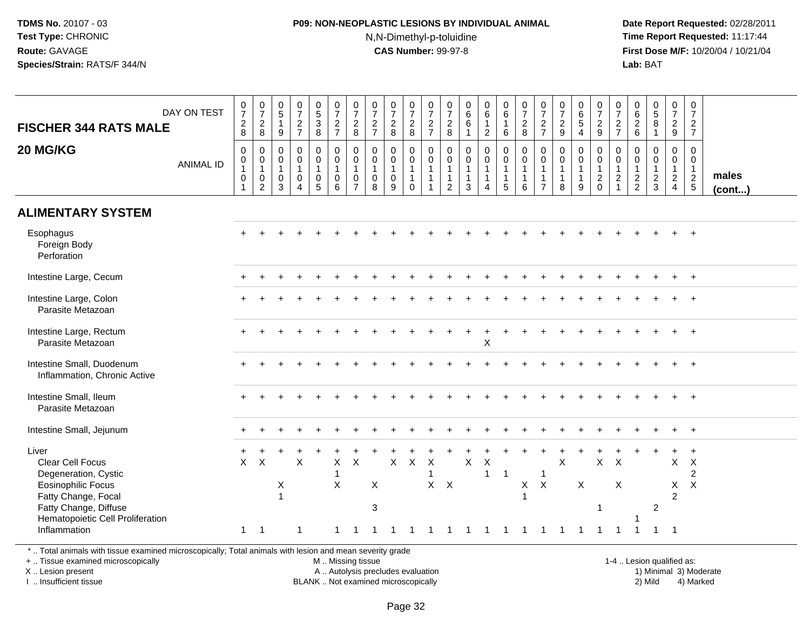#### **P09: NON-NEOPLASTIC LESIONS BY INDIVIDUAL ANIMAL**N,N-Dimethyl-p-toluidine

 **Date Report Requested:** 02/28/2011 **Time Report Requested:** 11:17:44 **First Dose M/F:** 10/20/04 / 10/21/04<br>**Lab:** BAT **Lab:** BAT

| <b>FISCHER 344 RATS MALE</b>                                                                                                                                                       | DAY ON TEST      | $\frac{0}{7}$<br>$\frac{2}{8}$                                      | $\begin{array}{c} 0 \\ 7 \end{array}$<br>$_{\rm 8}^2$                    | $\begin{array}{c} 0 \\ 5 \end{array}$<br>$\mathbf{1}$<br>9 | $\frac{0}{7}$<br>$\frac{2}{7}$                                            | 0<br>5<br>3<br>8                                                | $\frac{0}{7}$<br>$\frac{2}{7}$                                                         | $\begin{array}{c} 0 \\ 7 \end{array}$<br>$_{\rm 8}^2$               | $\begin{array}{c} 0 \\ 7 \end{array}$<br>$\frac{2}{7}$ | $\begin{array}{c} 0 \\ 7 \end{array}$<br>$\frac{2}{8}$                 | $\frac{0}{7}$<br>$_{8}^{\rm 2}$                                 | $\frac{0}{7}$<br>$\frac{2}{7}$                                                                 | $\frac{0}{7}$<br>$\frac{2}{8}$                                     | $_{6}^{\rm 0}$<br>$\,6\,$<br>$\mathbf{1}$                       | $_{6}^{\rm 0}$<br>$\mathbf{1}$<br>$\overline{2}$                        | $\begin{smallmatrix}0\0\0\end{smallmatrix}$<br>$\mathbf{1}$<br>6                | $\begin{array}{c} 0 \\ 7 \end{array}$<br>$\frac{2}{8}$                               | $\frac{0}{7}$<br>$rac{2}{7}$                                                   | $\frac{0}{7}$<br>$\frac{2}{9}$                                       | $\begin{array}{c} 0 \\ 6 \\ 5 \end{array}$<br>$\overline{4}$            | 0729                                                       | $\begin{array}{c} 0 \\ 7 \end{array}$<br>$\frac{2}{7}$           | $\begin{array}{c} 0 \\ 6 \end{array}$<br>$^2\phantom{1}6$ | $\begin{array}{c} 0 \\ 5 \end{array}$<br>8<br>$\overline{1}$ | $\frac{0}{7}$<br>$\frac{2}{9}$                                       | $\begin{smallmatrix}0\\7\end{smallmatrix}$<br>$\frac{2}{7}$            |                       |
|------------------------------------------------------------------------------------------------------------------------------------------------------------------------------------|------------------|---------------------------------------------------------------------|--------------------------------------------------------------------------|------------------------------------------------------------|---------------------------------------------------------------------------|-----------------------------------------------------------------|----------------------------------------------------------------------------------------|---------------------------------------------------------------------|--------------------------------------------------------|------------------------------------------------------------------------|-----------------------------------------------------------------|------------------------------------------------------------------------------------------------|--------------------------------------------------------------------|-----------------------------------------------------------------|-------------------------------------------------------------------------|---------------------------------------------------------------------------------|--------------------------------------------------------------------------------------|--------------------------------------------------------------------------------|----------------------------------------------------------------------|-------------------------------------------------------------------------|------------------------------------------------------------|------------------------------------------------------------------|-----------------------------------------------------------|--------------------------------------------------------------|----------------------------------------------------------------------|------------------------------------------------------------------------|-----------------------|
| 20 MG/KG                                                                                                                                                                           | <b>ANIMAL ID</b> | $\pmb{0}$<br>$\pmb{0}$<br>$\mathbf{1}$<br>$\pmb{0}$<br>$\mathbf{1}$ | $\mathbf 0$<br>$\overline{0}$<br>1<br>$\boldsymbol{0}$<br>$\overline{2}$ | 0<br>$\mathbf 0$<br>$\mathbf{1}$<br>0<br>3                 | $\pmb{0}$<br>$\mathbf 0$<br>$\mathbf{1}$<br>$\mathbf 0$<br>$\overline{4}$ | 0<br>$\mathsf{O}\xspace$<br>$\mathbf{1}$<br>0<br>$\overline{5}$ | $\mathbf 0$<br>$\overline{0}$<br>$\mathbf{1}$<br>$\mathsf{O}\xspace$<br>$\overline{6}$ | $\mathbf 0$<br>$\ddot{\mathbf{0}}$<br>$\mathbf{1}$<br>$\frac{0}{7}$ | 0<br>$\pmb{0}$<br>$\mathbf{1}$<br>0<br>8               | $\mathbf 0$<br>$\ddot{\mathbf{0}}$<br>$\mathbf{1}$<br>$\mathbf 0$<br>9 | 0<br>$\mathbf 0$<br>$\mathbf{1}$<br>$\mathbf{1}$<br>$\mathbf 0$ | $\mathsf{O}\xspace$<br>$\ddot{\mathbf{0}}$<br>$\overline{1}$<br>$\mathbf{1}$<br>$\overline{1}$ | 0<br>$\mathbf 0$<br>$\mathbf{1}$<br>$\mathbf{1}$<br>$\overline{2}$ | $\mathbf 0$<br>$\mathbf 0$<br>$\mathbf{1}$<br>$\mathbf{1}$<br>3 | 0<br>$\mathsf{O}\xspace$<br>$\mathbf{1}$<br>1<br>$\boldsymbol{\Lambda}$ | $\mathbf 0$<br>$\overline{0}$<br>$\mathbf{1}$<br>$\mathbf{1}$<br>$\overline{5}$ | $\mathbf 0$<br>$\mathsf{O}\xspace$<br>$\mathbf{1}$<br>$\mathbf{1}$<br>$6\phantom{a}$ | $\mathbf 0$<br>$\mathbf 0$<br>$\overline{1}$<br>$\mathbf{1}$<br>$\overline{7}$ | $\mathbf 0$<br>$\overline{0}$<br>$\overline{1}$<br>$\mathbf{1}$<br>8 | $\mathbf 0$<br>$\mathsf{O}\xspace$<br>$\mathbf{1}$<br>$\mathbf{1}$<br>9 | $\mathsf{O}$<br>$\overline{0}$<br>$\mathbf{1}$<br>$^2_{0}$ | $\mathbf 0$<br>$\overline{0}$<br>1<br>$\sqrt{2}$<br>$\mathbf{1}$ | 0<br>$\mathbf 0$<br>$\mathbf{1}$<br>$\frac{2}{2}$         | $\mathbf 0$<br>$\mathbf 0$<br>$\mathbf{1}$<br>$\frac{2}{3}$  | $\mathbf 0$<br>0<br>$\mathbf{1}$<br>$\overline{a}$<br>$\overline{4}$ | 0<br>$\mathsf{O}\xspace$<br>$\mathbf{1}$<br>$\frac{2}{5}$              | males<br>$($ cont $)$ |
| <b>ALIMENTARY SYSTEM</b>                                                                                                                                                           |                  |                                                                     |                                                                          |                                                            |                                                                           |                                                                 |                                                                                        |                                                                     |                                                        |                                                                        |                                                                 |                                                                                                |                                                                    |                                                                 |                                                                         |                                                                                 |                                                                                      |                                                                                |                                                                      |                                                                         |                                                            |                                                                  |                                                           |                                                              |                                                                      |                                                                        |                       |
| Esophagus<br>Foreign Body<br>Perforation                                                                                                                                           |                  |                                                                     |                                                                          |                                                            |                                                                           |                                                                 |                                                                                        |                                                                     |                                                        |                                                                        |                                                                 |                                                                                                |                                                                    |                                                                 |                                                                         |                                                                                 |                                                                                      |                                                                                |                                                                      |                                                                         |                                                            |                                                                  |                                                           |                                                              |                                                                      |                                                                        |                       |
| Intestine Large, Cecum                                                                                                                                                             |                  |                                                                     |                                                                          |                                                            |                                                                           |                                                                 |                                                                                        |                                                                     |                                                        |                                                                        |                                                                 |                                                                                                |                                                                    |                                                                 |                                                                         |                                                                                 |                                                                                      |                                                                                |                                                                      |                                                                         |                                                            |                                                                  |                                                           |                                                              |                                                                      | $+$                                                                    |                       |
| Intestine Large, Colon<br>Parasite Metazoan                                                                                                                                        |                  |                                                                     |                                                                          |                                                            |                                                                           |                                                                 |                                                                                        |                                                                     |                                                        |                                                                        |                                                                 |                                                                                                |                                                                    |                                                                 |                                                                         |                                                                                 |                                                                                      |                                                                                |                                                                      |                                                                         |                                                            |                                                                  |                                                           |                                                              |                                                                      |                                                                        |                       |
| Intestine Large, Rectum<br>Parasite Metazoan                                                                                                                                       |                  |                                                                     |                                                                          |                                                            |                                                                           |                                                                 |                                                                                        |                                                                     |                                                        |                                                                        |                                                                 |                                                                                                |                                                                    |                                                                 | $\times$                                                                |                                                                                 |                                                                                      |                                                                                |                                                                      |                                                                         |                                                            |                                                                  |                                                           |                                                              |                                                                      |                                                                        |                       |
| Intestine Small, Duodenum<br>Inflammation, Chronic Active                                                                                                                          |                  |                                                                     |                                                                          |                                                            |                                                                           |                                                                 |                                                                                        |                                                                     |                                                        |                                                                        |                                                                 |                                                                                                |                                                                    |                                                                 |                                                                         |                                                                                 |                                                                                      |                                                                                |                                                                      |                                                                         |                                                            |                                                                  |                                                           |                                                              |                                                                      |                                                                        |                       |
| Intestine Small, Ileum<br>Parasite Metazoan                                                                                                                                        |                  |                                                                     |                                                                          |                                                            |                                                                           |                                                                 |                                                                                        |                                                                     |                                                        |                                                                        |                                                                 |                                                                                                |                                                                    |                                                                 |                                                                         |                                                                                 |                                                                                      |                                                                                |                                                                      |                                                                         |                                                            |                                                                  |                                                           |                                                              |                                                                      |                                                                        |                       |
| Intestine Small, Jejunum                                                                                                                                                           |                  |                                                                     |                                                                          |                                                            |                                                                           |                                                                 |                                                                                        |                                                                     |                                                        |                                                                        |                                                                 |                                                                                                |                                                                    |                                                                 |                                                                         |                                                                                 |                                                                                      |                                                                                |                                                                      |                                                                         |                                                            |                                                                  |                                                           |                                                              |                                                                      |                                                                        |                       |
| Liver<br>Clear Cell Focus<br>Degeneration, Cystic<br><b>Eosinophilic Focus</b><br>Fatty Change, Focal<br>Fatty Change, Diffuse<br>Hematopoietic Cell Proliferation<br>Inflammation |                  | $\mathsf{X}$<br>$\mathbf{1}$                                        | $\boldsymbol{\mathsf{X}}$<br>$\overline{\phantom{0}}$                    | X<br>$\overline{1}$                                        | $\times$<br>$\mathbf{1}$                                                  |                                                                 | $\pmb{\times}$<br>$\pmb{\times}$                                                       | $\boldsymbol{\mathsf{X}}$                                           | X<br>$\ensuremath{\mathsf{3}}$                         | $\mathsf{X}$                                                           | $\mathsf{X}$                                                    | $\boldsymbol{\mathsf{X}}$<br>-1<br>$X$ $X$                                                     |                                                                    | $\pmb{\times}$                                                  | $\boldsymbol{\mathsf{X}}$<br>$\overline{1}$                             | $\overline{1}$<br>-1                                                            | $\boldsymbol{\mathsf{X}}$<br>$\overline{1}$<br>-1                                    | $\mathbf{1}$<br>$\mathsf X$<br>1                                               | X                                                                    | X<br>-1                                                                 | $\mathsf{X}$<br>-1<br>-1                                   | $\mathsf{X}$<br>$\boldsymbol{\mathsf{X}}$<br>-1                  |                                                           | 2<br>$\mathbf{1}$                                            | $\mathsf{X}$<br>X<br>$\overline{2}$<br>$\overline{\phantom{0}}$      | $+$<br>$\boldsymbol{X}$<br>$\overline{c}$<br>$\boldsymbol{\mathsf{X}}$ |                       |
|                                                                                                                                                                                    |                  |                                                                     |                                                                          |                                                            |                                                                           |                                                                 |                                                                                        |                                                                     |                                                        |                                                                        |                                                                 |                                                                                                |                                                                    |                                                                 |                                                                         |                                                                                 |                                                                                      |                                                                                |                                                                      |                                                                         |                                                            |                                                                  |                                                           |                                                              |                                                                      |                                                                        |                       |

\* .. Total animals with tissue examined microscopically; Total animals with lesion and mean severity grade

+ .. Tissue examined microscopically

X .. Lesion present

I .. Insufficient tissue

 M .. Missing tissueA .. Autolysis precludes evaluation

1-4 .. Lesion qualified as:<br>1) Minimal 3) Moderate BLANK .. Not examined microscopically 2) Mild 4) Marked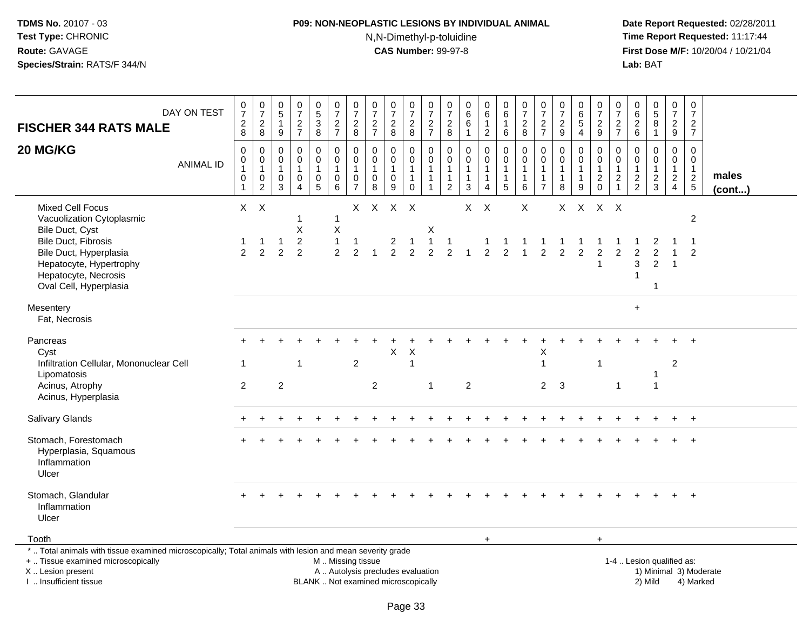## **P09: NON-NEOPLASTIC LESIONS BY INDIVIDUAL ANIMAL**N,N-Dimethyl-p-toluidine

 **Date Report Requested:** 02/28/2011 **Time Report Requested:** 11:17:44 **First Dose M/F:** 10/20/04 / 10/21/04<br>**Lab:** BAT **Lab:** BAT

| DAY ON TEST<br><b>FISCHER 344 RATS MALE</b><br>20 MG/KG                                                                                                                                                      | 0728<br>$\mathbf 0$                                    | $\begin{smallmatrix}0\\7\end{smallmatrix}$<br>$\overline{c}$<br>8<br>0 | $\pmb{0}$<br>$\sqrt{5}$<br>$\overline{1}$<br>$\boldsymbol{9}$<br>$\Omega$ | $\begin{array}{c} 0 \\ 7 \end{array}$<br>$\frac{2}{7}$<br>$\mathbf 0$ | $\begin{array}{c} 0 \\ 5 \\ 3 \end{array}$<br>$\bf 8$<br>0 | $\frac{0}{7}$<br>$\frac{2}{7}$<br>$\Omega$                                 | $\frac{0}{7}$<br>$\overline{\mathbf{c}}$<br>8<br>$\Omega$ | $\begin{array}{c} 0 \\ 7 \\ 2 \end{array}$<br>$\overline{7}$<br>$\mathbf 0$ | $\frac{0}{7}$<br>$\overline{c}$<br>8<br>$\mathbf 0$                      | $\frac{0}{7}$<br>$\overline{c}$<br>8<br>0                                | $\frac{0}{7}$<br>$\frac{2}{7}$<br>$\mathbf{0}$             | 0<br>$\overline{7}$<br>$\sqrt{2}$<br>8<br>$\mathbf 0$ | $\pmb{0}$<br>$\,6\,$<br>6<br>$\overline{1}$<br>$\mathbf 0$  | $\pmb{0}$<br>$6\overline{6}$<br>$\overline{c}$<br>$\mathbf 0$ | $\begin{array}{c} 0 \\ 6 \end{array}$<br>$\mathbf{1}$<br>6<br>$\mathbf 0$ | $\begin{array}{c} 0 \\ 7 \end{array}$<br>$\overline{c}$<br>8<br>$\mathbf 0$ | $\frac{0}{7}$<br>$\overline{c}$<br>$\overline{7}$<br>$\Omega$ | $\begin{array}{c} 0 \\ 7 \end{array}$<br>$\boldsymbol{2}$<br>$\boldsymbol{9}$<br>$\mathbf 0$ | $\begin{matrix} 0 \\ 6 \\ 5 \end{matrix}$<br>$\overline{4}$<br>0 | $\begin{array}{c} 0 \\ 7 \end{array}$<br>$\frac{2}{9}$<br>$\mathbf 0$ | $\begin{array}{c} 0 \\ 7 \end{array}$<br>$\overline{c}$<br>$\overline{7}$<br>$\Omega$ | 0626<br>$\Omega$                             | $\begin{array}{c} 0 \\ 5 \\ 8 \end{array}$<br>$\mathbf{1}$<br>$\mathbf 0$ | $\begin{smallmatrix} 0\\7 \end{smallmatrix}$<br>$\frac{2}{9}$<br>$\mathbf 0$ | $\begin{array}{c} 0 \\ 7 \end{array}$<br>$\frac{2}{7}$<br>$\mathbf 0$ |                 |
|--------------------------------------------------------------------------------------------------------------------------------------------------------------------------------------------------------------|--------------------------------------------------------|------------------------------------------------------------------------|---------------------------------------------------------------------------|-----------------------------------------------------------------------|------------------------------------------------------------|----------------------------------------------------------------------------|-----------------------------------------------------------|-----------------------------------------------------------------------------|--------------------------------------------------------------------------|--------------------------------------------------------------------------|------------------------------------------------------------|-------------------------------------------------------|-------------------------------------------------------------|---------------------------------------------------------------|---------------------------------------------------------------------------|-----------------------------------------------------------------------------|---------------------------------------------------------------|----------------------------------------------------------------------------------------------|------------------------------------------------------------------|-----------------------------------------------------------------------|---------------------------------------------------------------------------------------|----------------------------------------------|---------------------------------------------------------------------------|------------------------------------------------------------------------------|-----------------------------------------------------------------------|-----------------|
| <b>ANIMAL ID</b>                                                                                                                                                                                             | $\pmb{0}$<br>$\mathbf{1}$<br>$\pmb{0}$<br>$\mathbf{1}$ | $\mathsf{O}\xspace$<br>$\mathbf{1}$<br>$\pmb{0}$<br>$\overline{2}$     | 0<br>$\mathbf{1}$<br>0<br>3                                               | $\pmb{0}$<br>$\mathbf{1}$<br>$\boldsymbol{0}$<br>$\overline{4}$       | $\mathbf 0$<br>$\mathbf{1}$<br>0<br>$\overline{5}$         | $\mathbf 0$<br>$\overline{1}$<br>$\pmb{0}$<br>6                            | $\pmb{0}$<br>1<br>0<br>$\overline{7}$                     | $\mathbf 0$<br>$\mathbf{1}$<br>$\mathsf{O}\xspace$<br>8                     | $\pmb{0}$<br>$\mathbf{1}$<br>0<br>9                                      | $\mathsf{O}\xspace$<br>$\mathbf 1$<br>$\mathbf 1$<br>$\mathsf{O}\xspace$ | $\mathbf 0$<br>$\mathbf{1}$<br>$\mathbf 1$<br>$\mathbf{1}$ | 0<br>$\mathbf{1}$<br>$\mathbf{1}$<br>$\overline{c}$   | $\mathbf 0$<br>$\mathbf{1}$<br>$\mathbf{1}$<br>$\mathbf{3}$ | $\mathsf{O}\xspace$<br>$\mathbf 1$<br>1<br>4                  | $\mathbf 0$<br>$\mathbf{1}$<br>$\mathbf{1}$<br>5                          | $\pmb{0}$<br>$\mathbf{1}$<br>$\mathbf{1}$<br>$\,6\,$                        | 0<br>$\mathbf{1}$<br>-1<br>$\overline{7}$                     | $\pmb{0}$<br>$\mathbf{1}$<br>$\mathbf{1}$<br>8                                               | $\mathbf 0$<br>$\mathbf{1}$<br>$\mathbf{1}$<br>$\boldsymbol{9}$  | $\mathbf 0$<br>$\mathbf{1}$<br>$\overline{c}$<br>$\mathbf 0$          | 0<br>$\mathbf{1}$<br>$\overline{c}$<br>1                                              | $\mathbf 0$<br>$\mathbf{1}$<br>$\frac{2}{2}$ | $\mathbf 0$<br>$\mathbf{1}$<br>$\frac{2}{3}$                              | $\overline{0}$<br>$\mathbf{1}$<br>$\overline{a}$<br>$\overline{4}$           | $\mathbf 0$<br>$\mathbf{1}$<br>$\sqrt{2}$<br>$\overline{5}$           | males<br>(cont) |
| <b>Mixed Cell Focus</b><br>Vacuolization Cytoplasmic<br>Bile Duct, Cyst<br><b>Bile Duct, Fibrosis</b><br>Bile Duct, Hyperplasia<br>Hepatocyte, Hypertrophy<br>Hepatocyte, Necrosis<br>Oval Cell, Hyperplasia | 1<br>$\overline{2}$                                    | $X \times X$<br>$\overline{2}$                                         | $\overline{2}$                                                            | 1<br>X<br>$\overline{2}$<br>$\overline{2}$                            |                                                            | $\mathbf 1$<br>$\boldsymbol{\mathsf{X}}$<br>$\mathbf{1}$<br>$\overline{c}$ | X.<br>-1<br>$\mathfrak{p}$                                | $\mathsf{X}$                                                                | $X \times$<br>$\overline{c}$<br>$\overline{2}$                           | $\overline{2}$                                                           | X<br>$\mathbf{1}$<br>2                                     | $\overline{1}$<br>$\mathfrak{p}$                      | $\mathsf{X}$                                                | $\times$<br>$\mathcal{P}$                                     | 2                                                                         | X                                                                           | 2                                                             | X.<br>$\mathfrak{p}$                                                                         | $\mathsf{X}$<br>$\overline{2}$                                   | x x<br>$\overline{c}$<br>$\mathbf{1}$                                 | $\overline{2}$                                                                        | $\mathfrak{p}$<br>3<br>-1                    | $\mathfrak{p}$<br>$\overline{2}$<br>-1                                    | $\overline{1}$                                                               | $\sqrt{2}$<br>$\mathcal{P}$                                           |                 |
| Mesentery<br>Fat, Necrosis                                                                                                                                                                                   |                                                        |                                                                        |                                                                           |                                                                       |                                                            |                                                                            |                                                           |                                                                             |                                                                          |                                                                          |                                                            |                                                       |                                                             |                                                               |                                                                           |                                                                             |                                                               |                                                                                              |                                                                  |                                                                       |                                                                                       | $\ddot{}$                                    |                                                                           |                                                                              |                                                                       |                 |
| Pancreas<br>Cyst<br>Infiltration Cellular, Mononuclear Cell<br>Lipomatosis<br>Acinus, Atrophy<br>Acinus, Hyperplasia                                                                                         | $\overline{2}$                                         |                                                                        | $\overline{2}$                                                            | $\overline{1}$                                                        |                                                            |                                                                            | $\overline{2}$                                            | $\overline{2}$                                                              | $\mathsf X$                                                              | X<br>$\overline{1}$                                                      | $\overline{1}$                                             |                                                       | $\overline{2}$                                              |                                                               |                                                                           |                                                                             | X<br>$\mathbf{1}$<br>$2^{\circ}$                              | 3                                                                                            |                                                                  | $\overline{1}$                                                        | $\mathbf{1}$                                                                          |                                              | $\mathbf{1}$                                                              | $\overline{2}$                                                               |                                                                       |                 |
| Salivary Glands                                                                                                                                                                                              |                                                        |                                                                        |                                                                           |                                                                       |                                                            |                                                                            |                                                           |                                                                             |                                                                          |                                                                          |                                                            |                                                       |                                                             |                                                               |                                                                           |                                                                             |                                                               |                                                                                              |                                                                  |                                                                       |                                                                                       |                                              |                                                                           |                                                                              |                                                                       |                 |
| Stomach, Forestomach<br>Hyperplasia, Squamous<br>Inflammation<br>Ulcer                                                                                                                                       |                                                        |                                                                        |                                                                           |                                                                       |                                                            |                                                                            |                                                           |                                                                             |                                                                          |                                                                          |                                                            |                                                       |                                                             |                                                               |                                                                           |                                                                             |                                                               |                                                                                              |                                                                  |                                                                       |                                                                                       |                                              |                                                                           |                                                                              |                                                                       |                 |
| Stomach, Glandular<br>Inflammation<br>Ulcer                                                                                                                                                                  |                                                        |                                                                        |                                                                           |                                                                       |                                                            |                                                                            |                                                           |                                                                             |                                                                          |                                                                          |                                                            |                                                       |                                                             |                                                               |                                                                           |                                                                             |                                                               |                                                                                              |                                                                  |                                                                       |                                                                                       |                                              |                                                                           |                                                                              | $+$                                                                   |                 |
| Tooth                                                                                                                                                                                                        |                                                        |                                                                        |                                                                           |                                                                       |                                                            |                                                                            |                                                           |                                                                             |                                                                          |                                                                          |                                                            |                                                       |                                                             | $+$                                                           |                                                                           |                                                                             |                                                               |                                                                                              |                                                                  | $+$                                                                   |                                                                                       |                                              |                                                                           |                                                                              |                                                                       |                 |
| *  Total animals with tissue examined microscopically; Total animals with lesion and mean severity grade<br>+  Tissue examined microscopically<br>X  Lesion present<br>I  Insufficient tissue                |                                                        |                                                                        |                                                                           |                                                                       |                                                            | M  Missing tissue                                                          |                                                           |                                                                             | A  Autolysis precludes evaluation<br>BLANK  Not examined microscopically |                                                                          |                                                            |                                                       |                                                             |                                                               |                                                                           |                                                                             |                                                               |                                                                                              |                                                                  |                                                                       |                                                                                       |                                              | 1-4  Lesion qualified as:<br>2) Mild                                      |                                                                              | 1) Minimal 3) Moderate<br>4) Marked                                   |                 |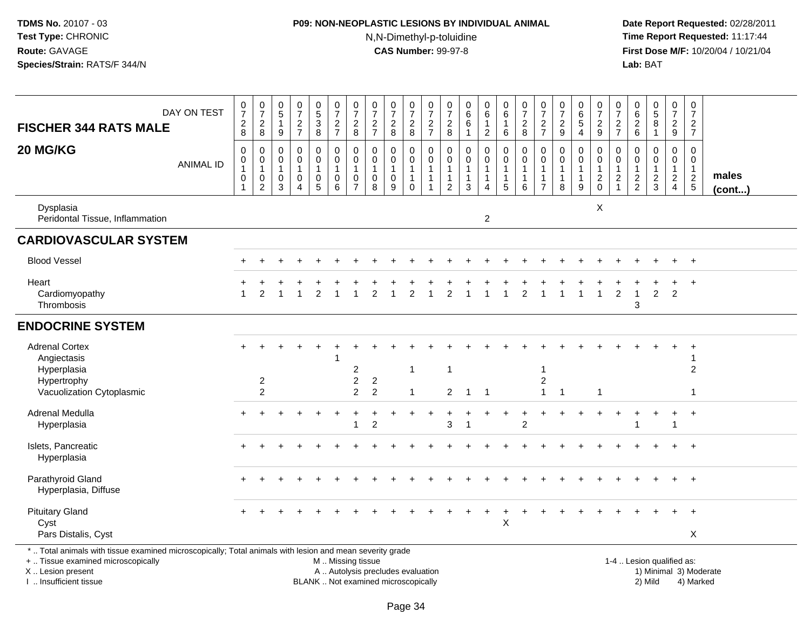## **P09: NON-NEOPLASTIC LESIONS BY INDIVIDUAL ANIMAL**N,N-Dimethyl-p-toluidine

 **Date Report Requested:** 02/28/2011 **Time Report Requested:** 11:17:44 **First Dose M/F:** 10/20/04 / 10/21/04<br>**Lab:** BAT **Lab:** BAT

| <b>FISCHER 344 RATS MALE</b>                                                                                                                                        | DAY ON TEST      | $\frac{0}{7}$<br>$\overline{c}$<br>8    | $\frac{0}{7}$<br>$\sqrt{2}$<br>8                                        | $\begin{array}{c} 0 \\ 5 \end{array}$<br>-1<br>9 | $\begin{smallmatrix} 0\\7 \end{smallmatrix}$<br>$\frac{2}{7}$          | $\begin{array}{c} 0 \\ 5 \end{array}$<br>$\overline{3}$<br>$\bf 8$ | $\frac{0}{7}$<br>$\sqrt{2}$<br>$\overline{7}$                  | $\frac{0}{7}$<br>$\overline{\mathbf{c}}$<br>8          | $\frac{0}{7}$<br>$\frac{2}{7}$                       | $\frac{0}{7}$<br>$\overline{c}$<br>8       | $\frac{0}{7}$<br>$\frac{2}{8}$                  | $\begin{array}{c} 0 \\ 7 \end{array}$<br>$\frac{2}{7}$ | $\pmb{0}$<br>$\overline{7}$<br>$\boldsymbol{2}$<br>$\,8\,$ | $\mathbf 0$<br>$\overline{6}$<br>6<br>$\mathbf{1}$                           | $\begin{smallmatrix}0\0\0\end{smallmatrix}$<br>$\mathbf{1}$<br>$\overline{a}$ | $_{6}^{\rm 0}$<br>$\mathbf 1$<br>6                               | $\begin{smallmatrix}0\\7\end{smallmatrix}$<br>$\overline{2}$<br>8 | $\begin{array}{c} 0 \\ 7 \end{array}$<br>$\sqrt{2}$<br>$\overline{7}$ | $\begin{array}{c} 0 \\ 7 \end{array}$<br>$\sqrt{2}$<br>$\boldsymbol{9}$ | $\begin{array}{c} 0 \\ 6 \end{array}$<br>$\overline{5}$<br>$\overline{4}$ | 0<br>$\overline{7}$<br>$\sqrt{2}$<br>9                           | $\mathbf 0$<br>$\overline{7}$<br>$\overline{c}$<br>$\overline{7}$ | 0<br>$6\overline{6}$<br>$\frac{2}{6}$             | $\begin{array}{c} 0 \\ 5 \\ 8 \end{array}$<br>$\mathbf 1$ | $\begin{smallmatrix} 0\\7 \end{smallmatrix}$<br>$\overline{2}$<br>9 | $\begin{array}{c} 0 \\ 7 \end{array}$<br>$\overline{2}$<br>$\overline{7}$ |                        |
|---------------------------------------------------------------------------------------------------------------------------------------------------------------------|------------------|-----------------------------------------|-------------------------------------------------------------------------|--------------------------------------------------|------------------------------------------------------------------------|--------------------------------------------------------------------|----------------------------------------------------------------|--------------------------------------------------------|------------------------------------------------------|--------------------------------------------|-------------------------------------------------|--------------------------------------------------------|------------------------------------------------------------|------------------------------------------------------------------------------|-------------------------------------------------------------------------------|------------------------------------------------------------------|-------------------------------------------------------------------|-----------------------------------------------------------------------|-------------------------------------------------------------------------|---------------------------------------------------------------------------|------------------------------------------------------------------|-------------------------------------------------------------------|---------------------------------------------------|-----------------------------------------------------------|---------------------------------------------------------------------|---------------------------------------------------------------------------|------------------------|
| 20 MG/KG                                                                                                                                                            | <b>ANIMAL ID</b> | 0<br>$\mathbf 0$<br>$\overline{1}$<br>0 | $\pmb{0}$<br>$\mathbf 0$<br>$\mathbf{1}$<br>$\pmb{0}$<br>$\overline{2}$ | 0<br>$\mathbf 0$<br>$\mathbf{1}$<br>0<br>3       | $\pmb{0}$<br>$\mathsf{O}\xspace$<br>1<br>$\mathbf 0$<br>$\overline{A}$ | 0<br>0<br>$\mathbf{1}$<br>0<br>5                                   | $\mathbf 0$<br>$\pmb{0}$<br>$\overline{1}$<br>$\mathbf 0$<br>6 | 0<br>$\mathbf 0$<br>1<br>$\mathbf 0$<br>$\overline{7}$ | 0<br>$\mathbf 0$<br>$\mathbf{1}$<br>$\mathbf 0$<br>8 | 0<br>$\mathbf 0$<br>$\mathbf{1}$<br>0<br>9 | 0<br>$\mathbf 0$<br>$\mathbf{1}$<br>$\mathbf 0$ | 0<br>$\mathbf 0$<br>$\mathbf{1}$<br>$\mathbf{1}$       | 0<br>$\mathbf 0$<br>$\overline{1}$<br>$\mathbf{1}$<br>2    | $\mathbf 0$<br>$\mathbf 0$<br>$\mathbf{1}$<br>$\mathbf{1}$<br>$\overline{3}$ | 0<br>$\mathbf 0$<br>1<br>1<br>4                                               | 0<br>$\bar{0}$<br>$\mathbf{1}$<br>$\mathbf{1}$<br>$\overline{5}$ | 0<br>$\mathsf{O}$<br>$\mathbf{1}$<br>$\mathbf{1}$<br>6            | 0<br>$\mathbf 0$<br>$\mathbf{1}$<br>$\overline{7}$                    | $\mathbf 0$<br>$\mathbf 0$<br>$\mathbf{1}$<br>8                         | 0<br>$\mathbf 0$<br>-1<br>$\overline{1}$<br>9                             | 0<br>$\mathbf 0$<br>$\mathbf{1}$<br>$\boldsymbol{2}$<br>$\Omega$ | 0<br>$\mathbf 0$<br>$\mathbf{1}$<br>$\overline{c}$<br>1           | 0<br>$\mathbf 0$<br>$\mathbf{1}$<br>$\frac{2}{2}$ | 0<br>$\mathbf 0$<br>$\mathbf 1$<br>$\frac{2}{3}$          | 0<br>$\mathbf 0$<br>$\mathbf{1}$<br>$\frac{2}{4}$                   | $\mathbf 0$<br>0<br>$\mathbf{1}$<br>$rac{2}{5}$                           | males<br>$($ cont $)$  |
| Dysplasia<br>Peridontal Tissue, Inflammation                                                                                                                        |                  |                                         |                                                                         |                                                  |                                                                        |                                                                    |                                                                |                                                        |                                                      |                                            |                                                 |                                                        |                                                            |                                                                              | $\overline{2}$                                                                |                                                                  |                                                                   |                                                                       |                                                                         |                                                                           | X                                                                |                                                                   |                                                   |                                                           |                                                                     |                                                                           |                        |
| <b>CARDIOVASCULAR SYSTEM</b>                                                                                                                                        |                  |                                         |                                                                         |                                                  |                                                                        |                                                                    |                                                                |                                                        |                                                      |                                            |                                                 |                                                        |                                                            |                                                                              |                                                                               |                                                                  |                                                                   |                                                                       |                                                                         |                                                                           |                                                                  |                                                                   |                                                   |                                                           |                                                                     |                                                                           |                        |
| <b>Blood Vessel</b>                                                                                                                                                 |                  |                                         |                                                                         |                                                  |                                                                        |                                                                    |                                                                |                                                        |                                                      |                                            |                                                 |                                                        |                                                            |                                                                              |                                                                               |                                                                  |                                                                   |                                                                       |                                                                         |                                                                           |                                                                  |                                                                   |                                                   |                                                           | $\ddot{}$                                                           | $+$                                                                       |                        |
| Heart<br>Cardiomyopathy<br>Thrombosis                                                                                                                               |                  |                                         | $\mathcal{P}$                                                           |                                                  |                                                                        | $\mathfrak{p}$                                                     |                                                                |                                                        | $\mathfrak{p}$                                       |                                            | $\mathfrak{p}$                                  |                                                        | $\mathcal{P}$                                              |                                                                              |                                                                               |                                                                  | $\mathcal{P}$                                                     |                                                                       |                                                                         |                                                                           | $\overline{1}$                                                   | $\overline{2}$                                                    | $\overline{1}$<br>3                               | $\overline{2}$                                            | $\overline{2}$                                                      | $+$                                                                       |                        |
| <b>ENDOCRINE SYSTEM</b>                                                                                                                                             |                  |                                         |                                                                         |                                                  |                                                                        |                                                                    |                                                                |                                                        |                                                      |                                            |                                                 |                                                        |                                                            |                                                                              |                                                                               |                                                                  |                                                                   |                                                                       |                                                                         |                                                                           |                                                                  |                                                                   |                                                   |                                                           |                                                                     |                                                                           |                        |
| <b>Adrenal Cortex</b><br>Angiectasis<br>Hyperplasia<br>Hypertrophy<br>Vacuolization Cytoplasmic                                                                     |                  |                                         | 2<br>$\overline{2}$                                                     |                                                  |                                                                        |                                                                    |                                                                | $\overline{c}$<br>$\overline{c}$<br>2                  | $\boldsymbol{2}$<br>$\overline{2}$                   |                                            | $\mathbf{1}$<br>$\mathbf{1}$                    |                                                        | $\overline{1}$<br>$\overline{c}$                           | $\overline{1}$                                                               | $\overline{1}$                                                                |                                                                  |                                                                   | $\mathbf{1}$<br>$\overline{c}$<br>$\mathbf{1}$                        | $\overline{1}$                                                          |                                                                           | $\overline{1}$                                                   |                                                                   |                                                   |                                                           |                                                                     | 2<br>-1                                                                   |                        |
| Adrenal Medulla<br>Hyperplasia                                                                                                                                      |                  |                                         |                                                                         |                                                  |                                                                        |                                                                    |                                                                | 1                                                      | 2                                                    |                                            |                                                 |                                                        | 3                                                          | 1                                                                            |                                                                               |                                                                  | $\ddot{}$<br>$\overline{2}$                                       |                                                                       |                                                                         |                                                                           |                                                                  |                                                                   |                                                   |                                                           | +                                                                   | $\ddot{}$                                                                 |                        |
| Islets, Pancreatic<br>Hyperplasia                                                                                                                                   |                  |                                         |                                                                         |                                                  |                                                                        |                                                                    |                                                                |                                                        |                                                      |                                            |                                                 |                                                        |                                                            |                                                                              |                                                                               |                                                                  |                                                                   |                                                                       |                                                                         |                                                                           |                                                                  |                                                                   |                                                   |                                                           |                                                                     | $+$                                                                       |                        |
| Parathyroid Gland<br>Hyperplasia, Diffuse                                                                                                                           |                  |                                         |                                                                         |                                                  |                                                                        |                                                                    |                                                                |                                                        |                                                      |                                            |                                                 |                                                        |                                                            |                                                                              |                                                                               |                                                                  |                                                                   |                                                                       |                                                                         |                                                                           |                                                                  |                                                                   |                                                   |                                                           |                                                                     | $+$                                                                       |                        |
| <b>Pituitary Gland</b><br>Cyst<br>Pars Distalis, Cyst                                                                                                               |                  |                                         |                                                                         |                                                  |                                                                        |                                                                    |                                                                |                                                        |                                                      |                                            |                                                 |                                                        |                                                            |                                                                              |                                                                               | X                                                                |                                                                   |                                                                       |                                                                         |                                                                           |                                                                  |                                                                   |                                                   |                                                           |                                                                     | $\div$<br>X                                                               |                        |
| *  Total animals with tissue examined microscopically; Total animals with lesion and mean severity grade<br>+  Tissue examined microscopically<br>X  Lesion present |                  |                                         |                                                                         |                                                  |                                                                        |                                                                    | M  Missing tissue                                              |                                                        |                                                      | A  Autolysis precludes evaluation          |                                                 |                                                        |                                                            |                                                                              |                                                                               |                                                                  |                                                                   |                                                                       |                                                                         |                                                                           |                                                                  |                                                                   |                                                   | 1-4  Lesion qualified as:                                 |                                                                     |                                                                           | 1) Minimal 3) Moderate |

X .. Lesion present I .. Insufficient tissue

BLANK .. Not examined microscopically 2) Mild 4) Marked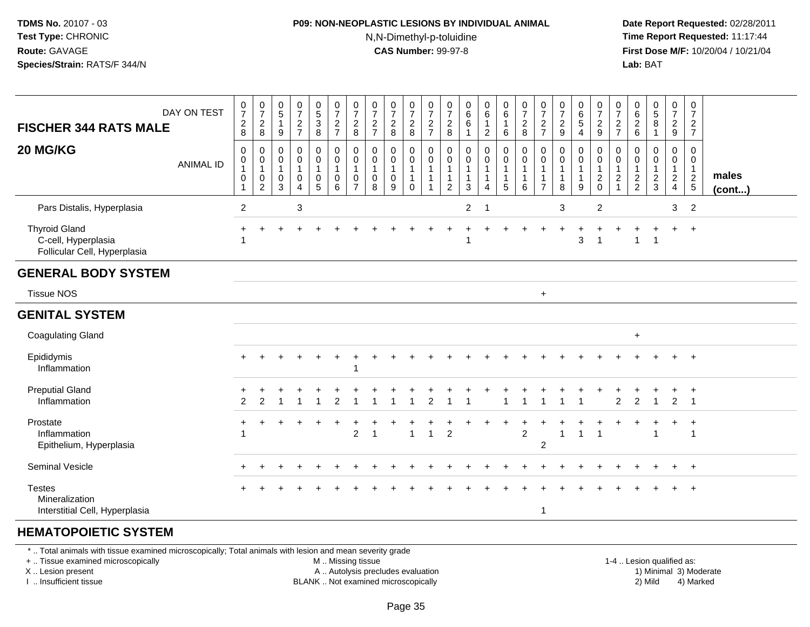#### **P09: NON-NEOPLASTIC LESIONS BY INDIVIDUAL ANIMAL**N,N-Dimethyl-p-toluidine

 **Date Report Requested:** 02/28/2011 **Time Report Requested:** 11:17:44 **First Dose M/F:** 10/20/04 / 10/21/04<br>**Lab:** BAT **Lab:** BAT

| <b>FISCHER 344 RATS MALE</b>                                                | DAY ON TEST      | 0<br>$\overline{7}$<br>$\boldsymbol{2}$<br>8 | $\frac{0}{7}$<br>$\overline{a}$<br>8          | 0<br>5<br>9            | $\begin{smallmatrix}0\\7\end{smallmatrix}$<br>$\overline{c}$<br>$\overline{7}$ | $\begin{smallmatrix}0\5\end{smallmatrix}$<br>$\ensuremath{\mathsf{3}}$<br>$\bf 8$ | 0<br>$\overline{7}$<br>$\overline{c}$<br>$\overline{7}$ | 0<br>$\overline{7}$<br>$\overline{c}$<br>8 | 0<br>$\overline{7}$<br>$\overline{2}$<br>$\overline{7}$ | $\frac{0}{7}$<br>$\overline{c}$<br>8 | 0<br>$\overline{7}$<br>$\overline{c}$<br>8                              | 0<br>$\overline{7}$<br>$\overline{c}$<br>$\overline{7}$    | 0<br>$\overline{7}$<br>$\overline{c}$<br>8 | 0<br>$6\overline{6}$<br>6<br>$\mathbf{1}$             | $\begin{matrix} 0 \\ 6 \end{matrix}$<br>1<br>$\overline{c}$ | 0<br>$6\overline{6}$<br>$\mathbf{1}$<br>6 | $\frac{0}{7}$<br>$\sqrt{2}$<br>$\,8\,$                                 | 0<br>$\overline{7}$<br>$\overline{c}$<br>$\overline{7}$ | 0<br>$\overline{7}$<br>$\boldsymbol{2}$<br>$9\,$      | 0<br>$6\phantom{a}$<br>5<br>$\overline{4}$ | 0<br>$\overline{7}$<br>$\overline{c}$<br>9 | 0<br>$\overline{7}$<br>$\overline{c}$<br>$\overline{7}$ | 0<br>$\,6\,$<br>$\overline{c}$<br>$6\phantom{1}$ | $\begin{array}{c} 0 \\ 5 \end{array}$<br>8<br>$\mathbf{1}$ | $\frac{0}{7}$<br>$\overline{2}$<br>9                       | 0<br>$\overline{7}$<br>$\overline{2}$<br>$\overline{7}$ |                       |
|-----------------------------------------------------------------------------|------------------|----------------------------------------------|-----------------------------------------------|------------------------|--------------------------------------------------------------------------------|-----------------------------------------------------------------------------------|---------------------------------------------------------|--------------------------------------------|---------------------------------------------------------|--------------------------------------|-------------------------------------------------------------------------|------------------------------------------------------------|--------------------------------------------|-------------------------------------------------------|-------------------------------------------------------------|-------------------------------------------|------------------------------------------------------------------------|---------------------------------------------------------|-------------------------------------------------------|--------------------------------------------|--------------------------------------------|---------------------------------------------------------|--------------------------------------------------|------------------------------------------------------------|------------------------------------------------------------|---------------------------------------------------------|-----------------------|
| 20 MG/KG                                                                    | <b>ANIMAL ID</b> | 0<br>0<br>$\mathbf{1}$<br>0<br>1             | 0<br>0<br>$\mathbf{1}$<br>0<br>$\overline{2}$ | 0<br>0<br>-1<br>0<br>3 | $\mathbf 0$<br>$\mathbf 0$<br>$\mathbf{1}$<br>0<br>$\overline{4}$              | 0<br>0<br>$\overline{1}$<br>0<br>$\sqrt{5}$                                       | $\mathbf 0$<br>$\pmb{0}$<br>$\mathbf{1}$<br>0<br>6      | 0<br>0<br>0<br>7                           | $\mathbf 0$<br>0<br>$\overline{1}$<br>0<br>8            | 0<br>0<br>$\mathbf 0$<br>9           | $\mathbf 0$<br>$\mathbf 0$<br>$\overline{1}$<br>$\mathbf 1$<br>$\Omega$ | 0<br>0<br>$\mathbf{1}$<br>$\overline{1}$<br>$\overline{1}$ | 0<br>0<br>1<br>1<br>$\overline{c}$         | $\mathbf 0$<br>0<br>$\mathbf{1}$<br>$\mathbf{1}$<br>3 | $\mathsf{O}$<br>0<br>$\mathbf{1}$<br>1                      | 0<br>$\mathbf 0$<br>5                     | $\pmb{0}$<br>$\mathsf{O}\xspace$<br>$\mathbf 1$<br>$\overline{1}$<br>6 | $\mathbf 0$<br>0<br>$\overline{1}$<br>$\overline{7}$    | $\mathbf 0$<br>$\mathbf 0$<br>-1<br>$\mathbf{1}$<br>8 | 0<br>$\mathbf{0}$<br>9                     | 0<br>0<br>$\mathbf{1}$<br>$\frac{2}{0}$    | 0<br>$\mathbf 0$<br>$\overline{c}$                      | 0<br>0<br>$\overline{1}$<br>$\frac{2}{2}$        | $\mathbf 0$<br>0<br>$\mathbf{1}$<br>$\frac{2}{3}$          | 0<br>0<br>$\mathbf{1}$<br>$\overline{a}$<br>$\overline{4}$ | 0<br>$\mathbf 0$<br>$\mathbf{1}$<br>$\frac{2}{5}$       | males<br>$($ cont $)$ |
| Pars Distalis, Hyperplasia                                                  |                  | $\mathbf{2}$                                 |                                               |                        | $\mathbf{3}$                                                                   |                                                                                   |                                                         |                                            |                                                         |                                      |                                                                         |                                                            |                                            | $\overline{2}$                                        | $\mathbf 1$                                                 |                                           |                                                                        |                                                         | 3                                                     |                                            | $\overline{2}$                             |                                                         |                                                  |                                                            | 3                                                          | $\overline{2}$                                          |                       |
| <b>Thyroid Gland</b><br>C-cell, Hyperplasia<br>Follicular Cell, Hyperplasia |                  |                                              | $\ddot{}$                                     |                        |                                                                                |                                                                                   |                                                         |                                            |                                                         |                                      |                                                                         |                                                            |                                            |                                                       |                                                             |                                           |                                                                        |                                                         |                                                       | 3                                          |                                            |                                                         | $\mathbf{1}$                                     | -1                                                         | $\ddot{}$                                                  | $+$                                                     |                       |
| <b>GENERAL BODY SYSTEM</b>                                                  |                  |                                              |                                               |                        |                                                                                |                                                                                   |                                                         |                                            |                                                         |                                      |                                                                         |                                                            |                                            |                                                       |                                                             |                                           |                                                                        |                                                         |                                                       |                                            |                                            |                                                         |                                                  |                                                            |                                                            |                                                         |                       |
| <b>Tissue NOS</b>                                                           |                  |                                              |                                               |                        |                                                                                |                                                                                   |                                                         |                                            |                                                         |                                      |                                                                         |                                                            |                                            |                                                       |                                                             |                                           |                                                                        | $\ddot{}$                                               |                                                       |                                            |                                            |                                                         |                                                  |                                                            |                                                            |                                                         |                       |
| <b>GENITAL SYSTEM</b>                                                       |                  |                                              |                                               |                        |                                                                                |                                                                                   |                                                         |                                            |                                                         |                                      |                                                                         |                                                            |                                            |                                                       |                                                             |                                           |                                                                        |                                                         |                                                       |                                            |                                            |                                                         |                                                  |                                                            |                                                            |                                                         |                       |
| <b>Coagulating Gland</b>                                                    |                  |                                              |                                               |                        |                                                                                |                                                                                   |                                                         |                                            |                                                         |                                      |                                                                         |                                                            |                                            |                                                       |                                                             |                                           |                                                                        |                                                         |                                                       |                                            |                                            |                                                         | $\ddot{}$                                        |                                                            |                                                            |                                                         |                       |
| Epididymis<br>Inflammation                                                  |                  |                                              |                                               |                        |                                                                                |                                                                                   |                                                         | 1                                          |                                                         |                                      |                                                                         |                                                            |                                            |                                                       |                                                             |                                           |                                                                        |                                                         |                                                       |                                            |                                            |                                                         |                                                  |                                                            |                                                            | $\ddot{}$                                               |                       |
| <b>Preputial Gland</b><br>Inflammation                                      |                  | 2                                            | $\overline{2}$                                |                        |                                                                                |                                                                                   | $\overline{2}$                                          |                                            |                                                         |                                      |                                                                         | $\overline{c}$                                             | 1                                          |                                                       |                                                             |                                           | -1                                                                     |                                                         |                                                       | $\mathbf 1$                                | +                                          | $\ddot{}$<br>$\overline{2}$                             | $\overline{c}$                                   | -1                                                         | $\ddot{}$<br>$\overline{c}$                                | $\ddot{}$<br>$\overline{1}$                             |                       |
| Prostate<br>Inflammation<br>Epithelium, Hyperplasia                         |                  | $\ddot{}$                                    | $\div$                                        |                        |                                                                                | ÷                                                                                 | $\pm$                                                   | $\overline{2}$                             |                                                         |                                      | $\mathbf{1}$                                                            | $\overline{1}$                                             | $\overline{2}$                             |                                                       | $\div$                                                      | $\ddot{}$                                 | $\div$<br>$\overline{2}$                                               | 2                                                       | 1                                                     | $\mathbf{1}$                               | $\mathbf{1}$                               |                                                         |                                                  | -1                                                         | $\ddot{}$                                                  | $+$<br>$\overline{1}$                                   |                       |
| Seminal Vesicle                                                             |                  |                                              |                                               |                        |                                                                                |                                                                                   |                                                         |                                            |                                                         |                                      |                                                                         |                                                            |                                            |                                                       |                                                             |                                           |                                                                        |                                                         |                                                       |                                            |                                            |                                                         |                                                  |                                                            |                                                            | $\ddot{}$                                               |                       |
| <b>Testes</b><br>Mineralization<br>Interstitial Cell, Hyperplasia           |                  |                                              |                                               |                        |                                                                                |                                                                                   |                                                         |                                            |                                                         |                                      |                                                                         |                                                            |                                            |                                                       |                                                             |                                           |                                                                        | -1                                                      |                                                       |                                            |                                            |                                                         |                                                  |                                                            | $\div$                                                     | $\overline{ }$                                          |                       |

#### **HEMATOPOIETIC SYSTEM**

\* .. Total animals with tissue examined microscopically; Total animals with lesion and mean severity grade

+ .. Tissue examined microscopically

X .. Lesion present

I .. Insufficient tissue

M .. Missing tissue

- A .. Autolysis precludes evaluation
- BLANK .. Not examined microscopically 2) Mild 4) Marked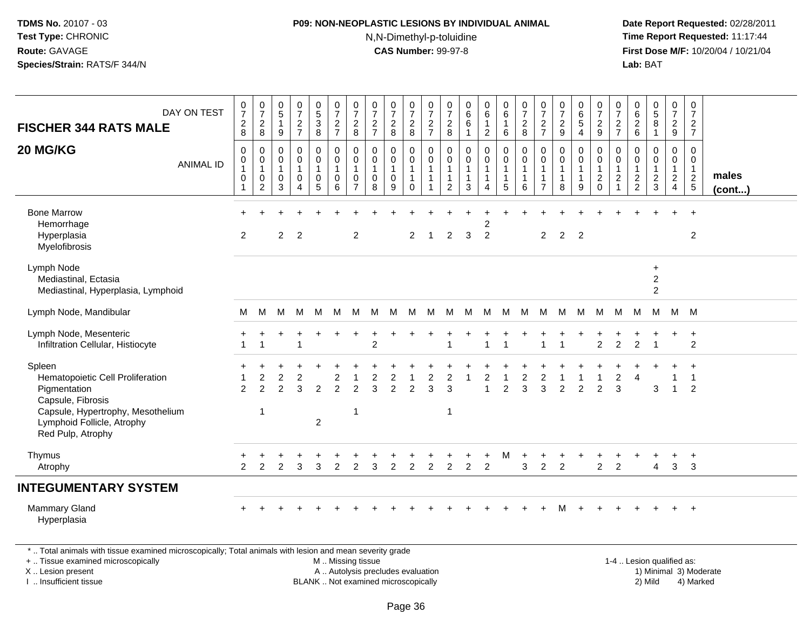#### **P09: NON-NEOPLASTIC LESIONS BY INDIVIDUAL ANIMAL**N,N-Dimethyl-p-toluidine

 **Date Report Requested:** 02/28/2011 **Time Report Requested:** 11:17:44 **First Dose M/F:** 10/20/04 / 10/21/04<br>**Lab:** BAT **Lab:** BAT

| DAY ON TEST<br><b>FISCHER 344 RATS MALE</b><br>20 MG/KG<br><b>ANIMAL ID</b>                                                                                             | $\begin{smallmatrix}0\\7\end{smallmatrix}$<br>$\frac{2}{8}$<br>$\mathbf 0$<br>$\mathbf 0$<br>$\overline{1}$<br>$\pmb{0}$<br>$\mathbf{1}$ | $\frac{0}{7}$<br>$\sqrt{2}$<br>8<br>0<br>0<br>$\mathbf{1}$<br>$\mathsf 0$<br>$\boldsymbol{2}$ | $\begin{array}{c} 0 \\ 5 \end{array}$<br>$\mathbf{1}$<br>$\boldsymbol{9}$<br>$\mathbf 0$<br>$\mathbf 0$<br>$\mathbf{1}$<br>$\mathbf 0$<br>$\mathbf{3}$ | $\frac{0}{7}$<br>$\frac{2}{7}$<br>0<br>0<br>$\mathbf{1}$<br>$\mathsf 0$<br>4 | $\begin{array}{c} 0 \\ 5 \\ 3 \end{array}$<br>8<br>$\mathsf 0$<br>$\mathbf 0$<br>$\mathbf{1}$<br>$\mathbf 0$<br>$5\phantom{.0}$ | $\frac{0}{7}$<br>$\boldsymbol{2}$<br>$\overline{7}$<br>$\mathbf 0$<br>$\pmb{0}$<br>$\mathbf{1}$<br>$\pmb{0}$<br>6 | $\frac{0}{7}$<br>$\frac{2}{8}$<br>$\mathbf 0$<br>$\mathbf 0$<br>$\mathbf{1}$<br>$\pmb{0}$<br>$\overline{7}$ | $\frac{0}{7}$<br>$\frac{2}{7}$<br>$\mathbf 0$<br>$\mathbf 0$<br>$\mathbf{1}$<br>$\mathbf 0$<br>8 | $\frac{0}{7}$<br>$_{\rm 8}^2$<br>0<br>$\mathbf 0$<br>$\mathbf{1}$<br>$\mathsf{O}\xspace$<br>$\boldsymbol{9}$ | $\frac{0}{7}$<br>$_{8}^2$<br>$\mathbf 0$<br>$\mathsf{O}\xspace$<br>$\mathbf{1}$<br>$\mathbf{1}$<br>$\mathbf 0$ | $\frac{0}{7}$<br>$\frac{2}{7}$<br>0<br>0<br>$\mathbf{1}$<br>$\mathbf{1}$ | $\frac{0}{7}$<br>$_{8}^{\rm 2}$<br>0<br>0<br>$\mathbf{1}$<br>$\mathbf{1}$<br>$\overline{2}$ | $\begin{matrix} 0 \\ 6 \\ 6 \end{matrix}$<br>$\mathbf{1}$<br>$\mathbf 0$<br>$\ddot{\mathbf{0}}$<br>$\mathbf{1}$<br>1<br>$\sqrt{3}$ | $\begin{array}{c} 0 \\ 6 \end{array}$<br>$\mathbf{1}$<br>$\overline{2}$<br>0<br>$\mathbf 0$<br>$\mathbf{1}$<br>1<br>4 | $\pmb{0}$<br>6<br>$\mathbf{1}$<br>$\,6\,$<br>$\mathbf 0$<br>$\overline{0}$<br>$\overline{1}$<br>$\overline{1}$<br>$\sqrt{5}$ | $\frac{0}{7}$<br>$\overline{c}$<br>8<br>0<br>$\mathbf 0$<br>$\mathbf{1}$<br>6 | $\frac{0}{7}$<br>$rac{2}{7}$<br>$\mathsf{O}\xspace$<br>$\mathsf{O}\xspace$<br>$\mathbf{1}$<br>$\overline{1}$<br>$\overline{7}$ | $\frac{0}{7}$<br>$\boldsymbol{2}$<br>$\boldsymbol{9}$<br>0<br>$\mathsf{O}\xspace$<br>$\mathbf{1}$<br>$\mathbf{1}$<br>8 | 0<br>$\,6\,$<br>$\overline{5}$<br>$\overline{4}$<br>0<br>$\mathbf 0$<br>$\mathbf{1}$<br>9 | $\frac{0}{7}$<br>$\frac{2}{9}$<br>$\mathbf 0$<br>$\ddot{\mathbf{0}}$<br>$\mathbf{1}$<br>$\sqrt{2}$<br>$\mathbf 0$ | 0<br>$\overline{7}$<br>$\frac{2}{7}$<br>0<br>0<br>$\mathbf{1}$<br>$\boldsymbol{2}$<br>$\mathbf{1}$ | 0<br>6<br>$\frac{2}{6}$<br>$\mathbf 0$<br>$\mathbf 0$<br>$\mathbf{1}$<br>$\boldsymbol{2}$<br>$\overline{2}$ | $\begin{array}{c} 0 \\ 5 \\ 8 \end{array}$<br>$\mathbf{1}$<br>0<br>$\mathbf 0$<br>$\mathbf{1}$<br>$\frac{2}{3}$ | $\begin{array}{c} 0 \\ 7 \end{array}$<br>$\frac{2}{9}$<br>0<br>$\mathbf 0$<br>$\mathbf{1}$<br>$\frac{2}{4}$ | 0<br>$\overline{7}$<br>$\overline{2}$<br>$\overline{7}$<br>$\mathbf 0$<br>0<br>$\mathbf{1}$<br>$\frac{2}{5}$ | males<br>(cont) |
|-------------------------------------------------------------------------------------------------------------------------------------------------------------------------|------------------------------------------------------------------------------------------------------------------------------------------|-----------------------------------------------------------------------------------------------|--------------------------------------------------------------------------------------------------------------------------------------------------------|------------------------------------------------------------------------------|---------------------------------------------------------------------------------------------------------------------------------|-------------------------------------------------------------------------------------------------------------------|-------------------------------------------------------------------------------------------------------------|--------------------------------------------------------------------------------------------------|--------------------------------------------------------------------------------------------------------------|----------------------------------------------------------------------------------------------------------------|--------------------------------------------------------------------------|---------------------------------------------------------------------------------------------|------------------------------------------------------------------------------------------------------------------------------------|-----------------------------------------------------------------------------------------------------------------------|------------------------------------------------------------------------------------------------------------------------------|-------------------------------------------------------------------------------|--------------------------------------------------------------------------------------------------------------------------------|------------------------------------------------------------------------------------------------------------------------|-------------------------------------------------------------------------------------------|-------------------------------------------------------------------------------------------------------------------|----------------------------------------------------------------------------------------------------|-------------------------------------------------------------------------------------------------------------|-----------------------------------------------------------------------------------------------------------------|-------------------------------------------------------------------------------------------------------------|--------------------------------------------------------------------------------------------------------------|-----------------|
| <b>Bone Marrow</b><br>Hemorrhage<br>Hyperplasia<br>Myelofibrosis                                                                                                        | 2                                                                                                                                        |                                                                                               | $\overline{2}$                                                                                                                                         | $\overline{2}$                                                               |                                                                                                                                 |                                                                                                                   | 2                                                                                                           |                                                                                                  |                                                                                                              | $\overline{2}$                                                                                                 |                                                                          | $\overline{2}$                                                                              | 3                                                                                                                                  | $\overline{c}$<br>$\overline{2}$                                                                                      |                                                                                                                              |                                                                               | $\overline{2}$                                                                                                                 | 2                                                                                                                      | 2                                                                                         |                                                                                                                   |                                                                                                    |                                                                                                             |                                                                                                                 |                                                                                                             | $\overline{2}$                                                                                               |                 |
| Lymph Node<br>Mediastinal, Ectasia<br>Mediastinal, Hyperplasia, Lymphoid                                                                                                |                                                                                                                                          |                                                                                               |                                                                                                                                                        |                                                                              |                                                                                                                                 |                                                                                                                   |                                                                                                             |                                                                                                  |                                                                                                              |                                                                                                                |                                                                          |                                                                                             |                                                                                                                                    |                                                                                                                       |                                                                                                                              |                                                                               |                                                                                                                                |                                                                                                                        |                                                                                           |                                                                                                                   |                                                                                                    |                                                                                                             | $\ddot{}$<br>$\boldsymbol{2}$<br>$\overline{2}$                                                                 |                                                                                                             |                                                                                                              |                 |
| Lymph Node, Mandibular                                                                                                                                                  | M                                                                                                                                        | м                                                                                             | M                                                                                                                                                      | M                                                                            | M                                                                                                                               | M                                                                                                                 | м                                                                                                           | M                                                                                                | M                                                                                                            | M                                                                                                              | м                                                                        | M                                                                                           | м                                                                                                                                  | M                                                                                                                     | M                                                                                                                            | M                                                                             | M                                                                                                                              | M                                                                                                                      | M                                                                                         | M                                                                                                                 | M                                                                                                  | M                                                                                                           | M                                                                                                               | M                                                                                                           | M                                                                                                            |                 |
| Lymph Node, Mesenteric<br>Infiltration Cellular, Histiocyte                                                                                                             | -1                                                                                                                                       | 1                                                                                             |                                                                                                                                                        | $\mathbf 1$                                                                  |                                                                                                                                 |                                                                                                                   |                                                                                                             | $\overline{c}$                                                                                   |                                                                                                              |                                                                                                                |                                                                          |                                                                                             |                                                                                                                                    | $\overline{ }$                                                                                                        | -1                                                                                                                           |                                                                               | -1                                                                                                                             | $\overline{1}$                                                                                                         |                                                                                           | $\overline{2}$                                                                                                    | $\overline{2}$                                                                                     | 2                                                                                                           | $\overline{1}$                                                                                                  |                                                                                                             | $\ddot{}$<br>2                                                                                               |                 |
| Spleen<br>Hematopoietic Cell Proliferation<br>Pigmentation<br>Capsule, Fibrosis<br>Capsule, Hypertrophy, Mesothelium<br>Lymphoid Follicle, Atrophy<br>Red Pulp, Atrophy | -1<br>$\overline{2}$                                                                                                                     | $\overline{c}$<br>2<br>1                                                                      | $\boldsymbol{2}$<br>$\overline{2}$                                                                                                                     | $\overline{2}$<br>3                                                          | $\overline{c}$<br>$\overline{2}$                                                                                                | $\overline{c}$<br>$\overline{2}$                                                                                  | $\overline{2}$<br>$\mathbf{1}$                                                                              | $\boldsymbol{2}$<br>3                                                                            | $\overline{\mathbf{c}}$<br>$\overline{2}$                                                                    | $\overline{2}$                                                                                                 | $\boldsymbol{2}$<br>3                                                    | $\mathbf{2}$<br>3<br>$\mathbf{1}$                                                           | $\mathbf{1}$                                                                                                                       | $\overline{c}$<br>1                                                                                                   | $\overline{c}$                                                                                                               | $\boldsymbol{2}$<br>3                                                         | $\overline{\mathbf{c}}$<br>3                                                                                                   | -1<br>$\overline{2}$                                                                                                   | $\overline{2}$                                                                            | $\overline{1}$<br>$\overline{2}$                                                                                  | $\sqrt{2}$<br>3                                                                                    | 4                                                                                                           | 3                                                                                                               | 1<br>$\mathbf{1}$                                                                                           | $\div$<br>$\overline{c}$                                                                                     |                 |
| Thymus<br>Atrophy                                                                                                                                                       | $\mathfrak{p}$                                                                                                                           | $\mathfrak{p}$                                                                                | $\mathfrak{p}$                                                                                                                                         | 3                                                                            | 3                                                                                                                               | $\overline{2}$                                                                                                    | 2                                                                                                           | 3                                                                                                | $\overline{2}$                                                                                               | 2                                                                                                              | $\overline{2}$                                                           | 2                                                                                           | 2                                                                                                                                  | +<br>$\overline{2}$                                                                                                   | М                                                                                                                            | $\ddot{}$<br>3                                                                | $\overline{2}$                                                                                                                 | $\mathbf +$<br>$\overline{2}$                                                                                          |                                                                                           | $\overline{2}$                                                                                                    | 2                                                                                                  |                                                                                                             | $\overline{4}$                                                                                                  | $+$<br>3                                                                                                    | $_{+}$<br>3                                                                                                  |                 |
| <b>INTEGUMENTARY SYSTEM</b>                                                                                                                                             |                                                                                                                                          |                                                                                               |                                                                                                                                                        |                                                                              |                                                                                                                                 |                                                                                                                   |                                                                                                             |                                                                                                  |                                                                                                              |                                                                                                                |                                                                          |                                                                                             |                                                                                                                                    |                                                                                                                       |                                                                                                                              |                                                                               |                                                                                                                                |                                                                                                                        |                                                                                           |                                                                                                                   |                                                                                                    |                                                                                                             |                                                                                                                 |                                                                                                             |                                                                                                              |                 |
| <b>Mammary Gland</b><br>Hyperplasia                                                                                                                                     |                                                                                                                                          |                                                                                               |                                                                                                                                                        |                                                                              |                                                                                                                                 |                                                                                                                   |                                                                                                             |                                                                                                  |                                                                                                              |                                                                                                                |                                                                          |                                                                                             |                                                                                                                                    |                                                                                                                       |                                                                                                                              |                                                                               |                                                                                                                                |                                                                                                                        |                                                                                           |                                                                                                                   |                                                                                                    |                                                                                                             |                                                                                                                 |                                                                                                             | $^{+}$                                                                                                       |                 |

\* .. Total animals with tissue examined microscopically; Total animals with lesion and mean severity grade

+ .. Tissue examined microscopically

X .. Lesion present

I .. Insufficient tissue

M .. Missing tissue

A .. Autolysis precludes evaluation

1-4 .. Lesion qualified as:<br>1) Minimal 3) Moderate BLANK .. Not examined microscopically 2) Mild 4) Marked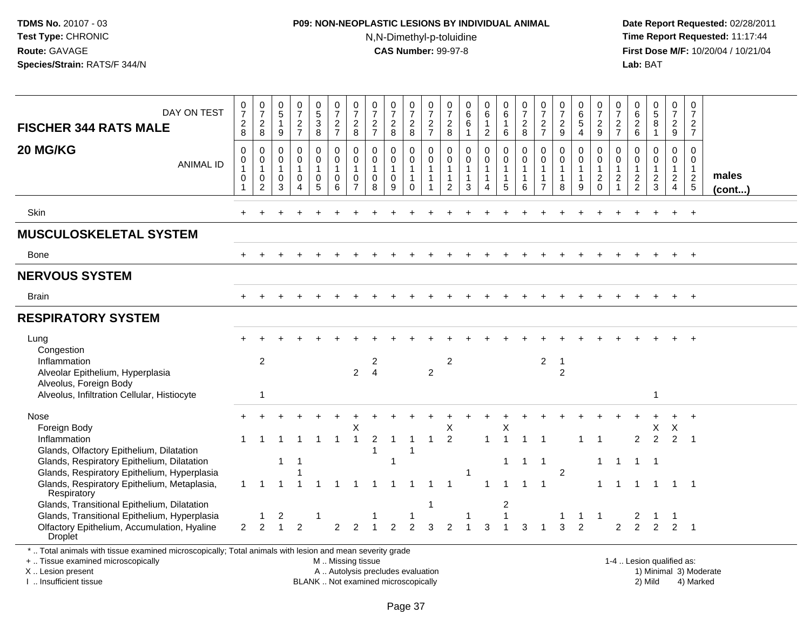### **P09: NON-NEOPLASTIC LESIONS BY INDIVIDUAL ANIMAL**N,N-Dimethyl-p-toluidine

 **Date Report Requested:** 02/28/2011 **Time Report Requested:** 11:17:44 **First Dose M/F:** 10/20/04 / 10/21/04<br>**Lab:** BAT **Lab:** BAT

| DAY ON TEST<br><b>FISCHER 344 RATS MALE</b>                                                                                                                                                   | $\frac{0}{7}$<br>$\sqrt{2}$<br>8                                              | $\frac{0}{7}$<br>$\sqrt{2}$<br>8                                      | $\begin{array}{c} 0 \\ 5 \end{array}$<br>$\mathbf{1}$<br>9      | $\frac{0}{7}$<br>$\frac{2}{7}$                                       | $\begin{array}{c} 0 \\ 5 \\ 3 \end{array}$<br>8                       | $\frac{0}{7}$<br>$\frac{2}{7}$                                                                | $\frac{0}{7}$<br>$\sqrt{2}$<br>8                                            | 0<br>$\frac{8}{7}$<br>$\frac{2}{7}$                         | $\frac{0}{7}$<br>$_{8}^2$                  | $\frac{0}{7}$<br>$_{8}^2$                                               | $\frac{0}{7}$<br>$\frac{2}{7}$                | 0<br>$\overline{7}$<br>$_{\rm 8}^2$                                              | 0<br>$\,6\,$<br>$\,6\,$<br>$\mathbf{1}$                                 | $\begin{array}{c} 0 \\ 6 \end{array}$<br>$\mathbf{1}$<br>$\overline{2}$ | 0<br>$\,6\,$<br>$\mathbf{1}$<br>6                                          | $\frac{0}{7}$<br>$\sqrt{2}$<br>$\,8\,$                        | 0<br>$\overline{7}$<br>$\sqrt{2}$<br>$\overline{7}$            | 0<br>$\frac{5}{7}$<br>$\sqrt{2}$<br>9                        | 0<br>$\overline{6}$<br>$\overline{5}$<br>$\overline{4}$       | $\frac{0}{7}$<br>$\frac{2}{9}$                   | 0<br>$\overline{7}$<br>$\overline{c}$<br>$\overline{7}$            | 0<br>6<br>$\frac{2}{6}$                                   | $\begin{array}{c} 0 \\ 5 \\ 8 \end{array}$<br>$\mathbf{1}$          | $\begin{array}{c} 0 \\ 7 \end{array}$<br>$\sqrt{2}$<br>$9\,$            | $\mathbf 0$<br>$\overline{7}$<br>$\overline{c}$<br>$\overline{7}$ |                        |
|-----------------------------------------------------------------------------------------------------------------------------------------------------------------------------------------------|-------------------------------------------------------------------------------|-----------------------------------------------------------------------|-----------------------------------------------------------------|----------------------------------------------------------------------|-----------------------------------------------------------------------|-----------------------------------------------------------------------------------------------|-----------------------------------------------------------------------------|-------------------------------------------------------------|--------------------------------------------|-------------------------------------------------------------------------|-----------------------------------------------|----------------------------------------------------------------------------------|-------------------------------------------------------------------------|-------------------------------------------------------------------------|----------------------------------------------------------------------------|---------------------------------------------------------------|----------------------------------------------------------------|--------------------------------------------------------------|---------------------------------------------------------------|--------------------------------------------------|--------------------------------------------------------------------|-----------------------------------------------------------|---------------------------------------------------------------------|-------------------------------------------------------------------------|-------------------------------------------------------------------|------------------------|
| 20 MG/KG<br><b>ANIMAL ID</b>                                                                                                                                                                  | $\mathbf 0$<br>$\mathsf 0$<br>$\overline{1}$<br>$\mathbf 0$<br>$\overline{1}$ | $\mathbf 0$<br>$\mathbf 0$<br>$\mathbf{1}$<br>$\pmb{0}$<br>$\sqrt{2}$ | $\mathbf 0$<br>$\mathbf 0$<br>$\mathbf{1}$<br>0<br>$\mathbf{3}$ | 0<br>$\overline{0}$<br>$\mathbf{1}$<br>$\mathbf 0$<br>$\overline{4}$ | 0<br>$\mathsf{O}\xspace$<br>$\mathbf{1}$<br>$\mathbf 0$<br>$\sqrt{5}$ | $\mathbf 0$<br>$\mathsf{O}\xspace$<br>$\overline{1}$<br>0<br>6                                | $\mathbf 0$<br>$\mathbf 0$<br>$\mathbf{1}$<br>$\mathbf 0$<br>$\overline{7}$ | $\Omega$<br>$\mathbf 0$<br>$\mathbf{1}$<br>$\mathbf 0$<br>8 | 0<br>$\mathbf 0$<br>$\mathbf{1}$<br>0<br>9 | $\mathbf 0$<br>$\mathbf 0$<br>$\mathbf{1}$<br>$\mathbf{1}$<br>$\pmb{0}$ | $\mathbf 0$<br>$\pmb{0}$<br>$\mathbf{1}$<br>1 | $\mathbf 0$<br>$\mathbf 0$<br>$\overline{1}$<br>$\overline{1}$<br>$\overline{2}$ | $\mathbf 0$<br>$\mathsf{O}\xspace$<br>$\mathbf{1}$<br>$\mathbf{1}$<br>3 | 0<br>$\mathbf 0$<br>$\mathbf{1}$<br>$\overline{4}$                      | 0<br>$\ddot{\mathbf{0}}$<br>$\mathbf{1}$<br>$\mathbf{1}$<br>$\overline{5}$ | $\mathbf 0$<br>$\pmb{0}$<br>$\mathbf{1}$<br>$\mathbf{1}$<br>6 | $\mathbf 0$<br>$\mathbf 0$<br>$\overline{1}$<br>$\overline{7}$ | $\Omega$<br>$\mathbf 0$<br>$\mathbf{1}$<br>$\mathbf{1}$<br>8 | 0<br>$\mathsf{O}\xspace$<br>$\mathbf{1}$<br>$\mathbf{1}$<br>9 | 0<br>$\mathbf 0$<br>$\mathbf{1}$<br>$^2_{\rm 0}$ | 0<br>$\mathbf 0$<br>$\mathbf{1}$<br>$\overline{c}$<br>$\mathbf{1}$ | $\mathbf 0$<br>$\pmb{0}$<br>$\mathbf{1}$<br>$\frac{2}{2}$ | $\mathbf 0$<br>$\mathsf{O}\xspace$<br>$\mathbf{1}$<br>$\frac{2}{3}$ | 0<br>$\overline{0}$<br>$\mathbf{1}$<br>$\overline{a}$<br>$\overline{4}$ | $\Omega$<br>$\mathbf 0$<br>$\overline{1}$<br>$\frac{2}{5}$        | males<br>$($ cont $)$  |
| Skin                                                                                                                                                                                          |                                                                               |                                                                       |                                                                 |                                                                      |                                                                       |                                                                                               |                                                                             |                                                             |                                            |                                                                         |                                               |                                                                                  |                                                                         |                                                                         |                                                                            |                                                               |                                                                |                                                              |                                                               |                                                  |                                                                    |                                                           |                                                                     |                                                                         |                                                                   |                        |
| <b>MUSCULOSKELETAL SYSTEM</b>                                                                                                                                                                 |                                                                               |                                                                       |                                                                 |                                                                      |                                                                       |                                                                                               |                                                                             |                                                             |                                            |                                                                         |                                               |                                                                                  |                                                                         |                                                                         |                                                                            |                                                               |                                                                |                                                              |                                                               |                                                  |                                                                    |                                                           |                                                                     |                                                                         |                                                                   |                        |
| Bone                                                                                                                                                                                          |                                                                               |                                                                       |                                                                 |                                                                      |                                                                       |                                                                                               |                                                                             |                                                             |                                            |                                                                         |                                               |                                                                                  |                                                                         |                                                                         |                                                                            |                                                               |                                                                |                                                              |                                                               |                                                  |                                                                    |                                                           |                                                                     |                                                                         | $+$                                                               |                        |
| <b>NERVOUS SYSTEM</b>                                                                                                                                                                         |                                                                               |                                                                       |                                                                 |                                                                      |                                                                       |                                                                                               |                                                                             |                                                             |                                            |                                                                         |                                               |                                                                                  |                                                                         |                                                                         |                                                                            |                                                               |                                                                |                                                              |                                                               |                                                  |                                                                    |                                                           |                                                                     |                                                                         |                                                                   |                        |
| <b>Brain</b>                                                                                                                                                                                  |                                                                               |                                                                       |                                                                 |                                                                      |                                                                       |                                                                                               |                                                                             |                                                             |                                            |                                                                         |                                               |                                                                                  |                                                                         |                                                                         |                                                                            |                                                               |                                                                |                                                              |                                                               |                                                  |                                                                    |                                                           |                                                                     | $\ddot{}$                                                               | $+$                                                               |                        |
| <b>RESPIRATORY SYSTEM</b>                                                                                                                                                                     |                                                                               |                                                                       |                                                                 |                                                                      |                                                                       |                                                                                               |                                                                             |                                                             |                                            |                                                                         |                                               |                                                                                  |                                                                         |                                                                         |                                                                            |                                                               |                                                                |                                                              |                                                               |                                                  |                                                                    |                                                           |                                                                     |                                                                         |                                                                   |                        |
| Lung<br>Congestion<br>Inflammation                                                                                                                                                            |                                                                               | $\overline{2}$                                                        |                                                                 |                                                                      |                                                                       |                                                                                               |                                                                             | 2                                                           |                                            |                                                                         |                                               | $\overline{2}$                                                                   |                                                                         |                                                                         |                                                                            |                                                               | $\overline{2}$                                                 | $\overline{\mathbf{1}}$                                      |                                                               |                                                  |                                                                    |                                                           |                                                                     |                                                                         |                                                                   |                        |
| Alveolar Epithelium, Hyperplasia<br>Alveolus, Foreign Body<br>Alveolus, Infiltration Cellular, Histiocyte                                                                                     |                                                                               | 1                                                                     |                                                                 |                                                                      |                                                                       |                                                                                               | $\overline{2}$                                                              | $\overline{4}$                                              |                                            |                                                                         | 2                                             |                                                                                  |                                                                         |                                                                         |                                                                            |                                                               |                                                                | $\overline{2}$                                               |                                                               |                                                  |                                                                    |                                                           | 1                                                                   |                                                                         |                                                                   |                        |
| Nose<br>Foreign Body<br>Inflammation                                                                                                                                                          | $\mathbf{1}$                                                                  | $\mathbf 1$                                                           | -1                                                              | -1                                                                   | $\overline{1}$                                                        | $\overline{\mathbf{1}}$                                                                       | х<br>$\mathbf{1}$                                                           | 2                                                           | -1                                         |                                                                         |                                               | X<br>2                                                                           |                                                                         | 1                                                                       | Χ<br>$\overline{1}$                                                        | -1                                                            |                                                                |                                                              | 1                                                             | -1                                               |                                                                    | 2                                                         | Χ<br>$\overline{2}$                                                 | $\times$<br>$\overline{2}$                                              | - 1                                                               |                        |
| Glands, Olfactory Epithelium, Dilatation<br>Glands, Respiratory Epithelium, Dilatation<br>Glands, Respiratory Epithelium, Hyperplasia                                                         |                                                                               |                                                                       | $\mathbf{1}$                                                    | $\overline{1}$                                                       |                                                                       |                                                                                               |                                                                             | $\mathbf{1}$                                                | $\mathbf{1}$                               | $\mathbf 1$                                                             |                                               |                                                                                  | 1                                                                       |                                                                         | $\mathbf{1}$                                                               | $\mathbf{1}$                                                  | $\overline{1}$                                                 | $\overline{2}$                                               |                                                               | $\mathbf{1}$                                     | $\overline{1}$                                                     |                                                           | $1 \quad 1$                                                         |                                                                         |                                                                   |                        |
| Glands, Respiratory Epithelium, Metaplasia,<br>Respiratory                                                                                                                                    | -1                                                                            |                                                                       |                                                                 |                                                                      | -1                                                                    | -1                                                                                            |                                                                             |                                                             | $\mathbf 1$                                | $\mathbf{1}$                                                            | $\mathbf{1}$                                  | $\overline{1}$                                                                   |                                                                         | 1                                                                       | 1                                                                          | $\mathbf{1}$                                                  | $\mathbf 1$                                                    |                                                              |                                                               | $\mathbf{1}$                                     | $\overline{1}$                                                     | $\mathbf{1}$                                              | 1 1 1                                                               |                                                                         |                                                                   |                        |
| Glands, Transitional Epithelium, Dilatation<br>Glands, Transitional Epithelium, Hyperplasia<br>Olfactory Epithelium, Accumulation, Hyaline<br><b>Droplet</b>                                  | 2                                                                             | $\mathfrak{p}$                                                        | 2                                                               | $\overline{2}$                                                       |                                                                       | $\mathfrak{p}$                                                                                | 2                                                                           |                                                             | $\mathcal{P}$                              |                                                                         | $\overline{1}$                                | 2                                                                                |                                                                         | 3                                                                       | $\overline{c}$                                                             | 3                                                             |                                                                | $\mathcal{R}$                                                | $\mathbf 1$<br>$\mathcal{P}$                                  | $\overline{1}$                                   | 2                                                                  | 2<br>2                                                    | $\overline{2}$                                                      | $\mathbf{1}$<br>$\overline{2}$                                          | $\overline{1}$                                                    |                        |
| *  Total animals with tissue examined microscopically; Total animals with lesion and mean severity grade<br>+  Tissue examined microscopically<br>X  Lesion present<br>I. Insufficient tissue |                                                                               |                                                                       |                                                                 |                                                                      |                                                                       | M  Missing tissue<br>A  Autolysis precludes evaluation<br>BLANK  Not examined microscopically |                                                                             |                                                             |                                            |                                                                         |                                               |                                                                                  |                                                                         |                                                                         |                                                                            |                                                               |                                                                |                                                              |                                                               |                                                  |                                                                    |                                                           | 1-4  Lesion qualified as:<br>2) Mild                                |                                                                         | 4) Marked                                                         | 1) Minimal 3) Moderate |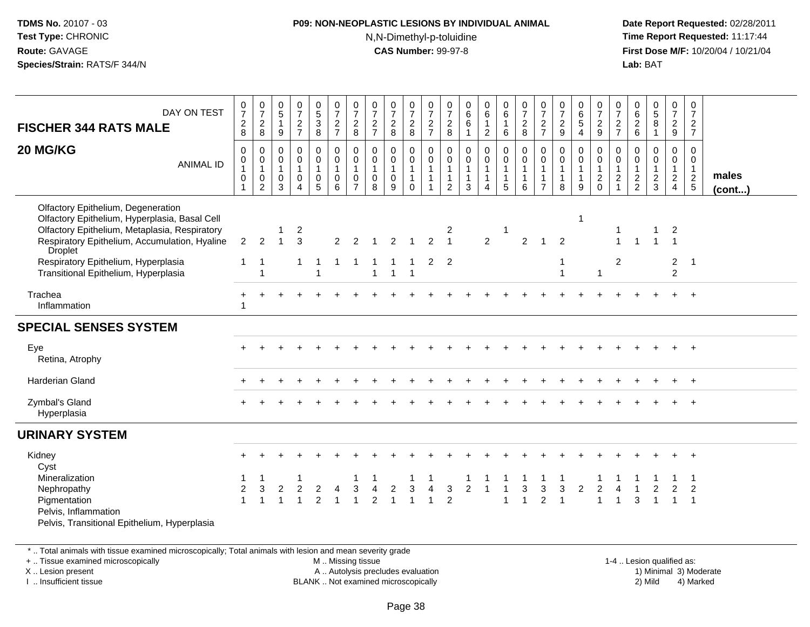#### **P09: NON-NEOPLASTIC LESIONS BY INDIVIDUAL ANIMAL**N,N-Dimethyl-p-toluidine

 **Date Report Requested:** 02/28/2011 **Time Report Requested:** 11:17:44 **First Dose M/F:** 10/20/04 / 10/21/04<br>**Lab:** BAT **Lab:** BAT

| DAY ON TEST<br><b>FISCHER 344 RATS MALE</b>                                                                                                                                                                                                    | $\frac{0}{7}$<br>$_{\rm 2}^2$                       | $\frac{0}{7}$<br>$\overline{2}$<br>8                  | $\begin{array}{c} 0 \\ 5 \end{array}$<br>$\overline{1}$<br>9 | $\frac{0}{7}$<br>$\frac{2}{7}$                                    | $\begin{array}{c} 0 \\ 5 \end{array}$<br>3<br>$\overline{8}$ | $\frac{0}{7}$<br>$\frac{2}{7}$                       | $\frac{0}{7}$<br>$^2_8$                                                     | 0<br>$\boldsymbol{7}$<br>$\frac{2}{7}$     | $\frac{0}{7}$<br>$\frac{2}{8}$                                 | 0<br>$\overline{7}$<br>$\boldsymbol{2}$<br>8                 | 0<br>$\boldsymbol{7}$<br>$\frac{2}{7}$                                       | 0<br>$\boldsymbol{7}$<br>$\overline{c}$<br>8 | 0<br>$\,6\,$<br>$\,6\,$<br>$\mathbf{1}$                         | 0<br>$6\phantom{a}$<br>$\overline{2}$                           | $\begin{array}{c} 0 \\ 6 \end{array}$<br>$\mathbf{1}$<br>$\,6\,$           | $\frac{0}{7}$<br>$\frac{2}{8}$                                  | 0<br>$\overline{7}$<br>$\overline{2}$<br>$\overline{7}$ | $\frac{0}{7}$<br>$\frac{2}{9}$              | $\begin{array}{c} 0 \\ 6 \\ 5 \end{array}$<br>$\overline{4}$ | 0<br>$\overline{7}$<br>$\frac{2}{9}$             | 0<br>$\overline{7}$<br>$\frac{2}{7}$                                       | 0<br>$\,6\,$<br>$\boldsymbol{2}$<br>$6\phantom{a}$               | 0<br>$\sqrt{5}$<br>8<br>$\mathbf{1}$                       | 0<br>$\overline{7}$<br>$\frac{2}{9}$                      | $\pmb{0}$<br>$\overline{7}$<br>$rac{2}{7}$                    |                       |
|------------------------------------------------------------------------------------------------------------------------------------------------------------------------------------------------------------------------------------------------|-----------------------------------------------------|-------------------------------------------------------|--------------------------------------------------------------|-------------------------------------------------------------------|--------------------------------------------------------------|------------------------------------------------------|-----------------------------------------------------------------------------|--------------------------------------------|----------------------------------------------------------------|--------------------------------------------------------------|------------------------------------------------------------------------------|----------------------------------------------|-----------------------------------------------------------------|-----------------------------------------------------------------|----------------------------------------------------------------------------|-----------------------------------------------------------------|---------------------------------------------------------|---------------------------------------------|--------------------------------------------------------------|--------------------------------------------------|----------------------------------------------------------------------------|------------------------------------------------------------------|------------------------------------------------------------|-----------------------------------------------------------|---------------------------------------------------------------|-----------------------|
| 20 MG/KG<br><b>ANIMAL ID</b>                                                                                                                                                                                                                   | 0<br>0<br>$\mathbf{1}$<br>$\pmb{0}$<br>$\mathbf{1}$ | 0<br>0<br>$\mathbf{1}$<br>$\pmb{0}$<br>$\overline{2}$ | $\mathbf 0$<br>0<br>$\overline{1}$<br>$\boldsymbol{0}$<br>3  | $\mathbf 0$<br>0<br>$\mathbf{1}$<br>$\mathbf 0$<br>$\overline{4}$ | 0<br>$\mathbf 0$<br>$\mathbf{1}$<br>0<br>5                   | $\mathbf 0$<br>0<br>$\mathbf{1}$<br>$\mathbf 0$<br>6 | $\mathbf 0$<br>$\mathbf 0$<br>$\mathbf{1}$<br>$\mathbf 0$<br>$\overline{7}$ | 0<br>$\mathbf 0$<br>$\mathbf{1}$<br>0<br>8 | $\mathbf 0$<br>$\mathbf 0$<br>$\mathbf{1}$<br>$\mathbf 0$<br>9 | 0<br>$\mathbf 0$<br>$\mathbf{1}$<br>$\mathbf{1}$<br>$\Omega$ | $\mathbf 0$<br>$\mathbf 0$<br>$\mathbf{1}$<br>$\overline{1}$<br>$\mathbf{1}$ | 0<br>$\mathbf 0$<br>$\mathbf{1}$<br>2        | $\mathbf 0$<br>$\mathbf 0$<br>$\mathbf{1}$<br>$\mathbf{1}$<br>3 | $\pmb{0}$<br>$\mathbf 0$<br>$\mathbf{1}$<br>1<br>$\overline{4}$ | $\mathbf 0$<br>$\mathbf 0$<br>$\mathbf{1}$<br>$\overline{1}$<br>$\sqrt{5}$ | $\mathbf 0$<br>$\mathbf 0$<br>$\mathbf{1}$<br>$\mathbf{1}$<br>6 | 0<br>$\mathbf 0$<br>1<br>$\overline{7}$                 | 0<br>0<br>$\mathbf{1}$<br>$\mathbf{1}$<br>8 | 0<br>0<br>$\mathbf{1}$<br>$\mathbf{1}$<br>9                  | 0<br>0<br>$\mathbf{1}$<br>$\sqrt{2}$<br>$\Omega$ | $\mathbf 0$<br>$\mathbf 0$<br>$\mathbf{1}$<br>$\sqrt{2}$<br>$\overline{1}$ | $\mathbf 0$<br>0<br>$\mathbf{1}$<br>$\sqrt{2}$<br>$\overline{2}$ | $\mathbf 0$<br>$\Omega$<br>$\mathbf{1}$<br>$\sqrt{2}$<br>3 | 0<br>$\mathbf 0$<br>$\mathbf{1}$<br>$\frac{2}{4}$         | $\mathsf{O}$<br>$\overline{0}$<br>$\mathbf{1}$<br>$rac{2}{5}$ | males<br>$($ cont $)$ |
| Olfactory Epithelium, Degeneration<br>Olfactory Epithelium, Hyperplasia, Basal Cell<br>Olfactory Epithelium, Metaplasia, Respiratory<br>Respiratory Epithelium, Accumulation, Hyaline<br><b>Droplet</b><br>Respiratory Epithelium, Hyperplasia | $\overline{2}$<br>1                                 | $\overline{2}$<br>-1                                  | 1                                                            | $\overline{\mathbf{c}}$<br>3<br>1                                 |                                                              | $\overline{2}$                                       | $\mathcal{P}$                                                               |                                            | 2<br>-1                                                        | -1                                                           | 2<br>$\mathbf{2}^{\circ}$                                                    | 2<br>$\overline{1}$<br>$\overline{2}$        |                                                                 | $\overline{2}$                                                  |                                                                            | $\overline{2}$                                                  | 1                                                       | 2<br>1                                      | $\mathbf{1}$                                                 |                                                  | 1<br>2                                                                     |                                                                  |                                                            | $\overline{\mathbf{c}}$<br>$\mathbf{1}$<br>$\overline{2}$ | $\overline{1}$                                                |                       |
| Transitional Epithelium, Hyperplasia                                                                                                                                                                                                           |                                                     | $\overline{1}$                                        |                                                              |                                                                   | 1                                                            |                                                      |                                                                             | 1                                          | $\overline{1}$                                                 | $\overline{1}$                                               |                                                                              |                                              |                                                                 |                                                                 |                                                                            |                                                                 |                                                         | $\overline{1}$                              |                                                              |                                                  |                                                                            |                                                                  |                                                            | $\overline{2}$                                            |                                                               |                       |
| Trachea<br>Inflammation                                                                                                                                                                                                                        | $\ddot{}$<br>1                                      |                                                       |                                                              |                                                                   |                                                              |                                                      |                                                                             |                                            |                                                                |                                                              |                                                                              |                                              |                                                                 |                                                                 |                                                                            |                                                                 |                                                         |                                             |                                                              |                                                  |                                                                            |                                                                  |                                                            |                                                           | $\overline{+}$                                                |                       |
| <b>SPECIAL SENSES SYSTEM</b>                                                                                                                                                                                                                   |                                                     |                                                       |                                                              |                                                                   |                                                              |                                                      |                                                                             |                                            |                                                                |                                                              |                                                                              |                                              |                                                                 |                                                                 |                                                                            |                                                                 |                                                         |                                             |                                                              |                                                  |                                                                            |                                                                  |                                                            |                                                           |                                                               |                       |
| Eye<br>Retina, Atrophy                                                                                                                                                                                                                         |                                                     |                                                       |                                                              |                                                                   |                                                              |                                                      |                                                                             |                                            |                                                                |                                                              |                                                                              |                                              |                                                                 |                                                                 |                                                                            |                                                                 |                                                         |                                             |                                                              |                                                  |                                                                            |                                                                  |                                                            |                                                           | $\ddot{}$                                                     |                       |
| <b>Harderian Gland</b>                                                                                                                                                                                                                         |                                                     |                                                       |                                                              |                                                                   |                                                              |                                                      |                                                                             |                                            |                                                                |                                                              |                                                                              |                                              |                                                                 |                                                                 |                                                                            |                                                                 |                                                         |                                             |                                                              |                                                  |                                                                            |                                                                  |                                                            |                                                           | $\overline{+}$                                                |                       |
| Zymbal's Gland<br>Hyperplasia                                                                                                                                                                                                                  |                                                     |                                                       |                                                              |                                                                   |                                                              |                                                      |                                                                             |                                            |                                                                |                                                              |                                                                              |                                              |                                                                 |                                                                 |                                                                            |                                                                 |                                                         |                                             |                                                              |                                                  |                                                                            |                                                                  |                                                            |                                                           |                                                               |                       |
| <b>URINARY SYSTEM</b>                                                                                                                                                                                                                          |                                                     |                                                       |                                                              |                                                                   |                                                              |                                                      |                                                                             |                                            |                                                                |                                                              |                                                                              |                                              |                                                                 |                                                                 |                                                                            |                                                                 |                                                         |                                             |                                                              |                                                  |                                                                            |                                                                  |                                                            |                                                           |                                                               |                       |
| Kidney<br>Cyst<br>Mineralization                                                                                                                                                                                                               | $\overline{2}$                                      | 3                                                     |                                                              | $\mathcal{P}$                                                     |                                                              |                                                      | 3                                                                           |                                            |                                                                | 3                                                            |                                                                              |                                              | $\overline{2}$                                                  |                                                                 |                                                                            |                                                                 | 3                                                       | 3                                           |                                                              |                                                  |                                                                            |                                                                  |                                                            | $\overline{2}$                                            | 2                                                             |                       |
| Nephropathy<br>Pigmentation<br>Pelvis, Inflammation<br>Pelvis, Transitional Epithelium, Hyperplasia                                                                                                                                            | $\overline{ }$                                      |                                                       | 2                                                            |                                                                   | $\overline{2}$<br>$\overline{2}$                             |                                                      | $\overline{1}$                                                              | $\overline{c}$                             | $\overline{c}$<br>$\overline{\mathbf{1}}$                      | $\overline{1}$                                               | 1                                                                            | 3<br>$\overline{2}$                          |                                                                 |                                                                 | 1                                                                          | 3<br>1                                                          | $\overline{2}$                                          |                                             | $\overline{2}$                                               | 2<br>$\overline{1}$                              | $\overline{1}$                                                             | 3                                                                |                                                            | $\mathbf{1}$                                              | $\mathbf{1}$                                                  |                       |
|                                                                                                                                                                                                                                                |                                                     |                                                       |                                                              |                                                                   |                                                              |                                                      |                                                                             |                                            |                                                                |                                                              |                                                                              |                                              |                                                                 |                                                                 |                                                                            |                                                                 |                                                         |                                             |                                                              |                                                  |                                                                            |                                                                  |                                                            |                                                           |                                                               |                       |

\* .. Total animals with tissue examined microscopically; Total animals with lesion and mean severity grade

+ .. Tissue examined microscopically

X .. Lesion present

I .. Insufficient tissue

 M .. Missing tissueA .. Autolysis precludes evaluation

1-4 .. Lesion qualified as:<br>1) Minimal 3) Moderate BLANK .. Not examined microscopically 2) Mild 4) Marked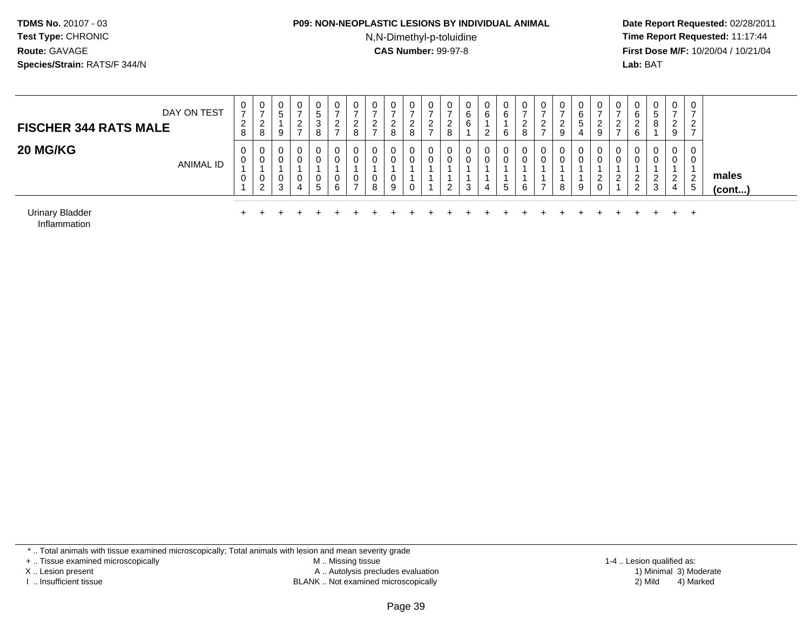#### **P09: NON-NEOPLASTIC LESIONS BY INDIVIDUAL ANIMAL**

N,N-Dimethyl-p-toluidine

 **Date Report Requested:** 02/28/2011 **Time Report Requested:** 11:17:44 **First Dose M/F:** 10/20/04 / 10/21/04<br>**Lab:** BAT **Lab:** BAT

| DAY ON TEST<br><b>FISCHER 344 RATS MALE</b> | 0<br>$\rightarrow$<br>$\overline{2}$<br>8 | 0<br>$\sqrt{2}$<br><u>_</u><br>8 | $\mathbf 0$<br>5<br>9 | 0<br>$\overline{2}$<br>$\overline{\phantom{0}}$ | 0<br>C.<br>ົ<br>◡<br>8 | 0<br>$\sim$<br>$\epsilon$<br>- | U<br>ົ<br><u>_</u><br>8 | U<br>ົ<br><u>_</u><br>$\rightarrow$ | 0<br>ົ<br>8 | 0<br>$\sim$<br>∼<br>8 | 0<br>ົ<br>∼ | 0<br>6<br>$\sim$ | 0<br>6<br>ົ<br>$\epsilon$ | 0<br>6<br>6 | 0<br>$\overline{ }$<br>$\overline{2}$<br>8 | 0<br>$\sim$<br><u>_</u> | 0<br>∠<br>9 | 0<br>6<br>5 | 0<br>ົ<br>$\epsilon$<br>9 | 0<br><u>_</u>          | 0<br>6<br>$\sim$<br><u>_</u><br>6            | 0<br><sub>5</sub><br>8            | 0<br>$\sim$<br>$\sim$<br>9 | 0<br>2<br>$\rightarrow$     |                 |
|---------------------------------------------|-------------------------------------------|----------------------------------|-----------------------|-------------------------------------------------|------------------------|--------------------------------|-------------------------|-------------------------------------|-------------|-----------------------|-------------|------------------|---------------------------|-------------|--------------------------------------------|-------------------------|-------------|-------------|---------------------------|------------------------|----------------------------------------------|-----------------------------------|----------------------------|-----------------------------|-----------------|
| <b>20 MG/KG</b><br><b>ANIMAL ID</b>         | 0<br>0<br>0                               | 0<br>0<br>U<br>റ<br>L            | 0<br>0<br>0<br>3      | 0<br>0<br>0<br>4                                | 0<br>0<br>0<br>5       | 0<br>-6                        | υ<br>υ<br>0             | C<br>0<br>8                         | 0<br>0<br>9 | 0<br>U<br>0           |             | <b>U</b>         | $\mathbf{0}$<br>0<br>4    | 0<br>0<br>5 | 0<br>0<br>6                                | U<br>v                  | 8           | 0<br>0<br>9 | 0<br>ົ<br><u>L</u><br>U   | 0<br><sup>0</sup><br>ົ | $\mathbf{0}$<br>0<br>ົ<br><u>_</u><br>ົ<br>∼ | 0<br>0<br>$\mathcal{P}$<br>∼<br>3 | ◡<br>$\epsilon$<br>4       | 0<br>0<br>2<br>$\mathbf{p}$ | males<br>(cont) |
| Urinary Bladder                             |                                           |                                  |                       |                                                 |                        |                                |                         |                                     |             |                       |             |                  |                           |             |                                            |                         |             |             |                           |                        |                                              |                                   |                            | +                           |                 |

Inflammation

\* .. Total animals with tissue examined microscopically; Total animals with lesion and mean severity grade

+ .. Tissue examined microscopically

X .. Lesion present

I .. Insufficient tissue

 M .. Missing tissueA .. Autolysis precludes evaluation

BLANK .. Not examined microscopically 2) Mild 4) Marked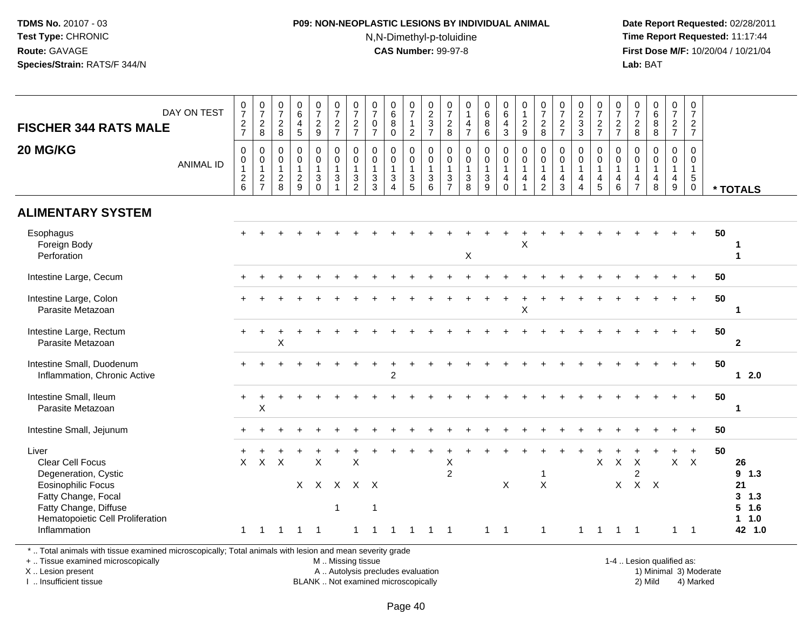#### **P09: NON-NEOPLASTIC LESIONS BY INDIVIDUAL ANIMAL**N,N-Dimethyl-p-toluidine

 **Date Report Requested:** 02/28/2011 **Time Report Requested:** 11:17:44 **First Dose M/F:** 10/20/04 / 10/21/04<br>**Lab:** BAT **Lab:** BAT

| <b>FISCHER 344 RATS MALE</b>                                                                                                                                       | DAY ON TEST      | $\frac{0}{7}$<br>$\frac{2}{7}$                        | $\frac{0}{7}$<br>$\frac{2}{8}$                                    | $\begin{array}{c} 0 \\ 7 \end{array}$<br>$\overline{2}$<br>8  | $064$<br>$45$                                                 | $\frac{0}{7}$<br>$\frac{2}{9}$                                                               | $\frac{0}{7}$<br>$\frac{2}{7}$                                           | $\frac{0}{7}$<br>$\frac{2}{7}$                                     | $\frac{0}{7}$<br>$\mathsf 0$<br>$\overline{7}$               | $\begin{array}{c} 0 \\ 6 \end{array}$<br>$\overline{8}$<br>$\mathbf 0$ | $\frac{0}{7}$<br>$\overline{1}$<br>$\overline{2}$     | $\frac{0}{2}$<br>$\frac{2}{7}$                                          | $\frac{0}{7}$<br>$_{\rm 8}^2$                                     | $\begin{smallmatrix} 0\\ 1 \end{smallmatrix}$<br>$\overline{4}$<br>$\overline{7}$ | $\begin{array}{c} 0 \\ 6 \\ 8 \end{array}$<br>$\,6\,$                             | $\begin{array}{c} 0 \\ 6 \end{array}$<br>$\frac{4}{3}$                    | 0<br>$\mathbf{1}$<br>$\frac{2}{9}$               | $\frac{0}{7}$<br>8                                                             | $\frac{0}{7}$<br>$\frac{2}{7}$                                     | $\begin{array}{c} 0 \\ 2 \\ 3 \\ 3 \end{array}$                        | $\frac{0}{7}$<br>$\frac{2}{7}$                                    | $\frac{0}{7}$<br>$\frac{2}{7}$                                    | $\frac{0}{7}$<br>$\frac{2}{8}$                                             | $\begin{array}{c} 0 \\ 6 \\ 8 \end{array}$                       | $\frac{0}{7}$<br>$rac{2}{7}$                                            | 0<br>$\overline{7}$<br>$\overline{2}$<br>$\overline{7}$ |    |                                                        |
|--------------------------------------------------------------------------------------------------------------------------------------------------------------------|------------------|-------------------------------------------------------|-------------------------------------------------------------------|---------------------------------------------------------------|---------------------------------------------------------------|----------------------------------------------------------------------------------------------|--------------------------------------------------------------------------|--------------------------------------------------------------------|--------------------------------------------------------------|------------------------------------------------------------------------|-------------------------------------------------------|-------------------------------------------------------------------------|-------------------------------------------------------------------|-----------------------------------------------------------------------------------|-----------------------------------------------------------------------------------|---------------------------------------------------------------------------|--------------------------------------------------|--------------------------------------------------------------------------------|--------------------------------------------------------------------|------------------------------------------------------------------------|-------------------------------------------------------------------|-------------------------------------------------------------------|----------------------------------------------------------------------------|------------------------------------------------------------------|-------------------------------------------------------------------------|---------------------------------------------------------|----|--------------------------------------------------------|
| 20 MG/KG                                                                                                                                                           | <b>ANIMAL ID</b> | $\boldsymbol{0}$<br>$\mathbf 0$<br>1<br>$\frac{2}{6}$ | $\mathsf{O}\xspace$<br>$\pmb{0}$<br>$\mathbf{1}$<br>$\frac{2}{7}$ | $\pmb{0}$<br>$\pmb{0}$<br>$\mathbf{1}$<br>$\overline{c}$<br>8 | $\pmb{0}$<br>$\pmb{0}$<br>$\mathbf{1}$<br>$\overline{c}$<br>9 | $\pmb{0}$<br>$\mathsf{O}\xspace$<br>$\mathbf{1}$<br>$\ensuremath{\mathsf{3}}$<br>$\mathbf 0$ | $\pmb{0}$<br>$\pmb{0}$<br>$\overline{1}$<br>$\sqrt{3}$<br>$\overline{1}$ | 0<br>$\mathbf 0$<br>$\mathbf{1}$<br>$\mathbf{3}$<br>$\overline{2}$ | $\pmb{0}$<br>$\mathbf 0$<br>$\mathbf{1}$<br>$\mathbf 3$<br>3 | 0<br>$\mathbf 0$<br>$\mathbf{1}$<br>$\mathbf{3}$<br>4                  | $_{\rm 0}^{\rm 0}$<br>$\mathbf{1}$<br>$\sqrt{3}$<br>5 | $\mathsf{O}\xspace$<br>$\mathbf 0$<br>$\mathbf{1}$<br>$\mathbf{3}$<br>6 | 0<br>$\mathbf 0$<br>$\mathbf{1}$<br>$\mathsf 3$<br>$\overline{7}$ | $\pmb{0}$<br>$\pmb{0}$<br>$\mathbf{1}$<br>$_{8}^{3}$                              | 0<br>$\mathbf 0$<br>$\overline{1}$<br>$\ensuremath{\mathsf{3}}$<br>$\overline{9}$ | $\pmb{0}$<br>$\mathbf 0$<br>$\mathbf{1}$<br>$\overline{4}$<br>$\mathbf 0$ | 0<br>$\pmb{0}$<br>$\mathbf{1}$<br>$\overline{4}$ | $\pmb{0}$<br>$\begin{smallmatrix}0\\1\end{smallmatrix}$<br>$\overline{4}$<br>2 | $\mathsf{O}$<br>$\mathsf 0$<br>$\mathbf{1}$<br>$\overline{4}$<br>3 | $_{\rm 0}^{\rm 0}$<br>$\mathbf{1}$<br>$\overline{4}$<br>$\overline{4}$ | $\mathbf 0$<br>$\mathbf 0$<br>$\mathbf{1}$<br>$\overline{4}$<br>5 | $\mathbf 0$<br>$\pmb{0}$<br>$\overline{1}$<br>$\overline{4}$<br>6 | $\pmb{0}$<br>$\pmb{0}$<br>$\mathbf{1}$<br>$\overline{4}$<br>$\overline{7}$ | 0<br>$\mathbf 0$<br>$\mathbf{1}$<br>$\overline{\mathbf{4}}$<br>8 | $\pmb{0}$<br>$\mathsf{O}\xspace$<br>$\mathbf{1}$<br>$\overline{4}$<br>9 | $\mathbf 0$<br>0<br>$\mathbf{1}$<br>5<br>$\mathbf 0$    |    | * TOTALS                                               |
| <b>ALIMENTARY SYSTEM</b>                                                                                                                                           |                  |                                                       |                                                                   |                                                               |                                                               |                                                                                              |                                                                          |                                                                    |                                                              |                                                                        |                                                       |                                                                         |                                                                   |                                                                                   |                                                                                   |                                                                           |                                                  |                                                                                |                                                                    |                                                                        |                                                                   |                                                                   |                                                                            |                                                                  |                                                                         |                                                         |    |                                                        |
| Esophagus<br>Foreign Body<br>Perforation                                                                                                                           |                  |                                                       |                                                                   |                                                               |                                                               |                                                                                              |                                                                          |                                                                    |                                                              |                                                                        |                                                       |                                                                         |                                                                   | $\mathsf X$                                                                       |                                                                                   |                                                                           | X                                                |                                                                                |                                                                    |                                                                        |                                                                   |                                                                   |                                                                            |                                                                  |                                                                         | $\ddot{}$                                               | 50 | 1                                                      |
| Intestine Large, Cecum                                                                                                                                             |                  |                                                       |                                                                   |                                                               |                                                               |                                                                                              |                                                                          |                                                                    |                                                              |                                                                        |                                                       |                                                                         |                                                                   |                                                                                   |                                                                                   |                                                                           |                                                  |                                                                                |                                                                    |                                                                        |                                                                   |                                                                   |                                                                            |                                                                  |                                                                         |                                                         | 50 |                                                        |
| Intestine Large, Colon<br>Parasite Metazoan                                                                                                                        |                  |                                                       |                                                                   |                                                               |                                                               |                                                                                              |                                                                          |                                                                    |                                                              |                                                                        |                                                       |                                                                         |                                                                   |                                                                                   |                                                                                   |                                                                           | X                                                |                                                                                |                                                                    |                                                                        |                                                                   |                                                                   |                                                                            |                                                                  |                                                                         |                                                         | 50 | $\mathbf{1}$                                           |
| Intestine Large, Rectum<br>Parasite Metazoan                                                                                                                       |                  |                                                       |                                                                   | X                                                             |                                                               |                                                                                              |                                                                          |                                                                    |                                                              |                                                                        |                                                       |                                                                         |                                                                   |                                                                                   |                                                                                   |                                                                           |                                                  |                                                                                |                                                                    |                                                                        |                                                                   |                                                                   |                                                                            |                                                                  |                                                                         | $+$                                                     | 50 | $\overline{2}$                                         |
| Intestine Small, Duodenum<br>Inflammation, Chronic Active                                                                                                          |                  |                                                       |                                                                   |                                                               |                                                               |                                                                                              |                                                                          |                                                                    |                                                              | $\overline{2}$                                                         |                                                       |                                                                         |                                                                   |                                                                                   |                                                                                   |                                                                           |                                                  |                                                                                |                                                                    |                                                                        |                                                                   |                                                                   |                                                                            |                                                                  |                                                                         | $+$                                                     | 50 | $12.0$                                                 |
| Intestine Small, Ileum<br>Parasite Metazoan                                                                                                                        |                  |                                                       | X                                                                 |                                                               |                                                               |                                                                                              |                                                                          |                                                                    |                                                              |                                                                        |                                                       |                                                                         |                                                                   |                                                                                   |                                                                                   |                                                                           |                                                  |                                                                                |                                                                    |                                                                        |                                                                   |                                                                   |                                                                            |                                                                  |                                                                         | $\ddot{}$                                               | 50 | 1                                                      |
| Intestine Small, Jejunum                                                                                                                                           |                  |                                                       |                                                                   |                                                               |                                                               |                                                                                              |                                                                          |                                                                    |                                                              |                                                                        |                                                       |                                                                         |                                                                   |                                                                                   |                                                                                   |                                                                           |                                                  |                                                                                |                                                                    |                                                                        |                                                                   |                                                                   |                                                                            |                                                                  |                                                                         |                                                         | 50 |                                                        |
| Liver<br>Clear Cell Focus<br>Degeneration, Cystic<br><b>Eosinophilic Focus</b><br>Fatty Change, Focal<br>Fatty Change, Diffuse<br>Hematopoietic Cell Proliferation |                  | $\sf X$                                               | $\mathsf{X}$                                                      | $\boldsymbol{\mathsf{X}}$                                     |                                                               | $\sf X$                                                                                      | x x x x x<br>$\overline{\mathbf{1}}$                                     | $\sf X$                                                            | $\mathbf 1$                                                  |                                                                        |                                                       |                                                                         | Χ<br>2                                                            |                                                                                   |                                                                                   | X                                                                         |                                                  | 1<br>$\sf X$                                                                   |                                                                    |                                                                        | $\pmb{\times}$                                                    | $\mathsf X$<br>$\mathsf{X}$                                       | $\times$<br>2<br>$X$ $X$                                                   |                                                                  | $\mathsf{X}$                                                            | $+$<br>$\mathsf{X}$                                     | 50 | 26<br>$9 \t1.3$<br>21<br>$3 \t1.3$<br>$5$ 1.6<br>1 1.0 |
| Inflammation                                                                                                                                                       |                  | $\mathbf{1}$                                          | $\mathbf 1$                                                       | $\overline{1}$                                                | -1                                                            | -1                                                                                           |                                                                          | 1                                                                  | -1                                                           | $\mathbf 1$                                                            |                                                       | $\mathbf 1$                                                             | -1                                                                |                                                                                   | $1 \quad 1$                                                                       |                                                                           |                                                  | $\mathbf{1}$                                                                   |                                                                    | $\mathbf{1}$                                                           | $\overline{1}$                                                    | $\overline{1}$                                                    | $\overline{1}$                                                             |                                                                  | $\mathbf{1}$                                                            | $\overline{1}$                                          |    | 42 1.0                                                 |

\* .. Total animals with tissue examined microscopically; Total animals with lesion and mean severity grade

+ .. Tissue examined microscopically

X .. Lesion present

I .. Insufficient tissue

 M .. Missing tissueA .. Autolysis precludes evaluation

BLANK .. Not examined microscopically 2) Mild 4) Marked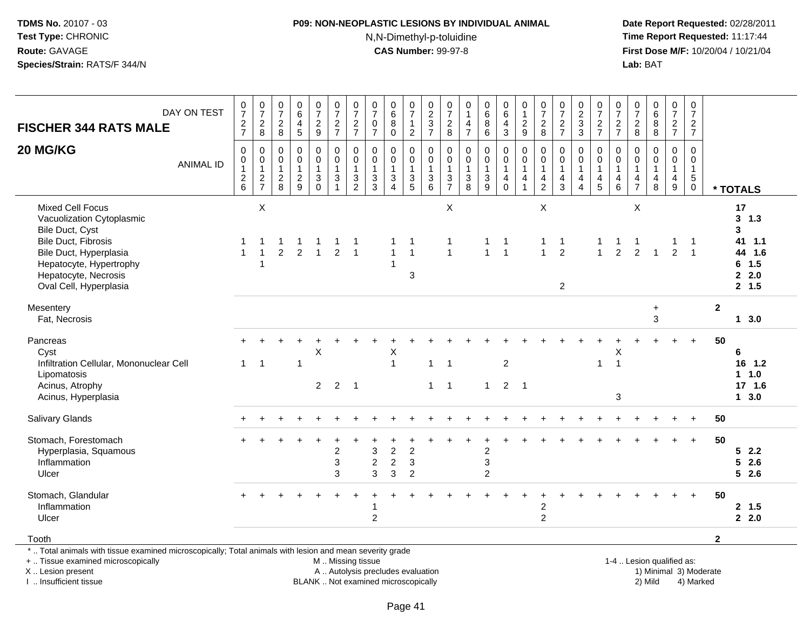### **P09: NON-NEOPLASTIC LESIONS BY INDIVIDUAL ANIMAL**N,N-Dimethyl-p-toluidine

 **Date Report Requested:** 02/28/2011 **Time Report Requested:** 11:17:44 **First Dose M/F:** 10/20/04 / 10/21/04<br>**Lab:** BAT **Lab:** BAT

| DAY ON TEST<br><b>FISCHER 344 RATS MALE</b>                                                                                                                                                    | $\frac{0}{7}$<br>$rac{2}{7}$                                     | $\begin{array}{c} 0 \\ 7 \\ 2 \\ 8 \end{array}$   | $\begin{array}{c} 0 \\ 7 \end{array}$<br>$\frac{2}{8}$   | $\begin{array}{c} 0 \\ 6 \end{array}$<br>$\overline{\mathbf{4}}$<br>$\overline{5}$ | $\frac{0}{7}$<br>$\frac{2}{9}$                            | 0727                                                               | $\begin{array}{c} 0 \\ 7 \end{array}$<br>$\frac{2}{7}$      | $\begin{array}{c} 0 \\ 7 \end{array}$<br>$\pmb{0}$<br>$\overline{7}$ | $\pmb{0}$<br>$\,6\,$<br>$\, 8$<br>$\mathbf 0$                           | $\begin{array}{c} 0 \\ 7 \end{array}$<br>$\overline{2}$ | $\frac{0}{2}$<br>$\frac{3}{7}$                            | $\frac{0}{7}$<br>$\overline{2}$<br>$\overline{8}$         | 0<br>$\mathbf{1}$<br>4<br>$\overline{7}$                  | $\begin{matrix}0\\6\\8\end{matrix}$<br>$\overline{6}$     | 0<br>$6\phantom{a}$<br>$\overline{4}$<br>3           | 0<br>$\overline{1}$<br>$\frac{2}{9}$                              | 0728                                                            | $\begin{array}{c} 0 \\ 7 \\ 2 \end{array}$<br>$\overline{7}$                | $\begin{smallmatrix} 0\\2\\3 \end{smallmatrix}$<br>$\overline{3}$ | $\frac{0}{7}$<br>$\frac{2}{7}$                                    | $\frac{0}{7}$<br>$\frac{2}{7}$                                      | $\frac{0}{7}$<br>$\frac{2}{8}$                                 | $\pmb{0}$<br>$6\phantom{a}$<br>8<br>$\overline{8}$   | $\frac{0}{7}$<br>$\frac{2}{7}$                                      | $\begin{smallmatrix}0\\7\end{smallmatrix}$<br>$\frac{2}{7}$                 |                |                                                                              |
|------------------------------------------------------------------------------------------------------------------------------------------------------------------------------------------------|------------------------------------------------------------------|---------------------------------------------------|----------------------------------------------------------|------------------------------------------------------------------------------------|-----------------------------------------------------------|--------------------------------------------------------------------|-------------------------------------------------------------|----------------------------------------------------------------------|-------------------------------------------------------------------------|---------------------------------------------------------|-----------------------------------------------------------|-----------------------------------------------------------|-----------------------------------------------------------|-----------------------------------------------------------|------------------------------------------------------|-------------------------------------------------------------------|-----------------------------------------------------------------|-----------------------------------------------------------------------------|-------------------------------------------------------------------|-------------------------------------------------------------------|---------------------------------------------------------------------|----------------------------------------------------------------|------------------------------------------------------|---------------------------------------------------------------------|-----------------------------------------------------------------------------|----------------|------------------------------------------------------------------------------|
| 20 MG/KG<br><b>ANIMAL ID</b>                                                                                                                                                                   | $\boldsymbol{0}$<br>$\mathbf 0$<br>$\mathbf{1}$<br>$\frac{2}{6}$ | 0<br>$\mathbf 0$<br>$\mathbf{1}$<br>$\frac{2}{7}$ | $\Omega$<br>$\mathbf 0$<br>$\mathbf{1}$<br>$\frac{2}{8}$ | $\pmb{0}$<br>$\mathbf 0$<br>$\mathbf{1}$<br>$\frac{2}{9}$                          | $\pmb{0}$<br>$\mathbf 0$<br>$\mathbf{1}$<br>$\frac{3}{0}$ | 0<br>$\mathbf 0$<br>$\mathbf{1}$<br>$\mathbf{3}$<br>$\overline{1}$ | $\mathbf 0$<br>$\mathbf 0$<br>$\mathbf{1}$<br>$\frac{3}{2}$ | $\Omega$<br>$\mathbf 0$<br>$\mathbf 1$<br>3<br>$\overline{3}$        | $\Omega$<br>$\mathbf 0$<br>$\mathbf{1}$<br>$\sqrt{3}$<br>$\overline{4}$ | 0<br>$\mathbf 0$<br>$\frac{3}{5}$                       | 0<br>$\mathsf{O}\xspace$<br>$\mathbf{1}$<br>$\frac{3}{6}$ | $\mathbf 0$<br>$\pmb{0}$<br>$\mathbf{1}$<br>$\frac{3}{7}$ | $\mathbf 0$<br>$\pmb{0}$<br>$\mathbf{1}$<br>$\frac{3}{8}$ | $\mathbf 0$<br>$\pmb{0}$<br>$\mathbf{1}$<br>$\frac{3}{9}$ | 0<br>$\mathbf 0$<br>$\mathbf{1}$<br>4<br>$\mathbf 0$ | $\mathbf 0$<br>$\mathbf 0$<br>$\mathbf{1}$<br>4<br>$\overline{1}$ | $\mathbf 0$<br>$\pmb{0}$<br>$\mathbf{1}$<br>4<br>$\overline{2}$ | $\Omega$<br>$\mathbf 0$<br>$\mathbf{1}$<br>$\overline{4}$<br>$\overline{3}$ | $\Omega$<br>$\mathbf 0$<br>4<br>$\boldsymbol{\Lambda}$            | $\mathbf 0$<br>$\mathbf 0$<br>$\mathbf{1}$<br>$\overline{4}$<br>5 | $\mathbf 0$<br>$\mathbf 0$<br>$\overline{1}$<br>$\overline{4}$<br>6 | $\Omega$<br>$\mathbf 0$<br>$\mathbf{1}$<br>4<br>$\overline{7}$ | $\mathbf 0$<br>$\mathbf 0$<br>$\mathbf{1}$<br>4<br>8 | $\mathbf 0$<br>$\mathbf 0$<br>$\mathbf{1}$<br>4<br>$\boldsymbol{9}$ | $\mathbf 0$<br>$\mathbf 0$<br>$\mathbf{1}$<br>$\overline{5}$<br>$\mathbf 0$ |                | * TOTALS                                                                     |
| Mixed Cell Focus<br>Vacuolization Cytoplasmic<br>Bile Duct, Cyst<br>Bile Duct, Fibrosis<br>Bile Duct, Hyperplasia<br>Hepatocyte, Hypertrophy<br>Hepatocyte, Necrosis<br>Oval Cell, Hyperplasia | 1<br>$\mathbf{1}$                                                | $\boldsymbol{\mathsf{X}}$<br>$\mathbf{1}$<br>1    | $\overline{2}$                                           | -1<br>$\overline{2}$                                                               | $\overline{1}$                                            | $\overline{2}$                                                     | $\overline{1}$<br>$\overline{1}$                            |                                                                      | 1<br>$\overline{1}$<br>1                                                | $\mathbf 1$<br>$\mathbf{1}$<br>3                        |                                                           | X<br>$\mathbf{1}$<br>$\overline{1}$                       |                                                           | $\mathbf{1}$<br>$\mathbf{1}$                              | $\mathbf{1}$<br>$\overline{1}$                       |                                                                   | X<br>1<br>$\mathbf{1}$                                          | 1<br>$\overline{2}$<br>$\overline{2}$                                       |                                                                   | $\mathbf{1}$                                                      | $\overline{2}$                                                      | X<br>$\overline{2}$                                            | $\overline{1}$                                       | 1<br>$\overline{2}$                                                 | $\overline{1}$<br>$\overline{1}$                                            |                | 17<br>3, 1.3<br>$\mathbf{3}$<br>41 1.1<br>44 1.6<br>$6$ 1.5<br>2.0<br>2, 1.5 |
| Mesentery<br>Fat, Necrosis                                                                                                                                                                     |                                                                  |                                                   |                                                          |                                                                                    |                                                           |                                                                    |                                                             |                                                                      |                                                                         |                                                         |                                                           |                                                           |                                                           |                                                           |                                                      |                                                                   |                                                                 |                                                                             |                                                                   |                                                                   |                                                                     |                                                                | $\ddot{}$<br>$\mathbf{3}$                            |                                                                     |                                                                             | $\mathbf{2}$   | $1 3.0$                                                                      |
| Pancreas<br>Cyst<br>Infiltration Cellular, Mononuclear Cell<br>Lipomatosis<br>Acinus, Atrophy<br>Acinus, Hyperplasia                                                                           | $\mathbf{1}$                                                     | $\overline{1}$                                    |                                                          | 1                                                                                  | X<br>$\overline{2}$                                       | $\overline{2}$                                                     | $\overline{1}$                                              |                                                                      | X<br>$\mathbf{1}$                                                       |                                                         | $\mathbf 1$<br>$\mathbf{1}$                               | $\overline{1}$<br>$\overline{1}$                          |                                                           | $\mathbf{1}$                                              | $\overline{c}$<br>$\overline{2}$                     | $\overline{1}$                                                    |                                                                 |                                                                             |                                                                   | $\mathbf{1}$                                                      | X<br>$\overline{1}$<br>3                                            |                                                                |                                                      |                                                                     |                                                                             | 50             | 6<br>16 1.2<br>$1 1.0$<br>17 1.6<br>$1 \quad 3.0$                            |
| <b>Salivary Glands</b>                                                                                                                                                                         |                                                                  |                                                   |                                                          |                                                                                    |                                                           |                                                                    |                                                             |                                                                      |                                                                         |                                                         |                                                           |                                                           |                                                           |                                                           |                                                      |                                                                   |                                                                 |                                                                             |                                                                   |                                                                   |                                                                     |                                                                |                                                      |                                                                     | $\ddot{}$                                                                   | 50             |                                                                              |
| Stomach, Forestomach<br>Hyperplasia, Squamous<br>Inflammation<br>Ulcer                                                                                                                         |                                                                  |                                                   |                                                          |                                                                                    |                                                           | $\overline{c}$<br>3<br>3                                           |                                                             | 3<br>$\overline{c}$<br>3                                             | $\overline{\mathbf{c}}$<br>$\sqrt{2}$<br>3                              | $\boldsymbol{2}$<br>$\mathbf{3}$<br>$\overline{2}$      |                                                           |                                                           |                                                           | $\overline{c}$<br>3<br>$\overline{2}$                     |                                                      |                                                                   |                                                                 |                                                                             |                                                                   |                                                                   |                                                                     |                                                                |                                                      |                                                                     | $+$                                                                         | 50             | 52.2<br>$5$ 2.6<br>$5$ 2.6                                                   |
| Stomach, Glandular<br>Inflammation<br>Ulcer                                                                                                                                                    |                                                                  |                                                   |                                                          |                                                                                    |                                                           |                                                                    |                                                             | -1<br>$\overline{c}$                                                 |                                                                         |                                                         |                                                           |                                                           |                                                           |                                                           |                                                      |                                                                   | $\sqrt{2}$<br>$\overline{2}$                                    |                                                                             |                                                                   |                                                                   |                                                                     |                                                                |                                                      |                                                                     |                                                                             | 50             | 2, 1.5<br>2.0                                                                |
| Tooth                                                                                                                                                                                          |                                                                  |                                                   |                                                          |                                                                                    |                                                           |                                                                    |                                                             |                                                                      |                                                                         |                                                         |                                                           |                                                           |                                                           |                                                           |                                                      |                                                                   |                                                                 |                                                                             |                                                                   |                                                                   |                                                                     |                                                                |                                                      |                                                                     |                                                                             | $\overline{2}$ |                                                                              |
| *  Total animals with tissue examined microscopically; Total animals with lesion and mean severity grade<br>+  Tissue examined microscopically<br>X Lesion present                             |                                                                  |                                                   |                                                          |                                                                                    |                                                           | M  Missing tissue                                                  |                                                             |                                                                      | A  Autolysis precludes evaluation                                       |                                                         |                                                           |                                                           |                                                           |                                                           |                                                      |                                                                   |                                                                 |                                                                             |                                                                   |                                                                   |                                                                     |                                                                | 1-4  Lesion qualified as:                            |                                                                     | 1) Minimal 3) Moderate                                                      |                |                                                                              |

I .. Insufficient tissue

BLANK .. Not examined microscopically 2) Mild 4) Marked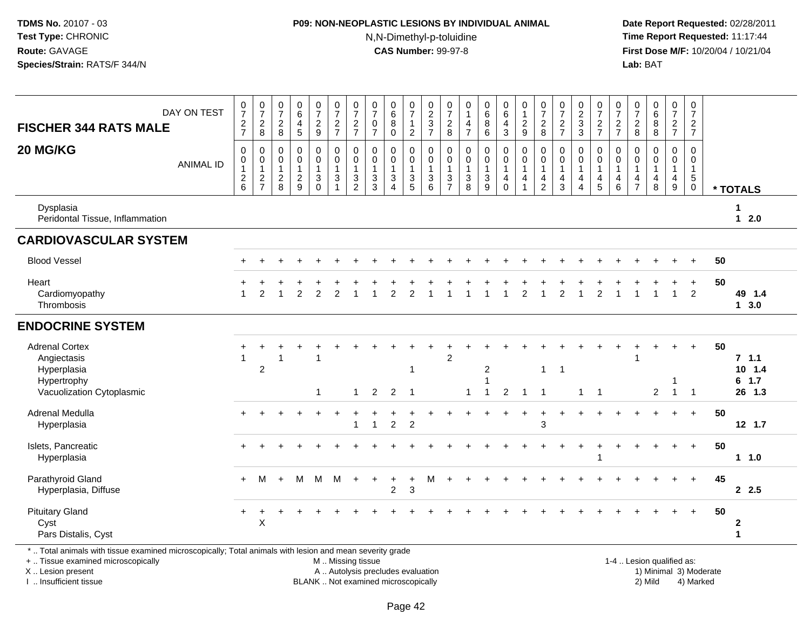### **P09: NON-NEOPLASTIC LESIONS BY INDIVIDUAL ANIMAL**N,N-Dimethyl-p-toluidine

 **Date Report Requested:** 02/28/2011 **Time Report Requested:** 11:17:44 **First Dose M/F:** 10/20/04 / 10/21/04<br>**Lab:** BAT **Lab:** BAT

| DAY ON TEST<br><b>FISCHER 344 RATS MALE</b>                                                                                                                       | $\frac{0}{7}$<br>$\frac{2}{7}$ | $\frac{0}{7}$<br>$\frac{2}{8}$                                | $\frac{0}{7}$<br>$\overline{2}$<br>8     | $\begin{array}{c} 0 \\ 6 \end{array}$<br>$\overline{4}$<br>5 | $\frac{0}{7}$<br>$\frac{2}{9}$  | $\frac{0}{7}$<br>$\frac{2}{7}$                                                  | $\frac{0}{7}$<br>$\frac{2}{7}$                            | $\begin{array}{c} 0 \\ 7 \end{array}$<br>0<br>$\overline{7}$                   | $\begin{array}{c} 0 \\ 6 \end{array}$<br>$\,8\,$<br>$\mathbf 0$                                   | $\frac{0}{7}$<br>$\overline{1}$<br>$\overline{2}$                                 | $\frac{0}{2}$<br>$\frac{3}{7}$                                | $\frac{0}{7}$<br>$\frac{2}{8}$                | 0<br>$\overline{1}$<br>4<br>$\overline{7}$                               | $\begin{array}{c} 0 \\ 6 \\ 8 \end{array}$<br>$6\phantom{a}$ | $\begin{array}{c} 0 \\ 6 \end{array}$<br>$\overline{4}$<br>$\mathbf{3}$ | $\begin{smallmatrix} 0\\ 1 \end{smallmatrix}$<br>$\frac{2}{9}$          | $\frac{0}{7}$<br>$\frac{2}{8}$                            | $\frac{0}{7}$<br>$\frac{2}{7}$                                               | $\frac{0}{2}$<br>3<br>$\overline{3}$                                 | $\frac{0}{7}$<br>$\frac{2}{7}$                                               | $\frac{0}{7}$<br>$\frac{2}{7}$                        | $\frac{0}{7}$<br>$_{\rm 8}^2$                                     | $\begin{array}{c} 0 \\ 6 \end{array}$<br>$\overline{8}$     | $\frac{0}{7}$<br>$\frac{2}{7}$                                  | 0<br>$\overline{7}$<br>$\frac{2}{7}$                                    |    |                                        |
|-------------------------------------------------------------------------------------------------------------------------------------------------------------------|--------------------------------|---------------------------------------------------------------|------------------------------------------|--------------------------------------------------------------|---------------------------------|---------------------------------------------------------------------------------|-----------------------------------------------------------|--------------------------------------------------------------------------------|---------------------------------------------------------------------------------------------------|-----------------------------------------------------------------------------------|---------------------------------------------------------------|-----------------------------------------------|--------------------------------------------------------------------------|--------------------------------------------------------------|-------------------------------------------------------------------------|-------------------------------------------------------------------------|-----------------------------------------------------------|------------------------------------------------------------------------------|----------------------------------------------------------------------|------------------------------------------------------------------------------|-------------------------------------------------------|-------------------------------------------------------------------|-------------------------------------------------------------|-----------------------------------------------------------------|-------------------------------------------------------------------------|----|----------------------------------------|
| 20 MG/KG<br><b>ANIMAL ID</b>                                                                                                                                      | 0<br>0<br>$^2\phantom{1}6$     | $\mathbf 0$<br>$\mathbf 0$<br>$\overline{1}$<br>$\frac{2}{7}$ | 0<br>0<br>$\overline{1}$<br>$_{\rm 8}^2$ | $\mathbf 0$<br>$\mathbf 0$<br>$\mathbf{1}$<br>$\frac{2}{9}$  | 0<br>0<br>1<br>3<br>$\mathbf 0$ | 0<br>$\mathbf 0$<br>$\mathbf{1}$<br>$\ensuremath{\mathsf{3}}$<br>$\overline{1}$ | 0<br>$\mathsf{O}\xspace$<br>$\mathbf{1}$<br>$\frac{3}{2}$ | $\mathbf 0$<br>0<br>$\mathbf 1$<br>$\ensuremath{\mathsf{3}}$<br>$\overline{3}$ | $\mathbf 0$<br>$\ddot{\mathbf{0}}$<br>$\mathbf{1}$<br>$\ensuremath{\mathsf{3}}$<br>$\overline{4}$ | $\mathbf 0$<br>0<br>$\overline{1}$<br>$\ensuremath{\mathsf{3}}$<br>$\overline{5}$ | $\mathbf 0$<br>$\mathbf 0$<br>$\overline{1}$<br>$\frac{3}{6}$ | 0<br>0<br>$\mathbf{1}$<br>3<br>$\overline{7}$ | $\boldsymbol{0}$<br>$\ddot{\mathbf{0}}$<br>$\mathbf{1}$<br>$\frac{3}{8}$ | 0<br>$\pmb{0}$<br>$\mathbf{1}$<br>$\frac{3}{9}$              | 0<br>$\mathbf 0$<br>1<br>$^4_{\rm 0}$                                   | $\mathbf 0$<br>$\ddot{\mathbf{0}}$<br>$\mathbf{1}$<br>4<br>$\mathbf{1}$ | $\mathbf 0$<br>0<br>$\overline{1}$<br>4<br>$\overline{2}$ | $\mathbf 0$<br>$\mathbf 0$<br>$\mathbf{1}$<br>$\overline{4}$<br>$\mathbf{3}$ | 0<br>$\mathbf 0$<br>$\mathbf{1}$<br>$\overline{4}$<br>$\overline{4}$ | 0<br>$\overline{0}$<br>$\mathbf{1}$<br>$\begin{array}{c} 4 \\ 5 \end{array}$ | $\mathbf 0$<br>$\mathsf{O}$<br>$\mathbf{1}$<br>4<br>6 | $\Omega$<br>0<br>$\mathbf{1}$<br>$\overline{4}$<br>$\overline{7}$ | $\mathbf 0$<br>$\mathbf 0$<br>$\mathbf{1}$<br>$\frac{4}{8}$ | 0<br>0<br>$\mathbf{1}$<br>$\begin{array}{c} 4 \\ 9 \end{array}$ | $\mathbf 0$<br>$\mathbf 0$<br>$\mathbf{1}$<br>$\sqrt{5}$<br>$\mathbf 0$ |    | * TOTALS                               |
| Dysplasia<br>Peridontal Tissue, Inflammation                                                                                                                      |                                |                                                               |                                          |                                                              |                                 |                                                                                 |                                                           |                                                                                |                                                                                                   |                                                                                   |                                                               |                                               |                                                                          |                                                              |                                                                         |                                                                         |                                                           |                                                                              |                                                                      |                                                                              |                                                       |                                                                   |                                                             |                                                                 |                                                                         |    | 1<br>$12.0$                            |
| <b>CARDIOVASCULAR SYSTEM</b>                                                                                                                                      |                                |                                                               |                                          |                                                              |                                 |                                                                                 |                                                           |                                                                                |                                                                                                   |                                                                                   |                                                               |                                               |                                                                          |                                                              |                                                                         |                                                                         |                                                           |                                                                              |                                                                      |                                                                              |                                                       |                                                                   |                                                             |                                                                 |                                                                         |    |                                        |
| <b>Blood Vessel</b>                                                                                                                                               |                                |                                                               |                                          |                                                              |                                 |                                                                                 |                                                           |                                                                                |                                                                                                   |                                                                                   |                                                               |                                               |                                                                          |                                                              |                                                                         |                                                                         |                                                           |                                                                              |                                                                      |                                                                              |                                                       |                                                                   |                                                             |                                                                 |                                                                         | 50 |                                        |
| Heart<br>Cardiomyopathy<br>Thrombosis                                                                                                                             |                                | 2                                                             |                                          | $\overline{2}$                                               | $\mathfrak{p}$                  | 2                                                                               |                                                           |                                                                                | 2                                                                                                 | $\overline{2}$                                                                    |                                                               |                                               |                                                                          |                                                              |                                                                         | $\overline{2}$                                                          |                                                           | $\overline{2}$                                                               |                                                                      | 2                                                                            |                                                       |                                                                   | -1                                                          | $\mathbf{1}$                                                    | $\overline{2}$                                                          | 50 | 49 1.4<br>13.0                         |
| <b>ENDOCRINE SYSTEM</b>                                                                                                                                           |                                |                                                               |                                          |                                                              |                                 |                                                                                 |                                                           |                                                                                |                                                                                                   |                                                                                   |                                                               |                                               |                                                                          |                                                              |                                                                         |                                                                         |                                                           |                                                                              |                                                                      |                                                                              |                                                       |                                                                   |                                                             |                                                                 |                                                                         |    |                                        |
| <b>Adrenal Cortex</b><br>Angiectasis<br>Hyperplasia<br>Hypertrophy<br>Vacuolization Cytoplasmic                                                                   | $\mathbf{1}$                   | 2                                                             | 1                                        |                                                              | 1<br>$\mathbf{1}$               |                                                                                 | $\mathbf{1}$                                              | 2                                                                              | $\overline{2}$                                                                                    | $\overline{\phantom{0}}$                                                          |                                                               | $\overline{2}$                                | $\mathbf{1}$                                                             | $\overline{2}$<br>$\overline{1}$                             | $\overline{2}$                                                          | $\overline{1}$                                                          | 1<br>$\overline{1}$                                       | $\overline{\mathbf{1}}$                                                      | $\mathbf{1}$                                                         | $\overline{1}$                                                               |                                                       |                                                                   | $\overline{2}$                                              | $\overline{1}$                                                  | $\overline{1}$                                                          | 50 | 7.1.1<br>$10$ 1.4<br>$6$ 1.7<br>26 1.3 |
| Adrenal Medulla<br>Hyperplasia                                                                                                                                    |                                |                                                               |                                          |                                                              |                                 |                                                                                 | 1                                                         |                                                                                | $\overline{c}$                                                                                    | $\sqrt{2}$                                                                        |                                                               |                                               |                                                                          |                                                              |                                                                         |                                                                         | 3                                                         |                                                                              |                                                                      |                                                                              |                                                       |                                                                   |                                                             |                                                                 | $+$                                                                     | 50 | 12 1.7                                 |
| Islets, Pancreatic<br>Hyperplasia                                                                                                                                 |                                |                                                               |                                          |                                                              |                                 |                                                                                 |                                                           |                                                                                |                                                                                                   |                                                                                   |                                                               |                                               |                                                                          |                                                              |                                                                         |                                                                         |                                                           |                                                                              |                                                                      |                                                                              | $\ddot{}$                                             |                                                                   |                                                             | $+$                                                             | $+$                                                                     | 50 | 1 1.0                                  |
| Parathyroid Gland<br>Hyperplasia, Diffuse                                                                                                                         | $+$                            | M                                                             | $\ddot{}$                                | M                                                            | M                               | M                                                                               | $\ddot{}$                                                 | $\ddot{}$                                                                      | $\overline{2}$                                                                                    | +<br>$\mathbf{3}$                                                                 | м                                                             |                                               |                                                                          |                                                              |                                                                         |                                                                         |                                                           |                                                                              |                                                                      |                                                                              |                                                       |                                                                   |                                                             | $\div$                                                          | $\ddot{+}$                                                              | 45 | 2.5                                    |
| <b>Pituitary Gland</b><br>Cyst<br>Pars Distalis, Cyst<br>*  Total animals with tissue examined microscopically; Total animals with lesion and mean severity grade | $\ddot{}$                      | X                                                             |                                          |                                                              |                                 |                                                                                 |                                                           |                                                                                |                                                                                                   |                                                                                   |                                                               |                                               |                                                                          |                                                              |                                                                         |                                                                         |                                                           |                                                                              |                                                                      |                                                                              |                                                       |                                                                   |                                                             |                                                                 | $\ddot{}$                                                               | 50 | 2<br>1                                 |

+ .. Tissue examined microscopically

X .. Lesion present

I .. Insufficient tissue

 M .. Missing tissueA .. Autolysis precludes evaluation 1) Minimal 3 ... Autolysis precludes evaluation 1, and 30 ... (1) Minimal 3<br>1) Minimal 30 ... Autor microscopically 1990 ... (1) Minimal 30 ... (1) Minimal 30 ... (1) Minimal 30 ... (1)

BLANK .. Not examined microscopically 2) Mild 4) Marked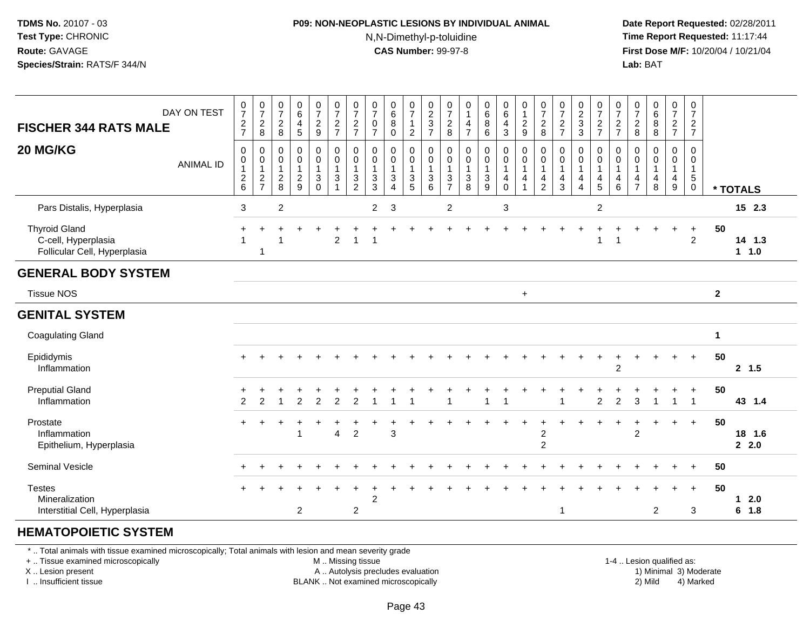#### **P09: NON-NEOPLASTIC LESIONS BY INDIVIDUAL ANIMAL**N,N-Dimethyl-p-toluidine

 **Date Report Requested:** 02/28/2011 **Time Report Requested:** 11:17:44 **First Dose M/F:** 10/20/04 / 10/21/04<br>**Lab:** BAT **Lab:** BAT

| <b>FISCHER 344 RATS MALE</b>                                                | DAY ON TEST      | $\frac{0}{7}$<br>$\frac{2}{7}$                                                        | $\frac{0}{7}$<br>$\frac{2}{8}$                          | $\begin{smallmatrix}0\\7\end{smallmatrix}$<br>$\sqrt{2}$<br>8       | $\begin{array}{c} 0 \\ 6 \end{array}$<br>4<br>5                   | $\frac{0}{7}$<br>$\frac{2}{9}$                                          | 0<br>$\overline{7}$<br>$\frac{2}{7}$                          | $\frac{0}{7}$<br>$\frac{2}{7}$                          | $\frac{0}{7}$<br>$\pmb{0}$<br>$\overline{7}$           | $\begin{matrix}0\\6\\8\end{matrix}$<br>$\pmb{0}$                           | $\frac{0}{7}$<br>$\overline{1}$<br>$\overline{2}$                                                | $\begin{array}{c} 0 \\ 2 \\ 3 \\ 7 \end{array}$                                            | $\frac{0}{7}$<br>$\boldsymbol{2}$<br>8 | $\begin{smallmatrix}0\1\end{smallmatrix}$<br>$\overline{\mathbf{4}}$<br>$\overline{7}$ | $\begin{matrix}0\6\8\end{matrix}$<br>6                                      | 0<br>$6\overline{6}$<br>$\overline{4}$<br>3 | $\begin{smallmatrix}0\\1\end{smallmatrix}$<br>$\frac{2}{9}$                           | $\frac{0}{7}$<br>$\frac{2}{8}$                            | $\frac{0}{7}$<br>$\frac{2}{7}$                         | $\begin{smallmatrix} 0\\2\\3 \end{smallmatrix}$<br>$\mathfrak{Z}$ | $\frac{0}{7}$<br>$\frac{2}{7}$              | $\frac{0}{7}$<br>$\frac{2}{7}$                          | $\frac{0}{7}$<br>$\frac{2}{8}$          | $\begin{array}{c} 0 \\ 6 \end{array}$<br>$\,8\,$<br>8 | $\frac{0}{7}$<br>$\frac{2}{7}$             | 0<br>$\boldsymbol{7}$<br>$rac{2}{7}$                          |              |                   |
|-----------------------------------------------------------------------------|------------------|---------------------------------------------------------------------------------------|---------------------------------------------------------|---------------------------------------------------------------------|-------------------------------------------------------------------|-------------------------------------------------------------------------|---------------------------------------------------------------|---------------------------------------------------------|--------------------------------------------------------|----------------------------------------------------------------------------|--------------------------------------------------------------------------------------------------|--------------------------------------------------------------------------------------------|----------------------------------------|----------------------------------------------------------------------------------------|-----------------------------------------------------------------------------|---------------------------------------------|---------------------------------------------------------------------------------------|-----------------------------------------------------------|--------------------------------------------------------|-------------------------------------------------------------------|---------------------------------------------|---------------------------------------------------------|-----------------------------------------|-------------------------------------------------------|--------------------------------------------|---------------------------------------------------------------|--------------|-------------------|
| 20 MG/KG                                                                    | <b>ANIMAL ID</b> | $\mathsf 0$<br>$\mathbf 0$<br>$\overline{1}$<br>$\begin{array}{c} 2 \\ 6 \end{array}$ | $\pmb{0}$<br>$\pmb{0}$<br>$\mathbf{1}$<br>$\frac{2}{7}$ | $\mathbf 0$<br>$\mathbf 0$<br>$\overline{1}$<br>$\overline{c}$<br>8 | $\mathbf 0$<br>$\mathbf 0$<br>$\mathbf{1}$<br>$\overline{c}$<br>9 | $\pmb{0}$<br>$\mathbf 0$<br>$\mathbf{1}$<br>$\mathbf{3}$<br>$\mathbf 0$ | $\pmb{0}$<br>$\mathbf 0$<br>$\mathbf{1}$<br>$\mathbf{3}$<br>1 | 0<br>$\mathbf 0$<br>$\mathbf{1}$<br>3<br>$\overline{2}$ | 0<br>0<br>$\mathbf{1}$<br>$\mathbf{3}$<br>$\mathbf{3}$ | $\mathbf 0$<br>$\mathbf 0$<br>$\mathbf{1}$<br>$\sqrt{3}$<br>$\overline{4}$ | $\boldsymbol{0}$<br>$\mathbf 0$<br>$\overline{1}$<br>$\ensuremath{\mathsf{3}}$<br>$\overline{5}$ | 0<br>$\mathsf{O}\xspace$<br>$\overline{1}$<br>$\ensuremath{\mathsf{3}}$<br>$6\phantom{1}6$ | 0<br>0<br>3<br>$\overline{7}$          | $\mathbf 0$<br>$\pmb{0}$<br>$\mathbf{1}$<br>$_{\rm 8}^3$                               | $\mathsf{O}$<br>$\pmb{0}$<br>$\mathbf{1}$<br>$\ensuremath{\mathsf{3}}$<br>9 | 0<br>0<br>4<br>$\mathbf 0$                  | $\pmb{0}$<br>$\pmb{0}$<br>$\overline{1}$<br>$\overline{4}$<br>$\overline{\mathbf{1}}$ | $\mathbf 0$<br>0<br>$\overline{1}$<br>4<br>$\overline{2}$ | $\mathbf 0$<br>$\mathbf 0$<br>$\overline{1}$<br>4<br>3 | 0<br>0<br>$\mathbf 1$<br>4<br>$\overline{4}$                      | 0<br>0<br>$\overline{1}$<br>4<br>$\sqrt{5}$ | $\mathbf 0$<br>0<br>$\mathbf{1}$<br>$\overline{4}$<br>6 | 0<br>$\mathbf 0$<br>4<br>$\overline{7}$ | $\mathbf 0$<br>$\mathbf 0$<br>$\mathbf{1}$<br>4<br>8  | 0<br>$\mathbf 0$<br>$\mathbf{1}$<br>4<br>9 | 0<br>$\mathbf 0$<br>$\mathbf{1}$<br>$\sqrt{5}$<br>$\mathbf 0$ |              | * TOTALS          |
| Pars Distalis, Hyperplasia                                                  |                  | 3                                                                                     |                                                         | $\overline{2}$                                                      |                                                                   |                                                                         |                                                               |                                                         | $\overline{2}$                                         | 3                                                                          |                                                                                                  |                                                                                            | $\overline{c}$                         |                                                                                        |                                                                             | $\mathbf{3}$                                |                                                                                       |                                                           |                                                        |                                                                   | $\overline{2}$                              |                                                         |                                         |                                                       |                                            |                                                               |              | 15 2.3            |
| <b>Thyroid Gland</b><br>C-cell, Hyperplasia<br>Follicular Cell, Hyperplasia |                  |                                                                                       | $\mathbf{1}$                                            |                                                                     |                                                                   |                                                                         | $\overline{c}$                                                | 1                                                       | 1                                                      |                                                                            |                                                                                                  |                                                                                            |                                        |                                                                                        |                                                                             |                                             |                                                                                       |                                                           |                                                        |                                                                   |                                             |                                                         |                                         |                                                       |                                            | +<br>$\overline{c}$                                           | 50           | 14 1.3<br>$1 1.0$ |
| <b>GENERAL BODY SYSTEM</b>                                                  |                  |                                                                                       |                                                         |                                                                     |                                                                   |                                                                         |                                                               |                                                         |                                                        |                                                                            |                                                                                                  |                                                                                            |                                        |                                                                                        |                                                                             |                                             |                                                                                       |                                                           |                                                        |                                                                   |                                             |                                                         |                                         |                                                       |                                            |                                                               |              |                   |
| <b>Tissue NOS</b>                                                           |                  |                                                                                       |                                                         |                                                                     |                                                                   |                                                                         |                                                               |                                                         |                                                        |                                                                            |                                                                                                  |                                                                                            |                                        |                                                                                        |                                                                             |                                             | $\ddot{}$                                                                             |                                                           |                                                        |                                                                   |                                             |                                                         |                                         |                                                       |                                            |                                                               | $\mathbf{2}$ |                   |
| <b>GENITAL SYSTEM</b>                                                       |                  |                                                                                       |                                                         |                                                                     |                                                                   |                                                                         |                                                               |                                                         |                                                        |                                                                            |                                                                                                  |                                                                                            |                                        |                                                                                        |                                                                             |                                             |                                                                                       |                                                           |                                                        |                                                                   |                                             |                                                         |                                         |                                                       |                                            |                                                               |              |                   |
| <b>Coagulating Gland</b>                                                    |                  |                                                                                       |                                                         |                                                                     |                                                                   |                                                                         |                                                               |                                                         |                                                        |                                                                            |                                                                                                  |                                                                                            |                                        |                                                                                        |                                                                             |                                             |                                                                                       |                                                           |                                                        |                                                                   |                                             |                                                         |                                         |                                                       |                                            |                                                               | $\mathbf 1$  |                   |
| Epididymis<br>Inflammation                                                  |                  |                                                                                       |                                                         |                                                                     |                                                                   |                                                                         |                                                               |                                                         |                                                        |                                                                            |                                                                                                  |                                                                                            |                                        |                                                                                        |                                                                             |                                             |                                                                                       |                                                           |                                                        |                                                                   |                                             | $\overline{2}$                                          |                                         |                                                       |                                            | $\ddot{}$                                                     | 50           | 2, 1.5            |
| <b>Preputial Gland</b><br>Inflammation                                      |                  | 2                                                                                     | $\overline{2}$                                          |                                                                     | 2                                                                 | $\overline{2}$                                                          | 2                                                             | $\overline{2}$                                          |                                                        |                                                                            |                                                                                                  |                                                                                            |                                        |                                                                                        | -1                                                                          |                                             |                                                                                       |                                                           | 1                                                      |                                                                   | $\overline{2}$                              | $\overline{c}$                                          | 3                                       | -1                                                    | 1                                          | $\overline{1}$                                                | 50           | 43 1.4            |
| Prostate<br>Inflammation<br>Epithelium, Hyperplasia                         |                  | $\pm$                                                                                 | ÷                                                       |                                                                     | -1                                                                |                                                                         | $\overline{4}$                                                | $\overline{c}$                                          |                                                        | 3                                                                          |                                                                                                  |                                                                                            |                                        |                                                                                        |                                                                             |                                             |                                                                                       | $\overline{c}$<br>$\overline{2}$                          |                                                        |                                                                   |                                             | $\ddot{}$                                               | $\overline{2}$                          |                                                       | $\ddot{}$                                  | $+$                                                           | 50           | 18 1.6<br>2.0     |
| <b>Seminal Vesicle</b>                                                      |                  |                                                                                       |                                                         |                                                                     |                                                                   |                                                                         |                                                               |                                                         |                                                        |                                                                            |                                                                                                  |                                                                                            |                                        |                                                                                        |                                                                             |                                             |                                                                                       |                                                           |                                                        |                                                                   |                                             |                                                         |                                         |                                                       |                                            |                                                               | 50           |                   |
| <b>Testes</b><br>Mineralization<br>Interstitial Cell, Hyperplasia           |                  |                                                                                       |                                                         |                                                                     | $\overline{c}$                                                    |                                                                         |                                                               | $\overline{2}$                                          | $\overline{2}$                                         |                                                                            |                                                                                                  |                                                                                            |                                        |                                                                                        |                                                                             |                                             |                                                                                       |                                                           | -1                                                     |                                                                   |                                             |                                                         |                                         | $\overline{c}$                                        |                                            | $\ddot{}$<br>3                                                | 50           | 2.0<br>1<br>6 1.8 |

#### **HEMATOPOIETIC SYSTEM**

\* .. Total animals with tissue examined microscopically; Total animals with lesion and mean severity grade

+ .. Tissue examined microscopically

X .. Lesion present

I .. Insufficient tissue

M .. Missing tissue

A .. Autolysis precludes evaluation

BLANK .. Not examined microscopically 2) Mild 4) Marked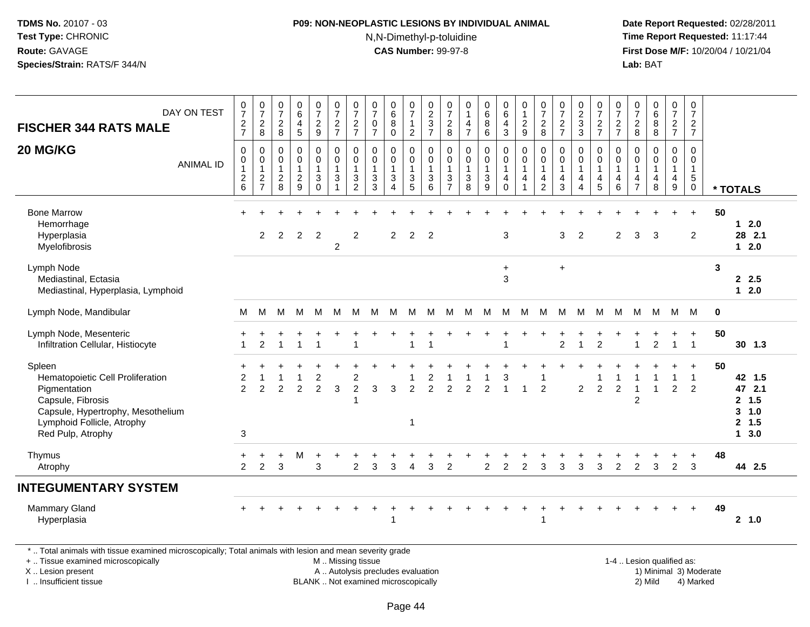#### **P09: NON-NEOPLASTIC LESIONS BY INDIVIDUAL ANIMAL**N,N-Dimethyl-p-toluidine

 **Date Report Requested:** 02/28/2011 **Time Report Requested:** 11:17:44 **First Dose M/F:** 10/20/04 / 10/21/04<br>**Lab:** BAT **Lab:** BAT

| DAY ON TEST<br><b>FISCHER 344 RATS MALE</b>                                                                                                                             | $\frac{0}{7}$<br>$\frac{2}{7}$                                        | $\frac{0}{7}$<br>$_{\rm 8}^2$                             | $\frac{0}{7}$<br>$\frac{2}{8}$                                    | $\begin{array}{c} 0 \\ 6 \end{array}$<br>$\overline{4}$<br>$\overline{5}$ | $\frac{0}{7}$<br>$\frac{2}{9}$                   | $\begin{array}{c} 0 \\ 7 \end{array}$<br>$\frac{2}{7}$ | $\begin{array}{c} 0 \\ 7 \end{array}$<br>$\frac{2}{7}$          | $\frac{0}{7}$<br>0<br>$\overline{7}$                          | $\begin{array}{c} 0 \\ 6 \end{array}$<br>8<br>$\Omega$ | $\frac{0}{7}$<br>$\mathbf{1}$<br>$\overline{c}$                            | $\frac{0}{2}$<br>$\overline{7}$                      | $\frac{0}{7}$<br>$\frac{2}{8}$                                         | $\pmb{0}$<br>$\mathbf 1$<br>4<br>$\overline{7}$                            | $\begin{matrix}0\\6\\8\end{matrix}$<br>6                    | $_{6}^{\rm 0}$<br>4<br>3                             | $\begin{smallmatrix}0\\1\end{smallmatrix}$<br>$\frac{2}{9}$   | $\frac{0}{7}$<br>$\frac{2}{8}$                                  | $\frac{0}{7}$<br>$\frac{2}{7}$               | $\frac{0}{2}$<br>3                                              | $\frac{0}{7}$<br>$\frac{2}{7}$             | $\frac{0}{7}$<br>$\frac{2}{7}$                         | $\frac{0}{7}$<br>$\frac{2}{8}$                          | $_{6}^{\rm 0}$<br>$_{8}^8$                                        | $\frac{0}{7}$<br>$\frac{2}{7}$                                            | $\frac{0}{7}$<br>$\frac{2}{7}$                                 |             |                                                                    |
|-------------------------------------------------------------------------------------------------------------------------------------------------------------------------|-----------------------------------------------------------------------|-----------------------------------------------------------|-------------------------------------------------------------------|---------------------------------------------------------------------------|--------------------------------------------------|--------------------------------------------------------|-----------------------------------------------------------------|---------------------------------------------------------------|--------------------------------------------------------|----------------------------------------------------------------------------|------------------------------------------------------|------------------------------------------------------------------------|----------------------------------------------------------------------------|-------------------------------------------------------------|------------------------------------------------------|---------------------------------------------------------------|-----------------------------------------------------------------|----------------------------------------------|-----------------------------------------------------------------|--------------------------------------------|--------------------------------------------------------|---------------------------------------------------------|-------------------------------------------------------------------|---------------------------------------------------------------------------|----------------------------------------------------------------|-------------|--------------------------------------------------------------------|
| 20 MG/KG<br><b>ANIMAL ID</b>                                                                                                                                            | $\mathbf 0$<br>$\pmb{0}$<br>$\mathbf{1}$<br>$\overline{c}$<br>$\,6\,$ | $\mathbf 0$<br>$\pmb{0}$<br>$\mathbf{1}$<br>$\frac{2}{7}$ | $\mathbf 0$<br>$\mathbf 0$<br>$\mathbf{1}$<br>$\overline{c}$<br>8 | $\mathbf 0$<br>$\mathbf 0$<br>$\mathbf{1}$<br>$\overline{c}$<br>9         | $\mathbf 0$<br>$\mathsf 0$<br>1<br>3<br>$\Omega$ | $\mathbf 0$<br>$\boldsymbol{0}$<br>1<br>3<br>1         | $\mathbf 0$<br>$\pmb{0}$<br>$\mathbf{1}$<br>3<br>$\overline{2}$ | $\mathbf 0$<br>$\pmb{0}$<br>$\mathbf{1}$<br>$\mathbf{3}$<br>3 | $\mathbf 0$<br>$\pmb{0}$<br>$\mathbf{1}$<br>3<br>4     | $\mathbf 0$<br>$\pmb{0}$<br>$\mathbf{1}$<br>$\ensuremath{\mathsf{3}}$<br>5 | $\mathbf 0$<br>$\mathbf 0$<br>$\mathbf{1}$<br>3<br>6 | $\mathbf 0$<br>$\boldsymbol{0}$<br>$\mathbf{1}$<br>3<br>$\overline{7}$ | $\mathbf 0$<br>$\pmb{0}$<br>$\mathbf{1}$<br>$\ensuremath{\mathsf{3}}$<br>8 | $\mathbf 0$<br>$\pmb{0}$<br>$\mathbf{1}$<br>$\sqrt{3}$<br>9 | 0<br>$\mathbf 0$<br>$\mathbf{1}$<br>4<br>$\mathbf 0$ | $\mathbf 0$<br>$\pmb{0}$<br>$\mathbf{1}$<br>4<br>$\mathbf{1}$ | $\mathbf 0$<br>$\pmb{0}$<br>$\mathbf{1}$<br>4<br>$\overline{c}$ | $\mathbf 0$<br>0<br>$\overline{1}$<br>4<br>3 | $\mathbf 0$<br>0<br>$\mathbf{1}$<br>4<br>$\boldsymbol{\Lambda}$ | $\mathbf 0$<br>0<br>$\mathbf{1}$<br>4<br>5 | $\mathbf 0$<br>$\mathbf 0$<br>$\overline{1}$<br>4<br>6 | 0<br>$\mathbf 0$<br>$\mathbf{1}$<br>4<br>$\overline{7}$ | $\mathbf 0$<br>$\mathbf 0$<br>$\mathbf{1}$<br>$\overline{4}$<br>8 | $\mathbf 0$<br>$\mathsf{O}\xspace$<br>$\mathbf{1}$<br>$\overline{4}$<br>9 | $\mathbf{0}$<br>0<br>$\mathbf{1}$<br>$\sqrt{5}$<br>$\mathbf 0$ |             | * TOTALS                                                           |
| <b>Bone Marrow</b><br>Hemorrhage<br>Hyperplasia<br>Myelofibrosis                                                                                                        | $\ddot{}$                                                             | 2                                                         | 2                                                                 | 2                                                                         | $\overline{2}$                                   | $\overline{c}$                                         | $\overline{2}$                                                  |                                                               | $\overline{2}$                                         | $\overline{2}$                                                             | $\overline{2}$                                       |                                                                        |                                                                            |                                                             | 3                                                    |                                                               |                                                                 | 3                                            | $\overline{c}$                                                  |                                            | $\overline{2}$                                         | 3                                                       | 3                                                                 | $\ddot{}$                                                                 | $+$<br>$\overline{2}$                                          | 50          | $12.0$<br>28 2.1<br>$12.0$                                         |
| Lymph Node<br>Mediastinal, Ectasia<br>Mediastinal, Hyperplasia, Lymphoid                                                                                                |                                                                       |                                                           |                                                                   |                                                                           |                                                  |                                                        |                                                                 |                                                               |                                                        |                                                                            |                                                      |                                                                        |                                                                            |                                                             | $\ddot{}$<br>3                                       |                                                               |                                                                 | $\ddot{}$                                    |                                                                 |                                            |                                                        |                                                         |                                                                   |                                                                           |                                                                | 3           | 2.5<br>$12.0$                                                      |
| Lymph Node, Mandibular                                                                                                                                                  | М                                                                     | м                                                         | M                                                                 | M                                                                         | M                                                | M                                                      | M                                                               | м                                                             | м                                                      | M                                                                          | M                                                    | М                                                                      | M                                                                          | М                                                           | М                                                    | M                                                             | M                                                               | M                                            | M                                                               | M                                          | М                                                      | M                                                       | M                                                                 | M                                                                         | M                                                              | $\mathbf 0$ |                                                                    |
| Lymph Node, Mesenteric<br>Infiltration Cellular, Histiocyte                                                                                                             | $\overline{1}$                                                        | $\mathcal{P}$                                             | $\overline{\mathbf{1}}$                                           | $\overline{1}$                                                            | -1                                               |                                                        | $\overline{1}$                                                  |                                                               |                                                        | 1                                                                          | -1                                                   |                                                                        |                                                                            |                                                             | 1                                                    |                                                               |                                                                 | 2                                            | $\overline{\mathbf{1}}$                                         | 2                                          |                                                        | 1                                                       | 2                                                                 | $\overline{1}$<br>$\overline{1}$                                          | $\ddot{}$<br>$\overline{1}$                                    | 50          | $30$ 1.3                                                           |
| Spleen<br>Hematopoietic Cell Proliferation<br>Pigmentation<br>Capsule, Fibrosis<br>Capsule, Hypertrophy, Mesothelium<br>Lymphoid Follicle, Atrophy<br>Red Pulp, Atrophy | 2<br>$\overline{2}$<br>3                                              | 2                                                         | $\overline{2}$                                                    | $\mathfrak{p}$                                                            | $\overline{2}$<br>$\overline{2}$                 | 3                                                      | $\sqrt{2}$<br>2<br>$\overline{1}$                               | 3                                                             | 3                                                      | $\overline{2}$<br>1                                                        | 2<br>$\overline{2}$                                  | $\overline{2}$                                                         | 2                                                                          | 2                                                           | 3                                                    | $\overline{1}$                                                | 1<br>$\overline{2}$                                             |                                              | $\overline{2}$                                                  | $\overline{2}$                             | $\overline{c}$                                         | 1<br>$\boldsymbol{2}$                                   |                                                                   | $\overline{2}$                                                            | $\ddot{}$<br>1<br>2                                            | 50          | 42 1.5<br>47 2.1<br>2, 1.5<br>$3 - 1.0$<br>2, 1.5<br>$1 \quad 3.0$ |
| Thymus<br>Atrophy                                                                                                                                                       | $\ddot{}$<br>$\overline{2}$                                           | $\ddot{}$<br>2                                            | ÷<br>3                                                            | М                                                                         | 3                                                |                                                        | 2                                                               | 3                                                             | 3                                                      | 4                                                                          | 3                                                    | $\overline{2}$                                                         |                                                                            | 2                                                           | $\overline{2}$                                       | $\overline{2}$                                                | 3                                                               | 3                                            | 3                                                               | 3                                          | 2                                                      | 2                                                       | 3                                                                 | ÷<br>$\overline{2}$                                                       | $\ddot{}$<br>3                                                 | 48          | 44 2.5                                                             |
| <b>INTEGUMENTARY SYSTEM</b>                                                                                                                                             |                                                                       |                                                           |                                                                   |                                                                           |                                                  |                                                        |                                                                 |                                                               |                                                        |                                                                            |                                                      |                                                                        |                                                                            |                                                             |                                                      |                                                               |                                                                 |                                              |                                                                 |                                            |                                                        |                                                         |                                                                   |                                                                           |                                                                |             |                                                                    |
| <b>Mammary Gland</b><br>Hyperplasia                                                                                                                                     |                                                                       |                                                           |                                                                   |                                                                           |                                                  |                                                        |                                                                 |                                                               | -1                                                     |                                                                            |                                                      |                                                                        |                                                                            |                                                             |                                                      |                                                               | ÷<br>$\mathbf 1$                                                |                                              |                                                                 |                                            |                                                        |                                                         |                                                                   | $\div$                                                                    | $\ddot{}$                                                      | 49          | 2, 1.0                                                             |

+ .. Tissue examined microscopically

X .. Lesion present

I .. Insufficient tissue

M .. Missing tissue

A .. Autolysis precludes evaluation 1999 (1999) 1999 (1999) 1999 (1999) 1999 (1999) Minimal 3) Minimal 3) Minimal 3) Minimal 3) Mild BLANK .. Not examined microscopically 2) Mild 4) Marked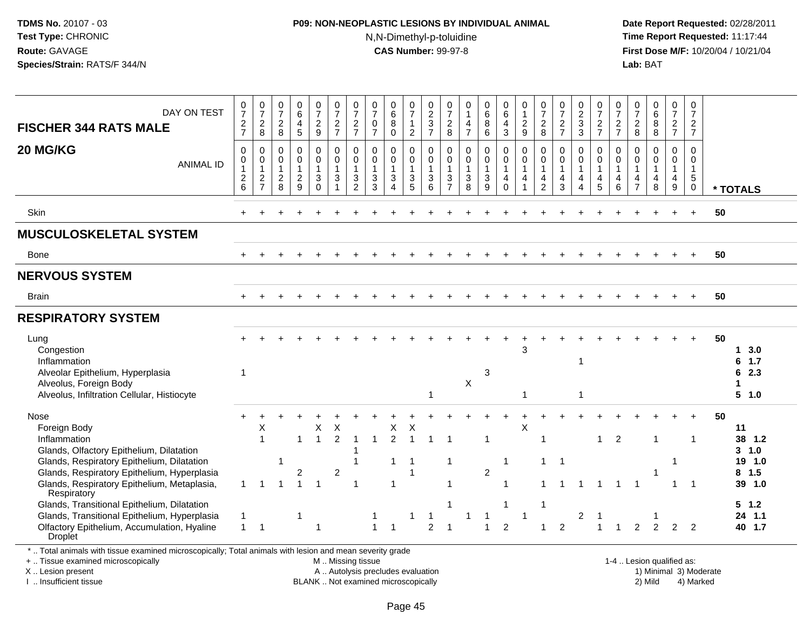### **P09: NON-NEOPLASTIC LESIONS BY INDIVIDUAL ANIMAL**N,N-Dimethyl-p-toluidine

 **Date Report Requested:** 02/28/2011 **Time Report Requested:** 11:17:44 **First Dose M/F:** 10/20/04 / 10/21/04<br>**Lab:** BAT **Lab:** BAT

| DAY ON TEST<br><b>FISCHER 344 RATS MALE</b>                                                                                                                                                                                                                                                                                                                                                          | $\frac{0}{7}$<br>$\overline{c}$<br>$\overline{7}$                                | 0<br>$\overline{7}$<br>$\overline{c}$<br>8                  | 0<br>$\overline{7}$<br>$\overline{c}$<br>8                        | $_{6}^{\rm 0}$<br>$\overline{4}$<br>5                             | $\frac{0}{7}$<br>$\overline{a}$<br>9                  | 0<br>$\overline{7}$<br>$\overline{c}$<br>$\overline{7}$                              | 0<br>$\overline{7}$<br>$\overline{2}$<br>$\overline{7}$           | $\frac{0}{7}$<br>$\boldsymbol{0}$<br>$\overline{7}$                      | $_{6}^{\rm 0}$<br>8<br>$\mathbf 0$                          | $\frac{0}{7}$<br>$\mathbf{1}$<br>$\overline{c}$     | 0<br>$rac{2}{3}$                                             | 0<br>$\overline{7}$<br>$\overline{c}$<br>$\,8\,$                  | 0<br>$\mathbf{1}$<br>4<br>$\overline{7}$                                     | $_6^0$<br>8<br>6                                        | 0<br>$6\overline{6}$<br>$\overline{4}$<br>3          | 0<br>$\mathbf{1}$<br>$\overline{c}$<br>9                                    | 0<br>$\overline{7}$<br>$\overline{c}$<br>8                        | $\frac{0}{7}$<br>$\mathbf{2}$<br>$\overline{7}$      | $\frac{0}{2}$<br>3                                                        | $\frac{0}{7}$<br>$\overline{c}$<br>$\overline{7}$                         | 0<br>$\overline{7}$<br>$\frac{2}{7}$                            | 0<br>$\boldsymbol{7}$<br>$\overline{c}$<br>8                   | 0<br>$6\phantom{a}$<br>$\bf 8$<br>8                  | 0<br>$\overline{7}$<br>$\overline{a}$<br>$\overline{7}$ | 0<br>$\overline{7}$<br>$\overline{2}$<br>$\overline{7}$           |    |                                                                                       |
|------------------------------------------------------------------------------------------------------------------------------------------------------------------------------------------------------------------------------------------------------------------------------------------------------------------------------------------------------------------------------------------------------|----------------------------------------------------------------------------------|-------------------------------------------------------------|-------------------------------------------------------------------|-------------------------------------------------------------------|-------------------------------------------------------|--------------------------------------------------------------------------------------|-------------------------------------------------------------------|--------------------------------------------------------------------------|-------------------------------------------------------------|-----------------------------------------------------|--------------------------------------------------------------|-------------------------------------------------------------------|------------------------------------------------------------------------------|---------------------------------------------------------|------------------------------------------------------|-----------------------------------------------------------------------------|-------------------------------------------------------------------|------------------------------------------------------|---------------------------------------------------------------------------|---------------------------------------------------------------------------|-----------------------------------------------------------------|----------------------------------------------------------------|------------------------------------------------------|---------------------------------------------------------|-------------------------------------------------------------------|----|---------------------------------------------------------------------------------------|
| 20 MG/KG<br><b>ANIMAL ID</b>                                                                                                                                                                                                                                                                                                                                                                         | $\mathbf 0$<br>$\mathbf 0$<br>$\mathbf{1}$<br>$\boldsymbol{2}$<br>$6\phantom{a}$ | $\mathbf 0$<br>$\mathbf 0$<br>$\mathbf{1}$<br>$\frac{2}{7}$ | $\mathbf 0$<br>$\mathbf 0$<br>$\mathbf{1}$<br>$\overline{c}$<br>8 | $\mathbf 0$<br>$\mathsf 0$<br>$\mathbf{1}$<br>$\overline{c}$<br>9 | 0<br>0<br>1<br>3<br>$\overline{0}$                    | $\mathbf 0$<br>$\mathsf{O}\xspace$<br>$\overline{1}$<br>$\sqrt{3}$<br>$\overline{1}$ | $\mathbf 0$<br>$\mathbf 0$<br>$\mathbf{1}$<br>3<br>$\overline{2}$ | $\mathbf 0$<br>$\pmb{0}$<br>$\mathbf{1}$<br>$\sqrt{3}$<br>$\overline{3}$ | $\mathbf 0$<br>$\mathbf 0$<br>$\mathbf{1}$<br>3<br>$\Delta$ | 0<br>0<br>$\mathbf{1}$<br>$\frac{3}{5}$             | $\Omega$<br>$\mathbf 0$<br>$\mathbf{1}$<br>$\mathbf{3}$<br>6 | $\mathbf 0$<br>$\mathbf 0$<br>$\mathbf{1}$<br>3<br>$\overline{7}$ | $\mathbf 0$<br>$\mathbf 0$<br>$\mathbf{1}$<br>$\ensuremath{\mathsf{3}}$<br>8 | $\mathbf 0$<br>0<br>$\mathbf{1}$<br>3<br>$\overline{9}$ | 0<br>$\mathbf 0$<br>$\mathbf{1}$<br>4<br>$\mathbf 0$ | $\mathbf 0$<br>$\mathsf{O}\xspace$<br>$\overline{1}$<br>4<br>$\overline{1}$ | $\mathbf 0$<br>$\mathbf 0$<br>$\mathbf{1}$<br>4<br>$\overline{2}$ | $\mathbf 0$<br>$\mathbf 0$<br>$\mathbf{1}$<br>4<br>3 | $\mathbf 0$<br>$\mathbf 0$<br>$\mathbf{1}$<br>4<br>$\boldsymbol{\Lambda}$ | 0<br>$\mathbf 0$<br>$\mathbf{1}$<br>$\begin{array}{c} 4 \\ 5 \end{array}$ | $\Omega$<br>$\mathbf 0$<br>$\mathbf{1}$<br>4<br>$6\phantom{1}6$ | $\Omega$<br>$\mathbf 0$<br>$\mathbf{1}$<br>4<br>$\overline{7}$ | $\mathbf 0$<br>$\mathbf 0$<br>$\mathbf{1}$<br>4<br>8 | $\mathbf 0$<br>0<br>$\mathbf{1}$<br>4<br>9              | $\mathbf 0$<br>$\mathbf 0$<br>$\mathbf{1}$<br>5<br>$\overline{0}$ |    | * TOTALS                                                                              |
| Skin                                                                                                                                                                                                                                                                                                                                                                                                 |                                                                                  |                                                             |                                                                   |                                                                   |                                                       |                                                                                      |                                                                   |                                                                          |                                                             |                                                     |                                                              |                                                                   |                                                                              |                                                         |                                                      |                                                                             |                                                                   |                                                      |                                                                           |                                                                           |                                                                 |                                                                |                                                      |                                                         | $\ddot{}$                                                         | 50 |                                                                                       |
| MUSCULOSKELETAL SYSTEM                                                                                                                                                                                                                                                                                                                                                                               |                                                                                  |                                                             |                                                                   |                                                                   |                                                       |                                                                                      |                                                                   |                                                                          |                                                             |                                                     |                                                              |                                                                   |                                                                              |                                                         |                                                      |                                                                             |                                                                   |                                                      |                                                                           |                                                                           |                                                                 |                                                                |                                                      |                                                         |                                                                   |    |                                                                                       |
| Bone                                                                                                                                                                                                                                                                                                                                                                                                 |                                                                                  |                                                             |                                                                   |                                                                   |                                                       |                                                                                      |                                                                   |                                                                          |                                                             |                                                     |                                                              |                                                                   |                                                                              |                                                         |                                                      |                                                                             |                                                                   |                                                      |                                                                           |                                                                           |                                                                 |                                                                |                                                      |                                                         | $\ddot{}$                                                         | 50 |                                                                                       |
| <b>NERVOUS SYSTEM</b>                                                                                                                                                                                                                                                                                                                                                                                |                                                                                  |                                                             |                                                                   |                                                                   |                                                       |                                                                                      |                                                                   |                                                                          |                                                             |                                                     |                                                              |                                                                   |                                                                              |                                                         |                                                      |                                                                             |                                                                   |                                                      |                                                                           |                                                                           |                                                                 |                                                                |                                                      |                                                         |                                                                   |    |                                                                                       |
| <b>Brain</b>                                                                                                                                                                                                                                                                                                                                                                                         |                                                                                  |                                                             |                                                                   |                                                                   |                                                       |                                                                                      |                                                                   |                                                                          |                                                             |                                                     |                                                              |                                                                   |                                                                              |                                                         |                                                      |                                                                             |                                                                   |                                                      |                                                                           |                                                                           |                                                                 |                                                                |                                                      |                                                         |                                                                   | 50 |                                                                                       |
| <b>RESPIRATORY SYSTEM</b>                                                                                                                                                                                                                                                                                                                                                                            |                                                                                  |                                                             |                                                                   |                                                                   |                                                       |                                                                                      |                                                                   |                                                                          |                                                             |                                                     |                                                              |                                                                   |                                                                              |                                                         |                                                      |                                                                             |                                                                   |                                                      |                                                                           |                                                                           |                                                                 |                                                                |                                                      |                                                         |                                                                   |    |                                                                                       |
| Lung<br>Congestion<br>Inflammation<br>Alveolar Epithelium, Hyperplasia<br>Alveolus, Foreign Body<br>Alveolus, Infiltration Cellular, Histiocyte                                                                                                                                                                                                                                                      | -1                                                                               |                                                             |                                                                   |                                                                   |                                                       |                                                                                      |                                                                   |                                                                          |                                                             |                                                     | $\overline{1}$                                               |                                                                   | $\boldsymbol{\mathsf{X}}$                                                    | 3                                                       |                                                      | 3<br>$\overline{1}$                                                         |                                                                   |                                                      | -1<br>$\mathbf{1}$                                                        |                                                                           |                                                                 |                                                                |                                                      |                                                         |                                                                   | 50 | 3.0<br>$\mathbf 1$<br>1.7<br>6<br>2.3<br>6<br>1<br>5 1.0                              |
| Nose<br>Foreign Body<br>Inflammation<br>Glands, Olfactory Epithelium, Dilatation<br>Glands, Respiratory Epithelium, Dilatation<br>Glands, Respiratory Epithelium, Hyperplasia<br>Glands, Respiratory Epithelium, Metaplasia,<br>Respiratory<br>Glands, Transitional Epithelium, Dilatation<br>Glands, Transitional Epithelium, Hyperplasia<br>Olfactory Epithelium, Accumulation, Hyaline<br>Droplet | $\mathbf 1$<br>-1<br>$\overline{1}$                                              | Χ<br>$\mathbf{1}$<br>1<br>$\overline{1}$                    |                                                                   | $\overline{1}$<br>$\overline{c}$<br>$\mathbf{1}$<br>$\mathbf 1$   | Χ<br>$\mathbf{1}$<br>$\overline{1}$<br>$\overline{1}$ | X<br>$\overline{2}$<br>$\overline{2}$                                                | $\mathbf 1$<br>1<br>$\mathbf{1}$<br>$\mathbf{1}$                  | $\mathbf 1$<br>$\mathbf{1}$                                              | X<br>$\overline{2}$<br>1<br>$\mathbf{1}$<br>$\overline{1}$  | Χ<br>$\overline{1}$<br>$\mathbf{1}$<br>$\mathbf{1}$ | $\overline{1}$<br>-1<br>2                                    | $\mathbf{1}$<br>1<br>1<br>1<br>$\mathbf{1}$                       | $\mathbf{1}$                                                                 | 1<br>$\overline{c}$<br>$\overline{1}$                   | 1<br>$\overline{2}$                                  | $\boldsymbol{\mathsf{X}}$<br>$\overline{1}$                                 | $\mathbf{1}$<br>$\mathbf{1}$<br>1<br>$\mathbf{1}$                 | $\overline{1}$<br>2                                  | $\overline{c}$                                                            | $\mathbf 1$<br>$\mathbf{1}$                                               | 2<br>$\overline{1}$                                             | 2                                                              | 1<br>2                                               | 1<br>$\mathbf{1}$<br>2                                  | -1<br>$\overline{2}$                                              | 50 | 11<br>38 1.2<br>3 1.0<br>19 1.0<br>$8$ 1.5<br>39 1.0<br>$5 \t1.2$<br>24 1.1<br>40 1.7 |
| *  Total animals with tissue examined microscopically; Total animals with lesion and mean severity grade<br>+  Tissue examined microscopically                                                                                                                                                                                                                                                       |                                                                                  |                                                             |                                                                   |                                                                   |                                                       | M Missing tissue                                                                     |                                                                   |                                                                          |                                                             |                                                     |                                                              |                                                                   |                                                                              |                                                         |                                                      |                                                                             |                                                                   |                                                      |                                                                           |                                                                           |                                                                 |                                                                | 1-4  Lesion qualified as:                            |                                                         |                                                                   |    |                                                                                       |

+ .. Tissue examined microscopically

X .. Lesion present

I .. Insufficient tissue

A .. Autolysis precludes evaluation 19 and 10 minimal 3) Moderate 1 and 20 minimal 3) Moderate 19 minimal 3) Moderat<br>19 and 19 and 19 and 19 and 19 and 19 and 19 and 19 and 19 and 19 and 19 and 19 and 19 and 19 and 19 and BLANK .. Not examined microscopically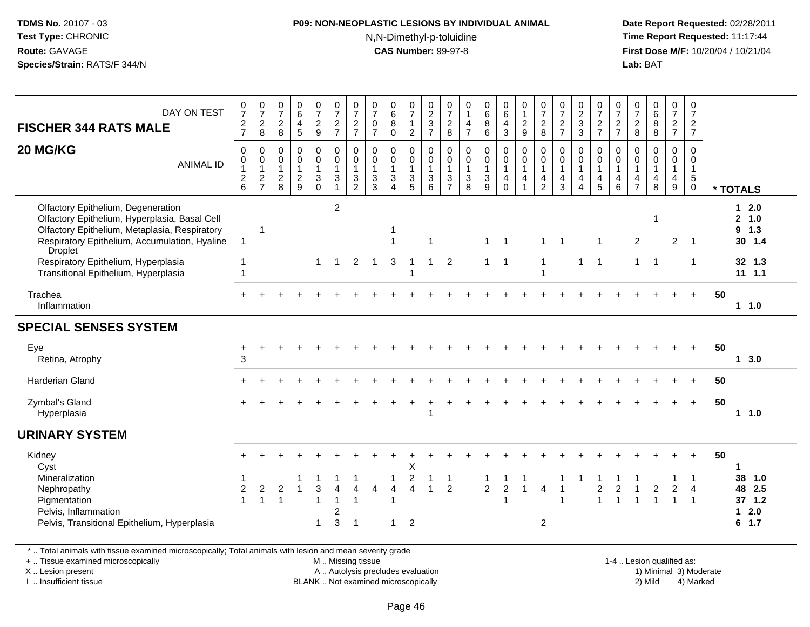### **P09: NON-NEOPLASTIC LESIONS BY INDIVIDUAL ANIMAL**N,N-Dimethyl-p-toluidine

 **Date Report Requested:** 02/28/2011 **Time Report Requested:** 11:17:44 **First Dose M/F:** 10/20/04 / 10/21/04<br>**Lab:** BAT **Lab:** BAT

| DAY ON TEST<br><b>FISCHER 344 RATS MALE</b>                                                                                                                                                      | $\frac{0}{7}$<br>$\frac{2}{7}$                    | $\frac{0}{7}$<br>$^2_{\bf 8}$                             | $\frac{0}{7}$<br>$_{8}^{\rm 2}$                             | $\begin{array}{c} 0 \\ 6 \end{array}$<br>$\overline{4}$<br>5 | $\frac{0}{7}$<br>$\frac{2}{9}$                                               | $\frac{0}{7}$<br>$rac{2}{7}$                                                          | $\frac{0}{7}$<br>$\frac{2}{7}$                                   | $\frac{0}{7}$<br>0<br>$\overline{7}$                          | $_{6}^{\rm 0}$<br>$\,8\,$<br>$\mathbf 0$                                 | $\frac{0}{7}$<br>$\overline{1}$<br>$\sqrt{2}$                           | $\boldsymbol{0}$<br>$rac{2}{3}$                                        | 0<br>$\overline{7}$<br>$^2_{\bf 8}$                     | 0<br>$\overline{1}$<br>$\overline{4}$<br>$\overline{7}$         | $_{6}^{\rm 0}$<br>$\bf 8$<br>$\overline{6}$                              | 0<br>$\,6\,$<br>$\overline{4}$<br>3                                           | 0<br>$\overline{1}$<br>$\frac{2}{9}$                                         | $\frac{0}{7}$<br>$\frac{2}{8}$                                                 | $\frac{0}{7}$<br>$\frac{2}{7}$                                         | $\frac{0}{2}$<br>3                                                   | $\frac{0}{7}$<br>$\frac{2}{7}$                        | $\frac{0}{7}$<br>$\frac{2}{7}$                                    | $\frac{0}{7}$<br>$\frac{2}{8}$                                                 | $\begin{array}{c} 0 \\ 6 \end{array}$<br>8<br>$\overline{8}$      | 0<br>$\overline{7}$<br>$\frac{2}{7}$                              | 0<br>$\overline{7}$<br>$\frac{2}{7}$                                         |                        |                                         |
|--------------------------------------------------------------------------------------------------------------------------------------------------------------------------------------------------|---------------------------------------------------|-----------------------------------------------------------|-------------------------------------------------------------|--------------------------------------------------------------|------------------------------------------------------------------------------|---------------------------------------------------------------------------------------|------------------------------------------------------------------|---------------------------------------------------------------|--------------------------------------------------------------------------|-------------------------------------------------------------------------|------------------------------------------------------------------------|---------------------------------------------------------|-----------------------------------------------------------------|--------------------------------------------------------------------------|-------------------------------------------------------------------------------|------------------------------------------------------------------------------|--------------------------------------------------------------------------------|------------------------------------------------------------------------|----------------------------------------------------------------------|-------------------------------------------------------|-------------------------------------------------------------------|--------------------------------------------------------------------------------|-------------------------------------------------------------------|-------------------------------------------------------------------|------------------------------------------------------------------------------|------------------------|-----------------------------------------|
| 20 MG/KG<br><b>ANIMAL ID</b>                                                                                                                                                                     | $\mathbf 0$<br>0<br>$\mathbf{1}$<br>$\frac{2}{6}$ | $\mathbf 0$<br>$\pmb{0}$<br>$\mathbf{1}$<br>$\frac{2}{7}$ | $\mathbf 0$<br>$\mathbf 0$<br>$\mathbf{1}$<br>$\frac{2}{8}$ | $\pmb{0}$<br>$\mathbf 0$<br>$\mathbf{1}$<br>$\frac{2}{9}$    | 0<br>$\mathbf 0$<br>$\mathbf{1}$<br>$\ensuremath{\mathsf{3}}$<br>$\mathbf 0$ | $\pmb{0}$<br>$\mathbf 0$<br>$\mathbf{1}$<br>$\ensuremath{\mathsf{3}}$<br>$\mathbf{1}$ | $\mathbf 0$<br>0<br>$\mathbf{1}$<br>$\sqrt{3}$<br>$\overline{2}$ | $\mathbf 0$<br>$\mathbf 0$<br>$\mathbf{1}$<br>$\sqrt{3}$<br>3 | $\mathbf 0$<br>$\pmb{0}$<br>$\mathbf{1}$<br>$\sqrt{3}$<br>$\overline{4}$ | 0<br>0<br>$\overline{1}$<br>$\ensuremath{\mathsf{3}}$<br>$\overline{5}$ | $\boldsymbol{0}$<br>$\mathbf 0$<br>$\overline{1}$<br>$\mathbf{3}$<br>6 | $\mathbf 0$<br>0<br>1<br>$\mathbf{3}$<br>$\overline{7}$ | $\mathbf 0$<br>$\mathbf 0$<br>$\mathbf{1}$<br>$\mathbf{3}$<br>8 | $\pmb{0}$<br>$\pmb{0}$<br>$\mathbf{1}$<br>$\ensuremath{\mathsf{3}}$<br>9 | $\mathbf 0$<br>$\mathbf 0$<br>$\overline{1}$<br>$\overline{4}$<br>$\mathbf 0$ | $\mathbf 0$<br>$\pmb{0}$<br>$\mathbf{1}$<br>$\overline{4}$<br>$\overline{1}$ | $\mathbf 0$<br>$\mathbf 0$<br>$\mathbf{1}$<br>$\overline{4}$<br>$\overline{c}$ | $\mathbf 0$<br>$\boldsymbol{0}$<br>$\mathbf{1}$<br>$\overline{4}$<br>3 | $\mathbf 0$<br>0<br>$\mathbf{1}$<br>$\overline{4}$<br>$\overline{A}$ | 0<br>$\pmb{0}$<br>$\mathbf{1}$<br>$\overline{4}$<br>5 | $\mathbf 0$<br>$\mathsf 0$<br>$\mathbf{1}$<br>$\overline{4}$<br>6 | $\mathbf 0$<br>$\mathbf 0$<br>$\mathbf{1}$<br>$\overline{4}$<br>$\overline{7}$ | $\mathbf 0$<br>$\mathbf 0$<br>$\mathbf{1}$<br>$\overline{4}$<br>8 | $\mathbf 0$<br>$\mathbf 0$<br>$\mathbf{1}$<br>$\overline{4}$<br>9 | $\mathbf 0$<br>$\mathbf 0$<br>$\mathbf{1}$<br>$5\phantom{.0}$<br>$\mathbf 0$ |                        | * TOTALS                                |
| Olfactory Epithelium, Degeneration<br>Olfactory Epithelium, Hyperplasia, Basal Cell<br>Olfactory Epithelium, Metaplasia, Respiratory<br>Respiratory Epithelium, Accumulation, Hyaline<br>Droplet | $\mathbf 1$                                       | $\mathbf 1$                                               |                                                             |                                                              |                                                                              | $\overline{2}$                                                                        |                                                                  |                                                               | $\overline{1}$                                                           |                                                                         | $\mathbf{1}$                                                           |                                                         |                                                                 | $\mathbf{1}$                                                             | $\overline{1}$                                                                |                                                                              | $\mathbf{1}$                                                                   | $\overline{\mathbf{1}}$                                                |                                                                      | $\overline{1}$                                        |                                                                   | 2                                                                              | $\mathbf{1}$                                                      | 2                                                                 | $\overline{1}$                                                               |                        | $12.0$<br>2, 1.0<br>$9 \t1.3$<br>30 1.4 |
| Respiratory Epithelium, Hyperplasia<br>Transitional Epithelium, Hyperplasia                                                                                                                      |                                                   |                                                           |                                                             |                                                              | $\mathbf{1}$                                                                 | 1                                                                                     | 2                                                                | -1                                                            | 3                                                                        | -1<br>1                                                                 | $\mathbf{1}$                                                           | $\overline{2}$                                          |                                                                 | $\mathbf{1}$                                                             | $\overline{1}$                                                                |                                                                              | 1<br>$\overline{1}$                                                            |                                                                        | 1                                                                    | $\overline{1}$                                        |                                                                   | $\overline{1}$                                                                 | $\overline{1}$                                                    |                                                                   | $\overline{1}$                                                               |                        | 32 1.3<br>$11 \t1.1$                    |
| Trachea<br>Inflammation                                                                                                                                                                          |                                                   |                                                           |                                                             |                                                              |                                                                              |                                                                                       |                                                                  |                                                               |                                                                          |                                                                         |                                                                        |                                                         |                                                                 |                                                                          |                                                                               |                                                                              |                                                                                |                                                                        |                                                                      |                                                       |                                                                   |                                                                                |                                                                   |                                                                   | $\ddot{}$                                                                    | 50                     | 1 1.0                                   |
| <b>SPECIAL SENSES SYSTEM</b>                                                                                                                                                                     |                                                   |                                                           |                                                             |                                                              |                                                                              |                                                                                       |                                                                  |                                                               |                                                                          |                                                                         |                                                                        |                                                         |                                                                 |                                                                          |                                                                               |                                                                              |                                                                                |                                                                        |                                                                      |                                                       |                                                                   |                                                                                |                                                                   |                                                                   |                                                                              |                        |                                         |
| Eye<br>Retina, Atrophy                                                                                                                                                                           | 3                                                 |                                                           |                                                             |                                                              |                                                                              |                                                                                       |                                                                  |                                                               |                                                                          |                                                                         |                                                                        |                                                         |                                                                 |                                                                          |                                                                               |                                                                              |                                                                                |                                                                        |                                                                      |                                                       |                                                                   |                                                                                |                                                                   |                                                                   |                                                                              | 50                     | $1 \quad 3.0$                           |
| <b>Harderian Gland</b>                                                                                                                                                                           |                                                   |                                                           |                                                             |                                                              |                                                                              |                                                                                       |                                                                  |                                                               |                                                                          |                                                                         |                                                                        |                                                         |                                                                 |                                                                          |                                                                               |                                                                              |                                                                                |                                                                        |                                                                      |                                                       |                                                                   |                                                                                |                                                                   |                                                                   | $+$                                                                          | 50                     |                                         |
| Zymbal's Gland<br>Hyperplasia                                                                                                                                                                    |                                                   |                                                           |                                                             |                                                              |                                                                              |                                                                                       |                                                                  |                                                               |                                                                          |                                                                         | 1                                                                      |                                                         |                                                                 |                                                                          |                                                                               |                                                                              |                                                                                |                                                                        |                                                                      |                                                       |                                                                   |                                                                                |                                                                   |                                                                   |                                                                              | 50                     | 1 1.0                                   |
| <b>URINARY SYSTEM</b>                                                                                                                                                                            |                                                   |                                                           |                                                             |                                                              |                                                                              |                                                                                       |                                                                  |                                                               |                                                                          |                                                                         |                                                                        |                                                         |                                                                 |                                                                          |                                                                               |                                                                              |                                                                                |                                                                        |                                                                      |                                                       |                                                                   |                                                                                |                                                                   |                                                                   |                                                                              |                        |                                         |
| Kidney<br>Cyst                                                                                                                                                                                   |                                                   |                                                           |                                                             |                                                              |                                                                              |                                                                                       |                                                                  |                                                               |                                                                          | X                                                                       |                                                                        |                                                         |                                                                 |                                                                          |                                                                               |                                                                              |                                                                                |                                                                        |                                                                      |                                                       |                                                                   |                                                                                |                                                                   |                                                                   |                                                                              | 50                     | 1                                       |
| Mineralization<br>Nephropathy<br>Pigmentation                                                                                                                                                    | $\overline{2}$<br>$\mathbf{1}$                    | $\sqrt{2}$<br>$\mathbf{1}$                                | $\sqrt{2}$<br>$\overline{1}$                                | $\overline{\mathbf{1}}$                                      | 3<br>1                                                                       |                                                                                       | 4<br>$\overline{1}$                                              | 4                                                             | $\mathbf 1$<br>Δ                                                         | $\overline{c}$<br>4                                                     | $\blacktriangleleft$<br>1                                              | $\mathbf 1$<br>$\overline{2}$                           |                                                                 | -1<br>$\overline{2}$                                                     | $\boldsymbol{2}$                                                              | 1                                                                            | 4                                                                              |                                                                        |                                                                      | $\overline{c}$                                        | 2                                                                 |                                                                                | 2                                                                 | $\boldsymbol{2}$<br>1                                             | 4                                                                            |                        | 38 1.0<br>48 2.5<br>$37$ 1.2            |
| Pelvis, Inflammation<br>Pelvis, Transitional Epithelium, Hyperplasia                                                                                                                             |                                                   |                                                           |                                                             |                                                              | $\mathbf 1$                                                                  | $\overline{2}$<br>3                                                                   | $\overline{1}$                                                   |                                                               | 1                                                                        | 2                                                                       |                                                                        |                                                         |                                                                 |                                                                          |                                                                               |                                                                              | $\overline{2}$                                                                 |                                                                        |                                                                      |                                                       |                                                                   |                                                                                |                                                                   |                                                                   |                                                                              |                        | $12.0$<br>$6$ 1.7                       |
| *  Total animals with tissue examined microscopically; Total animals with lesion and mean severity grade<br>+  Tissue examined microscopically<br>X  Lesion present                              |                                                   |                                                           |                                                             |                                                              |                                                                              | M  Missing tissue<br>A  Autolysis precludes evaluation                                |                                                                  |                                                               |                                                                          |                                                                         |                                                                        |                                                         |                                                                 |                                                                          |                                                                               |                                                                              |                                                                                |                                                                        |                                                                      |                                                       |                                                                   |                                                                                |                                                                   | 1-4  Lesion qualified as:                                         |                                                                              | 1) Minimal 3) Moderate |                                         |

X .. Lesion present

I .. Insufficient tissue

BLANK .. Not examined microscopically 2) Mild 4) Marked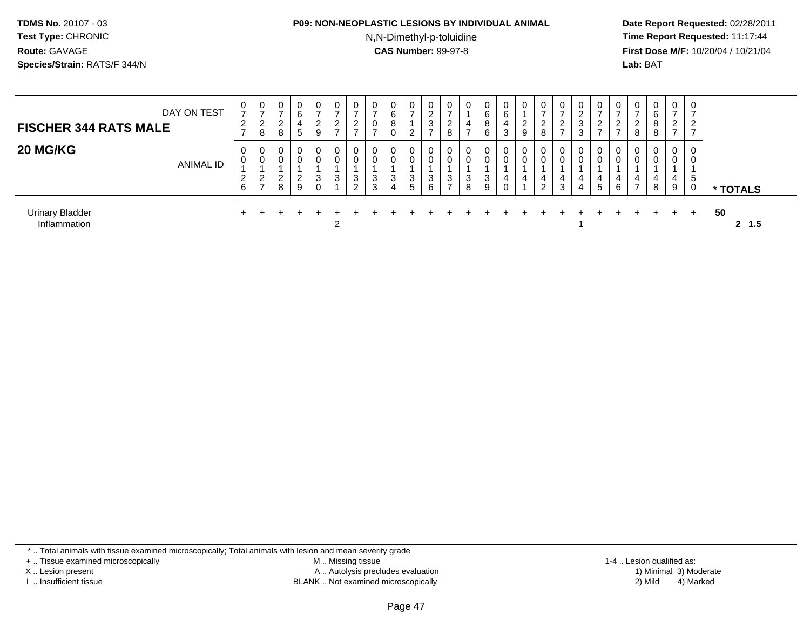## **P09: NON-NEOPLASTIC LESIONS BY INDIVIDUAL ANIMAL**

N,N-Dimethyl-p-toluidine

 **Date Report Requested:** 02/28/2011 **Time Report Requested:** 11:17:44 **First Dose M/F:** 10/20/04 / 10/21/04<br>**Lab:** BAT **Lab:** BAT

| DAY ON TEST<br><b>FISCHER 344 RATS MALE</b> | 0<br>$\overline{ }$<br>2<br>$\rightarrow$ | 0<br>ົ<br>$\epsilon$<br>8                       | 0<br>ົ<br>L<br>8           | $\mathbf{0}$<br>6<br>4<br>5      | $\mathbf 0$<br>$\overline{ }$<br>2<br>9 | 0<br>$\overline{ }$<br>$\overline{2}$<br>$\overline{ }$ | 0<br><u>_</u>               | 0<br>0 | 0<br>6<br>8<br>0 | 0<br>ົ<br>L                   | 0<br>റ<br><u>_</u><br>3 | 0<br>⇁<br>2<br>8         | 0<br>4<br>$\overline{ }$ | 0<br>6<br>8<br>6 | 0<br>6<br>4<br>3 | 0<br>ົ<br>∼<br>9 | 0<br><u>_</u><br>8 | 0<br>ົ<br><u>_</u><br>$\rightarrow$ | 0<br>ົ<br>∼<br>3<br>3 | $\mathbf 0$<br>2 | <u>_</u>      | ∠<br>8              | $\mathbf{0}$<br>6<br>8<br>8 | 0<br><u>_</u> | 0<br><u>—</u><br>2<br>- |              |
|---------------------------------------------|-------------------------------------------|-------------------------------------------------|----------------------------|----------------------------------|-----------------------------------------|---------------------------------------------------------|-----------------------------|--------|------------------|-------------------------------|-------------------------|--------------------------|--------------------------|------------------|------------------|------------------|--------------------|-------------------------------------|-----------------------|------------------|---------------|---------------------|-----------------------------|---------------|-------------------------|--------------|
| <b>20 MG/KG</b><br>ANIMAL ID                | 0<br>$\mathbf 0$<br>$\overline{2}$<br>6   | 0<br>0<br>$\sim$<br>$\epsilon$<br>$\rightarrow$ | 0<br>0<br>$\sim$<br>∼<br>8 | $\mathbf{0}$<br>0<br>ົ<br>∼<br>9 | $\mathbf 0$<br>0<br>3<br>$\mathbf 0$    | $\mathbf 0$<br>0<br>3                                   | 0<br>υ<br>ົ<br>J.<br>$\sim$ | 3<br>3 | 0<br>0<br>3<br>4 | 0 <sup>1</sup><br>0<br>3<br>5 | 0<br>0<br>3<br>6        | 0<br>3<br>$\overline{ }$ | 0<br>0<br>3<br>8         | 0<br>3<br>9      | $\Omega$         | 0<br>0<br>4      | U<br>4<br>2        | 0<br>0<br>4<br>3                    | 0<br>0<br>4<br>4      | 0<br>0<br>4<br>5 | - 0<br>4<br>6 | ⌒<br>$\overline{7}$ | $\mathbf{0}$<br>0<br>4<br>8 | 0<br>4<br>9   | 0<br>0<br>.5<br>0       | * TOTALS     |
| <b>Urinary Bladder</b><br>Inflammation      |                                           |                                                 |                            |                                  |                                         | ົ                                                       |                             |        |                  |                               |                         |                          |                          |                  |                  |                  |                    |                                     |                       |                  |               |                     |                             |               | $\div$                  | 50<br>2, 1.5 |

\* .. Total animals with tissue examined microscopically; Total animals with lesion and mean severity grade

+ .. Tissue examined microscopically

X .. Lesion present

I .. Insufficient tissue

 M .. Missing tissueLesion present A .. Autolysis precludes evaluation 1) Minimal 3) Moderate

1-4 .. Lesion qualified as:<br>1) Minimal 3) Moderate BLANK .. Not examined microscopically 2) Mild 4) Marked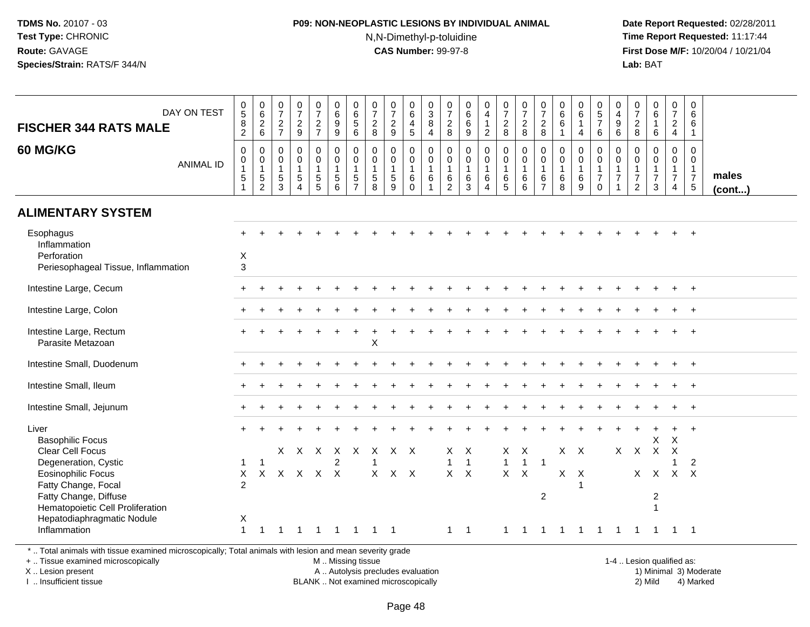#### **P09: NON-NEOPLASTIC LESIONS BY INDIVIDUAL ANIMAL**N,N-Dimethyl-p-toluidine

 **Date Report Requested:** 02/28/2011 **Time Report Requested:** 11:17:44 **First Dose M/F:** 10/20/04 / 10/21/04<br>**Lab:** BAT **Lab:** BAT

| <b>FISCHER 344 RATS MALE</b>                                                    | DAY ON TEST      | $\begin{array}{c} 0 \\ 5 \end{array}$<br>$\frac{8}{2}$ | $\begin{array}{c} 0 \\ 6 \end{array}$<br>$\frac{2}{6}$                                         | 0<br>$\overline{7}$<br>$\frac{2}{7}$                  | $\frac{0}{7}$<br>$\frac{2}{9}$                                                 | $\pmb{0}$<br>$\overline{7}$<br>$\frac{2}{7}$            | $_{6}^{\rm 0}$<br>$\overline{9}$<br>$\overline{9}$                                | $\begin{array}{c} 0 \\ 6 \\ 5 \end{array}$<br>$6\overline{6}$ | 0<br>$\overline{7}$<br>$\overline{c}$<br>8                      | $\begin{array}{c} 0 \\ 7 \end{array}$<br>$\sqrt{2}$<br>9                     | 0<br>$\,6\,$<br>$\overline{4}$<br>$\overline{5}$  | $_{3}^{\rm 0}$<br>$\overline{8}$<br>$\overline{4}$                                 | 0<br>$\overline{7}$<br>$_{\rm 8}^2$                                 | 0<br>$\,6\,$<br>$\,6\,$<br>$\boldsymbol{9}$                           | $\begin{smallmatrix}0\0\4\end{smallmatrix}$<br>$\mathbf{1}$<br>$\overline{c}$ | $\begin{array}{c} 0 \\ 7 \end{array}$<br>$\frac{2}{8}$           | $\frac{0}{7}$<br>$\boldsymbol{2}$<br>8                                  | $\pmb{0}$<br>$\overline{7}$<br>$\boldsymbol{2}$<br>8                  | 0<br>$\,6\,$<br>6<br>$\overline{1}$                      | $_{6}^{\rm 0}$<br>$\mathbf{1}$<br>4 | $\begin{array}{c} 0 \\ 5 \\ 7 \end{array}$<br>6                           | 0<br>$\overline{4}$<br>$\boldsymbol{9}$<br>$6\phantom{1}$ | $\frac{0}{7}$<br>$\frac{2}{8}$                                                   | $\pmb{0}$<br>$6\phantom{a}$<br>$\mathbf{1}$<br>$\,6\,$          | $\pmb{0}$<br>$\overline{7}$<br>$\frac{2}{4}$            | $\mathbf 0$<br>6<br>6<br>$\mathbf{1}$                  |                       |
|---------------------------------------------------------------------------------|------------------|--------------------------------------------------------|------------------------------------------------------------------------------------------------|-------------------------------------------------------|--------------------------------------------------------------------------------|---------------------------------------------------------|-----------------------------------------------------------------------------------|---------------------------------------------------------------|-----------------------------------------------------------------|------------------------------------------------------------------------------|---------------------------------------------------|------------------------------------------------------------------------------------|---------------------------------------------------------------------|-----------------------------------------------------------------------|-------------------------------------------------------------------------------|------------------------------------------------------------------|-------------------------------------------------------------------------|-----------------------------------------------------------------------|----------------------------------------------------------|-------------------------------------|---------------------------------------------------------------------------|-----------------------------------------------------------|----------------------------------------------------------------------------------|-----------------------------------------------------------------|---------------------------------------------------------|--------------------------------------------------------|-----------------------|
| 60 MG/KG                                                                        | <b>ANIMAL ID</b> | 0<br>0<br>$5\,$                                        | $\boldsymbol{0}$<br>$\begin{smallmatrix}0\\1\end{smallmatrix}$<br>$\sqrt{5}$<br>$\overline{2}$ | $\mathbf 0$<br>0<br>$\overline{1}$<br>$\sqrt{5}$<br>3 | $\mathbf 0$<br>$\mathbf 0$<br>$\mathbf{1}$<br>$\overline{5}$<br>$\overline{4}$ | 0<br>$\mathbf 0$<br>$\mathbf{1}$<br>5<br>$\overline{5}$ | 0<br>$\mathsf{O}\xspace$<br>$\mathbf{1}$<br>$\begin{array}{c} 5 \\ 6 \end{array}$ | 0<br>$\pmb{0}$<br>$\mathbf{1}$<br>$\frac{5}{7}$               | $\mathbf 0$<br>$\mathbf 0$<br>$\overline{1}$<br>$\sqrt{5}$<br>8 | $\mathbf 0$<br>$\mathsf 0$<br>$\overline{1}$<br>$\sqrt{5}$<br>$\overline{9}$ | 0<br>$\mathbf 0$<br>$\mathbf{1}$<br>6<br>$\Omega$ | $\mathbf 0$<br>$\mathbf 0$<br>$\overline{1}$<br>$\,6\,$<br>$\overline{\mathbf{1}}$ | $\mathbf 0$<br>$\pmb{0}$<br>$\mathbf{1}$<br>$\,6$<br>$\overline{2}$ | $\mathbf 0$<br>$\mathbf 0$<br>$\mathbf{1}$<br>$\,6\,$<br>$\mathbf{3}$ | $\mathbf 0$<br>$\pmb{0}$<br>1<br>$\,6\,$<br>$\overline{4}$                    | $\mathbf 0$<br>$\mathbf 0$<br>$\mathbf 1$<br>6<br>$\overline{5}$ | $\mathbf 0$<br>$\mathbf 0$<br>$\mathbf{1}$<br>$\,6\,$<br>$6\phantom{1}$ | $\mathbf 0$<br>$\pmb{0}$<br>$\mathbf{1}$<br>$\,6\,$<br>$\overline{7}$ | $\mathbf 0$<br>$\pmb{0}$<br>$\mathbf{1}$<br>$\,6\,$<br>8 | 0<br>0<br>$\mathbf{1}$<br>6<br>9    | 0<br>$\mathsf{O}\xspace$<br>$\mathbf{1}$<br>$\overline{7}$<br>$\mathbf 0$ | $\mathbf 0$<br>$\mathsf 0$<br>$\overline{7}$              | $\mathbf 0$<br>$\mathbf 0$<br>$\overline{1}$<br>$\overline{7}$<br>$\overline{2}$ | $\mathbf 0$<br>$\pmb{0}$<br>$\mathbf{1}$<br>$\overline{7}$<br>3 | 0<br>$\mathbf 0$<br>$\mathbf{1}$<br>$\overline{7}$<br>4 | 0<br>$\boldsymbol{0}$<br>$\mathbf{1}$<br>$\frac{7}{5}$ | males<br>$($ cont $)$ |
| <b>ALIMENTARY SYSTEM</b>                                                        |                  |                                                        |                                                                                                |                                                       |                                                                                |                                                         |                                                                                   |                                                               |                                                                 |                                                                              |                                                   |                                                                                    |                                                                     |                                                                       |                                                                               |                                                                  |                                                                         |                                                                       |                                                          |                                     |                                                                           |                                                           |                                                                                  |                                                                 |                                                         |                                                        |                       |
| Esophagus<br>Inflammation<br>Perforation<br>Periesophageal Tissue, Inflammation |                  | X<br>3                                                 |                                                                                                |                                                       |                                                                                |                                                         |                                                                                   |                                                               |                                                                 |                                                                              |                                                   |                                                                                    |                                                                     |                                                                       |                                                                               |                                                                  |                                                                         |                                                                       |                                                          |                                     |                                                                           |                                                           |                                                                                  |                                                                 |                                                         |                                                        |                       |
| Intestine Large, Cecum                                                          |                  |                                                        |                                                                                                |                                                       |                                                                                |                                                         |                                                                                   |                                                               |                                                                 |                                                                              |                                                   |                                                                                    |                                                                     |                                                                       |                                                                               |                                                                  |                                                                         |                                                                       |                                                          |                                     |                                                                           |                                                           |                                                                                  |                                                                 |                                                         |                                                        |                       |
| Intestine Large, Colon                                                          |                  |                                                        |                                                                                                |                                                       |                                                                                |                                                         |                                                                                   |                                                               |                                                                 |                                                                              |                                                   |                                                                                    |                                                                     |                                                                       |                                                                               |                                                                  |                                                                         |                                                                       |                                                          |                                     |                                                                           |                                                           |                                                                                  |                                                                 |                                                         | $\overline{+}$                                         |                       |
| Intestine Large, Rectum<br>Parasite Metazoan                                    |                  |                                                        |                                                                                                |                                                       |                                                                                |                                                         |                                                                                   |                                                               | X                                                               |                                                                              |                                                   |                                                                                    |                                                                     |                                                                       |                                                                               |                                                                  |                                                                         |                                                                       |                                                          |                                     |                                                                           |                                                           |                                                                                  |                                                                 |                                                         |                                                        |                       |
| Intestine Small, Duodenum                                                       |                  |                                                        |                                                                                                |                                                       |                                                                                |                                                         |                                                                                   |                                                               |                                                                 |                                                                              |                                                   |                                                                                    |                                                                     |                                                                       |                                                                               |                                                                  |                                                                         |                                                                       |                                                          |                                     |                                                                           |                                                           |                                                                                  |                                                                 |                                                         | $+$                                                    |                       |
| Intestine Small, Ileum                                                          |                  |                                                        |                                                                                                |                                                       |                                                                                |                                                         |                                                                                   |                                                               |                                                                 |                                                                              |                                                   |                                                                                    |                                                                     |                                                                       |                                                                               |                                                                  |                                                                         |                                                                       |                                                          |                                     |                                                                           |                                                           |                                                                                  |                                                                 |                                                         |                                                        |                       |
| Intestine Small, Jejunum                                                        |                  |                                                        |                                                                                                |                                                       |                                                                                |                                                         |                                                                                   |                                                               |                                                                 |                                                                              |                                                   |                                                                                    |                                                                     |                                                                       |                                                                               |                                                                  |                                                                         |                                                                       |                                                          |                                     |                                                                           |                                                           |                                                                                  |                                                                 |                                                         |                                                        |                       |
| Liver<br><b>Basophilic Focus</b>                                                |                  |                                                        |                                                                                                |                                                       |                                                                                |                                                         |                                                                                   |                                                               |                                                                 |                                                                              |                                                   |                                                                                    |                                                                     |                                                                       |                                                                               |                                                                  |                                                                         |                                                                       |                                                          |                                     |                                                                           |                                                           |                                                                                  | X                                                               | X                                                       | $\overline{+}$                                         |                       |
| Clear Cell Focus<br>Degeneration, Cystic                                        |                  | 1                                                      | $\overline{1}$                                                                                 | X                                                     | X X                                                                            |                                                         | $\mathsf{X}$<br>$\overline{2}$                                                    | $\mathsf{X}$                                                  | X                                                               | $X$ $X$                                                                      |                                                   |                                                                                    | Х<br>$\mathbf{1}$                                                   | $\boldsymbol{\mathsf{X}}$<br>$\mathbf{1}$                             |                                                                               | X<br>$\mathbf{1}$                                                | X<br>$\overline{1}$                                                     | $\overline{1}$                                                        | $X$ $X$                                                  |                                     |                                                                           |                                                           | $X$ $X$                                                                          | $\mathsf{X}$                                                    | $\times$<br>1                                           | 2                                                      |                       |
| <b>Eosinophilic Focus</b>                                                       |                  | X                                                      | $\mathsf{X}$                                                                                   |                                                       | X X X X                                                                        |                                                         |                                                                                   |                                                               | $\times$                                                        | $X$ $X$                                                                      |                                                   |                                                                                    | X                                                                   | $\mathsf{X}$                                                          |                                                                               | $X$ $X$                                                          |                                                                         |                                                                       | $X$ $X$                                                  |                                     |                                                                           |                                                           | X                                                                                | $\mathsf{X}$                                                    | $X$ $X$                                                 |                                                        |                       |
| Fatty Change, Focal                                                             |                  | 2                                                      |                                                                                                |                                                       |                                                                                |                                                         |                                                                                   |                                                               |                                                                 |                                                                              |                                                   |                                                                                    |                                                                     |                                                                       |                                                                               |                                                                  |                                                                         |                                                                       |                                                          |                                     |                                                                           |                                                           |                                                                                  |                                                                 |                                                         |                                                        |                       |
| Fatty Change, Diffuse                                                           |                  |                                                        |                                                                                                |                                                       |                                                                                |                                                         |                                                                                   |                                                               |                                                                 |                                                                              |                                                   |                                                                                    |                                                                     |                                                                       |                                                                               |                                                                  |                                                                         | 2                                                                     |                                                          |                                     |                                                                           |                                                           |                                                                                  | $\overline{2}$                                                  |                                                         |                                                        |                       |
| Hematopoietic Cell Proliferation                                                |                  |                                                        |                                                                                                |                                                       |                                                                                |                                                         |                                                                                   |                                                               |                                                                 |                                                                              |                                                   |                                                                                    |                                                                     |                                                                       |                                                                               |                                                                  |                                                                         |                                                                       |                                                          |                                     |                                                                           |                                                           |                                                                                  | 1                                                               |                                                         |                                                        |                       |
| Hepatodiaphragmatic Nodule                                                      |                  | X                                                      |                                                                                                |                                                       |                                                                                |                                                         |                                                                                   |                                                               |                                                                 |                                                                              |                                                   |                                                                                    |                                                                     |                                                                       |                                                                               |                                                                  |                                                                         |                                                                       |                                                          |                                     |                                                                           |                                                           |                                                                                  |                                                                 |                                                         |                                                        |                       |
| Inflammation                                                                    |                  | $\mathbf{1}$                                           | $\overline{1}$                                                                                 | $\mathbf 1$                                           | $\mathbf{1}$                                                                   | $\overline{1}$                                          | $\overline{1}$                                                                    | $\mathbf{1}$                                                  | $1 \quad 1$                                                     |                                                                              |                                                   |                                                                                    | $\mathbf{1}$                                                        | -1                                                                    |                                                                               | $\mathbf{1}$                                                     | $\overline{1}$                                                          | $\mathbf{1}$                                                          | -1                                                       | $\overline{1}$                      | $\mathbf{1}$                                                              | $\mathbf{1}$                                              | $\overline{1}$                                                                   | $\overline{1}$                                                  | 1 1                                                     |                                                        |                       |

\* .. Total animals with tissue examined microscopically; Total animals with lesion and mean severity grade

+ .. Tissue examined microscopically

X .. Lesion present

I .. Insufficient tissue

M .. Missing tissue

Lesion present A .. Autolysis precludes evaluation 1) Minimal 3) Moderate

1-4 .. Lesion qualified as:<br>1) Minimal 3) Moderate BLANK .. Not examined microscopically 2) Mild 4) Marked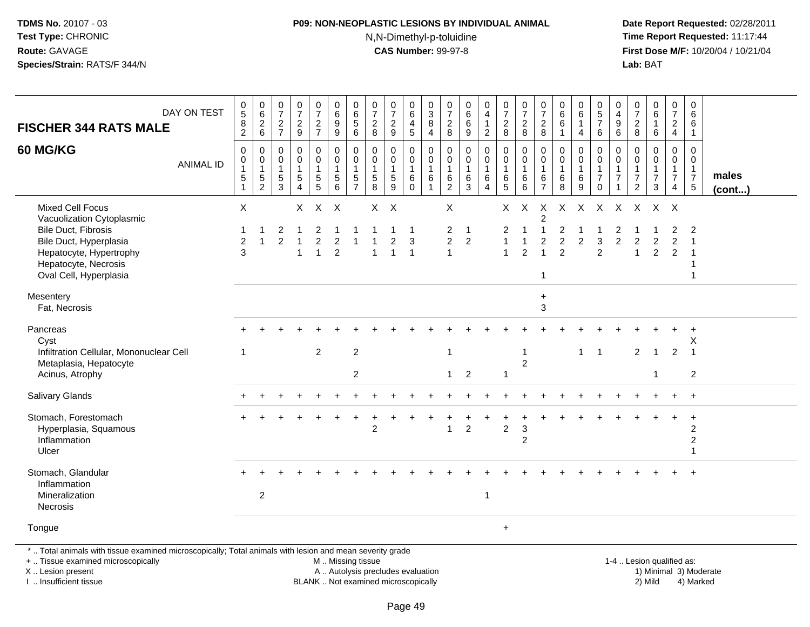### **P09: NON-NEOPLASTIC LESIONS BY INDIVIDUAL ANIMAL**N,N-Dimethyl-p-toluidine

 **Date Report Requested:** 02/28/2011 **Time Report Requested:** 11:17:44 **First Dose M/F:** 10/20/04 / 10/21/04<br>**Lab:** BAT **Lab:** BAT

| DAY ON TEST<br><b>FISCHER 344 RATS MALE</b>                                                                                                                                        | $\begin{array}{c} 0 \\ 5 \end{array}$<br>$\frac{8}{2}$ | 0626                                                          | $\frac{0}{7}$<br>$\sqrt{2}$<br>$\overline{7}$       | $\frac{0}{7}$<br>$\sqrt{2}$<br>9                                               | $\frac{0}{7}$<br>$\sqrt{2}$<br>$\overline{7}$       | $\begin{array}{c} 0 \\ 6 \end{array}$<br>$\boldsymbol{9}$<br>9 | $\begin{matrix} 0 \\ 6 \\ 5 \end{matrix}$<br>6                    | $\frac{0}{7}$<br>$\overline{2}$<br>8                            | $\begin{array}{c} 0 \\ 7 \end{array}$<br>$\overline{c}$<br>9  | 0<br>$\,6\,$<br>$\overline{4}$<br>$\sqrt{5}$               | $\pmb{0}$<br>$\ensuremath{\mathsf{3}}$<br>8<br>$\overline{a}$           | 0<br>$\overline{7}$<br>$\boldsymbol{2}$<br>8            | 0<br>$\,6\,$<br>6<br>9               | $_4^{\rm 0}$<br>1<br>$\boldsymbol{2}$                              | $\begin{smallmatrix}0\\7\end{smallmatrix}$<br>$\sqrt{2}$<br>$\bf 8$  | $\frac{0}{7}$<br>$\overline{c}$<br>8           | $\pmb{0}$<br>$\overline{7}$<br>$\boldsymbol{2}$<br>8                    | $\pmb{0}$<br>$\,6\,$<br>$\,6$<br>$\mathbf{1}$                      | $_6^0$<br>1<br>4                          | $\begin{array}{c} 0 \\ 5 \\ 7 \end{array}$<br>6        | 0<br>$\overline{4}$<br>$\boldsymbol{9}$<br>$\,6\,$ | $\frac{0}{7}$<br>$\sqrt{2}$<br>8                                               | $\begin{array}{c} 0 \\ 6 \end{array}$<br>$\mathbf{1}$<br>$\,6\,$  | $\mathbf 0$<br>$\overline{7}$<br>$\sqrt{2}$<br>$\overline{4}$ | $\pmb{0}$<br>6<br>6<br>$\mathbf{1}$                            |                       |
|------------------------------------------------------------------------------------------------------------------------------------------------------------------------------------|--------------------------------------------------------|---------------------------------------------------------------|-----------------------------------------------------|--------------------------------------------------------------------------------|-----------------------------------------------------|----------------------------------------------------------------|-------------------------------------------------------------------|-----------------------------------------------------------------|---------------------------------------------------------------|------------------------------------------------------------|-------------------------------------------------------------------------|---------------------------------------------------------|--------------------------------------|--------------------------------------------------------------------|----------------------------------------------------------------------|------------------------------------------------|-------------------------------------------------------------------------|--------------------------------------------------------------------|-------------------------------------------|--------------------------------------------------------|----------------------------------------------------|--------------------------------------------------------------------------------|-------------------------------------------------------------------|---------------------------------------------------------------|----------------------------------------------------------------|-----------------------|
| 60 MG/KG<br><b>ANIMAL ID</b>                                                                                                                                                       | 0<br>0<br>1<br>$\,$ 5 $\,$                             | $\mathbf 0$<br>$\mathbf 0$<br>$\overline{1}$<br>$\frac{5}{2}$ | 0<br>$\mathbf 0$<br>$\mathbf{1}$<br>$\sqrt{5}$<br>3 | $\mathbf 0$<br>$\mathbf 0$<br>$\mathbf{1}$<br>$\overline{5}$<br>$\overline{4}$ | 0<br>$\mathbf{0}$<br>1<br>$\sqrt{5}$<br>5           | 0<br>$\mathbf 0$<br>$\mathbf{1}$<br>$5\,$<br>6                 | 0<br>$\mathbf 0$<br>$\mathbf{1}$<br>$\,$ 5 $\,$<br>$\overline{7}$ | $\mathbf 0$<br>$\mathbf 0$<br>$\overline{1}$<br>$\sqrt{5}$<br>8 | $\mathbf 0$<br>$\mathbf 0$<br>$\mathbf{1}$<br>$\sqrt{5}$<br>9 | 0<br>$\mathbf 0$<br>$\mathbf{1}$<br>$\,6\,$<br>$\mathbf 0$ | $\mathbf 0$<br>$\mathbf 0$<br>$\mathbf{1}$<br>$\,6\,$<br>$\overline{1}$ | 0<br>$\mathbf 0$<br>-1<br>6<br>$\overline{2}$           | 0<br>$\mathbf 0$<br>-1<br>$\,6$<br>3 | $\pmb{0}$<br>$\mathbf 0$<br>1<br>$\,6\,$<br>$\boldsymbol{\Lambda}$ | $\mathbf 0$<br>$\mathbf{0}$<br>$\overline{1}$<br>$\,6$<br>$\sqrt{5}$ | 0<br>$\mathbf 0$<br>$\mathbf{1}$<br>$\,6$<br>6 | $\mathbf 0$<br>$\mathbf 0$<br>$\mathbf{1}$<br>$\,6\,$<br>$\overline{7}$ | $\mathbf 0$<br>$\mathbf 0$<br>1<br>6<br>8                          | 0<br>$\mathbf 0$<br>$\mathbf 1$<br>6<br>9 | 0<br>0<br>$\mathbf{1}$<br>$\boldsymbol{7}$<br>$\Omega$ | 0<br>$\mathbf 0$<br>$\mathbf{1}$<br>$\overline{7}$ | $\mathbf 0$<br>$\mathbf 0$<br>$\mathbf{1}$<br>$\overline{7}$<br>$\overline{2}$ | $\mathbf 0$<br>$\mathbf 0$<br>$\mathbf{1}$<br>$\overline{7}$<br>3 | 0<br>$\mathbf{0}$<br>$\mathbf{1}$<br>$\overline{7}$<br>4      | 0<br>$\mathbf 0$<br>$\begin{array}{c} 1 \\ 7 \\ 5 \end{array}$ | males<br>$($ cont $)$ |
| <b>Mixed Cell Focus</b><br>Vacuolization Cytoplasmic<br>Bile Duct, Fibrosis<br>Bile Duct, Hyperplasia<br>Hepatocyte, Hypertrophy<br>Hepatocyte, Necrosis<br>Oval Cell, Hyperplasia | X<br>$\overline{2}$<br>3                               | $\overline{\mathbf{1}}$                                       | 2<br>$\overline{2}$                                 | $\mathsf{X}$<br>-1                                                             | $\mathsf{X}$<br>2<br>$\overline{2}$<br>$\mathbf{1}$ | $\mathsf{X}$<br>2<br>$\overline{2}$                            |                                                                   | $X$ $X$<br>$\mathbf{1}$                                         | 2<br>$\overline{1}$                                           | -1<br>3<br>$\overline{1}$                                  |                                                                         | X<br>$\overline{c}$<br>$\overline{2}$<br>$\overline{1}$ | $\mathbf{1}$<br>$\overline{2}$       |                                                                    | $\mathsf{X}^-$<br>2<br>$\mathbf{1}$<br>$\mathbf{1}$                  | $\sf X$<br>-1<br>1<br>2                        | $\boldsymbol{\mathsf{X}}$<br>1<br>$\overline{c}$<br>$\mathbf{1}$<br>1   | $\mathsf{X}$<br>$\overline{c}$<br>$\overline{c}$<br>$\overline{2}$ | $\mathsf{X}$<br>$\overline{c}$            | $\mathsf{X}$<br>3<br>2                                 | $\mathsf{X}$<br>2<br>$\overline{c}$                | $\mathsf{X}$<br>2<br>1                                                         | $X$ X<br>$\overline{c}$<br>2                                      | 2<br>$\overline{2}$<br>$\overline{2}$                         | 2<br>-1                                                        |                       |
| Mesentery<br>Fat, Necrosis                                                                                                                                                         |                                                        |                                                               |                                                     |                                                                                |                                                     |                                                                |                                                                   |                                                                 |                                                               |                                                            |                                                                         |                                                         |                                      |                                                                    |                                                                      |                                                | $\ddot{}$<br>3                                                          |                                                                    |                                           |                                                        |                                                    |                                                                                |                                                                   |                                                               |                                                                |                       |
| Pancreas<br>Cyst<br>Infiltration Cellular, Mononuclear Cell<br>Metaplasia, Hepatocyte<br>Acinus, Atrophy                                                                           |                                                        |                                                               |                                                     |                                                                                | 2                                                   |                                                                | $\overline{c}$<br>$\overline{2}$                                  |                                                                 |                                                               |                                                            |                                                                         | $\overline{1}$<br>$\mathbf{1}$                          | $\overline{2}$                       |                                                                    | $\mathbf{1}$                                                         | -1<br>$\overline{2}$                           |                                                                         |                                                                    | $\mathbf{1}$                              | $\overline{1}$                                         |                                                    | 2                                                                              | $\overline{1}$<br>$\mathbf{1}$                                    | $\overline{2}$                                                | Х<br>$\overline{1}$<br>$\overline{2}$                          |                       |
| Salivary Glands                                                                                                                                                                    |                                                        |                                                               |                                                     |                                                                                |                                                     |                                                                |                                                                   |                                                                 |                                                               |                                                            |                                                                         |                                                         |                                      |                                                                    |                                                                      |                                                |                                                                         |                                                                    |                                           |                                                        |                                                    |                                                                                |                                                                   |                                                               | $\ddot{}$                                                      |                       |
| Stomach, Forestomach<br>Hyperplasia, Squamous<br>Inflammation<br>Ulcer                                                                                                             |                                                        |                                                               |                                                     |                                                                                |                                                     |                                                                |                                                                   | $\overline{2}$                                                  |                                                               |                                                            |                                                                         | $\mathbf{1}$                                            | $\overline{2}$                       |                                                                    | $\overline{2}$                                                       | $\sqrt{3}$<br>$\overline{c}$                   |                                                                         |                                                                    |                                           |                                                        |                                                    |                                                                                |                                                                   |                                                               | $\overline{c}$<br>$\overline{c}$<br>1                          |                       |
| Stomach, Glandular<br>Inflammation<br>Mineralization<br><b>Necrosis</b>                                                                                                            |                                                        | $\overline{2}$                                                |                                                     |                                                                                |                                                     |                                                                |                                                                   |                                                                 |                                                               |                                                            |                                                                         |                                                         |                                      | $\mathbf{1}$                                                       |                                                                      |                                                |                                                                         |                                                                    |                                           |                                                        |                                                    |                                                                                |                                                                   |                                                               |                                                                |                       |
| Tongue                                                                                                                                                                             |                                                        |                                                               |                                                     |                                                                                |                                                     |                                                                |                                                                   |                                                                 |                                                               |                                                            |                                                                         |                                                         |                                      |                                                                    | $+$                                                                  |                                                |                                                                         |                                                                    |                                           |                                                        |                                                    |                                                                                |                                                                   |                                                               |                                                                |                       |
| *  Total animals with tissue examined microscopically; Total animals with lesion and mean severity grade<br>+  Tissue examined microscopically                                     |                                                        |                                                               |                                                     |                                                                                |                                                     | M  Missing tissue                                              |                                                                   |                                                                 |                                                               |                                                            |                                                                         |                                                         |                                      |                                                                    |                                                                      |                                                |                                                                         |                                                                    |                                           |                                                        |                                                    |                                                                                | 1-4  Lesion qualified as:                                         |                                                               |                                                                |                       |

X .. Lesion present

I .. Insufficient tissue

BLANK .. Not examined microscopically and the state of the 2) Mild

A .. Autolysis precludes evaluation and the service of the service of the service of the service of the service of the service of the service of the service of the service of the service of the service of the service of th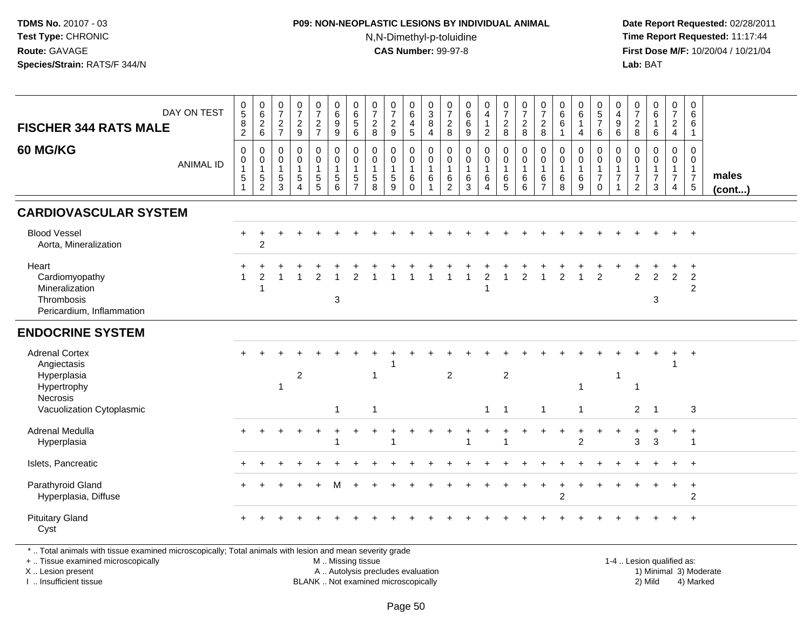### **P09: NON-NEOPLASTIC LESIONS BY INDIVIDUAL ANIMAL**N,N-Dimethyl-p-toluidine

 **Date Report Requested:** 02/28/2011 **Time Report Requested:** 11:17:44 **First Dose M/F:** 10/20/04 / 10/21/04<br>**Lab:** BAT **Lab:** BAT

| <b>FISCHER 344 RATS MALE</b>                                                                                                                   | DAY ON TEST      | $\begin{array}{c} 0 \\ 5 \end{array}$<br>8<br>$\overline{2}$                    | $\begin{array}{c} 0 \\ 6 \end{array}$<br>$\frac{2}{6}$                        | $\begin{smallmatrix}0\\7\end{smallmatrix}$<br>$\frac{2}{7}$         | $\frac{0}{7}$<br>$\frac{2}{9}$   | $\frac{0}{7}$<br>$\frac{2}{7}$                                                    | $\begin{array}{c} 0 \\ 6 \end{array}$<br>$9\,$<br>$9\,$                             | 0<br>$6\phantom{a}$<br>$\sqrt{5}$<br>6                              | $\frac{0}{7}$<br>$\sqrt{2}$<br>8                              | $\frac{0}{7}$<br>$\frac{2}{9}$                         | 0<br>$\overline{6}$<br>4<br>5                                      | $\begin{smallmatrix}0\3\8\end{smallmatrix}$<br>$\overline{4}$ | $\begin{array}{c} 0 \\ 7 \end{array}$<br>$\frac{2}{8}$              | $\begin{array}{c} 0 \\ 6 \end{array}$<br>$\,6\,$<br>9                   | $\begin{smallmatrix}0\0\4\end{smallmatrix}$<br>1<br>$\overline{2}$ | $\frac{0}{7}$<br>$\frac{2}{8}$                              | $\begin{array}{c} 0 \\ 7 \end{array}$<br>$\mathbf 2$<br>8             | $\frac{0}{7}$<br>$\frac{2}{8}$                                            | $\pmb{0}$<br>$\,6$<br>6<br>$\mathbf 1$               | $\begin{array}{c} 0 \\ 6 \end{array}$<br>$\mathbf{1}$<br>4 | $\begin{array}{c} 0 \\ 5 \end{array}$<br>$\overline{7}$<br>6    | 0<br>4<br>9<br>6                                                            | $\frac{0}{7}$<br>$\frac{2}{8}$                                                   | $\begin{array}{c} 0 \\ 6 \end{array}$<br>$\mathbf{1}$<br>$\,6\,$             | $\frac{0}{7}$<br>$\overline{2}$<br>$\overline{4}$          | 0<br>6<br>6<br>$\mathbf{1}$                                                       |                 |
|------------------------------------------------------------------------------------------------------------------------------------------------|------------------|---------------------------------------------------------------------------------|-------------------------------------------------------------------------------|---------------------------------------------------------------------|----------------------------------|-----------------------------------------------------------------------------------|-------------------------------------------------------------------------------------|---------------------------------------------------------------------|---------------------------------------------------------------|--------------------------------------------------------|--------------------------------------------------------------------|---------------------------------------------------------------|---------------------------------------------------------------------|-------------------------------------------------------------------------|--------------------------------------------------------------------|-------------------------------------------------------------|-----------------------------------------------------------------------|---------------------------------------------------------------------------|------------------------------------------------------|------------------------------------------------------------|-----------------------------------------------------------------|-----------------------------------------------------------------------------|----------------------------------------------------------------------------------|------------------------------------------------------------------------------|------------------------------------------------------------|-----------------------------------------------------------------------------------|-----------------|
| <b>60 MG/KG</b>                                                                                                                                | <b>ANIMAL ID</b> | $\boldsymbol{0}$<br>$\mathbf 0$<br>$\mathbf{1}$<br>$\sqrt{5}$<br>$\overline{1}$ | $\mathbf 0$<br>$\mathbf 0$<br>$\overline{1}$<br>$\mathbf 5$<br>$\overline{2}$ | $\mathbf 0$<br>$\mathbf 0$<br>$\mathbf{1}$<br>$5\,$<br>$\mathbf{3}$ | 0<br>0<br>$\mathbf{1}$<br>5<br>4 | $\pmb{0}$<br>$\mathbf 0$<br>$\mathbf{1}$<br>$\begin{array}{c} 5 \\ 5 \end{array}$ | $\mathbf 0$<br>$\pmb{0}$<br>$\overline{1}$<br>$\begin{array}{c} 5 \\ 6 \end{array}$ | $\mathbf 0$<br>$\mathbf 0$<br>$\overline{1}$<br>5<br>$\overline{7}$ | $\mathbf 0$<br>$\mathbf 0$<br>$\mathbf{1}$<br>$\sqrt{5}$<br>8 | 0<br>0<br>$\mathbf{1}$<br>$\sqrt{5}$<br>$\overline{9}$ | $\pmb{0}$<br>$\mathbf 0$<br>$\mathbf{1}$<br>$\,6\,$<br>$\mathbf 0$ | 0<br>0<br>$\mathbf{1}$<br>$\,6$                               | $\mathbf 0$<br>$\mathbf 0$<br>$\overline{1}$<br>6<br>$\overline{2}$ | $\mathbf 0$<br>$\mathbf 0$<br>$\mathbf{1}$<br>$\,6\,$<br>$\overline{3}$ | 0<br>$\mathbf 0$<br>6<br>4                                         | 0<br>$\pmb{0}$<br>$\mathbf{1}$<br>$\,6\,$<br>$\overline{5}$ | $\mathbf 0$<br>$\pmb{0}$<br>$\mathbf{1}$<br>$\,6\,$<br>$\overline{6}$ | $\mathbf 0$<br>$\mathbf 0$<br>$\overline{1}$<br>$\,6\,$<br>$\overline{7}$ | $\mathbf 0$<br>$\mathbf 0$<br>$\mathbf{1}$<br>6<br>8 | 0<br>0<br>$\mathbf{1}$<br>$\,6\,$<br>$\overline{9}$        | 0<br>$\pmb{0}$<br>$\mathbf{1}$<br>$\overline{7}$<br>$\mathbf 0$ | $\mathbf 0$<br>$\mathbf 0$<br>$\mathbf 1$<br>$\overline{7}$<br>$\mathbf{1}$ | $\mathbf 0$<br>$\mathbf 0$<br>$\mathbf{1}$<br>$\overline{7}$<br>$\boldsymbol{2}$ | $\mathbf 0$<br>$\mathbf 0$<br>$\mathbf{1}$<br>$\overline{7}$<br>$\mathbf{3}$ | 0<br>0<br>$\mathbf{1}$<br>$\overline{7}$<br>$\overline{4}$ | $\mathbf 0$<br>$\mathbf 0$<br>$\overline{1}$<br>$\overline{7}$<br>$5\phantom{.0}$ | males<br>(cont) |
| <b>CARDIOVASCULAR SYSTEM</b>                                                                                                                   |                  |                                                                                 |                                                                               |                                                                     |                                  |                                                                                   |                                                                                     |                                                                     |                                                               |                                                        |                                                                    |                                                               |                                                                     |                                                                         |                                                                    |                                                             |                                                                       |                                                                           |                                                      |                                                            |                                                                 |                                                                             |                                                                                  |                                                                              |                                                            |                                                                                   |                 |
| <b>Blood Vessel</b><br>Aorta, Mineralization                                                                                                   |                  |                                                                                 | $\overline{c}$                                                                |                                                                     |                                  |                                                                                   |                                                                                     |                                                                     |                                                               |                                                        |                                                                    |                                                               |                                                                     |                                                                         |                                                                    |                                                             |                                                                       |                                                                           |                                                      |                                                            |                                                                 |                                                                             |                                                                                  |                                                                              |                                                            |                                                                                   |                 |
| Heart<br>Cardiomyopathy<br>Mineralization<br>Thrombosis<br>Pericardium, Inflammation                                                           |                  |                                                                                 | 2<br>1                                                                        |                                                                     |                                  | 2                                                                                 | 3                                                                                   | 2                                                                   |                                                               |                                                        |                                                                    |                                                               |                                                                     |                                                                         | $\overline{2}$<br>1                                                |                                                             | $\overline{2}$                                                        |                                                                           | 2                                                    |                                                            | $\overline{2}$                                                  |                                                                             | 2                                                                                | 2<br>3                                                                       | $\overline{2}$                                             | $\ddot{}$<br>$\overline{c}$<br>$\overline{c}$                                     |                 |
| <b>ENDOCRINE SYSTEM</b>                                                                                                                        |                  |                                                                                 |                                                                               |                                                                     |                                  |                                                                                   |                                                                                     |                                                                     |                                                               |                                                        |                                                                    |                                                               |                                                                     |                                                                         |                                                                    |                                                             |                                                                       |                                                                           |                                                      |                                                            |                                                                 |                                                                             |                                                                                  |                                                                              |                                                            |                                                                                   |                 |
| <b>Adrenal Cortex</b><br>Angiectasis<br>Hyperplasia<br>Hypertrophy<br><b>Necrosis</b>                                                          |                  |                                                                                 |                                                                               | 1                                                                   | $\boldsymbol{2}$                 |                                                                                   |                                                                                     |                                                                     | 1                                                             |                                                        |                                                                    |                                                               | $\overline{2}$                                                      |                                                                         |                                                                    | $\overline{c}$                                              |                                                                       |                                                                           |                                                      | 1                                                          |                                                                 | $\mathbf{1}$                                                                | $\mathbf 1$                                                                      |                                                                              |                                                            | $\ddot{}$                                                                         |                 |
| Vacuolization Cytoplasmic                                                                                                                      |                  |                                                                                 |                                                                               |                                                                     |                                  |                                                                                   | $\overline{1}$                                                                      |                                                                     | 1                                                             |                                                        |                                                                    |                                                               |                                                                     |                                                                         | $\mathbf{1}$                                                       | $\overline{1}$                                              |                                                                       | $\overline{1}$                                                            |                                                      | $\mathbf{1}$                                               |                                                                 |                                                                             | $\overline{2}$                                                                   | $\overline{\mathbf{1}}$                                                      |                                                            | 3                                                                                 |                 |
| Adrenal Medulla<br>Hyperplasia                                                                                                                 |                  |                                                                                 |                                                                               |                                                                     | $\div$                           | $\ddot{}$                                                                         |                                                                                     |                                                                     |                                                               |                                                        |                                                                    |                                                               |                                                                     |                                                                         |                                                                    |                                                             |                                                                       |                                                                           |                                                      | $\ddot{}$<br>$\mathfrak{p}$                                |                                                                 | $\ddot{}$                                                                   | +<br>3                                                                           | 3                                                                            | $\ddot{}$                                                  | $\ddot{}$<br>1                                                                    |                 |
| Islets, Pancreatic                                                                                                                             |                  |                                                                                 |                                                                               |                                                                     |                                  |                                                                                   |                                                                                     |                                                                     |                                                               |                                                        |                                                                    |                                                               |                                                                     |                                                                         |                                                                    |                                                             |                                                                       |                                                                           |                                                      |                                                            |                                                                 |                                                                             |                                                                                  |                                                                              |                                                            | $+$                                                                               |                 |
| Parathyroid Gland<br>Hyperplasia, Diffuse                                                                                                      |                  |                                                                                 |                                                                               |                                                                     |                                  |                                                                                   |                                                                                     |                                                                     |                                                               |                                                        |                                                                    |                                                               |                                                                     |                                                                         |                                                                    |                                                             |                                                                       |                                                                           | $\overline{c}$                                       |                                                            |                                                                 |                                                                             |                                                                                  |                                                                              | $\ddot{}$                                                  | $+$<br>$\overline{c}$                                                             |                 |
| <b>Pituitary Gland</b><br>Cyst                                                                                                                 |                  |                                                                                 |                                                                               |                                                                     |                                  |                                                                                   |                                                                                     |                                                                     |                                                               |                                                        |                                                                    |                                                               |                                                                     |                                                                         |                                                                    |                                                             |                                                                       |                                                                           |                                                      |                                                            |                                                                 |                                                                             |                                                                                  |                                                                              |                                                            | $^{+}$                                                                            |                 |
| *  Total animals with tissue examined microscopically; Total animals with lesion and mean severity grade<br>+  Tissue examined microscopically |                  |                                                                                 |                                                                               |                                                                     |                                  |                                                                                   | M  Missing tissue                                                                   |                                                                     |                                                               |                                                        |                                                                    |                                                               |                                                                     |                                                                         |                                                                    |                                                             |                                                                       |                                                                           |                                                      |                                                            |                                                                 |                                                                             |                                                                                  | 1-4  Lesion qualified as:                                                    |                                                            |                                                                                   |                 |

X .. Lesion present

I .. Insufficient tissue

BLANK .. Not examined microscopically and the state of the 2) Mild

A .. Autolysis precludes evaluation and the service of the service of the service of the service of the service of the service of the service of the service of the service of the service of the service of the service of th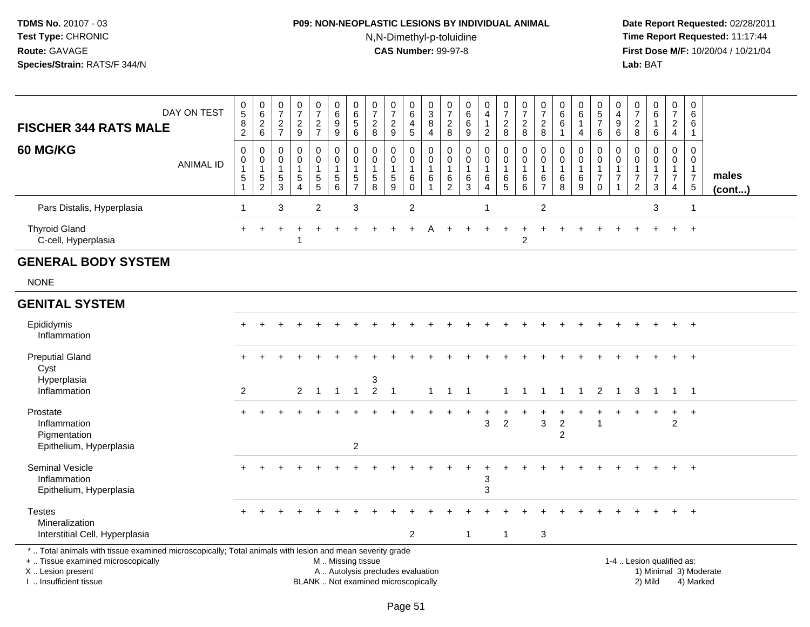### **P09: NON-NEOPLASTIC LESIONS BY INDIVIDUAL ANIMAL**N,N-Dimethyl-p-toluidine

 **Date Report Requested:** 02/28/2011 **Time Report Requested:** 11:17:44 **First Dose M/F:** 10/20/04 / 10/21/04<br>**Lab:** BAT **Lab:** BAT

| <b>FISCHER 344 RATS MALE</b>                                                                                                                                                                  | DAY ON TEST      | $\begin{array}{c} 0 \\ 5 \end{array}$<br>$\overline{8}$<br>$\overline{c}$ | $\begin{array}{c} 0 \\ 6 \end{array}$<br>$\frac{2}{6}$           | 0<br>$\overline{7}$<br>$\overline{2}$<br>$\overline{7}$     | 0<br>$\overline{7}$<br>$\overline{c}$<br>$\boldsymbol{9}$         | 0<br>7<br>$\frac{2}{7}$                  | 0<br>6<br>9<br>$\boldsymbol{9}$           | $\pmb{0}$<br>$\begin{array}{c} 6 \\ 5 \end{array}$<br>$\,6$                   | 0<br>$\overline{7}$<br>$\overline{c}$<br>8                               | $\pmb{0}$<br>$\overline{7}$<br>$\overline{c}$<br>9 | 0<br>6<br>4<br>$\sqrt{5}$                                | 0<br>$\sqrt{3}$<br>8<br>4                                           | 0<br>$\overline{7}$<br>$\overline{c}$<br>8 | 0<br>6<br>6<br>$\boldsymbol{9}$         | 0<br>$\overline{4}$<br>1<br>$\overline{2}$             | 0<br>$\overline{7}$<br>$\frac{2}{8}$    | $\boldsymbol{0}$<br>$\overline{7}$<br>$\overline{c}$<br>8 | 0<br>$\overline{7}$<br>$\overline{2}$<br>8                             | 0<br>6<br>6<br>-1                                       | 0<br>6<br>$\mathbf{1}$<br>4 | 0<br>$\sqrt{5}$<br>$\overline{7}$<br>6                         | 0<br>$\overline{4}$<br>9<br>$\,6$                              | 0<br>$\overline{7}$<br>$\overline{c}$<br>$\bf 8$     | $\pmb{0}$<br>$\,6\,$<br>$\mathbf{1}$<br>6                      | 0<br>$\overline{7}$<br>$\overline{2}$<br>$\overline{4}$                        | 0<br>6<br>6<br>1                                                                |                        |
|-----------------------------------------------------------------------------------------------------------------------------------------------------------------------------------------------|------------------|---------------------------------------------------------------------------|------------------------------------------------------------------|-------------------------------------------------------------|-------------------------------------------------------------------|------------------------------------------|-------------------------------------------|-------------------------------------------------------------------------------|--------------------------------------------------------------------------|----------------------------------------------------|----------------------------------------------------------|---------------------------------------------------------------------|--------------------------------------------|-----------------------------------------|--------------------------------------------------------|-----------------------------------------|-----------------------------------------------------------|------------------------------------------------------------------------|---------------------------------------------------------|-----------------------------|----------------------------------------------------------------|----------------------------------------------------------------|------------------------------------------------------|----------------------------------------------------------------|--------------------------------------------------------------------------------|---------------------------------------------------------------------------------|------------------------|
| <b>60 MG/KG</b>                                                                                                                                                                               | <b>ANIMAL ID</b> | 0<br>$\mathbf 0$<br>1<br>$\sqrt{5}$                                       | $\mathbf 0$<br>$\boldsymbol{0}$<br>$\mathbf{1}$<br>$\frac{5}{2}$ | $\mathbf 0$<br>$\Omega$<br>$\mathbf{1}$<br>$\,$ 5 $\,$<br>3 | $\Omega$<br>$\Omega$<br>1<br>$\sqrt{5}$<br>$\boldsymbol{\Lambda}$ | 0<br>$\mathbf 0$<br>1<br>$\sqrt{5}$<br>5 | 0<br>$\mathbf 0$<br>-1<br>$\sqrt{5}$<br>6 | $\mathbf 0$<br>$\mathbf 0$<br>$\overline{1}$<br>$\,$ 5 $\,$<br>$\overline{7}$ | $\mathbf 0$<br>$\Omega$<br>-1<br>$\sqrt{5}$<br>8                         | 0<br>$\Omega$<br>$\mathbf{1}$<br>$\sqrt{5}$<br>9   | 0<br>$\mathbf 0$<br>$\mathbf{1}$<br>$\,6$<br>$\mathbf 0$ | $\mathbf 0$<br>$\Omega$<br>$\overline{1}$<br>$\,6\,$<br>$\mathbf 1$ | $\mathbf 0$<br>$\Omega$<br>1<br>6<br>2     | $\mathbf 0$<br>$\Omega$<br>-1<br>6<br>3 | $\mathbf 0$<br>$\mathbf 0$<br>1<br>6<br>$\overline{4}$ | 0<br>$\Omega$<br>$\mathbf{1}$<br>6<br>5 | 0<br>$\mathbf 0$<br>$\overline{1}$<br>$\,6$<br>6          | $\mathbf 0$<br>$\mathbf{0}$<br>$\mathbf{1}$<br>$\,6$<br>$\overline{7}$ | $\mathbf 0$<br>$\Omega$<br>$\mathbf{1}$<br>$\,6\,$<br>8 | 0<br>$\Omega$<br>$\,6$<br>9 | 0<br>$\Omega$<br>$\mathbf{1}$<br>$\overline{7}$<br>$\mathbf 0$ | $\mathbf 0$<br>$\Omega$<br>$\mathbf 1$<br>$\overline{7}$<br>-1 | $\mathbf 0$<br>$\Omega$<br>-1<br>$\overline{7}$<br>2 | $\mathbf 0$<br>$\Omega$<br>$\mathbf{1}$<br>$\overline{7}$<br>3 | $\mathbf 0$<br>$\mathbf 0$<br>$\mathbf{1}$<br>$\overline{7}$<br>$\overline{4}$ | $\mathbf 0$<br>$\mathbf 0$<br>$\mathbf{1}$<br>$\overline{7}$<br>$5\phantom{.0}$ | males<br>(cont)        |
| Pars Distalis, Hyperplasia                                                                                                                                                                    |                  | 1                                                                         |                                                                  | 3                                                           |                                                                   | $\overline{2}$                           |                                           | 3                                                                             |                                                                          |                                                    | $\overline{c}$                                           |                                                                     |                                            |                                         | -1                                                     |                                         |                                                           | $\boldsymbol{2}$                                                       |                                                         |                             |                                                                |                                                                |                                                      | 3                                                              |                                                                                | -1                                                                              |                        |
| <b>Thyroid Gland</b><br>C-cell, Hyperplasia                                                                                                                                                   |                  |                                                                           |                                                                  |                                                             | -1                                                                |                                          |                                           |                                                                               |                                                                          |                                                    |                                                          |                                                                     |                                            |                                         |                                                        |                                         | $\overline{c}$                                            |                                                                        |                                                         |                             |                                                                |                                                                |                                                      |                                                                |                                                                                | $\ddot{}$                                                                       |                        |
| <b>GENERAL BODY SYSTEM</b>                                                                                                                                                                    |                  |                                                                           |                                                                  |                                                             |                                                                   |                                          |                                           |                                                                               |                                                                          |                                                    |                                                          |                                                                     |                                            |                                         |                                                        |                                         |                                                           |                                                                        |                                                         |                             |                                                                |                                                                |                                                      |                                                                |                                                                                |                                                                                 |                        |
| <b>NONE</b>                                                                                                                                                                                   |                  |                                                                           |                                                                  |                                                             |                                                                   |                                          |                                           |                                                                               |                                                                          |                                                    |                                                          |                                                                     |                                            |                                         |                                                        |                                         |                                                           |                                                                        |                                                         |                             |                                                                |                                                                |                                                      |                                                                |                                                                                |                                                                                 |                        |
| <b>GENITAL SYSTEM</b>                                                                                                                                                                         |                  |                                                                           |                                                                  |                                                             |                                                                   |                                          |                                           |                                                                               |                                                                          |                                                    |                                                          |                                                                     |                                            |                                         |                                                        |                                         |                                                           |                                                                        |                                                         |                             |                                                                |                                                                |                                                      |                                                                |                                                                                |                                                                                 |                        |
| Epididymis<br>Inflammation                                                                                                                                                                    |                  |                                                                           |                                                                  |                                                             |                                                                   |                                          |                                           |                                                                               |                                                                          |                                                    |                                                          |                                                                     |                                            |                                         |                                                        |                                         |                                                           |                                                                        |                                                         |                             |                                                                |                                                                |                                                      |                                                                |                                                                                |                                                                                 |                        |
| <b>Preputial Gland</b><br>Cyst                                                                                                                                                                |                  |                                                                           |                                                                  |                                                             |                                                                   |                                          |                                           |                                                                               |                                                                          |                                                    |                                                          |                                                                     |                                            |                                         |                                                        |                                         |                                                           |                                                                        |                                                         |                             |                                                                |                                                                |                                                      |                                                                |                                                                                |                                                                                 |                        |
| Hyperplasia<br>Inflammation                                                                                                                                                                   |                  | $\overline{2}$                                                            |                                                                  |                                                             | $\overline{2}$                                                    | $\overline{1}$                           | $\overline{1}$                            | $\mathbf{1}$                                                                  | 3<br>$\overline{2}$                                                      | $\overline{1}$                                     |                                                          | $\mathbf{1}$                                                        | $1 \quad 1$                                |                                         |                                                        | $\mathbf{1}$                            | 1                                                         |                                                                        | $1 \quad 1$                                             | $\overline{1}$              | $\overline{2}$                                                 | $\mathbf{1}$                                                   | 3                                                    | $\overline{1}$                                                 | $1 \quad 1$                                                                    |                                                                                 |                        |
| Prostate<br>Inflammation<br>Pigmentation<br>Epithelium, Hyperplasia                                                                                                                           |                  | $+$                                                                       |                                                                  |                                                             |                                                                   |                                          |                                           | $\sqrt{2}$                                                                    |                                                                          |                                                    |                                                          |                                                                     |                                            |                                         | 3                                                      | 2                                       |                                                           | 3                                                                      | 2<br>2                                                  |                             | -1                                                             |                                                                |                                                      |                                                                | $\ddot{}$<br>$\overline{2}$                                                    | $+$                                                                             |                        |
| <b>Seminal Vesicle</b><br>Inflammation<br>Epithelium, Hyperplasia                                                                                                                             |                  |                                                                           |                                                                  |                                                             |                                                                   |                                          |                                           |                                                                               |                                                                          |                                                    |                                                          |                                                                     |                                            |                                         | 3<br>3                                                 |                                         |                                                           |                                                                        |                                                         |                             |                                                                |                                                                |                                                      |                                                                |                                                                                |                                                                                 |                        |
| <b>Testes</b><br>Mineralization<br>Interstitial Cell, Hyperplasia                                                                                                                             |                  |                                                                           |                                                                  |                                                             |                                                                   |                                          |                                           |                                                                               |                                                                          |                                                    | $\overline{2}$                                           |                                                                     |                                            | $\mathbf{1}$                            |                                                        | $\overline{1}$                          |                                                           | 3                                                                      |                                                         |                             |                                                                |                                                                |                                                      |                                                                |                                                                                |                                                                                 |                        |
| *  Total animals with tissue examined microscopically; Total animals with lesion and mean severity grade<br>+  Tissue examined microscopically<br>X  Lesion present<br>I  Insufficient tissue |                  |                                                                           |                                                                  |                                                             |                                                                   |                                          | M  Missing tissue                         |                                                                               | A  Autolysis precludes evaluation<br>BLANK  Not examined microscopically |                                                    |                                                          |                                                                     |                                            |                                         |                                                        |                                         |                                                           |                                                                        |                                                         |                             |                                                                |                                                                |                                                      | 1-4  Lesion qualified as:<br>2) Mild                           |                                                                                | 4) Marked                                                                       | 1) Minimal 3) Moderate |

I .. Insufficient tissue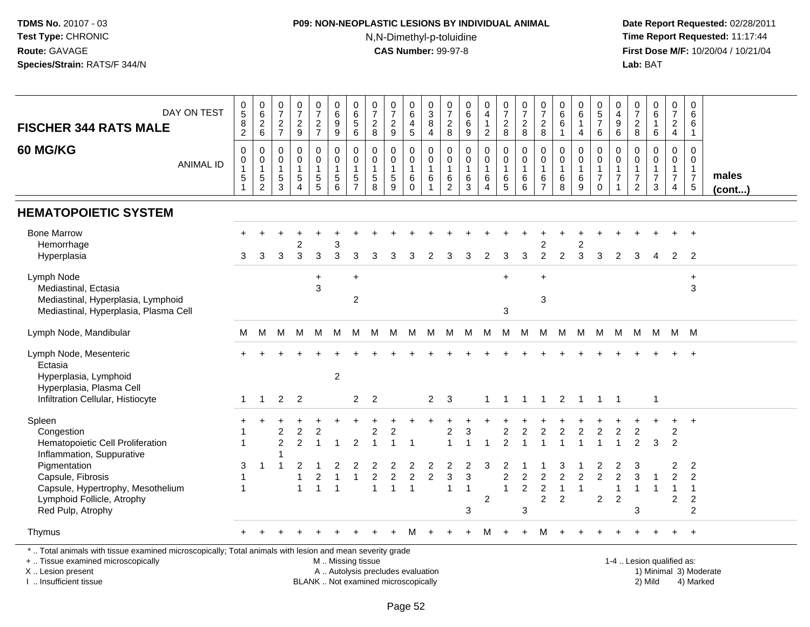### **P09: NON-NEOPLASTIC LESIONS BY INDIVIDUAL ANIMAL**N,N-Dimethyl-p-toluidine

 **Date Report Requested:** 02/28/2011 **Time Report Requested:** 11:17:44 **First Dose M/F:** 10/20/04 / 10/21/04<br>**Lab:** BAT **Lab:** BAT

| DAY ON TEST<br><b>FISCHER 344 RATS MALE</b>                                                                                                                     | $\begin{matrix} 0 \\ 5 \end{matrix}$<br>$\frac{8}{2}$ | $_{6}^{\rm 0}$<br>$\frac{2}{6}$                        | 0<br>$\overline{7}$<br>$\sqrt{2}$<br>$\overline{7}$     | $\frac{0}{7}$<br>$\frac{2}{9}$                                                      | 0<br>$\overline{7}$<br>$\frac{2}{7}$                  | 0<br>$\,6\,$<br>9<br>$\boldsymbol{9}$    | 0<br>$\frac{6}{5}$<br>$\,6\,$                                  | $\frac{0}{7}$<br>$\overline{c}$<br>8                | $\frac{0}{7}$<br>$\sqrt{2}$<br>$9\,$         | 0<br>$\,6\,$<br>4<br>$\,$ 5 $\,$                                     | 0<br>$\ensuremath{\mathsf{3}}$<br>$\bf 8$<br>$\overline{4}$ | 0<br>$\overline{7}$<br>$\boldsymbol{2}$<br>$\bf 8$                         | $\pmb{0}$<br>6<br>$\,6\,$<br>9                       | 0<br>$\overline{4}$<br>$\mathbf{1}$<br>$\overline{a}$ | $\begin{smallmatrix}0\\7\end{smallmatrix}$<br>$\sqrt{2}$<br>8      | $\frac{0}{7}$<br>$\sqrt{2}$<br>$\bf8$                                      | $\frac{0}{7}$<br>$\overline{2}$<br>8                      | 0<br>$\,6\,$<br>$\,6\,$<br>$\mathbf{1}$          | 0<br>$\,6\,$<br>1<br>4                         | $\begin{array}{c} 0 \\ 5 \\ 7 \end{array}$<br>6           | 0<br>$\overline{4}$<br>$\boldsymbol{9}$<br>6            | 0<br>$\boldsymbol{7}$<br>$\sqrt{2}$<br>8                            | $\begin{array}{c} 0 \\ 6 \end{array}$<br>$\mathbf{1}$<br>$\,6\,$  | 0<br>$\overline{7}$<br>$\overline{2}$<br>$\overline{4}$                              | $\pmb{0}$<br>$\,6\,$<br>6<br>$\mathbf{1}$                                     |                       |
|-----------------------------------------------------------------------------------------------------------------------------------------------------------------|-------------------------------------------------------|--------------------------------------------------------|---------------------------------------------------------|-------------------------------------------------------------------------------------|-------------------------------------------------------|------------------------------------------|----------------------------------------------------------------|-----------------------------------------------------|----------------------------------------------|----------------------------------------------------------------------|-------------------------------------------------------------|----------------------------------------------------------------------------|------------------------------------------------------|-------------------------------------------------------|--------------------------------------------------------------------|----------------------------------------------------------------------------|-----------------------------------------------------------|--------------------------------------------------|------------------------------------------------|-----------------------------------------------------------|---------------------------------------------------------|---------------------------------------------------------------------|-------------------------------------------------------------------|--------------------------------------------------------------------------------------|-------------------------------------------------------------------------------|-----------------------|
| 60 MG/KG<br><b>ANIMAL ID</b>                                                                                                                                    | $\pmb{0}$<br>0<br>$\mathbf{1}$<br>5                   | 0<br>0<br>$\mathbf 1$<br>$\,$ 5 $\,$<br>$\overline{c}$ | 0<br>$\mathbf 0$<br>$\mathbf{1}$<br>$\overline{5}$<br>3 | $\mathbf 0$<br>$\mathbf 0$<br>$\mathbf{1}$<br>$\,$ 5 $\,$<br>$\boldsymbol{\Lambda}$ | 0<br>$\mathbf{0}$<br>$\mathbf{1}$<br>$\,$ 5 $\,$<br>5 | 0<br>$\mathbf 0$<br>1<br>$\sqrt{5}$<br>6 | $\pmb{0}$<br>0<br>$\mathbf{1}$<br>$\sqrt{5}$<br>$\overline{7}$ | 0<br>$\mathbf 0$<br>$\mathbf{1}$<br>$\sqrt{5}$<br>8 | 0<br>$\mathbf 0$<br>$\sqrt{5}$<br>9          | $\mathbf 0$<br>$\mathbf 0$<br>$\mathbf{1}$<br>$\,6\,$<br>$\mathbf 0$ | 0<br>$\mathbf 0$<br>$\overline{1}$<br>6<br>$\overline{1}$   | $\mathbf 0$<br>$\overline{0}$<br>$\mathbf{1}$<br>$\,6\,$<br>$\overline{2}$ | $\mathbf 0$<br>$\mathbf 0$<br>$\mathbf{1}$<br>6<br>3 | 0<br>$\mathbf 0$<br>$\mathbf{1}$<br>6<br>4            | 0<br>0<br>$\mathbf{1}$<br>$^6$ 5                                   | $\mathbf 0$<br>$\mathbf 0$<br>$\overline{1}$<br>$\,6\,$<br>$6\phantom{1}6$ | 0<br>$\mathbf 0$<br>$\overline{1}$<br>6<br>$\overline{7}$ | 0<br>$\mathbf 0$<br>$\mathbf{1}$<br>$\,6\,$<br>8 | 0<br>$\mathbf{0}$<br>1<br>$\,6$<br>9           | 0<br>0<br>$\mathbf{1}$<br>$\boldsymbol{7}$<br>$\mathbf 0$ | 0<br>$\mathbf 0$<br>$\mathbf{1}$<br>$\overline{7}$<br>1 | 0<br>$\mathbf{0}$<br>$\boldsymbol{7}$<br>$\overline{2}$             | $\mathbf 0$<br>$\mathbf 0$<br>$\mathbf{1}$<br>$\overline{7}$<br>3 | 0<br>$\overline{0}$<br>$\mathbf{1}$<br>$\boldsymbol{7}$<br>4                         | $\mathbf 0$<br>$\overline{0}$<br>$\mathbf{1}$<br>$\overline{7}$<br>$\sqrt{5}$ | males<br>$($ cont $)$ |
| <b>HEMATOPOIETIC SYSTEM</b>                                                                                                                                     |                                                       |                                                        |                                                         |                                                                                     |                                                       |                                          |                                                                |                                                     |                                              |                                                                      |                                                             |                                                                            |                                                      |                                                       |                                                                    |                                                                            |                                                           |                                                  |                                                |                                                           |                                                         |                                                                     |                                                                   |                                                                                      |                                                                               |                       |
| <b>Bone Marrow</b><br>Hemorrhage<br>Hyperplasia                                                                                                                 | 3                                                     | 3                                                      | 3                                                       | 2<br>3                                                                              | 3                                                     | 3<br>3                                   | 3                                                              | 3                                                   | З                                            | 3                                                                    |                                                             | з                                                                          | 3                                                    | $\mathcal{P}$                                         | 3                                                                  | 3                                                                          | 2<br>$\overline{2}$                                       | 2                                                | 2<br>3                                         | 3                                                         | 2                                                       | 3                                                                   | $\boldsymbol{\Lambda}$                                            | 2                                                                                    | $\overline{2}$                                                                |                       |
| Lymph Node<br>Mediastinal, Ectasia<br>Mediastinal, Hyperplasia, Lymphoid<br>Mediastinal, Hyperplasia, Plasma Cell                                               |                                                       |                                                        |                                                         |                                                                                     | $\ddot{}$<br>3                                        |                                          | $\ddot{}$<br>$\overline{c}$                                    |                                                     |                                              |                                                                      |                                                             |                                                                            |                                                      |                                                       | $+$<br>3                                                           |                                                                            | $\ddot{}$<br>3                                            |                                                  |                                                |                                                           |                                                         |                                                                     |                                                                   |                                                                                      | $\ddot{}$<br>3                                                                |                       |
| Lymph Node, Mandibular                                                                                                                                          | м                                                     | M                                                      | М                                                       | м                                                                                   | м                                                     | М                                        | M                                                              | М                                                   | м                                            | M                                                                    | M                                                           | M                                                                          | М                                                    | M                                                     | M                                                                  | M                                                                          | M                                                         | M                                                | M                                              | M                                                         | M                                                       | M                                                                   | M                                                                 | M M                                                                                  |                                                                               |                       |
| Lymph Node, Mesenteric<br>Ectasia<br>Hyperplasia, Lymphoid<br>Hyperplasia, Plasma Cell<br>Infiltration Cellular, Histiocyte                                     | 1                                                     | $\mathbf{1}$                                           | $\overline{2}$                                          | $\overline{2}$                                                                      |                                                       | $\overline{2}$                           | $\overline{2}$                                                 | $\overline{2}$                                      |                                              |                                                                      | $\overline{2}$                                              | 3                                                                          |                                                      | $\mathbf{1}$                                          | $\mathbf{1}$                                                       | $\overline{1}$                                                             | $\overline{1}$                                            | $\overline{2}$                                   | $\overline{1}$                                 | $\overline{1}$                                            | $\overline{1}$                                          |                                                                     | $\mathbf 1$                                                       |                                                                                      |                                                                               |                       |
| Spleen<br>Congestion<br>Hematopoietic Cell Proliferation<br>Inflammation, Suppurative<br>Pigmentation<br>Capsule, Fibrosis<br>Capsule, Hypertrophy, Mesothelium | 3                                                     |                                                        | 2<br>$\overline{2}$                                     | $\overline{c}$<br>$\overline{2}$<br>$\overline{1}$                                  | $\overline{c}$<br>$\overline{1}$<br>2<br>$\mathbf{1}$ | $\overline{1}$                           | $\overline{2}$<br>$\mathbf{1}$                                 | 2<br>$\overline{c}$<br>$\mathbf{1}$                 | $\overline{c}$<br>$\sqrt{2}$<br>$\mathbf{1}$ | 2<br>$\sqrt{2}$<br>$\overline{1}$                                    | 2<br>$\overline{c}$                                         | 2<br>2<br>$\ensuremath{\mathsf{3}}$<br>$\mathbf{1}$                        | 3<br>3<br>$\mathbf{1}$                               | 3                                                     | $\overline{c}$<br>$\overline{2}$<br>$\overline{c}$<br>$\mathbf{1}$ | $\overline{c}$<br>$\boldsymbol{2}$<br>$\overline{a}$                       | 2<br>$\sqrt{2}$<br>$\mathbf 2$<br>$\overline{c}$          | $\overline{c}$<br>$\overline{c}$<br>$\mathbf{1}$ | $\boldsymbol{2}$<br>$\sqrt{2}$<br>$\mathbf{1}$ | $\overline{c}$<br>2<br>$\overline{c}$                     | $\boldsymbol{2}$<br>2<br>$\sqrt{2}$<br>$\mathbf{1}$     | $\overline{\mathbf{c}}$<br>$\overline{2}$<br>3<br>3<br>$\mathbf{1}$ | 3<br>$\mathbf 1$<br>$\overline{1}$                                | $\ddot{}$<br>$\overline{c}$<br>$\overline{2}$<br>2<br>$\overline{2}$<br>$\mathbf{1}$ | $\ddot{+}$<br>2<br>2<br>$\mathbf{1}$                                          |                       |
| Lymphoid Follicle, Atrophy<br>Red Pulp, Atrophy                                                                                                                 |                                                       |                                                        |                                                         |                                                                                     |                                                       |                                          |                                                                |                                                     |                                              |                                                                      |                                                             |                                                                            | 3                                                    | $\overline{c}$                                        |                                                                    | $\sqrt{3}$                                                                 |                                                           | $\overline{2}$                                   |                                                | $\overline{c}$                                            | $\overline{c}$                                          | 3                                                                   |                                                                   | $\overline{2}$                                                                       | $\overline{c}$<br>$\overline{c}$                                              |                       |
| Thymus                                                                                                                                                          |                                                       |                                                        |                                                         |                                                                                     |                                                       |                                          |                                                                |                                                     |                                              |                                                                      |                                                             |                                                                            |                                                      | м                                                     |                                                                    |                                                                            |                                                           |                                                  |                                                |                                                           |                                                         |                                                                     |                                                                   |                                                                                      | $\overline{+}$                                                                |                       |
| *  Total animals with tissue examined microscopically; Total animals with lesion and mean severity grade<br>+  Tissue examined microscopically                  |                                                       |                                                        |                                                         |                                                                                     |                                                       | M  Missing tissue                        |                                                                |                                                     |                                              |                                                                      |                                                             |                                                                            |                                                      |                                                       |                                                                    |                                                                            |                                                           |                                                  |                                                |                                                           |                                                         |                                                                     | 1-4  Lesion qualified as:                                         |                                                                                      |                                                                               |                       |

X .. Lesion present

I .. Insufficient tissue

BLANK .. Not examined microscopically

A .. Autolysis precludes evaluation and the series of the series of the series of the series of the series of the series of the series of the series of the series of the series of the series of the series of the series of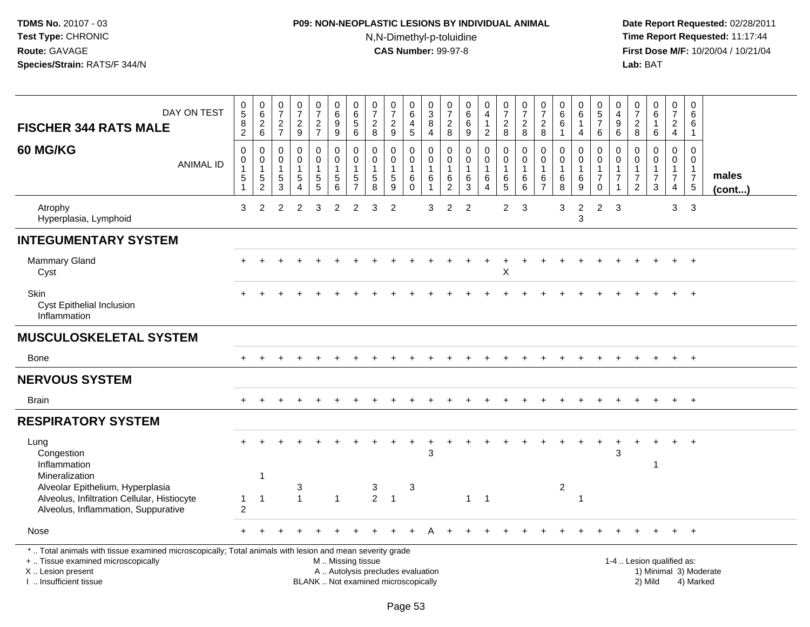### **P09: NON-NEOPLASTIC LESIONS BY INDIVIDUAL ANIMAL**N,N-Dimethyl-p-toluidine

 **Date Report Requested:** 02/28/2011 **Time Report Requested:** 11:17:44 **First Dose M/F:** 10/20/04 / 10/21/04<br>**Lab:** BAT **Lab:** BAT

| DAY ON TEST<br><b>FISCHER 344 RATS MALE</b>                                                                                                                                                   | $\begin{array}{c} 0 \\ 5 \end{array}$<br>$\frac{8}{2}$                             | $\begin{array}{c} 0 \\ 6 \end{array}$<br>$\frac{2}{6}$                   | $\begin{array}{c} 0 \\ 7 \end{array}$<br>$\frac{2}{7}$        | $\frac{0}{7}$<br>$\frac{2}{9}$ | $\frac{0}{7}$<br>$\frac{2}{7}$                          | $\begin{array}{c} 0 \\ 6 \end{array}$<br>$\overline{9}$<br>9   | $\pmb{0}$<br>6<br>$\overline{5}$ 6                                | $\frac{0}{7}$<br>$\frac{2}{8}$                                           | $\frac{0}{7}$<br>$\frac{2}{9}$                    | $\mathbf 0$<br>$6\overline{6}$<br>$\overline{4}$<br>$\sqrt{5}$ | $_{3}^{\rm 0}$<br>$\bf 8$<br>$\overline{4}$                     | $\frac{0}{7}$<br>$_{\rm 8}^2$                           | $\begin{matrix} 0 \\ 6 \\ 6 \end{matrix}$<br>$\boldsymbol{9}$ | $\begin{smallmatrix}0\0\4\end{smallmatrix}$<br>$\mathbf{1}$<br>$\overline{2}$ | $\begin{array}{c} 0 \\ 7 \end{array}$<br>$\sqrt{2}$<br>8 | $\frac{0}{7}$<br>$\frac{2}{8}$                            | $\begin{array}{c} 0 \\ 7 \end{array}$<br>$\sqrt{2}$<br>8                  | $\begin{array}{c} 0 \\ 6 \end{array}$<br>$6\phantom{1}$<br>$\mathbf{1}$ | $\mathbf 0$<br>$\,6\,$<br>$\overline{1}$<br>$\overline{4}$                     | $\begin{array}{c} 0 \\ 5 \end{array}$<br>$\overline{7}$<br>$\,6$ | 0<br>$\frac{4}{9}$<br>6                  | $\frac{0}{7}$<br>$_{\rm 2}^2$                                      | $0\over 6$<br>$\mathbf{1}$<br>6         | $\frac{0}{7}$<br>$\sqrt{2}$<br>$\overline{4}$                                          | 0<br>6<br>6<br>-1                                                           |                        |
|-----------------------------------------------------------------------------------------------------------------------------------------------------------------------------------------------|------------------------------------------------------------------------------------|--------------------------------------------------------------------------|---------------------------------------------------------------|--------------------------------|---------------------------------------------------------|----------------------------------------------------------------|-------------------------------------------------------------------|--------------------------------------------------------------------------|---------------------------------------------------|----------------------------------------------------------------|-----------------------------------------------------------------|---------------------------------------------------------|---------------------------------------------------------------|-------------------------------------------------------------------------------|----------------------------------------------------------|-----------------------------------------------------------|---------------------------------------------------------------------------|-------------------------------------------------------------------------|--------------------------------------------------------------------------------|------------------------------------------------------------------|------------------------------------------|--------------------------------------------------------------------|-----------------------------------------|----------------------------------------------------------------------------------------|-----------------------------------------------------------------------------|------------------------|
| <b>60 MG/KG</b><br><b>ANIMAL ID</b>                                                                                                                                                           | $\boldsymbol{0}$<br>$\boldsymbol{0}$<br>$\mathbf{1}$<br>$\sqrt{5}$<br>$\mathbf{1}$ | $\mathbf 0$<br>$\mathbf 0$<br>$\overline{1}$<br>$\sqrt{5}$<br>$\sqrt{2}$ | $\mathbf 0$<br>$\mathbf 0$<br>$\mathbf{1}$<br>$\sqrt{5}$<br>3 | 0<br>$\mathbf 0$<br>5<br>4     | $\pmb{0}$<br>$\pmb{0}$<br>$\mathbf{1}$<br>$\frac{5}{5}$ | $\mathbf 0$<br>$\mathbf 0$<br>$\mathbf{1}$<br>$\,$ 5 $\,$<br>6 | $\mathbf 0$<br>0<br>$\mathbf{1}$<br>$\,$ 5 $\,$<br>$\overline{7}$ | $\mathbf 0$<br>$\mathbf 0$<br>$\begin{array}{c} 5 \\ 8 \end{array}$      | 0<br>$\mathbf 0$<br>$\mathbf{1}$<br>$\frac{5}{9}$ | $\mathbf 0$<br>$\mathbf 0$<br>$\mathbf{1}$<br>6<br>$\mathbf 0$ | $\mathbf 0$<br>$\mathbf 0$<br>$\mathbf{1}$<br>6<br>$\mathbf{1}$ | 0<br>$\mathbf 0$<br>$\mathbf{1}$<br>6<br>$\overline{2}$ | 0<br>$\mathbf 0$<br>$\mathbf{1}$<br>6<br>3                    | $\mathsf 0$<br>$\mathbf 0$<br>$\mathbf{1}$<br>6<br>$\overline{4}$             | $\mathbf 0$<br>$\pmb{0}$<br>$\overline{1}$<br>$6\over 5$ | $\Omega$<br>$\mathbf 0$<br>$\overline{1}$<br>6<br>$\,6\,$ | $\mathbf 0$<br>$\mathbf 0$<br>$\overline{1}$<br>$\,6\,$<br>$\overline{7}$ | 0<br>$\mathbf 0$<br>$\mathbf{1}$<br>$\,6\,$<br>8                        | $\Omega$<br>$\mathbf 0$<br>$\mathbf{1}$<br>$6\phantom{1}6$<br>$\boldsymbol{9}$ | $\Omega$<br>$\mathbf 0$<br>7<br>$\pmb{0}$                        | 0<br>$\mathbf{0}$<br>7<br>$\overline{1}$ | 0<br>$\pmb{0}$<br>$\mathbf{1}$<br>$\overline{7}$<br>$\overline{2}$ | 0<br>$\mathbf 0$<br>$\overline{7}$<br>3 | $\mathbf 0$<br>$\mathsf{O}\xspace$<br>$\mathbf{1}$<br>$\overline{7}$<br>$\overline{4}$ | $\Omega$<br>$\Omega$<br>$\overline{1}$<br>$\overline{7}$<br>$5\phantom{.0}$ | males<br>$($ cont $)$  |
| Atrophy<br>Hyperplasia, Lymphoid                                                                                                                                                              | 3                                                                                  | $\overline{2}$                                                           | $\mathcal{P}$                                                 | $\overline{2}$                 | 3                                                       | $\overline{2}$                                                 | 2                                                                 | 3                                                                        | $\overline{2}$                                    |                                                                | 3                                                               | 2                                                       | $\overline{2}$                                                |                                                                               | $\overline{2}$                                           | 3                                                         |                                                                           | 3                                                                       | $\overline{c}$<br>3                                                            | 2                                                                | 3                                        |                                                                    |                                         | 3                                                                                      | 3                                                                           |                        |
| <b>INTEGUMENTARY SYSTEM</b>                                                                                                                                                                   |                                                                                    |                                                                          |                                                               |                                |                                                         |                                                                |                                                                   |                                                                          |                                                   |                                                                |                                                                 |                                                         |                                                               |                                                                               |                                                          |                                                           |                                                                           |                                                                         |                                                                                |                                                                  |                                          |                                                                    |                                         |                                                                                        |                                                                             |                        |
| <b>Mammary Gland</b><br>Cyst                                                                                                                                                                  |                                                                                    |                                                                          |                                                               |                                |                                                         |                                                                |                                                                   |                                                                          |                                                   |                                                                |                                                                 |                                                         |                                                               | $\ddot{}$                                                                     | +<br>$\sf X$                                             |                                                           |                                                                           |                                                                         |                                                                                |                                                                  |                                          |                                                                    |                                         |                                                                                        | $^{+}$                                                                      |                        |
| Skin<br>Cyst Epithelial Inclusion<br>Inflammation                                                                                                                                             |                                                                                    |                                                                          |                                                               |                                |                                                         |                                                                |                                                                   |                                                                          |                                                   |                                                                |                                                                 |                                                         |                                                               |                                                                               |                                                          |                                                           |                                                                           |                                                                         |                                                                                |                                                                  |                                          |                                                                    |                                         |                                                                                        |                                                                             |                        |
| <b>MUSCULOSKELETAL SYSTEM</b>                                                                                                                                                                 |                                                                                    |                                                                          |                                                               |                                |                                                         |                                                                |                                                                   |                                                                          |                                                   |                                                                |                                                                 |                                                         |                                                               |                                                                               |                                                          |                                                           |                                                                           |                                                                         |                                                                                |                                                                  |                                          |                                                                    |                                         |                                                                                        |                                                                             |                        |
| <b>Bone</b>                                                                                                                                                                                   |                                                                                    |                                                                          |                                                               |                                |                                                         |                                                                |                                                                   |                                                                          |                                                   |                                                                |                                                                 |                                                         |                                                               |                                                                               |                                                          |                                                           |                                                                           |                                                                         |                                                                                |                                                                  |                                          |                                                                    |                                         |                                                                                        | $\ddot{}$                                                                   |                        |
| <b>NERVOUS SYSTEM</b>                                                                                                                                                                         |                                                                                    |                                                                          |                                                               |                                |                                                         |                                                                |                                                                   |                                                                          |                                                   |                                                                |                                                                 |                                                         |                                                               |                                                                               |                                                          |                                                           |                                                                           |                                                                         |                                                                                |                                                                  |                                          |                                                                    |                                         |                                                                                        |                                                                             |                        |
| Brain                                                                                                                                                                                         | $+$                                                                                | $\ddot{}$                                                                |                                                               |                                |                                                         |                                                                |                                                                   |                                                                          |                                                   |                                                                |                                                                 |                                                         |                                                               | $\ddot{}$                                                                     |                                                          |                                                           |                                                                           |                                                                         |                                                                                |                                                                  |                                          |                                                                    | $\ddot{}$                               | $+$                                                                                    | $+$                                                                         |                        |
| <b>RESPIRATORY SYSTEM</b>                                                                                                                                                                     |                                                                                    |                                                                          |                                                               |                                |                                                         |                                                                |                                                                   |                                                                          |                                                   |                                                                |                                                                 |                                                         |                                                               |                                                                               |                                                          |                                                           |                                                                           |                                                                         |                                                                                |                                                                  |                                          |                                                                    |                                         |                                                                                        |                                                                             |                        |
| Lung<br>Congestion<br>Inflammation                                                                                                                                                            |                                                                                    |                                                                          |                                                               |                                |                                                         |                                                                |                                                                   |                                                                          |                                                   |                                                                | 3                                                               |                                                         |                                                               |                                                                               |                                                          |                                                           |                                                                           |                                                                         |                                                                                |                                                                  | 3                                        |                                                                    |                                         |                                                                                        | $\div$                                                                      |                        |
| Mineralization<br>Alveolar Epithelium, Hyperplasia<br>Alveolus, Infiltration Cellular, Histiocyte<br>Alveolus, Inflammation, Suppurative                                                      | $\mathbf{1}$<br>2                                                                  | $\overline{1}$<br>$\overline{1}$                                         |                                                               | 3<br>$\mathbf{1}$              |                                                         | $\mathbf{1}$                                                   |                                                                   | 3<br>$2 \quad 1$                                                         |                                                   | 3                                                              |                                                                 |                                                         |                                                               | $1 \quad 1$                                                                   |                                                          |                                                           |                                                                           | $\overline{\mathbf{c}}$                                                 | -1                                                                             |                                                                  |                                          |                                                                    |                                         |                                                                                        |                                                                             |                        |
| Nose                                                                                                                                                                                          |                                                                                    |                                                                          |                                                               |                                |                                                         |                                                                |                                                                   |                                                                          |                                                   |                                                                |                                                                 |                                                         |                                                               |                                                                               |                                                          |                                                           |                                                                           |                                                                         |                                                                                |                                                                  |                                          |                                                                    |                                         |                                                                                        | $\div$                                                                      |                        |
| *  Total animals with tissue examined microscopically; Total animals with lesion and mean severity grade<br>+  Tissue examined microscopically<br>X  Lesion present<br>I. Insufficient tissue |                                                                                    |                                                                          |                                                               |                                |                                                         | M  Missing tissue                                              |                                                                   | A  Autolysis precludes evaluation<br>BLANK  Not examined microscopically |                                                   |                                                                |                                                                 |                                                         |                                                               |                                                                               |                                                          |                                                           |                                                                           |                                                                         |                                                                                |                                                                  |                                          | 1-4  Lesion qualified as:                                          | 2) Mild                                 |                                                                                        | 4) Marked                                                                   | 1) Minimal 3) Moderate |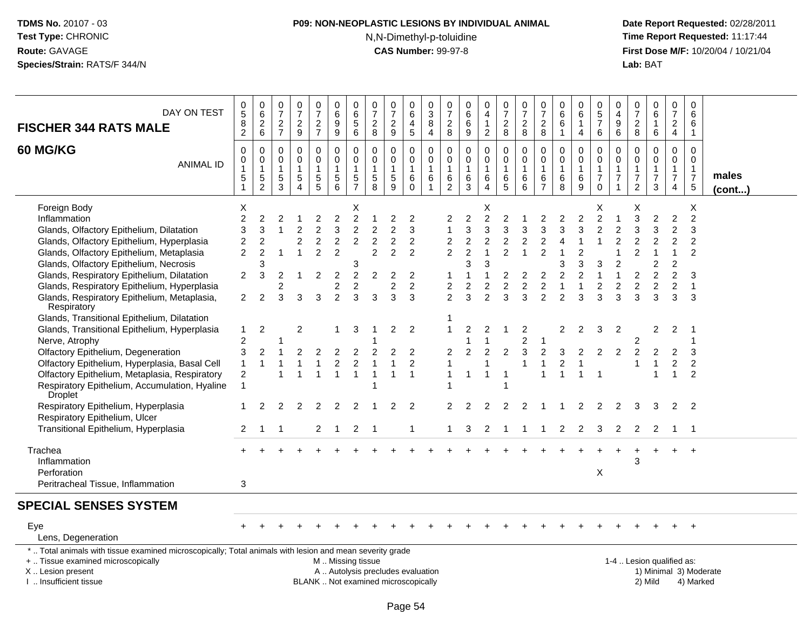### **P09: NON-NEOPLASTIC LESIONS BY INDIVIDUAL ANIMAL**N,N-Dimethyl-p-toluidine

 **Date Report Requested:** 02/28/2011 **Time Report Requested:** 11:17:44 **First Dose M/F:** 10/20/04 / 10/21/04<br>**Lab:** BAT **Lab:** BAT

| DAY ON TEST<br><b>FISCHER 344 RATS MALE</b>                                                                                                                                                                                                                                                                                                                            | 0<br>$\overline{5}$<br>8<br>$\overline{c}$                                                       | 0<br>$6\overline{6}$<br>$\frac{2}{6}$                                  | 0<br>$\overline{7}$<br>$\frac{2}{7}$ | 0<br>$\overline{7}$<br>$\overline{\mathbf{c}}$<br>9   | $\begin{array}{c} 0 \\ 7 \end{array}$<br>$\frac{2}{7}$                   | $\mathbf 0$<br>$6\overline{6}$<br>9<br>9                                            | 0<br>$\,6\,$<br>$\sqrt{5}$<br>6                                                   | 0<br>$\overline{7}$<br>$\sqrt{2}$<br>8                                    | 0<br>$\overline{7}$<br>$\boldsymbol{2}$<br>9                             | 0<br>$6\overline{6}$<br>4<br>5                                          | 0<br>$\overline{3}$<br>8<br>$\overline{4}$                | $\mathbf 0$<br>$\overline{7}$<br>$\sqrt{2}$<br>8                                                             | 0<br>6<br>$\,6\,$<br>9                                                                       | $\mathbf 0$<br>$\overline{4}$<br>$\overline{1}$<br>$\overline{2}$                   | 0<br>$\overline{7}$<br>$\sqrt{2}$<br>8                                              | 0<br>$\overline{7}$<br>$\sqrt{2}$<br>8                       | 0<br>$\overline{7}$<br>$\overline{c}$<br>8                                                                      | 0<br>6<br>6<br>$\mathbf{1}$              | 0<br>$6\overline{6}$<br>4                                         | $\pmb{0}$<br>$\overline{5}$<br>$\overline{7}$<br>6                          | 0<br>$\overline{4}$<br>$\boldsymbol{9}$<br>6                                                     | 0<br>$\overline{7}$<br>$\overline{c}$<br>8                      | $\mathbf 0$<br>6<br>$\mathbf{1}$<br>6                                  | 0<br>$\overline{7}$<br>$\sqrt{2}$<br>4                                                                             | $\mathbf 0$<br>6<br>6<br>$\mathbf{1}$                                         |                        |
|------------------------------------------------------------------------------------------------------------------------------------------------------------------------------------------------------------------------------------------------------------------------------------------------------------------------------------------------------------------------|--------------------------------------------------------------------------------------------------|------------------------------------------------------------------------|--------------------------------------|-------------------------------------------------------|--------------------------------------------------------------------------|-------------------------------------------------------------------------------------|-----------------------------------------------------------------------------------|---------------------------------------------------------------------------|--------------------------------------------------------------------------|-------------------------------------------------------------------------|-----------------------------------------------------------|--------------------------------------------------------------------------------------------------------------|----------------------------------------------------------------------------------------------|-------------------------------------------------------------------------------------|-------------------------------------------------------------------------------------|--------------------------------------------------------------|-----------------------------------------------------------------------------------------------------------------|------------------------------------------|-------------------------------------------------------------------|-----------------------------------------------------------------------------|--------------------------------------------------------------------------------------------------|-----------------------------------------------------------------|------------------------------------------------------------------------|--------------------------------------------------------------------------------------------------------------------|-------------------------------------------------------------------------------|------------------------|
| 60 MG/KG<br><b>ANIMAL ID</b>                                                                                                                                                                                                                                                                                                                                           | 0<br>0<br>1<br>5<br>1                                                                            | 0<br>$\boldsymbol{0}$<br>$\mathbf{1}$<br>$\,$ 5 $\,$<br>$\overline{2}$ | 0<br>0<br>$\mathbf{1}$<br>5<br>3     | 0<br>$\pmb{0}$<br>$\mathbf{1}$<br>5<br>$\overline{4}$ | $\mathbf 0$<br>$\pmb{0}$<br>$\mathbf{1}$<br>$\sqrt{5}$<br>$\overline{5}$ | 0<br>$\mathbf 0$<br>$\overline{1}$<br>$\sqrt{5}$<br>6                               | $\mathbf 0$<br>$\mathbf 0$<br>$\overline{1}$<br>5<br>$\overline{7}$               | $\mathbf 0$<br>$\mathbf 0$<br>$\mathbf{1}$<br>5<br>8                      | $\mathbf 0$<br>$\mathbf 0$<br>$\mathbf{1}$<br>5<br>9                     | $\mathbf 0$<br>$\mathbf 0$<br>1<br>6<br>$\mathbf 0$                     | 0<br>$\mathbf 0$<br>$\overline{1}$<br>6<br>$\overline{1}$ | $\mathbf 0$<br>$\pmb{0}$<br>$\mathbf{1}$<br>6<br>$\overline{2}$                                              | 0<br>0<br>$\mathbf{1}$<br>6<br>$\mathbf{3}$                                                  | $\mathbf 0$<br>$\pmb{0}$<br>$\overline{1}$<br>6<br>$\overline{4}$                   | 0<br>$\mathbf 0$<br>-1<br>6<br>$\overline{5}$                                       | $\mathbf 0$<br>$\mathbf 0$<br>$\overline{1}$<br>6<br>$\,6\,$ | 0<br>0<br>$\mathbf{1}$<br>6<br>$\overline{7}$                                                                   | 0<br>$\pmb{0}$<br>$\mathbf{1}$<br>6<br>8 | $\mathbf 0$<br>$\mathbf 0$<br>$\mathbf{1}$<br>6<br>9              | 0<br>$\pmb{0}$<br>$\mathbf{1}$<br>$\overline{7}$<br>$\mathsf{O}\xspace$     | $\mathbf 0$<br>$\mathbf 0$<br>$\mathbf{1}$<br>$\overline{7}$                                     | $\mathbf 0$<br>$\mathbf 0$<br>$\overline{1}$<br>7<br>$\sqrt{2}$ | $\mathbf 0$<br>$\mathbf 0$<br>$\overline{1}$<br>7<br>$\mathbf{3}$      | $\mathbf 0$<br>$\mathbf 0$<br>$\mathbf{1}$<br>$\overline{7}$<br>4                                                  | $\mathbf 0$<br>$\mathbf 0$<br>$\overline{1}$<br>$\overline{7}$<br>$\,$ 5 $\,$ | males<br>$($ cont $)$  |
| Foreign Body<br>Inflammation<br>Glands, Olfactory Epithelium, Dilatation<br>Glands, Olfactory Epithelium, Hyperplasia<br>Glands, Olfactory Epithelium, Metaplasia<br>Glands, Olfactory Epithelium, Necrosis<br>Glands, Respiratory Epithelium, Dilatation<br>Glands, Respiratory Epithelium, Hyperplasia<br>Glands, Respiratory Epithelium, Metaplasia,<br>Respiratory | Χ<br>$\overline{c}$<br>3<br>$\overline{c}$<br>$\overline{2}$<br>$\overline{c}$<br>$\overline{2}$ | 2<br>3<br>$\overline{2}$<br>2<br>3<br>3<br>$\overline{2}$              | 2<br>2<br>$\overline{c}$<br>3        | $\overline{2}$<br>$\overline{c}$<br>3                 | $\overline{c}$<br>2<br>$\overline{2}$<br>$\overline{2}$<br>2<br>3        | $\overline{c}$<br>3<br>2<br>$\overline{2}$<br>2<br>$\overline{c}$<br>$\overline{2}$ | $\mathsf X$<br>$\overline{2}$<br>2<br>2<br>3<br>$\overline{2}$<br>$\sqrt{2}$<br>3 | $\overline{c}$<br>$\overline{2}$<br>$\mathfrak{p}$<br>$\overline{c}$<br>3 | 2<br>$\overline{2}$<br>2<br>2<br>2<br>$\overline{c}$<br>3                | $\overline{2}$<br>3<br>2<br>2<br>$\overline{2}$<br>$\overline{c}$<br>3  |                                                           | $\overline{c}$<br>1<br>$\overline{c}$<br>$\overline{2}$<br>$\mathbf 1$<br>$\boldsymbol{2}$<br>$\overline{2}$ | $\overline{c}$<br>3<br>$\overline{c}$<br>$\overline{2}$<br>3<br>$\overline{\mathbf{c}}$<br>3 | Χ<br>$\overline{2}$<br>3<br>$\overline{2}$<br>3<br>$\overline{c}$<br>$\overline{2}$ | $\overline{2}$<br>3<br>$\overline{2}$<br>$\overline{2}$<br>2<br>$\overline{c}$<br>3 | 3<br>2<br>$\overline{c}$<br>$\overline{c}$<br>3              | $\overline{2}$<br>3<br>$\overline{2}$<br>$\overline{2}$<br>$\overline{2}$<br>$\boldsymbol{2}$<br>$\overline{2}$ | 3<br>3<br>2<br>$\overline{2}$            | $\overline{2}$<br>3<br>$\overline{2}$<br>3<br>$\overline{2}$<br>3 | Χ<br>$\overline{2}$<br>2<br>1<br>3<br>$\overline{1}$<br>$\overline{c}$<br>3 | $\overline{2}$<br>$\overline{2}$<br>$\overline{2}$<br>$\overline{\mathbf{1}}$<br>$\sqrt{2}$<br>3 | Χ<br>3<br>3<br>2<br>$\overline{2}$<br>2<br>$\overline{c}$<br>3  | $\overline{2}$<br>3<br>2<br>2<br>$\overline{c}$<br>$\overline{2}$<br>3 | $\overline{c}$<br>$\overline{2}$<br>$\overline{2}$<br>1<br>$\overline{2}$<br>$\overline{2}$<br>$\overline{c}$<br>3 | Χ<br>$\overline{2}$<br>3<br>$\overline{2}$<br>2<br>3<br>$\overline{1}$<br>3   |                        |
| Glands, Transitional Epithelium, Dilatation<br>Glands, Transitional Epithelium, Hyperplasia<br>Nerve, Atrophy<br>Olfactory Epithelium, Degeneration<br>Olfactory Epithelium, Hyperplasia, Basal Cell<br>Olfactory Epithelium, Metaplasia, Respiratory<br>Respiratory Epithelium, Accumulation, Hyaline<br><b>Droplet</b><br>Respiratory Epithelium, Hyperplasia        | $\mathbf{1}$<br>2<br>3<br>$\overline{c}$<br>$\mathbf{1}$                                         | 2<br>2<br>2                                                            | $\overline{2}$                       | $\overline{2}$<br>2                                   | 2<br>$\overline{2}$                                                      | 1<br>2<br>$\overline{c}$<br>$\overline{1}$<br>2                                     | 3<br>2<br>$\overline{1}$<br>2                                                     | -1<br>$\mathbf 1$                                                         | $\overline{2}$<br>2                                                      | $\overline{2}$<br>$\overline{2}$<br>2<br>$\mathbf{1}$<br>$\overline{2}$ |                                                           | 1<br>$\overline{2}$<br>1<br>-1                                                                               | 2                                                                                            | 2<br>$\overline{\mathbf{1}}$<br>2                                                   | $\overline{2}$<br>-1<br>2                                                           | 2<br>$\overline{c}$<br>-1                                    | 1<br>1                                                                                                          | 2<br>2                                   | 2<br>2<br>2                                                       | 3<br>$\overline{2}$<br>2                                                    | $\overline{2}$<br>2<br>2                                                                         | 2<br>3                                                          | $\overline{2}$<br>2<br>-1<br>$\overline{\mathbf{1}}$<br>3              | 2<br>2<br>$\overline{2}$<br>$\mathbf{1}$<br>2                                                                      | 3<br>2<br>$\overline{2}$<br>$\overline{2}$                                    |                        |
| Respiratory Epithelium, Ulcer<br>Transitional Epithelium, Hyperplasia                                                                                                                                                                                                                                                                                                  | 2                                                                                                | 1                                                                      | -1                                   |                                                       | $\overline{2}$                                                           | $\overline{1}$                                                                      | $\overline{2}$                                                                    | -1                                                                        |                                                                          | 1                                                                       |                                                           | 1                                                                                                            | 3                                                                                            | 2                                                                                   | -1                                                                                  | -1                                                           | 1                                                                                                               | 2                                        | $\overline{2}$                                                    | 3                                                                           | 2                                                                                                | 2                                                               | 2                                                                      | -1                                                                                                                 | - 1                                                                           |                        |
| Trachea<br>Inflammation<br>Perforation<br>Peritracheal Tissue, Inflammation                                                                                                                                                                                                                                                                                            | 3                                                                                                |                                                                        |                                      |                                                       |                                                                          |                                                                                     |                                                                                   |                                                                           |                                                                          |                                                                         |                                                           |                                                                                                              |                                                                                              |                                                                                     |                                                                                     |                                                              |                                                                                                                 |                                          |                                                                   | Χ                                                                           |                                                                                                  | 3                                                               |                                                                        | $+$                                                                                                                | $\ddot{}$                                                                     |                        |
| <b>SPECIAL SENSES SYSTEM</b>                                                                                                                                                                                                                                                                                                                                           |                                                                                                  |                                                                        |                                      |                                                       |                                                                          |                                                                                     |                                                                                   |                                                                           |                                                                          |                                                                         |                                                           |                                                                                                              |                                                                                              |                                                                                     |                                                                                     |                                                              |                                                                                                                 |                                          |                                                                   |                                                                             |                                                                                                  |                                                                 |                                                                        |                                                                                                                    |                                                                               |                        |
| Eye<br>Lens, Degeneration                                                                                                                                                                                                                                                                                                                                              |                                                                                                  |                                                                        |                                      |                                                       |                                                                          |                                                                                     |                                                                                   |                                                                           |                                                                          |                                                                         |                                                           |                                                                                                              |                                                                                              |                                                                                     |                                                                                     |                                                              |                                                                                                                 |                                          |                                                                   |                                                                             |                                                                                                  |                                                                 |                                                                        |                                                                                                                    |                                                                               |                        |
| *  Total animals with tissue examined microscopically; Total animals with lesion and mean severity grade<br>+  Tissue examined microscopically<br>X Lesion present<br>I. Insufficient tissue                                                                                                                                                                           |                                                                                                  |                                                                        |                                      |                                                       |                                                                          | M  Missing tissue                                                                   |                                                                                   |                                                                           | A  Autolysis precludes evaluation<br>BLANK  Not examined microscopically |                                                                         |                                                           |                                                                                                              |                                                                                              |                                                                                     |                                                                                     |                                                              |                                                                                                                 |                                          |                                                                   |                                                                             |                                                                                                  |                                                                 | 1-4  Lesion qualified as:<br>2) Mild                                   |                                                                                                                    | 4) Marked                                                                     | 1) Minimal 3) Moderate |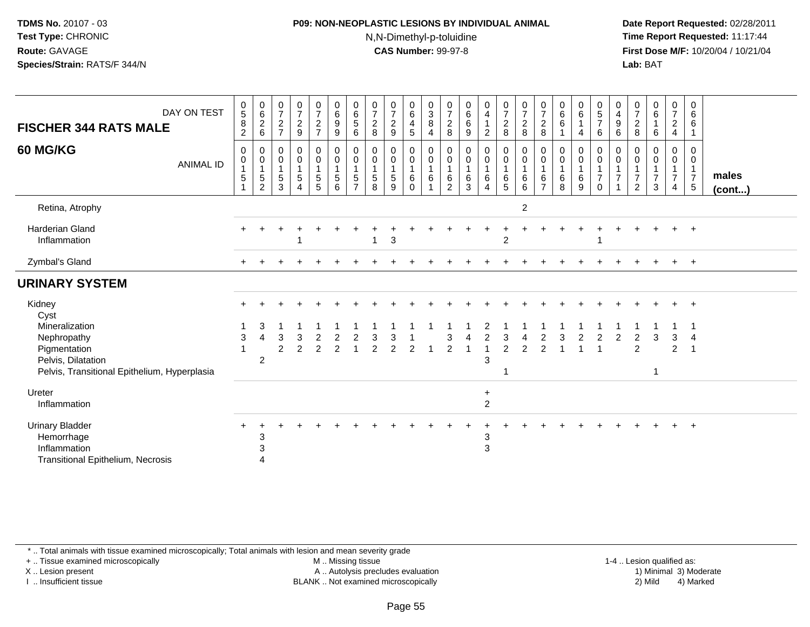#### **P09: NON-NEOPLASTIC LESIONS BY INDIVIDUAL ANIMAL**N,N-Dimethyl-p-toluidine

 **Date Report Requested:** 02/28/2011 **Time Report Requested:** 11:17:44 **First Dose M/F:** 10/20/04 / 10/21/04<br>**Lab:** BAT **Lab:** BAT

| DAY ON TEST<br><b>FISCHER 344 RATS MALE</b>                                                                         | 0<br>5<br>8<br>$\overline{2}$                 | $_{6}^{\rm 0}$<br>$\overline{c}$<br>6                                | $\frac{0}{7}$<br>$\sqrt{2}$<br>$\overline{7}$           | $\frac{0}{7}$<br>$\frac{2}{9}$                      | $\begin{smallmatrix}0\\7\end{smallmatrix}$<br>$\frac{2}{7}$                         | $\begin{array}{c} 0 \\ 6 \end{array}$<br>$\boldsymbol{9}$<br>9 | $\begin{matrix} 0 \\ 6 \end{matrix}$<br>5<br>6 | $\frac{0}{7}$<br>$\sqrt{2}$<br>$\, 8$             | $\frac{0}{7}$<br>$\boldsymbol{2}$<br>$\boldsymbol{9}$ | 0<br>$\,6\,$<br>4<br>$5\phantom{.0}$ | $_{3}^{\rm 0}$<br>$\bf 8$<br>$\overline{4}$           | $\frac{0}{7}$<br>$\sqrt{2}$<br>8                                    | $\pmb{0}$<br>$\,6\,$<br>6<br>9               | $\begin{smallmatrix}0\0\4\end{smallmatrix}$<br>2 | $\begin{smallmatrix}0\\7\end{smallmatrix}$<br>$\frac{2}{8}$ | $\frac{0}{7}$<br>$\sqrt{2}$<br>8             | $\frac{0}{7}$<br>$\overline{c}$<br>8            | $\begin{array}{c} 0 \\ 6 \end{array}$<br>$\,6$ | 0<br>6<br>4                   | $\begin{array}{c} 0 \\ 5 \\ 7 \end{array}$<br>6                   | $\pmb{0}$<br>$\overline{4}$<br>$\boldsymbol{9}$<br>6             | 0<br>$\overline{7}$<br>$\sqrt{2}$<br>8     | $\begin{array}{c} 0 \\ 6 \end{array}$<br>6   | $\frac{0}{7}$<br>$\overline{c}$<br>$\overline{4}$       | 0<br>6<br>6<br>1                              |                       |
|---------------------------------------------------------------------------------------------------------------------|-----------------------------------------------|----------------------------------------------------------------------|---------------------------------------------------------|-----------------------------------------------------|-------------------------------------------------------------------------------------|----------------------------------------------------------------|------------------------------------------------|---------------------------------------------------|-------------------------------------------------------|--------------------------------------|-------------------------------------------------------|---------------------------------------------------------------------|----------------------------------------------|--------------------------------------------------|-------------------------------------------------------------|----------------------------------------------|-------------------------------------------------|------------------------------------------------|-------------------------------|-------------------------------------------------------------------|------------------------------------------------------------------|--------------------------------------------|----------------------------------------------|---------------------------------------------------------|-----------------------------------------------|-----------------------|
| <b>60 MG/KG</b><br><b>ANIMAL ID</b>                                                                                 | $\mathbf 0$<br>$\pmb{0}$<br>$\mathbf{1}$<br>5 | 0<br>$\mathbf 0$<br>$\mathbf{1}$<br>$\overline{5}$<br>$\overline{2}$ | 0<br>0<br>$\mathbf{1}$<br>$\,$ 5 $\,$<br>$\overline{3}$ | $\pmb{0}$<br>$\pmb{0}$<br>1<br>$5\phantom{.0}$<br>4 | $\mathbf 0$<br>$\mathbf 0$<br>$\mathbf{1}$<br>$\begin{array}{c} 5 \\ 5 \end{array}$ | $\pmb{0}$<br>$\mathbf 0$<br>$\mathbf{1}$<br>$\sqrt{5}$<br>6    | 0<br>$\mathbf 0$<br>5<br>$\overline{ }$        | 0<br>$\pmb{0}$<br>$\mathbf{1}$<br>$\sqrt{5}$<br>8 | 0<br>$\pmb{0}$<br>$\mathbf{1}$<br>$\sqrt{5}$<br>9     | 0<br>$\mathbf 0$<br>6<br>$\Omega$    | 0<br>$\mathbf 0$<br>$\overline{1}$<br>$6\phantom{1}6$ | 0<br>$\pmb{0}$<br>$\mathbf{1}$<br>$6\phantom{1}6$<br>$\overline{2}$ | 0<br>$\pmb{0}$<br>$\mathbf{1}$<br>$\,6$<br>3 | 0<br>$\boldsymbol{0}$<br>$\mathbf{1}$<br>6<br>4  | 0<br>$\pmb{0}$<br>$\mathbf{1}$<br>$6\over 5$                | 0<br>$\pmb{0}$<br>$\mathbf{1}$<br>$\,6$<br>6 | 0<br>0<br>$\overline{1}$<br>6<br>$\overline{7}$ | 0<br>0<br>$\mathbf{1}$<br>$\,6\,$<br>8         | 0<br>$\pmb{0}$<br>1<br>6<br>9 | 0<br>$\pmb{0}$<br>$\mathbf{1}$<br>$\boldsymbol{7}$<br>$\mathbf 0$ | 0<br>$\pmb{0}$<br>$\mathbf{1}$<br>$\overline{7}$<br>$\mathbf{1}$ | 0<br>0<br>$\overline{7}$<br>$\overline{2}$ | 0<br>$\mathbf 0$<br>1<br>$\overline{7}$<br>3 | 0<br>$\mathbf 0$<br>$\mathbf{1}$<br>$\overline{7}$<br>4 | 0<br>0<br>$\mathbf{1}$<br>$\overline{7}$<br>5 | males<br>$($ cont $)$ |
| Retina, Atrophy                                                                                                     |                                               |                                                                      |                                                         |                                                     |                                                                                     |                                                                |                                                |                                                   |                                                       |                                      |                                                       |                                                                     |                                              |                                                  |                                                             | $\overline{c}$                               |                                                 |                                                |                               |                                                                   |                                                                  |                                            |                                              |                                                         |                                               |                       |
| <b>Harderian Gland</b><br>Inflammation                                                                              |                                               |                                                                      |                                                         |                                                     |                                                                                     |                                                                |                                                |                                                   | 3                                                     |                                      |                                                       |                                                                     |                                              |                                                  | $\overline{2}$                                              |                                              |                                                 |                                                |                               |                                                                   |                                                                  |                                            |                                              |                                                         |                                               |                       |
| Zymbal's Gland                                                                                                      |                                               |                                                                      |                                                         |                                                     |                                                                                     |                                                                |                                                |                                                   |                                                       |                                      |                                                       |                                                                     |                                              |                                                  |                                                             |                                              |                                                 |                                                |                               |                                                                   |                                                                  |                                            |                                              | $\ddot{}$                                               | $+$                                           |                       |
| <b>URINARY SYSTEM</b>                                                                                               |                                               |                                                                      |                                                         |                                                     |                                                                                     |                                                                |                                                |                                                   |                                                       |                                      |                                                       |                                                                     |                                              |                                                  |                                                             |                                              |                                                 |                                                |                               |                                                                   |                                                                  |                                            |                                              |                                                         |                                               |                       |
| Kidney<br>Cyst                                                                                                      |                                               |                                                                      |                                                         |                                                     |                                                                                     |                                                                |                                                |                                                   |                                                       |                                      |                                                       |                                                                     |                                              |                                                  |                                                             |                                              |                                                 |                                                |                               |                                                                   |                                                                  |                                            |                                              | $\ddot{}$                                               | $^{+}$                                        |                       |
| Mineralization<br>Nephropathy<br>Pigmentation<br>Pelvis, Dilatation<br>Pelvis, Transitional Epithelium, Hyperplasia | 3                                             | 3<br>4<br>$\overline{2}$                                             | 3<br>$\overline{2}$                                     | 3<br>$\overline{2}$                                 | 2<br>$\overline{2}$                                                                 | $\mathcal{P}$                                                  | 2                                              | $\mathcal{P}$                                     | 3<br>$\mathcal{P}$                                    | $\mathfrak{p}$                       |                                                       | 3<br>$\overline{2}$                                                 |                                              | $\overline{c}$<br>$\mathbf{1}$<br>3              | 3<br>$\overline{2}$                                         | $\mathcal{P}$                                | 2<br>$\overline{2}$                             |                                                | 2                             | 2                                                                 | 2                                                                | 2<br>$\overline{2}$                        | 3<br>-1                                      | 3<br>$\overline{2}$                                     | 4                                             |                       |
| Ureter<br>Inflammation                                                                                              |                                               |                                                                      |                                                         |                                                     |                                                                                     |                                                                |                                                |                                                   |                                                       |                                      |                                                       |                                                                     |                                              | $\ddot{}$<br>$\overline{2}$                      |                                                             |                                              |                                                 |                                                |                               |                                                                   |                                                                  |                                            |                                              |                                                         |                                               |                       |
| <b>Urinary Bladder</b><br>Hemorrhage<br>Inflammation<br>Transitional Epithelium, Necrosis                           |                                               | 3<br>3                                                               |                                                         |                                                     |                                                                                     |                                                                |                                                |                                                   |                                                       |                                      |                                                       |                                                                     |                                              | 3<br>3                                           |                                                             |                                              |                                                 |                                                |                               |                                                                   |                                                                  |                                            |                                              | $\ddot{}$                                               | $+$                                           |                       |

\* .. Total animals with tissue examined microscopically; Total animals with lesion and mean severity grade

+ .. Tissue examined microscopically

X .. Lesion present

I .. Insufficient tissue

 M .. Missing tissueA .. Autolysis precludes evaluation

1-4 .. Lesion qualified as:<br>1) Minimal 3) Moderate BLANK .. Not examined microscopically 2) Mild 4) Marked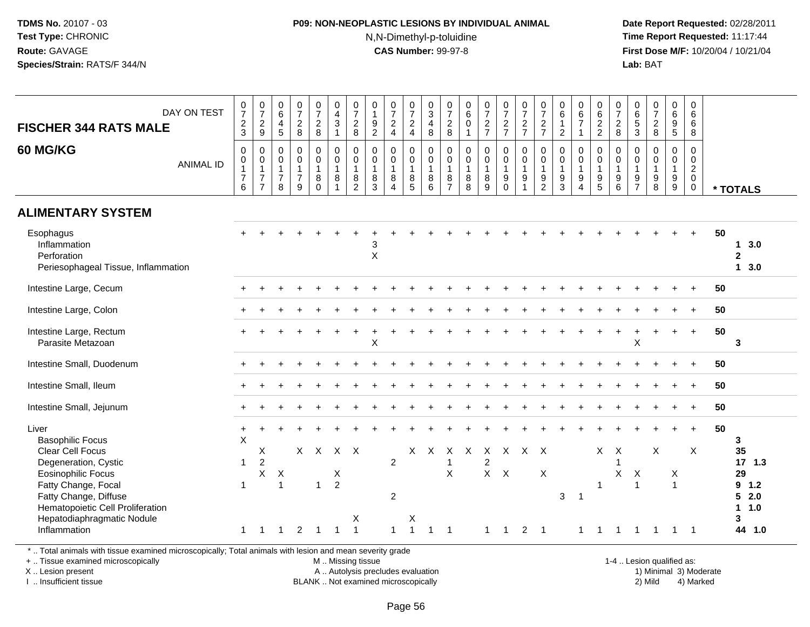#### **P09: NON-NEOPLASTIC LESIONS BY INDIVIDUAL ANIMAL**N,N-Dimethyl-p-toluidine

 **Date Report Requested:** 02/28/2011 **Time Report Requested:** 11:17:44 **First Dose M/F:** 10/20/04 / 10/21/04<br>**Lab:** BAT **Lab:** BAT

| $\begin{array}{c} 0 \\ 7 \end{array}$<br>$\frac{2}{3}$    | $\frac{0}{7}$<br>$\frac{2}{9}$                                         | $\pmb{0}$<br>$\,6\,$<br>$\overline{4}$<br>5                       | $\frac{0}{7}$<br>$\overline{c}$<br>8                  | $\frac{0}{7}$<br>$\frac{2}{8}$                         | $\pmb{0}$<br>$\overline{\mathbf{4}}$<br>$\mathbf{3}$<br>$\mathbf{1}$  | $\frac{0}{7}$<br>$\frac{2}{8}$                                          | $\pmb{0}$<br>$\overline{\mathbf{1}}$<br>9<br>$\overline{2}$ | $\frac{0}{7}$<br>$\frac{2}{4}$                                  | $\begin{array}{c} 0 \\ 7 \end{array}$<br>$\overline{a}$<br>$\overline{4}$ | $_{3}^{\rm 0}$<br>$\overline{4}$<br>8                 | $\frac{0}{7}$<br>$\overline{c}$<br>8                            | $\begin{array}{c} 0 \\ 6 \end{array}$<br>0<br>$\overline{1}$ | $\frac{0}{7}$<br>$\frac{2}{7}$                         | $\frac{0}{7}$<br>$rac{2}{7}$                             | $\frac{0}{7}$<br>$\frac{2}{7}$                        | $\frac{0}{7}$<br>$\frac{2}{7}$                                  | 0<br>$\,6\,$<br>$\mathbf{1}$<br>$\overline{c}$ | $\begin{array}{c} 0 \\ 6 \end{array}$<br>$\overline{7}$<br>$\mathbf{1}$   | $\begin{array}{c} 0 \\ 6 \end{array}$<br>$\frac{2}{2}$ | $\frac{0}{7}$<br>$\overline{2}$<br>8                                          | $\begin{array}{c} 0 \\ 6 \end{array}$<br>$\mathbf 5$<br>$\mathfrak{S}$ | $\frac{0}{7}$<br>$\boldsymbol{2}$<br>8     | $\pmb{0}$<br>$\,6\,$<br>$\boldsymbol{9}$<br>$\overline{5}$                       | $\mathbf 0$<br>6<br>6<br>8                                       |                                                                                                                                                      |                                                                                                    |
|-----------------------------------------------------------|------------------------------------------------------------------------|-------------------------------------------------------------------|-------------------------------------------------------|--------------------------------------------------------|-----------------------------------------------------------------------|-------------------------------------------------------------------------|-------------------------------------------------------------|-----------------------------------------------------------------|---------------------------------------------------------------------------|-------------------------------------------------------|-----------------------------------------------------------------|--------------------------------------------------------------|--------------------------------------------------------|----------------------------------------------------------|-------------------------------------------------------|-----------------------------------------------------------------|------------------------------------------------|---------------------------------------------------------------------------|--------------------------------------------------------|-------------------------------------------------------------------------------|------------------------------------------------------------------------|--------------------------------------------|----------------------------------------------------------------------------------|------------------------------------------------------------------|------------------------------------------------------------------------------------------------------------------------------------------------------|----------------------------------------------------------------------------------------------------|
| $\mathbf 0$<br>0<br>$\overline{7}$<br>6                   | $\mathbf 0$<br>$\overline{0}$<br>1<br>$\overline{7}$<br>$\overline{7}$ | $\mathbf 0$<br>$\mathbf 0$<br>$\mathbf{1}$<br>$\overline{7}$<br>8 | $\pmb{0}$<br>0<br>$\mathbf{1}$<br>$\overline{7}$<br>9 | 0<br>$\boldsymbol{0}$<br>$\mathbf{1}$<br>8<br>$\Omega$ | $\pmb{0}$<br>$\ddot{\mathbf{0}}$<br>$\mathbf{1}$<br>8<br>$\mathbf{1}$ | $\pmb{0}$<br>$\ddot{\mathbf{0}}$<br>$\mathbf{1}$<br>8<br>$\overline{2}$ | 0<br>$\mathbf 0$<br>$\overline{1}$<br>8<br>3                | $\pmb{0}$<br>$\pmb{0}$<br>$\overline{1}$<br>8<br>$\overline{4}$ | 0<br>0<br>1<br>8<br>5                                                     | $\pmb{0}$<br>$\overline{0}$<br>$\mathbf{1}$<br>8<br>6 | $\mathbf 0$<br>$\pmb{0}$<br>$\mathbf{1}$<br>8<br>$\overline{7}$ | 0<br>0<br>$\mathbf{1}$<br>8<br>8                             | $\mathbf 0$<br>$\mathbf 0$<br>$\overline{1}$<br>8<br>9 | 0<br>$\mathbf 0$<br>$\mathbf{1}$<br>$9\,$<br>$\mathbf 0$ | 0<br>$\mathbf 0$<br>$\mathbf{1}$<br>9<br>$\mathbf{1}$ | $\mathbf 0$<br>$\pmb{0}$<br>$\mathbf{1}$<br>9<br>$\overline{c}$ | 0<br>$\pmb{0}$<br>$\mathbf{1}$<br>9<br>3       | $\mathbf 0$<br>$\ddot{\mathbf{0}}$<br>$\mathbf{1}$<br>9<br>$\overline{4}$ | 0<br>$\mathsf{O}$<br>$\mathbf{1}$<br>9<br>$\sqrt{5}$   | $\mathbf 0$<br>$\ddot{\mathbf{0}}$<br>$\overline{1}$<br>$\boldsymbol{9}$<br>6 | 0<br>0<br>$\mathbf{1}$<br>9<br>$\overline{7}$                          | $\mathbf 0$<br>0<br>$\mathbf{1}$<br>9<br>8 | $\mathbf 0$<br>$\pmb{0}$<br>$\mathbf{1}$<br>$\boldsymbol{9}$<br>$\boldsymbol{9}$ | 0<br>$\mathbf 0$<br>$\overline{c}$<br>$\mathbf 0$<br>$\mathbf 0$ | * TOTALS                                                                                                                                             |                                                                                                    |
|                                                           |                                                                        |                                                                   |                                                       |                                                        |                                                                       |                                                                         |                                                             |                                                                 |                                                                           |                                                       |                                                                 |                                                              |                                                        |                                                          |                                                       |                                                                 |                                                |                                                                           |                                                        |                                                                               |                                                                        |                                            |                                                                                  |                                                                  |                                                                                                                                                      |                                                                                                    |
|                                                           |                                                                        |                                                                   |                                                       |                                                        |                                                                       |                                                                         | 3<br>$\mathsf X$                                            |                                                                 |                                                                           |                                                       |                                                                 |                                                              |                                                        |                                                          |                                                       |                                                                 |                                                |                                                                           |                                                        |                                                                               |                                                                        |                                            |                                                                                  | $\div$                                                           | 50                                                                                                                                                   | 3.0<br>$\mathbf 1$<br>$\mathbf{2}$<br>3.0<br>$\mathbf 1$                                           |
|                                                           |                                                                        |                                                                   |                                                       |                                                        |                                                                       |                                                                         |                                                             |                                                                 |                                                                           |                                                       |                                                                 |                                                              |                                                        |                                                          |                                                       |                                                                 |                                                |                                                                           |                                                        |                                                                               |                                                                        |                                            |                                                                                  |                                                                  | 50                                                                                                                                                   |                                                                                                    |
|                                                           |                                                                        |                                                                   |                                                       |                                                        |                                                                       |                                                                         |                                                             |                                                                 |                                                                           |                                                       |                                                                 |                                                              |                                                        |                                                          |                                                       |                                                                 |                                                |                                                                           |                                                        |                                                                               |                                                                        |                                            |                                                                                  |                                                                  | 50                                                                                                                                                   |                                                                                                    |
|                                                           |                                                                        |                                                                   |                                                       |                                                        |                                                                       |                                                                         | X                                                           |                                                                 |                                                                           |                                                       |                                                                 |                                                              |                                                        |                                                          |                                                       |                                                                 |                                                |                                                                           |                                                        |                                                                               | X                                                                      |                                            |                                                                                  | $+$                                                              | 50                                                                                                                                                   | 3                                                                                                  |
|                                                           |                                                                        |                                                                   |                                                       |                                                        |                                                                       |                                                                         |                                                             |                                                                 |                                                                           |                                                       |                                                                 |                                                              |                                                        |                                                          |                                                       |                                                                 |                                                |                                                                           |                                                        |                                                                               |                                                                        |                                            |                                                                                  |                                                                  | 50                                                                                                                                                   |                                                                                                    |
|                                                           |                                                                        |                                                                   |                                                       |                                                        |                                                                       |                                                                         |                                                             |                                                                 |                                                                           |                                                       |                                                                 |                                                              |                                                        |                                                          |                                                       |                                                                 |                                                |                                                                           |                                                        |                                                                               |                                                                        |                                            |                                                                                  |                                                                  | 50                                                                                                                                                   |                                                                                                    |
|                                                           |                                                                        |                                                                   |                                                       |                                                        |                                                                       |                                                                         |                                                             |                                                                 |                                                                           |                                                       |                                                                 |                                                              |                                                        |                                                          |                                                       |                                                                 |                                                |                                                                           |                                                        |                                                                               |                                                                        |                                            |                                                                                  |                                                                  | 50                                                                                                                                                   |                                                                                                    |
| $\ddot{}$<br>$\mathsf{X}$<br>$\mathbf{1}$<br>$\mathbf{1}$ | X<br>$\overline{2}$<br>$\sf X$<br>$\overline{1}$                       | X<br>$\mathbf{1}$<br>$\mathbf 1$                                  | $\overline{2}$                                        | $\mathbf{1}$<br>$\overline{\phantom{1}}$               | X<br>$\overline{2}$<br>$\mathbf 1$                                    | Χ<br>$\overline{1}$                                                     |                                                             | $\overline{2}$<br>$\overline{2}$                                | X<br>X                                                                    | $\boldsymbol{X}$                                      | X<br>$\overline{1}$<br>$\boldsymbol{\mathsf{X}}$                | $\mathsf{X}$                                                 | $\boldsymbol{\mathsf{X}}$<br>$\overline{2}$            |                                                          |                                                       | $\boldsymbol{\mathsf{X}}$                                       | 3                                              | $\overline{1}$                                                            | $\mathsf{X}$                                           | $\times$<br>X                                                                 | X<br>$\mathbf{1}$                                                      | X                                          | Х<br>$\overline{1}$                                                              | $\ddot{}$<br>$\boldsymbol{\mathsf{X}}$                           | 50                                                                                                                                                   | $\mathbf{3}$<br>35<br>17<br>1.3<br>29<br>9<br>1.2<br>5<br>2.0<br>1.0<br>$\mathbf 1$<br>3<br>44 1.0 |
|                                                           |                                                                        |                                                                   |                                                       |                                                        | $X$ $X$                                                               |                                                                         | $X$ $X$                                                     |                                                                 |                                                                           |                                                       |                                                                 |                                                              |                                                        |                                                          | $X$ $X$                                               |                                                                 | X X X                                          |                                                                           |                                                        |                                                                               |                                                                        |                                            |                                                                                  |                                                                  | $\mathbf{1}$<br>$\overline{1}$<br>$\overline{2}$<br>-1<br>$\mathbf 1$<br>$\mathbf 1$<br>$\overline{\mathbf{1}}$<br>-1<br>-1<br>-1<br>- 1<br>-1<br>-1 |                                                                                                    |

\* .. Total animals with tissue examined microscopically; Total animals with lesion and mean severity grade

+ .. Tissue examined microscopically

X .. Lesion present

I .. Insufficient tissue

 M .. Missing tissueA .. Autolysis precludes evaluation

BLANK .. Not examined microscopically 2) Mild 4) Marked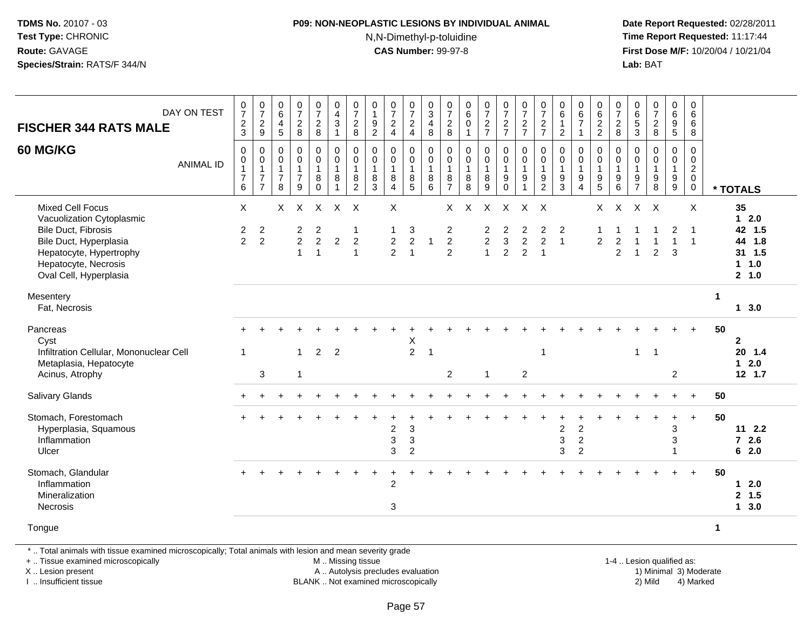# **P09: NON-NEOPLASTIC LESIONS BY INDIVIDUAL ANIMAL**

N,N-Dimethyl-p-toluidine

 **Date Report Requested:** 02/28/2011 **Time Report Requested:** 11:17:44 **First Dose M/F:** 10/20/04 / 10/21/04<br>**Lab:** BAT **Lab:** BAT

| $\frac{2}{3}$<br>60 MG/KG<br>$\mathbf 0$<br>0<br><b>ANIMAL ID</b><br>$\overline{1}$<br>$\boldsymbol{7}$<br>6<br><b>Mixed Cell Focus</b><br>X<br>Vacuolization Cytoplasmic<br><b>Bile Duct, Fibrosis</b><br>2<br>$\overline{2}$<br>Bile Duct, Hyperplasia | $\frac{2}{9}$<br>$\mathbf 0$<br>$\overline{0}$<br>1<br>$\overline{7}$<br>$\overline{7}$<br>2<br>$\overline{2}$ | 5<br>$\mathbf 0$<br>0<br>$\mathbf{1}$<br>$\overline{7}$<br>8<br>X | $\frac{2}{8}$<br>$\pmb{0}$<br>$\pmb{0}$<br>$\mathbf{1}$<br>$\overline{7}$<br>9<br>$\mathsf{X}$ | $_{8}^2$<br>0<br>$\pmb{0}$<br>$\mathbf{1}$<br>8<br>$\bar{0}$ | $\mathbf{1}$<br>$\mathbf 0$<br>$\overline{0}$<br>$\mathbf{1}$<br>8 | $\frac{2}{8}$<br>$\pmb{0}$<br>$\overline{0}$<br>$\mathbf{1}$<br>$\frac{8}{2}$ | $\overline{2}$<br>$\mathbf 0$<br>$\mathbf 0$<br>$\mathbf{1}$<br>8<br>$\mathbf{3}$ | $\frac{2}{4}$<br>$\mathbf 0$<br>$\mathbf 0$<br>$\mathbf{1}$<br>$\bf8$ | $\frac{2}{4}$<br>$\mathbf{0}$<br>$\mathbf 0$<br>$\mathbf{1}$<br>8 | 8<br>$\mathbf 0$<br>$\mathbf 0$<br>$\mathbf{1}$ | $_{\rm 8}^2$<br>$\mathbf 0$<br>$\pmb{0}$                    | $\mathbf 0$<br>0             | $\frac{2}{7}$<br>$\mathbf 0$<br>$\mathbf 0$ | $\frac{2}{7}$<br>0                                                | $\frac{2}{7}$<br>$\mathbf 0$                                    | $\frac{2}{7}$<br>0                                   | $\overline{2}$<br>0                          | $\mathbf 0$                                                       | $\frac{2}{2}$<br>$\mathbf 0$                                           | $\frac{2}{8}$<br>$\mathbf 0$                           | $\mathbf{3}$<br>$\mathbf 0$                                         | $\frac{2}{8}$<br>$\mathbf 0$                      | $\overline{5}$<br>$\mathbf 0$         | 8<br>$\mathbf 0$                                            |              |                                                                 |
|----------------------------------------------------------------------------------------------------------------------------------------------------------------------------------------------------------------------------------------------------------|----------------------------------------------------------------------------------------------------------------|-------------------------------------------------------------------|------------------------------------------------------------------------------------------------|--------------------------------------------------------------|--------------------------------------------------------------------|-------------------------------------------------------------------------------|-----------------------------------------------------------------------------------|-----------------------------------------------------------------------|-------------------------------------------------------------------|-------------------------------------------------|-------------------------------------------------------------|------------------------------|---------------------------------------------|-------------------------------------------------------------------|-----------------------------------------------------------------|------------------------------------------------------|----------------------------------------------|-------------------------------------------------------------------|------------------------------------------------------------------------|--------------------------------------------------------|---------------------------------------------------------------------|---------------------------------------------------|---------------------------------------|-------------------------------------------------------------|--------------|-----------------------------------------------------------------|
|                                                                                                                                                                                                                                                          |                                                                                                                |                                                                   |                                                                                                |                                                              |                                                                    |                                                                               |                                                                                   | $\overline{4}$                                                        | $\overline{5}$                                                    | $\,8\,$<br>$6\phantom{1}$                       | $\mathbf{1}$<br>$\bf 8$<br>$\overline{7}$                   | $\mathbf{1}$<br>$\bf 8$<br>8 | $\mathbf{1}$<br>$\, 8$<br>9                 | $\mathbf 0$<br>$\mathbf{1}$<br>$\boldsymbol{9}$<br>$\overline{0}$ | $\mathbf 0$<br>$\mathbf{1}$<br>$\boldsymbol{9}$<br>$\mathbf{1}$ | $\ddot{\mathbf{0}}$<br>$\mathbf{1}$<br>$\frac{9}{2}$ | $\mathbf 0$<br>$\mathbf{1}$<br>$\frac{9}{3}$ | $\mathbf 0$<br>$\mathbf{1}$<br>$\boldsymbol{9}$<br>$\overline{4}$ | $\mathbf 0$<br>$\overline{1}$<br>$\begin{array}{c} 9 \\ 5 \end{array}$ | $\mathbf 0$<br>$\overline{1}$<br>$\boldsymbol{9}$<br>6 | $\mathbf 0$<br>$\overline{1}$<br>$\boldsymbol{9}$<br>$\overline{7}$ | $\mathbf 0$<br>$\mathbf{1}$<br>$_{\rm 8}^{\rm 9}$ | $\mathbf 0$<br>$\mathbf{1}$<br>$^9_9$ | $\mathbf 0$<br>$\overline{2}$<br>$\mathbf 0$<br>$\mathbf 0$ |              | * TOTALS                                                        |
| Hepatocyte, Hypertrophy<br>Hepatocyte, Necrosis<br>Oval Cell, Hyperplasia                                                                                                                                                                                |                                                                                                                |                                                                   | 2<br>$\overline{2}$<br>$\mathbf{1}$                                                            | $\overline{\mathbf{c}}$<br>$\overline{2}$<br>$\overline{1}$  | X X X<br>$\overline{2}$                                            | $\overline{1}$<br>$\overline{2}$<br>$\overline{1}$                            |                                                                                   | X<br>$\mathbf{1}$<br>$\overline{2}$<br>$\overline{2}$                 | 3<br>$\boldsymbol{2}$<br>$\mathbf{1}$                             | $\mathbf{1}$                                    | $X -$<br>$\overline{c}$<br>$\overline{c}$<br>$\overline{2}$ | X                            | 2<br>$\overline{c}$<br>$\mathbf{1}$         | 2<br>3<br>$\overline{c}$                                          | X X X X<br>2<br>$\overline{2}$<br>$\overline{2}$                | $\overline{c}$<br>$\overline{c}$<br>$\overline{1}$   | 2<br>$\mathbf{1}$                            |                                                                   | $X -$<br>$\overline{2}$                                                | $\mathsf{X}$<br>$\overline{c}$<br>$\overline{2}$       | $\mathbf{1}$                                                        | $X$ $X$<br>$\overline{2}$                         | 2<br>$\overline{1}$<br>3              | X<br>$\overline{1}$                                         |              | 35<br>$12.0$<br>42 1.5<br>44 1.8<br>31 1.5<br>$1 1.0$<br>2, 1.0 |
| Mesentery<br>Fat, Necrosis                                                                                                                                                                                                                               |                                                                                                                |                                                                   |                                                                                                |                                                              |                                                                    |                                                                               |                                                                                   |                                                                       |                                                                   |                                                 |                                                             |                              |                                             |                                                                   |                                                                 |                                                      |                                              |                                                                   |                                                                        |                                                        |                                                                     |                                                   |                                       |                                                             | $\mathbf{1}$ | $1 \quad 3.0$                                                   |
| Pancreas<br>Cyst<br>Infiltration Cellular, Mononuclear Cell<br>-1<br>Metaplasia, Hepatocyte<br>Acinus, Atrophy                                                                                                                                           | 3                                                                                                              |                                                                   | 1<br>-1                                                                                        | 2                                                            | $\overline{2}$                                                     |                                                                               |                                                                                   |                                                                       | X<br>$\overline{2}$                                               | $\overline{1}$                                  | $\overline{2}$                                              |                              | -1                                          |                                                                   | $\overline{c}$                                                  | $\mathbf{1}$                                         |                                              |                                                                   |                                                                        |                                                        | $\mathbf{1}$                                                        | $\overline{1}$                                    | $\overline{2}$                        |                                                             | 50           | $\mathbf{2}$<br>20 1.4<br>$12.0$<br>$12$ 1.7                    |
| <b>Salivary Glands</b>                                                                                                                                                                                                                                   |                                                                                                                |                                                                   |                                                                                                |                                                              |                                                                    |                                                                               |                                                                                   |                                                                       |                                                                   |                                                 |                                                             |                              |                                             |                                                                   |                                                                 |                                                      |                                              |                                                                   |                                                                        |                                                        |                                                                     |                                                   |                                       | $+$                                                         | 50           |                                                                 |
| Stomach, Forestomach<br>Hyperplasia, Squamous<br>Inflammation<br>Ulcer                                                                                                                                                                                   |                                                                                                                |                                                                   |                                                                                                |                                                              |                                                                    |                                                                               |                                                                                   | $\boldsymbol{2}$<br>$\ensuremath{\mathsf{3}}$<br>3                    | $\mathbf{3}$<br>$\ensuremath{\mathsf{3}}$<br>$\overline{2}$       |                                                 |                                                             |                              |                                             |                                                                   |                                                                 |                                                      | $\overline{c}$<br>$\mathbf{3}$<br>3          | $\sqrt{2}$<br>$\overline{c}$<br>$\overline{2}$                    |                                                                        |                                                        |                                                                     |                                                   | 3<br>3<br>$\overline{1}$              | $+$                                                         | 50           | 112.2<br>$72.6$<br>62.0                                         |
| Stomach, Glandular<br>Inflammation<br>Mineralization<br>Necrosis                                                                                                                                                                                         |                                                                                                                |                                                                   |                                                                                                |                                                              |                                                                    |                                                                               |                                                                                   | $\ddot{}$<br>$\overline{c}$<br>3                                      |                                                                   |                                                 |                                                             |                              |                                             |                                                                   |                                                                 |                                                      |                                              |                                                                   |                                                                        |                                                        |                                                                     |                                                   |                                       | $+$                                                         | 50           | 12.0<br>2, 1.5<br>13.0                                          |
| Tongue                                                                                                                                                                                                                                                   |                                                                                                                |                                                                   |                                                                                                |                                                              |                                                                    |                                                                               |                                                                                   |                                                                       |                                                                   |                                                 |                                                             |                              |                                             |                                                                   |                                                                 |                                                      |                                              |                                                                   |                                                                        |                                                        |                                                                     |                                                   |                                       |                                                             | $\mathbf{1}$ |                                                                 |

+ .. Tissue examined microscopically

X .. Lesion present

I .. Insufficient tissue

M .. Missing tissue

A .. Autolysis precludes evaluation 1) Minimal 30 (1) Minimal 30 (1) Minimal 3) Minimal 3) Minimal 3) Minimal 3<br>1) Minimal 30 (1) Minimal 3) Mild BLANK .. Not examined microscopically 2) Mild 4) Marked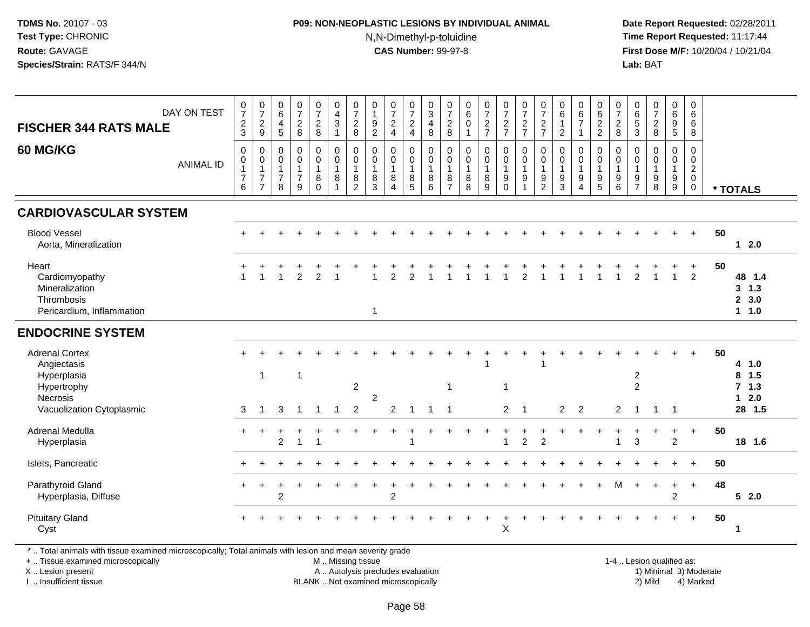#### **P09: NON-NEOPLASTIC LESIONS BY INDIVIDUAL ANIMAL**N,N-Dimethyl-p-toluidine

 **Date Report Requested:** 02/28/2011 **Time Report Requested:** 11:17:44 **First Dose M/F:** 10/20/04 / 10/21/04<br>**Lab:** BAT **Lab:** BAT

| DAY ON TEST<br><b>FISCHER 344 RATS MALE</b>                                                                 | $\frac{0}{7}$<br>$\frac{2}{3}$               | $\frac{0}{7}$<br>9                                                                              | $\begin{array}{c} 0 \\ 6 \end{array}$<br>$\overline{\mathbf{4}}$<br>5 | $\frac{0}{7}$<br>$\overline{a}$<br>8                    | $\frac{0}{7}$<br>$\frac{2}{8}$                              | $\begin{smallmatrix} 0\\4 \end{smallmatrix}$<br>$\ensuremath{\mathsf{3}}$<br>$\mathbf{1}$ | $\frac{0}{7}$<br>$_{8}^2$                               | $\begin{smallmatrix}0\\1\end{smallmatrix}$<br>$\frac{9}{2}$ | $\frac{0}{7}$<br>$\frac{2}{4}$                                          | $\frac{0}{7}$<br>$\sqrt{2}$<br>$\overline{4}$        | $\frac{0}{3}$<br>$\overline{4}$<br>8                 | $\frac{0}{7}$<br>$\sqrt{2}$<br>8                                          | $\begin{array}{c} 0 \\ 6 \end{array}$<br>$\pmb{0}$                 | $\frac{0}{7}$<br>$\frac{2}{7}$                                     | $\frac{0}{7}$<br>$\frac{2}{7}$                                             | $\frac{0}{7}$<br>$\frac{2}{7}$        | $\frac{0}{7}$<br>$\sqrt{2}$<br>$\overline{7}$                     | $_{6}^{\rm 0}$<br>$\mathbf{1}$<br>$\overline{2}$                  | $\begin{array}{c} 0 \\ 6 \end{array}$<br>$\overline{7}$<br>$\overline{1}$ | $062$<br>22                                                          | $\frac{0}{7}$<br>$\sqrt{2}$<br>8                                         | $_{6}^{\rm 0}$<br>$\,$ 5 $\,$<br>$\ensuremath{\mathsf{3}}$ | $\frac{0}{7}$<br>$\overline{a}$<br>8                 | $_{6}^{\rm 0}$<br>$\frac{9}{5}$                          | $\boldsymbol{0}$<br>$\,6\,$<br>$\,6\,$<br>8                                |          |                                                |
|-------------------------------------------------------------------------------------------------------------|----------------------------------------------|-------------------------------------------------------------------------------------------------|-----------------------------------------------------------------------|---------------------------------------------------------|-------------------------------------------------------------|-------------------------------------------------------------------------------------------|---------------------------------------------------------|-------------------------------------------------------------|-------------------------------------------------------------------------|------------------------------------------------------|------------------------------------------------------|---------------------------------------------------------------------------|--------------------------------------------------------------------|--------------------------------------------------------------------|----------------------------------------------------------------------------|---------------------------------------|-------------------------------------------------------------------|-------------------------------------------------------------------|---------------------------------------------------------------------------|----------------------------------------------------------------------|--------------------------------------------------------------------------|------------------------------------------------------------|------------------------------------------------------|----------------------------------------------------------|----------------------------------------------------------------------------|----------|------------------------------------------------|
| 60 MG/KG<br><b>ANIMAL ID</b>                                                                                | $\mathbf 0$<br>0<br>1<br>$\overline{7}$<br>6 | $\mathbf 0$<br>$\begin{smallmatrix}0\\1\end{smallmatrix}$<br>$\boldsymbol{7}$<br>$\overline{7}$ | $\mathbf 0$<br>$\pmb{0}$<br>$\mathbf{1}$<br>$\overline{7}$<br>8       | 0<br>$\mathbf 0$<br>$\mathbf{1}$<br>$\overline{7}$<br>9 | $\mathbf 0$<br>$\mathbf 0$<br>$\mathbf{1}$<br>8<br>$\Omega$ | $\mathbf 0$<br>$\pmb{0}$<br>$\mathbf{1}$<br>8<br>$\mathbf{1}$                             | $\mathbf 0$<br>0<br>$\mathbf{1}$<br>8<br>$\overline{2}$ | $\mathbf 0$<br>$\mathbf 0$<br>$\mathbf{1}$<br>$\, 8$<br>3   | $\mathbf 0$<br>$\mathbf 0$<br>$\mathbf{1}$<br>$\bf 8$<br>$\overline{4}$ | $\mathbf 0$<br>$\mathbf 0$<br>$\mathbf{1}$<br>8<br>5 | $\mathbf 0$<br>$\mathbf 0$<br>$\mathbf{1}$<br>8<br>6 | $\mathbf 0$<br>$\mathsf{O}\xspace$<br>$\mathbf{1}$<br>8<br>$\overline{7}$ | $\mathbf 0$<br>$\mathsf{O}\xspace$<br>$\mathbf{1}$<br>$\bf 8$<br>8 | $\mathbf 0$<br>$\mathsf{O}\xspace$<br>$\mathbf{1}$<br>$\,8\,$<br>9 | $\mathbf 0$<br>$\mathbf 0$<br>$\mathbf{1}$<br>$\boldsymbol{9}$<br>$\Omega$ | 0<br>$\mathbf 0$<br>$\mathbf{1}$<br>9 | $\mathbf 0$<br>$\mathbf 0$<br>$\mathbf{1}$<br>9<br>$\overline{2}$ | $\mathbf 0$<br>$\pmb{0}$<br>$\mathbf{1}$<br>$\boldsymbol{9}$<br>3 | $\mathbf 0$<br>$\mathbf 0$<br>$\mathbf{1}$<br>9<br>$\overline{4}$         | $\mathbf 0$<br>$\mathsf{O}$<br>$\mathbf{1}$<br>$\boldsymbol{9}$<br>5 | $\mathbf 0$<br>$\boldsymbol{0}$<br>$\mathbf{1}$<br>$\boldsymbol{9}$<br>6 | $\mathbf 0$<br>0<br>$\mathbf{1}$<br>9<br>$\overline{7}$    | $\mathbf 0$<br>$\mathbf 0$<br>$\mathbf{1}$<br>9<br>8 | $\mathbf 0$<br>$\mathbf 0$<br>$\mathbf{1}$<br>$9\,$<br>9 | $\mathbf 0$<br>$\mathbf 0$<br>$\overline{c}$<br>$\mathbf 0$<br>$\mathbf 0$ | * TOTALS |                                                |
| <b>CARDIOVASCULAR SYSTEM</b>                                                                                |                                              |                                                                                                 |                                                                       |                                                         |                                                             |                                                                                           |                                                         |                                                             |                                                                         |                                                      |                                                      |                                                                           |                                                                    |                                                                    |                                                                            |                                       |                                                                   |                                                                   |                                                                           |                                                                      |                                                                          |                                                            |                                                      |                                                          |                                                                            |          |                                                |
| <b>Blood Vessel</b><br>Aorta, Mineralization                                                                |                                              |                                                                                                 |                                                                       |                                                         |                                                             |                                                                                           |                                                         |                                                             |                                                                         |                                                      |                                                      |                                                                           |                                                                    |                                                                    |                                                                            |                                       |                                                                   |                                                                   |                                                                           |                                                                      |                                                                          |                                                            |                                                      |                                                          | $\ddot{}$                                                                  | 50       | $12.0$                                         |
| Heart<br>Cardiomyopathy<br>Mineralization<br>Thrombosis<br>Pericardium, Inflammation                        |                                              |                                                                                                 |                                                                       | $\mathfrak{p}$                                          | $\overline{2}$                                              |                                                                                           |                                                         | $\overline{1}$                                              | 2                                                                       |                                                      |                                                      |                                                                           |                                                                    |                                                                    |                                                                            | 2                                     |                                                                   |                                                                   |                                                                           |                                                                      |                                                                          | 2                                                          |                                                      | $\mathbf 1$                                              | $\overline{2}$                                                             | 50       | 48 1.4<br>$3 \t1.3$<br>2, 3.0<br>$1 1.0$       |
| <b>ENDOCRINE SYSTEM</b>                                                                                     |                                              |                                                                                                 |                                                                       |                                                         |                                                             |                                                                                           |                                                         |                                                             |                                                                         |                                                      |                                                      |                                                                           |                                                                    |                                                                    |                                                                            |                                       |                                                                   |                                                                   |                                                                           |                                                                      |                                                                          |                                                            |                                                      |                                                          |                                                                            |          |                                                |
| <b>Adrenal Cortex</b><br>Angiectasis<br>Hyperplasia<br>Hypertrophy<br>Necrosis<br>Vacuolization Cytoplasmic | 3                                            | $\overline{1}$                                                                                  | 3                                                                     | 1<br>-1                                                 | -1                                                          | $\mathbf 1$                                                                               | $\overline{c}$<br>$\overline{2}$                        | $\overline{c}$                                              | $\overline{c}$                                                          |                                                      | -1                                                   | $\overline{1}$                                                            |                                                                    |                                                                    | $\mathbf 1$<br>$\overline{2}$                                              | $\overline{1}$                        |                                                                   | $\overline{2}$                                                    | $\overline{2}$                                                            |                                                                      | $\overline{c}$                                                           | $\overline{c}$<br>$\overline{2}$<br>1                      | $\overline{1}$                                       |                                                          |                                                                            | 50       | 4 1.0<br>$8$ 1.5<br>7, 1.3<br>$12.0$<br>28 1.5 |
| Adrenal Medulla<br>Hyperplasia                                                                              |                                              |                                                                                                 | $\overline{2}$                                                        | $\overline{1}$                                          | $\overline{1}$                                              |                                                                                           |                                                         |                                                             |                                                                         |                                                      |                                                      |                                                                           |                                                                    |                                                                    | $\mathbf 1$                                                                | $\overline{a}$                        | $\overline{2}$                                                    |                                                                   |                                                                           |                                                                      | 1                                                                        | 3                                                          |                                                      | $\ddot{}$<br>$\overline{2}$                              | $+$                                                                        | 50       | 18 1.6                                         |
| Islets, Pancreatic                                                                                          |                                              |                                                                                                 |                                                                       |                                                         |                                                             |                                                                                           |                                                         |                                                             |                                                                         |                                                      |                                                      |                                                                           |                                                                    |                                                                    |                                                                            |                                       |                                                                   |                                                                   |                                                                           |                                                                      |                                                                          |                                                            |                                                      |                                                          | $\overline{+}$                                                             | 50       |                                                |
| Parathyroid Gland<br>Hyperplasia, Diffuse                                                                   | $\ddot{}$                                    | $\ddot{}$                                                                                       | 2                                                                     |                                                         |                                                             |                                                                                           |                                                         |                                                             | $\ddot{}$<br>$\overline{2}$                                             |                                                      |                                                      |                                                                           |                                                                    |                                                                    |                                                                            |                                       |                                                                   |                                                                   |                                                                           |                                                                      | M                                                                        | $\ddot{}$                                                  | $\ddot{}$                                            | $\ddot{}$<br>$\overline{2}$                              | $\ddot{}$                                                                  | 48       | $5 \quad 2.0$                                  |
| <b>Pituitary Gland</b><br>Cyst                                                                              |                                              |                                                                                                 |                                                                       |                                                         |                                                             |                                                                                           |                                                         |                                                             |                                                                         |                                                      |                                                      |                                                                           |                                                                    |                                                                    | X                                                                          |                                       |                                                                   |                                                                   |                                                                           |                                                                      |                                                                          |                                                            |                                                      |                                                          | $+$                                                                        | 50       | -1                                             |

+ .. Tissue examined microscopically

X .. Lesion present

I .. Insufficient tissue

M .. Missing tissue

A .. Autolysis precludes evaluation 1999 (1999) 1999 (1999) 1999 (1999) 1999 (1999) Minimal 3) Minimal 3) Minimal 3) Minimal 3) Mild BLANK .. Not examined microscopically 2) Mild 4) Marked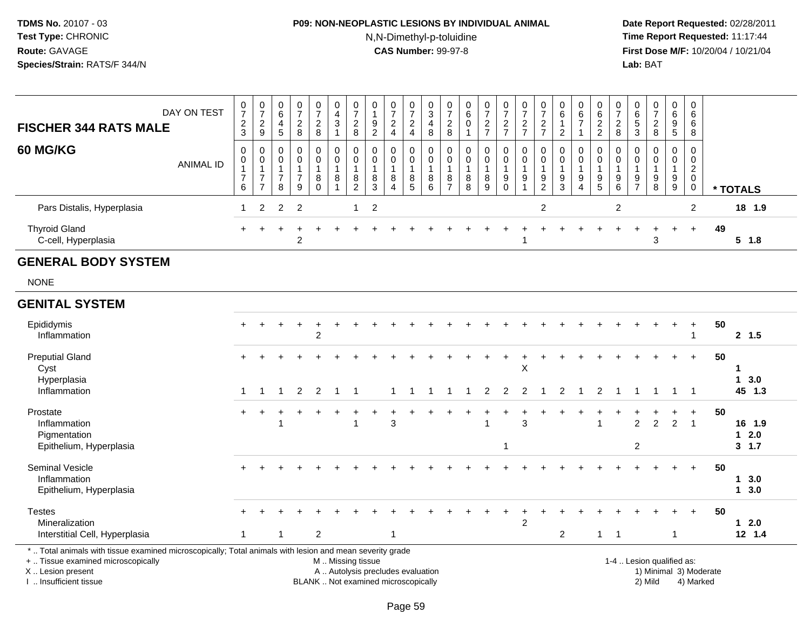### **P09: NON-NEOPLASTIC LESIONS BY INDIVIDUAL ANIMAL**N,N-Dimethyl-p-toluidine

 **Date Report Requested:** 02/28/2011 **Time Report Requested:** 11:17:44 **First Dose M/F:** 10/20/04 / 10/21/04<br>**Lab:** BAT **Lab:** BAT

| <b>FISCHER 344 RATS MALE</b><br><b>60 MG/KG</b> | DAY ON TEST      | 0<br>$\overline{ }$<br>$\overline{2}$<br>3<br>0 | 0<br>$\rightarrow$<br>ົ<br>∠<br>9<br>0 | $\mathbf 0$<br>6<br>5 | 0<br>-<br>ົ<br>∠<br>8<br>0 | 0<br>$\rightarrow$<br>ົ<br>$\epsilon$<br>8<br>0 | 0<br>4<br>$\mathbf{3}$<br>0 | 0<br>$\rightarrow$<br>ົ<br>∠<br>8<br>0 | $\boldsymbol{9}$<br>$\overline{2}$ | $\mathbf 0$<br>$\rightarrow$<br>$\overline{2}$<br>4<br>0 | 0<br>$\rightarrow$<br>ົ<br>$\epsilon$<br>4<br>0 | 0<br>$\mathbf{3}$<br>$\overline{4}$<br>8<br>0 | 0<br>$\rightarrow$<br>2<br>8<br>0 | 0<br>6<br>$\overline{0}$<br>0 | 0<br>$\rightarrow$<br>$\overline{2}$<br>$\rightarrow$<br>0 | 0<br>$\frac{2}{7}$<br>0 | $\frac{0}{7}$<br>$\frac{2}{7}$<br>0 | 0<br>$\rightarrow$<br>ົ<br>$\rightarrow$<br>0 | $\overline{\mathbf{0}}$<br>$6\phantom{1}6$<br>2<br>0 | 0<br>$6\phantom{a}$<br>$\rightarrow$<br>0 | 0<br>6<br>2<br>ົ<br><u>_</u><br>0 | 0<br>$\rightarrow$<br>2<br>8<br>0 | 0<br>6<br>5<br>3<br>0    | 0<br>2<br>8<br>0 | 0<br>6<br>9<br>5<br>0 | 0<br>6<br>6<br>8<br>0         |                 |  |
|-------------------------------------------------|------------------|-------------------------------------------------|----------------------------------------|-----------------------|----------------------------|-------------------------------------------------|-----------------------------|----------------------------------------|------------------------------------|----------------------------------------------------------|-------------------------------------------------|-----------------------------------------------|-----------------------------------|-------------------------------|------------------------------------------------------------|-------------------------|-------------------------------------|-----------------------------------------------|------------------------------------------------------|-------------------------------------------|-----------------------------------|-----------------------------------|--------------------------|------------------|-----------------------|-------------------------------|-----------------|--|
|                                                 | <b>ANIMAL ID</b> | 0<br>$\overline{ }$<br>6                        | 0<br>$\rightarrow$                     | 0<br>8                | 0<br>-<br>9                | 0<br>8<br>0                                     | 0<br>8                      | 0<br>8<br>$\overline{2}$               | 0<br>8<br>3                        | 0<br>8<br>4                                              | 8<br>5                                          | 8<br>6                                        | 0<br>8<br>$\rightarrow$           | 8<br>8                        | 0<br>8<br>9                                                | 0<br>9<br>0             | $\pmb{0}$<br>9                      | 0<br>9<br>2                                   | 9<br>3                                               | 0<br>9<br>4                               | 9<br>$5\overline{)}$              | 9<br>6                            | 0<br>9<br>$\overline{ }$ | 9<br>8           | 0<br>9<br>9           | 0<br>$\overline{2}$<br>0<br>0 | * TOTALS        |  |
| Pars Distalis, Hyperplasia                      |                  |                                                 | 2 2 2                                  |                       |                            |                                                 |                             |                                        | $1\quad 2$                         |                                                          |                                                 |                                               |                                   |                               |                                                            |                         |                                     | 2                                             |                                                      |                                           |                                   | 2                                 |                          |                  |                       | 2                             | 18 1.9          |  |
| <b>Thyroid Gland</b><br>C-cell, Hyperplasia     |                  | $+$                                             |                                        |                       | າ                          |                                                 |                             |                                        |                                    |                                                          |                                                 |                                               |                                   |                               |                                                            |                         |                                     |                                               |                                                      |                                           |                                   |                                   |                          | $\div$<br>3      | $\div$                | $+$                           | 49<br>$5 \t1.8$ |  |

#### **GENERAL BODY SYSTEM**

NONE

#### **GENITAL SYSTEM**

| Epididymis<br>Inflammation                                                                               | $+$       |  |               | $\overline{2}$ |  |                                                        |   |  |  |  |                |   |   |  |                | $\ddot{}$                 |       | $+$                    | 50 | 2, 1.5           |
|----------------------------------------------------------------------------------------------------------|-----------|--|---------------|----------------|--|--------------------------------------------------------|---|--|--|--|----------------|---|---|--|----------------|---------------------------|-------|------------------------|----|------------------|
| <b>Preputial Gland</b><br>Cyst<br>Hyperplasia                                                            | $\pm$     |  |               |                |  |                                                        |   |  |  |  | X              |   |   |  |                |                           | $\pm$ | $+$                    | 50 | 3.0              |
| Inflammation                                                                                             |           |  | $\mathcal{P}$ |                |  |                                                        |   |  |  |  |                |   |   |  |                |                           |       |                        |    | 45 1.3           |
| Prostate                                                                                                 | $\ddot{}$ |  |               |                |  |                                                        |   |  |  |  |                |   | + |  |                |                           |       | $+$                    | 50 |                  |
| Inflammation<br>Pigmentation                                                                             |           |  |               |                |  |                                                        | 3 |  |  |  | 3              |   |   |  | $\overline{2}$ | 2                         | 2     |                        |    | 16 1.9<br>$12.0$ |
| Epithelium, Hyperplasia                                                                                  |           |  |               |                |  |                                                        |   |  |  |  |                |   |   |  | 2              |                           |       |                        |    | 3, 1.7           |
| <b>Seminal Vesicle</b><br>Inflammation                                                                   | $+$       |  |               |                |  |                                                        |   |  |  |  |                |   |   |  |                |                           | $+$   | $+$                    | 50 | 3.0              |
| Epithelium, Hyperplasia                                                                                  |           |  |               |                |  |                                                        |   |  |  |  |                |   |   |  |                |                           |       |                        |    | 3.0<br>1         |
| <b>Testes</b>                                                                                            | $+$       |  |               |                |  |                                                        |   |  |  |  |                |   |   |  |                |                           |       | $+$                    | 50 |                  |
| Mineralization                                                                                           |           |  |               |                |  |                                                        |   |  |  |  | $\overline{2}$ |   |   |  |                |                           |       |                        |    | 2.0              |
| Interstitial Cell, Hyperplasia                                                                           |           |  |               | $\overline{2}$ |  |                                                        |   |  |  |  |                | 2 |   |  |                |                           |       |                        |    | 12 1.4           |
| *  Total animals with tissue examined microscopically; Total animals with lesion and mean severity grade |           |  |               |                |  |                                                        |   |  |  |  |                |   |   |  |                |                           |       |                        |    |                  |
| +  Tissue examined microscopically<br>X  Lesion present                                                  |           |  |               |                |  | M  Missing tissue<br>A  Autolysis precludes evaluation |   |  |  |  |                |   |   |  |                | 1-4  Lesion qualified as: |       | 1) Minimal 3) Moderate |    |                  |
|                                                                                                          |           |  |               |                |  |                                                        |   |  |  |  |                |   |   |  |                |                           |       |                        |    |                  |

I .. Insufficient tissueBLANK .. Not examined microscopically 2) Mild 4) Marked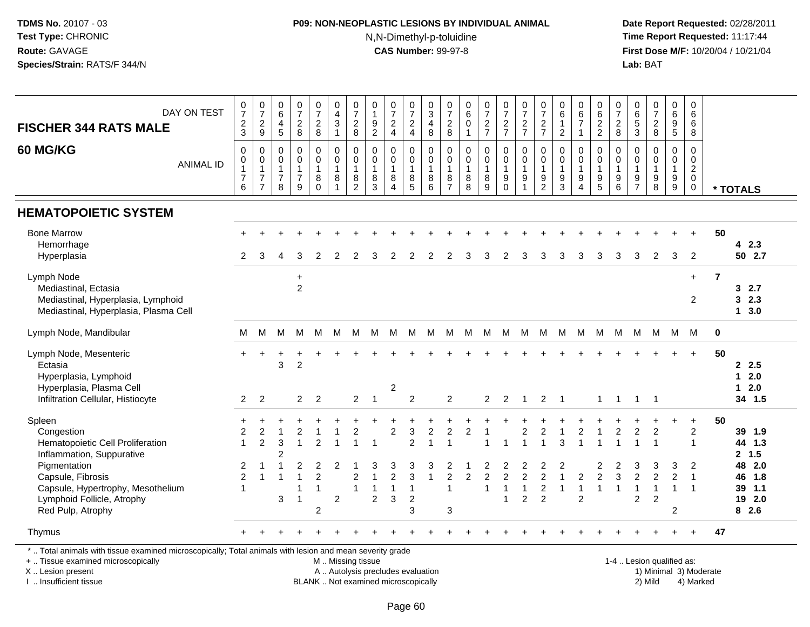### **P09: NON-NEOPLASTIC LESIONS BY INDIVIDUAL ANIMAL**N,N-Dimethyl-p-toluidine

 **Date Report Requested:** 02/28/2011 **Time Report Requested:** 11:17:44 **First Dose M/F:** 10/20/04 / 10/21/04<br>**Lab:** BAT **Lab:** BAT

| DAY ON TEST                                                                                              | $\frac{0}{7}$                    | $\frac{0}{7}$                  | 0<br>$\overline{6}$            | $\frac{0}{7}$                  | $\frac{0}{7}$       | $\begin{smallmatrix}0\\4\end{smallmatrix}$ | 0<br>$\overline{7}$ | 0<br>$\overline{1}$                | 0<br>$\overline{7}$          | $\frac{0}{7}$                    | 0<br>$\overline{3}$                | $\frac{0}{7}$              | $_{6}^{\rm 0}$              | $\frac{0}{7}$                    | $\frac{0}{7}$  | 0<br>$\overline{7}$              | $\frac{0}{7}$       | 0<br>6                   | $\begin{array}{c} 0 \\ 6 \\ 7 \end{array}$ | 0<br>$\overline{6}$                   | $\frac{0}{7}$                         | $\begin{matrix} 0 \\ 6 \\ 5 \end{matrix}$ | $\begin{smallmatrix}0\\7\end{smallmatrix}$ | 0<br>$\,6\,$                        | $\mathbf 0$<br>6              |                         |                  |
|----------------------------------------------------------------------------------------------------------|----------------------------------|--------------------------------|--------------------------------|--------------------------------|---------------------|--------------------------------------------|---------------------|------------------------------------|------------------------------|----------------------------------|------------------------------------|----------------------------|-----------------------------|----------------------------------|----------------|----------------------------------|---------------------|--------------------------|--------------------------------------------|---------------------------------------|---------------------------------------|-------------------------------------------|--------------------------------------------|-------------------------------------|-------------------------------|-------------------------|------------------|
| <b>FISCHER 344 RATS MALE</b>                                                                             | $\frac{2}{3}$                    | $\overline{c}$<br>9            | 4<br>5                         | $_{8}^2$                       | $\overline{c}$<br>8 | $\sqrt{3}$<br>$\mathbf{1}$                 | $\overline{2}$<br>8 | $\boldsymbol{9}$<br>$\overline{2}$ | $\sqrt{2}$<br>$\overline{4}$ | $\overline{c}$<br>$\overline{4}$ | 4<br>8                             | $_{\rm 8}^2$               | $\mathbf 0$<br>$\mathbf{1}$ | $\overline{a}$<br>$\overline{7}$ | $\frac{2}{7}$  | $\overline{c}$<br>$\overline{7}$ | $\frac{2}{7}$       | 1<br>$\overline{c}$      | $\mathbf{1}$                               | $\overline{c}$<br>$\overline{2}$      | $_{\rm 8}^2$                          | $\mathbf{3}$                              | $\frac{2}{8}$                              | $\boldsymbol{9}$<br>$5\phantom{.0}$ | 6<br>8                        |                         |                  |
| 60 MG/KG                                                                                                 | $\mathbf 0$                      | $\mathbf 0$                    | $\mathbf 0$                    | $\mathbf 0$                    | $\mathbf 0$         | $\mathbf 0$                                | $\Omega$            | $\mathbf 0$                        | $\mathbf 0$                  | $\mathbf 0$                      |                                    |                            | $\mathbf 0$                 | $\mathbf 0$                      | $\mathbf 0$    |                                  | $\mathbf 0$         | $\mathbf 0$              |                                            | $\Omega$                              |                                       | $\mathbf 0$                               | $\mathbf 0$                                | $\Omega$                            | $\Omega$                      |                         |                  |
| <b>ANIMAL ID</b>                                                                                         | $\mathbf 0$                      | $\mathbf 0$                    | $\mathbf 0$                    | $\mathbf 0$                    | $\mathbf 0$         | $\pmb{0}$                                  | $\mathbf 0$         | $\mathbf 0$                        | $\mathbf 0$                  | $\mathbf 0$                      | $\mathbf 0$<br>$\mathsf{O}\xspace$ | $\mathbf 0$<br>$\mathsf 0$ | $\mathsf{O}$                | $\mathbf 0$                      | $\mathbf 0$    | 0<br>$\mathbf 0$                 | $\mathbf 0$         | $\mathbf 0$              | 0<br>$\mathbf 0$                           | 0                                     | $\mathbf 0$<br>0                      | $\mathbf 0$                               | $\mathbf 0$                                | $\mathbf 0$                         | $\mathbf 0$                   |                         |                  |
|                                                                                                          | $\mathbf{1}$<br>$\overline{7}$   | $\mathbf{1}$<br>$\overline{7}$ | $\mathbf{1}$<br>$\overline{7}$ | $\mathbf{1}$<br>$\overline{7}$ | $\mathbf{1}$<br>8   | $\mathbf{1}$<br>8                          | $\mathbf{1}$<br>8   | $\mathbf{1}$<br>$\,8\,$            | $\mathbf{1}$<br>8            | $\mathbf{1}$<br>$\bf 8$          | $\mathbf{1}$<br>8                  | $\mathbf{1}$               | $\mathbf{1}$                | $\mathbf{1}$                     | $\mathbf{1}$   | $\overline{1}$<br>9              | $\mathbf{1}$        | 1<br>9                   | $\mathbf{1}$                               | $\mathbf{1}$                          | $\mathbf{1}$                          | $\mathbf{1}$                              | $\mathbf{1}$                               | $\mathbf{1}$<br>$\boldsymbol{9}$    | $\overline{2}$<br>$\mathbf 0$ |                         |                  |
|                                                                                                          | 6                                | $\overline{7}$                 | 8                              | 9                              | $\overline{0}$      |                                            | $\overline{2}$      | $\overline{3}$                     | $\overline{4}$               | $\overline{5}$                   | 6                                  | $\frac{8}{7}$              | $_{8}^8$                    | $^8_9$                           | $_{0}^{9}$     |                                  | $\frac{9}{2}$       | $\overline{3}$           | $\frac{9}{4}$                              | $\begin{array}{c} 9 \\ 5 \end{array}$ | $\begin{array}{c} 9 \\ 6 \end{array}$ | $\frac{9}{7}$                             | $_{8}^{\rm 9}$                             | $\overline{9}$                      | $\mathbf 0$                   |                         | * TOTALS         |
| <b>HEMATOPOIETIC SYSTEM</b>                                                                              |                                  |                                |                                |                                |                     |                                            |                     |                                    |                              |                                  |                                    |                            |                             |                                  |                |                                  |                     |                          |                                            |                                       |                                       |                                           |                                            |                                     |                               |                         |                  |
| <b>Bone Marrow</b>                                                                                       |                                  |                                |                                |                                |                     |                                            |                     |                                    |                              |                                  |                                    |                            |                             |                                  |                |                                  |                     |                          |                                            |                                       |                                       |                                           |                                            |                                     |                               | 50                      |                  |
| Hemorrhage                                                                                               |                                  |                                |                                |                                |                     |                                            |                     |                                    |                              |                                  |                                    |                            |                             |                                  |                |                                  |                     |                          |                                            |                                       |                                       |                                           |                                            |                                     |                               |                         | 4 2.3            |
| Hyperplasia                                                                                              | 2                                | 3                              |                                | З                              |                     |                                            |                     |                                    | 2                            |                                  |                                    |                            | 3                           | 3                                | 2              | 3                                | 3                   | 3                        | 3                                          | 3                                     | 3                                     | 3                                         | 2                                          | 3                                   | $\overline{2}$                |                         | 50 2.7           |
| Lymph Node                                                                                               |                                  |                                |                                | $\ddot{}$                      |                     |                                            |                     |                                    |                              |                                  |                                    |                            |                             |                                  |                |                                  |                     |                          |                                            |                                       |                                       |                                           |                                            |                                     | $\ddot{}$                     | $\overline{\mathbf{r}}$ |                  |
| Mediastinal, Ectasia                                                                                     |                                  |                                |                                | $\overline{2}$                 |                     |                                            |                     |                                    |                              |                                  |                                    |                            |                             |                                  |                |                                  |                     |                          |                                            |                                       |                                       |                                           |                                            |                                     |                               |                         | 32.7             |
| Mediastinal, Hyperplasia, Lymphoid                                                                       |                                  |                                |                                |                                |                     |                                            |                     |                                    |                              |                                  |                                    |                            |                             |                                  |                |                                  |                     |                          |                                            |                                       |                                       |                                           |                                            |                                     | $\overline{c}$                |                         | 32.3             |
| Mediastinal, Hyperplasia, Plasma Cell                                                                    |                                  |                                |                                |                                |                     |                                            |                     |                                    |                              |                                  |                                    |                            |                             |                                  |                |                                  |                     |                          |                                            |                                       |                                       |                                           |                                            |                                     |                               |                         | 13.0             |
| Lymph Node, Mandibular                                                                                   | м                                | М                              | М                              | M                              | M                   | M                                          | M                   | M                                  | M                            | M                                | M                                  | M                          | M                           | M                                | M              | М                                | M                   | M                        | M                                          | M                                     | M                                     | M                                         | M                                          | M                                   | M                             | $\mathbf 0$             |                  |
| Lymph Node, Mesenteric                                                                                   |                                  |                                |                                |                                |                     |                                            |                     |                                    |                              |                                  |                                    |                            |                             |                                  |                |                                  |                     |                          |                                            |                                       |                                       |                                           |                                            |                                     |                               | 50                      |                  |
| Ectasia                                                                                                  |                                  |                                | 3                              | $\overline{c}$                 |                     |                                            |                     |                                    |                              |                                  |                                    |                            |                             |                                  |                |                                  |                     |                          |                                            |                                       |                                       |                                           |                                            |                                     |                               |                         | 2.5              |
| Hyperplasia, Lymphoid                                                                                    |                                  |                                |                                |                                |                     |                                            |                     |                                    |                              |                                  |                                    |                            |                             |                                  |                |                                  |                     |                          |                                            |                                       |                                       |                                           |                                            |                                     |                               |                         | $12.0$           |
| Hyperplasia, Plasma Cell<br>Infiltration Cellular, Histiocyte                                            | $\overline{2}$                   | 2                              |                                | $\overline{2}$                 | 2                   |                                            | $\overline{2}$      | - 1                                | $\overline{c}$               | $\overline{2}$                   |                                    | 2                          |                             | 2                                | 2              | $\overline{1}$                   | $\overline{2}$      | $\overline{\phantom{1}}$ |                                            | $\mathbf{1}$                          | $\mathbf{1}$                          | $\overline{1}$                            | $\overline{\phantom{1}}$                   |                                     |                               |                         | $12.0$<br>34 1.5 |
|                                                                                                          |                                  |                                |                                |                                |                     |                                            |                     |                                    |                              |                                  |                                    |                            |                             |                                  |                |                                  |                     |                          |                                            |                                       |                                       |                                           |                                            |                                     |                               |                         |                  |
| Spleen                                                                                                   |                                  |                                |                                |                                |                     |                                            |                     |                                    |                              |                                  |                                    |                            |                             |                                  |                |                                  |                     |                          |                                            |                                       |                                       |                                           |                                            |                                     | $\ddot{}$                     | 50                      |                  |
| Congestion                                                                                               | $\overline{2}$                   | $\overline{2}$                 |                                | $\overline{2}$                 |                     |                                            | 2                   |                                    | $\overline{c}$               | 3                                | $\mathfrak{p}$                     | $\mathfrak{p}$             | $\overline{2}$              |                                  |                | 2                                | 2                   |                          | 2                                          |                                       | 2                                     | $\overline{2}$                            | $\overline{c}$                             |                                     | $\overline{c}$                |                         | 39 1.9           |
| Hematopoietic Cell Proliferation                                                                         | $\overline{\mathbf{1}}$          | $\overline{2}$                 | 3                              | $\overline{1}$                 | 2                   |                                            |                     | -1                                 |                              | $\mathfrak{p}$                   | $\overline{ }$                     |                            |                             |                                  |                |                                  |                     | 3                        |                                            |                                       |                                       |                                           | $\overline{1}$                             |                                     | $\mathbf{1}$                  |                         | 44 1.3           |
| Inflammation, Suppurative<br>Pigmentation                                                                |                                  | 1                              |                                | $\overline{2}$                 |                     | $\overline{2}$                             |                     |                                    | 3                            |                                  |                                    |                            |                             |                                  |                |                                  |                     |                          |                                            | 2                                     |                                       |                                           |                                            |                                     | $\overline{2}$                |                         | 2, 1.5<br>48 2.0 |
|                                                                                                          | $\overline{c}$<br>$\overline{2}$ | 1                              |                                | $\overline{1}$                 | 2<br>$\overline{2}$ |                                            | $\mathfrak{p}$      | $\overline{1}$                     | $\overline{2}$               | 3                                | $\overline{1}$                     | $\mathfrak{p}$             | $\overline{2}$              | $\overline{2}$                   | $\overline{2}$ | $\overline{2}$                   |                     |                          | 2                                          | $\overline{2}$                        | 3                                     | $\overline{2}$                            | $\overline{2}$                             | $\overline{2}$                      | $\overline{1}$                |                         | 46 1.8           |
| Capsule, Fibrosis                                                                                        | $\overline{1}$                   |                                |                                |                                |                     |                                            |                     | 1                                  | 1                            | $\overline{1}$                   |                                    | $\mathbf{1}$               |                             |                                  | -1             | 1                                |                     |                          |                                            |                                       |                                       | $\overline{1}$                            | $\overline{1}$                             | $\overline{1}$                      | $\mathbf{1}$                  |                         | 39 1.1           |
| Capsule, Hypertrophy, Mesothelium<br>Lymphoid Follicle, Atrophy                                          |                                  |                                | 3                              | $\overline{1}$                 |                     | $\overline{c}$                             |                     | $\overline{2}$                     | $\mathfrak{S}$               | $\overline{c}$                   |                                    |                            |                             |                                  | 1              | $\overline{2}$                   | 2<br>$\overline{2}$ |                          | 2                                          |                                       |                                       | $\overline{c}$                            | $\overline{2}$                             |                                     |                               |                         | 19 2.0           |
|                                                                                                          |                                  |                                |                                |                                |                     |                                            |                     |                                    |                              | 3                                |                                    |                            |                             |                                  |                |                                  |                     |                          |                                            |                                       |                                       |                                           |                                            |                                     |                               |                         | 82.6             |
| Red Pulp, Atrophy                                                                                        |                                  |                                |                                |                                | $\overline{2}$      |                                            |                     |                                    |                              |                                  |                                    | 3                          |                             |                                  |                |                                  |                     |                          |                                            |                                       |                                       |                                           |                                            | $\overline{2}$                      |                               |                         |                  |
| Thymus                                                                                                   |                                  |                                |                                |                                |                     |                                            |                     |                                    |                              |                                  |                                    |                            |                             |                                  |                |                                  |                     |                          |                                            |                                       |                                       |                                           |                                            |                                     | $\ddot{}$                     | 47                      |                  |
| *  Total animals with tissue examined microscopically; Total animals with lesion and mean severity grade |                                  |                                |                                |                                |                     |                                            |                     |                                    |                              |                                  |                                    |                            |                             |                                  |                |                                  |                     |                          |                                            |                                       |                                       |                                           |                                            |                                     |                               |                         |                  |
| +  Tissue examined microscopically                                                                       |                                  |                                |                                |                                |                     | M  Missing tissue                          |                     |                                    |                              |                                  |                                    |                            |                             |                                  |                |                                  |                     |                          |                                            |                                       |                                       |                                           | 1-4  Lesion qualified as:                  |                                     |                               |                         |                  |

+ .. Tissue examined microscopically

X .. Lesion present

I .. Insufficient tissue

A .. Autolysis precludes evaluation

BLANK .. Not examined microscopically 2) Mild 4) Marked

1-4 .. Lesion qualified as: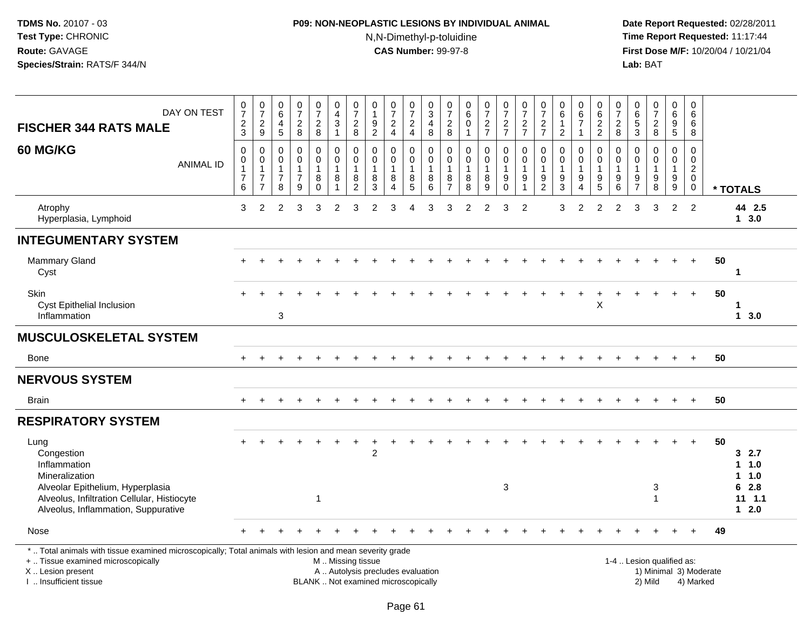### **P09: NON-NEOPLASTIC LESIONS BY INDIVIDUAL ANIMAL**N,N-Dimethyl-p-toluidine

 **Date Report Requested:** 02/28/2011 **Time Report Requested:** 11:17:44 **First Dose M/F:** 10/20/04 / 10/21/04<br>**Lab:** BAT **Lab:** BAT

| DAY ON TEST<br><b>FISCHER 344 RATS MALE</b>                                                                                                                                                  | $\frac{0}{7}$<br>$\frac{2}{3}$                               | $\frac{0}{7}$<br>$\frac{2}{9}$                                     | $\begin{array}{c} 0 \\ 6 \end{array}$<br>$\overline{4}$<br>$\sqrt{5}$ | $\begin{smallmatrix}0\\7\end{smallmatrix}$<br>$_{\rm 8}^2$    | $\frac{0}{7}$<br>$\frac{2}{8}$                       | $\pmb{0}$<br>$\overline{4}$<br>$\sqrt{3}$<br>$\mathbf{1}$               | 0<br>$\overline{7}$<br>$^2_8$                                  | $\pmb{0}$<br>$\mathbf{1}$<br>$\boldsymbol{9}$<br>$\overline{2}$ | $\begin{array}{c} 0 \\ 7 \end{array}$<br>$_4^2$                          | $\begin{array}{c} 0 \\ 7 \end{array}$<br>$_4^2$                                     | 0<br>$\overline{3}$<br>$\overline{4}$<br>8                             | 0<br>$\overline{7}$<br>$\frac{2}{8}$                    | $\begin{array}{c} 0 \\ 6 \end{array}$<br>$\mathsf 0$<br>$\mathbf{1}$ | $\frac{0}{7}$<br>$\frac{2}{7}$                            | $\begin{array}{c} 0 \\ 7 \end{array}$<br>$\frac{2}{7}$ | $\begin{array}{c} 0 \\ 7 \end{array}$<br>$\frac{2}{7}$            | $\pmb{0}$<br>$\overline{7}$<br>$\frac{2}{7}$            | $\mathbf 0$<br>6<br>$\overline{1}$<br>$\overline{2}$                   | $_{6}^{\rm 0}$<br>$\overline{7}$<br>$\mathbf{1}$        | $\begin{array}{c} 0 \\ 6 \end{array}$<br>$\frac{2}{2}$                              | $\begin{array}{c} 0 \\ 7 \end{array}$<br>$_{\rm 8}^2$ | 0<br>$6\phantom{a}$<br>$\frac{5}{3}$                      | $\begin{array}{c} 0 \\ 7 \end{array}$<br>$\frac{2}{8}$                     | 0<br>$\overline{6}$<br>$\boldsymbol{9}$<br>$\overline{5}$      | 0<br>$6\overline{6}$<br>6<br>8                                          |    |                              |
|----------------------------------------------------------------------------------------------------------------------------------------------------------------------------------------------|--------------------------------------------------------------|--------------------------------------------------------------------|-----------------------------------------------------------------------|---------------------------------------------------------------|------------------------------------------------------|-------------------------------------------------------------------------|----------------------------------------------------------------|-----------------------------------------------------------------|--------------------------------------------------------------------------|-------------------------------------------------------------------------------------|------------------------------------------------------------------------|---------------------------------------------------------|----------------------------------------------------------------------|-----------------------------------------------------------|--------------------------------------------------------|-------------------------------------------------------------------|---------------------------------------------------------|------------------------------------------------------------------------|---------------------------------------------------------|-------------------------------------------------------------------------------------|-------------------------------------------------------|-----------------------------------------------------------|----------------------------------------------------------------------------|----------------------------------------------------------------|-------------------------------------------------------------------------|----|------------------------------|
| <b>60 MG/KG</b><br><b>ANIMAL ID</b>                                                                                                                                                          | $\boldsymbol{0}$<br>0<br>$\mathbf{1}$<br>$\overline{7}$<br>6 | $\pmb{0}$<br>0<br>$\mathbf{1}$<br>$\overline{7}$<br>$\overline{7}$ | $\pmb{0}$<br>0<br>$\overline{1}$<br>$\boldsymbol{7}$<br>8             | $\pmb{0}$<br>$\pmb{0}$<br>$\mathbf{1}$<br>$\overline{7}$<br>9 | 0<br>$\mathbf 0$<br>$\mathbf{1}$<br>8<br>$\mathbf 0$ | $\mathbf 0$<br>$\mathbf 0$<br>$\mathbf{1}$<br>$\bf 8$<br>$\overline{1}$ | $\Omega$<br>$\mathbf 0$<br>$\mathbf{1}$<br>8<br>$\overline{2}$ | $\Omega$<br>$\mathbf 0$<br>$\mathbf{1}$<br>8<br>3               | $\Omega$<br>$\mathbf 0$<br>$\mathbf{1}$<br>$\bf8$<br>4                   | $\mathbf 0$<br>$\mathbf 0$<br>$\mathbf{1}$<br>$\begin{array}{c} 8 \\ 5 \end{array}$ | $\Omega$<br>$\mathbf 0$<br>$\overline{1}$<br>$\bf 8$<br>$6\phantom{1}$ | 0<br>$\mathbf 0$<br>$\mathbf{1}$<br>8<br>$\overline{7}$ | $\pmb{0}$<br>$\mathbf 0$<br>$\mathbf{1}$<br>$_{8}^8$                 | $\pmb{0}$<br>$\mathbf 0$<br>$\mathbf{1}$<br>$\frac{8}{9}$ | 0<br>$\mathbf 0$<br>$\mathbf{1}$<br>$_{0}^{9}$         | $\pmb{0}$<br>$\mathsf{O}\xspace$<br>$\mathbf{1}$<br>$\frac{9}{1}$ | 0<br>$\mathbf 0$<br>$\mathbf{1}$<br>9<br>$\overline{2}$ | 0<br>$\mathbf 0$<br>$\mathbf{1}$<br>$\boldsymbol{9}$<br>$\overline{3}$ | 0<br>$\mathbf 0$<br>$\mathbf{1}$<br>9<br>$\overline{4}$ | $\mathbf 0$<br>$\mathbf 0$<br>$\mathbf{1}$<br>$\begin{array}{c} 9 \\ 5 \end{array}$ | $\mathsf 0$<br>$\mathsf 0$<br>$\mathbf{1}$<br>9<br>6  | 0<br>$\mathbf 0$<br>$\overline{1}$<br>9<br>$\overline{7}$ | $\Omega$<br>$\Omega$<br>$\mathbf{1}$<br>$\boldsymbol{9}$<br>$\overline{8}$ | $\Omega$<br>$\mathbf 0$<br>$\mathbf{1}$<br>9<br>$\overline{9}$ | $\Omega$<br>$\mathbf 0$<br>$\overline{2}$<br>$\mathbf 0$<br>$\mathbf 0$ |    | * TOTALS                     |
| Atrophy<br>Hyperplasia, Lymphoid                                                                                                                                                             | 3                                                            | $\overline{2}$                                                     | $\overline{2}$                                                        | 3                                                             | 3                                                    | $\overline{2}$                                                          | 3                                                              | 2                                                               | 3                                                                        | Δ                                                                                   | 3                                                                      | 3                                                       | $\mathfrak{p}$                                                       | $\overline{2}$                                            | 3                                                      | $\overline{2}$                                                    |                                                         | 3                                                                      | $\overline{2}$                                          | 2                                                                                   | 2                                                     | 3                                                         | 3                                                                          | 2                                                              | 2                                                                       |    | 44 2.5<br>13.0               |
| <b>INTEGUMENTARY SYSTEM</b>                                                                                                                                                                  |                                                              |                                                                    |                                                                       |                                                               |                                                      |                                                                         |                                                                |                                                                 |                                                                          |                                                                                     |                                                                        |                                                         |                                                                      |                                                           |                                                        |                                                                   |                                                         |                                                                        |                                                         |                                                                                     |                                                       |                                                           |                                                                            |                                                                |                                                                         |    |                              |
| <b>Mammary Gland</b><br>Cyst                                                                                                                                                                 |                                                              |                                                                    |                                                                       |                                                               |                                                      |                                                                         |                                                                |                                                                 |                                                                          |                                                                                     |                                                                        |                                                         |                                                                      |                                                           |                                                        |                                                                   |                                                         |                                                                        |                                                         |                                                                                     |                                                       |                                                           |                                                                            |                                                                | $+$                                                                     | 50 | 1                            |
| Skin<br>Cyst Epithelial Inclusion<br>Inflammation                                                                                                                                            |                                                              |                                                                    | $\mathbf{3}$                                                          |                                                               |                                                      |                                                                         |                                                                |                                                                 |                                                                          |                                                                                     |                                                                        |                                                         |                                                                      |                                                           |                                                        |                                                                   |                                                         |                                                                        |                                                         | $\boldsymbol{\mathsf{X}}$                                                           |                                                       |                                                           |                                                                            |                                                                | $+$                                                                     | 50 | $\mathbf 1$<br>13.0          |
| <b>MUSCULOSKELETAL SYSTEM</b>                                                                                                                                                                |                                                              |                                                                    |                                                                       |                                                               |                                                      |                                                                         |                                                                |                                                                 |                                                                          |                                                                                     |                                                                        |                                                         |                                                                      |                                                           |                                                        |                                                                   |                                                         |                                                                        |                                                         |                                                                                     |                                                       |                                                           |                                                                            |                                                                |                                                                         |    |                              |
| <b>Bone</b>                                                                                                                                                                                  |                                                              |                                                                    |                                                                       |                                                               |                                                      |                                                                         |                                                                |                                                                 |                                                                          |                                                                                     |                                                                        |                                                         |                                                                      |                                                           |                                                        |                                                                   |                                                         |                                                                        |                                                         |                                                                                     |                                                       |                                                           |                                                                            |                                                                |                                                                         | 50 |                              |
| <b>NERVOUS SYSTEM</b>                                                                                                                                                                        |                                                              |                                                                    |                                                                       |                                                               |                                                      |                                                                         |                                                                |                                                                 |                                                                          |                                                                                     |                                                                        |                                                         |                                                                      |                                                           |                                                        |                                                                   |                                                         |                                                                        |                                                         |                                                                                     |                                                       |                                                           |                                                                            |                                                                |                                                                         |    |                              |
| <b>Brain</b>                                                                                                                                                                                 |                                                              |                                                                    |                                                                       |                                                               |                                                      |                                                                         |                                                                |                                                                 |                                                                          |                                                                                     |                                                                        |                                                         |                                                                      |                                                           |                                                        |                                                                   |                                                         |                                                                        |                                                         |                                                                                     |                                                       |                                                           |                                                                            |                                                                | $+$                                                                     | 50 |                              |
| <b>RESPIRATORY SYSTEM</b>                                                                                                                                                                    |                                                              |                                                                    |                                                                       |                                                               |                                                      |                                                                         |                                                                |                                                                 |                                                                          |                                                                                     |                                                                        |                                                         |                                                                      |                                                           |                                                        |                                                                   |                                                         |                                                                        |                                                         |                                                                                     |                                                       |                                                           |                                                                            |                                                                |                                                                         |    |                              |
| Lung<br>Congestion<br>Inflammation<br>Mineralization<br>Alveolar Epithelium, Hyperplasia                                                                                                     |                                                              |                                                                    |                                                                       |                                                               |                                                      |                                                                         |                                                                | 2                                                               |                                                                          |                                                                                     |                                                                        |                                                         |                                                                      |                                                           | 3                                                      |                                                                   |                                                         |                                                                        |                                                         |                                                                                     |                                                       |                                                           | 3                                                                          |                                                                | $+$                                                                     | 50 | 32.7<br>11.0<br>11.0<br>62.8 |
| Alveolus, Infiltration Cellular, Histiocyte<br>Alveolus, Inflammation, Suppurative                                                                                                           |                                                              |                                                                    |                                                                       |                                                               | $\overline{1}$                                       |                                                                         |                                                                |                                                                 |                                                                          |                                                                                     |                                                                        |                                                         |                                                                      |                                                           |                                                        |                                                                   |                                                         |                                                                        |                                                         |                                                                                     |                                                       |                                                           | $\mathbf{1}$                                                               |                                                                |                                                                         |    | $11 \quad 1.1$<br>$12.0$     |
| Nose                                                                                                                                                                                         |                                                              |                                                                    |                                                                       |                                                               |                                                      |                                                                         |                                                                |                                                                 |                                                                          |                                                                                     |                                                                        |                                                         |                                                                      |                                                           |                                                        |                                                                   |                                                         |                                                                        |                                                         |                                                                                     |                                                       |                                                           |                                                                            |                                                                |                                                                         | 49 |                              |
| *  Total animals with tissue examined microscopically; Total animals with lesion and mean severity grade<br>+  Tissue examined microscopically<br>X Lesion present<br>I. Insufficient tissue |                                                              |                                                                    |                                                                       |                                                               |                                                      | M  Missing tissue                                                       |                                                                |                                                                 | A  Autolysis precludes evaluation<br>BLANK  Not examined microscopically |                                                                                     |                                                                        |                                                         |                                                                      |                                                           |                                                        |                                                                   |                                                         |                                                                        |                                                         |                                                                                     |                                                       |                                                           | 1-4  Lesion qualified as:<br>2) Mild                                       |                                                                | 1) Minimal 3) Moderate<br>4) Marked                                     |    |                              |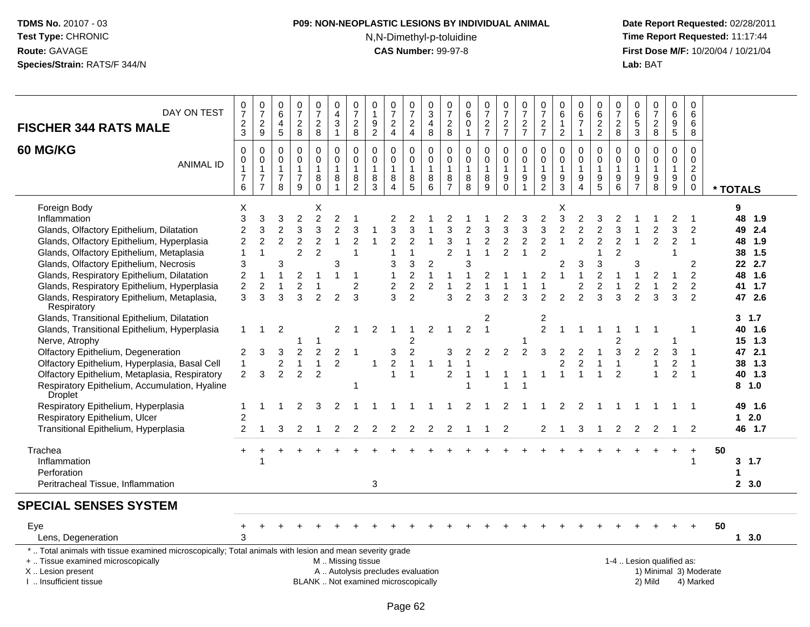## **P09: NON-NEOPLASTIC LESIONS BY INDIVIDUAL ANIMAL**N,N-Dimethyl-p-toluidine

 **Date Report Requested:** 02/28/2011 **Time Report Requested:** 11:17:44 **First Dose M/F:** 10/20/04 / 10/21/04<br>**Lab:** BAT **Lab:** BAT

| DAY ON TEST<br><b>FISCHER 344 RATS MALE</b>                                                                                                                                                                                                                                                                                                                                    | $\frac{0}{7}$<br>$\overline{\mathbf{c}}$<br>$\mathbf{3}$                                                 | $\frac{0}{7}$<br>$\overline{c}$<br>9                                | $\pmb{0}$<br>$\,6$<br>$\overline{4}$<br>$\sqrt{5}$                                  | 0<br>$\overline{7}$<br>$\boldsymbol{2}$<br>8                                        | $\frac{0}{7}$<br>$\sqrt{2}$<br>$\,8\,$                                                                       | 0<br>$\overline{\mathbf{4}}$<br>$\mathfrak{S}$<br>$\mathbf{1}$               | 0<br>$\overline{7}$<br>$\sqrt{2}$<br>8              | 0<br>$\mathbf{1}$<br>$\boldsymbol{9}$<br>$\overline{2}$                  | $\pmb{0}$<br>$\overline{7}$<br>$\boldsymbol{2}$<br>$\overline{4}$ | $\begin{array}{c} 0 \\ 7 \end{array}$<br>$\sqrt{2}$<br>$\overline{4}$                                            | 0<br>$\mathbf 3$<br>$\overline{4}$<br>8                   | 0<br>$\overline{7}$<br>$\sqrt{2}$<br>8                     | 0<br>6<br>$\Omega$<br>$\mathbf{1}$                           | $\frac{0}{7}$<br>$\sqrt{2}$<br>$\overline{7}$ | $\frac{0}{7}$<br>$\overline{c}$<br>$\overline{7}$                                                 | $\frac{0}{7}$<br>$\overline{2}$<br>$\overline{7}$           | $\pmb{0}$<br>$\overline{7}$<br>$\sqrt{2}$<br>$\overline{7}$       | $\mathbf 0$<br>$\,6\,$<br>$\overline{1}$<br>$\overline{2}$ | 0<br>$\,6\,$<br>$\overline{7}$<br>$\mathbf{1}$                                                               | 0<br>$\,6\,$<br>$\sqrt{2}$<br>$\overline{c}$                                             | 0<br>$\overline{7}$<br>$\boldsymbol{2}$<br>8            | 0<br>6<br>5<br>$\mathbf{3}$                         | $\pmb{0}$<br>$\boldsymbol{7}$<br>$\boldsymbol{2}$<br>8         | $\pmb{0}$<br>$\,6\,$<br>$\boldsymbol{9}$<br>$\sqrt{5}$                        | $\mathbf 0$<br>6<br>6<br>8                                               |    |                                                                                                     |
|--------------------------------------------------------------------------------------------------------------------------------------------------------------------------------------------------------------------------------------------------------------------------------------------------------------------------------------------------------------------------------|----------------------------------------------------------------------------------------------------------|---------------------------------------------------------------------|-------------------------------------------------------------------------------------|-------------------------------------------------------------------------------------|--------------------------------------------------------------------------------------------------------------|------------------------------------------------------------------------------|-----------------------------------------------------|--------------------------------------------------------------------------|-------------------------------------------------------------------|------------------------------------------------------------------------------------------------------------------|-----------------------------------------------------------|------------------------------------------------------------|--------------------------------------------------------------|-----------------------------------------------|---------------------------------------------------------------------------------------------------|-------------------------------------------------------------|-------------------------------------------------------------------|------------------------------------------------------------|--------------------------------------------------------------------------------------------------------------|------------------------------------------------------------------------------------------|---------------------------------------------------------|-----------------------------------------------------|----------------------------------------------------------------|-------------------------------------------------------------------------------|--------------------------------------------------------------------------|----|-----------------------------------------------------------------------------------------------------|
| 60 MG/KG<br><b>ANIMAL ID</b>                                                                                                                                                                                                                                                                                                                                                   | $\Omega$<br>0<br>$\mathbf{1}$<br>$\overline{7}$<br>6                                                     | $\Omega$<br>0<br>$\overline{1}$<br>$\overline{7}$<br>$\overline{7}$ | 0<br>$\mathsf{O}\xspace$<br>$\mathbf{1}$<br>$\overline{7}$<br>8                     | $\Omega$<br>0<br>$\mathbf{1}$<br>$\overline{7}$<br>$\boldsymbol{9}$                 | $\mathbf 0$<br>$\mathbf 0$<br>$\mathbf{1}$<br>8<br>$\mathbf 0$                                               | 0<br>$\mathsf 0$<br>$\mathbf{1}$<br>8<br>$\mathbf{1}$                        | $\Omega$<br>$\pmb{0}$<br>1<br>8<br>$\boldsymbol{2}$ | 0<br>$\pmb{0}$<br>$\mathbf{1}$<br>8<br>3                                 | $\Omega$<br>0<br>$\mathbf{1}$<br>8<br>$\overline{4}$              | $\Omega$<br>$\mathsf{O}\xspace$<br>$\mathbf{1}$<br>8<br>5                                                        | $\Omega$<br>$\mathbf 0$<br>$\overline{1}$<br>8<br>$\,6\,$ | $\Omega$<br>$\mathbf 0$<br>$\overline{1}$<br>$\frac{8}{7}$ | 0<br>$\pmb{0}$<br>$\mathbf{1}$<br>8<br>$\bf8$                | $\Omega$<br>$\mathbf 0$<br>1<br>8<br>9        | $\Omega$<br>0<br>$\mathbf{1}$<br>9<br>$\mathbf 0$                                                 | $\Omega$<br>$\mathsf 0$<br>$\mathbf{1}$<br>$\boldsymbol{9}$ | $\Omega$<br>$\pmb{0}$<br>$\mathbf{1}$<br>$\frac{9}{2}$            | $\mathbf{0}$<br>$\mathbf 0$<br>$\overline{1}$<br>$^9_3$    | $\Omega$<br>$\mathbf 0$<br>$\mathbf{1}$<br>9<br>$\boldsymbol{\Lambda}$                                       | 0<br>$\pmb{0}$<br>$\mathbf{1}$<br>9<br>$\sqrt{5}$                                        | $\Omega$<br>$\mathsf 0$<br>$\mathbf{1}$<br>9<br>$\,6\,$ | $\Omega$<br>$\mathbf 0$<br>1<br>9<br>$\overline{7}$ | $\Omega$<br>$\mathbf 0$<br>$\mathbf{1}$<br>9<br>8              | $\Omega$<br>$\pmb{0}$<br>$\mathbf{1}$<br>$\boldsymbol{9}$<br>$\boldsymbol{9}$ | $\mathbf 0$<br>$\mathbf 0$<br>$\overline{a}$<br>$\pmb{0}$<br>$\mathbf 0$ |    | * TOTALS                                                                                            |
| Foreign Body<br>Inflammation<br>Glands, Olfactory Epithelium, Dilatation<br>Glands, Olfactory Epithelium, Hyperplasia<br>Glands, Olfactory Epithelium, Metaplasia<br>Glands, Olfactory Epithelium, Necrosis<br>Glands, Respiratory Epithelium, Dilatation<br>Glands, Respiratory Epithelium, Hyperplasia<br>Glands, Respiratory Epithelium, Metaplasia,                        | Χ<br>3<br>$\overline{c}$<br>$\overline{c}$<br>$\mathbf{1}$<br>3<br>$\overline{2}$<br>$\overline{c}$<br>3 | 3<br>3<br>$\overline{2}$<br>$\overline{1}$<br>$\overline{c}$<br>3   | 3<br>$\overline{c}$<br>$\overline{2}$<br>3<br>$\overline{1}$<br>$\overline{1}$<br>3 | $\overline{2}$<br>3<br>2<br>$\overline{c}$<br>$\overline{c}$<br>$\overline{2}$<br>3 | X<br>$\overline{2}$<br>$\sqrt{3}$<br>$\overline{2}$<br>$\overline{c}$<br>-1<br>$\overline{\phantom{a}}$<br>2 | $\overline{c}$<br>$\overline{2}$<br>$\mathbf{1}$<br>3<br>1<br>$\overline{2}$ | 3<br>2<br>-1<br>$\overline{2}$<br>3                 |                                                                          | 3<br>$\overline{2}$<br>3<br>$\overline{c}$<br>3                   | 2<br>3<br>$\overline{2}$<br>$\overline{1}$<br>$\mathbf{3}$<br>$\overline{2}$<br>$\overline{2}$<br>$\overline{2}$ | $\overline{c}$<br>$\mathbf{1}$<br>$\overline{2}$          | 3<br>3<br>2<br>-1<br>3                                     | $\overline{2}$<br>1<br>3<br>$\overline{c}$<br>$\overline{2}$ | 3<br>2<br>3                                   | $\overline{2}$<br>$\ensuremath{\mathsf{3}}$<br>$\overline{c}$<br>$\overline{2}$<br>$\mathfrak{p}$ | 3<br>3<br>$\overline{c}$<br>$\mathbf{1}$<br>3               | $\overline{c}$<br>3<br>$\overline{c}$<br>$\overline{c}$<br>2<br>2 | X<br>3<br>$\overline{2}$<br>2<br>1<br>2                    | $\overline{2}$<br>$\overline{2}$<br>$\overline{2}$<br>3<br>$\overline{1}$<br>$\overline{2}$<br>$\mathcal{P}$ | 3<br>$\overline{c}$<br>$\overline{2}$<br>1<br>3<br>$\overline{c}$<br>$\overline{c}$<br>3 | 3<br>$\overline{2}$<br>3                                | 3<br>$\overline{c}$<br>$\mathfrak{p}$               | $\overline{2}$<br>2<br>3                                       | 3<br>$\overline{2}$<br>1<br>$\overline{1}$<br>$\overline{c}$<br>3             | 2<br>$\mathbf{1}$<br>2<br>2<br>2<br>2                                    |    | 9<br>48<br>1.9<br>2.4<br>49<br>48<br>1.9<br>38<br>1.5<br>22 2.7<br>48<br>1.6<br>1.7<br>41<br>47 2.6 |
| Respiratory<br>Glands, Transitional Epithelium, Dilatation<br>Glands, Transitional Epithelium, Hyperplasia<br>Nerve, Atrophy<br>Olfactory Epithelium, Degeneration<br>Olfactory Epithelium, Hyperplasia, Basal Cell<br>Olfactory Epithelium, Metaplasia, Respiratory<br>Respiratory Epithelium, Accumulation, Hyaline<br><b>Droplet</b><br>Respiratory Epithelium, Hyperplasia | $\mathbf{1}$<br>2<br>$\mathbf{1}$<br>$\overline{2}$<br>1                                                 | $\overline{1}$<br>3<br>3                                            | 2<br>3<br>$\overline{2}$<br>2                                                       | $\overline{c}$<br>$\mathbf{1}$<br>$\overline{2}$<br>2                               | -1<br>$\overline{2}$<br>$\overline{1}$<br>2<br>3                                                             | 2<br>2<br>$\overline{2}$<br>2                                                | -1                                                  | 2<br>$\mathbf{1}$                                                        | 3<br>2                                                            | -1<br>$\overline{2}$<br>$\overline{c}$<br>$\mathbf{1}$<br>$\overline{1}$                                         | 2<br>1                                                    | -1<br>3<br>$\overline{1}$<br>2                             | $\overline{c}$<br>2                                          | 2<br>2                                        | $\overline{2}$<br>1<br>2                                                                          | $\overline{c}$                                              | 2<br>$\overline{2}$<br>3                                          | 2<br>2                                                     | $\overline{2}$<br>-1<br>2                                                                                    | -1<br>1                                                                                  | $\overline{2}$                                          | 1<br>2                                              |                                                                | 3<br>$\overline{2}$<br>2                                                      | $\mathbf 1$<br>$\overline{1}$<br>$\overline{1}$                          |    | $3 \t1.7$<br>40<br>1.6<br>15<br>1.3<br>2.1<br>47<br>38 1.3<br>40<br>1.3<br>1.0<br>8<br>49 1.6       |
| Respiratory Epithelium, Ulcer<br>Transitional Epithelium, Hyperplasia                                                                                                                                                                                                                                                                                                          | $\overline{2}$<br>2                                                                                      |                                                                     | 3                                                                                   | 2                                                                                   |                                                                                                              | 2                                                                            |                                                     |                                                                          |                                                                   | 2                                                                                                                | 2                                                         |                                                            |                                                              |                                               | $\overline{2}$                                                                                    |                                                             | 2                                                                 |                                                            | 3                                                                                                            |                                                                                          | 2                                                       | $\overline{2}$                                      | 2                                                              |                                                                               | $\overline{2}$                                                           |    | 2.0<br>$\mathbf 1$<br>46 1.7                                                                        |
| Trachea<br>Inflammation<br>Perforation<br>Peritracheal Tissue, Inflammation                                                                                                                                                                                                                                                                                                    |                                                                                                          |                                                                     |                                                                                     |                                                                                     |                                                                                                              |                                                                              |                                                     | 3                                                                        |                                                                   |                                                                                                                  |                                                           |                                                            |                                                              |                                               |                                                                                                   |                                                             |                                                                   |                                                            |                                                                                                              |                                                                                          |                                                         |                                                     |                                                                |                                                                               | $\div$<br>1                                                              | 50 | $3 \t1.7$<br>2, 3.0                                                                                 |
| <b>SPECIAL SENSES SYSTEM</b>                                                                                                                                                                                                                                                                                                                                                   |                                                                                                          |                                                                     |                                                                                     |                                                                                     |                                                                                                              |                                                                              |                                                     |                                                                          |                                                                   |                                                                                                                  |                                                           |                                                            |                                                              |                                               |                                                                                                   |                                                             |                                                                   |                                                            |                                                                                                              |                                                                                          |                                                         |                                                     |                                                                |                                                                               |                                                                          |    |                                                                                                     |
| Eye<br>Lens, Degeneration                                                                                                                                                                                                                                                                                                                                                      | +<br>3                                                                                                   |                                                                     |                                                                                     |                                                                                     |                                                                                                              |                                                                              |                                                     |                                                                          |                                                                   |                                                                                                                  |                                                           |                                                            |                                                              |                                               |                                                                                                   |                                                             |                                                                   |                                                            |                                                                                                              |                                                                                          |                                                         |                                                     |                                                                |                                                                               |                                                                          | 50 | 13.0                                                                                                |
| *  Total animals with tissue examined microscopically; Total animals with lesion and mean severity grade<br>+  Tissue examined microscopically<br>X  Lesion present<br>I. Insufficient tissue                                                                                                                                                                                  |                                                                                                          |                                                                     |                                                                                     |                                                                                     |                                                                                                              | M  Missing tissue                                                            |                                                     | A  Autolysis precludes evaluation<br>BLANK  Not examined microscopically |                                                                   |                                                                                                                  |                                                           |                                                            |                                                              |                                               |                                                                                                   |                                                             |                                                                   |                                                            |                                                                                                              |                                                                                          |                                                         |                                                     | 1-4  Lesion qualified as:<br>1) Minimal 3) Moderate<br>2) Mild |                                                                               | 4) Marked                                                                |    |                                                                                                     |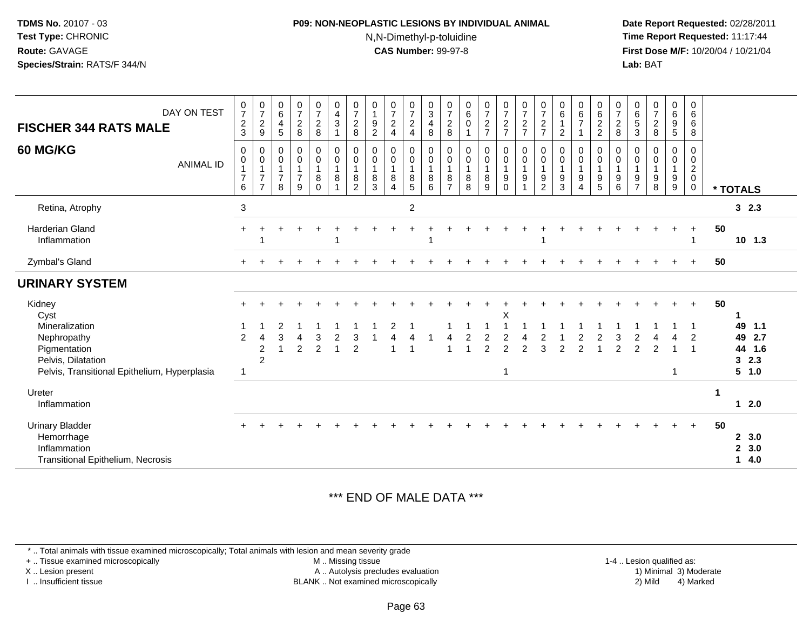#### **P09: NON-NEOPLASTIC LESIONS BY INDIVIDUAL ANIMAL**N,N-Dimethyl-p-toluidine

 **Date Report Requested:** 02/28/2011 **Time Report Requested:** 11:17:44 **First Dose M/F:** 10/20/04 / 10/21/04<br>**Lab:** BAT **Lab:** BAT

| DAY ON TEST<br><b>FISCHER 344 RATS MALE</b>                                                                         | $\begin{array}{c} 0 \\ 7 \\ 2 \end{array}$<br>$\mathbf{3}$      | $\frac{0}{7}$<br>$\overline{2}$<br>$\boldsymbol{9}$                | $\begin{array}{c} 0 \\ 6 \end{array}$<br>$\overline{4}$<br>5 | $\frac{0}{7}$<br>$\overline{c}$<br>8                  | $\frac{0}{7}$<br>8                                             | $\begin{array}{c} 0 \\ 4 \\ 3 \end{array}$<br>$\mathbf{1}$                      | $\frac{0}{7}$<br>$\overline{c}$<br>8 | $\begin{smallmatrix}0\\1\end{smallmatrix}$<br>$\boldsymbol{9}$<br>$\overline{2}$ | $\frac{0}{7}$<br>$\boldsymbol{2}$<br>$\overline{4}$                         | $\begin{array}{c} 0 \\ 7 \\ 2 \end{array}$<br>$\overline{4}$     | $\frac{0}{3}$<br>$\overline{4}$<br>8                      | $\frac{0}{7}$<br>$\overline{c}$<br>$\,8\,$                        | $\begin{matrix} 0 \\ 6 \end{matrix}$<br>$\pmb{0}$<br>1 | $\frac{0}{7}$<br>$\overline{a}$<br>$\overline{7}$  | $\begin{array}{c} 0 \\ 7 \\ 2 \end{array}$<br>$\overline{7}$                | $\frac{0}{7}$<br>$\boldsymbol{2}$<br>$\overline{7}$          | $\frac{0}{7}$<br>$\sqrt{2}$<br>$\overline{7}$   | $\begin{array}{c} 0 \\ 6 \end{array}$<br>$\mathbf{1}$<br>$\overline{c}$ | $\begin{array}{c} 0 \\ 6 \\ 7 \end{array}$ | $\begin{matrix} 0 \\ 6 \\ 2 \end{matrix}$<br>$\overline{2}$                       | $\frac{0}{7}$<br>$\sqrt{2}$<br>$\,8\,$                          | $\begin{matrix} 0 \\ 6 \\ 5 \end{matrix}$<br>$\mathbf{3}$ | $\frac{0}{7}$<br>$\sqrt{2}$<br>$\,8\,$                              | 0<br>$6\overline{6}$<br>9<br>5              | 0<br>6<br>6<br>8                                       |    |                                                      |
|---------------------------------------------------------------------------------------------------------------------|-----------------------------------------------------------------|--------------------------------------------------------------------|--------------------------------------------------------------|-------------------------------------------------------|----------------------------------------------------------------|---------------------------------------------------------------------------------|--------------------------------------|----------------------------------------------------------------------------------|-----------------------------------------------------------------------------|------------------------------------------------------------------|-----------------------------------------------------------|-------------------------------------------------------------------|--------------------------------------------------------|----------------------------------------------------|-----------------------------------------------------------------------------|--------------------------------------------------------------|-------------------------------------------------|-------------------------------------------------------------------------|--------------------------------------------|-----------------------------------------------------------------------------------|-----------------------------------------------------------------|-----------------------------------------------------------|---------------------------------------------------------------------|---------------------------------------------|--------------------------------------------------------|----|------------------------------------------------------|
| <b>60 MG/KG</b><br><b>ANIMAL ID</b>                                                                                 | $\pmb{0}$<br>$\pmb{0}$<br>$\overline{1}$<br>$\overline{7}$<br>6 | 0<br>$\pmb{0}$<br>$\mathbf{1}$<br>$\overline{7}$<br>$\overline{7}$ | 0<br>0<br>$\overline{1}$<br>$\overline{7}$<br>8              | 0<br>$\pmb{0}$<br>$\mathbf{1}$<br>$\overline{7}$<br>9 | $_{\rm 0}^{\rm 0}$<br>$\overline{1}$<br>$\,8\,$<br>$\mathbf 0$ | $\pmb{0}$<br>$\mathsf{O}\xspace$<br>$\overline{1}$<br>$\,8\,$<br>$\overline{1}$ | 0<br>0<br>1<br>8<br>$\overline{2}$   | 0<br>0<br>$\mathbf{1}$<br>$\,8\,$<br>3                                           | $\pmb{0}$<br>$\pmb{0}$<br>$\mathbf{1}$<br>$\bf 8$<br>$\boldsymbol{\Lambda}$ | 0<br>$\mathbf 0$<br>$\overline{1}$<br>$\bf 8$<br>$5\phantom{.0}$ | $\mathbf 0$<br>$\pmb{0}$<br>$\overline{1}$<br>$\, 8$<br>6 | 0<br>$\boldsymbol{0}$<br>$\mathbf{1}$<br>$\, 8$<br>$\overline{7}$ | $\pmb{0}$<br>$\pmb{0}$<br>$\mathbf{1}$<br>$\bf 8$<br>8 | 0<br>$\mathsf{O}\xspace$<br>$\mathbf{1}$<br>8<br>9 | 0<br>$\mathsf{O}\xspace$<br>$\mathbf{1}$<br>$\boldsymbol{9}$<br>$\mathbf 0$ | $\pmb{0}$<br>$\pmb{0}$<br>$\overline{1}$<br>$\boldsymbol{9}$ | 0<br>0<br>$\overline{1}$<br>9<br>$\overline{2}$ | 0<br>$\pmb{0}$<br>$\mathbf{1}$<br>$\boldsymbol{9}$<br>3                 | 0<br>$\mathbf 0$<br>9<br>$\overline{4}$    | $\pmb{0}$<br>$\mathbf 0$<br>$\mathbf{1}$<br>$\begin{array}{c} 9 \\ 5 \end{array}$ | 0<br>$\mathsf 0$<br>$\mathbf{1}$<br>$\boldsymbol{9}$<br>$\,6\,$ | 0<br>0<br>$\overline{1}$<br>9<br>$\overline{7}$           | $\mathbf 0$<br>$\mathbf 0$<br>$\mathbf{1}$<br>$\boldsymbol{9}$<br>8 | 0<br>$\mathsf{O}$<br>$\mathbf{1}$<br>9<br>9 | 0<br>0<br>$\overline{c}$<br>$\mathsf 0$<br>$\mathbf 0$ |    | * TOTALS                                             |
| Retina, Atrophy                                                                                                     | 3                                                               |                                                                    |                                                              |                                                       |                                                                |                                                                                 |                                      |                                                                                  |                                                                             | $\overline{2}$                                                   |                                                           |                                                                   |                                                        |                                                    |                                                                             |                                                              |                                                 |                                                                         |                                            |                                                                                   |                                                                 |                                                           |                                                                     |                                             |                                                        |    | 32.3                                                 |
| <b>Harderian Gland</b><br>Inflammation                                                                              |                                                                 |                                                                    |                                                              |                                                       |                                                                |                                                                                 |                                      |                                                                                  |                                                                             |                                                                  |                                                           |                                                                   |                                                        |                                                    |                                                                             |                                                              |                                                 |                                                                         |                                            |                                                                                   |                                                                 |                                                           |                                                                     |                                             |                                                        | 50 | $10$ 1.3                                             |
| Zymbal's Gland                                                                                                      | $+$                                                             |                                                                    |                                                              |                                                       |                                                                |                                                                                 |                                      |                                                                                  |                                                                             |                                                                  |                                                           |                                                                   |                                                        |                                                    |                                                                             |                                                              |                                                 |                                                                         |                                            |                                                                                   |                                                                 |                                                           |                                                                     |                                             | $\ddot{}$                                              | 50 |                                                      |
| <b>URINARY SYSTEM</b>                                                                                               |                                                                 |                                                                    |                                                              |                                                       |                                                                |                                                                                 |                                      |                                                                                  |                                                                             |                                                                  |                                                           |                                                                   |                                                        |                                                    |                                                                             |                                                              |                                                 |                                                                         |                                            |                                                                                   |                                                                 |                                                           |                                                                     |                                             |                                                        |    |                                                      |
| Kidney<br>Cyst                                                                                                      |                                                                 |                                                                    |                                                              |                                                       |                                                                |                                                                                 |                                      |                                                                                  |                                                                             |                                                                  |                                                           |                                                                   |                                                        |                                                    | Χ                                                                           |                                                              |                                                 |                                                                         |                                            |                                                                                   |                                                                 |                                                           |                                                                     |                                             | $+$                                                    | 50 | 1                                                    |
| Mineralization<br>Nephropathy<br>Pigmentation<br>Pelvis, Dilatation<br>Pelvis, Transitional Epithelium, Hyperplasia | 2<br>$\overline{1}$                                             | 4<br>$\overline{c}$<br>$\overline{c}$                              | 2<br>3                                                       | $\overline{4}$<br>$\overline{2}$                      | 3<br>2                                                         | 2<br>1                                                                          | 3<br>2                               |                                                                                  | 2                                                                           |                                                                  |                                                           |                                                                   |                                                        | 2<br>$\mathfrak{p}$                                | $\mathfrak{p}$                                                              | $\mathcal{P}$                                                | 3                                               | 2                                                                       | 2<br>$\overline{2}$                        |                                                                                   | $\mathfrak{p}$                                                  | $\overline{2}$                                            | $\mathfrak{p}$                                                      | 1                                           | 2                                                      |    | 49<br>1.1<br>49<br>2.7<br>44<br>1.6<br>32.3<br>5 1.0 |
| Ureter<br>Inflammation                                                                                              |                                                                 |                                                                    |                                                              |                                                       |                                                                |                                                                                 |                                      |                                                                                  |                                                                             |                                                                  |                                                           |                                                                   |                                                        |                                                    |                                                                             |                                                              |                                                 |                                                                         |                                            |                                                                                   |                                                                 |                                                           |                                                                     |                                             |                                                        | 1  | $12.0$                                               |
| <b>Urinary Bladder</b><br>Hemorrhage<br>Inflammation<br>Transitional Epithelium, Necrosis                           |                                                                 |                                                                    |                                                              |                                                       |                                                                |                                                                                 |                                      |                                                                                  |                                                                             |                                                                  |                                                           |                                                                   |                                                        |                                                    |                                                                             |                                                              |                                                 |                                                                         |                                            |                                                                                   |                                                                 |                                                           |                                                                     |                                             | $+$                                                    | 50 | 2, 3.0<br>2, 3.0<br>14.0                             |

#### \*\*\* END OF MALE DATA \*\*\*

\* .. Total animals with tissue examined microscopically; Total animals with lesion and mean severity grade

+ .. Tissue examined microscopically

X .. Lesion present

I .. Insufficient tissue

 M .. Missing tissueA .. Autolysis precludes evaluation BLANK .. Not examined microscopically 2) Mild 4) Marked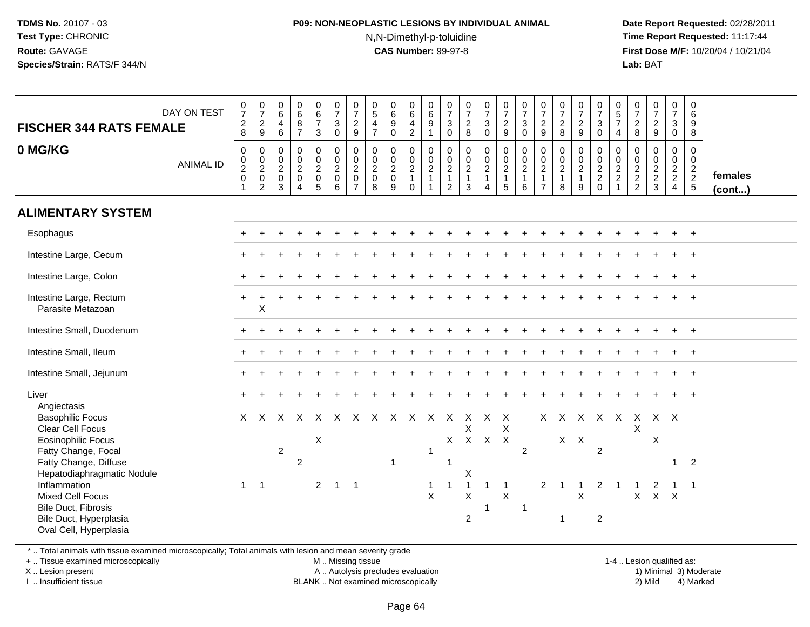#### **P09: NON-NEOPLASTIC LESIONS BY INDIVIDUAL ANIMAL**N,N-Dimethyl-p-toluidine

 **Date Report Requested:** 02/28/2011 **Time Report Requested:** 11:17:44 **First Dose M/F:** 10/20/04 / 10/21/04<br>**Lab:** BAT **Lab:** BAT

| <b>FISCHER 344 RATS FEMALE</b><br>0 MG/KG                                                                                                                                                                                                                         | DAY ON TEST<br><b>ANIMAL ID</b> | $\frac{0}{7}$<br>$_{8}^2$<br>0<br>$\boldsymbol{0}$ | $\begin{array}{c} 0 \\ 7 \end{array}$<br>$\frac{2}{9}$<br>$\boldsymbol{0}$<br>$\frac{0}{2}$ | 0<br>$6\phantom{1}6$<br>$\overline{4}$<br>6<br>$\mathbf 0$<br>$\pmb{0}$<br>$\overline{c}$ | 0<br>$\,6\,$<br>$\bf 8$<br>$\overline{7}$<br>$\mathbf 0$<br>$\pmb{0}$<br>$\overline{2}$ | $_6^0$<br>$\overline{7}$<br>3<br>0<br>$\frac{0}{2}$ | $\begin{smallmatrix}0\\7\end{smallmatrix}$<br>$\mathbf{3}$<br>$\mathbf 0$<br>0<br>$\mathsf{O}\xspace$<br>$\overline{2}$ | $\frac{0}{7}$<br>$\sqrt{2}$<br>$9\,$<br>0<br>$_2^0$ | $\begin{array}{c} 0 \\ 5 \end{array}$<br>$\frac{4}{7}$<br>$\pmb{0}$<br>$\frac{0}{2}$ | $\begin{smallmatrix}0\0\0\end{smallmatrix}$<br>$\boldsymbol{9}$<br>$\mathbf 0$<br>$\mathbf 0$<br>$\begin{smallmatrix} 0\\2 \end{smallmatrix}$ | $\begin{array}{c} 0 \\ 6 \end{array}$<br>$\overline{4}$<br>$\overline{c}$<br>0<br>$\mathbf 0$<br>$\overline{2}$ | $\begin{array}{c} 0 \\ 6 \end{array}$<br>$\boldsymbol{9}$<br>$\mathbf{1}$<br>$\begin{array}{c} 0 \\ 0 \\ 2 \\ 1 \end{array}$ | $\frac{0}{7}$<br>$\ensuremath{\mathsf{3}}$<br>$\mathbf 0$<br>0<br>$\frac{0}{2}$ | $\frac{0}{7}$<br>$\frac{2}{8}$<br>0<br>$\mathbf 0$ | $\frac{0}{7}$<br>$\ensuremath{\mathsf{3}}$<br>$\mathbf 0$<br>$\begin{array}{c} 0 \\ 0 \\ 2 \\ 1 \end{array}$ | $\begin{smallmatrix}0\\7\end{smallmatrix}$<br>$\mathbf{2}$<br>9<br>0<br>$\begin{smallmatrix} 0\\2 \end{smallmatrix}$ | $\frac{0}{7}$<br>$\mathbf{3}$<br>$\mathbf 0$<br>0<br>$\mathsf{O}\xspace$ | $\frac{0}{7}$<br>$\frac{2}{9}$<br>0<br>$\frac{0}{2}$<br>1 | $\frac{0}{7}$<br>$\sqrt{2}$<br>8<br>0<br>$\pmb{0}$ | $\begin{array}{c} 0 \\ 7 \end{array}$<br>$\frac{2}{9}$<br>$\mathbf 0$<br>$\frac{0}{2}$ | $\frac{0}{7}$<br>$\sqrt{3}$<br>$\mathbf 0$<br>0       | $\begin{array}{c} 0 \\ 5 \end{array}$<br>$\overline{7}$<br>$\overline{4}$<br>$\mathbf 0$ | $\frac{0}{7}$<br>$\frac{2}{8}$<br>$\mathbf 0$<br>$\pmb{0}$ | $\frac{0}{7}$<br>$\overline{c}$<br>9<br>$\mathbf 0$<br>$\mathbf 0$ | $\frac{0}{7}$<br>$\ensuremath{\mathsf{3}}$<br>$\pmb{0}$<br>0 | 0<br>6<br>9<br>8<br>$\mathbf{0}$<br>$\mathbf 0$ |                   |
|-------------------------------------------------------------------------------------------------------------------------------------------------------------------------------------------------------------------------------------------------------------------|---------------------------------|----------------------------------------------------|---------------------------------------------------------------------------------------------|-------------------------------------------------------------------------------------------|-----------------------------------------------------------------------------------------|-----------------------------------------------------|-------------------------------------------------------------------------------------------------------------------------|-----------------------------------------------------|--------------------------------------------------------------------------------------|-----------------------------------------------------------------------------------------------------------------------------------------------|-----------------------------------------------------------------------------------------------------------------|------------------------------------------------------------------------------------------------------------------------------|---------------------------------------------------------------------------------|----------------------------------------------------|--------------------------------------------------------------------------------------------------------------|----------------------------------------------------------------------------------------------------------------------|--------------------------------------------------------------------------|-----------------------------------------------------------|----------------------------------------------------|----------------------------------------------------------------------------------------|-------------------------------------------------------|------------------------------------------------------------------------------------------|------------------------------------------------------------|--------------------------------------------------------------------|--------------------------------------------------------------|-------------------------------------------------|-------------------|
|                                                                                                                                                                                                                                                                   |                                 | $\frac{2}{0}$                                      | $\overline{2}$                                                                              | $\mathbf 0$<br>3                                                                          | $\mathbf 0$<br>$\boldsymbol{\Lambda}$                                                   | 5                                                   | $\mathbf 0$<br>6                                                                                                        | $\pmb{0}$<br>$\overline{7}$                         | 8                                                                                    | $\mathbf 0$<br>9                                                                                                                              | $\mathbf{1}$<br>$\mathbf 0$                                                                                     | $\mathbf{1}$                                                                                                                 | $\overline{2}$                                                                  | $\frac{2}{1}$<br>3                                 | $\boldsymbol{\Lambda}$                                                                                       | $\mathbf{1}$<br>$\sqrt{5}$                                                                                           | $\frac{2}{1}$<br>6                                                       | $\overline{7}$                                            | $\frac{2}{1}$<br>8                                 | 9                                                                                      | $\begin{array}{c} 0 \\ 2 \\ 2 \\ 0 \end{array}$       | $\frac{0}{2}$<br>$\frac{2}{1}$                                                           | $\frac{2}{2}$                                              | $\frac{2}{3}$                                                      | $\frac{0}{2}$<br>4                                           | $\frac{2}{2}$ 5                                 | females<br>(cont) |
| <b>ALIMENTARY SYSTEM</b>                                                                                                                                                                                                                                          |                                 |                                                    |                                                                                             |                                                                                           |                                                                                         |                                                     |                                                                                                                         |                                                     |                                                                                      |                                                                                                                                               |                                                                                                                 |                                                                                                                              |                                                                                 |                                                    |                                                                                                              |                                                                                                                      |                                                                          |                                                           |                                                    |                                                                                        |                                                       |                                                                                          |                                                            |                                                                    |                                                              |                                                 |                   |
| Esophagus                                                                                                                                                                                                                                                         |                                 |                                                    |                                                                                             |                                                                                           |                                                                                         |                                                     |                                                                                                                         |                                                     |                                                                                      |                                                                                                                                               |                                                                                                                 |                                                                                                                              |                                                                                 |                                                    |                                                                                                              |                                                                                                                      |                                                                          |                                                           |                                                    |                                                                                        |                                                       |                                                                                          |                                                            |                                                                    |                                                              | $\overline{+}$                                  |                   |
| Intestine Large, Cecum                                                                                                                                                                                                                                            |                                 |                                                    |                                                                                             |                                                                                           |                                                                                         |                                                     |                                                                                                                         |                                                     |                                                                                      |                                                                                                                                               |                                                                                                                 |                                                                                                                              |                                                                                 |                                                    |                                                                                                              |                                                                                                                      |                                                                          |                                                           |                                                    |                                                                                        |                                                       |                                                                                          |                                                            |                                                                    |                                                              |                                                 |                   |
| Intestine Large, Colon                                                                                                                                                                                                                                            |                                 |                                                    |                                                                                             |                                                                                           |                                                                                         |                                                     |                                                                                                                         |                                                     |                                                                                      |                                                                                                                                               |                                                                                                                 |                                                                                                                              |                                                                                 |                                                    |                                                                                                              |                                                                                                                      |                                                                          |                                                           |                                                    |                                                                                        |                                                       |                                                                                          |                                                            |                                                                    |                                                              | $\overline{+}$                                  |                   |
| Intestine Large, Rectum<br>Parasite Metazoan                                                                                                                                                                                                                      |                                 | $\pm$                                              | $\sf X$                                                                                     |                                                                                           |                                                                                         |                                                     |                                                                                                                         |                                                     |                                                                                      |                                                                                                                                               |                                                                                                                 |                                                                                                                              |                                                                                 |                                                    |                                                                                                              |                                                                                                                      |                                                                          |                                                           |                                                    |                                                                                        |                                                       |                                                                                          |                                                            |                                                                    |                                                              |                                                 |                   |
| Intestine Small, Duodenum                                                                                                                                                                                                                                         |                                 |                                                    |                                                                                             |                                                                                           |                                                                                         |                                                     |                                                                                                                         |                                                     |                                                                                      |                                                                                                                                               |                                                                                                                 |                                                                                                                              |                                                                                 |                                                    |                                                                                                              |                                                                                                                      |                                                                          |                                                           |                                                    |                                                                                        |                                                       |                                                                                          |                                                            |                                                                    |                                                              | $\ddot{}$                                       |                   |
| Intestine Small, Ileum                                                                                                                                                                                                                                            |                                 |                                                    |                                                                                             |                                                                                           |                                                                                         |                                                     |                                                                                                                         |                                                     |                                                                                      |                                                                                                                                               |                                                                                                                 |                                                                                                                              |                                                                                 |                                                    |                                                                                                              |                                                                                                                      |                                                                          |                                                           |                                                    |                                                                                        |                                                       |                                                                                          |                                                            |                                                                    |                                                              |                                                 |                   |
| Intestine Small, Jejunum                                                                                                                                                                                                                                          |                                 |                                                    |                                                                                             |                                                                                           |                                                                                         |                                                     |                                                                                                                         |                                                     |                                                                                      |                                                                                                                                               |                                                                                                                 |                                                                                                                              |                                                                                 |                                                    |                                                                                                              |                                                                                                                      |                                                                          |                                                           |                                                    |                                                                                        |                                                       |                                                                                          |                                                            |                                                                    |                                                              |                                                 |                   |
| Liver                                                                                                                                                                                                                                                             |                                 |                                                    |                                                                                             |                                                                                           |                                                                                         |                                                     |                                                                                                                         |                                                     |                                                                                      |                                                                                                                                               |                                                                                                                 |                                                                                                                              |                                                                                 |                                                    |                                                                                                              |                                                                                                                      |                                                                          |                                                           |                                                    |                                                                                        |                                                       |                                                                                          |                                                            |                                                                    |                                                              |                                                 |                   |
| Angiectasis<br><b>Basophilic Focus</b><br>Clear Cell Focus<br><b>Eosinophilic Focus</b><br>Fatty Change, Focal<br>Fatty Change, Diffuse<br>Hepatodiaphragmatic Nodule<br>Inflammation<br><b>Mixed Cell Focus</b><br>Bile Duct, Fibrosis<br>Bile Duct, Hyperplasia |                                 | X.<br>$\mathbf{1}$                                 | $\mathsf{X}$<br>$\overline{1}$                                                              | X<br>$\overline{2}$                                                                       | X<br>$\overline{2}$                                                                     | Χ<br>$\sf X$<br>$\overline{2}$                      | $\boldsymbol{\mathsf{X}}$<br>$\mathbf{1}$                                                                               | X<br>$\overline{\phantom{0}}$                       | X                                                                                    | $\mathsf{X}$<br>$\mathbf{1}$                                                                                                                  | $\mathsf{X}$                                                                                                    | $\mathsf{X}$<br>$\mathbf 1$<br>$\mathbf{1}$<br>$\pmb{\times}$                                                                | $\boldsymbol{\mathsf{X}}$<br>X<br>$\mathbf{1}$<br>$\mathbf{1}$                  | X<br>X<br>X<br>Χ<br>X<br>$\overline{2}$            | X<br>$\mathsf{X}$<br>-1<br>-1                                                                                | X<br>X<br>$\boldsymbol{\mathsf{X}}$<br>$\mathbf{1}$<br>$\sf X$                                                       | $\overline{c}$<br>-1                                                     | X.<br>$\overline{2}$                                      | X<br>X<br>$\mathbf{1}$                             | $\mathsf{X}$<br>X<br>X                                                                 | $\mathsf{X}$<br>$\overline{2}$<br>2<br>$\overline{c}$ | $\mathsf{X}$                                                                             | X<br>X<br>X                                                | X X<br>X<br>2<br>$X$ $X$                                           | $\mathbf{1}$                                                 | $\overline{2}$                                  |                   |
| Oval Cell, Hyperplasia                                                                                                                                                                                                                                            |                                 |                                                    |                                                                                             |                                                                                           |                                                                                         |                                                     |                                                                                                                         |                                                     |                                                                                      |                                                                                                                                               |                                                                                                                 |                                                                                                                              |                                                                                 |                                                    |                                                                                                              |                                                                                                                      |                                                                          |                                                           |                                                    |                                                                                        |                                                       |                                                                                          |                                                            |                                                                    |                                                              |                                                 |                   |

\* .. Total animals with tissue examined microscopically; Total animals with lesion and mean severity grade

+ .. Tissue examined microscopically

X .. Lesion present

I .. Insufficient tissue

M .. Missing tissue

Lesion present A .. Autolysis precludes evaluation 1) Minimal 3) Moderate

BLANK .. Not examined microscopically 2) Mild 4) Marked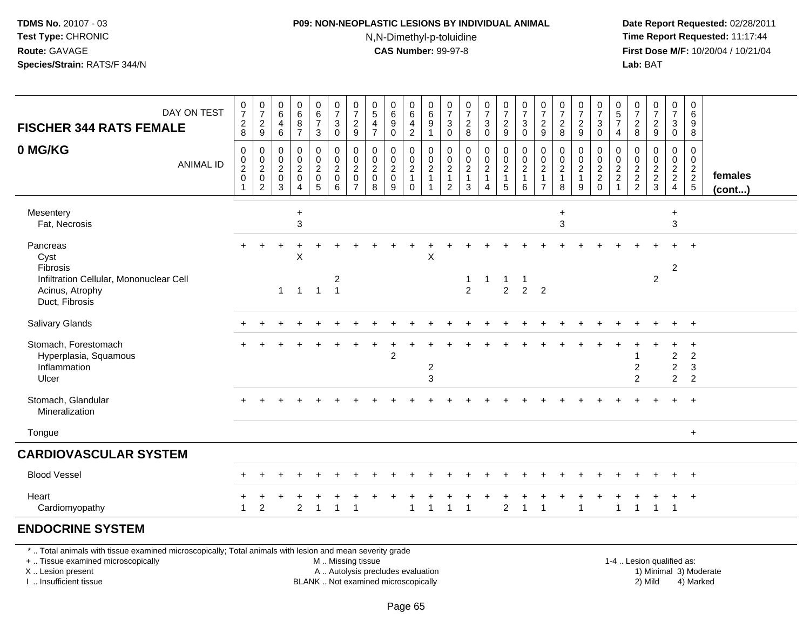#### **P09: NON-NEOPLASTIC LESIONS BY INDIVIDUAL ANIMAL**N,N-Dimethyl-p-toluidine

 **Date Report Requested:** 02/28/2011 **Time Report Requested:** 11:17:44 **First Dose M/F:** 10/20/04 / 10/21/04<br>**Lab:** BAT **Lab:** BAT

| DAY ON TEST<br><b>FISCHER 344 RATS FEMALE</b>                                | $\frac{0}{7}$<br>$^{\,2}_{\,8}$                                             | $\frac{0}{7}$<br>$\frac{2}{9}$                            | 0<br>$\,6\,$<br>$\overline{4}$<br>6                    | $_{6}^{\rm 0}$<br>$\overline{8}$<br>$\overline{7}$                      | $\begin{array}{c} 0 \\ 6 \end{array}$<br>$\boldsymbol{7}$<br>$\mathbf{3}$ | $\frac{0}{7}$<br>$\ensuremath{\mathsf{3}}$<br>$\mathbf 0$ | $\pmb{0}$<br>$\overline{7}$<br>$\sqrt{2}$<br>9                           | $\pmb{0}$<br>$\,$ 5 $\,$<br>$\overline{\mathbf{4}}$<br>$\overline{7}$ | $_{6}^{\rm 0}$<br>$\boldsymbol{9}$<br>0                | $\begin{array}{c} 0 \\ 6 \end{array}$<br>$\overline{\mathbf{4}}$<br>$\sqrt{2}$ | $\boldsymbol{0}$<br>$\,6$<br>$\boldsymbol{9}$ | $\overline{0}$<br>$\overline{7}$<br>$\mathbf{3}$<br>$\mathbf 0$                   | $\frac{0}{7}$<br>$\frac{2}{8}$                                                  | $\frac{0}{7}$<br>$\sqrt{3}$<br>$\mathbf 0$                      | $\frac{0}{7}$<br>$\frac{2}{9}$                                               | $\frac{0}{7}$<br>3<br>$\Omega$                               | $\frac{0}{7}$<br>$\frac{2}{9}$                                       | $\frac{0}{7}$<br>$_{8}^2$                                     | $\frac{0}{7}$<br>$\frac{2}{9}$                                | $\frac{0}{7}$<br>$\sqrt{3}$<br>$\mathbf 0$ | 0<br>$\mathbf 5$<br>$\boldsymbol{7}$<br>4 | $\frac{0}{7}$<br>$_{\rm 8}^2$          | $\frac{0}{7}$<br>$\frac{2}{9}$         | $\begin{smallmatrix}0\\7\end{smallmatrix}$<br>$\mathbf{3}$<br>$\pmb{0}$ | 0<br>$\,6\,$<br>$\boldsymbol{9}$<br>8                            |                         |
|------------------------------------------------------------------------------|-----------------------------------------------------------------------------|-----------------------------------------------------------|--------------------------------------------------------|-------------------------------------------------------------------------|---------------------------------------------------------------------------|-----------------------------------------------------------|--------------------------------------------------------------------------|-----------------------------------------------------------------------|--------------------------------------------------------|--------------------------------------------------------------------------------|-----------------------------------------------|-----------------------------------------------------------------------------------|---------------------------------------------------------------------------------|-----------------------------------------------------------------|------------------------------------------------------------------------------|--------------------------------------------------------------|----------------------------------------------------------------------|---------------------------------------------------------------|---------------------------------------------------------------|--------------------------------------------|-------------------------------------------|----------------------------------------|----------------------------------------|-------------------------------------------------------------------------|------------------------------------------------------------------|-------------------------|
| 0 MG/KG<br><b>ANIMAL ID</b>                                                  | $\mathbf 0$<br>$\pmb{0}$<br>$\boldsymbol{2}$<br>$\mathbf 0$<br>$\mathbf{1}$ | $\pmb{0}$<br>$\pmb{0}$<br>$\frac{2}{0}$<br>$\overline{2}$ | 0<br>$\mathbf 0$<br>$\overline{2}$<br>$\mathbf 0$<br>3 | $\pmb{0}$<br>$\pmb{0}$<br>$\overline{c}$<br>$\pmb{0}$<br>$\overline{A}$ | $\mathbf 0$<br>$\mathbf 0$<br>$\overline{c}$<br>$\mathsf 0$<br>5          | $\pmb{0}$<br>$\boldsymbol{0}$<br>$\overline{2}$<br>0<br>6 | 0<br>$\boldsymbol{0}$<br>$\overline{2}$<br>$\mathbf 0$<br>$\overline{7}$ | $\pmb{0}$<br>$\pmb{0}$<br>$\sqrt{2}$<br>$\mathbf 0$<br>8              | 0<br>$\mathbf 0$<br>$\overline{2}$<br>$\mathbf 0$<br>9 | 0<br>$\mathbf 0$<br>$\overline{2}$<br>$\mathbf{1}$<br>$\mathbf 0$              | 0<br>$\pmb{0}$<br>$\boldsymbol{2}$<br>1       | $\pmb{0}$<br>$\boldsymbol{0}$<br>$\overline{c}$<br>$\mathbf{1}$<br>$\overline{2}$ | $\pmb{0}$<br>$\boldsymbol{0}$<br>$\overline{c}$<br>$\mathbf{1}$<br>$\mathbf{3}$ | $\pmb{0}$<br>$\mathsf 0$<br>$\overline{c}$<br>$\mathbf{1}$<br>4 | $\pmb{0}$<br>$\mathbf 0$<br>$\overline{2}$<br>$\mathbf{1}$<br>5 <sup>5</sup> | 0<br>$\boldsymbol{0}$<br>$\overline{a}$<br>$\mathbf{1}$<br>6 | 0<br>$\mathbf 0$<br>$\overline{c}$<br>$\mathbf{1}$<br>$\overline{7}$ | $\pmb{0}$<br>$\pmb{0}$<br>$\overline{c}$<br>$\mathbf{1}$<br>8 | $\mathbf 0$<br>$\pmb{0}$<br>$\sqrt{2}$<br>$\overline{1}$<br>9 | 0<br>$\pmb{0}$<br>$\frac{2}{2}$<br>0       | 0<br>0<br>$\frac{2}{2}$<br>$\mathbf{1}$   | 0<br>$\boldsymbol{0}$<br>$\frac{2}{2}$ | 0<br>$\boldsymbol{0}$<br>$\frac{2}{3}$ | $\pmb{0}$<br>$\mathbf 0$<br>$\frac{2}{2}$                               | 0<br>$\mathbf 0$<br>$\frac{2}{2}$<br>5                           | females<br>$($ cont $)$ |
| Mesentery<br>Fat, Necrosis                                                   |                                                                             |                                                           |                                                        | $\ddot{}$<br>$\ensuremath{\mathsf{3}}$                                  |                                                                           |                                                           |                                                                          |                                                                       |                                                        |                                                                                |                                               |                                                                                   |                                                                                 |                                                                 |                                                                              |                                                              |                                                                      | $\ddot{}$<br>$\mathbf{3}$                                     |                                                               |                                            |                                           |                                        |                                        | $\ddot{}$<br>$\mathbf{3}$                                               |                                                                  |                         |
| Pancreas<br>Cyst<br>Fibrosis                                                 |                                                                             |                                                           |                                                        | X                                                                       |                                                                           |                                                           |                                                                          |                                                                       |                                                        |                                                                                | X                                             |                                                                                   |                                                                                 |                                                                 |                                                                              |                                                              |                                                                      |                                                               |                                                               |                                            |                                           |                                        |                                        | $\overline{c}$                                                          |                                                                  |                         |
| Infiltration Cellular, Mononuclear Cell<br>Acinus, Atrophy<br>Duct, Fibrosis |                                                                             |                                                           | $\mathbf{1}$                                           | $\overline{1}$                                                          | $\overline{1}$                                                            | $\overline{c}$<br>$\overline{1}$                          |                                                                          |                                                                       |                                                        |                                                                                |                                               |                                                                                   | $\mathbf{1}$<br>$\overline{2}$                                                  | 1                                                               | $\mathbf{1}$<br>$\overline{2}$                                               | $\overline{\mathbf{1}}$<br>$\overline{2}$                    | $\overline{2}$                                                       |                                                               |                                                               |                                            |                                           |                                        | $\overline{c}$                         |                                                                         |                                                                  |                         |
| Salivary Glands                                                              |                                                                             |                                                           |                                                        |                                                                         |                                                                           |                                                           |                                                                          |                                                                       |                                                        |                                                                                |                                               |                                                                                   |                                                                                 |                                                                 |                                                                              |                                                              |                                                                      |                                                               |                                                               |                                            |                                           |                                        |                                        |                                                                         | $\ddot{}$                                                        |                         |
| Stomach, Forestomach<br>Hyperplasia, Squamous<br>Inflammation<br>Ulcer       |                                                                             |                                                           |                                                        |                                                                         |                                                                           |                                                           |                                                                          |                                                                       | $\overline{2}$                                         |                                                                                | $\boldsymbol{2}$<br>3                         |                                                                                   |                                                                                 |                                                                 |                                                                              |                                                              |                                                                      |                                                               |                                                               |                                            |                                           | 2<br>$\overline{2}$                    |                                        | $\overline{c}$<br>$\overline{c}$<br>$\overline{2}$                      | $\overline{1}$<br>$\overline{c}$<br>$\sqrt{3}$<br>$\overline{c}$ |                         |
| Stomach, Glandular<br>Mineralization                                         |                                                                             |                                                           |                                                        |                                                                         |                                                                           |                                                           |                                                                          |                                                                       |                                                        |                                                                                |                                               |                                                                                   |                                                                                 |                                                                 |                                                                              |                                                              |                                                                      |                                                               |                                                               |                                            |                                           |                                        |                                        |                                                                         | $^{+}$                                                           |                         |
| Tongue                                                                       |                                                                             |                                                           |                                                        |                                                                         |                                                                           |                                                           |                                                                          |                                                                       |                                                        |                                                                                |                                               |                                                                                   |                                                                                 |                                                                 |                                                                              |                                                              |                                                                      |                                                               |                                                               |                                            |                                           |                                        |                                        |                                                                         | $\ddot{}$                                                        |                         |
| <b>CARDIOVASCULAR SYSTEM</b>                                                 |                                                                             |                                                           |                                                        |                                                                         |                                                                           |                                                           |                                                                          |                                                                       |                                                        |                                                                                |                                               |                                                                                   |                                                                                 |                                                                 |                                                                              |                                                              |                                                                      |                                                               |                                                               |                                            |                                           |                                        |                                        |                                                                         |                                                                  |                         |
| <b>Blood Vessel</b>                                                          |                                                                             |                                                           |                                                        |                                                                         |                                                                           |                                                           |                                                                          |                                                                       |                                                        |                                                                                |                                               |                                                                                   |                                                                                 |                                                                 |                                                                              |                                                              |                                                                      |                                                               |                                                               |                                            |                                           |                                        |                                        |                                                                         | $^{+}$                                                           |                         |
| Heart<br>Cardiomyopathy                                                      | 1                                                                           | $\overline{c}$                                            |                                                        | $\overline{c}$                                                          | -1                                                                        | 1                                                         |                                                                          |                                                                       |                                                        |                                                                                |                                               |                                                                                   | -1                                                                              |                                                                 | $\boldsymbol{2}$                                                             | 1                                                            |                                                                      |                                                               | 1                                                             |                                            | 1                                         | -1                                     | $\mathbf{1}$                           | $\ddot{}$<br>$\overline{1}$                                             | $\overline{+}$                                                   |                         |
| <b>ENDOCRINE SYSTEM</b>                                                      |                                                                             |                                                           |                                                        |                                                                         |                                                                           |                                                           |                                                                          |                                                                       |                                                        |                                                                                |                                               |                                                                                   |                                                                                 |                                                                 |                                                                              |                                                              |                                                                      |                                                               |                                                               |                                            |                                           |                                        |                                        |                                                                         |                                                                  |                         |

\* .. Total animals with tissue examined microscopically; Total animals with lesion and mean severity grade

+ .. Tissue examined microscopically

X .. Lesion present

I .. Insufficient tissue

M .. Missing tissue

A .. Autolysis precludes evaluation

BLANK .. Not examined microscopically 2) Mild 4) Marked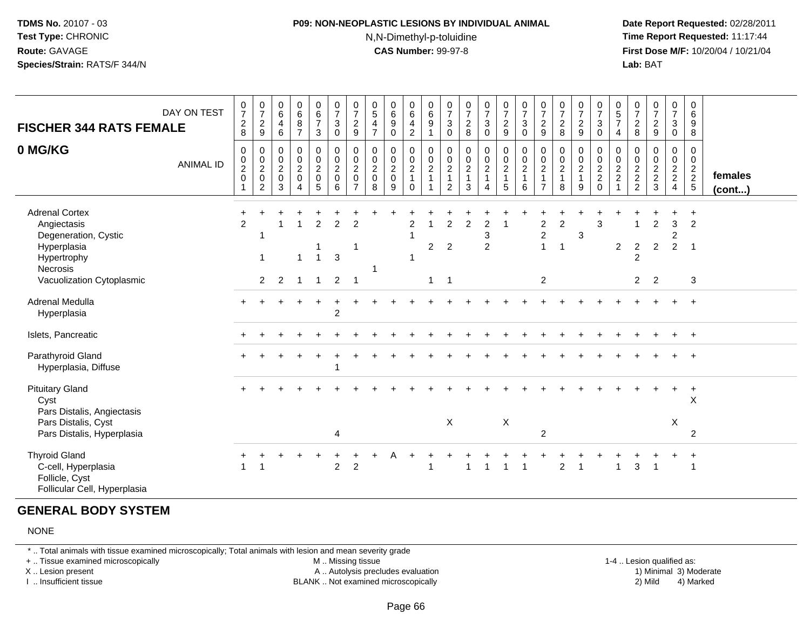#### **P09: NON-NEOPLASTIC LESIONS BY INDIVIDUAL ANIMAL**N,N-Dimethyl-p-toluidine

 **Date Report Requested:** 02/28/2011 **Time Report Requested:** 11:17:44 **First Dose M/F:** 10/20/04 / 10/21/04<br>**Lab:** BAT **Lab:** BAT

| <b>FISCHER 344 RATS FEMALE</b>                                                                                                      | DAY ON TEST      | $\frac{0}{7}$<br>$\begin{array}{c} 2 \\ 8 \end{array}$     | $\begin{smallmatrix}0\\7\end{smallmatrix}$<br>$\frac{2}{9}$              | $\begin{array}{c} 0 \\ 6 \end{array}$<br>4<br>6  | $\begin{matrix} 0 \\ 6 \\ 8 \end{matrix}$<br>$\overline{7}$              | $\begin{array}{c} 0 \\ 6 \end{array}$<br>$\overline{7}$<br>$\mathbf{3}$ | $\frac{0}{7}$<br>$\sqrt{3}$<br>0                           | $\frac{0}{7}$<br>$\overline{c}$<br>$\boldsymbol{9}$                 | $\begin{array}{c} 0 \\ 5 \end{array}$<br>$\overline{\mathbf{4}}$<br>$\overline{7}$ | $\begin{matrix} 0 \\ 6 \end{matrix}$<br>$\overline{9}$<br>$\mathbf 0$ | $\begin{array}{c} 0 \\ 6 \\ 4 \end{array}$<br>$\overline{2}$ | $\begin{array}{c} 0 \\ 6 \end{array}$<br>$\overline{9}$<br>$\mathbf{1}$ | $\frac{0}{7}$<br>$_{\rm 0}^3$                                    | $\frac{0}{7}$<br>$\sqrt{2}$<br>$\boldsymbol{8}$              | $\frac{0}{7}$<br>$\mathbf{3}$<br>$\mathbf 0$ | $\frac{0}{7}$<br>$\frac{2}{9}$                       | $\frac{0}{7}$<br>$\mathbf 3$<br>$\mathsf 0$                   | $\frac{0}{7}$<br>$\frac{2}{9}$                                       | $\frac{0}{7}$<br>$\overline{c}$<br>8 | $\frac{0}{7}$<br>$\sqrt{2}$<br>$\boldsymbol{9}$   | $\frac{0}{7}$<br>$\sqrt{3}$<br>$\mathbf 0$  | $\begin{matrix} 0 \\ 5 \end{matrix}$<br>$\overline{7}$<br>4 | $\frac{0}{7}$<br>$\overline{c}$<br>8                    | $\frac{0}{7}$<br>$\sqrt{2}$<br>$\boldsymbol{9}$ | $\begin{smallmatrix}0\\7\end{smallmatrix}$<br>$\mathsf 3$<br>$\mathbf 0$ | 0<br>$\,6\,$<br>9<br>8                                         |                   |
|-------------------------------------------------------------------------------------------------------------------------------------|------------------|------------------------------------------------------------|--------------------------------------------------------------------------|--------------------------------------------------|--------------------------------------------------------------------------|-------------------------------------------------------------------------|------------------------------------------------------------|---------------------------------------------------------------------|------------------------------------------------------------------------------------|-----------------------------------------------------------------------|--------------------------------------------------------------|-------------------------------------------------------------------------|------------------------------------------------------------------|--------------------------------------------------------------|----------------------------------------------|------------------------------------------------------|---------------------------------------------------------------|----------------------------------------------------------------------|--------------------------------------|---------------------------------------------------|---------------------------------------------|-------------------------------------------------------------|---------------------------------------------------------|-------------------------------------------------|--------------------------------------------------------------------------|----------------------------------------------------------------|-------------------|
| 0 MG/KG                                                                                                                             | <b>ANIMAL ID</b> | $\mathbf 0$<br>$\pmb{0}$<br>$\sqrt{2}$<br>$\mathbf 0$<br>1 | 0<br>$\boldsymbol{0}$<br>$\boldsymbol{2}$<br>$\pmb{0}$<br>$\overline{2}$ | 0<br>$\mathbf 0$<br>$\sqrt{2}$<br>$\pmb{0}$<br>3 | 0<br>$\pmb{0}$<br>$\overline{a}$<br>$\pmb{0}$<br>$\overline{\mathbf{4}}$ | 0<br>$\mathbf 0$<br>$^2_{\rm 0}$<br>$\sqrt{5}$                          | $\mathbf 0$<br>$\pmb{0}$<br>$\sqrt{2}$<br>$\mathbf 0$<br>6 | $\mathbf 0$<br>$\mathbf 0$<br>$\overline{2}$<br>0<br>$\overline{7}$ | 0<br>$\mathbf 0$<br>$^2_{\rm 0}$<br>8                                              | 0<br>$\mathsf{O}$<br>$\frac{2}{0}$<br>9                               | 0<br>$\frac{0}{2}$<br>1<br>$\mathbf 0$                       | $\Omega$<br>$_{2}^{\rm 0}$                                              | 0<br>$\pmb{0}$<br>$\sqrt{2}$<br>$\overline{1}$<br>$\overline{2}$ | $\pmb{0}$<br>$\begin{array}{c} 0 \\ 2 \\ 1 \end{array}$<br>3 | 0<br>$\mathbf 0$<br>$\overline{c}$<br>4      | $\begin{array}{c} 0 \\ 0 \\ 2 \\ 1 \end{array}$<br>5 | $\pmb{0}$<br>$\pmb{0}$<br>$\overline{a}$<br>$\mathbf{1}$<br>6 | 0<br>$\pmb{0}$<br>$\sqrt{2}$<br>$\overline{7}$                       | 0<br>$\frac{0}{2}$<br>8              | 0<br>$\pmb{0}$<br>$\sqrt{2}$<br>$\mathbf{1}$<br>9 | 0<br>$\pmb{0}$<br>$\frac{2}{2}$<br>$\Omega$ | 0<br>0<br>$\frac{2}{2}$                                     | 0<br>$\mathbf 0$<br>$\frac{2}{2}$                       | 0<br>$\pmb{0}$<br>$\frac{2}{2}$<br>$\mathbf{3}$ | 0<br>$\mathbf 0$<br>$\frac{2}{2}$<br>$\overline{4}$                      | $\mathbf 0$<br>$\mathbf 0$<br>$\frac{2}{2}$<br>$5\phantom{.0}$ | females<br>(cont) |
| <b>Adrenal Cortex</b><br>Angiectasis<br>Degeneration, Cystic<br>Hyperplasia<br>Hypertrophy<br>Necrosis<br>Vacuolization Cytoplasmic |                  | $\overline{2}$                                             | $\mathbf 1$<br>$\mathbf{1}$<br>2                                         | 2                                                | $\overline{1}$<br>$\overline{1}$                                         | $\overline{2}$<br>$\mathbf{1}$<br>$\overline{1}$                        | $\overline{2}$<br>$\mathbf{3}$<br>2                        | $\overline{2}$<br>1<br>$\overline{1}$                               |                                                                                    |                                                                       | $\overline{c}$                                               | $\overline{2}$<br>$\overline{1}$                                        | $\overline{2}$<br>$\overline{2}$<br>$\overline{1}$               | $\overline{c}$                                               | $\boldsymbol{2}$<br>3<br>$\overline{2}$      |                                                      |                                                               | $\overline{c}$<br>$\overline{2}$<br>$\overline{1}$<br>$\overline{2}$ | $\overline{c}$<br>$\overline{1}$     | 3                                                 | $\mathbf{3}$                                | 2                                                           | $\overline{1}$<br>$\overline{2}$<br>2<br>$\overline{2}$ | $\overline{2}$<br>$\overline{2}$<br>2           | $\mathbf{3}$<br>$\overline{c}$<br>$\overline{2}$                         | $\ddot{}$<br>$\overline{2}$<br>$\overline{1}$<br>3             |                   |
| Adrenal Medulla<br>Hyperplasia                                                                                                      |                  |                                                            |                                                                          |                                                  |                                                                          |                                                                         | $\overline{2}$                                             |                                                                     |                                                                                    |                                                                       |                                                              |                                                                         |                                                                  |                                                              |                                              |                                                      |                                                               |                                                                      |                                      |                                                   |                                             |                                                             |                                                         |                                                 |                                                                          | $\ddot{}$                                                      |                   |
| Islets, Pancreatic                                                                                                                  |                  |                                                            |                                                                          |                                                  |                                                                          |                                                                         |                                                            |                                                                     |                                                                                    |                                                                       |                                                              |                                                                         |                                                                  |                                                              |                                              |                                                      |                                                               |                                                                      |                                      |                                                   |                                             |                                                             |                                                         |                                                 |                                                                          | $+$                                                            |                   |
| Parathyroid Gland<br>Hyperplasia, Diffuse                                                                                           |                  |                                                            |                                                                          |                                                  |                                                                          |                                                                         |                                                            |                                                                     |                                                                                    |                                                                       |                                                              |                                                                         |                                                                  |                                                              |                                              |                                                      |                                                               |                                                                      |                                      |                                                   |                                             |                                                             |                                                         |                                                 |                                                                          | $\ddot{}$                                                      |                   |
| <b>Pituitary Gland</b><br>Cyst<br>Pars Distalis, Angiectasis                                                                        |                  |                                                            |                                                                          |                                                  |                                                                          |                                                                         |                                                            |                                                                     |                                                                                    |                                                                       |                                                              |                                                                         |                                                                  |                                                              |                                              |                                                      |                                                               |                                                                      |                                      |                                                   |                                             |                                                             |                                                         |                                                 | +                                                                        | $+$<br>X                                                       |                   |
| Pars Distalis, Cyst<br>Pars Distalis, Hyperplasia                                                                                   |                  |                                                            |                                                                          |                                                  |                                                                          |                                                                         | 4                                                          |                                                                     |                                                                                    |                                                                       |                                                              |                                                                         | $\pmb{\times}$                                                   |                                                              |                                              | X                                                    |                                                               | $\overline{2}$                                                       |                                      |                                                   |                                             |                                                             |                                                         |                                                 | $\boldsymbol{\mathsf{X}}$                                                | $\overline{2}$                                                 |                   |
| <b>Thyroid Gland</b><br>C-cell, Hyperplasia<br>Follicle, Cyst<br>Follicular Cell, Hyperplasia                                       |                  |                                                            |                                                                          |                                                  |                                                                          |                                                                         | $\ddot{}$<br>$\overline{c}$                                | +<br>$\sqrt{2}$                                                     |                                                                                    | Α                                                                     | $\ddot{}$                                                    |                                                                         |                                                                  |                                                              |                                              |                                                      |                                                               |                                                                      | $\overline{2}$                       | $\overline{1}$                                    |                                             |                                                             | 3                                                       |                                                 | $^+$                                                                     | $_{+}$<br>$\overline{1}$                                       |                   |

#### **GENERAL BODY SYSTEM**

#### NONE

\* .. Total animals with tissue examined microscopically; Total animals with lesion and mean severity grade

+ .. Tissue examined microscopically

X .. Lesion present

I .. Insufficient tissue

 M .. Missing tissueA .. Autolysis precludes evaluation

 1-4 .. Lesion qualified as: BLANK .. Not examined microscopically 2) Mild 4) Marked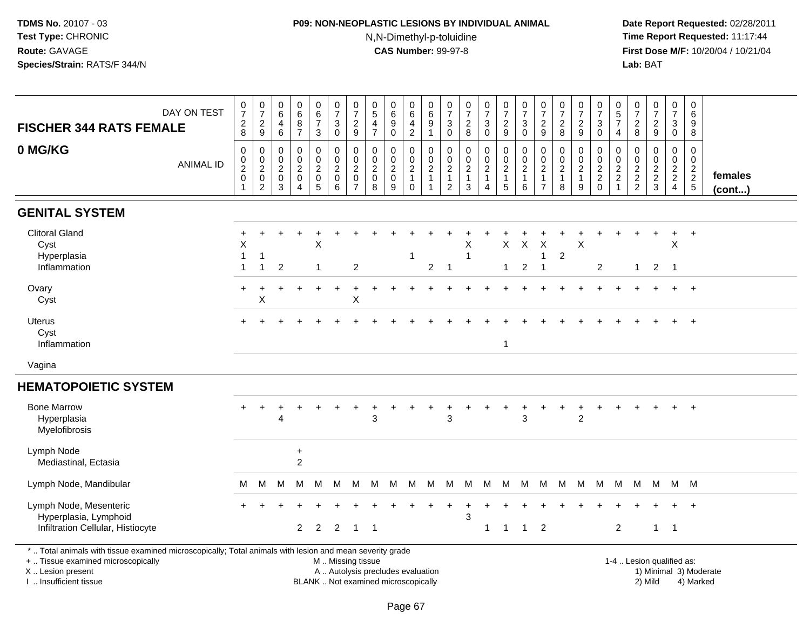### **P09: NON-NEOPLASTIC LESIONS BY INDIVIDUAL ANIMAL**N,N-Dimethyl-p-toluidine

 **Date Report Requested:** 02/28/2011 **Time Report Requested:** 11:17:44 **First Dose M/F:** 10/20/04 / 10/21/04<br>**Lab:** BAT **Lab:** BAT

| DAY ON TEST<br><b>FISCHER 344 RATS FEMALE</b>                                                                                                                                                 | $\frac{0}{7}$<br>$\frac{2}{8}$                           | $\frac{0}{7}$<br>$\overline{c}$<br>$9\,$               | $\,0\,$<br>6<br>$\overline{4}$<br>6                                     | $_{6}^{\rm o}$<br>$\frac{8}{7}$                                                   | $\begin{array}{c} 0 \\ 6 \end{array}$<br>$\overline{7}$<br>$\sqrt{3}$       | $\begin{array}{c} 0 \\ 7 \end{array}$<br>$\sqrt{3}$<br>$\mathsf 0$                            | $\frac{0}{7}$<br>$\boldsymbol{2}$<br>$\boldsymbol{9}$                         | $\begin{array}{c} 0 \\ 5 \\ 4 \end{array}$<br>$\overline{7}$           | $_6^0$<br>$\overline{9}$<br>$\mathbf 0$                                   | $_{6}^{\rm 0}$<br>$\frac{4}{2}$                                         | $_{6}^{\rm 0}$<br>$\boldsymbol{9}$<br>$\mathbf{1}$              | $\frac{0}{7}$<br>$\ensuremath{\mathsf{3}}$<br>$\mathsf 0$              | $\frac{0}{7}$<br>$\sqrt{2}$<br>8                                                 | $\frac{0}{7}$<br>$\sqrt{3}$<br>$\mathbf 0$                           | $\begin{array}{c} 0 \\ 7 \end{array}$<br>$\frac{2}{9}$         | $\frac{0}{7}$<br>$\ensuremath{\mathsf{3}}$<br>$\mathsf 0$                      | $\begin{array}{c} 0 \\ 7 \end{array}$<br>$\mathbf 2$<br>$9\,$        | $\begin{array}{c} 0 \\ 7 \end{array}$<br>$\frac{2}{8}$          | $\frac{0}{7}$<br>$\sqrt{2}$<br>$\boldsymbol{9}$     | $\begin{array}{c} 0 \\ 7 \end{array}$<br>$\ensuremath{\mathsf{3}}$<br>$\mathbf 0$ | $\begin{array}{c} 0 \\ 5 \end{array}$<br>$\overline{7}$<br>$\overline{4}$        | $\frac{0}{7}$<br>$\overline{c}$<br>$\bf 8$                    | $\frac{0}{7}$<br>$\frac{2}{9}$                              | $\begin{smallmatrix}0\\7\end{smallmatrix}$<br>$\ensuremath{\mathsf{3}}$<br>$\mathbf 0$ | $\mathbf 0$<br>6<br>$9\,$<br>8            |                         |
|-----------------------------------------------------------------------------------------------------------------------------------------------------------------------------------------------|----------------------------------------------------------|--------------------------------------------------------|-------------------------------------------------------------------------|-----------------------------------------------------------------------------------|-----------------------------------------------------------------------------|-----------------------------------------------------------------------------------------------|-------------------------------------------------------------------------------|------------------------------------------------------------------------|---------------------------------------------------------------------------|-------------------------------------------------------------------------|-----------------------------------------------------------------|------------------------------------------------------------------------|----------------------------------------------------------------------------------|----------------------------------------------------------------------|----------------------------------------------------------------|--------------------------------------------------------------------------------|----------------------------------------------------------------------|-----------------------------------------------------------------|-----------------------------------------------------|-----------------------------------------------------------------------------------|----------------------------------------------------------------------------------|---------------------------------------------------------------|-------------------------------------------------------------|----------------------------------------------------------------------------------------|-------------------------------------------|-------------------------|
| 0 MG/KG<br><b>ANIMAL ID</b>                                                                                                                                                                   | $\pmb{0}$<br>$_{2}^{\rm 0}$<br>$\pmb{0}$<br>$\mathbf{1}$ | $\mathbf 0$<br>$_2^0$<br>$\mathbf 0$<br>$\overline{c}$ | 0<br>$\pmb{0}$<br>$\overline{2}$<br>$\mathsf{O}\xspace$<br>$\mathbf{3}$ | $\pmb{0}$<br>$\pmb{0}$<br>$\overline{2}$<br>$\mathsf{O}\xspace$<br>$\overline{4}$ | $\pmb{0}$<br>$\mathbf 0$<br>$\overline{c}$<br>$\mathbf 0$<br>$\overline{5}$ | $\pmb{0}$<br>$\mathbf 0$<br>$\overline{2}$<br>$\mathsf{O}\xspace$<br>$\,6\,$                  | $\mathbf 0$<br>$\mathbf 0$<br>$\overline{c}$<br>$\mathbf 0$<br>$\overline{7}$ | $\mathsf{O}\xspace$<br>$\mathbf 0$<br>$\overline{2}$<br>$\pmb{0}$<br>8 | $\mathbf 0$<br>$\pmb{0}$<br>$\overline{2}$<br>$\pmb{0}$<br>$\overline{9}$ | 0<br>$\mathsf{O}\xspace$<br>$\overline{2}$<br>$\mathbf{1}$<br>$\pmb{0}$ | $\mathbf 0$<br>$\pmb{0}$<br>$\overline{2}$<br>$\mathbf{1}$<br>1 | 0<br>$\mathbf 0$<br>$\boldsymbol{2}$<br>$\mathbf{1}$<br>$\overline{c}$ | $\pmb{0}$<br>$\mathbf 0$<br>$\boldsymbol{2}$<br>$\overline{1}$<br>$\overline{3}$ | 0<br>$\mathbf 0$<br>$\overline{c}$<br>$\mathbf{1}$<br>$\overline{4}$ | $\mathbf 0$<br>$\frac{0}{2}$<br>$\mathbf{1}$<br>$\overline{5}$ | $\pmb{0}$<br>$\begin{smallmatrix} 0\\2 \end{smallmatrix}$<br>$\mathbf{1}$<br>6 | 0<br>$\pmb{0}$<br>$\boldsymbol{2}$<br>$\mathbf{1}$<br>$\overline{7}$ | $\mathbf 0$<br>$\pmb{0}$<br>$\overline{2}$<br>$\mathbf{1}$<br>8 | 0<br>$\mathbf 0$<br>$\sqrt{2}$<br>$\mathbf{1}$<br>9 | $\mathbf 0$<br>$\mathbf 0$<br>$\overline{2}$<br>$^2_{\rm 0}$                      | $\mathbf 0$<br>$\mathbf 0$<br>$\boldsymbol{2}$<br>$\overline{c}$<br>$\mathbf{1}$ | $\mathbf 0$<br>$\mathbf 0$<br>$\overline{c}$<br>$\frac{2}{2}$ | $\mathsf 0$<br>$\pmb{0}$<br>$\overline{c}$<br>$\frac{2}{3}$ | 0<br>$\mathbf 0$<br>$\overline{c}$<br>$\overline{2}$<br>$\overline{4}$                 | $\mathbf 0$<br>$\pmb{0}$<br>$\frac{2}{2}$ | females<br>$($ cont $)$ |
| <b>GENITAL SYSTEM</b>                                                                                                                                                                         |                                                          |                                                        |                                                                         |                                                                                   |                                                                             |                                                                                               |                                                                               |                                                                        |                                                                           |                                                                         |                                                                 |                                                                        |                                                                                  |                                                                      |                                                                |                                                                                |                                                                      |                                                                 |                                                     |                                                                                   |                                                                                  |                                                               |                                                             |                                                                                        |                                           |                         |
| <b>Clitoral Gland</b><br>Cyst<br>Hyperplasia<br>Inflammation                                                                                                                                  | X<br>$\overline{1}$                                      | -1<br>$\mathbf{1}$                                     | 2                                                                       |                                                                                   | $\times$<br>1                                                               |                                                                                               | $\overline{2}$                                                                |                                                                        |                                                                           | -1                                                                      | $\overline{2}$                                                  | $\overline{\mathbf{1}}$                                                | X<br>1                                                                           |                                                                      | X<br>$\mathbf{1}$                                              | X<br>$\overline{2}$                                                            | X<br>$\mathbf{1}$<br>$\overline{1}$                                  | $\overline{c}$                                                  | X                                                   | $\overline{2}$                                                                    |                                                                                  | $\mathbf 1$                                                   | $\overline{2}$                                              | +<br>X<br>$\overline{1}$                                                               | $\ddot{}$                                 |                         |
| Ovary<br>Cyst                                                                                                                                                                                 | $+$                                                      | $\ddot{}$<br>X                                         |                                                                         |                                                                                   |                                                                             |                                                                                               | $\ddot{}$<br>Χ                                                                |                                                                        |                                                                           |                                                                         |                                                                 |                                                                        |                                                                                  |                                                                      |                                                                |                                                                                |                                                                      |                                                                 |                                                     |                                                                                   |                                                                                  |                                                               |                                                             |                                                                                        | $+$                                       |                         |
| Uterus<br>Cyst<br>Inflammation                                                                                                                                                                |                                                          |                                                        |                                                                         |                                                                                   |                                                                             |                                                                                               |                                                                               |                                                                        |                                                                           |                                                                         |                                                                 |                                                                        |                                                                                  |                                                                      | $\overline{1}$                                                 |                                                                                |                                                                      |                                                                 |                                                     |                                                                                   |                                                                                  |                                                               |                                                             |                                                                                        | $+$                                       |                         |
| Vagina                                                                                                                                                                                        |                                                          |                                                        |                                                                         |                                                                                   |                                                                             |                                                                                               |                                                                               |                                                                        |                                                                           |                                                                         |                                                                 |                                                                        |                                                                                  |                                                                      |                                                                |                                                                                |                                                                      |                                                                 |                                                     |                                                                                   |                                                                                  |                                                               |                                                             |                                                                                        |                                           |                         |
| <b>HEMATOPOIETIC SYSTEM</b>                                                                                                                                                                   |                                                          |                                                        |                                                                         |                                                                                   |                                                                             |                                                                                               |                                                                               |                                                                        |                                                                           |                                                                         |                                                                 |                                                                        |                                                                                  |                                                                      |                                                                |                                                                                |                                                                      |                                                                 |                                                     |                                                                                   |                                                                                  |                                                               |                                                             |                                                                                        |                                           |                         |
| <b>Bone Marrow</b><br>Hyperplasia<br>Myelofibrosis                                                                                                                                            | $+$                                                      | $+$                                                    | ÷<br>4                                                                  |                                                                                   |                                                                             |                                                                                               |                                                                               | 3                                                                      | ÷.                                                                        | ÷                                                                       |                                                                 | 3                                                                      |                                                                                  |                                                                      |                                                                | $\ddot{}$<br>3                                                                 |                                                                      |                                                                 | $\ddot{}$<br>$\overline{c}$                         |                                                                                   |                                                                                  |                                                               |                                                             | $+$                                                                                    | $+$                                       |                         |
| Lymph Node<br>Mediastinal, Ectasia                                                                                                                                                            |                                                          |                                                        |                                                                         | $\ddot{}$<br>$\overline{c}$                                                       |                                                                             |                                                                                               |                                                                               |                                                                        |                                                                           |                                                                         |                                                                 |                                                                        |                                                                                  |                                                                      |                                                                |                                                                                |                                                                      |                                                                 |                                                     |                                                                                   |                                                                                  |                                                               |                                                             |                                                                                        |                                           |                         |
| Lymph Node, Mandibular                                                                                                                                                                        | М                                                        | м                                                      | М                                                                       | м                                                                                 | м                                                                           | М                                                                                             | м                                                                             | м                                                                      | M                                                                         | M                                                                       | M                                                               | M                                                                      | М                                                                                | М                                                                    | М                                                              | M                                                                              | M                                                                    | М                                                               | M                                                   | M                                                                                 | M                                                                                | M                                                             | M                                                           |                                                                                        | M M                                       |                         |
| Lymph Node, Mesenteric<br>Hyperplasia, Lymphoid<br>Infiltration Cellular, Histiocyte                                                                                                          |                                                          |                                                        |                                                                         | $\overline{2}$                                                                    | $\overline{2}$                                                              | $\overline{2}$                                                                                | $\mathbf{1}$                                                                  | -1                                                                     |                                                                           |                                                                         |                                                                 |                                                                        | 3                                                                                | $\mathbf{1}$                                                         | $\mathbf{1}$                                                   | $\mathbf{1}$                                                                   | 2                                                                    |                                                                 |                                                     |                                                                                   | $\overline{c}$                                                                   |                                                               | $\mathbf{1}$                                                | $\overline{1}$                                                                         |                                           |                         |
| *  Total animals with tissue examined microscopically; Total animals with lesion and mean severity grade<br>+  Tissue examined microscopically<br>X  Lesion present<br>I. Insufficient tissue |                                                          |                                                        |                                                                         |                                                                                   |                                                                             | M  Missing tissue<br>A  Autolysis precludes evaluation<br>BLANK  Not examined microscopically |                                                                               |                                                                        |                                                                           |                                                                         |                                                                 |                                                                        |                                                                                  |                                                                      |                                                                |                                                                                |                                                                      |                                                                 |                                                     |                                                                                   |                                                                                  |                                                               | 1-4  Lesion qualified as:<br>2) Mild                        |                                                                                        | 4) Marked                                 | 1) Minimal 3) Moderate  |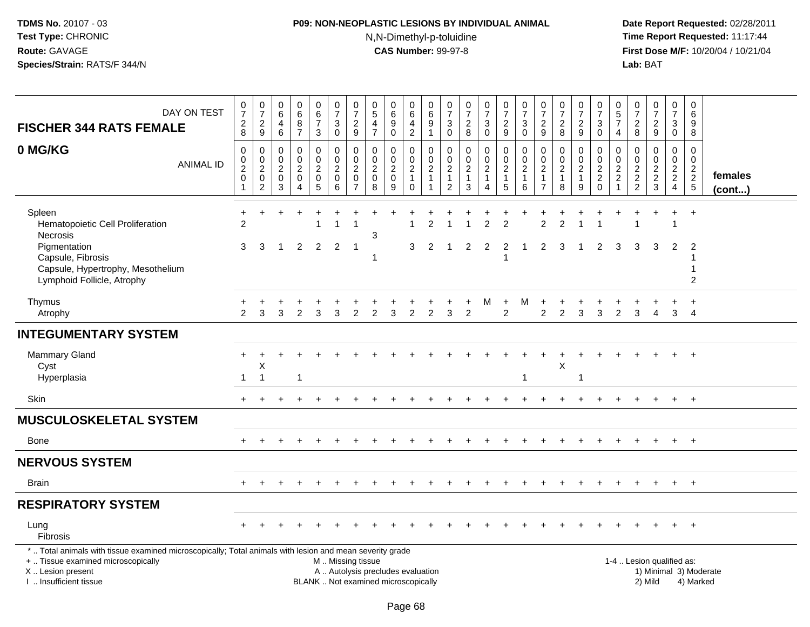### **P09: NON-NEOPLASTIC LESIONS BY INDIVIDUAL ANIMAL**N,N-Dimethyl-p-toluidine

 **Date Report Requested:** 02/28/2011 **Time Report Requested:** 11:17:44 **First Dose M/F:** 10/20/04 / 10/21/04<br>**Lab:** BAT **Lab:** BAT

|                                                                                                                                                                                               |                                                                                     |                                                           |                                                                                  |                                                                          | 0                                                            |                                                                      | 0                                                                         | $\mathbf 0$                                                      |                                                                          | 0                                                                           |                                                         | 0                                                                              |                                                                              |                                                                         |                                                                              |                                                                    |                                                                            |                                                                 |                                                        | 0                                                                         |                                                                        |                                                     |                                      |                                                                    | $\mathbf 0$                                   |                         |
|-----------------------------------------------------------------------------------------------------------------------------------------------------------------------------------------------|-------------------------------------------------------------------------------------|-----------------------------------------------------------|----------------------------------------------------------------------------------|--------------------------------------------------------------------------|--------------------------------------------------------------|----------------------------------------------------------------------|---------------------------------------------------------------------------|------------------------------------------------------------------|--------------------------------------------------------------------------|-----------------------------------------------------------------------------|---------------------------------------------------------|--------------------------------------------------------------------------------|------------------------------------------------------------------------------|-------------------------------------------------------------------------|------------------------------------------------------------------------------|--------------------------------------------------------------------|----------------------------------------------------------------------------|-----------------------------------------------------------------|--------------------------------------------------------|---------------------------------------------------------------------------|------------------------------------------------------------------------|-----------------------------------------------------|--------------------------------------|--------------------------------------------------------------------|-----------------------------------------------|-------------------------|
| DAY ON TEST<br><b>FISCHER 344 RATS FEMALE</b>                                                                                                                                                 | $\frac{0}{7}$<br>$\frac{2}{8}$                                                      | $\frac{0}{7}$<br>$\sqrt{2}$                               | $_{6}^{\rm 0}$<br>$\overline{4}$                                                 | $_{6}^{\rm 0}$<br>$\overline{8}$                                         | 6<br>$\overline{7}$                                          | $\frac{0}{7}$<br>$\sqrt{3}$                                          | $\overline{7}$<br>$\sqrt{2}$                                              | $\overline{5}$<br>4                                              | $_{6}^{\rm 0}$<br>$\boldsymbol{9}$                                       | $\overline{6}$                                                              | $\begin{array}{c} 0 \\ 6 \end{array}$<br>$\overline{9}$ | $\overline{7}$<br>$\ensuremath{\mathsf{3}}$                                    | $\begin{array}{c} 0 \\ 7 \end{array}$<br>$\sqrt{2}$                          | $\begin{smallmatrix}0\\7\end{smallmatrix}$<br>$\ensuremath{\mathsf{3}}$ | $\frac{0}{7}$<br>$\overline{c}$                                              | $\frac{0}{7}$<br>$\ensuremath{\mathsf{3}}$                         | $\frac{0}{7}$<br>$\sqrt{2}$                                                | $\begin{array}{c} 0 \\ 7 \end{array}$<br>$_{\rm 8}^2$           | $\begin{array}{c} 0 \\ 7 \end{array}$<br>$\frac{2}{9}$ | $\frac{5}{7}$<br>$\sqrt{3}$                                               | $\begin{array}{c} 0 \\ 5 \end{array}$<br>$\overline{7}$                | $\frac{0}{7}$<br>$\boldsymbol{2}$                   | $\frac{0}{7}$<br>$\frac{2}{9}$       | $\begin{array}{c} 0 \\ 7 \end{array}$<br>$\ensuremath{\mathsf{3}}$ | $\,6\,$<br>$\boldsymbol{9}$                   |                         |
|                                                                                                                                                                                               |                                                                                     | $\boldsymbol{9}$                                          | $6\phantom{1}$                                                                   | $\overline{7}$                                                           | 3                                                            | $\mathbf 0$                                                          | $\boldsymbol{9}$                                                          | $\overline{7}$                                                   | $\pmb{0}$                                                                | $\frac{4}{2}$                                                               | $\mathbf{1}$                                            | $\mathbf 0$                                                                    | $\,8\,$                                                                      | $\mathbf 0$                                                             | $9\,$                                                                        | $\pmb{0}$                                                          | 9                                                                          |                                                                 |                                                        | $\mathsf{O}\xspace$                                                       | $\overline{4}$                                                         | 8                                                   |                                      | $\mathbf 0$                                                        | 8                                             |                         |
| 0 MG/KG<br><b>ANIMAL ID</b>                                                                                                                                                                   | $\pmb{0}$<br>$\boldsymbol{0}$<br>$\overline{2}$<br>$\boldsymbol{0}$<br>$\mathbf{1}$ | 0<br>$\mathbf 0$<br>$\overline{2}$<br>0<br>$\overline{c}$ | 0<br>$\boldsymbol{0}$<br>$\overline{2}$<br>$\mathsf{O}\xspace$<br>$\overline{3}$ | $\mathsf 0$<br>$\mathbf 0$<br>$\overline{c}$<br>$\mathsf{O}$<br>$\Delta$ | 0<br>$\overline{0}$<br>$\overline{2}$<br>0<br>$\overline{5}$ | $\pmb{0}$<br>$\mathbf 0$<br>$\overline{2}$<br>$\mathbf 0$<br>$\,6\,$ | $\mathbf 0$<br>$\mathbf 0$<br>$\sqrt{2}$<br>$\mathbf 0$<br>$\overline{7}$ | $\mathbf 0$<br>$\mathbf 0$<br>$\overline{2}$<br>$\mathbf 0$<br>8 | 0<br>$\pmb{0}$<br>$\overline{c}$<br>$\mathbf 0$<br>9                     | $\mathbf 0$<br>$\mathbf 0$<br>$\overline{2}$<br>$\mathbf{1}$<br>$\mathbf 0$ | $\mathbf 0$<br>$^{\rm 0}_{\rm 2}$<br>$\mathbf{1}$<br>1  | $\mathbf 0$<br>$\mathbf 0$<br>$\overline{2}$<br>$\mathbf{1}$<br>$\overline{2}$ | $\mathbf 0$<br>$\pmb{0}$<br>$\overline{2}$<br>$\mathbf{1}$<br>$\overline{3}$ | 0<br>$\mathbf 0$<br>$\overline{2}$<br>$\mathbf{1}$<br>$\overline{4}$    | $\pmb{0}$<br>$\mathbf 0$<br>$\overline{2}$<br>$\mathbf{1}$<br>$\overline{5}$ | 0<br>$\pmb{0}$<br>$\overline{2}$<br>$\mathbf{1}$<br>$6\phantom{1}$ | $\mathbf 0$<br>$\mathbf 0$<br>$\sqrt{2}$<br>$\mathbf{1}$<br>$\overline{7}$ | $\mathbf 0$<br>$\pmb{0}$<br>$\overline{2}$<br>$\mathbf{1}$<br>8 | 0<br>$\mathbf 0$<br>$\overline{2}$<br>$\frac{1}{9}$    | $\mathbf 0$<br>$\pmb{0}$<br>$\overline{2}$<br>$\overline{2}$ <sub>0</sub> | $\mathbf 0$<br>$\mathbf 0$<br>$\sqrt{2}$<br>$\sqrt{2}$<br>$\mathbf{1}$ | 0<br>$\mathbf 0$<br>$\overline{2}$<br>$\frac{2}{2}$ | 0<br>$\mathbf 0$<br>$\frac{2}{3}$    | $\mathbf 0$<br>$\mathbf 0$<br>$\frac{2}{2}$<br>$\overline{4}$      | $\mathbf 0$<br>$\mathbf 0$<br>$\frac{2}{2}$ 5 | females<br>$($ cont $)$ |
| Spleen<br>Hematopoietic Cell Proliferation<br>Necrosis                                                                                                                                        | +<br>$\overline{2}$                                                                 |                                                           |                                                                                  |                                                                          |                                                              | 1                                                                    | 1                                                                         | 3                                                                |                                                                          |                                                                             | $\overline{2}$                                          |                                                                                |                                                                              | $\overline{2}$                                                          | $\mathcal{P}$                                                                |                                                                    | $\overline{2}$                                                             | $\overline{2}$                                                  |                                                        |                                                                           |                                                                        |                                                     |                                      |                                                                    | $\ddot{}$                                     |                         |
| Pigmentation<br>Capsule, Fibrosis<br>Capsule, Hypertrophy, Mesothelium<br>Lymphoid Follicle, Atrophy                                                                                          | 3                                                                                   | 3                                                         | -1                                                                               | 2                                                                        | 2                                                            | 2                                                                    | $\overline{\mathbf{1}}$                                                   | 1                                                                |                                                                          | 3                                                                           | 2                                                       |                                                                                | 2                                                                            | 2                                                                       | 2<br>1                                                                       |                                                                    | 2                                                                          | 3                                                               |                                                        | 2                                                                         | 3                                                                      | 3                                                   | 3                                    | 2                                                                  | $\overline{2}$<br>2                           |                         |
| Thymus<br>Atrophy                                                                                                                                                                             | $\mathcal{P}$                                                                       | 3                                                         | 3                                                                                | 2                                                                        | 3                                                            | 3                                                                    | $\overline{2}$                                                            | $\mathfrak{p}$                                                   | 3                                                                        | 2                                                                           | 2                                                       | 3                                                                              | $\overline{2}$                                                               | м                                                                       | $\ddot{}$<br>$\overline{2}$                                                  | м                                                                  | $\overline{2}$                                                             | $\overline{2}$                                                  | 3                                                      | 3                                                                         | 2                                                                      | 3                                                   | $\overline{4}$                       | 3                                                                  | $\ddot{}$<br>$\overline{4}$                   |                         |
| <b>INTEGUMENTARY SYSTEM</b>                                                                                                                                                                   |                                                                                     |                                                           |                                                                                  |                                                                          |                                                              |                                                                      |                                                                           |                                                                  |                                                                          |                                                                             |                                                         |                                                                                |                                                                              |                                                                         |                                                                              |                                                                    |                                                                            |                                                                 |                                                        |                                                                           |                                                                        |                                                     |                                      |                                                                    |                                               |                         |
| <b>Mammary Gland</b><br>Cyst<br>Hyperplasia                                                                                                                                                   | $\ddot{}$<br>$\mathbf 1$                                                            | Χ<br>$\overline{1}$                                       |                                                                                  | $\overline{1}$                                                           |                                                              |                                                                      |                                                                           |                                                                  |                                                                          |                                                                             |                                                         |                                                                                |                                                                              |                                                                         |                                                                              | 1                                                                  |                                                                            | X                                                               |                                                        |                                                                           |                                                                        |                                                     |                                      |                                                                    |                                               |                         |
| <b>Skin</b>                                                                                                                                                                                   |                                                                                     |                                                           |                                                                                  |                                                                          |                                                              |                                                                      |                                                                           |                                                                  |                                                                          |                                                                             |                                                         |                                                                                |                                                                              |                                                                         |                                                                              |                                                                    |                                                                            |                                                                 |                                                        |                                                                           |                                                                        |                                                     |                                      |                                                                    | $+$                                           |                         |
| <b>MUSCULOSKELETAL SYSTEM</b>                                                                                                                                                                 |                                                                                     |                                                           |                                                                                  |                                                                          |                                                              |                                                                      |                                                                           |                                                                  |                                                                          |                                                                             |                                                         |                                                                                |                                                                              |                                                                         |                                                                              |                                                                    |                                                                            |                                                                 |                                                        |                                                                           |                                                                        |                                                     |                                      |                                                                    |                                               |                         |
| Bone                                                                                                                                                                                          | $+$                                                                                 |                                                           |                                                                                  |                                                                          |                                                              |                                                                      |                                                                           |                                                                  |                                                                          |                                                                             |                                                         |                                                                                |                                                                              |                                                                         |                                                                              |                                                                    |                                                                            |                                                                 |                                                        |                                                                           |                                                                        |                                                     |                                      | $+$                                                                | $+$                                           |                         |
| <b>NERVOUS SYSTEM</b>                                                                                                                                                                         |                                                                                     |                                                           |                                                                                  |                                                                          |                                                              |                                                                      |                                                                           |                                                                  |                                                                          |                                                                             |                                                         |                                                                                |                                                                              |                                                                         |                                                                              |                                                                    |                                                                            |                                                                 |                                                        |                                                                           |                                                                        |                                                     |                                      |                                                                    |                                               |                         |
| <b>Brain</b>                                                                                                                                                                                  |                                                                                     |                                                           |                                                                                  |                                                                          |                                                              |                                                                      |                                                                           |                                                                  |                                                                          |                                                                             |                                                         |                                                                                |                                                                              |                                                                         |                                                                              |                                                                    |                                                                            |                                                                 |                                                        |                                                                           |                                                                        |                                                     |                                      | $+$                                                                | $+$                                           |                         |
| <b>RESPIRATORY SYSTEM</b>                                                                                                                                                                     |                                                                                     |                                                           |                                                                                  |                                                                          |                                                              |                                                                      |                                                                           |                                                                  |                                                                          |                                                                             |                                                         |                                                                                |                                                                              |                                                                         |                                                                              |                                                                    |                                                                            |                                                                 |                                                        |                                                                           |                                                                        |                                                     |                                      |                                                                    |                                               |                         |
| Lung<br><b>Fibrosis</b>                                                                                                                                                                       |                                                                                     |                                                           |                                                                                  |                                                                          |                                                              |                                                                      |                                                                           |                                                                  |                                                                          |                                                                             |                                                         |                                                                                |                                                                              |                                                                         |                                                                              |                                                                    |                                                                            |                                                                 |                                                        |                                                                           |                                                                        |                                                     |                                      |                                                                    | $^{+}$                                        |                         |
| *  Total animals with tissue examined microscopically; Total animals with lesion and mean severity grade<br>+  Tissue examined microscopically<br>X  Lesion present<br>I  Insufficient tissue |                                                                                     |                                                           |                                                                                  |                                                                          |                                                              | M  Missing tissue                                                    |                                                                           |                                                                  | A  Autolysis precludes evaluation<br>BLANK  Not examined microscopically |                                                                             |                                                         |                                                                                |                                                                              |                                                                         |                                                                              |                                                                    |                                                                            |                                                                 |                                                        |                                                                           |                                                                        |                                                     | 1-4  Lesion qualified as:<br>2) Mild |                                                                    | 4) Marked                                     | 1) Minimal 3) Moderate  |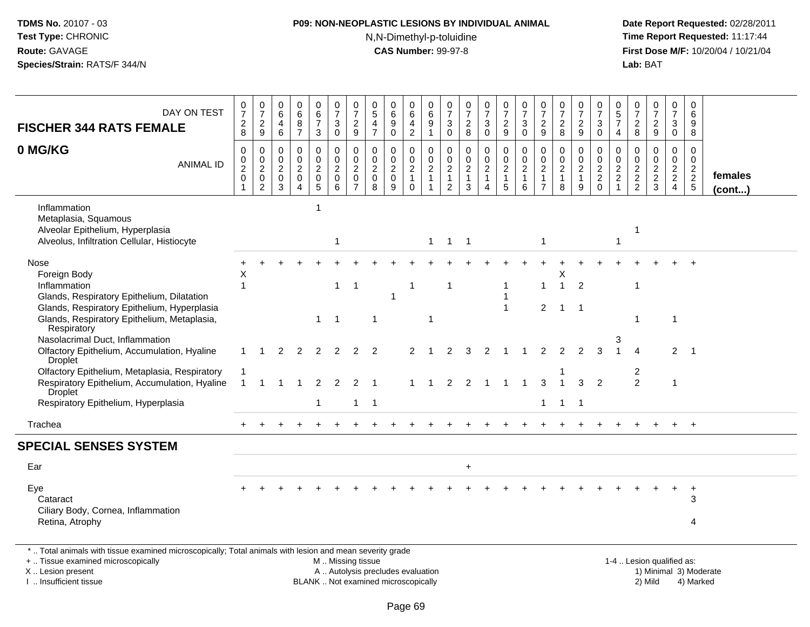### **P09: NON-NEOPLASTIC LESIONS BY INDIVIDUAL ANIMAL**N,N-Dimethyl-p-toluidine

 **Date Report Requested:** 02/28/2011 **Time Report Requested:** 11:17:44 **First Dose M/F:** 10/20/04 / 10/21/04<br>**Lab:** BAT **Lab:** BAT

| DAY ON TEST<br><b>FISCHER 344 RATS FEMALE</b>                                                                                                                       | 0<br>$\overline{7}$<br>$_{8}^2$         | $\frac{0}{7}$<br>$\frac{2}{9}$                                                        | 0<br>6<br>4<br>$\,6\,$                                 | 0<br>$\,6\,$<br>8<br>$\overline{7}$                                     | $\begin{matrix} 0 \\ 6 \end{matrix}$<br>$\overline{7}$<br>$\mathbf{3}$ | 0<br>$\boldsymbol{7}$<br>3<br>$\overline{0}$             | $\frac{0}{7}$<br>$\frac{2}{9}$                                      | 0<br>$\sqrt{5}$<br>$\overline{4}$<br>$\overline{7}$              | $\begin{array}{c} 0 \\ 6 \end{array}$<br>$9\,$<br>$\mathbf 0$ | 0<br>$\,6\,$<br>4<br>$\sqrt{2}$                              | 0<br>$\,6\,$<br>$9\,$<br>$\mathbf{1}$                                            | 0<br>$\overline{7}$<br>3<br>$\mathbf 0$                              | $\frac{0}{7}$<br>$_{8}^2$                                         | $\frac{0}{7}$<br>$\mathbf{3}$<br>$\overline{0}$     | 0<br>$\boldsymbol{7}$<br>$\frac{2}{9}$                  | $\frac{0}{7}$<br>$\sqrt{3}$<br>$\overline{0}$               | 0<br>$\overline{7}$<br>$\frac{2}{9}$                                           | 0<br>$\overline{7}$<br>$\frac{2}{8}$                          | $\frac{0}{7}$<br>$\overline{c}$<br>9                    | 0<br>$\overline{7}$<br>$_{0}^{3}$                | 0<br>5<br>$\overline{7}$<br>$\overline{4}$                                    | 0<br>7<br>$_{8}^2$                                             | $\begin{smallmatrix}0\\7\end{smallmatrix}$<br>$\frac{2}{9}$ | 0<br>$\overline{7}$<br>3<br>0             | 0<br>6<br>9<br>8                                               |                         |
|---------------------------------------------------------------------------------------------------------------------------------------------------------------------|-----------------------------------------|---------------------------------------------------------------------------------------|--------------------------------------------------------|-------------------------------------------------------------------------|------------------------------------------------------------------------|----------------------------------------------------------|---------------------------------------------------------------------|------------------------------------------------------------------|---------------------------------------------------------------|--------------------------------------------------------------|----------------------------------------------------------------------------------|----------------------------------------------------------------------|-------------------------------------------------------------------|-----------------------------------------------------|---------------------------------------------------------|-------------------------------------------------------------|--------------------------------------------------------------------------------|---------------------------------------------------------------|---------------------------------------------------------|--------------------------------------------------|-------------------------------------------------------------------------------|----------------------------------------------------------------|-------------------------------------------------------------|-------------------------------------------|----------------------------------------------------------------|-------------------------|
| 0 MG/KG<br><b>ANIMAL ID</b>                                                                                                                                         | 0<br>0<br>$\overline{c}$<br>$\mathbf 0$ | $\mathbf 0$<br>$\mathbf 0$<br>$\overline{2}$<br>$\mathsf{O}\xspace$<br>$\overline{2}$ | 0<br>$\mathbf 0$<br>$\overline{2}$<br>$\mathbf 0$<br>3 | $\mathbf 0$<br>$\mathbf 0$<br>$\overline{2}$<br>$\mathbf 0$<br>$\Delta$ | 0<br>$\mathbf 0$<br>$\overline{2}$<br>$\mathbf 0$<br>5                 | 0<br>$\mathbf 0$<br>$\boldsymbol{2}$<br>$\mathbf 0$<br>6 | 0<br>$\mathbf 0$<br>$\overline{c}$<br>$\mathbf 0$<br>$\overline{7}$ | $\mathbf 0$<br>$\mathbf 0$<br>$\overline{c}$<br>$\mathbf 0$<br>8 | $\mathbf 0$<br>$\pmb{0}$<br>$\sqrt{2}$<br>$\pmb{0}$<br>9      | 0<br>$\mathbf 0$<br>$\sqrt{2}$<br>$\overline{1}$<br>$\Omega$ | $\mathbf 0$<br>$\mathbf 0$<br>$\boldsymbol{2}$<br>$\overline{1}$<br>$\mathbf{1}$ | 0<br>$\mathbf 0$<br>$\overline{a}$<br>$\mathbf{1}$<br>$\overline{2}$ | $\mathbf 0$<br>$\mathbf 0$<br>$\overline{2}$<br>$\mathbf{1}$<br>3 | 0<br>$\mathsf{O}$<br>$\overline{2}$<br>$\mathbf{1}$ | 0<br>$\mathbf 0$<br>$\overline{2}$<br>$\mathbf{1}$<br>5 | 0<br>$\mathsf{O}\xspace$<br>$\sqrt{2}$<br>$\mathbf{1}$<br>6 | $\mathbf 0$<br>$\mathbf 0$<br>$\overline{2}$<br>$\mathbf{1}$<br>$\overline{7}$ | $\mathbf 0$<br>$\mathbf 0$<br>$\sqrt{2}$<br>$\mathbf{1}$<br>8 | 0<br>$\mathbf 0$<br>$\overline{c}$<br>$\mathbf{1}$<br>9 | 0<br>$\mathbf 0$<br>$\frac{2}{2}$<br>$\mathbf 0$ | $\mathbf 0$<br>$\mathbf 0$<br>$\overline{c}$<br>$\overline{2}$<br>$\mathbf 1$ | 0<br>$\mathbf 0$<br>$\begin{array}{c} 2 \\ 2 \\ 2 \end{array}$ | $\mathbf 0$<br>$\mathbf 0$<br>$\frac{2}{3}$                 | 0<br>0<br>$\frac{2}{2}$<br>$\overline{4}$ | $\mathbf 0$<br>$\mathbf 0$<br>$\frac{2}{2}$<br>$5\phantom{.0}$ | females<br>$($ cont $)$ |
| Inflammation<br>Metaplasia, Squamous<br>Alveolar Epithelium, Hyperplasia<br>Alveolus, Infiltration Cellular, Histiocyte                                             |                                         |                                                                                       |                                                        |                                                                         | 1                                                                      | -1                                                       |                                                                     |                                                                  |                                                               |                                                              | $\mathbf{1}$                                                                     | $\overline{1}$                                                       | $\overline{1}$                                                    |                                                     |                                                         |                                                             | 1                                                                              |                                                               |                                                         |                                                  | $\mathbf{1}$                                                                  | $\mathbf 1$                                                    |                                                             |                                           |                                                                |                         |
| Nose<br>Foreign Body<br>Inflammation<br>Glands, Respiratory Epithelium, Dilatation<br>Glands, Respiratory Epithelium, Hyperplasia                                   | X                                       |                                                                                       |                                                        |                                                                         |                                                                        | 1                                                        | $\mathbf 1$                                                         |                                                                  |                                                               |                                                              |                                                                                  | -1                                                                   |                                                                   |                                                     |                                                         |                                                             | -1<br>$\overline{2}$                                                           | X<br>$1 \quad 1$                                              | $\overline{2}$                                          |                                                  |                                                                               |                                                                |                                                             |                                           |                                                                |                         |
| Glands, Respiratory Epithelium, Metaplasia,<br>Respiratory<br>Nasolacrimal Duct, Inflammation<br>Olfactory Epithelium, Accumulation, Hyaline<br><b>Droplet</b>      |                                         |                                                                                       | 2                                                      | 2                                                                       | 1<br>2                                                                 | -1<br>2                                                  | 2                                                                   | -1<br>2                                                          |                                                               | 2                                                            |                                                                                  | 2                                                                    | 3                                                                 | $\mathcal{P}$                                       |                                                         |                                                             | 2                                                                              | 2                                                             | $\mathfrak{p}$                                          |                                                  | 3                                                                             | Δ                                                              |                                                             | -1<br>$\overline{2}$                      | $\overline{\phantom{1}}$                                       |                         |
| Olfactory Epithelium, Metaplasia, Respiratory<br>Respiratory Epithelium, Accumulation, Hyaline<br>Droplet<br>Respiratory Epithelium, Hyperplasia                    | $\mathbf{1}$                            | $\overline{1}$                                                                        | -1                                                     |                                                                         | 2<br>$\mathbf{1}$                                                      | 2                                                        | 2<br>$\mathbf{1}$                                                   | -1                                                               |                                                               |                                                              |                                                                                  | 2                                                                    | 2                                                                 | $\overline{1}$                                      | $\overline{1}$                                          | $\overline{1}$                                              | 3<br>$\mathbf{1}$                                                              | $\mathbf{1}$                                                  | 3<br>$\overline{\mathbf{1}}$                            | $\overline{2}$                                   |                                                                               | 2<br>$\overline{2}$                                            |                                                             | $\overline{1}$                            |                                                                |                         |
| Trachea                                                                                                                                                             |                                         |                                                                                       |                                                        |                                                                         |                                                                        |                                                          |                                                                     |                                                                  |                                                               |                                                              |                                                                                  |                                                                      |                                                                   |                                                     |                                                         |                                                             |                                                                                |                                                               |                                                         |                                                  |                                                                               |                                                                |                                                             | $+$                                       | $+$                                                            |                         |
| <b>SPECIAL SENSES SYSTEM</b>                                                                                                                                        |                                         |                                                                                       |                                                        |                                                                         |                                                                        |                                                          |                                                                     |                                                                  |                                                               |                                                              |                                                                                  |                                                                      |                                                                   |                                                     |                                                         |                                                             |                                                                                |                                                               |                                                         |                                                  |                                                                               |                                                                |                                                             |                                           |                                                                |                         |
| Ear                                                                                                                                                                 |                                         |                                                                                       |                                                        |                                                                         |                                                                        |                                                          |                                                                     |                                                                  |                                                               |                                                              |                                                                                  |                                                                      | $\ddot{}$                                                         |                                                     |                                                         |                                                             |                                                                                |                                                               |                                                         |                                                  |                                                                               |                                                                |                                                             |                                           |                                                                |                         |
| Eye<br>Cataract<br>Ciliary Body, Cornea, Inflammation<br>Retina, Atrophy                                                                                            |                                         |                                                                                       |                                                        |                                                                         |                                                                        |                                                          |                                                                     |                                                                  |                                                               |                                                              |                                                                                  |                                                                      |                                                                   |                                                     |                                                         |                                                             |                                                                                |                                                               |                                                         |                                                  |                                                                               |                                                                |                                                             |                                           | $\ddot{}$<br>3<br>4                                            |                         |
| *  Total animals with tissue examined microscopically; Total animals with lesion and mean severity grade<br>+  Tissue examined microscopically<br>X  Lesion present |                                         |                                                                                       |                                                        |                                                                         |                                                                        | M  Missing tissue                                        |                                                                     | A  Autolysis precludes evaluation                                |                                                               |                                                              |                                                                                  |                                                                      |                                                                   |                                                     |                                                         |                                                             |                                                                                |                                                               |                                                         |                                                  |                                                                               |                                                                | 1-4  Lesion qualified as:<br>1) Minimal 3) Moderate         |                                           |                                                                |                         |

I .. Insufficient tissue

BLANK .. Not examined microscopically 2) Mild 4) Marked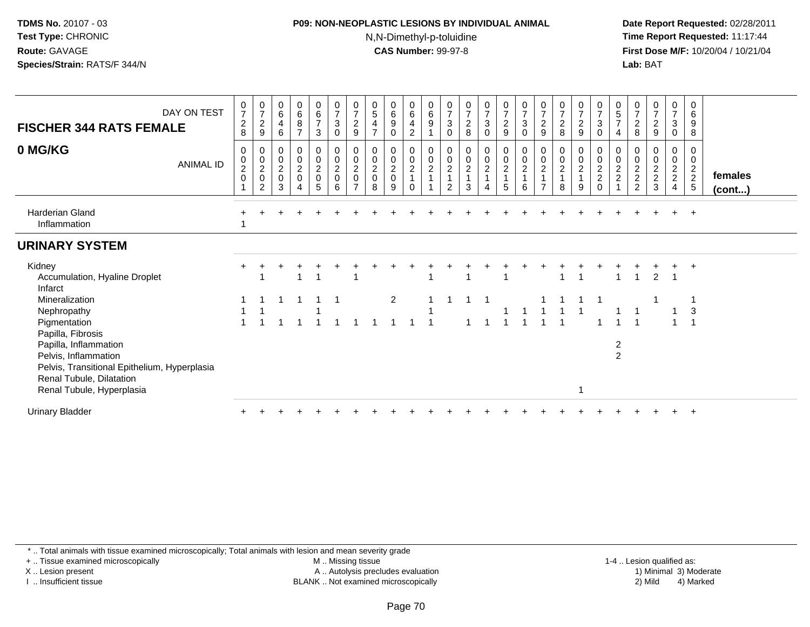#### **P09: NON-NEOPLASTIC LESIONS BY INDIVIDUAL ANIMAL**N,N-Dimethyl-p-toluidine

 **Date Report Requested:** 02/28/2011 **Time Report Requested:** 11:17:44 **First Dose M/F:** 10/20/04 / 10/21/04<br>**Lab:** BAT **Lab:** BAT

| DAY ON TEST<br><b>FISCHER 344 RATS FEMALE</b>                                                                                                                               | $\frac{0}{7}$<br>$\frac{2}{8}$                  | $\frac{0}{7}$<br>$\frac{2}{9}$                            | $\begin{array}{c} 0 \\ 6 \end{array}$<br>$\overline{4}$<br>6 | $_{6}^{\rm 0}$<br>8<br>$\overline{7}$ | $\begin{array}{c} 0 \\ 6 \end{array}$<br>$\overline{7}$<br>3 | $\frac{0}{7}$<br>$\ensuremath{\mathsf{3}}$<br>$\mathbf 0$ | $\frac{0}{7}$<br>$\frac{2}{9}$                            | $\begin{array}{c} 0 \\ 5 \end{array}$<br>$\overline{\mathbf{4}}$<br>$\overline{z}$ | $\begin{array}{c} 0 \\ 6 \end{array}$<br>$\boldsymbol{9}$<br>0 | $\pmb{0}$<br>$\,6\,$<br>4<br>$\overline{c}$                      | $\begin{matrix} 0 \\ 6 \end{matrix}$<br>9 | $\frac{0}{7}$<br>$\ensuremath{\mathsf{3}}$<br>$\pmb{0}$ | $\frac{0}{7}$<br>$\frac{2}{8}$ | $\frac{0}{7}$<br>$\ensuremath{\mathsf{3}}$<br>$\pmb{0}$           | $\frac{0}{7}$<br>$\frac{2}{9}$    | $\frac{0}{7}$<br>$\mathbf{3}$<br>0      | $\frac{0}{7}$<br>$\frac{2}{9}$                          | $\frac{0}{7}$<br>$_{\rm 8}^2$        | $\frac{0}{7}$<br>$\frac{2}{9}$         | $\frac{0}{7}$<br>$\sqrt{3}$<br>$\boldsymbol{0}$ | $\begin{array}{c} 0 \\ 5 \end{array}$<br>$\overline{7}$<br>$\overline{4}$ | $\frac{0}{7}$<br>$\overline{c}$<br>8                     | $\frac{0}{7}$<br>$\overline{c}$<br>9 | $\frac{0}{7}$<br>$\mathbf{3}$<br>$\pmb{0}$          | 0<br>6<br>9<br>8                                     |                   |
|-----------------------------------------------------------------------------------------------------------------------------------------------------------------------------|-------------------------------------------------|-----------------------------------------------------------|--------------------------------------------------------------|---------------------------------------|--------------------------------------------------------------|-----------------------------------------------------------|-----------------------------------------------------------|------------------------------------------------------------------------------------|----------------------------------------------------------------|------------------------------------------------------------------|-------------------------------------------|---------------------------------------------------------|--------------------------------|-------------------------------------------------------------------|-----------------------------------|-----------------------------------------|---------------------------------------------------------|--------------------------------------|----------------------------------------|-------------------------------------------------|---------------------------------------------------------------------------|----------------------------------------------------------|--------------------------------------|-----------------------------------------------------|------------------------------------------------------|-------------------|
| 0 MG/KG<br><b>ANIMAL ID</b>                                                                                                                                                 | 0<br>$\pmb{0}$<br>$\overline{c}$<br>$\mathbf 0$ | 0<br>$\begin{smallmatrix} 0\\2\\0 \end{smallmatrix}$<br>2 | 0<br>$\pmb{0}$<br>$\overline{2}$<br>$\pmb{0}$<br>3           | 0<br>$\mathsf 0$<br>$_{0}^{2}$<br>4   | 0<br>$\mathsf{O}\xspace$<br>$\frac{2}{0}$<br>5               | 0<br>$\begin{matrix}0\\2\\0\end{matrix}$<br>6             | 0<br>0<br>$\overline{c}$<br>$\mathbf 0$<br>$\overline{ }$ | 0<br>$\mathbf 0$<br>$\overline{2}$<br>$\pmb{0}$<br>8                               | 0<br>$\pmb{0}$<br>$\frac{2}{0}$<br>9                           | 0<br>$\mathbf 0$<br>$\boldsymbol{2}$<br>$\mathbf{1}$<br>$\Omega$ | 0<br>$\mathsf{O}$<br>$\frac{2}{1}$        | 0<br>$\frac{0}{2}$<br>1<br>2                            | 0<br>$\frac{0}{2}$<br>1<br>3   | $\begin{array}{c} 0 \\ 0 \\ 2 \\ 1 \end{array}$<br>$\overline{4}$ | $\mathbf 0$<br>$\frac{0}{2}$<br>5 | 0<br>$\mathbf 0$<br>$\overline{c}$<br>6 | 0<br>$_{2}^{\rm 0}$<br>$\overline{1}$<br>$\overline{7}$ | 0<br>$\pmb{0}$<br>$\frac{2}{1}$<br>8 | 0<br>$\mathbf 0$<br>$\frac{2}{1}$<br>9 | $\mathbf 0$<br>$\frac{0}{2}$<br>0               | 0<br>0<br>$\frac{2}{2}$<br>$\overline{A}$                                 | 0<br>$\boldsymbol{0}$<br>$\frac{2}{2}$<br>$\overline{2}$ | 0<br>$\mathbf 0$<br>$\frac{2}{3}$    | 0<br>$\mathbf 0$<br>$\frac{2}{2}$<br>$\overline{4}$ | 0<br>0<br>$\begin{array}{c} 2 \\ 2 \\ 5 \end{array}$ | females<br>(cont) |
| <b>Harderian Gland</b><br>Inflammation                                                                                                                                      |                                                 |                                                           |                                                              |                                       |                                                              |                                                           |                                                           |                                                                                    |                                                                |                                                                  |                                           |                                                         |                                |                                                                   |                                   |                                         |                                                         |                                      |                                        |                                                 |                                                                           |                                                          |                                      |                                                     | $+$                                                  |                   |
| <b>URINARY SYSTEM</b>                                                                                                                                                       |                                                 |                                                           |                                                              |                                       |                                                              |                                                           |                                                           |                                                                                    |                                                                |                                                                  |                                           |                                                         |                                |                                                                   |                                   |                                         |                                                         |                                      |                                        |                                                 |                                                                           |                                                          |                                      |                                                     |                                                      |                   |
| Kidney<br>Accumulation, Hyaline Droplet<br>Infarct                                                                                                                          |                                                 |                                                           |                                                              |                                       |                                                              |                                                           |                                                           |                                                                                    |                                                                |                                                                  |                                           |                                                         |                                |                                                                   |                                   |                                         |                                                         |                                      |                                        |                                                 |                                                                           |                                                          | 2                                    |                                                     |                                                      |                   |
| Mineralization<br>Nephropathy<br>Pigmentation                                                                                                                               |                                                 |                                                           |                                                              |                                       |                                                              |                                                           |                                                           |                                                                                    | $\overline{2}$                                                 |                                                                  |                                           |                                                         |                                |                                                                   |                                   |                                         |                                                         |                                      |                                        |                                                 |                                                                           |                                                          |                                      |                                                     | 3                                                    |                   |
| Papilla, Fibrosis<br>Papilla, Inflammation<br>Pelvis, Inflammation<br>Pelvis, Transitional Epithelium, Hyperplasia<br>Renal Tubule, Dilatation<br>Renal Tubule, Hyperplasia |                                                 |                                                           |                                                              |                                       |                                                              |                                                           |                                                           |                                                                                    |                                                                |                                                                  |                                           |                                                         |                                |                                                                   |                                   |                                         |                                                         |                                      |                                        |                                                 | 2<br>$\overline{2}$                                                       |                                                          |                                      |                                                     |                                                      |                   |
| <b>Urinary Bladder</b>                                                                                                                                                      |                                                 |                                                           |                                                              |                                       |                                                              |                                                           |                                                           |                                                                                    |                                                                |                                                                  |                                           |                                                         |                                |                                                                   |                                   |                                         |                                                         |                                      |                                        |                                                 |                                                                           |                                                          |                                      |                                                     | $\pm$                                                |                   |

\* .. Total animals with tissue examined microscopically; Total animals with lesion and mean severity grade

+ .. Tissue examined microscopically

X .. Lesion present

I .. Insufficient tissue

 M .. Missing tissueA .. Autolysis precludes evaluation

1-4 .. Lesion qualified as:<br>1) Minimal 3) Moderate BLANK .. Not examined microscopically 2) Mild 4) Marked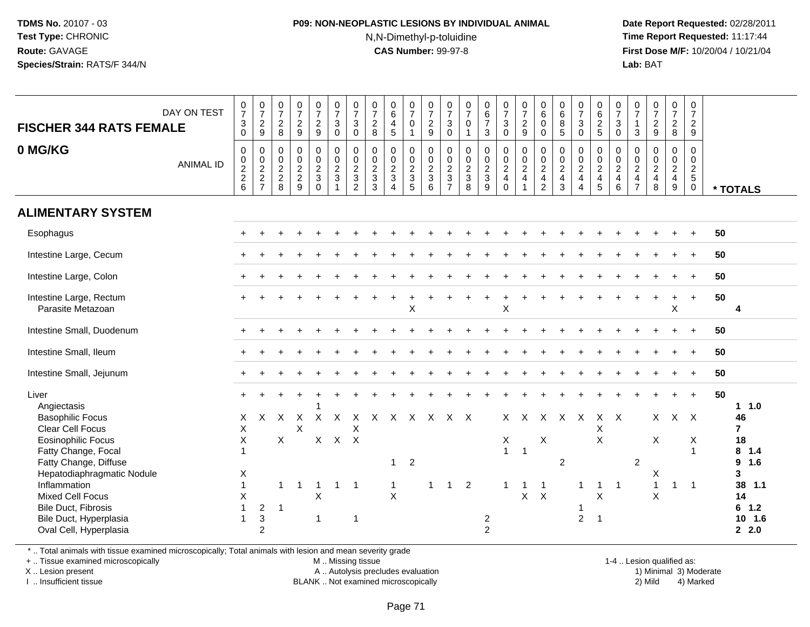#### **P09: NON-NEOPLASTIC LESIONS BY INDIVIDUAL ANIMAL**N,N-Dimethyl-p-toluidine

 **Date Report Requested:** 02/28/2011 **Time Report Requested:** 11:17:44 **First Dose M/F:** 10/20/04 / 10/21/04<br>**Lab:** BAT **Lab:** BAT

| DAY ON TEST<br><b>FISCHER 344 RATS FEMALE</b><br>0 MG/KG<br><b>ANIMAL ID</b>                                                                                                                                                                                                                         | $\frac{0}{7}$<br>$\ensuremath{\mathsf{3}}$<br>$\mathbf 0$<br>$\mathbf 0$<br>$\frac{0}{2}$<br>$6\phantom{1}$               | $\frac{0}{7}$<br>9<br>$\mathbf 0$<br>$\frac{0}{2}$<br>7            | $\begin{array}{c} 0 \\ 7 \\ 2 \end{array}$<br>$\,8\,$<br>$\pmb{0}$<br>$\frac{0}{2}$<br>8 | 0729<br>0<br>$\ddot{\mathbf{0}}$<br>$\frac{2}{2}$<br>$\boldsymbol{9}$ | $\frac{0}{7}$<br>$\frac{2}{9}$<br>$\pmb{0}$<br>$\overline{0}$<br>$\frac{2}{3}$<br>$\mathbf 0$ | $\frac{0}{7}$<br>3<br>$\mathbf 0$<br>$\begin{smallmatrix} 0\\0\\2 \end{smallmatrix}$<br>3<br>$\mathbf{1}$ | $\frac{0}{7}$<br>$\mathbf{3}$<br>$\mathbf 0$<br>$\mathbf 0$<br>$\mathsf{O}\xspace$<br>$\frac{2}{3}$<br>$\overline{2}$ | $\frac{0}{7}$<br>$\sqrt{2}$<br>8<br>$\mathsf{O}\xspace$<br>$\begin{matrix} 0 \\ 2 \\ 3 \end{matrix}$<br>$\mathbf{3}$ | $\begin{array}{c} 0 \\ 6 \end{array}$<br>$\overline{\mathbf{4}}$<br>$\sqrt{5}$<br>$\mathbf 0$<br>$\mathbf 0$<br>$\sqrt{2}$<br>3<br>$\overline{4}$ | $\frac{0}{7}$<br>$\mathbf 0$<br>$\mathbf{1}$<br>$\begin{array}{c} 0 \\ 0 \\ 2 \\ 3 \end{array}$<br>$\overline{5}$ | $\frac{0}{7}$<br>$\sqrt{2}$<br>$\boldsymbol{9}$<br>0<br>$\mathbf 0$<br>$\frac{2}{3}$<br>$6\phantom{1}$ | $\frac{0}{7}$<br>$\overline{3}$<br>$\mathbf 0$<br>$\pmb{0}$<br>$\frac{0}{2}$<br>$\overline{7}$ | $\frac{0}{7}$<br>$\mathbf 0$<br>$\mathbf{1}$<br>0<br>$\ddot{\mathbf{0}}$<br>$\frac{2}{3}$<br>8 | $\begin{array}{c} 0 \\ 6 \\ 7 \end{array}$<br>3<br>$\begin{array}{c} 0 \\ 0 \\ 2 \\ 3 \end{array}$<br>9 | $\frac{0}{7}$<br>3<br>$\mathsf{O}$<br>$\begin{smallmatrix}0\0\0\end{smallmatrix}$<br>$\overline{2}$<br>$\overline{4}$<br>$\mathbf 0$ | $\begin{array}{c} 0 \\ 7 \\ 2 \end{array}$<br>9<br>$\begin{array}{c} 0 \\ 0 \\ 2 \\ 4 \end{array}$<br>$\mathbf{1}$ | $\begin{smallmatrix}0\0\0\end{smallmatrix}$<br>$\pmb{0}$<br>$\mathbf 0$<br>$\frac{0}{2}$<br>$\overline{2}$ | $\begin{array}{c} 0 \\ 6 \\ 8 \\ 5 \end{array}$<br>$\begin{array}{c} 0 \\ 0 \\ 2 \\ 4 \end{array}$<br>3 | $\begin{array}{c} 0 \\ 7 \\ 3 \end{array}$<br>$\mathbf 0$<br>0<br>$\frac{0}{2}$<br>$\overline{4}$ | 0<br>$6\phantom{a}$<br>$\frac{2}{5}$<br>$\mathbf 0$<br>0<br>$\sqrt{2}$<br>$\overline{4}$<br>$\sqrt{5}$ | $\frac{0}{7}$<br>3<br>$\pmb{0}$<br>$\mathbf 0$<br>$\mathbf 0$<br>$\frac{2}{4}$<br>$6\phantom{1}6$ | $\frac{0}{7}$<br>$\mathbf{1}$<br>3<br>0<br>$\mathbf 0$<br>$\frac{2}{4}$<br>$\overline{7}$ | 0729<br>$\begin{smallmatrix} 0\\0\\2 \end{smallmatrix}$<br>$\overline{4}$<br>8 | $\frac{0}{7}$<br>$\overline{c}$<br>8<br>$\mathsf{O}$<br>$\overline{0}$<br>$\overline{2}$<br>$\overline{4}$<br>9 | 0<br>$\overline{7}$<br>$\overline{2}$<br>9<br>$\mathbf 0$<br>0<br>$\overline{2}$<br>$\sqrt{5}$<br>$\pmb{0}$ |    | * TOTALS                                                                                                   |
|------------------------------------------------------------------------------------------------------------------------------------------------------------------------------------------------------------------------------------------------------------------------------------------------------|---------------------------------------------------------------------------------------------------------------------------|--------------------------------------------------------------------|------------------------------------------------------------------------------------------|-----------------------------------------------------------------------|-----------------------------------------------------------------------------------------------|-----------------------------------------------------------------------------------------------------------|-----------------------------------------------------------------------------------------------------------------------|----------------------------------------------------------------------------------------------------------------------|---------------------------------------------------------------------------------------------------------------------------------------------------|-------------------------------------------------------------------------------------------------------------------|--------------------------------------------------------------------------------------------------------|------------------------------------------------------------------------------------------------|------------------------------------------------------------------------------------------------|---------------------------------------------------------------------------------------------------------|--------------------------------------------------------------------------------------------------------------------------------------|--------------------------------------------------------------------------------------------------------------------|------------------------------------------------------------------------------------------------------------|---------------------------------------------------------------------------------------------------------|---------------------------------------------------------------------------------------------------|--------------------------------------------------------------------------------------------------------|---------------------------------------------------------------------------------------------------|-------------------------------------------------------------------------------------------|--------------------------------------------------------------------------------|-----------------------------------------------------------------------------------------------------------------|-------------------------------------------------------------------------------------------------------------|----|------------------------------------------------------------------------------------------------------------|
| <b>ALIMENTARY SYSTEM</b>                                                                                                                                                                                                                                                                             |                                                                                                                           |                                                                    |                                                                                          |                                                                       |                                                                                               |                                                                                                           |                                                                                                                       |                                                                                                                      |                                                                                                                                                   |                                                                                                                   |                                                                                                        |                                                                                                |                                                                                                |                                                                                                         |                                                                                                                                      |                                                                                                                    |                                                                                                            |                                                                                                         |                                                                                                   |                                                                                                        |                                                                                                   |                                                                                           |                                                                                |                                                                                                                 |                                                                                                             |    |                                                                                                            |
| Esophagus                                                                                                                                                                                                                                                                                            |                                                                                                                           |                                                                    |                                                                                          |                                                                       |                                                                                               |                                                                                                           |                                                                                                                       |                                                                                                                      |                                                                                                                                                   |                                                                                                                   |                                                                                                        |                                                                                                |                                                                                                |                                                                                                         |                                                                                                                                      |                                                                                                                    |                                                                                                            |                                                                                                         |                                                                                                   |                                                                                                        |                                                                                                   |                                                                                           |                                                                                |                                                                                                                 |                                                                                                             | 50 |                                                                                                            |
| Intestine Large, Cecum                                                                                                                                                                                                                                                                               |                                                                                                                           |                                                                    |                                                                                          |                                                                       |                                                                                               |                                                                                                           |                                                                                                                       |                                                                                                                      |                                                                                                                                                   |                                                                                                                   |                                                                                                        |                                                                                                |                                                                                                |                                                                                                         |                                                                                                                                      |                                                                                                                    |                                                                                                            |                                                                                                         |                                                                                                   |                                                                                                        |                                                                                                   |                                                                                           |                                                                                |                                                                                                                 |                                                                                                             | 50 |                                                                                                            |
| Intestine Large, Colon                                                                                                                                                                                                                                                                               |                                                                                                                           |                                                                    |                                                                                          |                                                                       |                                                                                               |                                                                                                           |                                                                                                                       |                                                                                                                      |                                                                                                                                                   |                                                                                                                   |                                                                                                        |                                                                                                |                                                                                                |                                                                                                         |                                                                                                                                      |                                                                                                                    |                                                                                                            |                                                                                                         |                                                                                                   |                                                                                                        |                                                                                                   |                                                                                           |                                                                                |                                                                                                                 |                                                                                                             | 50 |                                                                                                            |
| Intestine Large, Rectum<br>Parasite Metazoan                                                                                                                                                                                                                                                         |                                                                                                                           |                                                                    |                                                                                          |                                                                       |                                                                                               |                                                                                                           |                                                                                                                       |                                                                                                                      |                                                                                                                                                   | $\sf X$                                                                                                           |                                                                                                        |                                                                                                |                                                                                                |                                                                                                         | X                                                                                                                                    |                                                                                                                    |                                                                                                            |                                                                                                         |                                                                                                   |                                                                                                        |                                                                                                   |                                                                                           |                                                                                | $\mathsf X$                                                                                                     | $\ddot{}$                                                                                                   | 50 | 4                                                                                                          |
| Intestine Small, Duodenum                                                                                                                                                                                                                                                                            |                                                                                                                           |                                                                    |                                                                                          |                                                                       |                                                                                               |                                                                                                           |                                                                                                                       |                                                                                                                      |                                                                                                                                                   |                                                                                                                   |                                                                                                        |                                                                                                |                                                                                                |                                                                                                         |                                                                                                                                      |                                                                                                                    |                                                                                                            |                                                                                                         |                                                                                                   |                                                                                                        |                                                                                                   |                                                                                           |                                                                                |                                                                                                                 |                                                                                                             | 50 |                                                                                                            |
| Intestine Small, Ileum                                                                                                                                                                                                                                                                               |                                                                                                                           |                                                                    |                                                                                          |                                                                       |                                                                                               |                                                                                                           |                                                                                                                       |                                                                                                                      |                                                                                                                                                   |                                                                                                                   |                                                                                                        |                                                                                                |                                                                                                |                                                                                                         |                                                                                                                                      |                                                                                                                    |                                                                                                            |                                                                                                         |                                                                                                   |                                                                                                        |                                                                                                   |                                                                                           |                                                                                |                                                                                                                 |                                                                                                             | 50 |                                                                                                            |
| Intestine Small, Jejunum                                                                                                                                                                                                                                                                             |                                                                                                                           |                                                                    |                                                                                          |                                                                       |                                                                                               |                                                                                                           |                                                                                                                       |                                                                                                                      |                                                                                                                                                   |                                                                                                                   |                                                                                                        |                                                                                                |                                                                                                |                                                                                                         |                                                                                                                                      |                                                                                                                    |                                                                                                            |                                                                                                         |                                                                                                   |                                                                                                        |                                                                                                   |                                                                                           |                                                                                |                                                                                                                 |                                                                                                             | 50 |                                                                                                            |
| Liver<br>Angiectasis<br><b>Basophilic Focus</b><br>Clear Cell Focus<br><b>Eosinophilic Focus</b><br>Fatty Change, Focal<br>Fatty Change, Diffuse<br>Hepatodiaphragmatic Nodule<br>Inflammation<br><b>Mixed Cell Focus</b><br>Bile Duct, Fibrosis<br>Bile Duct, Hyperplasia<br>Oval Cell, Hyperplasia | X<br>$\mathsf X$<br>$\mathsf X$<br>$\overline{1}$<br>Χ<br>$\mathbf{1}$<br>$\mathsf X$<br>$\overline{1}$<br>$\overline{1}$ | X<br>$\overline{2}$<br>$\ensuremath{\mathsf{3}}$<br>$\overline{2}$ | X<br>X<br>$\mathbf{1}$<br>$\overline{1}$                                                 | X<br>$\sf X$<br>$\overline{1}$                                        | X<br>X<br>$\mathbf{1}$<br>X<br>$\mathbf 1$                                                    | X<br>X<br>$\mathbf{1}$                                                                                    | X<br>X<br>$\mathsf{X}$<br>$\overline{1}$<br>$\mathbf{1}$                                                              | $\times$                                                                                                             | X<br>$\mathbf{1}$<br>$\mathbf{1}$<br>$\sf X$                                                                                                      | X<br>$\overline{2}$                                                                                               | 1                                                                                                      | X X X<br>$\mathbf{1}$                                                                          | $\overline{c}$                                                                                 | $\overline{c}$<br>$\overline{2}$                                                                        | $X -$<br>X<br>$\mathbf{1}$<br>-1                                                                                                     | X<br>$\mathbf{1}$<br>1<br>X                                                                                        | X<br>X<br>$\overline{1}$<br>$\boldsymbol{\mathsf{X}}$                                                      | $\mathsf{X}$<br>$\boldsymbol{2}$                                                                        | $\mathsf{X}$<br>-1<br>-1<br>$\overline{2}$                                                        | X<br>Χ<br>$\mathsf X$<br>$\mathbf{1}$<br>$\sf X$<br>$\overline{1}$                                     | $\mathsf{X}$<br>$\overline{1}$                                                                    | $\overline{c}$                                                                            | $X -$<br>X<br>X<br>$\mathbf{1}$<br>X                                           | $X$ $X$<br>$\mathbf{1}$                                                                                         | Х<br>$\overline{1}$<br>$\mathbf{1}$                                                                         | 50 | 1.0<br>46<br>$\overline{7}$<br>18<br>8<br>1.4<br>9<br>1.6<br>3<br>38 1.1<br>14<br>$6$ 1.2<br>10 1.6<br>2.0 |

\* .. Total animals with tissue examined microscopically; Total animals with lesion and mean severity grade

+ .. Tissue examined microscopically

X .. Lesion present

I .. Insufficient tissue

M .. Missing tissue

A .. Autolysis precludes evaluation BLANK .. Not examined microscopically 2) Mild 4) Marked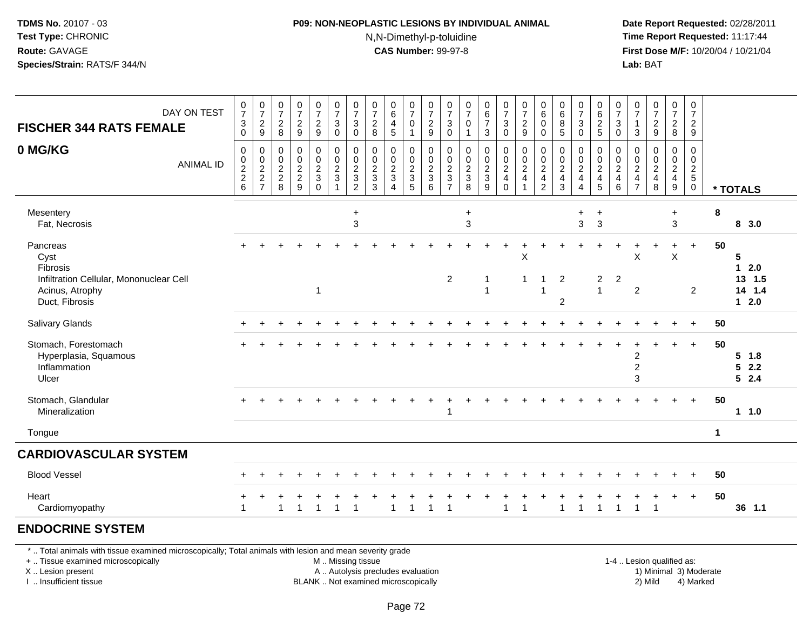#### **P09: NON-NEOPLASTIC LESIONS BY INDIVIDUAL ANIMAL**N,N-Dimethyl-p-toluidine

 **Date Report Requested:** 02/28/2011 **Time Report Requested:** 11:17:44 **First Dose M/F:** 10/20/04 / 10/21/04<br>**Lab:** BAT **Lab:** BAT

| DAY ON TEST<br><b>FISCHER 344 RATS FEMALE</b>                                                                | $\frac{0}{7}$<br>$_{0}^{3}$ | $\frac{0}{7}$<br>$\frac{2}{9}$                       | $\frac{0}{7}$<br>$\frac{2}{8}$                   | $\frac{0}{7}$<br>$\frac{2}{9}$               | $\frac{0}{7}$<br>$\frac{2}{9}$                              | $\frac{0}{7}$<br>$_{0}^{3}$                                     | $\frac{0}{7}$<br>$\sqrt{3}$<br>$\mathbf 0$                                | $\begin{array}{c} 0 \\ 7 \end{array}$<br>$_{\rm 8}^2$ | $\begin{array}{c} 0 \\ 6 \end{array}$<br>$\overline{4}$<br>$\overline{5}$    | $\frac{0}{7}$<br>$\mathbf 0$<br>$\overline{\mathbf{1}}$ | $\frac{0}{7}$<br>$\frac{2}{9}$                               | $\frac{0}{7}$<br>$\ensuremath{\mathsf{3}}$<br>$\mathbf 0$ | $\frac{0}{7}$<br>$\pmb{0}$<br>$\overline{1}$                | $\begin{array}{c} 0 \\ 6 \\ 7 \end{array}$<br>$\mathbf{3}$  | $\begin{smallmatrix}0\\7\end{smallmatrix}$<br>3<br>$\mathbf 0$           | $\frac{0}{7}$<br>$\frac{2}{9}$                                                    | $\pmb{0}$<br>$\,6\,$<br>$\mathbf 0$<br>$\mathbf 0$                     | $\pmb{0}$<br>$\,6$<br>$\bf 8$<br>$\overline{5}$                            | $\frac{0}{7}$<br>3<br>$\Omega$                                                          | 0<br>$\,6\,$<br>$\frac{2}{5}$          | $\boldsymbol{0}$<br>$\boldsymbol{7}$<br>$\sqrt{3}$<br>$\mathbf 0$ | $\frac{0}{7}$<br>$\overline{1}$<br>$\mathbf{3}$               | $\begin{array}{c} 0 \\ 7 \end{array}$<br>$\frac{2}{9}$ | $\frac{0}{7}$<br>$\frac{2}{8}$       | $\begin{smallmatrix}0\\7\end{smallmatrix}$<br>$\frac{2}{9}$      |             |                                           |
|--------------------------------------------------------------------------------------------------------------|-----------------------------|------------------------------------------------------|--------------------------------------------------|----------------------------------------------|-------------------------------------------------------------|-----------------------------------------------------------------|---------------------------------------------------------------------------|-------------------------------------------------------|------------------------------------------------------------------------------|---------------------------------------------------------|--------------------------------------------------------------|-----------------------------------------------------------|-------------------------------------------------------------|-------------------------------------------------------------|--------------------------------------------------------------------------|-----------------------------------------------------------------------------------|------------------------------------------------------------------------|----------------------------------------------------------------------------|-----------------------------------------------------------------------------------------|----------------------------------------|-------------------------------------------------------------------|---------------------------------------------------------------|--------------------------------------------------------|--------------------------------------|------------------------------------------------------------------|-------------|-------------------------------------------|
| 0 MG/KG<br><b>ANIMAL ID</b>                                                                                  | $\pmb{0}$<br>0,22,6         | 0<br>$\begin{array}{c} 0 \\ 2 \\ 2 \\ 7 \end{array}$ | $\mathbf 0$<br>$\mathbf 0$<br>$\frac{2}{2}$<br>8 | $\pmb{0}$<br>$\pmb{0}$<br>$\frac{2}{2}$<br>9 | 0<br>$\mathsf{O}\xspace$<br>$\overline{a}$<br>3<br>$\Omega$ | $\begin{array}{c} 0 \\ 0 \\ 2 \\ 3 \end{array}$<br>$\mathbf{1}$ | $\pmb{0}$<br>$\ddot{\mathbf{0}}$<br>$\overline{2}$<br>3<br>$\overline{2}$ | 0<br>$\pmb{0}$<br>$\overline{c}$<br>$\sqrt{3}$<br>3   | $\pmb{0}$<br>$\ddot{\mathbf{0}}$<br>$\frac{2}{3}$<br>$\overline{\mathbf{4}}$ | 0<br>$\mathsf{O}\xspace$<br>$\frac{2}{3}$<br>$\sqrt{5}$ | $\pmb{0}$<br>$\ddot{\mathbf{0}}$<br>$\frac{2}{3}$<br>$\,6\,$ | 0<br>$\pmb{0}$<br>$\frac{2}{3}$<br>$\overline{7}$         | $\pmb{0}$<br>$\begin{matrix} 0 \\ 2 \\ 3 \end{matrix}$<br>8 | $\pmb{0}$<br>$\begin{matrix} 0 \\ 2 \\ 3 \end{matrix}$<br>9 | 0<br>$\ddot{\mathbf{0}}$<br>$\overline{2}$<br>$\overline{4}$<br>$\Omega$ | $\pmb{0}$<br>$\overline{0}$<br>$\overline{2}$<br>$\overline{4}$<br>$\overline{1}$ | 0<br>$\mathbf 0$<br>$\overline{2}$<br>$\overline{a}$<br>$\overline{2}$ | $\mathbf 0$<br>$\pmb{0}$<br>$\overline{2}$<br>$\overline{\mathbf{4}}$<br>3 | 0<br>$\mathsf{O}\xspace$<br>$\overline{2}$<br>$\overline{\mathbf{4}}$<br>$\overline{4}$ | 0<br>$\frac{0}{2}$<br>5                | 0<br>$\mathbf 0$<br>$\overline{2}$<br>$\overline{a}$<br>6         | $\mathbf 0$<br>$\mathbf 0$<br>$\frac{2}{4}$<br>$\overline{7}$ | 0<br>$\pmb{0}$<br>$\frac{2}{4}$<br>8                   | 0<br>$\pmb{0}$<br>$\frac{2}{4}$<br>9 | $\mathbf 0$<br>$\ddot{\mathbf{0}}$<br>$rac{2}{5}$<br>$\mathbf 0$ |             | * TOTALS                                  |
| Mesentery<br>Fat, Necrosis                                                                                   |                             |                                                      |                                                  |                                              |                                                             |                                                                 | $\ddot{}$<br>3                                                            |                                                       |                                                                              |                                                         |                                                              |                                                           | $\ddot{}$<br>3                                              |                                                             |                                                                          |                                                                                   |                                                                        |                                                                            | +<br>$\mathbf{3}$                                                                       | $\ddot{}$<br>3                         |                                                                   |                                                               |                                                        | $\ddot{}$<br>3                       |                                                                  | 8           | 8 3.0                                     |
| Pancreas<br>Cyst<br>Fibrosis<br>Infiltration Cellular, Mononuclear Cell<br>Acinus, Atrophy<br>Duct, Fibrosis |                             |                                                      |                                                  |                                              | 1                                                           |                                                                 |                                                                           |                                                       |                                                                              |                                                         |                                                              | $\mathbf{2}$                                              |                                                             | -1<br>$\mathbf{1}$                                          |                                                                          | $\boldsymbol{\mathsf{X}}$<br>$\overline{1}$                                       | 1<br>$\mathbf{1}$                                                      | $\overline{c}$<br>$\overline{c}$                                           |                                                                                         | $\overline{a}$<br>$\blacktriangleleft$ | $\overline{2}$                                                    | X<br>2                                                        |                                                        | $\div$<br>X                          | $\ddot{}$<br>$\overline{2}$                                      | 50          | 5<br>$12.0$<br>13 1.5<br>14 1.4<br>$12.0$ |
| Salivary Glands                                                                                              |                             |                                                      |                                                  |                                              |                                                             |                                                                 |                                                                           |                                                       |                                                                              |                                                         |                                                              |                                                           |                                                             |                                                             |                                                                          |                                                                                   |                                                                        |                                                                            |                                                                                         |                                        |                                                                   |                                                               |                                                        |                                      | $\ddot{}$                                                        | 50          |                                           |
| Stomach, Forestomach<br>Hyperplasia, Squamous<br>Inflammation<br>Ulcer                                       |                             |                                                      |                                                  |                                              |                                                             |                                                                 |                                                                           |                                                       |                                                                              |                                                         |                                                              |                                                           |                                                             |                                                             |                                                                          |                                                                                   |                                                                        |                                                                            |                                                                                         |                                        |                                                                   | 2<br>2<br>3                                                   |                                                        |                                      | $\ddot{}$                                                        | 50          | $5 \t1.8$<br>52.2<br>52.4                 |
| Stomach, Glandular<br>Mineralization                                                                         |                             |                                                      |                                                  |                                              |                                                             |                                                                 |                                                                           |                                                       |                                                                              |                                                         |                                                              | 1                                                         |                                                             |                                                             |                                                                          |                                                                                   |                                                                        |                                                                            |                                                                                         |                                        |                                                                   |                                                               |                                                        |                                      | $+$                                                              | 50          | 1 1.0                                     |
| Tongue                                                                                                       |                             |                                                      |                                                  |                                              |                                                             |                                                                 |                                                                           |                                                       |                                                                              |                                                         |                                                              |                                                           |                                                             |                                                             |                                                                          |                                                                                   |                                                                        |                                                                            |                                                                                         |                                        |                                                                   |                                                               |                                                        |                                      |                                                                  | $\mathbf 1$ |                                           |
| <b>CARDIOVASCULAR SYSTEM</b>                                                                                 |                             |                                                      |                                                  |                                              |                                                             |                                                                 |                                                                           |                                                       |                                                                              |                                                         |                                                              |                                                           |                                                             |                                                             |                                                                          |                                                                                   |                                                                        |                                                                            |                                                                                         |                                        |                                                                   |                                                               |                                                        |                                      |                                                                  |             |                                           |
| <b>Blood Vessel</b>                                                                                          |                             |                                                      |                                                  |                                              |                                                             |                                                                 |                                                                           |                                                       |                                                                              |                                                         |                                                              |                                                           |                                                             |                                                             |                                                                          |                                                                                   |                                                                        |                                                                            |                                                                                         |                                        |                                                                   |                                                               |                                                        |                                      | $\div$                                                           | 50          |                                           |
| Heart<br>Cardiomyopathy                                                                                      | $\mathbf{1}$                |                                                      |                                                  |                                              |                                                             |                                                                 |                                                                           |                                                       |                                                                              |                                                         |                                                              |                                                           |                                                             |                                                             | 1                                                                        | $\overline{1}$                                                                    |                                                                        |                                                                            |                                                                                         |                                        |                                                                   | 1                                                             | $\overline{\mathbf{1}}$                                |                                      | $+$                                                              | 50          | 36 1.1                                    |
| <b>ENDOCRINE SYSTEM</b>                                                                                      |                             |                                                      |                                                  |                                              |                                                             |                                                                 |                                                                           |                                                       |                                                                              |                                                         |                                                              |                                                           |                                                             |                                                             |                                                                          |                                                                                   |                                                                        |                                                                            |                                                                                         |                                        |                                                                   |                                                               |                                                        |                                      |                                                                  |             |                                           |

\* .. Total animals with tissue examined microscopically; Total animals with lesion and mean severity grade

+ .. Tissue examined microscopically

X .. Lesion present

I .. Insufficient tissue

M .. Missing tissue

A .. Autolysis precludes evaluation

BLANK .. Not examined microscopically 2) Mild 4) Marked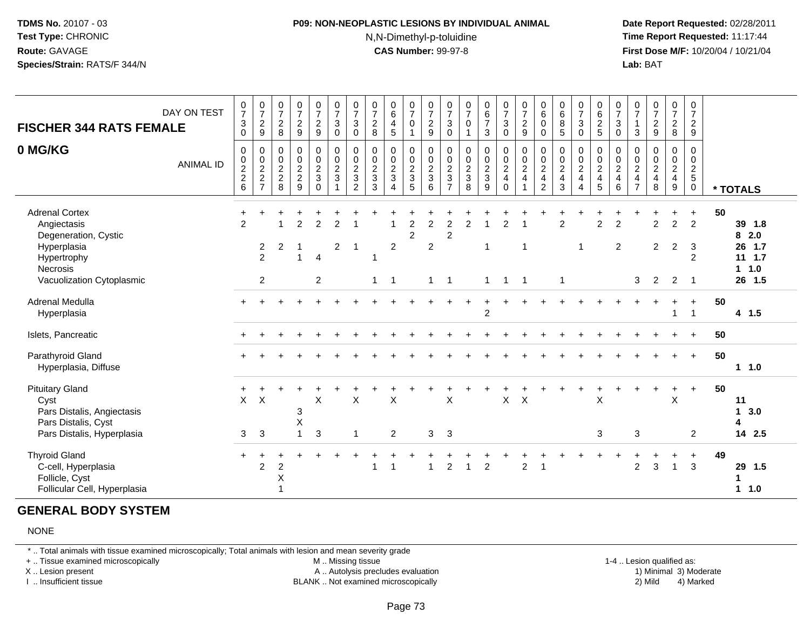#### **P09: NON-NEOPLASTIC LESIONS BY INDIVIDUAL ANIMAL**N,N-Dimethyl-p-toluidine

 **Date Report Requested:** 02/28/2011 **Time Report Requested:** 11:17:44 **First Dose M/F:** 10/20/04 / 10/21/04<br>**Lab:** BAT **Lab:** BAT

| <b>FISCHER 344 RATS FEMALE</b><br>0 MG/KG                                                                                           | DAY ON TEST      | $\frac{0}{7}$<br>$\ensuremath{\mathsf{3}}$<br>$\pmb{0}$<br>$\mathbf 0$ | $\frac{0}{7}$<br>$\sqrt{2}$<br>$\boldsymbol{9}$<br>$\pmb{0}$ | $\frac{0}{7}$<br>$\sqrt{2}$<br>8<br>$\mathbf 0$ | $\frac{0}{7}$<br>$\overline{c}$<br>$\boldsymbol{9}$<br>$\mathbf 0$ | $\frac{0}{7}$<br>$\overline{c}$<br>$\boldsymbol{9}$<br>0    | $\frac{0}{7}$<br>$\sqrt{3}$<br>$\pmb{0}$<br>$\pmb{0}$ | $\frac{0}{7}$<br>$\sqrt{3}$<br>0<br>0        | $\frac{0}{7}$<br>$\overline{c}$<br>8<br>0 | $\begin{array}{c} 0 \\ 6 \end{array}$<br>$\overline{\mathbf{4}}$<br>$\overline{5}$<br>$\mathbf 0$ | $\begin{smallmatrix}0\\7\end{smallmatrix}$<br>0<br>$\mathbf{1}$<br>0 | $\frac{0}{7}$<br>$\boldsymbol{2}$<br>$\boldsymbol{9}$<br>$\mathbf 0$ | $\frac{0}{7}$<br>3<br>0<br>$\mathbf 0$             | $\begin{smallmatrix}0\\7\end{smallmatrix}$<br>$\pmb{0}$<br>$\mathbf{1}$<br>$\mathbf 0$ | $_{6}^{\rm 0}$<br>$\overline{7}$<br>$\sqrt{3}$                      | $\frac{0}{7}$<br>$\ensuremath{\mathsf{3}}$<br>0<br>$_0^0$ | $\frac{0}{7}$<br>$\overline{c}$<br>$9\,$<br>$\mathbf 0$ | $^{\rm 0}_{\rm 6}$<br>$\pmb{0}$<br>0<br>0    | $\begin{array}{c} 0 \\ 6 \end{array}$<br>8<br>5<br>$\mathbf 0$ | $\frac{0}{7}$<br>$\sqrt{3}$<br>0<br>0        | $\begin{array}{c} 0 \\ 6 \end{array}$<br>$\frac{2}{5}$<br>0 | $\frac{0}{7}$<br>$\ensuremath{\mathsf{3}}$<br>$\mathbf 0$<br>0 | $\frac{0}{7}$<br>3<br>0                                 | $\frac{0}{7}$<br>$\frac{2}{9}$<br>0                | $\frac{0}{7}$<br>$\overline{2}$<br>8<br>0 | $\frac{0}{7}$<br>$\sqrt{2}$<br>$9\,$<br>$\mathbf 0$                   |    |                                                                               |
|-------------------------------------------------------------------------------------------------------------------------------------|------------------|------------------------------------------------------------------------|--------------------------------------------------------------|-------------------------------------------------|--------------------------------------------------------------------|-------------------------------------------------------------|-------------------------------------------------------|----------------------------------------------|-------------------------------------------|---------------------------------------------------------------------------------------------------|----------------------------------------------------------------------|----------------------------------------------------------------------|----------------------------------------------------|----------------------------------------------------------------------------------------|---------------------------------------------------------------------|-----------------------------------------------------------|---------------------------------------------------------|----------------------------------------------|----------------------------------------------------------------|----------------------------------------------|-------------------------------------------------------------|----------------------------------------------------------------|---------------------------------------------------------|----------------------------------------------------|-------------------------------------------|-----------------------------------------------------------------------|----|-------------------------------------------------------------------------------|
|                                                                                                                                     | <b>ANIMAL ID</b> | 0 2 2 6                                                                | $\frac{0}{2}$<br>$\overline{7}$                              | 0<br>$\frac{2}{2}$<br>8                         | $\pmb{0}$<br>$\frac{2}{2}$<br>9                                    | $\mathsf{O}\xspace$<br>$\boldsymbol{2}$<br>3<br>$\mathbf 0$ | $\overline{0}$<br>$\frac{2}{3}$<br>$\mathbf{1}$       | $\pmb{0}$<br>$\frac{2}{3}$<br>$\overline{2}$ | 0<br>$\frac{2}{3}$<br>3                   | $\mathbf 0$<br>$\frac{2}{3}$<br>$\overline{4}$                                                    | $\pmb{0}$<br>$\frac{2}{3}$<br>5                                      | $\mathbf 0$<br>$\frac{2}{3}$<br>$\,6\,$                              | $\pmb{0}$<br>$\frac{2}{3}$<br>$\overline{7}$       | $\pmb{0}$<br>$\frac{2}{3}$<br>8                                                        | $\begin{array}{c} 0 \\ 0 \\ 2 \\ 3 \end{array}$<br>$\boldsymbol{9}$ | $\frac{2}{4}$<br>0                                        | $\overline{0}$<br>$\frac{2}{4}$<br>$\overline{1}$       | $\pmb{0}$<br>$\frac{2}{4}$<br>$\overline{c}$ | $\mathbf 0$<br>$\frac{2}{4}$<br>$\mathbf{3}$                   | $\pmb{0}$<br>$\frac{2}{4}$<br>$\overline{4}$ | $\mathbf 0$<br>$\frac{2}{4}$<br>$\sqrt{5}$                  | $\mathbf 0$<br>$\frac{2}{4}$<br>$\,6\,$                        | 0<br>$\overline{c}$<br>$\overline{4}$<br>$\overline{7}$ | $\begin{array}{c} 0 \\ 2 \\ 4 \end{array}$<br>8    | $\pmb{0}$<br>$\frac{2}{4}$<br>9           | $\mathbf 0$<br>$\frac{2}{5}$<br>$\overline{0}$                        |    | * TOTALS                                                                      |
| <b>Adrenal Cortex</b><br>Angiectasis<br>Degeneration, Cystic<br>Hyperplasia<br>Hypertrophy<br>Necrosis<br>Vacuolization Cytoplasmic |                  | $\ddot{}$<br>$\overline{2}$                                            | $\overline{c}$<br>$\overline{2}$<br>$\overline{2}$           | $\overline{2}$                                  | $\overline{2}$<br>-1<br>$\overline{\mathbf{1}}$                    | $\overline{2}$<br>4<br>$\overline{2}$                       | $\overline{c}$<br>$\overline{2}$                      | $\overline{1}$                               | $\mathbf{1}$                              | 1<br>$\overline{2}$<br>-1                                                                         | $\overline{c}$<br>$\overline{2}$                                     | $\overline{c}$<br>$\overline{c}$<br>1                                | $\overline{c}$<br>$\overline{c}$<br>$\overline{1}$ | $\overline{2}$                                                                         | $\overline{1}$<br>$\mathbf{1}$                                      | $\overline{c}$<br>$\overline{1}$                          | $\overline{1}$<br>$\overline{1}$                        |                                              | $\overline{c}$<br>-1                                           | 1                                            | $\overline{2}$                                              | $\overline{c}$<br>$\overline{2}$                               | 3                                                       | $\overline{c}$<br>$\overline{2}$<br>$\overline{2}$ | $\overline{a}$<br>$\overline{2}$<br>2     | +<br>$\overline{2}$<br>3<br>$\overline{2}$<br>$\overline{\mathbf{1}}$ | 50 | 39 1.8<br>8<br>2.0<br>26<br>1.7<br>$11 \t1.7$<br>1.0<br>$\mathbf 1$<br>26 1.5 |
| Adrenal Medulla<br>Hyperplasia                                                                                                      |                  |                                                                        |                                                              |                                                 |                                                                    |                                                             |                                                       |                                              |                                           |                                                                                                   |                                                                      |                                                                      |                                                    |                                                                                        | $\overline{2}$                                                      |                                                           |                                                         |                                              |                                                                |                                              |                                                             |                                                                |                                                         |                                                    | $\overline{1}$                            | $\ddot{}$<br>$\overline{1}$                                           | 50 | $4$ 1.5                                                                       |
| Islets, Pancreatic                                                                                                                  |                  |                                                                        |                                                              |                                                 |                                                                    |                                                             |                                                       |                                              |                                           |                                                                                                   |                                                                      |                                                                      |                                                    |                                                                                        |                                                                     |                                                           |                                                         |                                              |                                                                |                                              |                                                             |                                                                |                                                         |                                                    |                                           | $\ddot{}$                                                             | 50 |                                                                               |
| Parathyroid Gland<br>Hyperplasia, Diffuse                                                                                           |                  |                                                                        |                                                              |                                                 |                                                                    |                                                             |                                                       |                                              |                                           |                                                                                                   |                                                                      |                                                                      |                                                    |                                                                                        |                                                                     |                                                           |                                                         |                                              |                                                                |                                              |                                                             |                                                                |                                                         |                                                    | $\ddot{}$                                 | $+$                                                                   | 50 | $1 \t1.0$                                                                     |
| <b>Pituitary Gland</b><br>Cyst<br>Pars Distalis, Angiectasis<br>Pars Distalis, Cyst<br>Pars Distalis, Hyperplasia                   |                  | $\mathsf{X}$<br>3                                                      | $\mathsf{X}$<br>3                                            |                                                 | $\sqrt{3}$<br>$\sf X$<br>$\overline{1}$                            | X<br>3                                                      |                                                       | $\mathsf{X}$<br>$\overline{1}$               |                                           | X<br>$\overline{2}$                                                                               |                                                                      | 3                                                                    | X<br>- 3                                           |                                                                                        |                                                                     | X                                                         | $\times$                                                |                                              |                                                                |                                              | $\sf X$<br>3                                                |                                                                | 3                                                       |                                                    | X                                         | $\ddot{}$<br>$\overline{2}$                                           | 50 | 11<br>3.0<br>1<br>4<br>14 2.5                                                 |
| <b>Thyroid Gland</b><br>C-cell, Hyperplasia<br>Follicle, Cyst<br>Follicular Cell, Hyperplasia                                       |                  | $+$                                                                    | $\ddot{}$<br>$\overline{c}$                                  | $\overline{\mathbf{c}}$<br>X                    |                                                                    |                                                             |                                                       | $\ddot{}$                                    |                                           | $\overline{1}$                                                                                    |                                                                      |                                                                      | $\overline{c}$                                     |                                                                                        | $\overline{2}$                                                      |                                                           | $\boldsymbol{2}$                                        | $\overline{1}$                               |                                                                |                                              | +                                                           |                                                                | 2                                                       | 3                                                  | +<br>$\mathbf{1}$                         | $\ddot{}$<br>3                                                        | 49 | 29<br>1.5<br>1<br>1<br>1.0                                                    |

#### **GENERAL BODY SYSTEM**

#### NONE

\* .. Total animals with tissue examined microscopically; Total animals with lesion and mean severity grade

+ .. Tissue examined microscopically

X .. Lesion present

I .. Insufficient tissue

 M .. Missing tissueA .. Autolysis precludes evaluation

 1-4 .. Lesion qualified as: BLANK .. Not examined microscopically 2) Mild 4) Marked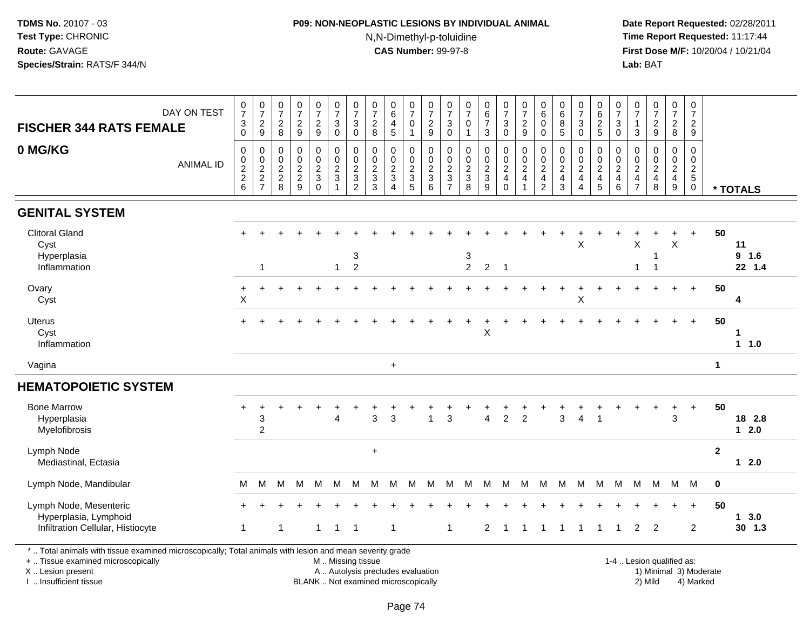# **P09: NON-NEOPLASTIC LESIONS BY INDIVIDUAL ANIMAL**N,N-Dimethyl-p-toluidine

| DAY ON TEST<br><b>FISCHER 344 RATS FEMALE</b><br>0 MG/KG                                                                                                                                      | $\frac{0}{7}$<br>$_0^3$<br>$\,0\,$ | $\frac{0}{7}$<br>$\frac{2}{9}$<br>$\pmb{0}$     | $\frac{0}{7}$<br>$_{\rm 8}^2$<br>0 | $\frac{0}{7}$<br>$\frac{2}{9}$<br>$\mathbf 0$ | $\frac{0}{7}$<br>$\frac{2}{9}$<br>$\pmb{0}$      | $\frac{0}{7}$<br>$_0^3$<br>0                                                                  | $\begin{array}{c} 0 \\ 7 \end{array}$<br>$\ensuremath{\mathsf{3}}$<br>$\bar{0}$<br>$\pmb{0}$ | $\frac{0}{7}$<br>$\boldsymbol{2}$<br>8<br>$\mathbf 0$ | $\boldsymbol{0}$<br>$6\phantom{1}6$<br>$\overline{4}$<br>$\overline{5}$<br>$\mathbf 0$ | $\frac{0}{7}$<br>0<br>$\mathbf{1}$<br>0 | $\frac{0}{7}$<br>$\frac{2}{9}$<br>$\mathbf 0$ | 0<br>$\overline{7}$<br>$\ensuremath{\mathsf{3}}$<br>$\mathbf 0$<br>0 | 0<br>$\overline{7}$<br>0<br>$\mathbf{1}$<br>$\pmb{0}$ | $_{\rm 6}^{\rm 0}$<br>$\overline{7}$<br>$\mathfrak{Z}$<br>$\pmb{0}$ | $\begin{smallmatrix}0\\7\end{smallmatrix}$<br>$\mathbf{3}$<br>$\mathsf{O}\xspace$<br>$\mathbf 0$ | $\frac{0}{7}$<br>$\frac{2}{9}$<br>$\mathbf 0$                     | $\pmb{0}$<br>$\,6\,$<br>$\mathbf 0$<br>$\pmb{0}$<br>$\pmb{0}$ | $\pmb{0}$<br>$\,6$<br>$\bf 8$<br>$\overline{5}$<br>$\mathbf 0$ | $\frac{0}{7}$<br>3<br>$\bar{0}$<br>0 | $\pmb{0}$<br>$\,6\,$<br>$rac{2}{5}$<br>$\pmb{0}$ | $\frac{0}{7}$<br>$\sqrt{3}$<br>$\overline{0}$<br>$\mathbf 0$ | $\frac{0}{7}$<br>$\mathbf{1}$<br>$\mathbf{3}$<br>$\pmb{0}$ | $\frac{0}{7}$<br>9<br>$\mathbf 0$    | $\frac{0}{7}$<br>$\frac{2}{8}$<br>$\mathbf 0$    | 0<br>$\boldsymbol{7}$<br>$\frac{2}{9}$<br>$\mathbf 0$ |                |                       |
|-----------------------------------------------------------------------------------------------------------------------------------------------------------------------------------------------|------------------------------------|-------------------------------------------------|------------------------------------|-----------------------------------------------|--------------------------------------------------|-----------------------------------------------------------------------------------------------|----------------------------------------------------------------------------------------------|-------------------------------------------------------|----------------------------------------------------------------------------------------|-----------------------------------------|-----------------------------------------------|----------------------------------------------------------------------|-------------------------------------------------------|---------------------------------------------------------------------|--------------------------------------------------------------------------------------------------|-------------------------------------------------------------------|---------------------------------------------------------------|----------------------------------------------------------------|--------------------------------------|--------------------------------------------------|--------------------------------------------------------------|------------------------------------------------------------|--------------------------------------|--------------------------------------------------|-------------------------------------------------------|----------------|-----------------------|
| <b>ANIMAL ID</b>                                                                                                                                                                              | $0$<br>$2$<br>$2$<br>$6$           | $\begin{array}{c} 0 \\ 2 \\ 2 \\ 7 \end{array}$ | 0<br>$\sqrt{2}$<br>$\frac{2}{8}$   | $\mathbf 0$<br>$\frac{2}{9}$                  | $\mathsf{O}\xspace$<br>$\frac{2}{3}$<br>$\Omega$ | $\mathbf 0$<br>$\overline{c}$<br>$\mathbf{3}$<br>1                                            | $\ddot{\mathbf{0}}$<br>$\begin{array}{c} 2 \\ 3 \\ 2 \end{array}$                            | $\mathbf 0$<br>$\frac{2}{3}$<br>$\overline{3}$        | $\mathbf 0$<br>$\frac{2}{3}$<br>$\overline{4}$                                         | 0<br>$\frac{2}{3}$<br>$\overline{5}$    | $\mathbf 0$<br>$\frac{2}{3}$<br>6             | $\mathbf 0$<br>$\frac{2}{3}$<br>$\overline{7}$                       | $\mathbf 0$<br>$\frac{2}{3}$<br>$\overline{8}$        | $\pmb{0}$<br>$\frac{2}{3}$<br>$\overline{9}$                        | $\mathbf 0$<br>$\frac{2}{4}$<br>$\Omega$                                                         | $\pmb{0}$<br>$\boldsymbol{2}$<br>$\overline{4}$<br>$\overline{1}$ | $\pmb{0}$<br>$\sqrt{2}$<br>$\overline{a}$<br>$\overline{2}$   | $\mathbf 0$<br>$\frac{2}{4}$<br>$\mathbf{3}$                   | 0<br>$\frac{2}{4}$<br>$\overline{4}$ | $\frac{0}{2}$<br>$\overline{5}$                  | $\mathbf 0$<br>$\frac{2}{4}$<br>$\,6\,$                      | $\mathbf 0$<br>$\frac{2}{4}$                               | $\mathbf 0$<br>$\frac{2}{4}$<br>8    | $\mathbf 0$<br>$\frac{2}{4}$<br>$\boldsymbol{9}$ | $\mathsf{O}\xspace$<br>$rac{2}{5}$<br>$\mathbf 0$     |                | * TOTALS              |
| <b>GENITAL SYSTEM</b>                                                                                                                                                                         |                                    |                                                 |                                    |                                               |                                                  |                                                                                               |                                                                                              |                                                       |                                                                                        |                                         |                                               |                                                                      |                                                       |                                                                     |                                                                                                  |                                                                   |                                                               |                                                                |                                      |                                                  |                                                              |                                                            |                                      |                                                  |                                                       |                |                       |
| <b>Clitoral Gland</b><br>Cyst<br>Hyperplasia<br>Inflammation                                                                                                                                  |                                    | $\overline{1}$                                  |                                    |                                               |                                                  | $\mathbf{1}$                                                                                  | 3<br>$\overline{2}$                                                                          |                                                       |                                                                                        |                                         |                                               |                                                                      | 3<br>$\overline{2}$                                   | 2                                                                   | $\overline{\phantom{0}}$                                                                         |                                                                   |                                                               |                                                                | X                                    |                                                  |                                                              | Χ<br>1                                                     | -1<br>$\overline{\mathbf{1}}$        | X                                                | $+$                                                   | 50             | 11<br>9 1.6<br>22 1.4 |
| Ovary<br>Cyst                                                                                                                                                                                 | $\ddot{}$<br>X                     |                                                 |                                    |                                               |                                                  |                                                                                               |                                                                                              |                                                       |                                                                                        |                                         |                                               |                                                                      |                                                       |                                                                     |                                                                                                  |                                                                   |                                                               |                                                                | $\ddot{}$<br>X                       |                                                  |                                                              |                                                            |                                      | $+$                                              | $\ddot{}$                                             | 50             | 4                     |
| <b>Uterus</b><br>Cyst<br>Inflammation                                                                                                                                                         | $+$                                |                                                 |                                    |                                               |                                                  |                                                                                               |                                                                                              |                                                       |                                                                                        |                                         |                                               |                                                                      |                                                       | X                                                                   |                                                                                                  |                                                                   |                                                               |                                                                |                                      |                                                  |                                                              |                                                            |                                      | $+$                                              | $\ddot{}$                                             | 50             | 1<br>11.0             |
| Vagina                                                                                                                                                                                        |                                    |                                                 |                                    |                                               |                                                  |                                                                                               |                                                                                              |                                                       | $\ddot{}$                                                                              |                                         |                                               |                                                                      |                                                       |                                                                     |                                                                                                  |                                                                   |                                                               |                                                                |                                      |                                                  |                                                              |                                                            |                                      |                                                  |                                                       | $\mathbf 1$    |                       |
| <b>HEMATOPOIETIC SYSTEM</b>                                                                                                                                                                   |                                    |                                                 |                                    |                                               |                                                  |                                                                                               |                                                                                              |                                                       |                                                                                        |                                         |                                               |                                                                      |                                                       |                                                                     |                                                                                                  |                                                                   |                                                               |                                                                |                                      |                                                  |                                                              |                                                            |                                      |                                                  |                                                       |                |                       |
| <b>Bone Marrow</b><br>Hyperplasia<br>Myelofibrosis                                                                                                                                            |                                    | 3<br>$\overline{2}$                             |                                    |                                               |                                                  | Δ                                                                                             |                                                                                              | 3                                                     | 3                                                                                      |                                         | 1                                             | 3                                                                    |                                                       | $\overline{A}$                                                      | $\overline{c}$                                                                                   | $\overline{c}$                                                    |                                                               | 3                                                              | $\overline{4}$                       | 1                                                |                                                              |                                                            | $\div$                               | $\ddot{}$<br>3                                   | $\ddot{}$                                             | 50             | 18 2.8<br>$12.0$      |
| Lymph Node<br>Mediastinal, Ectasia                                                                                                                                                            |                                    |                                                 |                                    |                                               |                                                  |                                                                                               |                                                                                              | $\ddot{}$                                             |                                                                                        |                                         |                                               |                                                                      |                                                       |                                                                     |                                                                                                  |                                                                   |                                                               |                                                                |                                      |                                                  |                                                              |                                                            |                                      |                                                  |                                                       | $\overline{2}$ | $12.0$                |
| Lymph Node, Mandibular                                                                                                                                                                        | M                                  | м                                               | м                                  | M                                             | M                                                | M                                                                                             | M                                                                                            | м                                                     | M                                                                                      | M                                       | M                                             | M                                                                    |                                                       | M M M                                                               |                                                                                                  | M                                                                 |                                                               | M M M                                                          |                                      | M                                                | M                                                            | M                                                          | M                                    |                                                  | M M                                                   | 0              |                       |
| Lymph Node, Mesenteric<br>Hyperplasia, Lymphoid<br>Infiltration Cellular, Histiocyte                                                                                                          | $\mathbf{1}$                       |                                                 | $\overline{1}$                     |                                               | $\mathbf{1}$                                     | 1                                                                                             | $\overline{1}$                                                                               |                                                       | -1                                                                                     |                                         |                                               | $\mathbf{1}$                                                         |                                                       | $\overline{2}$                                                      | -1                                                                                               | -1                                                                | 1                                                             |                                                                | 1                                    | 1                                                |                                                              | $\overline{2}$                                             | 2                                    |                                                  | $+$<br>$\overline{c}$                                 | 50             | 13.0<br>$30$ 1.3      |
| *  Total animals with tissue examined microscopically; Total animals with lesion and mean severity grade<br>+  Tissue examined microscopically<br>X  Lesion present<br>I. Insufficient tissue |                                    |                                                 |                                    |                                               |                                                  | M  Missing tissue<br>A  Autolysis precludes evaluation<br>BLANK  Not examined microscopically |                                                                                              |                                                       |                                                                                        |                                         |                                               |                                                                      |                                                       |                                                                     |                                                                                                  |                                                                   |                                                               |                                                                |                                      |                                                  |                                                              |                                                            | 1-4  Lesion qualified as:<br>2) Mild |                                                  | 1) Minimal 3) Moderate<br>4) Marked                   |                |                       |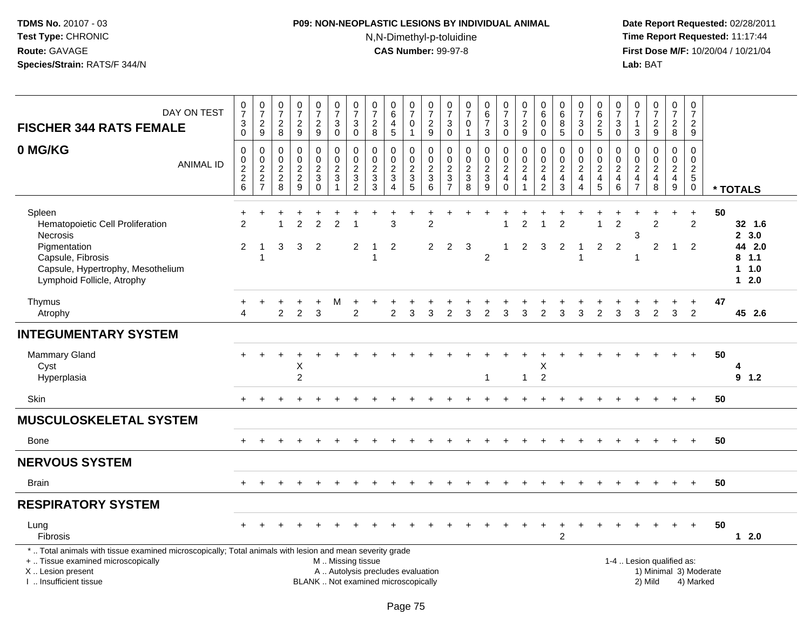# **P09: NON-NEOPLASTIC LESIONS BY INDIVIDUAL ANIMAL**N,N-Dimethyl-p-toluidine

| DAY ON TEST<br><b>FISCHER 344 RATS FEMALE</b>                                                                                                                                                | $\frac{0}{7}$<br>$_{0}^{3}$                      | $\begin{array}{c} 0 \\ 7 \end{array}$<br>$\overline{\mathbf{c}}$<br>9 | 0<br>$\overline{7}$<br>$\overline{\mathbf{c}}$<br>8 | $\begin{smallmatrix}0\\7\end{smallmatrix}$<br>$\frac{2}{9}$   | $\begin{smallmatrix}0\\7\end{smallmatrix}$<br>$\frac{2}{9}$       | $\frac{0}{7}$<br>3<br>$\mathbf 0$                              | $\begin{matrix}0\\7\end{matrix}$<br>3<br>$\mathbf 0$ | $\begin{array}{c} 0 \\ 7 \end{array}$<br>$^2_8$     | $\mathbf 0$<br>$\overline{6}$<br>$\overline{4}$<br>$\sqrt{5}$                 | $\begin{array}{c} 0 \\ 7 \end{array}$<br>$\pmb{0}$<br>$\mathbf{1}$ | $\begin{array}{c} 0 \\ 7 \end{array}$<br>$\frac{2}{9}$        | 0<br>$\overline{7}$<br>$\ensuremath{\mathsf{3}}$<br>$\mathbf 0$    | $\frac{0}{7}$<br>$\pmb{0}$<br>$\mathbf{1}$       | $\begin{array}{c} 0 \\ 6 \\ 7 \end{array}$<br>3                           | $\begin{smallmatrix}0\\7\end{smallmatrix}$<br>$_{0}^{3}$            | $\begin{array}{c} 0 \\ 7 \end{array}$<br>$\frac{2}{9}$                                  | $\mathbf 0$<br>$\overline{6}$<br>$\pmb{0}$<br>$\mathbf 0$                    | $\mathbf 0$<br>$\overline{6}$<br>8<br>5                       | $\frac{0}{7}$<br>3<br>$\mathbf 0$                                             | $_{6}^{\rm 0}$<br>$\frac{2}{5}$                                                               | $\frac{0}{7}$<br>$_{0}^{3}$                                           | 0<br>$\overline{7}$<br>-1<br>3                              | $\frac{0}{7}$<br>$\frac{2}{9}$                                  | $\frac{0}{7}$<br>$_{\rm 8}^2$                                    | $\pmb{0}$<br>$\overline{7}$<br>$\sqrt{2}$<br>9                                     |    |                                                            |
|----------------------------------------------------------------------------------------------------------------------------------------------------------------------------------------------|--------------------------------------------------|-----------------------------------------------------------------------|-----------------------------------------------------|---------------------------------------------------------------|-------------------------------------------------------------------|----------------------------------------------------------------|------------------------------------------------------|-----------------------------------------------------|-------------------------------------------------------------------------------|--------------------------------------------------------------------|---------------------------------------------------------------|--------------------------------------------------------------------|--------------------------------------------------|---------------------------------------------------------------------------|---------------------------------------------------------------------|-----------------------------------------------------------------------------------------|------------------------------------------------------------------------------|---------------------------------------------------------------|-------------------------------------------------------------------------------|-----------------------------------------------------------------------------------------------|-----------------------------------------------------------------------|-------------------------------------------------------------|-----------------------------------------------------------------|------------------------------------------------------------------|------------------------------------------------------------------------------------|----|------------------------------------------------------------|
| 0 MG/KG<br><b>ANIMAL ID</b>                                                                                                                                                                  | $\pmb{0}$<br>$^{\rm 0}_{\rm 2}$<br>$\frac{2}{6}$ | $\pmb{0}$<br>$\mathbf 0$<br>$\overline{2}$<br>$\frac{2}{7}$           | 0<br>0<br>$\boldsymbol{2}$<br>$_{8}^2$              | $\mathbf 0$<br>$\mathbf 0$<br>$\overline{2}$<br>$\frac{2}{9}$ | 0<br>$\mathbf 0$<br>$\overline{2}$<br>$\mathbf{3}$<br>$\mathbf 0$ | $\Omega$<br>$\mathbf 0$<br>$\overline{2}$<br>3<br>$\mathbf{1}$ | $\mathsf 0$<br>0<br>$\overline{c}$<br>$\frac{3}{2}$  | 0<br>$\mathbf 0$<br>$\overline{2}$<br>$\frac{3}{3}$ | $\mathbf{0}$<br>$\mathbf 0$<br>$\overline{2}$<br>$\sqrt{3}$<br>$\overline{4}$ | 0<br>$\mathbf 0$<br>$\overline{2}$<br>$\frac{3}{5}$                | $\mathbf 0$<br>$\mathbf 0$<br>$\overline{2}$<br>$\frac{3}{6}$ | $\Omega$<br>$\mathbf 0$<br>$\boldsymbol{2}$<br>3<br>$\overline{7}$ | 0<br>$\mathbf 0$<br>$\overline{2}$<br>$_{8}^{3}$ | $\pmb{0}$<br>$\pmb{0}$<br>$\overline{2}$<br>$\mathbf 3$<br>$\overline{9}$ | 0<br>$\mathbf 0$<br>$\overline{2}$<br>$\overline{4}$<br>$\mathbf 0$ | $\pmb{0}$<br>$\mathbf 0$<br>$\overline{2}$<br>$\overline{\mathbf{4}}$<br>$\overline{1}$ | $\mathbf 0$<br>$\mathbf 0$<br>$\sqrt{2}$<br>$\overline{4}$<br>$\overline{2}$ | $\mathbf 0$<br>$\mathbf 0$<br>$\overline{2}$<br>$\frac{4}{3}$ | $\Omega$<br>$\mathbf 0$<br>$\overline{2}$<br>$\overline{4}$<br>$\overline{4}$ | $\mathbf 0$<br>$\mathsf{O}\xspace$<br>$\overline{2}$<br>$\begin{array}{c} 4 \\ 5 \end{array}$ | $\mathbf 0$<br>$\pmb{0}$<br>$\overline{2}$<br>$\overline{4}$<br>$\,6$ | 0<br>$\mathbf 0$<br>$\boldsymbol{2}$<br>4<br>$\overline{7}$ | $\Omega$<br>$\Omega$<br>$\boldsymbol{2}$<br>$\overline{4}$<br>8 | $\Omega$<br>$\mathbf 0$<br>$\overline{a}$<br>$\overline{4}$<br>9 | $\Omega$<br>$\mathbf 0$<br>$\overline{2}$<br>$\overline{5}$<br>$\ddot{\mathbf{0}}$ |    | * TOTALS                                                   |
| Spleen<br>Hematopoietic Cell Proliferation<br>Necrosis<br>Pigmentation<br>Capsule, Fibrosis<br>Capsule, Hypertrophy, Mesothelium<br>Lymphoid Follicle, Atrophy                               | $\ddot{}$<br>$\mathfrak{p}$<br>2                 | -1<br>-1                                                              | 3                                                   | $\overline{2}$<br>3                                           | $\overline{2}$<br>2                                               | $\overline{2}$                                                 | $\overline{2}$                                       | 1<br>1                                              | 3<br>$\overline{2}$                                                           |                                                                    | $\overline{2}$<br>$\overline{2}$                              | 2                                                                  | 3                                                | $\overline{2}$                                                            | 1                                                                   | $\overline{2}$<br>2                                                                     | 3                                                                            | $\mathcal{P}$<br>2                                            | $\mathbf 1$<br>-1                                                             | 2                                                                                             | $\overline{2}$<br>$\overline{2}$                                      | 3<br>1                                                      | 2<br>2                                                          | $\overline{1}$                                                   | $\ddot{}$<br>2<br>2                                                                | 50 | 32 1.6<br>2, 3.0<br>44 2.0<br>$8$ 1.1<br>$1 1.0$<br>$12.0$ |
| Thymus<br>Atrophy                                                                                                                                                                            | $\ddot{}$<br>$\Delta$                            | $\ddot{}$                                                             | ÷<br>$\overline{2}$                                 | $\overline{2}$                                                | $\ddot{}$<br>$\overline{3}$                                       | M                                                              | $\overline{2}$                                       |                                                     | 2                                                                             | 3                                                                  | 3                                                             | $\mathcal{P}$                                                      | 3                                                | $\overline{2}$                                                            | 3                                                                   | 3                                                                                       | $\overline{2}$                                                               | 3                                                             | 3                                                                             | $\overline{2}$                                                                                | 3                                                                     | 3                                                           | $\mathcal{P}$                                                   | 3                                                                | $\ddot{}$<br>$\mathfrak{p}$                                                        | 47 | 45 2.6                                                     |
| <b>INTEGUMENTARY SYSTEM</b>                                                                                                                                                                  |                                                  |                                                                       |                                                     |                                                               |                                                                   |                                                                |                                                      |                                                     |                                                                               |                                                                    |                                                               |                                                                    |                                                  |                                                                           |                                                                     |                                                                                         |                                                                              |                                                               |                                                                               |                                                                                               |                                                                       |                                                             |                                                                 |                                                                  |                                                                                    |    |                                                            |
| <b>Mammary Gland</b><br>Cyst<br>Hyperplasia                                                                                                                                                  |                                                  |                                                                       |                                                     | Χ<br>$\overline{2}$                                           |                                                                   |                                                                |                                                      |                                                     |                                                                               |                                                                    |                                                               |                                                                    |                                                  | $\mathbf{1}$                                                              |                                                                     | $\mathbf{1}$                                                                            | х<br>$\overline{2}$                                                          |                                                               |                                                                               |                                                                                               |                                                                       |                                                             |                                                                 |                                                                  | $\ddot{}$                                                                          | 50 | 4<br>9 1.2                                                 |
| <b>Skin</b>                                                                                                                                                                                  |                                                  |                                                                       |                                                     |                                                               |                                                                   |                                                                |                                                      |                                                     |                                                                               |                                                                    |                                                               |                                                                    |                                                  |                                                                           |                                                                     |                                                                                         |                                                                              |                                                               |                                                                               |                                                                                               |                                                                       |                                                             |                                                                 |                                                                  |                                                                                    | 50 |                                                            |
| <b>MUSCULOSKELETAL SYSTEM</b>                                                                                                                                                                |                                                  |                                                                       |                                                     |                                                               |                                                                   |                                                                |                                                      |                                                     |                                                                               |                                                                    |                                                               |                                                                    |                                                  |                                                                           |                                                                     |                                                                                         |                                                                              |                                                               |                                                                               |                                                                                               |                                                                       |                                                             |                                                                 |                                                                  |                                                                                    |    |                                                            |
| <b>Bone</b>                                                                                                                                                                                  | $+$                                              |                                                                       |                                                     |                                                               |                                                                   |                                                                |                                                      |                                                     |                                                                               |                                                                    |                                                               |                                                                    |                                                  |                                                                           |                                                                     |                                                                                         |                                                                              |                                                               |                                                                               |                                                                                               |                                                                       |                                                             |                                                                 |                                                                  | $+$                                                                                | 50 |                                                            |
| <b>NERVOUS SYSTEM</b>                                                                                                                                                                        |                                                  |                                                                       |                                                     |                                                               |                                                                   |                                                                |                                                      |                                                     |                                                                               |                                                                    |                                                               |                                                                    |                                                  |                                                                           |                                                                     |                                                                                         |                                                                              |                                                               |                                                                               |                                                                                               |                                                                       |                                                             |                                                                 |                                                                  |                                                                                    |    |                                                            |
| <b>Brain</b>                                                                                                                                                                                 |                                                  |                                                                       |                                                     |                                                               |                                                                   |                                                                |                                                      |                                                     |                                                                               |                                                                    |                                                               |                                                                    |                                                  |                                                                           |                                                                     |                                                                                         |                                                                              |                                                               |                                                                               |                                                                                               |                                                                       |                                                             |                                                                 |                                                                  | $\pm$                                                                              | 50 |                                                            |
| <b>RESPIRATORY SYSTEM</b>                                                                                                                                                                    |                                                  |                                                                       |                                                     |                                                               |                                                                   |                                                                |                                                      |                                                     |                                                                               |                                                                    |                                                               |                                                                    |                                                  |                                                                           |                                                                     |                                                                                         |                                                                              |                                                               |                                                                               |                                                                                               |                                                                       |                                                             |                                                                 |                                                                  |                                                                                    |    |                                                            |
| Lung<br><b>Fibrosis</b>                                                                                                                                                                      |                                                  |                                                                       |                                                     |                                                               |                                                                   |                                                                |                                                      |                                                     |                                                                               |                                                                    |                                                               |                                                                    |                                                  |                                                                           |                                                                     |                                                                                         |                                                                              | $\overline{2}$                                                |                                                                               |                                                                                               |                                                                       |                                                             |                                                                 |                                                                  |                                                                                    | 50 | $12.0$                                                     |
| *  Total animals with tissue examined microscopically; Total animals with lesion and mean severity grade<br>+  Tissue examined microscopically<br>X Lesion present<br>I. Insufficient tissue |                                                  |                                                                       |                                                     |                                                               |                                                                   | M  Missing tissue                                              |                                                      |                                                     | A  Autolysis precludes evaluation<br>BLANK  Not examined microscopically      |                                                                    |                                                               |                                                                    |                                                  |                                                                           |                                                                     |                                                                                         |                                                                              |                                                               |                                                                               |                                                                                               |                                                                       |                                                             | 1-4  Lesion qualified as:<br>1) Minimal 3) Moderate<br>2) Mild  |                                                                  | 4) Marked                                                                          |    |                                                            |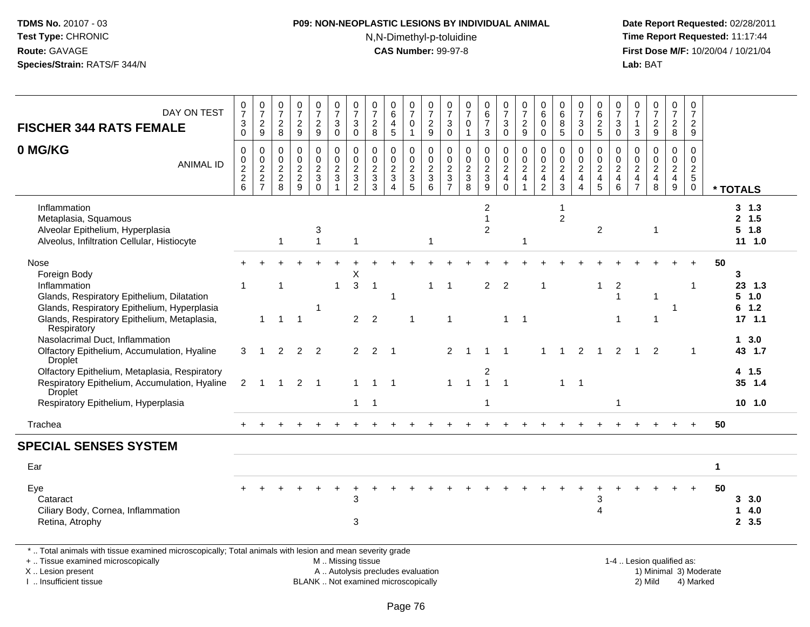# **P09: NON-NEOPLASTIC LESIONS BY INDIVIDUAL ANIMAL**N,N-Dimethyl-p-toluidine

| DAY ON TEST<br><b>FISCHER 344 RATS FEMALE</b>                                                                                                                                                 | $\frac{0}{7}$<br>3<br>$\mathbf 0$                     | $\frac{0}{7}$<br>$\frac{2}{9}$    | $\frac{0}{7}$<br>$_{\rm 8}^2$                                       | $\begin{array}{c} 0 \\ 7 \end{array}$<br>$\frac{2}{9}$              | $\frac{0}{7}$<br>$\overline{2}$<br>9                         | $\frac{0}{7}$<br>$\sqrt{3}$<br>$\mathbf 0$           | $\begin{array}{c} 0 \\ 7 \end{array}$<br>$\sqrt{3}$<br>$\mathbf 0$ | $\frac{0}{7}$<br>$\sqrt{2}$<br>8                                         | 0<br>$\,6\,$<br>4<br>$\overline{5}$                                          | $\frac{0}{7}$<br>$\pmb{0}$<br>$\mathbf{1}$                                         | $\frac{0}{7}$<br>$\overline{c}$<br>9                              | $\begin{array}{c} 0 \\ 7 \end{array}$<br>$\ensuremath{\mathsf{3}}$<br>$\mathbf 0$ | $\mathbf 0$<br>$\overline{7}$<br>$\pmb{0}$<br>$\mathbf{1}$ | 0<br>$\overline{6}$<br>$\overline{7}$<br>$\mathbf{3}$             | $\frac{0}{7}$<br>3<br>$\mathbf 0$                                   | $\frac{0}{7}$<br>$\overline{2}$<br>$9\,$                                       | $_6^0$<br>$\mathbf 0$<br>$\mathbf 0$                            | 0<br>6<br>$\bar{8}$<br>$\overline{5}$                               | $\begin{array}{c} 0 \\ 7 \end{array}$<br>$\ensuremath{\mathsf{3}}$<br>$\mathbf 0$  | $_{6}^{\rm 0}$<br>$\frac{2}{5}$                                   | 0<br>$\overline{7}$<br>$\ensuremath{\mathsf{3}}$<br>$\mathbf 0$ | 0<br>$\overline{7}$<br>$\mathbf{1}$<br>3                                      | $\begin{smallmatrix}0\\7\end{smallmatrix}$<br>$\frac{2}{9}$ | $\frac{0}{7}$<br>$\overline{a}$<br>8                                | $\mathbf 0$<br>$\boldsymbol{7}$<br>$\frac{2}{9}$                                       |              |                                            |
|-----------------------------------------------------------------------------------------------------------------------------------------------------------------------------------------------|-------------------------------------------------------|-----------------------------------|---------------------------------------------------------------------|---------------------------------------------------------------------|--------------------------------------------------------------|------------------------------------------------------|--------------------------------------------------------------------|--------------------------------------------------------------------------|------------------------------------------------------------------------------|------------------------------------------------------------------------------------|-------------------------------------------------------------------|-----------------------------------------------------------------------------------|------------------------------------------------------------|-------------------------------------------------------------------|---------------------------------------------------------------------|--------------------------------------------------------------------------------|-----------------------------------------------------------------|---------------------------------------------------------------------|------------------------------------------------------------------------------------|-------------------------------------------------------------------|-----------------------------------------------------------------|-------------------------------------------------------------------------------|-------------------------------------------------------------|---------------------------------------------------------------------|----------------------------------------------------------------------------------------|--------------|--------------------------------------------|
| 0 MG/KG<br><b>ANIMAL ID</b>                                                                                                                                                                   | 0<br>$\pmb{0}$<br>$\boldsymbol{2}$<br>$\sqrt{2}$<br>6 | $\mathbf 0$<br>$\frac{0}{2}$<br>7 | $\mathbf 0$<br>$\pmb{0}$<br>$\boldsymbol{2}$<br>$\overline{c}$<br>8 | $\mathbf 0$<br>$\pmb{0}$<br>$\overline{2}$<br>$\boldsymbol{2}$<br>9 | 0<br>$\pmb{0}$<br>$\overline{c}$<br>$\mathbf{3}$<br>$\Omega$ | 0<br>$\mathbf 0$<br>$\overline{2}$<br>$\mathfrak{S}$ | $\mathbf 0$<br>$\begin{array}{c} 0 \\ 2 \\ 3 \\ 2 \end{array}$     | 0<br>$\mathbf 0$<br>$\sqrt{2}$<br>$\sqrt{3}$<br>3                        | $\Omega$<br>$\boldsymbol{0}$<br>$\sqrt{2}$<br>$\mathbf{3}$<br>$\overline{A}$ | $\mathbf 0$<br>$\mathsf{O}\xspace$<br>$\sqrt{2}$<br>$\ensuremath{\mathsf{3}}$<br>5 | $\mathbf 0$<br>$\mathbf 0$<br>$\overline{2}$<br>$\mathbf{3}$<br>6 | 0<br>$^{\rm 0}_{\rm 2}$<br>$\ensuremath{\mathsf{3}}$<br>$\overline{7}$            | $\mathbf 0$<br>$\mathbf 0$<br>$\frac{2}{3}$<br>8           | $\mathbf 0$<br>$\mathbf 0$<br>$\overline{2}$<br>$\mathbf{3}$<br>9 | 0<br>$\mathbf 0$<br>$\overline{2}$<br>$\overline{4}$<br>$\mathbf 0$ | $\mathbf 0$<br>$\mathsf 0$<br>$\overline{2}$<br>$\overline{4}$<br>$\mathbf{1}$ | 0<br>$\frac{0}{2}$<br>$\overline{\mathbf{4}}$<br>$\overline{2}$ | $\mathbf 0$<br>$\mathbf 0$<br>$\overline{2}$<br>$\overline{4}$<br>3 | $\mathbf 0$<br>$\pmb{0}$<br>$\sqrt{2}$<br>$\overline{4}$<br>$\boldsymbol{\Lambda}$ | 0<br>$\mathsf{O}\xspace$<br>$\overline{2}$<br>$\overline{4}$<br>5 | $\Omega$<br>$\mathbf 0$<br>$\sqrt{2}$<br>$\overline{4}$<br>6    | $\Omega$<br>$\mathbf 0$<br>$\overline{2}$<br>$\overline{4}$<br>$\overline{7}$ | $\mathbf 0$<br>$\mathbf 0$<br>$\frac{2}{4}$<br>8            | $\mathbf 0$<br>$\mathbf 0$<br>$\overline{2}$<br>$\overline{4}$<br>9 | $\mathbf 0$<br>$\mathbf 0$<br>$\overline{2}$<br>$5\phantom{.0}$<br>$\mathsf{O}\xspace$ |              | * TOTALS                                   |
| Inflammation<br>Metaplasia, Squamous<br>Alveolar Epithelium, Hyperplasia<br>Alveolus, Infiltration Cellular, Histiocyte                                                                       |                                                       |                                   | 1                                                                   |                                                                     | 3<br>$\mathbf{1}$                                            |                                                      | -1                                                                 |                                                                          |                                                                              |                                                                                    |                                                                   |                                                                                   |                                                            | $\overline{2}$<br>$\overline{c}$                                  |                                                                     |                                                                                |                                                                 | -1<br>$\overline{c}$                                                |                                                                                    | 2                                                                 |                                                                 |                                                                               | 1                                                           |                                                                     |                                                                                        |              | $3 \t1.3$<br>2, 1.5<br>$5 \t1.8$<br>11 1.0 |
| Nose<br>Foreign Body                                                                                                                                                                          |                                                       |                                   |                                                                     |                                                                     |                                                              |                                                      | Χ                                                                  |                                                                          |                                                                              |                                                                                    |                                                                   |                                                                                   |                                                            |                                                                   |                                                                     |                                                                                |                                                                 |                                                                     |                                                                                    |                                                                   |                                                                 |                                                                               |                                                             |                                                                     |                                                                                        | 50           | 3                                          |
| Inflammation<br>Glands, Respiratory Epithelium, Dilatation<br>Glands, Respiratory Epithelium, Hyperplasia<br>Glands, Respiratory Epithelium, Metaplasia,                                      | $\overline{1}$                                        | $\mathbf{1}$                      | $\mathbf{1}$<br>1                                                   | -1                                                                  | -1                                                           | $\mathbf 1$                                          | $\mathbf{3}$<br>$\overline{2}$                                     | $\overline{1}$<br>$\overline{2}$                                         |                                                                              | 1                                                                                  | 1                                                                 | $\overline{1}$<br>$\overline{1}$                                                  |                                                            | $\overline{2}$                                                    | $\overline{2}$<br>$\mathbf{1}$                                      | $\overline{1}$                                                                 | $\overline{1}$                                                  |                                                                     |                                                                                    | 1                                                                 | $\boldsymbol{2}$<br>1<br>-1                                     |                                                                               | 1<br>1                                                      | -1                                                                  |                                                                                        |              | 23 1.3<br>5 1.0<br>6 1.2<br>17, 1.1        |
| Respiratory<br>Nasolacrimal Duct, Inflammation<br>Olfactory Epithelium, Accumulation, Hyaline<br>Droplet                                                                                      | 3                                                     | 1                                 | $\overline{2}$                                                      | 2                                                                   | $\overline{2}$                                               |                                                      | $\overline{2}$                                                     | $\overline{c}$                                                           | $\overline{1}$                                                               |                                                                                    |                                                                   | 2                                                                                 |                                                            | -1                                                                | $\mathbf 1$                                                         |                                                                                | 1                                                               |                                                                     | $\overline{2}$                                                                     |                                                                   | 2                                                               |                                                                               | $\overline{2}$                                              |                                                                     | -1                                                                                     |              | $1 \t3.0$<br>43 1.7                        |
| Olfactory Epithelium, Metaplasia, Respiratory<br>Respiratory Epithelium, Accumulation, Hyaline<br>Droplet                                                                                     | $\overline{2}$                                        | $\overline{1}$                    | $\mathbf{1}$                                                        | $\overline{2}$                                                      | $\overline{1}$                                               |                                                      | $\overline{1}$                                                     |                                                                          | $\overline{\phantom{a}}$                                                     |                                                                                    |                                                                   | $\blacktriangleleft$                                                              | $\overline{1}$                                             | 2<br>$\overline{1}$                                               | $\overline{1}$                                                      |                                                                                |                                                                 | $\mathbf{1}$                                                        | $\overline{\phantom{0}}$                                                           |                                                                   |                                                                 |                                                                               |                                                             |                                                                     |                                                                                        |              | 4 1.5<br>35 1.4                            |
| Respiratory Epithelium, Hyperplasia                                                                                                                                                           |                                                       |                                   |                                                                     |                                                                     |                                                              |                                                      | -1                                                                 | $\overline{1}$                                                           |                                                                              |                                                                                    |                                                                   |                                                                                   |                                                            |                                                                   |                                                                     |                                                                                |                                                                 |                                                                     |                                                                                    |                                                                   | 1                                                               |                                                                               |                                                             |                                                                     |                                                                                        |              | 10, 1.0                                    |
| Trachea                                                                                                                                                                                       |                                                       |                                   |                                                                     |                                                                     |                                                              |                                                      |                                                                    |                                                                          |                                                                              |                                                                                    |                                                                   |                                                                                   |                                                            |                                                                   |                                                                     |                                                                                |                                                                 |                                                                     |                                                                                    |                                                                   |                                                                 |                                                                               |                                                             |                                                                     |                                                                                        | 50           |                                            |
| <b>SPECIAL SENSES SYSTEM</b>                                                                                                                                                                  |                                                       |                                   |                                                                     |                                                                     |                                                              |                                                      |                                                                    |                                                                          |                                                                              |                                                                                    |                                                                   |                                                                                   |                                                            |                                                                   |                                                                     |                                                                                |                                                                 |                                                                     |                                                                                    |                                                                   |                                                                 |                                                                               |                                                             |                                                                     |                                                                                        |              |                                            |
| Ear                                                                                                                                                                                           |                                                       |                                   |                                                                     |                                                                     |                                                              |                                                      |                                                                    |                                                                          |                                                                              |                                                                                    |                                                                   |                                                                                   |                                                            |                                                                   |                                                                     |                                                                                |                                                                 |                                                                     |                                                                                    |                                                                   |                                                                 |                                                                               |                                                             |                                                                     |                                                                                        | $\mathbf{1}$ |                                            |
| Eye<br>Cataract<br>Ciliary Body, Cornea, Inflammation<br>Retina, Atrophy                                                                                                                      |                                                       |                                   |                                                                     |                                                                     |                                                              |                                                      | 3<br>$\sqrt{3}$                                                    |                                                                          |                                                                              |                                                                                    |                                                                   |                                                                                   |                                                            |                                                                   |                                                                     |                                                                                |                                                                 |                                                                     |                                                                                    | 3<br>4                                                            |                                                                 |                                                                               |                                                             |                                                                     |                                                                                        | 50           | 3, 3.0<br>14.0<br>2, 3.5                   |
| *  Total animals with tissue examined microscopically; Total animals with lesion and mean severity grade<br>+  Tissue examined microscopically<br>X  Lesion present<br>I. Insufficient tissue |                                                       |                                   |                                                                     |                                                                     |                                                              | M  Missing tissue                                    |                                                                    | A  Autolysis precludes evaluation<br>BLANK  Not examined microscopically |                                                                              |                                                                                    |                                                                   |                                                                                   |                                                            |                                                                   |                                                                     |                                                                                |                                                                 |                                                                     |                                                                                    |                                                                   |                                                                 |                                                                               | 1-4  Lesion qualified as:<br>2) Mild                        |                                                                     | 1) Minimal 3) Moderate<br>4) Marked                                                    |              |                                            |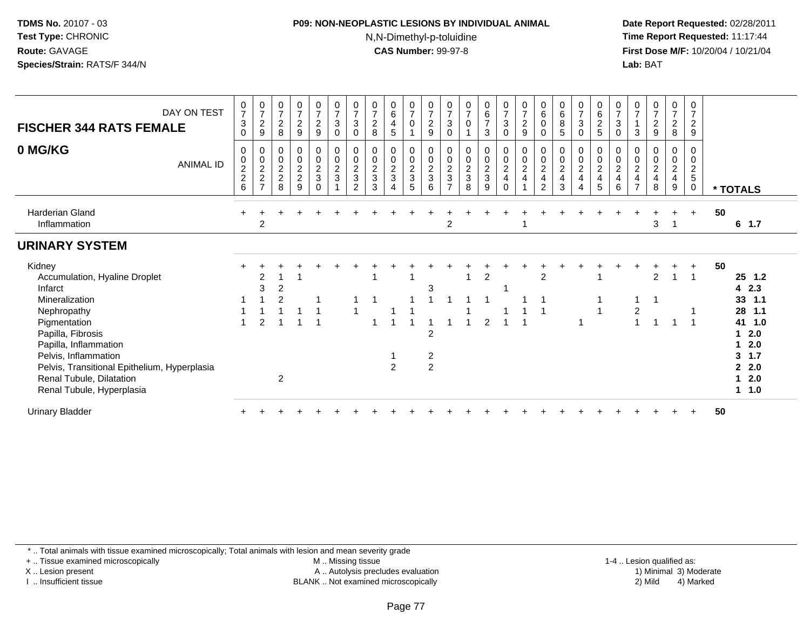#### **P09: NON-NEOPLASTIC LESIONS BY INDIVIDUAL ANIMAL**N,N-Dimethyl-p-toluidine

 **Date Report Requested:** 02/28/2011 **Time Report Requested:** 11:17:44 **First Dose M/F:** 10/20/04 / 10/21/04<br>**Lab:** BAT **Lab:** BAT

| DAY ON TEST<br><b>FISCHER 344 RATS FEMALE</b>                                                                                                                                                                                                                                      | $\frac{0}{7}$<br>$\sqrt{3}$<br>$\mathbf 0$                     | $\begin{array}{c} 0 \\ 7 \end{array}$<br>$\overline{c}$<br>9 | $\frac{0}{7}$<br>$\overline{c}$<br>8                      | $\frac{0}{7}$<br>$\overline{a}$<br>9 | $\frac{0}{7}$<br>$\overline{c}$<br>$\boldsymbol{9}$ | $\frac{0}{7}$<br>$\sqrt{3}$<br>$\pmb{0}$  | $\begin{array}{c} 0 \\ 7 \end{array}$<br>$\mathbf{3}$<br>$\boldsymbol{0}$ | $\frac{0}{7}$<br>$\overline{2}$<br>8 | $\begin{array}{c} 0 \\ 6 \end{array}$<br>4<br>5           | $\begin{array}{c} 0 \\ 7 \end{array}$<br>$\pmb{0}$ | $\frac{0}{7}$<br>$\overline{c}$<br>$\boldsymbol{9}$ | $\frac{0}{7}$<br>$\mathbf{3}$<br>0        | $\begin{smallmatrix}0\\7\end{smallmatrix}$<br>$\pmb{0}$ | $\begin{array}{c} 0 \\ 6 \\ 7 \end{array}$<br>3 | $\frac{0}{7}$<br>$\ensuremath{\mathsf{3}}$<br>$\mathbf 0$                       | $\frac{0}{7}$<br>$\overline{c}$<br>$\boldsymbol{9}$ | $_{6}^{\rm 0}$<br>$\mathsf 0$<br>$\mathbf 0$                      | $_{6}^{\rm 0}$<br>8<br>$\sqrt{5}$ | $\begin{array}{c} 0 \\ 7 \end{array}$<br>$\mathbf 3$<br>$\mathbf 0$ | $\begin{array}{c} 0 \\ 6 \end{array}$<br>$\boldsymbol{2}$<br>$\sqrt{5}$ | $\frac{0}{7}$<br>3<br>0                                            | $\begin{array}{c} 0 \\ 7 \end{array}$<br>$\mathbf{1}$<br>3                  | $\begin{array}{c} 0 \\ 7 \\ 2 \end{array}$<br>9 | $\frac{0}{7}$<br>$\boldsymbol{2}$<br>8 | 0<br>$\overline{7}$<br>$\overline{c}$<br>9            |                                                                                                                                  |
|------------------------------------------------------------------------------------------------------------------------------------------------------------------------------------------------------------------------------------------------------------------------------------|----------------------------------------------------------------|--------------------------------------------------------------|-----------------------------------------------------------|--------------------------------------|-----------------------------------------------------|-------------------------------------------|---------------------------------------------------------------------------|--------------------------------------|-----------------------------------------------------------|----------------------------------------------------|-----------------------------------------------------|-------------------------------------------|---------------------------------------------------------|-------------------------------------------------|---------------------------------------------------------------------------------|-----------------------------------------------------|-------------------------------------------------------------------|-----------------------------------|---------------------------------------------------------------------|-------------------------------------------------------------------------|--------------------------------------------------------------------|-----------------------------------------------------------------------------|-------------------------------------------------|----------------------------------------|-------------------------------------------------------|----------------------------------------------------------------------------------------------------------------------------------|
| 0 MG/KG<br><b>ANIMAL ID</b>                                                                                                                                                                                                                                                        | $\mathbf 0$<br>$\begin{array}{c} 0 \\ 2 \\ 2 \end{array}$<br>6 | 0<br>$\pmb{0}$<br>$\frac{2}{2}$<br>$\overline{7}$            | 0<br>$\pmb{0}$<br>$\boldsymbol{2}$<br>$\overline{c}$<br>8 | $\mathbf 0$<br>0<br>$\frac{2}{9}$    | $\pmb{0}$<br>$\frac{0}{2}$<br>$\Omega$              | $\mathbf 0$<br>$\pmb{0}$<br>$\frac{2}{3}$ | $\mathbf 0$<br>$\pmb{0}$<br>$\frac{2}{3}$<br>$\overline{2}$               | $\pmb{0}$<br>$\frac{0}{2}$<br>3      | 0<br>$\mathbf 0$<br>$\overline{c}$<br>$\mathfrak{S}$<br>4 | 0<br>$\frac{0}{2}$<br>5                            | 0<br>$\pmb{0}$<br>$\frac{2}{3}$<br>6                | 0<br>0<br>$\frac{2}{3}$<br>$\overline{ }$ | $\pmb{0}$<br>$\frac{0}{2}$<br>8                         | 0<br>$\frac{0}{2}$<br>9                         | $\pmb{0}$<br>$\pmb{0}$<br>$\overline{c}$<br>$\overline{\mathbf{4}}$<br>$\Omega$ | 0<br>$\pmb{0}$<br>$\frac{2}{4}$                     | 0<br>$\begin{array}{c} 0 \\ 2 \\ 4 \end{array}$<br>$\overline{2}$ | 0<br>$\frac{0}{2}$<br>3           | $\begin{array}{c} 0 \\ 0 \\ 2 \\ 4 \end{array}$<br>$\overline{4}$   | 0<br>$\pmb{0}$<br>$\sqrt{2}$<br>$\overline{4}$<br>5                     | 0<br>$\pmb{0}$<br>$\boldsymbol{2}$<br>$\overline{\mathbf{4}}$<br>6 | $\mathbf 0$<br>$\begin{array}{c} 0 \\ 2 \\ 4 \end{array}$<br>$\overline{7}$ | 0<br>$\frac{0}{2}$<br>8                         | 0<br>0<br>$\frac{2}{4}$<br>9           | 0<br>0<br>$\overline{c}$<br>$\sqrt{5}$<br>$\mathbf 0$ | * TOTALS                                                                                                                         |
| <b>Harderian Gland</b><br>Inflammation                                                                                                                                                                                                                                             |                                                                | $\overline{\mathbf{c}}$                                      |                                                           |                                      |                                                     |                                           |                                                                           |                                      |                                                           |                                                    |                                                     | 2                                         |                                                         |                                                 |                                                                                 |                                                     |                                                                   |                                   |                                                                     |                                                                         |                                                                    |                                                                             | 3                                               |                                        |                                                       | 50<br>$6$ 1.7                                                                                                                    |
| <b>URINARY SYSTEM</b>                                                                                                                                                                                                                                                              |                                                                |                                                              |                                                           |                                      |                                                     |                                           |                                                                           |                                      |                                                           |                                                    |                                                     |                                           |                                                         |                                                 |                                                                                 |                                                     |                                                                   |                                   |                                                                     |                                                                         |                                                                    |                                                                             |                                                 |                                        |                                                       |                                                                                                                                  |
| Kidney<br>Accumulation, Hyaline Droplet<br>Infarct<br>Mineralization<br>Nephropathy<br>Pigmentation<br>Papilla, Fibrosis<br>Papilla, Inflammation<br>Pelvis, Inflammation<br>Pelvis, Transitional Epithelium, Hyperplasia<br>Renal Tubule, Dilatation<br>Renal Tubule, Hyperplasia | -1                                                             | $\overline{c}$<br>3<br>$\overline{2}$                        | $\overline{c}$                                            |                                      | 1                                                   |                                           |                                                                           |                                      | $\overline{2}$                                            |                                                    | 3<br>$\overline{2}$<br>$\frac{2}{2}$                |                                           | $\overline{ }$                                          | $\overline{c}$<br>$\overline{2}$                |                                                                                 |                                                     | 2                                                                 |                                   |                                                                     |                                                                         |                                                                    | 2<br>$\overline{A}$                                                         | $\overline{2}$                                  |                                        | $\overline{1}$                                        | 50<br>25 1.2<br>42.3<br>33<br>1.1<br>28<br>1.1<br>41<br>1.0<br>2.0<br>2.0<br>3<br>1.7<br>2.0<br>$\mathbf{2}$<br>2.0<br>$1 \t1.0$ |
| <b>Urinary Bladder</b>                                                                                                                                                                                                                                                             |                                                                |                                                              |                                                           |                                      |                                                     |                                           |                                                                           |                                      |                                                           |                                                    |                                                     |                                           |                                                         |                                                 |                                                                                 |                                                     |                                                                   |                                   |                                                                     |                                                                         |                                                                    |                                                                             |                                                 |                                        |                                                       | 50                                                                                                                               |

\* .. Total animals with tissue examined microscopically; Total animals with lesion and mean severity grade

+ .. Tissue examined microscopically

X .. Lesion present

I .. Insufficient tissue

M .. Missing tissue

Lesion present A .. Autolysis precludes evaluation 1) Minimal 3) Moderate

 1-4 .. Lesion qualified as: BLANK .. Not examined microscopically 2) Mild 4) Marked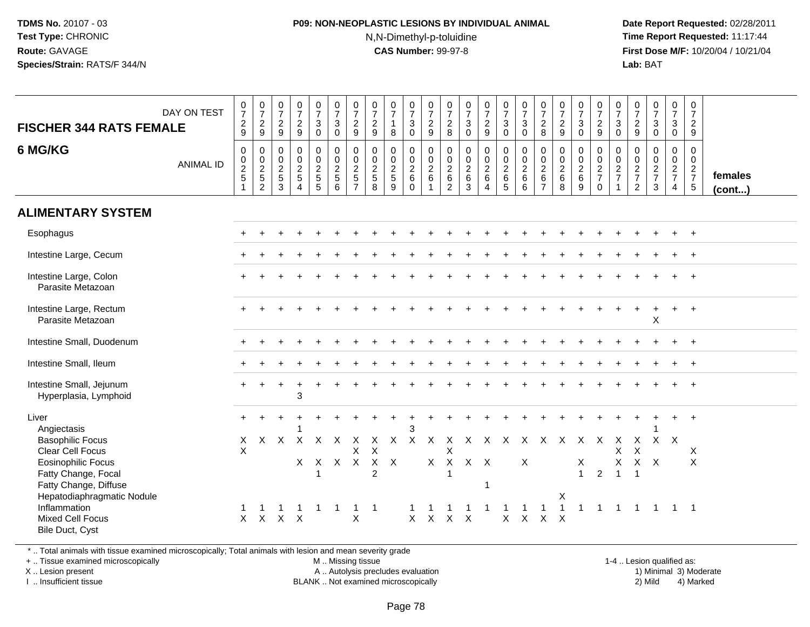#### **P09: NON-NEOPLASTIC LESIONS BY INDIVIDUAL ANIMAL**N,N-Dimethyl-p-toluidine

 **Date Report Requested:** 02/28/2011 **Time Report Requested:** 11:17:44 **First Dose M/F:** 10/20/04 / 10/21/04<br>**Lab:** BAT **Lab:** BAT

| <b>FISCHER 344 RATS FEMALE</b><br>6 MG/KG                                                                                                                                                                                                    | DAY ON TEST      | $\frac{0}{7}$<br>$\frac{2}{9}$<br>$\,0\,$                    | $\begin{array}{c} 0 \\ 7 \end{array}$<br>$\frac{2}{9}$<br>$\mathbf 0$ | $\frac{0}{7}$<br>$\frac{2}{9}$<br>$\mathbf 0$              | $\frac{0}{7}$<br>$\frac{2}{9}$<br>$\mathbf 0$ | $\frac{0}{7}$<br>3<br>$\mathbf 0$<br>$\pmb{0}$<br>$\mathsf 0$ | $\begin{smallmatrix}0\\7\end{smallmatrix}$<br>3<br>$\mathbf 0$<br>0 | $\frac{0}{7}$<br>$\frac{2}{9}$<br>$\mathbf 0$       | $\begin{smallmatrix}0\\7\end{smallmatrix}$<br>$\frac{2}{9}$<br>0 | $\begin{array}{c} 0 \\ 7 \end{array}$<br>$\overline{1}$<br>8<br>$\mathbf 0$<br>$\mathsf 0$ | $\begin{smallmatrix}0\\7\end{smallmatrix}$<br>3<br>0<br>0<br>$\mathsf{O}\xspace$ | $\frac{0}{7}$<br>$\overline{c}$<br>$9\,$<br>$\mathbf 0$ | $\frac{0}{7}$<br>$\begin{array}{c} 2 \\ 8 \end{array}$<br>0 | $\begin{smallmatrix}0\\7\end{smallmatrix}$<br>$\mathfrak{S}$<br>$\overline{0}$<br>0 | $\frac{0}{7}$<br>$\frac{2}{9}$<br>$\pmb{0}$ | $\begin{smallmatrix}0\\7\end{smallmatrix}$<br>$_{0}^{3}$<br>$\mathbf 0$ | $\frac{0}{7}$<br>$\mathbf{3}$<br>$\mathbf 0$<br>$\mathbf 0$ | $\frac{0}{7}$<br>$\overline{2}$<br>8<br>0                           | $\begin{array}{c} 0 \\ 7 \end{array}$<br>$\frac{2}{9}$<br>$\mathbf 0$ | $\frac{0}{7}$<br>$\mathbf{3}$<br>$\mathbf{0}$<br>0 | $\frac{0}{7}$<br>$\frac{2}{9}$<br>$\pmb{0}$ | $\begin{smallmatrix}0\\7\end{smallmatrix}$<br>$_{0}^{3}$<br>$\mathbf 0$ | $\frac{0}{7}$<br>$\frac{2}{9}$<br>0                          | $\frac{0}{7}$<br>$\sqrt{3}$<br>$\overline{0}$<br>$\mathbf 0$ | $\frac{0}{7}$<br>3<br>$\mathbf 0$<br>0<br>$\mathbf 0$ | $\begin{smallmatrix}0\\7\end{smallmatrix}$<br>$\overline{a}$<br>9<br>$\mathbf 0$<br>$\mathbf 0$ |                         |
|----------------------------------------------------------------------------------------------------------------------------------------------------------------------------------------------------------------------------------------------|------------------|--------------------------------------------------------------|-----------------------------------------------------------------------|------------------------------------------------------------|-----------------------------------------------|---------------------------------------------------------------|---------------------------------------------------------------------|-----------------------------------------------------|------------------------------------------------------------------|--------------------------------------------------------------------------------------------|----------------------------------------------------------------------------------|---------------------------------------------------------|-------------------------------------------------------------|-------------------------------------------------------------------------------------|---------------------------------------------|-------------------------------------------------------------------------|-------------------------------------------------------------|---------------------------------------------------------------------|-----------------------------------------------------------------------|----------------------------------------------------|---------------------------------------------|-------------------------------------------------------------------------|--------------------------------------------------------------|--------------------------------------------------------------|-------------------------------------------------------|-------------------------------------------------------------------------------------------------|-------------------------|
|                                                                                                                                                                                                                                              | <b>ANIMAL ID</b> | $\begin{array}{c} 0 \\ 2 \\ 5 \end{array}$<br>$\overline{1}$ | $\frac{0}{2}$<br>$\sqrt{2}$                                           | $\begin{array}{c} 0 \\ 2 \\ 5 \end{array}$<br>$\mathbf{3}$ | $\frac{0}{2}$<br>$\overline{4}$               | $\frac{2}{5}$<br>5                                            | $\frac{0}{2}$<br>6                                                  | $\frac{0}{2}$<br>$\overline{7}$                     | $\frac{0}{2}$<br>8                                               | $rac{2}{5}$<br>9                                                                           | $\frac{2}{6}$<br>$\mathbf 0$                                                     | $\frac{0}{2}$<br>$\overline{1}$                         | $\frac{0}{2}$<br>$\overline{2}$                             | $_2^0$<br>$\overline{6}$<br>3                                                       | $\frac{0}{2}$<br>$\boldsymbol{\Lambda}$     | $\frac{0}{2}$ 6<br>$\overline{5}$                                       | $\frac{0}{2}$ 6<br>$\,6\,$                                  | $\begin{smallmatrix} 0\\2 \end{smallmatrix}$<br>6<br>$\overline{7}$ | $\frac{0}{2}$ 6<br>8                                                  | $\frac{0}{2}$ 6<br>9                               | $\frac{0}{2}$<br>$\mathbf 0$                | $\frac{0}{2}$<br>$\mathbf{1}$                                           | $\begin{array}{c} 0 \\ 2 \\ 7 \end{array}$<br>$\overline{2}$ | $\frac{0}{2}$<br>$\mathbf{3}$                                | $\frac{2}{7}$<br>$\overline{4}$                       | $\frac{2}{7}$ 5                                                                                 | females<br>$($ cont $)$ |
| <b>ALIMENTARY SYSTEM</b>                                                                                                                                                                                                                     |                  |                                                              |                                                                       |                                                            |                                               |                                                               |                                                                     |                                                     |                                                                  |                                                                                            |                                                                                  |                                                         |                                                             |                                                                                     |                                             |                                                                         |                                                             |                                                                     |                                                                       |                                                    |                                             |                                                                         |                                                              |                                                              |                                                       |                                                                                                 |                         |
| Esophagus                                                                                                                                                                                                                                    |                  |                                                              |                                                                       |                                                            |                                               |                                                               |                                                                     |                                                     |                                                                  |                                                                                            |                                                                                  |                                                         |                                                             |                                                                                     |                                             |                                                                         |                                                             |                                                                     |                                                                       |                                                    |                                             |                                                                         |                                                              |                                                              |                                                       |                                                                                                 |                         |
| Intestine Large, Cecum                                                                                                                                                                                                                       |                  |                                                              |                                                                       |                                                            |                                               |                                                               |                                                                     |                                                     |                                                                  |                                                                                            |                                                                                  |                                                         |                                                             |                                                                                     |                                             |                                                                         |                                                             |                                                                     |                                                                       |                                                    |                                             |                                                                         |                                                              |                                                              |                                                       |                                                                                                 |                         |
| Intestine Large, Colon<br>Parasite Metazoan                                                                                                                                                                                                  |                  |                                                              |                                                                       |                                                            |                                               |                                                               |                                                                     |                                                     |                                                                  |                                                                                            |                                                                                  |                                                         |                                                             |                                                                                     |                                             |                                                                         |                                                             |                                                                     |                                                                       |                                                    |                                             |                                                                         |                                                              |                                                              |                                                       |                                                                                                 |                         |
| Intestine Large, Rectum<br>Parasite Metazoan                                                                                                                                                                                                 |                  |                                                              |                                                                       |                                                            |                                               |                                                               |                                                                     |                                                     |                                                                  |                                                                                            |                                                                                  |                                                         |                                                             |                                                                                     |                                             |                                                                         |                                                             |                                                                     |                                                                       |                                                    |                                             |                                                                         |                                                              | X                                                            |                                                       |                                                                                                 |                         |
| Intestine Small, Duodenum                                                                                                                                                                                                                    |                  |                                                              |                                                                       |                                                            |                                               |                                                               |                                                                     |                                                     |                                                                  |                                                                                            |                                                                                  |                                                         |                                                             |                                                                                     |                                             |                                                                         |                                                             |                                                                     |                                                                       |                                                    |                                             |                                                                         |                                                              |                                                              |                                                       |                                                                                                 |                         |
| Intestine Small, Ileum                                                                                                                                                                                                                       |                  |                                                              |                                                                       |                                                            |                                               |                                                               |                                                                     |                                                     |                                                                  |                                                                                            |                                                                                  |                                                         |                                                             |                                                                                     |                                             |                                                                         |                                                             |                                                                     |                                                                       |                                                    |                                             |                                                                         |                                                              |                                                              |                                                       |                                                                                                 |                         |
| Intestine Small, Jejunum<br>Hyperplasia, Lymphoid                                                                                                                                                                                            |                  |                                                              |                                                                       |                                                            | 3                                             |                                                               |                                                                     |                                                     |                                                                  |                                                                                            |                                                                                  |                                                         |                                                             |                                                                                     |                                             |                                                                         |                                                             |                                                                     |                                                                       |                                                    |                                             |                                                                         |                                                              |                                                              |                                                       |                                                                                                 |                         |
| Liver<br>Angiectasis<br><b>Basophilic Focus</b><br>Clear Cell Focus<br><b>Eosinophilic Focus</b><br>Fatty Change, Focal<br>Fatty Change, Diffuse<br>Hepatodiaphragmatic Nodule<br>Inflammation<br><b>Mixed Cell Focus</b><br>Bile Duct, Cyst |                  | $\pm$<br>X<br>$\boldsymbol{\mathsf{X}}$<br>$\mathsf{X}$      | X<br>$\mathsf{X}$                                                     | X<br>$X -$                                                 | X<br>$\times$                                 | X<br>1                                                        | $\boldsymbol{\mathsf{X}}$                                           | X<br>$\boldsymbol{\mathsf{X}}$<br>1<br>$\mathsf{X}$ | $\mathsf X$<br>$X$ $X$<br>$\overline{c}$                         | X                                                                                          | 3<br>X<br>$\mathsf{X}$                                                           | X<br>$\mathsf{X}$<br>$\mathsf{X}$                       | Χ<br>X<br>$\boldsymbol{\mathsf{X}}$<br>1<br>$\mathsf{X}$    | $X \times$<br>$X$ $X$<br>$\mathsf{X}$                                               |                                             | $\times$<br>$\mathsf{X}$                                                | X<br>X<br>$\boldsymbol{\mathsf{X}}$                         | X<br>$\mathsf{X}$                                                   | X<br>Х<br>$\mathsf{X}$                                                | X<br>X<br>$\mathbf{1}$                             | X<br>$\overline{2}$                         | X<br>$\mathsf X$<br>X<br>$\overline{1}$                                 | X<br>$\mathsf X$<br>$\mathsf{X}$<br>$\overline{1}$           | $\mathsf{X}$                                                 | $\times$                                              | $\ddot{}$<br>Χ<br>$\times$<br>$\overline{\phantom{1}}$                                          |                         |

\* .. Total animals with tissue examined microscopically; Total animals with lesion and mean severity grade

+ .. Tissue examined microscopically

X .. Lesion present

I .. Insufficient tissue

 M .. Missing tissueA .. Autolysis precludes evaluation

 1-4 .. Lesion qualified as: BLANK .. Not examined microscopically 2) Mild 4) Marked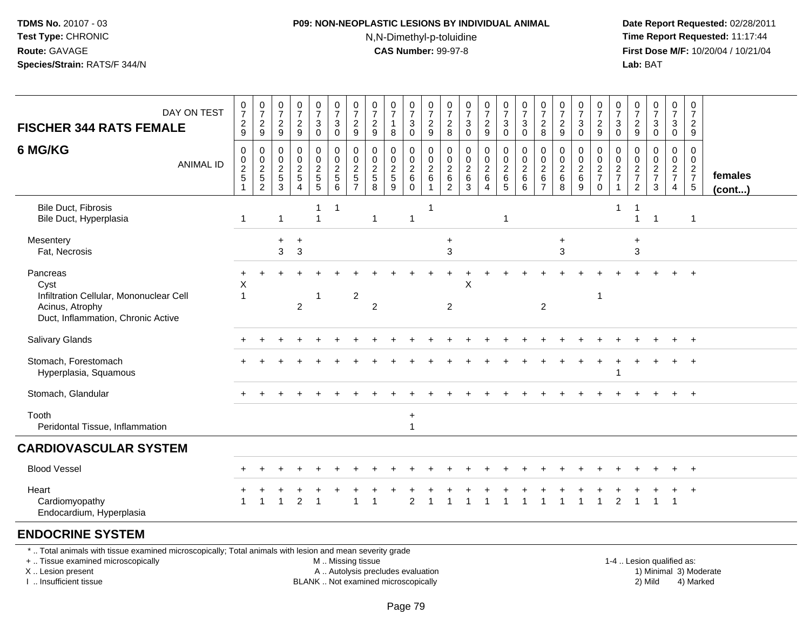#### **P09: NON-NEOPLASTIC LESIONS BY INDIVIDUAL ANIMAL**N,N-Dimethyl-p-toluidine

 **Date Report Requested:** 02/28/2011 **Time Report Requested:** 11:17:44 **First Dose M/F:** 10/20/04 / 10/21/04<br>**Lab:** BAT **Lab:** BAT

| DAY ON TEST<br><b>FISCHER 344 RATS FEMALE</b>                                                                        | $\frac{0}{7}$<br>$\frac{2}{9}$                       | $\frac{0}{7}$<br>$\frac{2}{9}$                                              | $\begin{smallmatrix}0\\7\end{smallmatrix}$<br>$\frac{2}{9}$ | $\frac{0}{7}$<br>$\frac{2}{9}$                           | $\begin{array}{c} 0 \\ 7 \end{array}$<br>$\mathbf{3}$<br>$\mathbf 0$ | $\frac{0}{7}$<br>$\mathbf{3}$<br>$\mathbf 0$   | $\frac{0}{7}$<br>$\overline{2}$<br>$\boldsymbol{9}$                             | $\frac{0}{7}$<br>$\frac{2}{9}$    | $\frac{0}{7}$<br>8                     | $\frac{0}{7}$<br>3<br>$\mathbf 0$             | $\frac{0}{7}$<br>$\frac{2}{9}$ | $\begin{smallmatrix}0\\7\end{smallmatrix}$<br>$_{8}^2$ | $\frac{0}{7}$<br>$\mathbf{3}$<br>$\mathbf 0$ | $\begin{smallmatrix}0\\7\end{smallmatrix}$<br>$\frac{2}{9}$ | $\frac{0}{7}$<br>3<br>$\mathbf 0$   | $\frac{0}{7}$<br>3<br>$\mathbf 0$            | $\frac{0}{7}$<br>$_{\rm 8}^2$                             | $\frac{0}{7}$<br>$\sqrt{2}$<br>$\boldsymbol{9}$ | $\frac{0}{7}$<br>$\mathbf{3}$<br>$\mathbf 0$ | $\frac{0}{7}$<br>$\frac{2}{9}$           | $\frac{0}{7}$<br>3<br>$\mathbf 0$ | 0<br>$\overline{7}$<br>$\overline{c}$<br>9               | $\frac{0}{7}$<br>3<br>0                          | 0<br>$\overline{7}$<br>3<br>0                                         | 0<br>$\overline{7}$<br>$\overline{2}$<br>9                    |                   |
|----------------------------------------------------------------------------------------------------------------------|------------------------------------------------------|-----------------------------------------------------------------------------|-------------------------------------------------------------|----------------------------------------------------------|----------------------------------------------------------------------|------------------------------------------------|---------------------------------------------------------------------------------|-----------------------------------|----------------------------------------|-----------------------------------------------|--------------------------------|--------------------------------------------------------|----------------------------------------------|-------------------------------------------------------------|-------------------------------------|----------------------------------------------|-----------------------------------------------------------|-------------------------------------------------|----------------------------------------------|------------------------------------------|-----------------------------------|----------------------------------------------------------|--------------------------------------------------|-----------------------------------------------------------------------|---------------------------------------------------------------|-------------------|
| 6 MG/KG<br><b>ANIMAL ID</b>                                                                                          | 0<br>$\begin{array}{c} 0 \\ 2 \\ 5 \end{array}$<br>1 | $\mathbf 0$<br>$\begin{array}{c} 0 \\ 2 \\ 5 \end{array}$<br>$\overline{2}$ | 0<br>0<br>$\frac{2}{5}$<br>3                                | $\mathbf 0$<br>$\frac{0}{2}$<br>$\boldsymbol{\varDelta}$ | $\pmb{0}$<br>$\begin{array}{c}\n0 \\ 2 \\ 5\n\end{array}$            | $\mathbf 0$<br>$\pmb{0}$<br>$\frac{2}{5}$<br>6 | $\mathbf 0$<br>$\mathbf 0$<br>$\boldsymbol{2}$<br>$\,$ 5 $\,$<br>$\overline{7}$ | $\mathbf 0$<br>$\frac{0}{2}$<br>8 | 0<br>$\mathbf 0$<br>$\frac{2}{5}$<br>9 | 0<br>$\mathbf 0$<br>$\frac{2}{6}$<br>$\Omega$ | 0<br>$\frac{0}{2}$             | $\mathbf 0$<br>0<br>$\frac{2}{6}$<br>2                 | $\mathbf 0$<br>$\frac{0}{2}$<br>$\,6\,$<br>3 | 0<br>$\frac{0}{2}$<br>$\overline{4}$                        | $\mathbf 0$<br>$\frac{0}{2}$ 6<br>5 | 0<br>$\pmb{0}$<br>$\boldsymbol{2}$<br>6<br>6 | 0<br>$\pmb{0}$<br>$\sqrt{2}$<br>$\,6\,$<br>$\overline{ }$ | 0<br>$\frac{0}{2}$<br>8                         | 0<br>$\mathbf 0$<br>$\frac{2}{6}$<br>9       | $\mathbf 0$<br>$\frac{0}{2}$<br>$\Omega$ | $\Omega$<br>0<br>$\frac{2}{7}$    | $\Omega$<br>$\pmb{0}$<br>$\frac{2}{7}$<br>$\overline{2}$ | $\mathbf 0$<br>$\mathsf 0$<br>$\frac{2}{7}$<br>3 | $\mathbf 0$<br>$\mathsf{O}\xspace$<br>$\frac{2}{7}$<br>$\overline{4}$ | $\mathbf 0$<br>$\mathbf 0$<br>$\frac{2}{7}$<br>$\overline{5}$ | females<br>(cont) |
| <b>Bile Duct, Fibrosis</b><br>Bile Duct, Hyperplasia                                                                 | $\mathbf{1}$                                         |                                                                             | $\mathbf{1}$                                                |                                                          | 1<br>$\mathbf{1}$                                                    | $\overline{1}$                                 |                                                                                 | $\mathbf{1}$                      |                                        | $\mathbf{1}$                                  | -1                             |                                                        |                                              |                                                             | 1                                   |                                              |                                                           |                                                 |                                              |                                          | 1                                 | -1<br>$\mathbf{1}$                                       | $\mathbf{1}$                                     |                                                                       | $\overline{1}$                                                |                   |
| Mesentery<br>Fat, Necrosis                                                                                           |                                                      |                                                                             | $+$<br>3                                                    | $\ddot{}$<br>$\mathbf{3}$                                |                                                                      |                                                |                                                                                 |                                   |                                        |                                               |                                | $\ddot{}$<br>3                                         |                                              |                                                             |                                     |                                              |                                                           | $\ddot{}$<br>3                                  |                                              |                                          |                                   | $\ddot{}$<br>3                                           |                                                  |                                                                       |                                                               |                   |
| Pancreas<br>Cyst<br>Infiltration Cellular, Mononuclear Cell<br>Acinus, Atrophy<br>Duct, Inflammation, Chronic Active | Х<br>1                                               |                                                                             |                                                             | $\boldsymbol{2}$                                         |                                                                      |                                                | $\overline{\mathbf{c}}$                                                         | $\boldsymbol{2}$                  |                                        |                                               |                                | $\sqrt{2}$                                             | Χ                                            |                                                             |                                     |                                              | $\overline{2}$                                            |                                                 |                                              | -1                                       |                                   |                                                          |                                                  |                                                                       |                                                               |                   |
| Salivary Glands                                                                                                      |                                                      |                                                                             |                                                             |                                                          |                                                                      |                                                |                                                                                 |                                   |                                        |                                               |                                |                                                        |                                              |                                                             |                                     |                                              |                                                           |                                                 |                                              |                                          |                                   |                                                          |                                                  |                                                                       |                                                               |                   |
| Stomach, Forestomach<br>Hyperplasia, Squamous                                                                        |                                                      |                                                                             |                                                             |                                                          |                                                                      |                                                |                                                                                 |                                   |                                        |                                               |                                |                                                        |                                              |                                                             |                                     |                                              |                                                           |                                                 |                                              |                                          |                                   |                                                          |                                                  |                                                                       | $\overline{+}$                                                |                   |
| Stomach, Glandular                                                                                                   |                                                      |                                                                             |                                                             |                                                          |                                                                      |                                                |                                                                                 |                                   |                                        |                                               |                                |                                                        |                                              |                                                             |                                     |                                              |                                                           |                                                 |                                              |                                          |                                   |                                                          |                                                  |                                                                       | $\ddot{}$                                                     |                   |
| Tooth<br>Peridontal Tissue, Inflammation                                                                             |                                                      |                                                                             |                                                             |                                                          |                                                                      |                                                |                                                                                 |                                   |                                        | $\ddot{}$                                     |                                |                                                        |                                              |                                                             |                                     |                                              |                                                           |                                                 |                                              |                                          |                                   |                                                          |                                                  |                                                                       |                                                               |                   |
| <b>CARDIOVASCULAR SYSTEM</b>                                                                                         |                                                      |                                                                             |                                                             |                                                          |                                                                      |                                                |                                                                                 |                                   |                                        |                                               |                                |                                                        |                                              |                                                             |                                     |                                              |                                                           |                                                 |                                              |                                          |                                   |                                                          |                                                  |                                                                       |                                                               |                   |
| <b>Blood Vessel</b>                                                                                                  |                                                      |                                                                             |                                                             |                                                          |                                                                      |                                                |                                                                                 |                                   |                                        |                                               |                                |                                                        |                                              |                                                             |                                     |                                              |                                                           |                                                 |                                              |                                          |                                   |                                                          |                                                  |                                                                       | $\overline{+}$                                                |                   |
| Heart<br>Cardiomyopathy<br>Endocardium, Hyperplasia                                                                  |                                                      |                                                                             |                                                             | 2                                                        |                                                                      |                                                |                                                                                 |                                   |                                        | 2                                             |                                |                                                        |                                              |                                                             |                                     |                                              |                                                           |                                                 |                                              |                                          | $\overline{2}$                    |                                                          |                                                  | -1                                                                    | $\overline{1}$                                                |                   |
| <b>ENDOCRINE SYSTEM</b>                                                                                              |                                                      |                                                                             |                                                             |                                                          |                                                                      |                                                |                                                                                 |                                   |                                        |                                               |                                |                                                        |                                              |                                                             |                                     |                                              |                                                           |                                                 |                                              |                                          |                                   |                                                          |                                                  |                                                                       |                                                               |                   |

\* .. Total animals with tissue examined microscopically; Total animals with lesion and mean severity grade

+ .. Tissue examined microscopically

X .. Lesion present

I .. Insufficient tissue

M .. Missing tissue

A .. Autolysis precludes evaluation

BLANK .. Not examined microscopically 2) Mild 4) Marked

1-4 .. Lesion qualified as: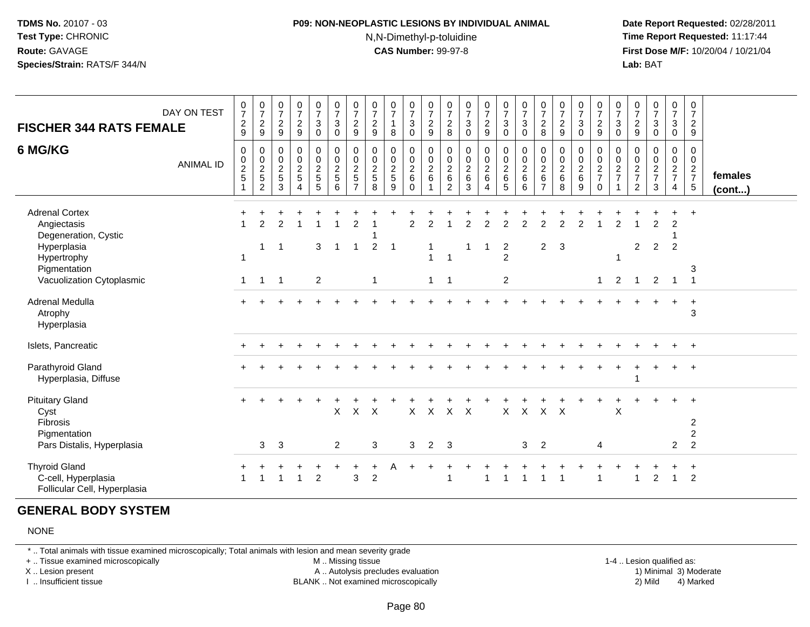#### **P09: NON-NEOPLASTIC LESIONS BY INDIVIDUAL ANIMAL**N,N-Dimethyl-p-toluidine

 **Date Report Requested:** 02/28/2011 **Time Report Requested:** 11:17:44 **First Dose M/F:** 10/20/04 / 10/21/04<br>**Lab:** BAT **Lab:** BAT

| <b>FISCHER 344 RATS FEMALE</b>                                                                                                          | DAY ON TEST      | $\frac{0}{7}$<br>$\frac{2}{9}$  | $\frac{0}{7}$<br>$\frac{2}{9}$                                    | $\frac{0}{7}$<br>$\overline{2}$<br>9              | $\frac{0}{7}$<br>$\overline{c}$<br>$\boldsymbol{9}$                      | $\frac{0}{7}$<br>3<br>0              | $\begin{array}{c} 0 \\ 7 \end{array}$<br>$\mathfrak{Z}$<br>$\mathsf 0$ | $\frac{0}{7}$<br>$\frac{2}{9}$                                         | $\frac{0}{7}$<br>$\frac{2}{9}$          | $\frac{0}{7}$<br>$\mathbf{1}$<br>8                 | $\frac{0}{7}$<br>$\mathbf{3}$<br>$\mathsf{O}\xspace$ | 0729                                                                       | $\frac{0}{7}$<br>$\frac{2}{8}$                   | $\frac{0}{7}$<br>$\mathbf{3}$<br>$\mathsf 0$ | $\frac{0}{7}$<br>$\frac{2}{9}$                       | $\frac{0}{7}$<br>$_{\rm 0}^3$                                    | $\begin{array}{c} 0 \\ 7 \\ 3 \end{array}$<br>$\mathbf 0$                | $\frac{0}{7}$<br>$\overline{c}$<br>8                                         | $\frac{0}{7}$<br>$\frac{2}{9}$                  | $\frac{0}{7}$<br>$\sqrt{3}$<br>$\mathbf 0$           | $\frac{0}{7}$<br>$\frac{2}{9}$         | $\begin{matrix}0\\7\\3\end{matrix}$<br>$\boldsymbol{0}$ | 0<br>$\overline{7}$<br>$\boldsymbol{2}$<br>$\boldsymbol{9}$ | $\frac{0}{7}$<br>3<br>$\mathbf 0$                        | $\frac{0}{7}$<br>3<br>0                            | $\begin{array}{c} 0 \\ 7 \end{array}$<br>$\frac{2}{9}$ |                         |
|-----------------------------------------------------------------------------------------------------------------------------------------|------------------|---------------------------------|-------------------------------------------------------------------|---------------------------------------------------|--------------------------------------------------------------------------|--------------------------------------|------------------------------------------------------------------------|------------------------------------------------------------------------|-----------------------------------------|----------------------------------------------------|------------------------------------------------------|----------------------------------------------------------------------------|--------------------------------------------------|----------------------------------------------|------------------------------------------------------|------------------------------------------------------------------|--------------------------------------------------------------------------|------------------------------------------------------------------------------|-------------------------------------------------|------------------------------------------------------|----------------------------------------|---------------------------------------------------------|-------------------------------------------------------------|----------------------------------------------------------|----------------------------------------------------|--------------------------------------------------------|-------------------------|
| 6 MG/KG                                                                                                                                 | <b>ANIMAL ID</b> | 0<br>$\pmb{0}$<br>$\frac{2}{5}$ | 0<br>$\begin{array}{c} 0 \\ 2 \\ 5 \end{array}$<br>$\overline{2}$ | 0<br>0<br>$\boldsymbol{2}$<br>$\sqrt{5}$<br>3     | $\mathbf 0$<br>$\mathbf 0$<br>$\sqrt{2}$<br>$\sqrt{5}$<br>$\overline{4}$ | 0<br>$\pmb{0}$<br>$\frac{2}{5}$<br>5 | $\mathbf 0$<br>$\pmb{0}$<br>$\frac{2}{5}$<br>6                         | $\mathbf 0$<br>$\pmb{0}$<br>$\begin{array}{c} 2 \\ 5 \\ 7 \end{array}$ | $\mathbf{0}$<br>0<br>$\frac{2}{5}$<br>8 | $\mathbf{0}$<br>0<br>$\sqrt{2}$<br>$\sqrt{5}$<br>9 | 0<br>$\pmb{0}$<br>$^2\phantom{1}6$<br>$\mathbf 0$    | $\mathbf 0$<br>$\mathbf 0$<br>$\overline{\mathbf{c}}$<br>6<br>$\mathbf{1}$ | $\Omega$<br>0<br>$\frac{2}{6}$<br>$\overline{c}$ | 0<br>0<br>$\frac{2}{6}$<br>3                 | 0<br>$\pmb{0}$<br>$^2\phantom{1}6$<br>$\overline{4}$ | 0<br>$\boldsymbol{0}$<br>$\frac{2}{6}$<br>$\overline{5}$         | $\mathbf 0$<br>$\mathbf 0$<br>$\begin{array}{c} 2 \\ 6 \end{array}$<br>6 | $\Omega$<br>0<br>$\overline{\mathbf{c}}$<br>$6\phantom{a}$<br>$\overline{7}$ | $\Omega$<br>0<br>$\overline{c}$<br>$\,6\,$<br>8 | $\mathbf 0$<br>$\pmb{0}$<br>$\sqrt{2}$<br>$\,6$<br>9 | 0<br>0<br>$\frac{2}{7}$<br>$\mathbf 0$ | $\Omega$<br>$\mathbf 0$<br>$\frac{2}{7}$<br>$\mathbf 1$ | $\Omega$<br>0<br>$\frac{2}{7}$<br>2                         | $\Omega$<br>0<br>$\boldsymbol{2}$<br>$\overline{7}$<br>3 | 0<br>$\mathsf{O}\xspace$<br>$\frac{2}{7}$<br>4     | 0<br>$\mathbf 0$<br>$rac{2}{7}$<br>$\overline{5}$      | females<br>$($ cont $)$ |
| <b>Adrenal Cortex</b><br>Angiectasis<br>Degeneration, Cystic<br>Hyperplasia<br>Hypertrophy<br>Pigmentation<br>Vacuolization Cytoplasmic |                  | $\mathbf{1}$                    | $\mathcal{P}$<br>$\mathbf{1}$<br>$\overline{1}$                   | $\mathcal{P}$<br>$\overline{1}$<br>$\overline{1}$ |                                                                          | 3<br>$\overline{2}$                  | $\mathbf 1$                                                            | $\overline{2}$<br>$\mathbf{1}$                                         | $\overline{c}$<br>$\mathbf{1}$          | $\overline{1}$                                     | 2                                                    | $\blacktriangleleft$<br>$\mathbf{1}$                                       | $\overline{1}$<br>$\overline{1}$                 | 1                                            | 2<br>-1                                              | 2<br>$\overline{\mathbf{c}}$<br>$\overline{2}$<br>$\overline{2}$ |                                                                          | $\overline{2}$                                                               | $\mathbf{3}$                                    |                                                      | $\mathbf{1}$                           | 2<br>-1<br>$\overline{2}$                               | 2<br>$\mathbf{1}$                                           | $\overline{2}$<br>$\overline{2}$<br>$\overline{2}$       | $\overline{2}$<br>$\overline{2}$<br>$\overline{1}$ | 3<br>$\overline{1}$                                    |                         |
| <b>Adrenal Medulla</b><br>Atrophy<br>Hyperplasia                                                                                        |                  |                                 |                                                                   |                                                   |                                                                          |                                      |                                                                        |                                                                        |                                         |                                                    |                                                      |                                                                            |                                                  |                                              |                                                      |                                                                  |                                                                          |                                                                              |                                                 |                                                      |                                        |                                                         |                                                             |                                                          |                                                    | $\ddot{}$<br>3                                         |                         |
| Islets, Pancreatic                                                                                                                      |                  |                                 |                                                                   |                                                   |                                                                          |                                      |                                                                        |                                                                        |                                         |                                                    |                                                      |                                                                            |                                                  |                                              |                                                      |                                                                  |                                                                          |                                                                              |                                                 |                                                      |                                        |                                                         |                                                             |                                                          |                                                    | $+$                                                    |                         |
| Parathyroid Gland<br>Hyperplasia, Diffuse                                                                                               |                  |                                 |                                                                   |                                                   |                                                                          |                                      |                                                                        |                                                                        |                                         |                                                    |                                                      |                                                                            |                                                  |                                              |                                                      |                                                                  |                                                                          |                                                                              |                                                 |                                                      |                                        |                                                         | 1                                                           |                                                          |                                                    | $\ddot{}$                                              |                         |
| <b>Pituitary Gland</b><br>Cyst<br>Fibrosis<br>Pigmentation<br>Pars Distalis, Hyperplasia                                                |                  |                                 | 3                                                                 | 3                                                 |                                                                          |                                      | X<br>$\overline{2}$                                                    | X                                                                      | X<br>3                                  |                                                    | 3                                                    | $X$ $X$<br>$\overline{2}$                                                  | $X$ $X$<br>-3                                    |                                              |                                                      | $\mathsf{X}$                                                     | $\mathsf{X}^-$<br>3                                                      | $\mathsf{X}$<br>2                                                            | $\mathsf{X}$                                    |                                                      | 4                                      | X                                                       |                                                             |                                                          | $\overline{2}$                                     | $\overline{c}$<br>$\overline{a}$<br>$\overline{2}$     |                         |
| <b>Thyroid Gland</b><br>C-cell, Hyperplasia<br>Follicular Cell, Hyperplasia                                                             |                  |                                 |                                                                   |                                                   | 1                                                                        | $\overline{2}$                       |                                                                        | ٠<br>3                                                                 | $\overline{2}$                          |                                                    |                                                      |                                                                            |                                                  |                                              |                                                      |                                                                  |                                                                          |                                                                              |                                                 |                                                      |                                        |                                                         |                                                             | 2                                                        | $\overline{1}$                                     | +<br>$\overline{2}$                                    |                         |

#### **GENERAL BODY SYSTEM**

#### NONE

\* .. Total animals with tissue examined microscopically; Total animals with lesion and mean severity grade

+ .. Tissue examined microscopically

X .. Lesion present

I .. Insufficient tissue

M .. Missing tissue

A .. Autolysis precludes evaluation

BLANK .. Not examined microscopically 2) Mild 4) Marked

1-4 .. Lesion qualified as: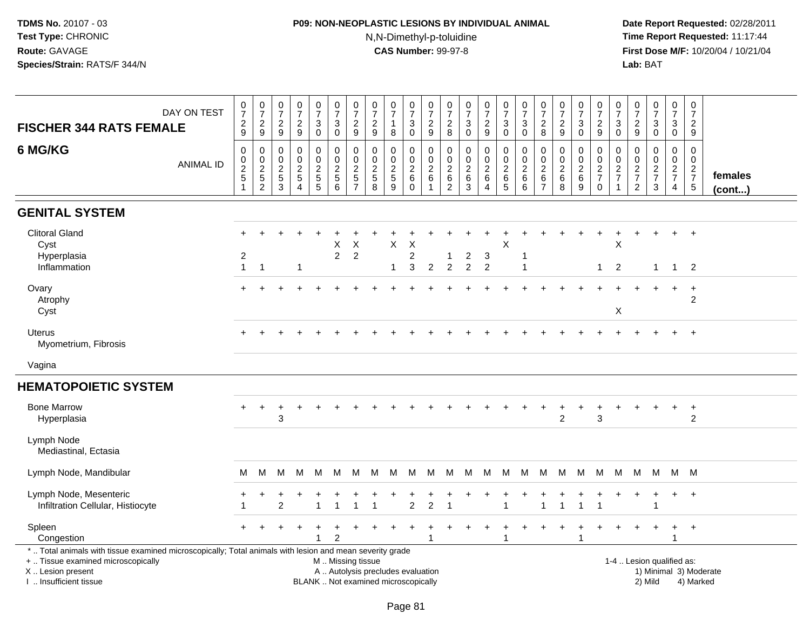# **P09: NON-NEOPLASTIC LESIONS BY INDIVIDUAL ANIMAL**N,N-Dimethyl-p-toluidine

| DAY ON TEST<br><b>FISCHER 344 RATS FEMALE</b>                                                                                                                                                 | $\frac{0}{7}$<br>$\frac{2}{9}$                    | $\frac{0}{7}$<br>$\overline{c}$<br>9       | $\pmb{0}$<br>$\boldsymbol{7}$<br>$\frac{2}{9}$                    | $\frac{0}{7}$<br>$\frac{2}{9}$                                        | $\begin{array}{c} 0 \\ 7 \end{array}$<br>$\ensuremath{\mathsf{3}}$<br>$\mathbf 0$ | $\begin{array}{c} 0 \\ 7 \end{array}$<br>$\sqrt{3}$<br>$\mathbf 0$           | $\frac{0}{7}$<br>$\overline{\mathbf{c}}$<br>$9\,$         | $\frac{0}{7}$<br>$\frac{2}{9}$                                | $\frac{0}{7}$<br>$\mathbf{1}$<br>8                                       | $\frac{0}{7}$<br>$\ensuremath{\mathsf{3}}$<br>$\mathbf 0$ | $\frac{0}{7}$<br>$\frac{2}{9}$                                  | $\frac{0}{7}$<br>$\frac{2}{8}$                          | $\frac{0}{7}$<br>$\sqrt{3}$<br>$\mathbf 0$                       | $\frac{0}{7}$<br>$\sqrt{2}$<br>$\boldsymbol{9}$                 | $\begin{array}{c} 0 \\ 7 \end{array}$<br>$\ensuremath{\mathsf{3}}$<br>$\mathbf 0$ | $\frac{0}{7}$<br>$\ensuremath{\mathsf{3}}$<br>$\mathbf 0$    | $\begin{array}{c} 0 \\ 7 \end{array}$<br>$\overline{c}$<br>8 | $\begin{array}{c} 0 \\ 7 \end{array}$<br>$\sqrt{2}$<br>9       | $\frac{0}{7}$<br>$\ensuremath{\mathsf{3}}$<br>$\mathbf 0$ | $\frac{0}{7}$<br>$\sqrt{2}$<br>9                 | $\frac{0}{7}$<br>3<br>$\mathbf 0$                                  | $\frac{0}{7}$<br>$\frac{2}{9}$                      | $\frac{0}{7}$<br>$\ensuremath{\mathsf{3}}$<br>$\pmb{0}$ | $\begin{array}{c} 0 \\ 7 \end{array}$<br>$\ensuremath{\mathsf{3}}$<br>$\mathbf 0$ | $\mathbf 0$<br>$\overline{7}$<br>$\sqrt{2}$<br>9          |                         |
|-----------------------------------------------------------------------------------------------------------------------------------------------------------------------------------------------|---------------------------------------------------|--------------------------------------------|-------------------------------------------------------------------|-----------------------------------------------------------------------|-----------------------------------------------------------------------------------|------------------------------------------------------------------------------|-----------------------------------------------------------|---------------------------------------------------------------|--------------------------------------------------------------------------|-----------------------------------------------------------|-----------------------------------------------------------------|---------------------------------------------------------|------------------------------------------------------------------|-----------------------------------------------------------------|-----------------------------------------------------------------------------------|--------------------------------------------------------------|--------------------------------------------------------------|----------------------------------------------------------------|-----------------------------------------------------------|--------------------------------------------------|--------------------------------------------------------------------|-----------------------------------------------------|---------------------------------------------------------|-----------------------------------------------------------------------------------|-----------------------------------------------------------|-------------------------|
| 6 MG/KG<br><b>ANIMAL ID</b>                                                                                                                                                                   | $\boldsymbol{0}$<br>$\frac{0}{2}$<br>$\mathbf{1}$ | 0<br>$_{2}^{\rm 0}$<br>5<br>$\overline{2}$ | 0<br>$\pmb{0}$<br>$\overline{c}$<br>$\,$ 5 $\,$<br>$\mathfrak{S}$ | $\mathbf 0$<br>$\mathsf 0$<br>$\frac{2}{5}$<br>$\boldsymbol{\Lambda}$ | 0<br>$\pmb{0}$<br>$\sqrt{2}$<br>$\frac{5}{5}$                                     | $\mathbf 0$<br>$\boldsymbol{0}$<br>$\boldsymbol{2}$<br>$\sqrt{5}$<br>$\,6\,$ | 0<br>0<br>$\overline{c}$<br>$\,$ 5 $\,$<br>$\overline{7}$ | 0<br>$\mathsf{O}\xspace$<br>$\overline{2}$<br>$\sqrt{5}$<br>8 | 0<br>$\mathbf 0$<br>$\overline{c}$<br>5<br>9                             | 0<br>$_2^0$<br>$\,6\,$<br>$\mathsf{O}\xspace$             | 0<br>$\mathbf 0$<br>$\boldsymbol{2}$<br>$\,6\,$<br>$\mathbf{1}$ | 0<br>0<br>$\boldsymbol{2}$<br>$\,6\,$<br>$\overline{2}$ | $\mathbf 0$<br>$\mathbf 0$<br>$\sqrt{2}$<br>$6\phantom{1}6$<br>3 | 0<br>$\mathbf 0$<br>$\overline{c}$<br>$\,6\,$<br>$\overline{4}$ | 0<br>$\mathbf 0$<br>$\overline{2}$<br>$\,6\,$<br>$5\phantom{.0}$                  | $\mathbf 0$<br>$\pmb{0}$<br>$\boldsymbol{2}$<br>$\,6\,$<br>6 | 0<br>0<br>$\overline{c}$<br>$\,6\,$<br>$\overline{7}$        | $\mathbf 0$<br>$\mathbf 0$<br>$\boldsymbol{2}$<br>$\,6\,$<br>8 | 0<br>$\mathbf 0$<br>$\overline{c}$<br>$\,6\,$<br>9        | 0<br>$\mathbf 0$<br>$\frac{2}{7}$<br>$\mathbf 0$ | 0<br>$\pmb{0}$<br>$\overline{c}$<br>$\overline{7}$<br>$\mathbf{1}$ | 0<br>$\mathsf 0$<br>$\frac{2}{7}$<br>$\overline{2}$ | 0<br>$\mathsf 0$<br>$\frac{2}{7}$<br>$\mathbf{3}$       | $\mathbf 0$<br>$\mathbf 0$<br>$\frac{2}{7}$<br>4                                  | $\mathbf 0$<br>$\mathbf 0$<br>$\frac{2}{7}$<br>$\sqrt{5}$ | females<br>$($ cont $)$ |
| <b>GENITAL SYSTEM</b>                                                                                                                                                                         |                                                   |                                            |                                                                   |                                                                       |                                                                                   |                                                                              |                                                           |                                                               |                                                                          |                                                           |                                                                 |                                                         |                                                                  |                                                                 |                                                                                   |                                                              |                                                              |                                                                |                                                           |                                                  |                                                                    |                                                     |                                                         |                                                                                   |                                                           |                         |
| <b>Clitoral Gland</b><br>Cyst<br>Hyperplasia                                                                                                                                                  | 2                                                 |                                            |                                                                   |                                                                       |                                                                                   | Χ<br>$\overline{c}$                                                          | $\boldsymbol{\mathsf{X}}$<br>$\overline{2}$               |                                                               | $\mathsf X$                                                              | X<br>$\overline{c}$                                       |                                                                 | 1                                                       | $\overline{c}$                                                   | $\sqrt{3}$                                                      | $\sf X$                                                                           | -1                                                           |                                                              |                                                                |                                                           |                                                  | X                                                                  |                                                     |                                                         | $\ddot{}$                                                                         | $\overline{+}$                                            |                         |
| Inflammation                                                                                                                                                                                  | $\mathbf{1}$                                      | $\overline{1}$                             |                                                                   | $\mathbf{1}$                                                          |                                                                                   |                                                                              |                                                           |                                                               | $\mathbf{1}$                                                             | 3                                                         | $\overline{2}$                                                  | $\sqrt{2}$                                              | $\overline{2}$                                                   | $\overline{2}$                                                  |                                                                                   | $\mathbf 1$                                                  |                                                              |                                                                |                                                           | $\mathbf{1}$                                     | 2                                                                  |                                                     | $\mathbf{1}$                                            | $\mathbf{1}$                                                                      | $\overline{2}$                                            |                         |
| Ovary<br>Atrophy<br>Cyst                                                                                                                                                                      |                                                   |                                            |                                                                   |                                                                       |                                                                                   |                                                                              |                                                           |                                                               |                                                                          |                                                           |                                                                 |                                                         |                                                                  |                                                                 |                                                                                   |                                                              |                                                              |                                                                |                                                           |                                                  | X                                                                  |                                                     |                                                         | $\ddot{}$                                                                         | $\ddot{}$<br>$\overline{2}$                               |                         |
| <b>Uterus</b><br>Myometrium, Fibrosis                                                                                                                                                         |                                                   |                                            |                                                                   |                                                                       |                                                                                   |                                                                              |                                                           |                                                               |                                                                          |                                                           |                                                                 |                                                         |                                                                  |                                                                 |                                                                                   |                                                              |                                                              |                                                                |                                                           |                                                  |                                                                    |                                                     |                                                         |                                                                                   | $+$                                                       |                         |
| Vagina                                                                                                                                                                                        |                                                   |                                            |                                                                   |                                                                       |                                                                                   |                                                                              |                                                           |                                                               |                                                                          |                                                           |                                                                 |                                                         |                                                                  |                                                                 |                                                                                   |                                                              |                                                              |                                                                |                                                           |                                                  |                                                                    |                                                     |                                                         |                                                                                   |                                                           |                         |
| <b>HEMATOPOIETIC SYSTEM</b>                                                                                                                                                                   |                                                   |                                            |                                                                   |                                                                       |                                                                                   |                                                                              |                                                           |                                                               |                                                                          |                                                           |                                                                 |                                                         |                                                                  |                                                                 |                                                                                   |                                                              |                                                              |                                                                |                                                           |                                                  |                                                                    |                                                     |                                                         |                                                                                   |                                                           |                         |
| <b>Bone Marrow</b><br>Hyperplasia                                                                                                                                                             |                                                   | $\ddot{}$                                  | ٠<br>3                                                            |                                                                       |                                                                                   |                                                                              |                                                           |                                                               |                                                                          |                                                           |                                                                 |                                                         |                                                                  |                                                                 |                                                                                   |                                                              |                                                              | 2                                                              |                                                           | 3                                                |                                                                    |                                                     |                                                         | $\ddot{}$                                                                         | $\ddot{}$<br>2                                            |                         |
| Lymph Node<br>Mediastinal, Ectasia                                                                                                                                                            |                                                   |                                            |                                                                   |                                                                       |                                                                                   |                                                                              |                                                           |                                                               |                                                                          |                                                           |                                                                 |                                                         |                                                                  |                                                                 |                                                                                   |                                                              |                                                              |                                                                |                                                           |                                                  |                                                                    |                                                     |                                                         |                                                                                   |                                                           |                         |
| Lymph Node, Mandibular                                                                                                                                                                        | м                                                 | м                                          | M                                                                 | M                                                                     | M                                                                                 | M                                                                            | М                                                         | M                                                             | M                                                                        | M                                                         | M                                                               | M                                                       | M                                                                | M                                                               | M                                                                                 | M                                                            |                                                              | M M                                                            | M                                                         | M                                                | M                                                                  | M                                                   | M                                                       |                                                                                   | M M                                                       |                         |
| Lymph Node, Mesenteric<br>Infiltration Cellular, Histiocyte                                                                                                                                   |                                                   |                                            | $\overline{2}$                                                    |                                                                       | $\overline{1}$                                                                    | $\overline{1}$                                                               | 1                                                         |                                                               |                                                                          | $\overline{2}$                                            | $\overline{2}$                                                  | -1                                                      |                                                                  |                                                                 |                                                                                   |                                                              |                                                              | $\overline{1}$                                                 | $\mathbf{1}$                                              | $\overline{1}$                                   |                                                                    |                                                     | 1                                                       | $\ddot{}$                                                                         | $\overline{+}$                                            |                         |
| Spleen<br>Congestion                                                                                                                                                                          |                                                   |                                            |                                                                   |                                                                       |                                                                                   | 2                                                                            |                                                           |                                                               |                                                                          |                                                           | -1                                                              |                                                         |                                                                  |                                                                 | -1                                                                                |                                                              |                                                              |                                                                |                                                           |                                                  |                                                                    |                                                     |                                                         |                                                                                   | $\ddot{}$                                                 |                         |
| *  Total animals with tissue examined microscopically; Total animals with lesion and mean severity grade<br>+  Tissue examined microscopically<br>X  Lesion present<br>I. Insufficient tissue |                                                   |                                            |                                                                   |                                                                       |                                                                                   |                                                                              | M  Missing tissue                                         |                                                               | A  Autolysis precludes evaluation<br>BLANK  Not examined microscopically |                                                           |                                                                 |                                                         |                                                                  |                                                                 |                                                                                   |                                                              |                                                              |                                                                |                                                           |                                                  |                                                                    |                                                     | 1-4  Lesion qualified as:<br>2) Mild                    |                                                                                   | 4) Marked                                                 | 1) Minimal 3) Moderate  |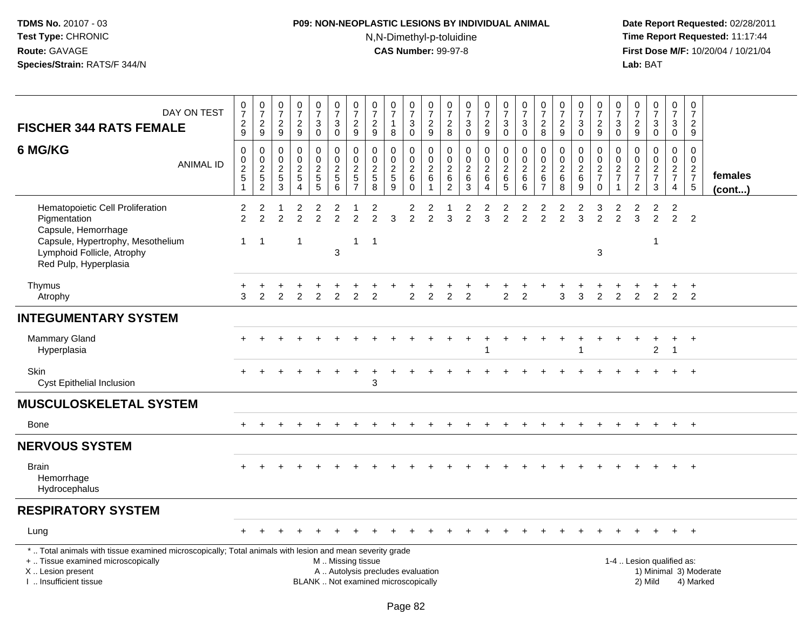# **P09: NON-NEOPLASTIC LESIONS BY INDIVIDUAL ANIMAL**N,N-Dimethyl-p-toluidine

| DAY ON TEST<br><b>FISCHER 344 RATS FEMALE</b>                                                                                                                                                 | $\frac{0}{7}$<br>$\frac{2}{9}$                            | $\frac{0}{7}$<br>$\frac{2}{9}$                     | $\frac{0}{7}$<br>$\frac{2}{9}$            | $\frac{0}{7}$<br>$\sqrt{2}$<br>$9\,$                              | $\begin{array}{c} 0 \\ 7 \end{array}$<br>$\ensuremath{\mathsf{3}}$<br>$\pmb{0}$ | $\frac{0}{7}$<br>$\ensuremath{\mathsf{3}}$<br>$\mathbf 0$      | $\frac{0}{7}$<br>$\frac{2}{9}$               | $\begin{array}{c} 0 \\ 7 \end{array}$<br>$\sqrt{2}$<br>9 | $\begin{array}{c} 0 \\ 7 \end{array}$<br>8                               | $\begin{array}{c} 0 \\ 7 \end{array}$<br>$\ensuremath{\mathsf{3}}$<br>$\mathsf{O}\xspace$ | $\begin{array}{c} 0 \\ 7 \end{array}$<br>$\frac{2}{9}$                  | $\frac{0}{7}$<br>$\frac{2}{8}$                                        | $\begin{array}{c} 0 \\ 7 \end{array}$<br>$\ensuremath{\mathsf{3}}$<br>$\mathbf 0$ | $\frac{0}{7}$<br>$\frac{2}{9}$                                          | $\begin{array}{c} 0 \\ 7 \end{array}$<br>$\ensuremath{\mathsf{3}}$<br>$\mathbf 0$ | $\begin{array}{c} 0 \\ 7 \end{array}$<br>$\ensuremath{\mathsf{3}}$<br>$\pmb{0}$   | $\frac{0}{7}$<br>$\frac{2}{8}$                                            | $\begin{array}{c} 0 \\ 7 \end{array}$<br>$\sqrt{2}$<br>$9\,$ | $\frac{0}{7}$<br>$\ensuremath{\mathsf{3}}$<br>$\pmb{0}$       | $\frac{0}{7}$<br>$\frac{2}{9}$                                                     | $\frac{0}{7}$<br>3<br>$\mathsf{O}\xspace$ | $\frac{0}{7}$<br>$\frac{2}{9}$                                             | $\frac{0}{7}$<br>$\ensuremath{\mathsf{3}}$<br>$\pmb{0}$   | $\begin{smallmatrix} 0\\7 \end{smallmatrix}$<br>$\ensuremath{\mathsf{3}}$<br>$\mathbf 0$ | $\mathbf 0$<br>$\frac{5}{7}$<br>$\sqrt{2}$<br>9               |                         |
|-----------------------------------------------------------------------------------------------------------------------------------------------------------------------------------------------|-----------------------------------------------------------|----------------------------------------------------|-------------------------------------------|-------------------------------------------------------------------|---------------------------------------------------------------------------------|----------------------------------------------------------------|----------------------------------------------|----------------------------------------------------------|--------------------------------------------------------------------------|-------------------------------------------------------------------------------------------|-------------------------------------------------------------------------|-----------------------------------------------------------------------|-----------------------------------------------------------------------------------|-------------------------------------------------------------------------|-----------------------------------------------------------------------------------|-----------------------------------------------------------------------------------|---------------------------------------------------------------------------|--------------------------------------------------------------|---------------------------------------------------------------|------------------------------------------------------------------------------------|-------------------------------------------|----------------------------------------------------------------------------|-----------------------------------------------------------|------------------------------------------------------------------------------------------|---------------------------------------------------------------|-------------------------|
| 6 MG/KG<br><b>ANIMAL ID</b>                                                                                                                                                                   | $\pmb{0}$<br>$_{2}^{\rm 0}$<br>$\sqrt{5}$<br>$\mathbf{1}$ | $\mathbf 0$<br>$0$<br>$2$<br>$5$<br>$2$            | $\mathbf 0$<br>$\mathbf 0$<br>$rac{2}{3}$ | $\pmb{0}$<br>$\mathbf 0$<br>$\overline{c}$<br>5<br>$\overline{4}$ | $\pmb{0}$<br>$\mathbf 0$<br>$\overline{2}$<br>$\overline{5}$                    | $\pmb{0}$<br>$\mathsf 0$<br>$\overline{2}$<br>$\mathbf 5$<br>6 | $\pmb{0}$<br>$_{2}^{\rm 0}$<br>$\frac{5}{7}$ | $\mathbf 0$<br>$\mathbf 0$<br>$rac{2}{8}$                | 0<br>$\pmb{0}$<br>$\overline{2}$<br>$\sqrt{5}$<br>$\overline{9}$         | $\mathbf 0$<br>$\mathsf{O}\xspace$<br>$\overline{2}$<br>$\,6\,$<br>$\mathbf 0$            | $\mathbf 0$<br>$\pmb{0}$<br>$\overline{2}$<br>$\,6\,$<br>$\overline{1}$ | $\mathbf 0$<br>$\mathbf 0$<br>$\overline{c}$<br>$\,6\,$<br>$\sqrt{2}$ | $\pmb{0}$<br>$\mathbf 0$<br>$\overline{2}$<br>$\,6\,$<br>$\mathfrak{Z}$           | 0<br>$\mathsf{O}\xspace$<br>$\overline{2}$<br>$\,6\,$<br>$\overline{4}$ | $\pmb{0}$<br>$\mathbf 0$<br>$\overline{2}$<br>$\,6\,$<br>$\overline{5}$           | $\mathbf 0$<br>$\begin{smallmatrix} 0\\2 \end{smallmatrix}$<br>$\,6\,$<br>$\,6\,$ | $\mathbf 0$<br>$\mathbf 0$<br>$\overline{2}$<br>$\,6\,$<br>$\overline{7}$ | $\mathbf 0$<br>$\mathbf 0$<br>$\sqrt{2}$<br>$\,6\,$<br>8     | 0<br>$\pmb{0}$<br>$\overline{2}$<br>$\,6\,$<br>$\overline{9}$ | $\mathbf 0$<br>$\boldsymbol{0}$<br>$\overline{2}$<br>$\overline{7}$<br>$\mathsf 0$ | 0<br>$_2^0$<br>$\overline{7}$<br>1        | $\pmb{0}$<br>$\mathbf 0$<br>$\overline{2}$<br>$\overline{7}$<br>$\sqrt{2}$ | $\pmb{0}$<br>$\pmb{0}$<br>$\frac{2}{7}$<br>$\mathfrak{Z}$ | $\mathbf 0$<br>$\mathbf 0$<br>$\frac{2}{7}$<br>4                                         | $\mathbf 0$<br>$\mathbf 0$<br>$\frac{2}{7}$<br>$\overline{5}$ | females<br>$($ cont $)$ |
| Hematopoietic Cell Proliferation<br>Pigmentation<br>Capsule, Hemorrhage<br>Capsule, Hypertrophy, Mesothelium<br>Lymphoid Follicle, Atrophy<br>Red Pulp, Hyperplasia                           | $\overline{c}$<br>$\overline{2}$<br>$\mathbf{1}$          | $\overline{2}$<br>$\overline{2}$<br>$\overline{1}$ | $\overline{2}$                            | 2<br>$\mathfrak{p}$<br>$\overline{\mathbf{1}}$                    | $\overline{c}$<br>$\overline{2}$                                                | 2<br>$\mathcal{P}$<br>3                                        | $\mathcal{P}$<br>1                           | 2<br>$\mathfrak{p}$<br>1                                 | 3                                                                        | 2<br>$\overline{2}$                                                                       | 2<br>$\mathcal{P}$                                                      | 3                                                                     | 2<br>$\mathfrak{p}$                                                               | $\overline{c}$<br>3                                                     | 2<br>$\overline{2}$                                                               | $\overline{c}$<br>$\overline{2}$                                                  | $\overline{c}$<br>$\overline{2}$                                          | $\overline{2}$<br>$\overline{2}$                             | $\overline{c}$<br>3                                           | 3<br>$\mathfrak{p}$<br>3                                                           | $\overline{2}$<br>$\overline{2}$          | 2<br>3                                                                     | $\overline{2}$<br>$\overline{2}$<br>$\overline{1}$        | 2<br>$\overline{2}$                                                                      | $\overline{2}$                                                |                         |
| Thymus<br>Atrophy                                                                                                                                                                             | +<br>3                                                    | 2                                                  | $\overline{2}$                            | $\overline{2}$                                                    | $\overline{2}$                                                                  | $\overline{2}$                                                 | $\overline{2}$                               | $\overline{2}$                                           |                                                                          | $\overline{2}$                                                                            | $\overline{2}$                                                          | $\overline{2}$                                                        | $\overline{2}$                                                                    |                                                                         | $\overline{2}$                                                                    | $\overline{c}$                                                                    |                                                                           | 3                                                            | 3                                                             | $\overline{2}$                                                                     | $\overline{2}$                            | $\overline{2}$                                                             | $\overline{2}$                                            | $\overline{2}$                                                                           | $\ddot{}$<br>$\overline{2}$                                   |                         |
| <b>INTEGUMENTARY SYSTEM</b>                                                                                                                                                                   |                                                           |                                                    |                                           |                                                                   |                                                                                 |                                                                |                                              |                                                          |                                                                          |                                                                                           |                                                                         |                                                                       |                                                                                   |                                                                         |                                                                                   |                                                                                   |                                                                           |                                                              |                                                               |                                                                                    |                                           |                                                                            |                                                           |                                                                                          |                                                               |                         |
| <b>Mammary Gland</b><br>Hyperplasia                                                                                                                                                           |                                                           |                                                    |                                           |                                                                   |                                                                                 |                                                                |                                              |                                                          |                                                                          |                                                                                           |                                                                         |                                                                       |                                                                                   | $\overline{1}$                                                          | $\ddot{}$                                                                         |                                                                                   |                                                                           |                                                              | 1                                                             |                                                                                    |                                           |                                                                            | $\ddot{}$<br>$\overline{2}$                               | $\ddot{}$<br>$\overline{1}$                                                              | $+$                                                           |                         |
| Skin<br>Cyst Epithelial Inclusion                                                                                                                                                             |                                                           |                                                    |                                           |                                                                   |                                                                                 |                                                                |                                              | 3                                                        |                                                                          |                                                                                           |                                                                         |                                                                       |                                                                                   |                                                                         |                                                                                   |                                                                                   |                                                                           |                                                              |                                                               |                                                                                    |                                           |                                                                            |                                                           |                                                                                          |                                                               |                         |
| <b>MUSCULOSKELETAL SYSTEM</b>                                                                                                                                                                 |                                                           |                                                    |                                           |                                                                   |                                                                                 |                                                                |                                              |                                                          |                                                                          |                                                                                           |                                                                         |                                                                       |                                                                                   |                                                                         |                                                                                   |                                                                                   |                                                                           |                                                              |                                                               |                                                                                    |                                           |                                                                            |                                                           |                                                                                          |                                                               |                         |
| <b>Bone</b>                                                                                                                                                                                   |                                                           |                                                    |                                           |                                                                   |                                                                                 |                                                                |                                              |                                                          |                                                                          |                                                                                           |                                                                         |                                                                       |                                                                                   |                                                                         |                                                                                   |                                                                                   |                                                                           |                                                              |                                                               |                                                                                    |                                           |                                                                            |                                                           |                                                                                          | $+$                                                           |                         |
| <b>NERVOUS SYSTEM</b>                                                                                                                                                                         |                                                           |                                                    |                                           |                                                                   |                                                                                 |                                                                |                                              |                                                          |                                                                          |                                                                                           |                                                                         |                                                                       |                                                                                   |                                                                         |                                                                                   |                                                                                   |                                                                           |                                                              |                                                               |                                                                                    |                                           |                                                                            |                                                           |                                                                                          |                                                               |                         |
| <b>Brain</b><br>Hemorrhage<br>Hydrocephalus                                                                                                                                                   | $+$                                                       |                                                    |                                           |                                                                   |                                                                                 |                                                                |                                              |                                                          |                                                                          |                                                                                           |                                                                         |                                                                       |                                                                                   |                                                                         |                                                                                   |                                                                                   |                                                                           |                                                              |                                                               |                                                                                    |                                           |                                                                            |                                                           | $\div$                                                                                   | $+$                                                           |                         |
| <b>RESPIRATORY SYSTEM</b>                                                                                                                                                                     |                                                           |                                                    |                                           |                                                                   |                                                                                 |                                                                |                                              |                                                          |                                                                          |                                                                                           |                                                                         |                                                                       |                                                                                   |                                                                         |                                                                                   |                                                                                   |                                                                           |                                                              |                                                               |                                                                                    |                                           |                                                                            |                                                           |                                                                                          |                                                               |                         |
| Lung                                                                                                                                                                                          |                                                           |                                                    |                                           |                                                                   |                                                                                 |                                                                |                                              |                                                          |                                                                          |                                                                                           |                                                                         |                                                                       |                                                                                   |                                                                         |                                                                                   |                                                                                   |                                                                           |                                                              |                                                               |                                                                                    |                                           |                                                                            |                                                           | $+$                                                                                      | $+$                                                           |                         |
| *  Total animals with tissue examined microscopically; Total animals with lesion and mean severity grade<br>+  Tissue examined microscopically<br>X  Lesion present<br>I  Insufficient tissue |                                                           |                                                    |                                           |                                                                   |                                                                                 | M  Missing tissue                                              |                                              |                                                          | A  Autolysis precludes evaluation<br>BLANK  Not examined microscopically |                                                                                           |                                                                         |                                                                       |                                                                                   |                                                                         |                                                                                   |                                                                                   |                                                                           |                                                              |                                                               |                                                                                    |                                           |                                                                            | 1-4  Lesion qualified as:<br>2) Mild                      |                                                                                          | 4) Marked                                                     | 1) Minimal 3) Moderate  |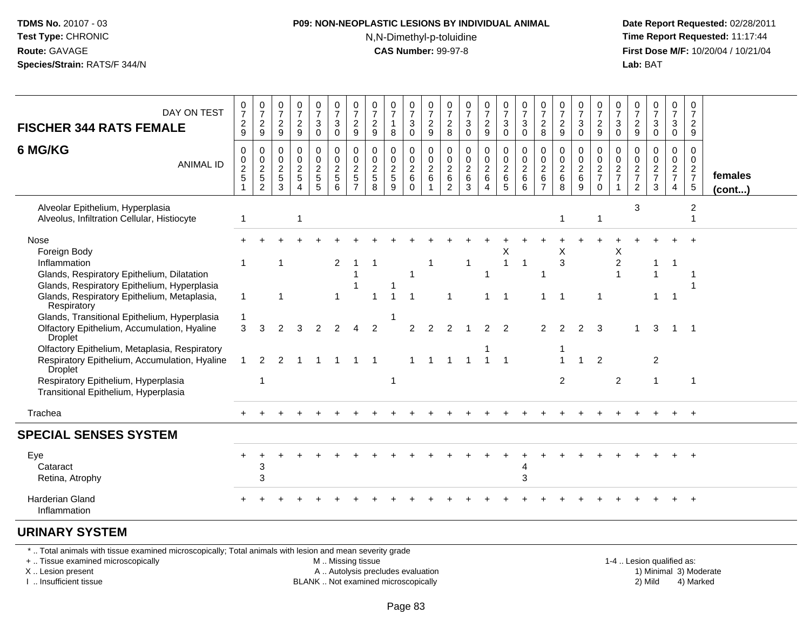#### **P09: NON-NEOPLASTIC LESIONS BY INDIVIDUAL ANIMAL**N,N-Dimethyl-p-toluidine

 **Date Report Requested:** 02/28/2011 **Time Report Requested:** 11:17:44 **First Dose M/F:** 10/20/04 / 10/21/04<br>**Lab:** BAT **Lab:** BAT

| DAY ON TEST<br><b>FISCHER 344 RATS FEMALE</b>                                                                                                                                                                                                                                                                                                                                                                                                                                                                | $\frac{0}{7}$<br>$\frac{2}{9}$                            | $\frac{0}{7}$<br>$\frac{2}{9}$                                           | $\frac{0}{7}$<br>$\frac{2}{9}$     | $\frac{0}{7}$<br>$\frac{2}{9}$                                      | $\frac{0}{7}$<br>3<br>$\mathbf 0$    | $\frac{0}{7}$<br>$\mathbf{3}$<br>$\mathbf 0$           | $\frac{0}{7}$<br>$\frac{2}{9}$                                               | $\frac{0}{7}$<br>$\frac{2}{9}$                        | $\frac{0}{7}$<br>$\mathbf{1}$<br>8             | $\frac{0}{7}$<br>$\sqrt{3}$<br>$\mathbf 0$    | $\frac{0}{7}$<br>$\frac{2}{9}$                | $\frac{0}{7}$<br>$\frac{2}{8}$                                     | $\frac{0}{7}$<br>3<br>$\mathbf 0$                            | $\frac{0}{7}$<br>$\frac{2}{9}$                | $\frac{0}{7}$<br>3<br>$\mathbf 0$                  | $\frac{0}{7}$<br>$\sqrt{3}$<br>$\mathbf 0$                              | 0<br>$\overline{7}$<br>$\frac{2}{8}$      | $\frac{0}{7}$<br>$\frac{2}{9}$                                        | $\frac{0}{7}$<br>$\mathbf{3}$<br>$\mathbf 0$ | $\frac{0}{7}$<br>$\overline{2}$<br>$\boldsymbol{9}$   | 0<br>$\overline{7}$<br>3<br>$\mathbf 0$             | $\frac{0}{7}$<br>$\frac{2}{9}$            | $\frac{0}{7}$<br>$\frac{3}{0}$       | $\frac{0}{7}$<br>$\mathbf{3}$<br>$\mathbf 0$        | 0<br>$\overline{7}$<br>$\overline{2}$<br>$\mathsf g$ |                         |
|--------------------------------------------------------------------------------------------------------------------------------------------------------------------------------------------------------------------------------------------------------------------------------------------------------------------------------------------------------------------------------------------------------------------------------------------------------------------------------------------------------------|-----------------------------------------------------------|--------------------------------------------------------------------------|------------------------------------|---------------------------------------------------------------------|--------------------------------------|--------------------------------------------------------|------------------------------------------------------------------------------|-------------------------------------------------------|------------------------------------------------|-----------------------------------------------|-----------------------------------------------|--------------------------------------------------------------------|--------------------------------------------------------------|-----------------------------------------------|----------------------------------------------------|-------------------------------------------------------------------------|-------------------------------------------|-----------------------------------------------------------------------|----------------------------------------------|-------------------------------------------------------|-----------------------------------------------------|-------------------------------------------|--------------------------------------|-----------------------------------------------------|------------------------------------------------------|-------------------------|
| 6 MG/KG<br><b>ANIMAL ID</b>                                                                                                                                                                                                                                                                                                                                                                                                                                                                                  | $\pmb{0}$<br>$\pmb{0}$<br>$\frac{2}{5}$<br>$\overline{1}$ | $\mathbf 0$<br>$\mathbf 0$<br>$\begin{array}{c} 2 \\ 5 \\ 2 \end{array}$ | 0<br>$\mathbf 0$<br>$rac{2}{3}$    | $\pmb{0}$<br>$\pmb{0}$<br>$\overline{2}$<br>$\,$ 5 $\,$<br>$\Delta$ | 0<br>$\pmb{0}$<br>$\frac{2}{5}$<br>5 | $\mathbf 0$<br>$\mathsf{O}\xspace$<br>$rac{2}{5}$<br>6 | $\mathbf 0$<br>$\mathbf 0$<br>$\overline{\mathbf{c}}$<br>5<br>$\overline{7}$ | 0<br>$\mathbf 0$<br>$\sqrt{2}$<br>$\overline{5}$<br>8 | 0<br>$\mathsf{O}\xspace$<br>$\frac{2}{5}$<br>9 | 0<br>$\mathbf 0$<br>$\frac{2}{6}$<br>$\Omega$ | 0<br>$\mathbf 0$<br>$\overline{2}$<br>$\,6\,$ | 0<br>$\boldsymbol{0}$<br>$\overline{2}$<br>$\,6$<br>$\overline{2}$ | $\mathbf 0$<br>$\mathbf 0$<br>$\overline{c}$<br>$\,6\,$<br>3 | 0<br>$\pmb{0}$<br>$\frac{2}{6}$<br>$\Delta$   | 0<br>$\mathbf 0$<br>$\overline{2}$<br>$\,6\,$<br>5 | $\pmb{0}$<br>$\mathbf 0$<br>$\overline{2}$<br>$\,6\,$<br>$6\phantom{a}$ | 0<br>$\mathbf 0$<br>$\sqrt{2}$<br>$\,6\,$ | 0<br>$\mathbf 0$<br>$\sqrt{2}$<br>$\,6\,$<br>8                        | 0<br>$\pmb{0}$<br>$\frac{2}{6}$<br>9         | 0<br>$\boldsymbol{0}$<br>$\frac{2}{7}$<br>$\mathbf 0$ | 0<br>$\Omega$<br>$\boldsymbol{2}$<br>$\overline{7}$ | 0<br>0<br>$\frac{2}{7}$<br>$\overline{2}$ | 0<br>$\pmb{0}$<br>$\frac{2}{7}$<br>3 | 0<br>$\mathbf 0$<br>$\frac{2}{7}$<br>$\overline{4}$ | 0<br>$\mathbf 0$<br>$\frac{2}{7}$<br>$\sqrt{5}$      | females<br>$($ cont $)$ |
| Alveolar Epithelium, Hyperplasia<br>Alveolus, Infiltration Cellular, Histiocyte                                                                                                                                                                                                                                                                                                                                                                                                                              | 1                                                         |                                                                          |                                    | $\overline{1}$                                                      |                                      |                                                        |                                                                              |                                                       |                                                |                                               |                                               |                                                                    |                                                              |                                               |                                                    |                                                                         |                                           |                                                                       |                                              | -1                                                    |                                                     | 3                                         |                                      |                                                     | $\overline{2}$                                       |                         |
| Nose<br>Foreign Body<br>Inflammation<br>Glands, Respiratory Epithelium, Dilatation<br>Glands, Respiratory Epithelium, Hyperplasia<br>Glands, Respiratory Epithelium, Metaplasia,<br>Respiratory<br>Glands, Transitional Epithelium, Hyperplasia<br>Olfactory Epithelium, Accumulation, Hyaline<br><b>Droplet</b><br>Olfactory Epithelium, Metaplasia, Respiratory<br>Respiratory Epithelium, Accumulation, Hyaline<br>Droplet<br>Respiratory Epithelium, Hyperplasia<br>Transitional Epithelium, Hyperplasia | 3<br>1                                                    | 3<br>2<br>-1                                                             | 1<br>$\overline{\phantom{a}}$<br>2 |                                                                     | $\overline{2}$                       | 2<br>$\mathbf 1$<br>2                                  |                                                                              | 1<br>2                                                |                                                | $\overline{\mathbf{1}}$<br>$\overline{2}$     | 2<br>$\overline{1}$                           | $\mathbf{1}$<br>$\mathcal{P}$                                      |                                                              | $\mathbf{1}$<br>$\mathcal{P}$<br>$\mathbf{1}$ | Λ.<br>$\overline{1}$<br>2<br>$\overline{1}$        | $\overline{1}$                                                          | 2                                         | л<br>3<br>$\overline{\mathbf{1}}$<br>$\overline{2}$<br>$\overline{2}$ | 2                                            | 1<br>3<br>2                                           | х<br>$\overline{2}$<br>$\overline{c}$               |                                           | 1<br>3<br>2<br>$\mathbf{1}$          | $\overline{1}$                                      | $\overline{\phantom{1}}$<br>$\overline{1}$           |                         |
| Trachea                                                                                                                                                                                                                                                                                                                                                                                                                                                                                                      |                                                           |                                                                          |                                    |                                                                     |                                      |                                                        |                                                                              |                                                       |                                                |                                               |                                               |                                                                    |                                                              |                                               |                                                    |                                                                         |                                           |                                                                       |                                              |                                                       |                                                     |                                           |                                      |                                                     | $+$                                                  |                         |
| <b>SPECIAL SENSES SYSTEM</b>                                                                                                                                                                                                                                                                                                                                                                                                                                                                                 |                                                           |                                                                          |                                    |                                                                     |                                      |                                                        |                                                                              |                                                       |                                                |                                               |                                               |                                                                    |                                                              |                                               |                                                    |                                                                         |                                           |                                                                       |                                              |                                                       |                                                     |                                           |                                      |                                                     |                                                      |                         |
| Eye<br>Cataract<br>Retina, Atrophy                                                                                                                                                                                                                                                                                                                                                                                                                                                                           |                                                           | 3<br>3                                                                   |                                    |                                                                     |                                      |                                                        |                                                                              |                                                       |                                                |                                               |                                               |                                                                    |                                                              |                                               |                                                    | 3                                                                       |                                           |                                                                       |                                              |                                                       |                                                     |                                           |                                      |                                                     |                                                      |                         |
| <b>Harderian Gland</b><br>Inflammation                                                                                                                                                                                                                                                                                                                                                                                                                                                                       |                                                           |                                                                          |                                    |                                                                     |                                      |                                                        |                                                                              |                                                       |                                                |                                               |                                               |                                                                    |                                                              |                                               |                                                    |                                                                         |                                           |                                                                       |                                              |                                                       |                                                     |                                           |                                      |                                                     |                                                      |                         |

#### **URINARY SYSTEM**

\* .. Total animals with tissue examined microscopically; Total animals with lesion and mean severity grade

+ .. Tissue examined microscopically

X .. Lesion present

I .. Insufficient tissue

M .. Missing tissue

A .. Autolysis precludes evaluation

BLANK .. Not examined microscopically 2) Mild 4) Marked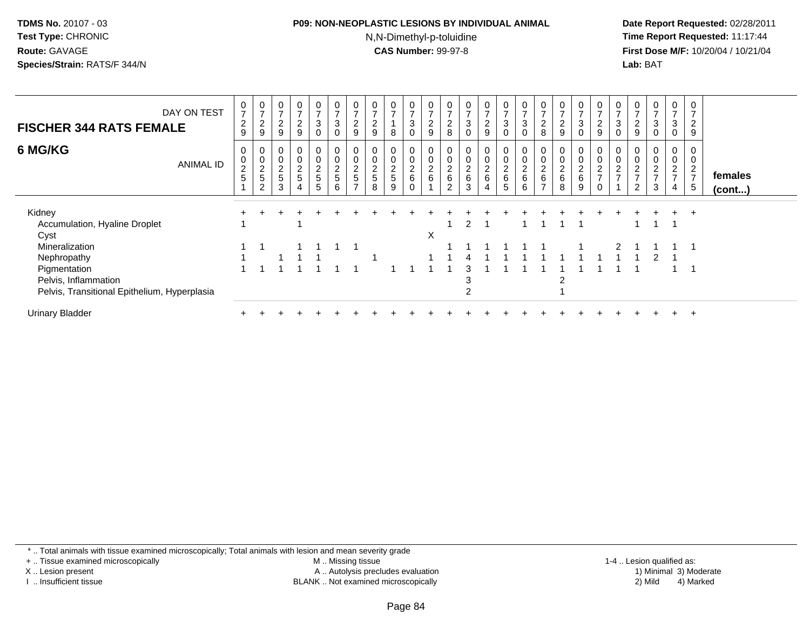#### **P09: NON-NEOPLASTIC LESIONS BY INDIVIDUAL ANIMAL**N,N-Dimethyl-p-toluidine

 **Date Report Requested:** 02/28/2011 **Time Report Requested:** 11:17:44 **First Dose M/F:** 10/20/04 / 10/21/04<br>**Lab:** BAT **Lab:** BAT

| <b>FISCHER 344 RATS FEMALE</b>               | DAY ON TEST      | 0<br>$\overline{7}$<br>$\sqrt{2}$<br>$\overline{9}$ | 0<br>$\overline{ }$<br>$\overline{c}$<br>9 | $\overline{ }$<br>$\overline{c}$<br>9     | 0<br>$\frac{2}{9}$                                | $\mathbf 0$<br>$\rightarrow$<br>$\sqrt{3}$<br>$\mathbf 0$ | $\mathbf 0$<br>$\overline{z}$<br>$\sqrt{3}$<br>$\mathbf 0$ | 0<br>$\overline{ }$<br>$\overline{c}$<br>$\boldsymbol{9}$ | $\overline{c}$<br>$9\,$                                          | 0<br>$\rightarrow$<br>8            | $\frac{0}{7}$<br>$\ensuremath{\mathsf{3}}$<br>$\mathbf 0$ | 0<br>$\rightarrow$<br>$\overline{2}$<br>$\boldsymbol{9}$ | 0<br>$\overline{ }$<br>$\frac{2}{8}$    | 0<br>$\overline{z}$<br>$\sqrt{3}$<br>$\mathbf 0$ | 0<br>$\overline{ }$<br>$\frac{2}{9}$                      | $\frac{0}{7}$<br>$\sqrt{3}$<br>$\mathbf 0$ | 0<br>$\rightarrow$<br>$\ensuremath{\mathsf{3}}$<br>$\mathbf 0$ | $\overline{\mathbf{c}}$<br>8 | 0<br>$\rightarrow$<br>$\frac{2}{9}$        | $\frac{0}{7}$<br>3<br>$\mathsf{O}$ | 0<br>$\overline{ }$<br>$\sqrt{2}$<br>$\boldsymbol{9}$ | 3                          | $\frac{2}{9}$                                           | 0<br>$\rightarrow$<br>$\sqrt{3}$<br>0 | $\mathbf 0$<br>$\overline{ }$<br>$\mathbf{3}$<br>$\mathbf 0$         | $\mathbf 0$<br>$\overline{ }$<br>$\overline{2}$<br>9          |                         |
|----------------------------------------------|------------------|-----------------------------------------------------|--------------------------------------------|-------------------------------------------|---------------------------------------------------|-----------------------------------------------------------|------------------------------------------------------------|-----------------------------------------------------------|------------------------------------------------------------------|------------------------------------|-----------------------------------------------------------|----------------------------------------------------------|-----------------------------------------|--------------------------------------------------|-----------------------------------------------------------|--------------------------------------------|----------------------------------------------------------------|------------------------------|--------------------------------------------|------------------------------------|-------------------------------------------------------|----------------------------|---------------------------------------------------------|---------------------------------------|----------------------------------------------------------------------|---------------------------------------------------------------|-------------------------|
| 6 MG/KG                                      | <b>ANIMAL ID</b> | 0<br>$\pmb{0}$<br>$\boldsymbol{2}$<br>5             | $\pmb{0}$<br>$\sqrt{2}$<br>5               | $\mathbf 0$<br>$\boldsymbol{2}$<br>5<br>3 | 0<br>$\pmb{0}$<br>$\frac{2}{5}$<br>$\overline{4}$ | 0<br>$\pmb{0}$<br>$rac{2}{5}$<br>5                        | 0<br>$\mathbf 0$<br>$\frac{2}{5}$<br>6                     | 0<br>$\pmb{0}$<br>$\overline{2}$<br>$\sqrt{5}$            | $\overline{0}$<br>$\overline{\mathbf{c}}$<br>$\overline{5}$<br>8 | 0<br>0<br>$\overline{a}$<br>5<br>9 | $_{0}^{0}$<br>$\frac{2}{6}$                               | 0<br>$\mathbf 0$<br>$\overline{c}$<br>$\,6\,$            | 0<br>$\pmb{0}$<br>$^2\phantom{1}6$<br>2 | 0<br>$\pmb{0}$<br>$\frac{2}{6}$<br>3             | 0<br>$\pmb{0}$<br>$\overline{\mathbf{c}}$<br>$\,6\,$<br>4 | $\mathbf 0$<br>$\frac{2}{6}$<br>5          | 0<br>$\pmb{0}$<br>$\frac{2}{6}$<br>$6\phantom{1}6$             | c<br>∠<br>6                  | 0<br>$\pmb{0}$<br>$\sqrt{2}$<br>$\,6$<br>8 | 0<br>0<br>$\frac{2}{6}$<br>9       | $\pmb{0}$<br>$\overline{c}$<br>$\overline{ }$         | $\Omega$<br>$\overline{ }$ | $\pmb{0}$<br>$\sim$<br>$\overline{ }$<br>$\overline{2}$ | 0<br>0<br>ົ<br>3                      | 0<br>$\pmb{0}$<br>$\overline{c}$<br>$\overline{ }$<br>$\overline{4}$ | 0<br>0<br>$\overline{2}$<br>$\overline{z}$<br>$5\phantom{.0}$ | females<br>$($ cont $)$ |
|                                              |                  |                                                     |                                            |                                           |                                                   |                                                           |                                                            |                                                           |                                                                  |                                    |                                                           |                                                          |                                         |                                                  |                                                           |                                            |                                                                |                              |                                            |                                    |                                                       |                            |                                                         |                                       |                                                                      |                                                               |                         |
| Kidney                                       |                  |                                                     |                                            |                                           |                                                   |                                                           |                                                            |                                                           |                                                                  |                                    |                                                           |                                                          |                                         |                                                  |                                                           |                                            |                                                                |                              |                                            |                                    |                                                       |                            |                                                         |                                       |                                                                      |                                                               |                         |
| Accumulation, Hyaline Droplet                |                  |                                                     |                                            |                                           |                                                   |                                                           |                                                            |                                                           |                                                                  |                                    |                                                           |                                                          |                                         |                                                  |                                                           |                                            |                                                                |                              |                                            |                                    |                                                       |                            |                                                         |                                       |                                                                      |                                                               |                         |
| Cyst                                         |                  |                                                     |                                            |                                           |                                                   |                                                           |                                                            |                                                           |                                                                  |                                    |                                                           | X                                                        |                                         |                                                  |                                                           |                                            |                                                                |                              |                                            |                                    |                                                       |                            |                                                         |                                       |                                                                      |                                                               |                         |
| Mineralization                               |                  |                                                     |                                            |                                           |                                                   |                                                           |                                                            |                                                           |                                                                  |                                    |                                                           |                                                          |                                         |                                                  |                                                           |                                            |                                                                |                              |                                            |                                    |                                                       |                            |                                                         |                                       |                                                                      |                                                               |                         |
| Nephropathy                                  |                  |                                                     |                                            |                                           |                                                   |                                                           |                                                            |                                                           |                                                                  |                                    |                                                           |                                                          |                                         |                                                  |                                                           |                                            |                                                                |                              |                                            |                                    |                                                       |                            |                                                         |                                       |                                                                      |                                                               |                         |
| Pigmentation                                 |                  |                                                     |                                            |                                           |                                                   |                                                           |                                                            |                                                           |                                                                  |                                    |                                                           |                                                          |                                         |                                                  |                                                           |                                            |                                                                |                              |                                            |                                    |                                                       |                            |                                                         |                                       |                                                                      |                                                               |                         |
| Pelvis, Inflammation                         |                  |                                                     |                                            |                                           |                                                   |                                                           |                                                            |                                                           |                                                                  |                                    |                                                           |                                                          |                                         |                                                  |                                                           |                                            |                                                                |                              |                                            |                                    |                                                       |                            |                                                         |                                       |                                                                      |                                                               |                         |
| Pelvis, Transitional Epithelium, Hyperplasia |                  |                                                     |                                            |                                           |                                                   |                                                           |                                                            |                                                           |                                                                  |                                    |                                                           |                                                          |                                         | $\overline{2}$                                   |                                                           |                                            |                                                                |                              |                                            |                                    |                                                       |                            |                                                         |                                       |                                                                      |                                                               |                         |
| <b>Urinary Bladder</b>                       |                  |                                                     |                                            |                                           |                                                   |                                                           |                                                            |                                                           |                                                                  |                                    |                                                           |                                                          |                                         |                                                  |                                                           |                                            |                                                                |                              |                                            |                                    |                                                       |                            |                                                         |                                       |                                                                      | $+$                                                           |                         |

\* .. Total animals with tissue examined microscopically; Total animals with lesion and mean severity grade

+ .. Tissue examined microscopically

X .. Lesion present

I .. Insufficient tissue

 M .. Missing tissueA .. Autolysis precludes evaluation

BLANK .. Not examined microscopically 2) Mild 4) Marked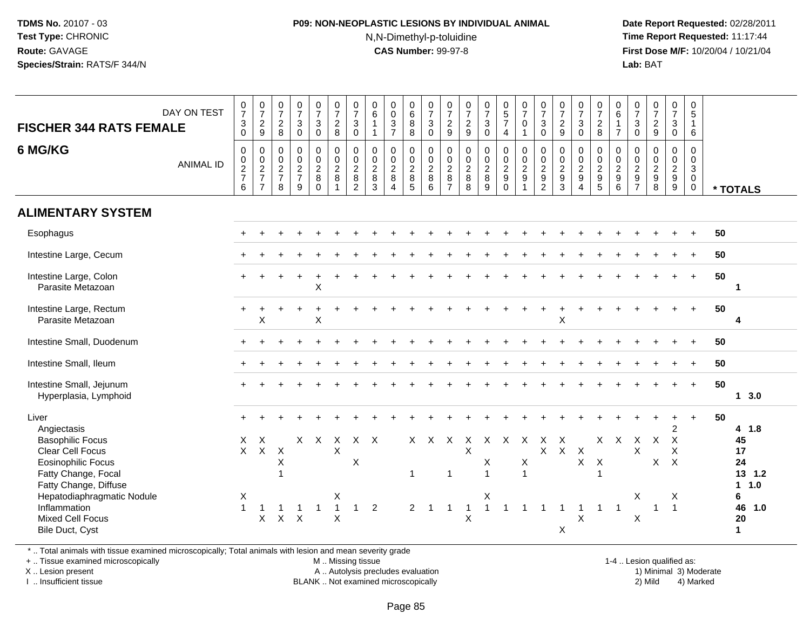#### **P09: NON-NEOPLASTIC LESIONS BY INDIVIDUAL ANIMAL**N,N-Dimethyl-p-toluidine

 **Date Report Requested:** 02/28/2011 **Time Report Requested:** 11:17:44 **First Dose M/F:** 10/20/04 / 10/21/04<br>**Lab:** BAT **Lab:** BAT

| DAY ON TEST<br><b>FISCHER 344 RATS FEMALE</b><br>6 MG/KG<br><b>ANIMAL ID</b>                                                                                                                                                          | $\begin{smallmatrix} 0\\7 \end{smallmatrix}$<br>$\begin{array}{c} 0 \\ 7 \end{array}$<br>$\frac{2}{9}$<br>$_{0}^{3}$<br>$\mathbf 0$<br>$\mathbf 0$<br>$\begin{array}{c} 0 \\ 2 \\ 7 \end{array}$<br>$\begin{array}{c} 0 \\ 2 \\ 7 \end{array}$<br>$\,6\,$<br>$\overline{7}$ | $\begin{smallmatrix}0\\7\end{smallmatrix}$<br>$\frac{2}{8}$<br>$\mathbf 0$<br>$\frac{0}{2}$<br>8 | $\frac{0}{7}$<br>$\mathbf{3}$<br>$\mathbf 0$<br>$\mathbf 0$<br>$\frac{0}{2}$<br>9 | $\begin{array}{c} 0 \\ 7 \end{array}$<br>$\mathbf{3}$<br>$\mathbf 0$<br>$\mathsf 0$<br>$\frac{0}{2}$<br>$\Omega$ | $\frac{0}{7}$<br>$\frac{2}{8}$<br>$\pmb{0}$<br>$\frac{0}{2}$ | $\frac{0}{7}$<br>$\mathbf{3}$<br>$\mathbf 0$<br>$\mathbf 0$<br>$\begin{array}{c} 0 \\ 2 \\ 8 \\ 2 \end{array}$ | $\boldsymbol{0}$<br>$6\phantom{a}$<br>$\mathbf{1}$<br>$\overline{1}$<br>$\mathbf 0$<br>$\frac{0}{2}$<br>3 | $\pmb{0}$<br>$\overline{0}$<br>$\mathbf{3}$<br>$\overline{7}$<br>$\mathbf 0$<br>$\frac{0}{2}$<br>$\overline{4}$ | $\begin{array}{c} 0 \\ 6 \end{array}$<br>$\overline{8}$<br>8<br>$\mathbf 0$<br>$\frac{0}{2}$<br>5 | $\frac{0}{7}$<br>3<br>$\mathbf 0$<br>$\mathbf 0$<br>$\frac{0}{2}$<br>6 | $\frac{0}{7}$<br>$\frac{2}{9}$<br>$\mathsf{O}\xspace$<br>$\begin{array}{c} 0 \\ 2 \\ 8 \\ 7 \end{array}$ | $\frac{0}{7}$<br>$rac{2}{9}$<br>$\mathsf{O}$<br>$\frac{0}{2}$<br>8 | $\frac{0}{7}$<br>$\frac{3}{0}$<br>$\mathsf 0$<br>$\begin{array}{c} 0 \\ 2 \\ 8 \\ 9 \end{array}$ | $\begin{array}{c} 0 \\ 5 \\ 7 \end{array}$<br>$\overline{4}$<br>$\pmb{0}$<br>$\frac{0}{2}$<br>$\mathbf 0$ | $\begin{array}{c} 0 \\ 7 \end{array}$<br>0<br>$\overline{1}$<br>$\mathsf{O}\xspace$<br>$\frac{0}{2}$ | $\begin{array}{c} 0 \\ 7 \end{array}$<br>$\mathbf 3$<br>$\mathbf{0}$<br>$\mathbf 0$<br>$\frac{0}{2}$<br>$\overline{2}$ | $\begin{array}{c} 0 \\ 7 \end{array}$<br>$\frac{2}{9}$<br>$\mathbf 0$<br>$\frac{0}{2}$<br>$\mathbf{3}$ | 0<br>$\overline{7}$<br>$\sqrt{3}$<br>$\mathbf 0$<br>$\Omega$<br>$\frac{0}{2}$<br>$\overline{4}$ | $\frac{0}{7}$<br>$\frac{2}{8}$<br>$\mathbf 0$<br>$\pmb{0}$<br>$\frac{2}{9}$<br>5 | $\begin{matrix} 0 \\ 6 \end{matrix}$<br>$\mathbf{1}$<br>$\overline{7}$<br>0<br>$0$<br>$9$<br>$6$ | $\frac{0}{7}$<br>$\mathbf{3}$<br>$\mathbf 0$<br>0<br>$\frac{0}{2}$<br>$\overline{7}$ | $\begin{smallmatrix}0\\7\end{smallmatrix}$<br>$\frac{2}{9}$<br>0<br>$\begin{array}{c} 0 \\ 2 \\ 9 \\ 8 \end{array}$ | $\begin{smallmatrix}0\\7\end{smallmatrix}$<br>$\mathbf{3}$<br>$\mathbf 0$<br>$\Omega$<br>$\begin{array}{c} 0 \\ 2 \\ 9 \end{array}$ | $\mathbf 0$<br>$\overline{5}$<br>$\overline{1}$<br>6<br>$\Omega$<br>$\mathbf 0$<br>3<br>$\mathbf 0$<br>$\mathbf 0$ |    | * TOTALS                                                                |
|---------------------------------------------------------------------------------------------------------------------------------------------------------------------------------------------------------------------------------------|-----------------------------------------------------------------------------------------------------------------------------------------------------------------------------------------------------------------------------------------------------------------------------|--------------------------------------------------------------------------------------------------|-----------------------------------------------------------------------------------|------------------------------------------------------------------------------------------------------------------|--------------------------------------------------------------|----------------------------------------------------------------------------------------------------------------|-----------------------------------------------------------------------------------------------------------|-----------------------------------------------------------------------------------------------------------------|---------------------------------------------------------------------------------------------------|------------------------------------------------------------------------|----------------------------------------------------------------------------------------------------------|--------------------------------------------------------------------|--------------------------------------------------------------------------------------------------|-----------------------------------------------------------------------------------------------------------|------------------------------------------------------------------------------------------------------|------------------------------------------------------------------------------------------------------------------------|--------------------------------------------------------------------------------------------------------|-------------------------------------------------------------------------------------------------|----------------------------------------------------------------------------------|--------------------------------------------------------------------------------------------------|--------------------------------------------------------------------------------------|---------------------------------------------------------------------------------------------------------------------|-------------------------------------------------------------------------------------------------------------------------------------|--------------------------------------------------------------------------------------------------------------------|----|-------------------------------------------------------------------------|
| <b>ALIMENTARY SYSTEM</b>                                                                                                                                                                                                              |                                                                                                                                                                                                                                                                             |                                                                                                  |                                                                                   |                                                                                                                  |                                                              |                                                                                                                |                                                                                                           |                                                                                                                 |                                                                                                   |                                                                        |                                                                                                          |                                                                    |                                                                                                  |                                                                                                           |                                                                                                      |                                                                                                                        |                                                                                                        |                                                                                                 |                                                                                  |                                                                                                  |                                                                                      |                                                                                                                     |                                                                                                                                     |                                                                                                                    |    |                                                                         |
| Esophagus                                                                                                                                                                                                                             |                                                                                                                                                                                                                                                                             |                                                                                                  |                                                                                   |                                                                                                                  |                                                              |                                                                                                                |                                                                                                           |                                                                                                                 |                                                                                                   |                                                                        |                                                                                                          |                                                                    |                                                                                                  |                                                                                                           |                                                                                                      |                                                                                                                        |                                                                                                        |                                                                                                 |                                                                                  |                                                                                                  |                                                                                      |                                                                                                                     |                                                                                                                                     |                                                                                                                    | 50 |                                                                         |
| Intestine Large, Cecum                                                                                                                                                                                                                |                                                                                                                                                                                                                                                                             |                                                                                                  |                                                                                   |                                                                                                                  |                                                              |                                                                                                                |                                                                                                           |                                                                                                                 |                                                                                                   |                                                                        |                                                                                                          |                                                                    |                                                                                                  |                                                                                                           |                                                                                                      |                                                                                                                        |                                                                                                        |                                                                                                 |                                                                                  |                                                                                                  |                                                                                      |                                                                                                                     |                                                                                                                                     |                                                                                                                    | 50 |                                                                         |
| Intestine Large, Colon<br>Parasite Metazoan                                                                                                                                                                                           |                                                                                                                                                                                                                                                                             |                                                                                                  |                                                                                   | $\pmb{\times}$                                                                                                   |                                                              |                                                                                                                |                                                                                                           |                                                                                                                 |                                                                                                   |                                                                        |                                                                                                          |                                                                    |                                                                                                  |                                                                                                           |                                                                                                      |                                                                                                                        |                                                                                                        |                                                                                                 |                                                                                  |                                                                                                  |                                                                                      |                                                                                                                     |                                                                                                                                     | $+$                                                                                                                | 50 | $\mathbf 1$                                                             |
| Intestine Large, Rectum<br>Parasite Metazoan                                                                                                                                                                                          | X                                                                                                                                                                                                                                                                           |                                                                                                  |                                                                                   | X                                                                                                                |                                                              |                                                                                                                |                                                                                                           |                                                                                                                 |                                                                                                   |                                                                        |                                                                                                          |                                                                    |                                                                                                  |                                                                                                           |                                                                                                      |                                                                                                                        | Χ                                                                                                      |                                                                                                 |                                                                                  |                                                                                                  |                                                                                      |                                                                                                                     |                                                                                                                                     |                                                                                                                    | 50 | $\overline{\mathbf{4}}$                                                 |
| Intestine Small, Duodenum                                                                                                                                                                                                             |                                                                                                                                                                                                                                                                             |                                                                                                  |                                                                                   |                                                                                                                  |                                                              |                                                                                                                |                                                                                                           |                                                                                                                 |                                                                                                   |                                                                        |                                                                                                          |                                                                    |                                                                                                  |                                                                                                           |                                                                                                      |                                                                                                                        |                                                                                                        |                                                                                                 |                                                                                  |                                                                                                  |                                                                                      |                                                                                                                     |                                                                                                                                     |                                                                                                                    | 50 |                                                                         |
| Intestine Small, Ileum                                                                                                                                                                                                                |                                                                                                                                                                                                                                                                             |                                                                                                  |                                                                                   |                                                                                                                  |                                                              |                                                                                                                |                                                                                                           |                                                                                                                 |                                                                                                   |                                                                        |                                                                                                          |                                                                    |                                                                                                  |                                                                                                           |                                                                                                      |                                                                                                                        |                                                                                                        |                                                                                                 |                                                                                  |                                                                                                  |                                                                                      |                                                                                                                     |                                                                                                                                     |                                                                                                                    | 50 |                                                                         |
| Intestine Small, Jejunum<br>Hyperplasia, Lymphoid                                                                                                                                                                                     |                                                                                                                                                                                                                                                                             |                                                                                                  |                                                                                   |                                                                                                                  |                                                              |                                                                                                                |                                                                                                           |                                                                                                                 |                                                                                                   |                                                                        |                                                                                                          |                                                                    |                                                                                                  |                                                                                                           |                                                                                                      |                                                                                                                        |                                                                                                        |                                                                                                 |                                                                                  |                                                                                                  |                                                                                      |                                                                                                                     |                                                                                                                                     | $+$                                                                                                                | 50 | 13.0                                                                    |
| Liver<br>Angiectasis<br><b>Basophilic Focus</b><br>Clear Cell Focus<br>Eosinophilic Focus<br>Fatty Change, Focal<br>Fatty Change, Diffuse<br>Hepatodiaphragmatic Nodule<br>Inflammation<br><b>Mixed Cell Focus</b><br>Bile Duct, Cyst | $\times$<br>$\times$<br>$\times$<br>$\mathsf X$<br>Χ<br>$\mathbf{1}$<br>$\sf X$                                                                                                                                                                                             | X<br>X<br>$\mathsf X$                                                                            | X.<br>$\boldsymbol{\mathsf{X}}$                                                   | $\times$                                                                                                         | $\times$<br>$\pmb{\times}$<br>X<br>$\overline{\mathsf{X}}$   | X<br>$\mathbf{1}$                                                                                              | $X$ $X$<br>$\overline{2}$                                                                                 |                                                                                                                 | $\times$<br>$\mathbf{1}$<br>$\overline{2}$                                                        | $X$ $X$<br>$\overline{1}$                                              | 1<br>$\overline{1}$                                                                                      | $\mathsf{X}$<br>X<br>$\overline{1}$<br>$\overline{\mathsf{X}}$     | X<br>Χ<br>$\mathbf 1$<br>X<br>$\mathbf{1}$                                                       | $\times$                                                                                                  | $\times$<br>X<br>$\overline{1}$                                                                      | X<br>X<br>-1                                                                                                           | $\times$<br>$\mathsf{X}$<br>$\mathbf{1}$<br>X                                                          | $\boldsymbol{\mathsf{X}}$<br>X<br>$\mathsf{X}$                                                  | X.<br>$\boldsymbol{\mathsf{X}}$<br>1<br>$\mathbf{1}$                             | $\times$<br>$\overline{1}$                                                                       | $\times$<br>$\boldsymbol{\mathsf{X}}$<br>X<br>$\boldsymbol{\mathsf{X}}$              | $\times$<br>$\mathbf{1}$                                                                                            | $\overline{2}$<br>$\mathsf{X}$<br>X<br>$X$ $X$<br>X<br>$\overline{1}$                                                               |                                                                                                                    | 50 | 4 1.8<br>45<br>17<br>24<br>13, 1.2<br>11.0<br>6<br>46<br>1.0<br>20<br>1 |

\* .. Total animals with tissue examined microscopically; Total animals with lesion and mean severity grade

+ .. Tissue examined microscopically

X .. Lesion present

I .. Insufficient tissue

M .. Missing tissue

A .. Autolysis precludes evaluation

BLANK .. Not examined microscopically 2) Mild 4) Marked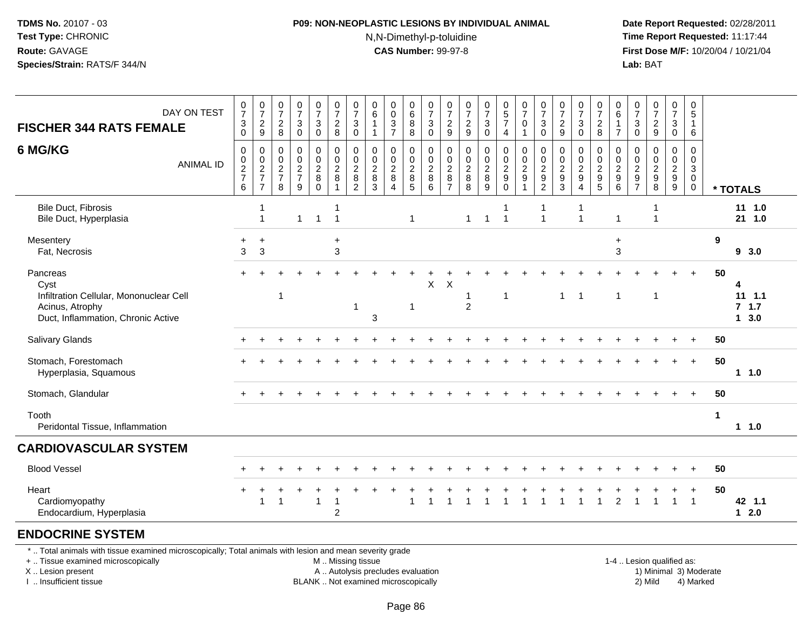# **P09: NON-NEOPLASTIC LESIONS BY INDIVIDUAL ANIMAL**N,N-Dimethyl-p-toluidine

 **Date Report Requested:** 02/28/2011 **Time Report Requested:** 11:17:44 **First Dose M/F:** 10/20/04 / 10/21/04<br>**Lab:** BAT **Lab:** BAT

| DAY ON TEST<br><b>FISCHER 344 RATS FEMALE</b>                                                                        | $\frac{0}{7}$<br>$_{0}^{3}$                                | $\frac{0}{7}$<br>$\frac{2}{9}$                 | $\frac{0}{7}$<br>$\frac{2}{8}$                    | $\frac{0}{7}$<br>$\sqrt{3}$<br>$\Omega$          | $\frac{0}{7}$<br>$\mathbf{3}$<br>$\mathbf 0$ | $\frac{0}{7}$<br>$_{8}^2$              | $\frac{0}{7}$<br>$\sqrt{3}$<br>$\mathbf 0$    | $\begin{array}{c} 0 \\ 6 \end{array}$                     | $_{\rm 0}^{\rm 0}$<br>$\frac{3}{7}$                    | $\begin{array}{c} 0 \\ 6 \end{array}$<br>$\, 8$<br>$\,8\,$ | $\frac{0}{7}$<br>$\mathbf{3}$<br>$\overline{0}$ | $\frac{0}{7}$<br>$\frac{2}{9}$                  | $\frac{0}{7}$<br>$\frac{2}{9}$                               | $\frac{0}{7}$<br>$\mathbf{3}$<br>$\mathbf 0$ | $\begin{array}{c} 0 \\ 5 \\ 7 \end{array}$<br>$\overline{4}$ | $\frac{0}{7}$<br>0<br>$\mathbf{1}$           | $\frac{0}{7}$<br>3<br>$\mathbf 0$ | $\frac{0}{7}$<br>$\frac{2}{9}$                                      | $\begin{array}{c} 0 \\ 7 \end{array}$<br>3<br>$\mathbf 0$ | $\frac{0}{7}$<br>$\frac{2}{8}$                       | 0<br>$\overline{6}$<br>$\mathbf 1$<br>$\overline{7}$ | 0<br>$\overline{7}$<br>$\mathbf{3}$<br>$\mathbf 0$ | $\frac{0}{7}$<br>$\frac{2}{9}$                                 | $\frac{0}{7}$<br>$\mathbf{3}$<br>$\mathbf 0$ | 0<br>$\sqrt{5}$<br>$\mathbf{1}$<br>6                                       |             |                                  |
|----------------------------------------------------------------------------------------------------------------------|------------------------------------------------------------|------------------------------------------------|---------------------------------------------------|--------------------------------------------------|----------------------------------------------|----------------------------------------|-----------------------------------------------|-----------------------------------------------------------|--------------------------------------------------------|------------------------------------------------------------|-------------------------------------------------|-------------------------------------------------|--------------------------------------------------------------|----------------------------------------------|--------------------------------------------------------------|----------------------------------------------|-----------------------------------|---------------------------------------------------------------------|-----------------------------------------------------------|------------------------------------------------------|------------------------------------------------------|----------------------------------------------------|----------------------------------------------------------------|----------------------------------------------|----------------------------------------------------------------------------|-------------|----------------------------------|
| 6 MG/KG<br><b>ANIMAL ID</b>                                                                                          | 0<br>$\begin{array}{c} 0 \\ 2 \\ 7 \end{array}$<br>$\,6\,$ | $\mathbf 0$<br>$\frac{0}{2}$<br>$\overline{7}$ | 0<br>0<br>$\boldsymbol{2}$<br>$\overline{7}$<br>8 | $\mathbf 0$<br>$\mathbf 0$<br>$\frac{2}{7}$<br>9 | 0<br>0<br>$\frac{2}{8}$<br>$\mathbf 0$       | $\pmb{0}$<br>$\frac{0}{2}$<br>1        | $\mathbf 0$<br>$\frac{0}{2}$<br>$\frac{1}{2}$ | $\mathbf 0$<br>0<br>$\overline{c}$<br>8<br>$\overline{3}$ | $\mathbf 0$<br>$\frac{0}{2}$<br>$\boldsymbol{\Lambda}$ | 0<br>0<br>$\begin{array}{c} 2 \\ 8 \\ 5 \end{array}$       | $\mathbf 0$<br>$\frac{0}{2}$<br>6               | 0<br>0<br>$\overline{2}$<br>8<br>$\overline{7}$ | $\pmb{0}$<br>$\begin{array}{c} 0 \\ 2 \\ 8 \\ 8 \end{array}$ | 0<br>0289                                    | 0<br>$\begin{array}{c} 0 \\ 2 \\ 9 \\ 0 \end{array}$         | $\mathbf 0$<br>$\frac{0}{2}$<br>$\mathbf{1}$ | $\mathbf 0$<br>0<br>$\frac{2}{9}$ | $\mathbf 0$<br>$\mathbf 0$<br>$\overline{2}$<br>$\overline{9}$<br>3 | 0<br>0<br>$\frac{2}{9}$<br>$\overline{4}$                 | 0<br>$\begin{array}{c} 0 \\ 2 \\ 9 \\ 5 \end{array}$ | 0<br>$\pmb{0}$<br>$\overline{2}$<br>$\frac{1}{9}$    | 0<br>0<br>$rac{2}{9}$                              | $\mathbf 0$<br>$\begin{array}{c} 0 \\ 2 \\ 9 \\ 8 \end{array}$ | 0<br>0<br>$\frac{2}{9}$                      | $\mathbf 0$<br>$\mathbf 0$<br>$\overline{3}$<br>$\mathbf 0$<br>$\mathbf 0$ |             | * TOTALS                         |
| <b>Bile Duct, Fibrosis</b><br>Bile Duct, Hyperplasia                                                                 |                                                            | 1                                              |                                                   | $\mathbf{1}$                                     | $\overline{1}$                               | $\overline{1}$                         |                                               |                                                           |                                                        | $\overline{1}$                                             |                                                 |                                                 | $\mathbf{1}$                                                 | $\overline{1}$                               | $\mathbf{1}$                                                 |                                              | -1<br>$\overline{1}$              |                                                                     | 1                                                         |                                                      | $\mathbf 1$                                          |                                                    | -1                                                             |                                              |                                                                            |             | 11 1.0<br>21, 1.0                |
| Mesentery<br>Fat, Necrosis                                                                                           | $+$<br>$\sqrt{3}$                                          | $\ddot{}$<br>$\ensuremath{\mathsf{3}}$         |                                                   |                                                  |                                              | $\ddot{}$<br>$\ensuremath{\mathsf{3}}$ |                                               |                                                           |                                                        |                                                            |                                                 |                                                 |                                                              |                                              |                                                              |                                              |                                   |                                                                     |                                                           |                                                      | $\ddot{}$<br>3                                       |                                                    |                                                                |                                              |                                                                            | 9           | 93.0                             |
| Pancreas<br>Cyst<br>Infiltration Cellular, Mononuclear Cell<br>Acinus, Atrophy<br>Duct, Inflammation, Chronic Active |                                                            |                                                | $\overline{1}$                                    |                                                  |                                              |                                        | 1                                             | $\mathbf{3}$                                              |                                                        | -1                                                         | $\boldsymbol{\mathsf{X}}$                       | $\times$                                        | -1<br>$\overline{c}$                                         |                                              | $\mathbf 1$                                                  |                                              |                                   | $\mathbf{1}$                                                        | $\overline{1}$                                            |                                                      | $\mathbf{1}$                                         |                                                    | $\overline{1}$                                                 |                                              |                                                                            | 50          | 4<br>$11 \t1.1$<br>7.1.7<br>13.0 |
| Salivary Glands                                                                                                      |                                                            |                                                |                                                   |                                                  |                                              |                                        |                                               |                                                           |                                                        |                                                            |                                                 |                                                 |                                                              |                                              |                                                              |                                              |                                   |                                                                     |                                                           |                                                      |                                                      |                                                    |                                                                |                                              |                                                                            | 50          |                                  |
| Stomach, Forestomach<br>Hyperplasia, Squamous                                                                        |                                                            |                                                |                                                   |                                                  |                                              |                                        |                                               |                                                           |                                                        |                                                            |                                                 |                                                 |                                                              |                                              |                                                              |                                              |                                   |                                                                     |                                                           |                                                      |                                                      |                                                    |                                                                |                                              | $+$                                                                        | 50          | 1 1.0                            |
| Stomach, Glandular                                                                                                   |                                                            |                                                |                                                   |                                                  |                                              |                                        |                                               |                                                           |                                                        |                                                            |                                                 |                                                 |                                                              |                                              |                                                              |                                              |                                   |                                                                     |                                                           |                                                      |                                                      |                                                    |                                                                |                                              | $+$                                                                        | 50          |                                  |
| Tooth<br>Peridontal Tissue, Inflammation                                                                             |                                                            |                                                |                                                   |                                                  |                                              |                                        |                                               |                                                           |                                                        |                                                            |                                                 |                                                 |                                                              |                                              |                                                              |                                              |                                   |                                                                     |                                                           |                                                      |                                                      |                                                    |                                                                |                                              |                                                                            | $\mathbf 1$ | 1 1.0                            |
| <b>CARDIOVASCULAR SYSTEM</b>                                                                                         |                                                            |                                                |                                                   |                                                  |                                              |                                        |                                               |                                                           |                                                        |                                                            |                                                 |                                                 |                                                              |                                              |                                                              |                                              |                                   |                                                                     |                                                           |                                                      |                                                      |                                                    |                                                                |                                              |                                                                            |             |                                  |
| <b>Blood Vessel</b>                                                                                                  |                                                            |                                                |                                                   |                                                  |                                              |                                        |                                               |                                                           |                                                        |                                                            |                                                 |                                                 |                                                              |                                              |                                                              |                                              |                                   |                                                                     |                                                           |                                                      |                                                      |                                                    |                                                                |                                              | $\ddot{}$                                                                  | 50          |                                  |
| Heart<br>Cardiomyopathy<br>Endocardium, Hyperplasia                                                                  |                                                            | -1                                             | $\overline{1}$                                    |                                                  | $\mathbf 1$                                  | $\overline{c}$                         |                                               |                                                           |                                                        |                                                            |                                                 |                                                 |                                                              |                                              |                                                              |                                              |                                   |                                                                     |                                                           |                                                      | $\overline{2}$                                       |                                                    |                                                                | 1                                            | $\overline{1}$                                                             | 50          | 42 1.1<br>$12.0$                 |
| <b>ENDOCRINE SYSTEM</b>                                                                                              |                                                            |                                                |                                                   |                                                  |                                              |                                        |                                               |                                                           |                                                        |                                                            |                                                 |                                                 |                                                              |                                              |                                                              |                                              |                                   |                                                                     |                                                           |                                                      |                                                      |                                                    |                                                                |                                              |                                                                            |             |                                  |
| *  Total animals with tissue examined microscopically; Total animals with lesion and mean severity grade             |                                                            |                                                |                                                   |                                                  |                                              |                                        |                                               |                                                           |                                                        |                                                            |                                                 |                                                 |                                                              |                                              |                                                              |                                              |                                   |                                                                     |                                                           |                                                      |                                                      |                                                    |                                                                |                                              |                                                                            |             |                                  |

+ .. Tissue examined microscopically

X .. Lesion present

I .. Insufficient tissue

 M .. Missing tissueA .. Autolysis precludes evaluation 1) Minimal 3 ... Autolysis precludes evaluation 1, and 30 ... (1) Minimal 3<br>1) Minimal 30 ... Autor microscopically 1990 ... (1) Minimal 30 ... (1) Minimal 30 ... (1) Minimal 30 ... (1)

BLANK .. Not examined microscopically 2) Mild 4) Marked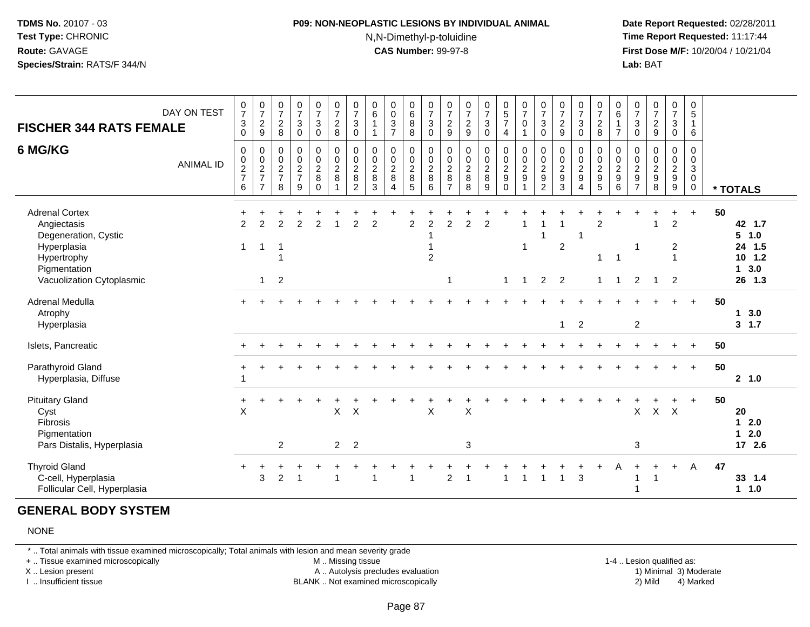#### **P09: NON-NEOPLASTIC LESIONS BY INDIVIDUAL ANIMAL**N,N-Dimethyl-p-toluidine

 **Date Report Requested:** 02/28/2011 **Time Report Requested:** 11:17:44 **First Dose M/F:** 10/20/04 / 10/21/04<br>**Lab:** BAT **Lab:** BAT

| <b>FISCHER 344 RATS FEMALE</b><br>6 MG/KG                                                                                               | DAY ON TEST<br><b>ANIMAL ID</b> | $\frac{0}{7}$<br>$\ensuremath{\mathsf{3}}$<br>$\mathbf 0$<br>$\pmb{0}$<br>$\frac{0}{2}$<br>6 | $\begin{array}{c} 0 \\ 7 \end{array}$<br>$\overline{c}$<br>9<br>0<br>$\mathsf{O}\xspace$<br>$\frac{2}{7}$<br>$\overline{7}$ | $\begin{array}{c} 0 \\ 7 \end{array}$<br>$\overline{c}$<br>8<br>0<br>$\mathbf 0$<br>$\overline{2}$<br>$\overline{7}$<br>8 | $\begin{smallmatrix} 0\\7 \end{smallmatrix}$<br>$\sqrt{3}$<br>$\mathbf 0$<br>00027<br>9 | $\frac{0}{7}$<br>$\ensuremath{\mathsf{3}}$<br>$\pmb{0}$<br>0<br>$\mathbf 0$<br>$\frac{2}{8}$<br>$\Omega$ | $\frac{0}{7}$<br>$_{\rm 8}^2$<br>$\mathbf 0$<br>$\mathsf 0$<br>$\overline{2}$<br>8<br>$\mathbf{1}$ | $\frac{0}{7}$<br>3<br>$\mathbf 0$<br>0<br>$\pmb{0}$<br>$\frac{2}{8}$<br>$\overline{2}$ | $\begin{array}{c} 0 \\ 6 \end{array}$<br>$\overline{1}$<br>0<br>$\pmb{0}$<br>$_{8}^{\rm 2}$<br>$\mathbf{3}$ | $\begin{array}{c} 0 \\ 0 \\ 3 \\ 7 \end{array}$<br>$\mathbf 0$<br>$\pmb{0}$<br>$\frac{2}{8}$<br>$\overline{4}$ | $\begin{array}{c} 0 \\ 6 \end{array}$<br>$\bf 8$<br>$\,8\,$<br>0<br>$\boldsymbol{0}$<br>$\frac{2}{8}$<br>5 | $\frac{0}{7}$<br>$\mathbf{3}$<br>$\pmb{0}$<br>$\mathbf 0$<br>$\boldsymbol{0}$<br>$\frac{2}{8}$<br>6 | $\begin{smallmatrix}0\\7\end{smallmatrix}$<br>$\boldsymbol{2}$<br>$\boldsymbol{9}$<br>$\Omega$<br>$\boldsymbol{0}$<br>$_{8}^2$<br>$\overline{7}$ | $\begin{smallmatrix}0\\7\end{smallmatrix}$<br>$\boldsymbol{2}$<br>$\boldsymbol{9}$<br>$\mathbf 0$<br>$\mathsf 0$<br>$\frac{2}{8}$<br>8 | $\frac{0}{7}$<br>$\ensuremath{\mathsf{3}}$<br>$\mathbf 0$<br>0<br>$\pmb{0}$<br>$\frac{2}{8}$<br>9 | $\begin{array}{c} 0 \\ 5 \\ 7 \end{array}$<br>$\overline{4}$<br>$\begin{smallmatrix} 0\\0 \end{smallmatrix}$<br>$\frac{2}{9}$ | $\frac{0}{7}$<br>$\pmb{0}$<br>$\overline{1}$<br>$\begin{smallmatrix} 0\\0 \end{smallmatrix}$<br>$\frac{2}{9}$<br>$\mathbf{1}$ | $\frac{0}{7}$<br>$\sqrt{3}$<br>$\mathbf 0$<br>0<br>$\mathbf 0$<br>$\overline{c}$<br>$\boldsymbol{9}$<br>$\overline{2}$ | $\frac{0}{7}$<br>$\boldsymbol{2}$<br>$\boldsymbol{9}$<br>$\mathbf 0$<br>$\pmb{0}$<br>$\frac{2}{3}$ | $\frac{0}{7}$<br>$\ensuremath{\mathsf{3}}$<br>$\mathbf 0$<br>0<br>$\pmb{0}$<br>$\frac{2}{9}$<br>$\overline{4}$ | $\begin{array}{c} 0 \\ 7 \end{array}$<br>$_{\rm 8}^2$<br>0<br>$\mathsf{O}\xspace$<br>$rac{2}{9}$ | $\begin{array}{c} 0 \\ 6 \end{array}$<br>$\mathbf{1}$<br>$\overline{7}$<br>$\mathbf 0$<br>$\pmb{0}$<br>$\frac{2}{9}$<br>$6\phantom{1}$ | $\frac{0}{7}$<br>$\sqrt{3}$<br>$\mathbf 0$<br>$\mathbf 0$<br>$\mathbf 0$<br>$\overline{2}$<br>$\boldsymbol{9}$<br>$\overline{7}$ | $\frac{0}{7}$<br>$\frac{2}{9}$<br>$\mathbf 0$<br>$\frac{0}{2}$<br>8 | $\frac{0}{7}$<br>$\mathbf{3}$<br>$\pmb{0}$<br>$\boldsymbol{0}$<br>0<br>9<br>9 | $\frac{0}{5}$<br>$\mathbf{1}$<br>6<br>$\mathbf 0$<br>$\mathbf 0$<br>3<br>$\mathsf{O}\xspace$<br>$\ddot{\mathbf{0}}$ |    | * TOTALS                                                                   |
|-----------------------------------------------------------------------------------------------------------------------------------------|---------------------------------|----------------------------------------------------------------------------------------------|-----------------------------------------------------------------------------------------------------------------------------|---------------------------------------------------------------------------------------------------------------------------|-----------------------------------------------------------------------------------------|----------------------------------------------------------------------------------------------------------|----------------------------------------------------------------------------------------------------|----------------------------------------------------------------------------------------|-------------------------------------------------------------------------------------------------------------|----------------------------------------------------------------------------------------------------------------|------------------------------------------------------------------------------------------------------------|-----------------------------------------------------------------------------------------------------|--------------------------------------------------------------------------------------------------------------------------------------------------|----------------------------------------------------------------------------------------------------------------------------------------|---------------------------------------------------------------------------------------------------|-------------------------------------------------------------------------------------------------------------------------------|-------------------------------------------------------------------------------------------------------------------------------|------------------------------------------------------------------------------------------------------------------------|----------------------------------------------------------------------------------------------------|----------------------------------------------------------------------------------------------------------------|--------------------------------------------------------------------------------------------------|----------------------------------------------------------------------------------------------------------------------------------------|----------------------------------------------------------------------------------------------------------------------------------|---------------------------------------------------------------------|-------------------------------------------------------------------------------|---------------------------------------------------------------------------------------------------------------------|----|----------------------------------------------------------------------------|
| <b>Adrenal Cortex</b><br>Angiectasis<br>Degeneration, Cystic<br>Hyperplasia<br>Hypertrophy<br>Pigmentation<br>Vacuolization Cytoplasmic |                                 | $\overline{2}$<br>$\mathbf{1}$                                                               | $\mathfrak{p}$<br>$\mathbf 1$<br>$\mathbf 1$                                                                                | 2<br>$\overline{2}$                                                                                                       | $\mathcal{P}$                                                                           | $\overline{2}$                                                                                           |                                                                                                    | $\overline{2}$                                                                         | $\overline{2}$                                                                                              |                                                                                                                | $\overline{c}$                                                                                             | 2<br>$\overline{2}$                                                                                 | $\overline{2}$<br>$\mathbf{1}$                                                                                                                   | $\overline{2}$                                                                                                                         | $\overline{2}$                                                                                    | $\mathbf{1}$                                                                                                                  | $\mathbf{1}$<br>$\mathbf{1}$                                                                                                  | $2^{\circ}$                                                                                                            | $\mathbf{2}$<br>$\overline{2}$                                                                     | -1                                                                                                             | $\overline{c}$<br>$\mathbf{1}$<br>$\mathbf{1}$                                                   | $\overline{1}$<br>$\overline{1}$                                                                                                       | $\overline{2}$                                                                                                                   | $\mathbf{1}$                                                        | $\overline{c}$<br>$\overline{2}$<br>$\overline{1}$<br>$\overline{2}$          | $+$                                                                                                                 | 50 | 42 1.7<br>5 1.0<br>24 1.5<br>$10$ 1.2<br>3.0<br>$\overline{1}$<br>26 1.3   |
| Adrenal Medulla<br>Atrophy<br>Hyperplasia                                                                                               |                                 |                                                                                              |                                                                                                                             |                                                                                                                           |                                                                                         |                                                                                                          |                                                                                                    |                                                                                        |                                                                                                             |                                                                                                                |                                                                                                            |                                                                                                     |                                                                                                                                                  |                                                                                                                                        |                                                                                                   |                                                                                                                               |                                                                                                                               |                                                                                                                        | -1                                                                                                 | $\overline{2}$                                                                                                 |                                                                                                  |                                                                                                                                        | $\overline{c}$                                                                                                                   |                                                                     |                                                                               | $+$                                                                                                                 | 50 | 3.0<br>$\mathbf 1$<br>3<br>1.7                                             |
| Islets, Pancreatic                                                                                                                      |                                 |                                                                                              |                                                                                                                             |                                                                                                                           |                                                                                         |                                                                                                          |                                                                                                    |                                                                                        |                                                                                                             |                                                                                                                |                                                                                                            |                                                                                                     |                                                                                                                                                  |                                                                                                                                        |                                                                                                   |                                                                                                                               |                                                                                                                               |                                                                                                                        |                                                                                                    |                                                                                                                |                                                                                                  |                                                                                                                                        |                                                                                                                                  |                                                                     |                                                                               | $\ddot{}$                                                                                                           | 50 |                                                                            |
| Parathyroid Gland<br>Hyperplasia, Diffuse                                                                                               |                                 |                                                                                              |                                                                                                                             |                                                                                                                           |                                                                                         |                                                                                                          |                                                                                                    |                                                                                        |                                                                                                             |                                                                                                                |                                                                                                            |                                                                                                     |                                                                                                                                                  |                                                                                                                                        |                                                                                                   |                                                                                                                               |                                                                                                                               |                                                                                                                        |                                                                                                    |                                                                                                                |                                                                                                  |                                                                                                                                        |                                                                                                                                  |                                                                     |                                                                               | $+$                                                                                                                 | 50 | 2, 1.0                                                                     |
| <b>Pituitary Gland</b><br>Cyst<br>Fibrosis<br>Pigmentation<br>Pars Distalis, Hyperplasia                                                |                                 | $\overline{\mathsf{X}}$                                                                      |                                                                                                                             | 2                                                                                                                         |                                                                                         |                                                                                                          | X<br>$\overline{2}$                                                                                | $\sf X$<br>$\overline{2}$                                                              |                                                                                                             |                                                                                                                |                                                                                                            | X                                                                                                   |                                                                                                                                                  | X<br>3                                                                                                                                 |                                                                                                   |                                                                                                                               |                                                                                                                               |                                                                                                                        |                                                                                                    |                                                                                                                |                                                                                                  |                                                                                                                                        | X<br>3                                                                                                                           | $\mathsf{X}$                                                        | $\times$                                                                      | $\ddot{}$                                                                                                           | 50 | 20<br>2.0<br>$\blacktriangleleft$<br>2.0<br>$\blacktriangleleft$<br>17 2.6 |
| <b>Thyroid Gland</b><br>C-cell, Hyperplasia<br>Follicular Cell, Hyperplasia                                                             |                                 |                                                                                              | 3                                                                                                                           | 2                                                                                                                         |                                                                                         |                                                                                                          |                                                                                                    |                                                                                        |                                                                                                             |                                                                                                                | $\overline{ }$                                                                                             |                                                                                                     | $\overline{2}$                                                                                                                                   |                                                                                                                                        |                                                                                                   | -1                                                                                                                            | -1                                                                                                                            | 1                                                                                                                      |                                                                                                    | 3                                                                                                              |                                                                                                  |                                                                                                                                        | 1                                                                                                                                |                                                                     | $+$                                                                           | $\mathsf{A}$                                                                                                        | 47 | 33 1.4<br>$1 \t1.0$                                                        |

#### **GENERAL BODY SYSTEM**

#### NONE

\* .. Total animals with tissue examined microscopically; Total animals with lesion and mean severity grade

+ .. Tissue examined microscopically

X .. Lesion present

I .. Insufficient tissue

 M .. Missing tissueA .. Autolysis precludes evaluation

1-4 .. Lesion qualified as:<br>1) Minimal 3) Moderate BLANK .. Not examined microscopically 2) Mild 4) Marked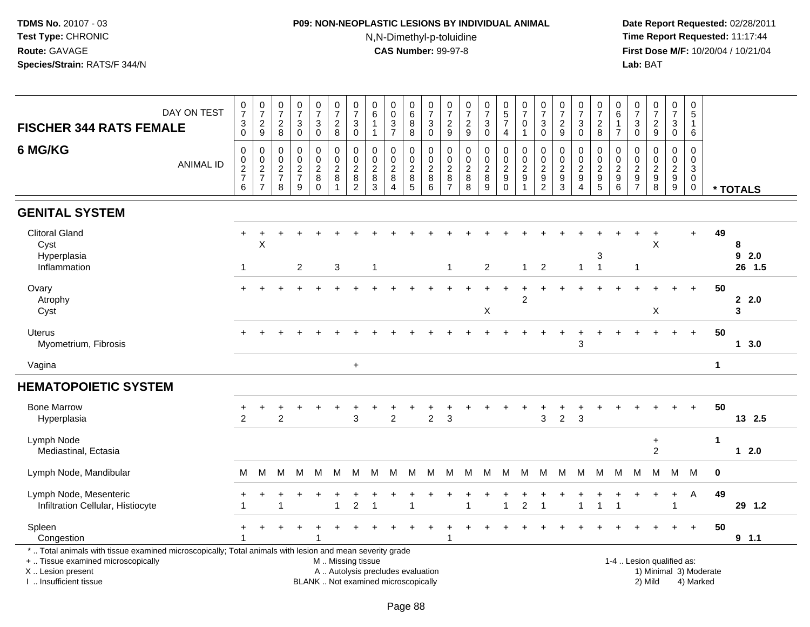# **P09: NON-NEOPLASTIC LESIONS BY INDIVIDUAL ANIMAL**N,N-Dimethyl-p-toluidine

 **Date Report Requested:** 02/28/2011 **Time Report Requested:** 11:17:44 **First Dose M/F:** 10/20/04 / 10/21/04<br>**Lab:** BAT **Lab:** BAT

| DAY ON TEST<br><b>FISCHER 344 RATS FEMALE</b>                                                                                                                                                 | $\frac{0}{7}$<br>$_0^3$                                        | $\frac{0}{7}$<br>$\frac{2}{9}$               | $\frac{0}{7}$<br>$_{\rm 8}^2$                     | 0<br>$\overline{7}$<br>3<br>$\mathbf 0$          | $\frac{0}{7}$<br>$\mathbf{3}$<br>$\pmb{0}$                  | $\frac{0}{7}$<br>$_{\rm 8}^2$           | $\begin{array}{c} 0 \\ 7 \end{array}$<br>$\sqrt{3}$<br>$\mathbf 0$       | $\pmb{0}$<br>6<br>$\mathbf{1}$<br>$\overline{1}$                          | 0<br>$\mathbf 0$<br>$\ensuremath{\mathsf{3}}$<br>$\overline{7}$       | 0<br>6<br>$\, 8$<br>$\,8\,$                                 | 0<br>$\overline{7}$<br>3<br>$\mathbf 0$             | $\frac{0}{7}$<br>$\frac{2}{9}$                  | 0<br>$\overline{7}$<br>$\frac{2}{9}$                                   | $\frac{0}{7}$<br>$\ensuremath{\mathsf{3}}$<br>$\ddot{\mathbf{0}}$       | $\begin{smallmatrix} 0\\5 \end{smallmatrix}$<br>$\boldsymbol{7}$<br>4           | $\frac{0}{7}$<br>$\pmb{0}$<br>$\mathbf{1}$                           | $\frac{0}{7}$<br>$\ensuremath{\mathsf{3}}$<br>$\mathbf 0$                         | $\frac{0}{7}$<br>$\overline{c}$<br>$\boldsymbol{9}$ | $\begin{array}{c} 0 \\ 7 \end{array}$<br>$\ensuremath{\mathsf{3}}$<br>$\mathbf 0$ | $\frac{0}{7}$<br>$_{\rm 8}^2$                                    | 0<br>$\,6\,$<br>$\mathbf{1}$<br>$\overline{7}$             | 0<br>$\overline{7}$<br>3<br>$\boldsymbol{0}$                  | $\frac{0}{7}$<br>$\overline{c}$<br>$\boldsymbol{9}$      | $\frac{0}{7}$<br>3<br>$\overline{0}$ | $\pmb{0}$<br>$\overline{5}$<br>$\mathbf{1}$<br>6                                            |              |                     |
|-----------------------------------------------------------------------------------------------------------------------------------------------------------------------------------------------|----------------------------------------------------------------|----------------------------------------------|---------------------------------------------------|--------------------------------------------------|-------------------------------------------------------------|-----------------------------------------|--------------------------------------------------------------------------|---------------------------------------------------------------------------|-----------------------------------------------------------------------|-------------------------------------------------------------|-----------------------------------------------------|-------------------------------------------------|------------------------------------------------------------------------|-------------------------------------------------------------------------|---------------------------------------------------------------------------------|----------------------------------------------------------------------|-----------------------------------------------------------------------------------|-----------------------------------------------------|-----------------------------------------------------------------------------------|------------------------------------------------------------------|------------------------------------------------------------|---------------------------------------------------------------|----------------------------------------------------------|--------------------------------------|---------------------------------------------------------------------------------------------|--------------|---------------------|
| 6 MG/KG<br><b>ANIMAL ID</b>                                                                                                                                                                   | $\mathbf 0$<br>$\begin{array}{c} 0 \\ 2 \\ 7 \end{array}$<br>6 | $\pmb{0}$<br>$\frac{0}{2}$<br>$\overline{7}$ | 0<br>0<br>$\boldsymbol{2}$<br>$\overline{7}$<br>8 | $\mathbf 0$<br>$\mathbf 0$<br>$\frac{2}{7}$<br>9 | 0<br>$\mathsf 0$<br>$\boldsymbol{2}$<br>$\bf 8$<br>$\Omega$ | 0<br>$\mathsf 0$<br>$\overline{c}$<br>8 | $\mathbf 0$<br>$\pmb{0}$<br>$\boldsymbol{2}$<br>$\, 8$<br>$\overline{2}$ | $\mathbf 0$<br>$\mathbf 0$<br>$\overline{c}$<br>$\,8\,$<br>$\overline{3}$ | $\mathbf 0$<br>$\mathbf 0$<br>$\boldsymbol{2}$<br>8<br>$\overline{A}$ | 0<br>$\mathsf{O}\xspace$<br>$\frac{2}{8}$<br>$\overline{5}$ | 0<br>$\pmb{0}$<br>$\overline{\mathbf{c}}$<br>8<br>6 | 0<br>0<br>$\overline{c}$<br>8<br>$\overline{7}$ | $\mathbf 0$<br>$\pmb{0}$<br>$\begin{array}{c} 2 \\ 8 \\ 8 \end{array}$ | $\mathbf 0$<br>$\ddot{\mathbf{0}}$<br>$\frac{2}{8}$<br>$\boldsymbol{9}$ | 0<br>$\mathsf{O}\xspace$<br>$\boldsymbol{2}$<br>$\boldsymbol{9}$<br>$\mathbf 0$ | $\mathbf 0$<br>$\overline{0}$<br>$\sqrt{2}$<br>$9\,$<br>$\mathbf{1}$ | 0<br>$\mathbf 0$<br>$\overline{\mathbf{c}}$<br>$\boldsymbol{9}$<br>$\overline{2}$ | 0<br>0<br>$\overline{c}$<br>9<br>$\overline{3}$     | $\mathbf 0$<br>0<br>$\boldsymbol{2}$<br>$\boldsymbol{9}$<br>$\overline{4}$        | 0<br>0<br>$\boldsymbol{2}$<br>$\boldsymbol{9}$<br>$\overline{5}$ | $\mathbf 0$<br>$\mathbf 0$<br>$\overline{c}$<br>$9\,$<br>6 | 0<br>$\mathbf 0$<br>$\overline{c}$<br>$9\,$<br>$\overline{7}$ | $\mathbf 0$<br>$\mathbf 0$<br>$\boldsymbol{2}$<br>9<br>8 | 0<br>$\mathbf 0$<br>$\frac{2}{9}$    | $\mathsf 0$<br>$\pmb{0}$<br>$\ensuremath{\mathsf{3}}$<br>$\mathsf{O}\xspace$<br>$\mathbf 0$ |              | * TOTALS            |
| <b>GENITAL SYSTEM</b>                                                                                                                                                                         |                                                                |                                              |                                                   |                                                  |                                                             |                                         |                                                                          |                                                                           |                                                                       |                                                             |                                                     |                                                 |                                                                        |                                                                         |                                                                                 |                                                                      |                                                                                   |                                                     |                                                                                   |                                                                  |                                                            |                                                               |                                                          |                                      |                                                                                             |              |                     |
| <b>Clitoral Gland</b><br>Cyst<br>Hyperplasia<br>Inflammation                                                                                                                                  | $+$<br>-1                                                      | $\ddot{}$<br>X                               |                                                   | $\overline{2}$                                   |                                                             | 3                                       |                                                                          | 1                                                                         |                                                                       |                                                             |                                                     | $\overline{1}$                                  |                                                                        | $\overline{2}$                                                          |                                                                                 | $\mathbf{1}$                                                         | $\overline{2}$                                                                    |                                                     | $\mathbf{1}$                                                                      | 3<br>$\overline{1}$                                              |                                                            | 1                                                             | $\pm$<br>X                                               |                                      | $+$                                                                                         | 49           | 8<br>92.0<br>26 1.5 |
| Ovary<br>Atrophy<br>Cyst                                                                                                                                                                      |                                                                |                                              |                                                   |                                                  |                                                             |                                         |                                                                          |                                                                           |                                                                       |                                                             |                                                     |                                                 |                                                                        | X                                                                       | $+$                                                                             | $\overline{2}$                                                       |                                                                                   |                                                     |                                                                                   |                                                                  |                                                            |                                                               | X                                                        |                                      | $\ddot{}$                                                                                   | 50           | 22.0<br>3           |
| <b>Uterus</b><br>Myometrium, Fibrosis                                                                                                                                                         | $\pm$                                                          |                                              |                                                   |                                                  |                                                             |                                         |                                                                          |                                                                           |                                                                       |                                                             |                                                     |                                                 |                                                                        |                                                                         |                                                                                 |                                                                      |                                                                                   |                                                     | 3                                                                                 |                                                                  |                                                            |                                                               |                                                          | $\overline{+}$                       | $+$                                                                                         | 50           | $1 \quad 3.0$       |
| Vagina                                                                                                                                                                                        |                                                                |                                              |                                                   |                                                  |                                                             |                                         | $\ddot{}$                                                                |                                                                           |                                                                       |                                                             |                                                     |                                                 |                                                                        |                                                                         |                                                                                 |                                                                      |                                                                                   |                                                     |                                                                                   |                                                                  |                                                            |                                                               |                                                          |                                      |                                                                                             | $\mathbf{1}$ |                     |
| <b>HEMATOPOIETIC SYSTEM</b>                                                                                                                                                                   |                                                                |                                              |                                                   |                                                  |                                                             |                                         |                                                                          |                                                                           |                                                                       |                                                             |                                                     |                                                 |                                                                        |                                                                         |                                                                                 |                                                                      |                                                                                   |                                                     |                                                                                   |                                                                  |                                                            |                                                               |                                                          |                                      |                                                                                             |              |                     |
| <b>Bone Marrow</b><br>Hyperplasia                                                                                                                                                             | 2                                                              |                                              | $\overline{c}$                                    |                                                  |                                                             |                                         | 3                                                                        |                                                                           | 2                                                                     |                                                             | $\overline{c}$                                      | 3                                               |                                                                        |                                                                         |                                                                                 |                                                                      | 3                                                                                 | $\overline{2}$                                      | 3                                                                                 |                                                                  |                                                            |                                                               |                                                          |                                      |                                                                                             | 50           | 13 2.5              |
| Lymph Node<br>Mediastinal, Ectasia                                                                                                                                                            |                                                                |                                              |                                                   |                                                  |                                                             |                                         |                                                                          |                                                                           |                                                                       |                                                             |                                                     |                                                 |                                                                        |                                                                         |                                                                                 |                                                                      |                                                                                   |                                                     |                                                                                   |                                                                  |                                                            |                                                               | +<br>$\overline{c}$                                      |                                      |                                                                                             | $\mathbf{1}$ | $12.0$              |
| Lymph Node, Mandibular                                                                                                                                                                        | м                                                              | м                                            | M                                                 | М                                                | М                                                           | M                                       | M                                                                        | M                                                                         | M                                                                     | M                                                           | M                                                   | M                                               | M                                                                      | М                                                                       | M                                                                               | М                                                                    | M                                                                                 | М                                                   | M                                                                                 | M                                                                | M                                                          | М                                                             | м                                                        | М                                    | M                                                                                           | $\mathbf 0$  |                     |
| Lymph Node, Mesenteric<br>Infiltration Cellular, Histiocyte                                                                                                                                   |                                                                |                                              | 1                                                 |                                                  |                                                             | $\overline{1}$                          | $\overline{2}$                                                           |                                                                           |                                                                       |                                                             |                                                     |                                                 |                                                                        |                                                                         | 1                                                                               | $\overline{2}$                                                       |                                                                                   |                                                     | $\overline{1}$                                                                    |                                                                  | $\overline{1}$                                             |                                                               |                                                          | $\overline{1}$                       | $\mathsf{A}$                                                                                | 49           | 29 1.2              |
| Spleen<br>Congestion                                                                                                                                                                          |                                                                |                                              |                                                   |                                                  |                                                             |                                         |                                                                          |                                                                           |                                                                       |                                                             |                                                     | -1                                              |                                                                        |                                                                         |                                                                                 |                                                                      |                                                                                   |                                                     |                                                                                   |                                                                  |                                                            |                                                               |                                                          |                                      |                                                                                             | 50           | 9 1.1               |
| *  Total animals with tissue examined microscopically; Total animals with lesion and mean severity grade<br>+  Tissue examined microscopically<br>X  Lesion present<br>I  Insufficient tissue |                                                                |                                              |                                                   |                                                  |                                                             | M  Missing tissue                       |                                                                          | A  Autolysis precludes evaluation<br>BLANK  Not examined microscopically  |                                                                       |                                                             |                                                     |                                                 |                                                                        |                                                                         |                                                                                 |                                                                      |                                                                                   |                                                     |                                                                                   |                                                                  |                                                            |                                                               | 1-4  Lesion qualified as:<br>2) Mild                     |                                      | 1) Minimal 3) Moderate<br>4) Marked                                                         |              |                     |

I .. Insufficient tissue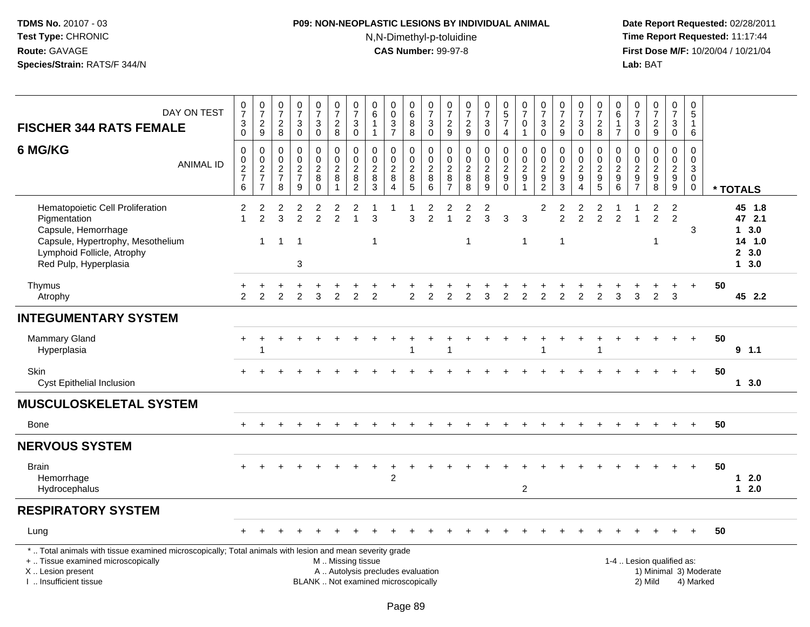# **P09: NON-NEOPLASTIC LESIONS BY INDIVIDUAL ANIMAL**N,N-Dimethyl-p-toluidine

| DAY ON TEST<br><b>FISCHER 344 RATS FEMALE</b>                                                                                                                                                 | $\mathbf 0$<br>$\overline{7}$<br>$_{0}^{3}$       | $\begin{array}{c} 0 \\ 7 \end{array}$<br>$\frac{2}{9}$ | $\begin{matrix} 0 \\ 7 \end{matrix}$<br>$\boldsymbol{2}$<br>8 | $\pmb{0}$<br>$\overline{7}$<br>3<br>$\mathbf 0$               | $\frac{0}{7}$<br>3<br>$\mathbf 0$                 | $\begin{smallmatrix}0\\7\end{smallmatrix}$<br>$\frac{2}{8}$ | $\frac{0}{7}$<br>$\ensuremath{\mathsf{3}}$<br>$\mathbf 0$ | $\begin{array}{c} 0 \\ 6 \end{array}$<br>$\overline{1}$<br>$\mathbf{1}$  | $\pmb{0}$<br>$\mathbf 0$<br>$\frac{3}{7}$                             | $_{6}^{\rm 0}$<br>$\bf 8$<br>8                                 | $\begin{smallmatrix}0\\7\end{smallmatrix}$<br>$\frac{3}{0}$ | $\frac{0}{7}$<br>$\overline{c}$<br>9                      | 0<br>$\overline{7}$<br>$\frac{2}{9}$                 | $\begin{smallmatrix}0\\7\end{smallmatrix}$<br>$\frac{3}{0}$ | $\begin{array}{c} 0 \\ 5 \\ 7 \end{array}$<br>$\overline{4}$ | $\frac{0}{7}$<br>$\pmb{0}$<br>$\mathbf{1}$                  | $\frac{0}{7}$<br>$\sqrt{3}$<br>$\mathbf 0$          | 0<br>$\overline{7}$<br>$\boldsymbol{2}$<br>9                | $\begin{array}{c} 0 \\ 7 \end{array}$<br>$\ensuremath{\mathsf{3}}$<br>$\mathbf 0$ | $\pmb{0}$<br>$\overline{7}$<br>$_{\rm 8}^2$         | $\pmb{0}$<br>$\,6\,$<br>$\mathbf{1}$<br>$\overline{7}$ | $\frac{0}{7}$<br>$\ensuremath{\mathsf{3}}$<br>$\mathbf 0$     | $\begin{smallmatrix}0\\7\end{smallmatrix}$<br>$\overline{c}$<br>9 | $\frac{0}{7}$<br>3<br>$\mathbf 0$           | $\pmb{0}$<br>5<br>$\mathbf{1}$<br>6                                     |                        |                                                               |
|-----------------------------------------------------------------------------------------------------------------------------------------------------------------------------------------------|---------------------------------------------------|--------------------------------------------------------|---------------------------------------------------------------|---------------------------------------------------------------|---------------------------------------------------|-------------------------------------------------------------|-----------------------------------------------------------|--------------------------------------------------------------------------|-----------------------------------------------------------------------|----------------------------------------------------------------|-------------------------------------------------------------|-----------------------------------------------------------|------------------------------------------------------|-------------------------------------------------------------|--------------------------------------------------------------|-------------------------------------------------------------|-----------------------------------------------------|-------------------------------------------------------------|-----------------------------------------------------------------------------------|-----------------------------------------------------|--------------------------------------------------------|---------------------------------------------------------------|-------------------------------------------------------------------|---------------------------------------------|-------------------------------------------------------------------------|------------------------|---------------------------------------------------------------|
| 6 MG/KG<br><b>ANIMAL ID</b>                                                                                                                                                                   | 0<br>$\pmb{0}$<br>$\frac{2}{7}$<br>$6\phantom{1}$ | $\mathbf 0$<br>$\frac{0}{2}$<br>$\overline{7}$         | $\mathbf 0$<br>$\mathbf 0$<br>$\frac{2}{7}$<br>8              | $\mathbf 0$<br>$\mathbf 0$<br>$\frac{2}{7}$<br>$\overline{9}$ | 0<br>$\mathbf 0$<br>$_{8}^{\rm 2}$<br>$\mathbf 0$ | $\pmb{0}$<br>$\frac{0}{2}$<br>$\mathbf{1}$                  | 0<br>$\pmb{0}$<br>$\frac{2}{8}$<br>$\overline{c}$         | $\mathbf 0$<br>$\mathbf 0$<br>$\frac{2}{8}$<br>3                         | $\mathbf 0$<br>$\mathbf 0$<br>$\sqrt{2}$<br>$\,8\,$<br>$\overline{4}$ | 0<br>$\mathbf 0$<br>$\begin{array}{c} 2 \\ 8 \end{array}$<br>5 | $\pmb{0}$<br>$\frac{0}{2}$<br>6                             | 0<br>$\mathbf 0$<br>$\overline{c}$<br>8<br>$\overline{7}$ | $\mathbf 0$<br>$\pmb{0}$<br>$\frac{2}{8}$<br>$\,8\,$ | $\mathbf 0$<br>$\frac{0}{2}$<br>$\overline{9}$              | 0<br>$\mathbf 0$<br>$\frac{2}{9}$<br>$\mathbf 0$             | $\mathbf 0$<br>$\pmb{0}$<br>$\frac{2}{9}$<br>$\overline{1}$ | 0<br>$\mathbf 0$<br>$\frac{2}{9}$<br>$\overline{c}$ | $\mathbf 0$<br>$\mathbf 0$<br>$\frac{2}{9}$<br>$\mathbf{3}$ | $\mathbf 0$<br>$\mathbf 0$<br>$\frac{2}{9}$<br>$\overline{4}$                     | 0<br>$\mathbf 0$<br>$\frac{2}{9}$<br>$\overline{5}$ | $\mathbf 0$<br>$\mathbf 0$<br>$\frac{2}{9}$<br>$\,6\,$ | $\mathbf 0$<br>$\mathbf 0$<br>$\frac{2}{9}$<br>$\overline{7}$ | $\Omega$<br>$\mathbf 0$<br>$\frac{2}{9}$<br>8                     | $\mathbf 0$<br>$\mathbf 0$<br>$\frac{2}{9}$ | $\mathsf 0$<br>$\mathbf 0$<br>$\mathsf 3$<br>$\mathbf 0$<br>$\mathbf 0$ |                        | * TOTALS                                                      |
| Hematopoietic Cell Proliferation<br>Pigmentation<br>Capsule, Hemorrhage<br>Capsule, Hypertrophy, Mesothelium<br>Lymphoid Follicle, Atrophy<br>Red Pulp, Hyperplasia                           | 2                                                 | 2<br>$\mathcal{P}$<br>$\overline{1}$                   | $\overline{\mathbf{c}}$<br>3<br>$\mathbf{1}$                  | 2<br>$\mathfrak{p}$<br>1<br>3                                 | $\overline{\mathbf{c}}$<br>$\overline{2}$         | 2<br>$\overline{2}$                                         | $\overline{2}$<br>$\overline{1}$                          | 3<br>$\overline{1}$                                                      |                                                                       | 3                                                              | 2<br>$\mathfrak{p}$                                         | $\overline{c}$<br>$\overline{1}$                          | $\overline{\mathbf{c}}$<br>$\overline{2}$<br>1       | $\overline{c}$<br>3                                         | 3                                                            | 3<br>-1                                                     | $\overline{c}$                                      | 2<br>$\overline{2}$                                         | $\overline{c}$<br>$\overline{2}$                                                  | $\overline{\mathbf{c}}$<br>$\overline{2}$           | $\overline{2}$                                         | 1<br>$\overline{1}$                                           | $\overline{c}$<br>$\overline{2}$<br>1                             | $\overline{2}$<br>$\overline{2}$            | 3                                                                       |                        | 45 1.8<br>47 2.1<br>$1 \quad 3.0$<br>14 1.0<br>2, 3.0<br>13.0 |
| Thymus<br>Atrophy                                                                                                                                                                             | $\mathfrak{D}$                                    | 2                                                      | $\overline{2}$                                                | $\overline{2}$                                                | 3                                                 | $\overline{2}$                                              | $\overline{2}$                                            | $\overline{2}$                                                           |                                                                       | $\overline{2}$                                                 | $\overline{2}$                                              | $\overline{2}$                                            | $\overline{2}$                                       | 3                                                           | $\overline{2}$                                               | $\overline{2}$                                              | $\overline{2}$                                      | $\overline{2}$                                              | $\overline{2}$                                                                    | $\overline{2}$                                      | 3                                                      | 3                                                             | 2                                                                 | 3                                           | $+$                                                                     | 50                     | 45 2.2                                                        |
| <b>INTEGUMENTARY SYSTEM</b>                                                                                                                                                                   |                                                   |                                                        |                                                               |                                                               |                                                   |                                                             |                                                           |                                                                          |                                                                       |                                                                |                                                             |                                                           |                                                      |                                                             |                                                              |                                                             |                                                     |                                                             |                                                                                   |                                                     |                                                        |                                                               |                                                                   |                                             |                                                                         |                        |                                                               |
| <b>Mammary Gland</b><br>Hyperplasia                                                                                                                                                           | $\ddot{}$                                         | 1                                                      |                                                               |                                                               |                                                   |                                                             |                                                           |                                                                          |                                                                       |                                                                |                                                             | $\overline{ }$                                            |                                                      |                                                             |                                                              |                                                             |                                                     |                                                             |                                                                                   |                                                     |                                                        |                                                               |                                                                   |                                             | $\ddot{}$                                                               | 50                     | 9, 1.1                                                        |
| Skin<br>Cyst Epithelial Inclusion                                                                                                                                                             |                                                   |                                                        |                                                               |                                                               |                                                   |                                                             |                                                           |                                                                          |                                                                       |                                                                |                                                             |                                                           |                                                      |                                                             |                                                              |                                                             |                                                     |                                                             |                                                                                   |                                                     |                                                        |                                                               |                                                                   |                                             |                                                                         | 50                     | 13.0                                                          |
| <b>MUSCULOSKELETAL SYSTEM</b>                                                                                                                                                                 |                                                   |                                                        |                                                               |                                                               |                                                   |                                                             |                                                           |                                                                          |                                                                       |                                                                |                                                             |                                                           |                                                      |                                                             |                                                              |                                                             |                                                     |                                                             |                                                                                   |                                                     |                                                        |                                                               |                                                                   |                                             |                                                                         |                        |                                                               |
| Bone                                                                                                                                                                                          | $+$                                               |                                                        |                                                               |                                                               |                                                   |                                                             |                                                           |                                                                          |                                                                       |                                                                |                                                             |                                                           |                                                      |                                                             |                                                              |                                                             |                                                     |                                                             |                                                                                   |                                                     |                                                        |                                                               |                                                                   |                                             | $+$                                                                     | 50                     |                                                               |
| <b>NERVOUS SYSTEM</b>                                                                                                                                                                         |                                                   |                                                        |                                                               |                                                               |                                                   |                                                             |                                                           |                                                                          |                                                                       |                                                                |                                                             |                                                           |                                                      |                                                             |                                                              |                                                             |                                                     |                                                             |                                                                                   |                                                     |                                                        |                                                               |                                                                   |                                             |                                                                         |                        |                                                               |
| <b>Brain</b><br>Hemorrhage<br>Hydrocephalus                                                                                                                                                   | $+$                                               |                                                        |                                                               |                                                               |                                                   |                                                             |                                                           |                                                                          | $\overline{c}$                                                        |                                                                |                                                             |                                                           |                                                      |                                                             |                                                              | $\boldsymbol{2}$                                            |                                                     |                                                             |                                                                                   |                                                     |                                                        |                                                               |                                                                   |                                             | $+$                                                                     | 50                     | $12.0$<br>$12.0$                                              |
| <b>RESPIRATORY SYSTEM</b>                                                                                                                                                                     |                                                   |                                                        |                                                               |                                                               |                                                   |                                                             |                                                           |                                                                          |                                                                       |                                                                |                                                             |                                                           |                                                      |                                                             |                                                              |                                                             |                                                     |                                                             |                                                                                   |                                                     |                                                        |                                                               |                                                                   |                                             |                                                                         |                        |                                                               |
| Lung                                                                                                                                                                                          |                                                   |                                                        |                                                               |                                                               |                                                   |                                                             |                                                           |                                                                          |                                                                       |                                                                |                                                             |                                                           |                                                      |                                                             |                                                              |                                                             |                                                     |                                                             |                                                                                   |                                                     |                                                        |                                                               |                                                                   |                                             |                                                                         | 50                     |                                                               |
| *  Total animals with tissue examined microscopically; Total animals with lesion and mean severity grade<br>+  Tissue examined microscopically<br>X  Lesion present<br>I. Insufficient tissue |                                                   |                                                        |                                                               |                                                               |                                                   | M  Missing tissue                                           |                                                           | A  Autolysis precludes evaluation<br>BLANK  Not examined microscopically |                                                                       |                                                                |                                                             |                                                           |                                                      |                                                             |                                                              |                                                             |                                                     |                                                             |                                                                                   |                                                     |                                                        |                                                               | 1-4  Lesion qualified as:<br>2) Mild                              |                                             | 4) Marked                                                               | 1) Minimal 3) Moderate |                                                               |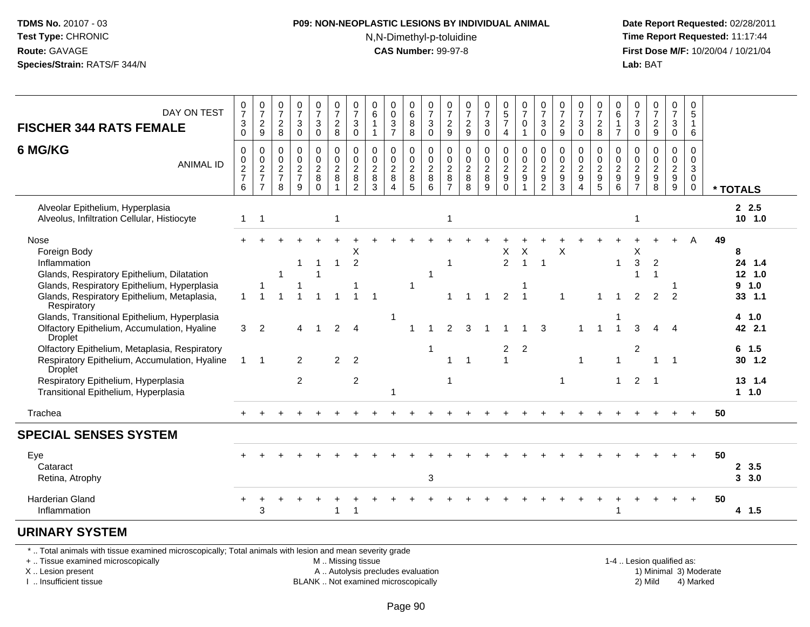#### **P09: NON-NEOPLASTIC LESIONS BY INDIVIDUAL ANIMAL**N,N-Dimethyl-p-toluidine

 **Date Report Requested:** 02/28/2011 **Time Report Requested:** 11:17:44 **First Dose M/F:** 10/20/04 / 10/21/04<br>**Lab:** BAT **Lab:** BAT

| DAY ON TEST                                                                     | $\frac{0}{7}$             | $\begin{array}{c} 0 \\ 7 \end{array}$ | $\frac{0}{7}$                 | $\frac{0}{7}$             | $\begin{smallmatrix}0\\7\end{smallmatrix}$ | 0<br>$\overline{7}$    | $\frac{0}{7}$          | $_6^0$                       | 0<br>$\overline{0}$                         | $\begin{array}{c} 0 \\ 6 \end{array}$ | 0<br>$\overline{7}$                | 0<br>$\overline{7}$                | $\frac{0}{7}$          | $\frac{0}{7}$  | $\begin{array}{c} 0 \\ 5 \\ 7 \end{array}$ | $\frac{0}{7}$          | $\frac{0}{7}$                            | $\frac{0}{7}$            | $\frac{0}{7}$                      | 0<br>$\overline{7}$   | 0<br>$\overline{6}$ | $\frac{0}{7}$                      | $\frac{0}{7}$           | 0<br>$\overline{7}$         | $\mathbf 0$<br>$\sqrt{5}$  |    |                 |
|---------------------------------------------------------------------------------|---------------------------|---------------------------------------|-------------------------------|---------------------------|--------------------------------------------|------------------------|------------------------|------------------------------|---------------------------------------------|---------------------------------------|------------------------------------|------------------------------------|------------------------|----------------|--------------------------------------------|------------------------|------------------------------------------|--------------------------|------------------------------------|-----------------------|---------------------|------------------------------------|-------------------------|-----------------------------|----------------------------|----|-----------------|
| <b>FISCHER 344 RATS FEMALE</b>                                                  | $\sqrt{3}$<br>$\mathbf 0$ | $\boldsymbol{2}$<br>$\boldsymbol{9}$  | $\frac{2}{8}$                 | $\sqrt{3}$<br>$\mathbf 0$ | $\mathbf{3}$<br>$\mathbf 0$                | $_{\rm 8}^2$           | 3<br>$\mathbf 0$       | $\mathbf{1}$<br>$\mathbf{1}$ | $\ensuremath{\mathsf{3}}$<br>$\overline{7}$ | 8<br>$\bf 8$                          | $\sqrt{3}$<br>$\mathbf 0$          | $\boldsymbol{2}$<br>$\overline{9}$ | $\frac{2}{9}$          | 3<br>0         | $\overline{4}$                             | $\pmb{0}$              | $\ensuremath{\mathsf{3}}$<br>$\mathbf 0$ | $\frac{2}{9}$            | $\sqrt{3}$<br>$\mathbf 0$          | $\overline{c}$<br>8   | $\overline{7}$      | $\mathsf 3$<br>$\mathsf{O}\xspace$ | $\frac{2}{9}$           | $\mathbf{3}$<br>$\mathbf 0$ | $\mathbf{1}$<br>6          |    |                 |
|                                                                                 |                           |                                       |                               |                           |                                            |                        |                        |                              |                                             |                                       |                                    |                                    |                        |                |                                            |                        |                                          |                          |                                    |                       |                     |                                    |                         |                             |                            |    |                 |
| 6 MG/KG                                                                         | $\mathbf 0$<br>0          | $\pmb{0}$                             | $\boldsymbol{0}$<br>$\pmb{0}$ | $\pmb{0}$<br>$\mathbf 0$  | 0<br>$\pmb{0}$                             | $\pmb{0}$<br>$\pmb{0}$ | $\pmb{0}$<br>$\pmb{0}$ | 0<br>$\mathbf 0$             | 0<br>$\pmb{0}$                              | $\mathbf 0$<br>$\mathbf 0$            | $\mathbf 0$<br>$\mathsf{O}\xspace$ | $\mathbf 0$<br>$\boldsymbol{0}$    | $\pmb{0}$<br>$\pmb{0}$ | 0<br>$\pmb{0}$ | $\mathsf 0$<br>$\mathbf 0$                 | $\pmb{0}$<br>$\pmb{0}$ | $\mathbf 0$<br>$\pmb{0}$                 | 0<br>$\mathbf 0$         | 0<br>$\pmb{0}$                     | 0<br>$\boldsymbol{0}$ | $\mathbf 0$<br>0    | $\mathbf 0$<br>$\pmb{0}$           | $\pmb{0}$               | $\mathbf 0$<br>$\mathbf 0$  | $\mathbf 0$<br>$\mathbf 0$ |    |                 |
| <b>ANIMAL ID</b>                                                                | $\frac{2}{7}$             | $\frac{0}{2}$                         | $\frac{2}{7}$                 | $\frac{2}{7}$             | $\overline{2}$                             | $\overline{2}$         | $\boldsymbol{2}$       | $\sqrt{2}$                   | $\overline{2}$                              | $\frac{2}{8}$                         | $\overline{2}$                     | $\overline{c}$                     | $\overline{2}$         | $\frac{2}{8}$  | $\overline{2}$                             | $\overline{2}$         | $\frac{2}{9}$                            | $\overline{2}$           | $\overline{2}$                     | $\overline{2}$        | $\overline{c}$      | $\frac{2}{9}$                      |                         |                             | $\mathbf{3}$               |    |                 |
|                                                                                 | 6                         | $\overline{7}$                        | 8                             | 9                         | $\bf 8$<br>$\mathbf 0$                     | 8<br>$\mathbf{1}$      | 8<br>$\overline{2}$    | 8<br>3                       | $\bf8$<br>$\overline{4}$                    | $\overline{5}$                        | $\, 8$<br>$6\phantom{1}$           | 8<br>$\overline{7}$                | 8<br>8                 | 9              | 9<br>$\overline{0}$                        | 9                      | $\overline{2}$                           | $\boldsymbol{9}$<br>3    | $\boldsymbol{9}$<br>$\overline{4}$ | 9<br>5                | 9<br>6              | $\overline{7}$                     | $0$<br>$9$<br>$8$       | $\frac{2}{9}$               | $\mathbf 0$<br>$\mathbf 0$ |    | * TOTALS        |
|                                                                                 |                           |                                       |                               |                           |                                            |                        |                        |                              |                                             |                                       |                                    |                                    |                        |                |                                            |                        |                                          |                          |                                    |                       |                     |                                    |                         |                             |                            |    |                 |
| Alveolar Epithelium, Hyperplasia<br>Alveolus, Infiltration Cellular, Histiocyte | $\mathbf{1}$              | -1                                    |                               |                           |                                            | 1                      |                        |                              |                                             |                                       |                                    | 1                                  |                        |                |                                            |                        |                                          |                          |                                    |                       |                     | 1                                  |                         |                             |                            |    | 2.5<br>$10$ 1.0 |
|                                                                                 |                           |                                       |                               |                           |                                            |                        |                        |                              |                                             |                                       |                                    |                                    |                        |                |                                            |                        |                                          |                          |                                    |                       |                     |                                    |                         |                             |                            |    |                 |
| Nose                                                                            |                           |                                       |                               |                           |                                            |                        |                        |                              |                                             |                                       |                                    |                                    |                        |                |                                            |                        |                                          |                          |                                    |                       |                     |                                    |                         |                             | A                          | 49 |                 |
| Foreign Body                                                                    |                           |                                       |                               |                           |                                            |                        | X                      |                              |                                             |                                       |                                    |                                    |                        |                | X                                          | X                      |                                          | X                        |                                    |                       |                     | х                                  |                         |                             |                            |    | 8               |
| Inflammation                                                                    |                           |                                       |                               | 1                         | 1                                          | 1                      | $\overline{2}$         |                              |                                             |                                       |                                    | 1                                  |                        |                | $\overline{2}$                             | $\overline{1}$         | $\overline{1}$                           |                          |                                    |                       | 1                   | 3                                  | $\sqrt{2}$              |                             |                            |    | 24 1.4          |
| Glands, Respiratory Epithelium, Dilatation                                      |                           |                                       |                               |                           |                                            |                        |                        |                              |                                             |                                       | -1                                 |                                    |                        |                |                                            |                        |                                          |                          |                                    |                       |                     |                                    | $\overline{\mathbf{1}}$ |                             |                            |    | 12, 1.0         |
| Glands, Respiratory Epithelium, Hyperplasia                                     |                           |                                       |                               |                           |                                            |                        |                        |                              |                                             | 1                                     |                                    |                                    |                        |                |                                            |                        |                                          |                          |                                    |                       |                     |                                    |                         |                             |                            |    | 9 1.0           |
| Glands, Respiratory Epithelium, Metaplasia,<br>Respiratory                      |                           |                                       |                               |                           |                                            |                        |                        | $\overline{1}$               |                                             |                                       |                                    | 1                                  |                        | 1              | 2                                          | $\overline{1}$         |                                          | $\overline{\mathbf{1}}$  |                                    |                       |                     | 2                                  | 2                       | 2                           |                            |    | 33, 1.1         |
| Glands, Transitional Epithelium, Hyperplasia                                    |                           |                                       |                               |                           |                                            |                        |                        |                              | -1                                          |                                       |                                    |                                    |                        |                |                                            |                        |                                          |                          |                                    |                       |                     |                                    |                         |                             |                            |    | 4 1.0           |
| Olfactory Epithelium, Accumulation, Hyaline<br><b>Droplet</b>                   | 3                         | 2                                     |                               | 4                         | $\overline{1}$                             | $\overline{2}$         | $\overline{4}$         |                              |                                             |                                       |                                    | $\overline{2}$                     | 3                      |                |                                            |                        | 3                                        |                          | 1                                  |                       |                     | 3                                  |                         | Δ                           |                            |    | 42 2.1          |
| Olfactory Epithelium, Metaplasia, Respiratory                                   |                           |                                       |                               |                           |                                            |                        |                        |                              |                                             |                                       | -1                                 |                                    |                        |                | $\overline{2}$                             | $\overline{2}$         |                                          |                          |                                    |                       |                     | $\overline{c}$                     |                         |                             |                            |    | $6$ 1.5         |
| Respiratory Epithelium, Accumulation, Hyaline<br><b>Droplet</b>                 | $\mathbf{1}$              | $\overline{1}$                        |                               | $\overline{2}$            |                                            | $\mathcal{P}$          | $\overline{2}$         |                              |                                             |                                       |                                    | $\mathbf{1}$                       | -1                     |                | $\mathbf{1}$                               |                        |                                          |                          | $\mathbf{1}$                       |                       | 1                   |                                    | $\overline{1}$          | $\overline{1}$              |                            |    | 30, 1.2         |
| Respiratory Epithelium, Hyperplasia                                             |                           |                                       |                               | $\overline{2}$            |                                            |                        | $\overline{c}$         |                              |                                             |                                       |                                    | 1                                  |                        |                |                                            |                        |                                          | $\overline{\phantom{a}}$ |                                    |                       | 1                   | $\overline{2}$                     | -1                      |                             |                            |    | 13 1.4          |
| Transitional Epithelium, Hyperplasia                                            |                           |                                       |                               |                           |                                            |                        |                        |                              |                                             |                                       |                                    |                                    |                        |                |                                            |                        |                                          |                          |                                    |                       |                     |                                    |                         |                             |                            |    | $1 \quad 1.0$   |
| Trachea                                                                         |                           |                                       |                               |                           |                                            |                        |                        |                              |                                             |                                       |                                    |                                    |                        |                |                                            |                        |                                          |                          |                                    |                       |                     |                                    |                         |                             |                            | 50 |                 |
| <b>SPECIAL SENSES SYSTEM</b>                                                    |                           |                                       |                               |                           |                                            |                        |                        |                              |                                             |                                       |                                    |                                    |                        |                |                                            |                        |                                          |                          |                                    |                       |                     |                                    |                         |                             |                            |    |                 |
| Eye                                                                             |                           |                                       |                               |                           |                                            |                        |                        |                              |                                             |                                       |                                    |                                    |                        |                |                                            |                        |                                          |                          |                                    |                       |                     |                                    |                         |                             |                            | 50 |                 |
| Cataract                                                                        |                           |                                       |                               |                           |                                            |                        |                        |                              |                                             |                                       |                                    |                                    |                        |                |                                            |                        |                                          |                          |                                    |                       |                     |                                    |                         |                             |                            |    | 2, 3.5          |
| Retina, Atrophy                                                                 |                           |                                       |                               |                           |                                            |                        |                        |                              |                                             |                                       | 3                                  |                                    |                        |                |                                            |                        |                                          |                          |                                    |                       |                     |                                    |                         |                             |                            |    | 3, 3.0          |
| <b>Harderian Gland</b>                                                          |                           |                                       |                               |                           |                                            |                        |                        |                              |                                             |                                       |                                    |                                    |                        |                |                                            |                        |                                          |                          |                                    |                       |                     |                                    |                         |                             |                            | 50 |                 |
| Inflammation                                                                    |                           | 3                                     |                               |                           |                                            | 1                      | -1                     |                              |                                             |                                       |                                    |                                    |                        |                |                                            |                        |                                          |                          |                                    |                       |                     |                                    |                         |                             |                            |    | 4 1.5           |
| <b>IIDIMADV CVCTEM</b>                                                          |                           |                                       |                               |                           |                                            |                        |                        |                              |                                             |                                       |                                    |                                    |                        |                |                                            |                        |                                          |                          |                                    |                       |                     |                                    |                         |                             |                            |    |                 |

#### **URINARY SYSTEM**

\* .. Total animals with tissue examined microscopically; Total animals with lesion and mean severity grade

+ .. Tissue examined microscopically

X .. Lesion present

I .. Insufficient tissue

M .. Missing tissue

A .. Autolysis precludes evaluation

BLANK .. Not examined microscopically 2) Mild 4) Marked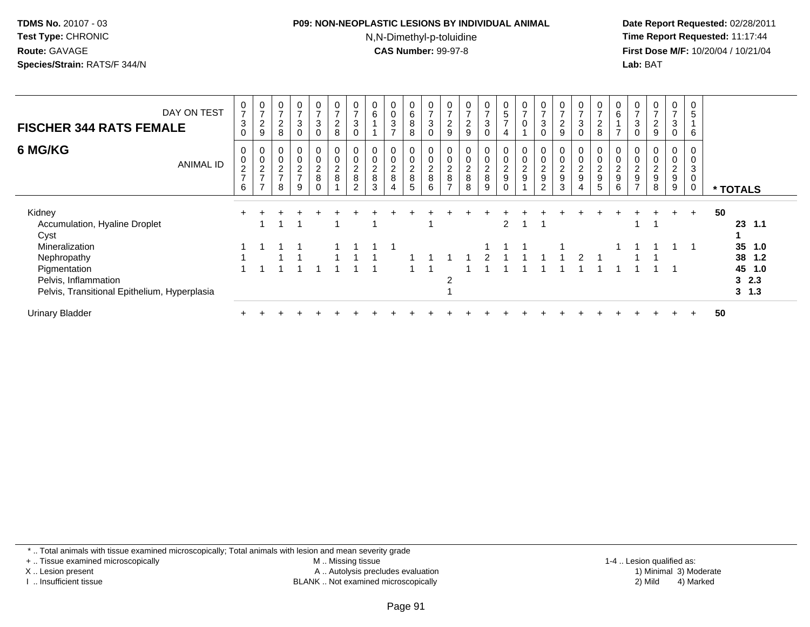#### **P09: NON-NEOPLASTIC LESIONS BY INDIVIDUAL ANIMAL**N,N-Dimethyl-p-toluidine

 **Date Report Requested:** 02/28/2011 **Time Report Requested:** 11:17:44 **First Dose M/F:** 10/20/04 / 10/21/04<br>**Lab:** BAT **Lab:** BAT

| DAY ON TEST<br><b>FISCHER 344 RATS FEMALE</b> | $\frac{0}{7}$<br>3                   | $\frac{0}{7}$<br>$\boldsymbol{2}$<br>9             | $\rightarrow$<br>$\overline{2}$<br>8   | 0<br>$\rightarrow$<br>$\sqrt{3}$         | $\frac{0}{7}$<br>$\ensuremath{\mathsf{3}}$<br>0 | 0<br>$\overline{7}$<br>$\overline{c}$<br>8 | 0<br>$\overline{ }$<br>3<br>$\Omega$      | O<br>6                                                       | 0<br>$\pmb{0}$<br>$\ensuremath{\mathsf{3}}$<br>$\rightarrow$ | 0<br>6<br>8<br>8             | $\frac{0}{7}$<br>3<br>$\Omega$         | $\rightarrow$<br>$\boldsymbol{2}$<br>9                                 | $\overline{z}$<br>$\boldsymbol{2}$<br>9 | 0<br>$\rightarrow$<br>$\sqrt{3}$<br>0  | $\begin{array}{c} 0 \\ 5 \\ 7 \end{array}$<br>4                           | $\frac{0}{7}$<br>$\pmb{0}$                          | 0<br>$\overline{ }$<br>3<br>$\Omega$ | $\overline{ }$<br>$\overline{\mathbf{c}}$<br>9 | $\mathbf 0$<br>$\rightarrow$<br>$\ensuremath{\mathsf{3}}$<br>$\Omega$ | 0<br>$\rightarrow$<br>$\overline{c}$<br>8 | $\begin{matrix} 0 \\ 6 \end{matrix}$<br>$\overline{ }$ | 0<br>$\overline{ }$<br>$\mathbf{3}$<br>$\Omega$     | $\overline{7}$<br>$\overline{c}$<br>9 | 0<br>$\overline{ }$<br>3<br>0 | 0<br>$\overline{5}$<br>6        |           |
|-----------------------------------------------|--------------------------------------|----------------------------------------------------|----------------------------------------|------------------------------------------|-------------------------------------------------|--------------------------------------------|-------------------------------------------|--------------------------------------------------------------|--------------------------------------------------------------|------------------------------|----------------------------------------|------------------------------------------------------------------------|-----------------------------------------|----------------------------------------|---------------------------------------------------------------------------|-----------------------------------------------------|--------------------------------------|------------------------------------------------|-----------------------------------------------------------------------|-------------------------------------------|--------------------------------------------------------|-----------------------------------------------------|---------------------------------------|-------------------------------|---------------------------------|-----------|
| 6 MG/KG<br>ANIMAL ID                          | 0<br>$\pmb{0}$<br>$\frac{2}{7}$<br>6 | 0<br>$\mathbf 0$<br>$\frac{2}{7}$<br>$\rightarrow$ | 0<br>$\mathbf 0$<br>$\frac{2}{7}$<br>8 | $_{\rm 0}^{\rm 0}$<br>$\frac{2}{7}$<br>9 | 0<br>$\mathbf 0$<br>$\frac{2}{8}$               | $\pmb{0}$<br>$_{\rm 8}^2$                  | 0<br>0<br>$\frac{2}{8}$<br>$\overline{c}$ | 0<br>$\pmb{0}$<br>$\begin{array}{c} 2 \\ 8 \end{array}$<br>3 | $\mathbf 0$<br>$\pmb{0}$<br>$\frac{2}{8}$<br>$\overline{4}$  | 0<br>0<br>$\frac{2}{8}$<br>5 | 0<br>$\mathbf 0$<br>$\frac{2}{8}$<br>6 | $\mathsf 0$<br>$\begin{array}{c} 2 \\ 8 \end{array}$<br>$\overline{ }$ | $\mathbf 0$<br>$\frac{2}{8}$<br>8       | 0<br>$\mathbf 0$<br>$\frac{2}{8}$<br>9 | $\begin{smallmatrix} 0\\0 \end{smallmatrix}$<br>$\frac{2}{9}$<br>$\Omega$ | $\boldsymbol{0}$<br>$\overline{0}$<br>$\frac{2}{9}$ | 0<br>$\pmb{0}$<br>$\frac{2}{9}$<br>2 | $\mathbf 0$<br>$\frac{2}{9}$<br>3              | 0<br>$\mathsf 0$<br>$\frac{2}{9}$<br>4                                | 0<br>0<br>$\frac{2}{9}$<br>5              | 0<br>$\pmb{0}$<br>$\frac{2}{9}$<br>6                   | 0<br>$\mathbf 0$<br>$\frac{2}{9}$<br>$\overline{ }$ | $\frac{2}{9}$<br>8                    | 0<br>0<br>$\frac{2}{9}$<br>9  | 0<br>0<br>3<br>0<br>$\mathbf 0$ | * TOTALS  |
|                                               |                                      |                                                    |                                        |                                          |                                                 |                                            |                                           |                                                              |                                                              |                              |                                        |                                                                        |                                         |                                        |                                                                           |                                                     |                                      |                                                |                                                                       |                                           |                                                        |                                                     |                                       |                               |                                 |           |
| Kidney                                        |                                      |                                                    |                                        |                                          |                                                 |                                            |                                           |                                                              |                                                              |                              |                                        |                                                                        |                                         |                                        |                                                                           |                                                     |                                      |                                                |                                                                       |                                           |                                                        |                                                     |                                       |                               | $+$                             | 50        |
| Accumulation, Hyaline Droplet<br>Cyst         |                                      |                                                    |                                        |                                          |                                                 |                                            |                                           |                                                              |                                                              |                              |                                        |                                                                        |                                         |                                        | $\overline{2}$                                                            |                                                     |                                      |                                                |                                                                       |                                           |                                                        |                                                     |                                       |                               |                                 | 23<br>1.1 |
| Mineralization                                |                                      |                                                    |                                        |                                          |                                                 |                                            |                                           |                                                              |                                                              |                              |                                        |                                                                        |                                         |                                        |                                                                           |                                                     |                                      |                                                |                                                                       |                                           |                                                        |                                                     |                                       |                               |                                 | 35<br>1.0 |
| Nephropathy                                   |                                      |                                                    |                                        |                                          |                                                 |                                            |                                           |                                                              |                                                              |                              |                                        |                                                                        |                                         |                                        |                                                                           |                                                     |                                      |                                                |                                                                       |                                           |                                                        |                                                     |                                       |                               |                                 | 38<br>1.2 |
| Pigmentation                                  |                                      |                                                    |                                        |                                          |                                                 |                                            |                                           |                                                              |                                                              |                              |                                        |                                                                        |                                         |                                        |                                                                           |                                                     |                                      |                                                |                                                                       |                                           |                                                        |                                                     |                                       |                               |                                 | 45<br>1.0 |
| Pelvis, Inflammation                          |                                      |                                                    |                                        |                                          |                                                 |                                            |                                           |                                                              |                                                              |                              |                                        | 2                                                                      |                                         |                                        |                                                                           |                                                     |                                      |                                                |                                                                       |                                           |                                                        |                                                     |                                       |                               |                                 | 32.3      |
| Pelvis, Transitional Epithelium, Hyperplasia  |                                      |                                                    |                                        |                                          |                                                 |                                            |                                           |                                                              |                                                              |                              |                                        |                                                                        |                                         |                                        |                                                                           |                                                     |                                      |                                                |                                                                       |                                           |                                                        |                                                     |                                       |                               |                                 | $3 \t1.3$ |
| <b>Urinary Bladder</b>                        |                                      |                                                    |                                        |                                          |                                                 |                                            |                                           |                                                              |                                                              |                              |                                        |                                                                        |                                         |                                        |                                                                           |                                                     |                                      |                                                |                                                                       |                                           |                                                        |                                                     |                                       |                               | ÷.                              | 50        |

\* .. Total animals with tissue examined microscopically; Total animals with lesion and mean severity grade

+ .. Tissue examined microscopically

X .. Lesion present

I .. Insufficient tissue

 M .. Missing tissueA .. Autolysis precludes evaluation

BLANK .. Not examined microscopically 2) Mild 4) Marked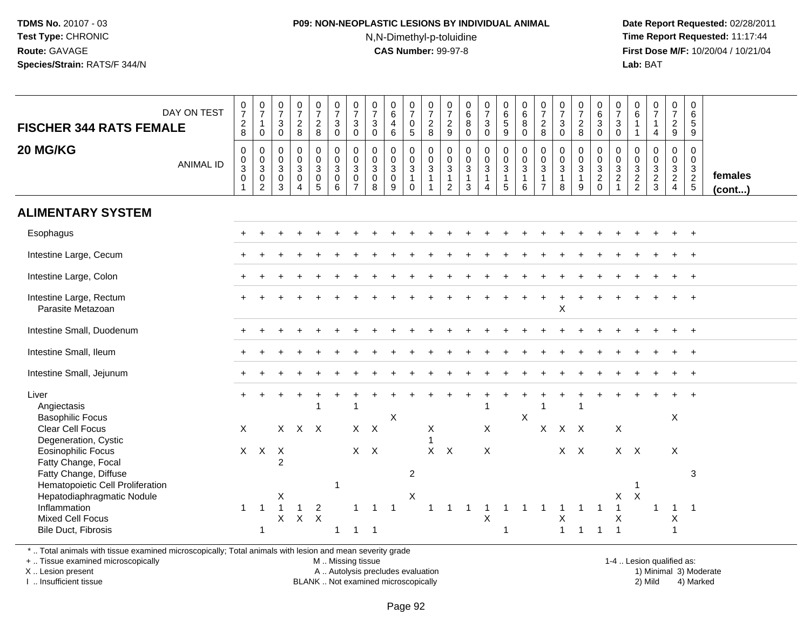#### **P09: NON-NEOPLASTIC LESIONS BY INDIVIDUAL ANIMAL**N,N-Dimethyl-p-toluidine

 **Date Report Requested:** 02/28/2011 **Time Report Requested:** 11:17:44 **First Dose M/F:** 10/20/04 / 10/21/04<br>**Lab:** BAT **Lab:** BAT

| <b>FISCHER 344 RATS FEMALE</b>                                                                                | DAY ON TEST      | $\frac{0}{7}$<br>$_{8}^2$                    | $\frac{0}{7}$<br>$\mathbf{1}$<br>$\mathsf{O}\xspace$      | $\begin{array}{c} 0 \\ 7 \end{array}$<br>$\mathsf 3$<br>$\mathbf 0$ | $\begin{array}{c} 0 \\ 7 \end{array}$<br>$\frac{2}{8}$                      | $\begin{smallmatrix}0\\7\end{smallmatrix}$<br>$\frac{2}{8}$                           | $\begin{smallmatrix}0\\7\end{smallmatrix}$<br>$\ensuremath{\mathsf{3}}$<br>$\mathbf 0$ | $\begin{array}{c} 0 \\ 7 \end{array}$<br>3<br>$\mathbf 0$                   | $\frac{0}{7}$<br>3<br>$\mathbf 0$                   | $\begin{array}{c} 0 \\ 6 \end{array}$<br>$\overline{4}$<br>$6\phantom{1}6$ | $\begin{array}{c} 0 \\ 7 \end{array}$<br>$\mathbf 0$<br>$\sqrt{5}$     | $\frac{0}{7}$<br>$_{\rm 8}^2$                     | $\frac{0}{7}$<br>$\frac{2}{9}$                                     | $\begin{array}{c} 0 \\ 6 \\ 8 \end{array}$<br>$\mathbf 0$ | $\begin{array}{c} 0 \\ 7 \end{array}$<br>$\mathbf{3}$<br>$\ddot{\mathbf{0}}$   | 0<br>5<br>5<br>9                                     | $\begin{array}{c} 0 \\ 6 \end{array}$<br>8<br>$\mathbf 0$ | 0<br>$\overline{7}$<br>$_{8}^{\rm 2}$                               | $\begin{array}{c} 0 \\ 7 \end{array}$<br>$\sqrt{3}$<br>$\mathbf 0$          | $\frac{0}{7}$<br>$\boldsymbol{2}$<br>$\overline{8}$             | $\begin{array}{c} 0 \\ 6 \end{array}$<br>$\sqrt{3}$<br>$\mathbf 0$ | $\begin{array}{c} 0 \\ 7 \end{array}$<br>$\sqrt{3}$<br>0              | 0<br>$\,6\,$                                                | $\begin{array}{c} 0 \\ 7 \end{array}$<br>$\mathbf{1}$<br>$\overline{4}$ | $\frac{0}{7}$<br>$\overline{2}$<br>9 | $\pmb{0}$<br>$\,6\,$<br>$5\phantom{.0}$<br>9        |                   |
|---------------------------------------------------------------------------------------------------------------|------------------|----------------------------------------------|-----------------------------------------------------------|---------------------------------------------------------------------|-----------------------------------------------------------------------------|---------------------------------------------------------------------------------------|----------------------------------------------------------------------------------------|-----------------------------------------------------------------------------|-----------------------------------------------------|----------------------------------------------------------------------------|------------------------------------------------------------------------|---------------------------------------------------|--------------------------------------------------------------------|-----------------------------------------------------------|--------------------------------------------------------------------------------|------------------------------------------------------|-----------------------------------------------------------|---------------------------------------------------------------------|-----------------------------------------------------------------------------|-----------------------------------------------------------------|--------------------------------------------------------------------|-----------------------------------------------------------------------|-------------------------------------------------------------|-------------------------------------------------------------------------|--------------------------------------|-----------------------------------------------------|-------------------|
| 20 MG/KG                                                                                                      | <b>ANIMAL ID</b> | $\pmb{0}$<br>$\frac{0}{3}$<br>$\pmb{0}$<br>1 | $\pmb{0}$<br>$\frac{0}{3}$<br>$\pmb{0}$<br>$\overline{2}$ | 0<br>$\mathsf{O}\xspace$<br>$\overline{3}$<br>$\mathbf 0$<br>3      | $\pmb{0}$<br>$\mathbf 0$<br>$\overline{3}$<br>$\mathbf 0$<br>$\overline{4}$ | $\mathbf 0$<br>$\mathsf{O}\xspace$<br>$\overline{3}$<br>$\mathbf 0$<br>$\overline{5}$ | $\mathbf 0$<br>$\frac{0}{3}$<br>$\mathbf 0$<br>6                                       | $\mathbf 0$<br>$\mathsf{O}\xspace$<br>$\overline{3}$<br>0<br>$\overline{7}$ | $\mathbf 0$<br>$\mathbf 0$<br>3<br>$\mathbf 0$<br>8 | $\mathbf 0$<br>$\frac{0}{3}$<br>$\mathbf 0$<br>9                           | 0<br>$\mathsf{O}\xspace$<br>$\overline{3}$<br>$\mathbf{1}$<br>$\Omega$ | $\mathbf 0$<br>$\frac{0}{3}$<br>$\mathbf{1}$<br>1 | 0<br>$\pmb{0}$<br>$\overline{3}$<br>$\mathbf{1}$<br>$\overline{2}$ | $\pmb{0}$<br>$\overline{0}$<br>3<br>$\mathbf{1}$<br>3     | $\mathsf{O}\xspace$<br>$\frac{0}{3}$<br>$\mathbf{1}$<br>$\boldsymbol{\Lambda}$ | 0<br>$\frac{0}{3}$<br>$\mathbf{1}$<br>$\overline{5}$ | $\pmb{0}$<br>$\overline{0}$<br>3<br>$\mathbf{1}$<br>6     | $\mathbf 0$<br>$\mathbf 0$<br>$\overline{3}$<br>1<br>$\overline{7}$ | $\mathbf 0$<br>$\mathsf{O}\xspace$<br>$\overline{3}$<br>$\overline{1}$<br>8 | $\mathbf 0$<br>$\pmb{0}$<br>$\overline{3}$<br>$\mathbf{1}$<br>9 | $\mathbf 0$<br>$\mathsf{O}\xspace$<br>$\frac{3}{2}$ <sub>0</sub>   | $\mathbf 0$<br>$\mathsf{O}\xspace$<br>$\frac{3}{2}$<br>$\overline{1}$ | $\mathbf 0$<br>$\mathbf 0$<br>$\mathbf{3}$<br>$\frac{2}{2}$ | 0<br>$\overline{0}$<br>$\frac{3}{2}$<br>3                               | 0<br>$\frac{0}{3}$<br>$\overline{4}$ | $\mathbf 0$<br>$\overline{0}$<br>3<br>$\frac{2}{5}$ | females<br>(cont) |
| <b>ALIMENTARY SYSTEM</b>                                                                                      |                  |                                              |                                                           |                                                                     |                                                                             |                                                                                       |                                                                                        |                                                                             |                                                     |                                                                            |                                                                        |                                                   |                                                                    |                                                           |                                                                                |                                                      |                                                           |                                                                     |                                                                             |                                                                 |                                                                    |                                                                       |                                                             |                                                                         |                                      |                                                     |                   |
| Esophagus                                                                                                     |                  |                                              |                                                           |                                                                     |                                                                             |                                                                                       |                                                                                        |                                                                             |                                                     |                                                                            |                                                                        |                                                   |                                                                    |                                                           |                                                                                |                                                      |                                                           |                                                                     |                                                                             |                                                                 |                                                                    |                                                                       |                                                             |                                                                         |                                      |                                                     |                   |
| Intestine Large, Cecum                                                                                        |                  |                                              |                                                           |                                                                     |                                                                             |                                                                                       |                                                                                        |                                                                             |                                                     |                                                                            |                                                                        |                                                   |                                                                    |                                                           |                                                                                |                                                      |                                                           |                                                                     |                                                                             |                                                                 |                                                                    |                                                                       |                                                             |                                                                         |                                      |                                                     |                   |
| Intestine Large, Colon                                                                                        |                  |                                              |                                                           |                                                                     |                                                                             |                                                                                       |                                                                                        |                                                                             |                                                     |                                                                            |                                                                        |                                                   |                                                                    |                                                           |                                                                                |                                                      |                                                           |                                                                     |                                                                             |                                                                 |                                                                    |                                                                       |                                                             |                                                                         |                                      | $\ddot{}$                                           |                   |
| Intestine Large, Rectum<br>Parasite Metazoan                                                                  |                  |                                              |                                                           |                                                                     |                                                                             |                                                                                       |                                                                                        |                                                                             |                                                     |                                                                            |                                                                        |                                                   |                                                                    |                                                           |                                                                                |                                                      |                                                           |                                                                     | X                                                                           |                                                                 |                                                                    |                                                                       |                                                             |                                                                         |                                      |                                                     |                   |
| Intestine Small, Duodenum                                                                                     |                  |                                              |                                                           |                                                                     |                                                                             |                                                                                       |                                                                                        |                                                                             |                                                     |                                                                            |                                                                        |                                                   |                                                                    |                                                           |                                                                                |                                                      |                                                           |                                                                     |                                                                             |                                                                 |                                                                    |                                                                       |                                                             |                                                                         |                                      |                                                     |                   |
| Intestine Small, Ileum                                                                                        |                  |                                              |                                                           |                                                                     |                                                                             |                                                                                       |                                                                                        |                                                                             |                                                     |                                                                            |                                                                        |                                                   |                                                                    |                                                           |                                                                                |                                                      |                                                           |                                                                     |                                                                             |                                                                 |                                                                    |                                                                       |                                                             |                                                                         |                                      |                                                     |                   |
| Intestine Small, Jejunum                                                                                      |                  |                                              |                                                           |                                                                     |                                                                             |                                                                                       |                                                                                        |                                                                             |                                                     |                                                                            |                                                                        |                                                   |                                                                    |                                                           |                                                                                |                                                      |                                                           |                                                                     |                                                                             |                                                                 |                                                                    |                                                                       |                                                             |                                                                         |                                      | $\ddot{}$                                           |                   |
| Liver<br>Angiectasis<br><b>Basophilic Focus</b>                                                               |                  |                                              |                                                           |                                                                     |                                                                             | $\mathbf{1}$                                                                          |                                                                                        |                                                                             |                                                     | X                                                                          |                                                                        |                                                   |                                                                    |                                                           | -1                                                                             |                                                      | X                                                         |                                                                     |                                                                             |                                                                 |                                                                    |                                                                       |                                                             |                                                                         | X                                    |                                                     |                   |
| <b>Clear Cell Focus</b><br>Degeneration, Cystic                                                               |                  | $\times$                                     |                                                           |                                                                     | $X$ $X$ $X$                                                                 |                                                                                       |                                                                                        | $X$ $X$                                                                     |                                                     |                                                                            |                                                                        | X                                                 |                                                                    |                                                           | $\mathsf{X}$                                                                   |                                                      |                                                           | X                                                                   | $X$ $X$                                                                     |                                                                 |                                                                    | X                                                                     |                                                             |                                                                         |                                      |                                                     |                   |
| <b>Eosinophilic Focus</b><br>Fatty Change, Focal<br>Fatty Change, Diffuse<br>Hematopoietic Cell Proliferation |                  |                                              | $X$ $X$                                                   | $\boldsymbol{\mathsf{X}}$<br>$\overline{2}$                         |                                                                             |                                                                                       | -1                                                                                     | $X$ $X$                                                                     |                                                     |                                                                            | $\overline{c}$                                                         | $X$ $X$                                           |                                                                    |                                                           | X                                                                              |                                                      |                                                           |                                                                     | $X$ $X$                                                                     |                                                                 |                                                                    | $X$ $X$                                                               |                                                             |                                                                         | X                                    | 3                                                   |                   |
| Hepatodiaphragmatic Nodule<br>Inflammation<br><b>Mixed Cell Focus</b><br><b>Bile Duct, Fibrosis</b>           |                  | $\blacktriangleleft$                         | $\overline{1}$<br>-1                                      | $\mathsf X$<br>$\mathbf{1}$<br>X                                    | $\overline{1}$<br>$\mathsf{X}$                                              | $\overline{c}$<br>$\times$                                                            | 1                                                                                      | $\mathbf{1}$                                                                |                                                     | -1                                                                         | Χ                                                                      |                                                   |                                                                    |                                                           | X                                                                              | -1                                                   |                                                           |                                                                     | Х<br>$\overline{1}$                                                         | -1                                                              | -1                                                                 | X<br>$\overline{1}$<br>X<br>$\overline{1}$                            | $\times$                                                    | $\mathbf{1}$                                                            | $\mathbf{1}$<br>X<br>$\overline{1}$  | $\overline{1}$                                      |                   |

\* .. Total animals with tissue examined microscopically; Total animals with lesion and mean severity grade

+ .. Tissue examined microscopically

X .. Lesion present

I .. Insufficient tissue

M .. Missing tissue

 Lesion present A .. Autolysis precludes evaluation 1) Minimal 3) ModerateBLANK .. Not examined microscopically 2) Mild 4) Marked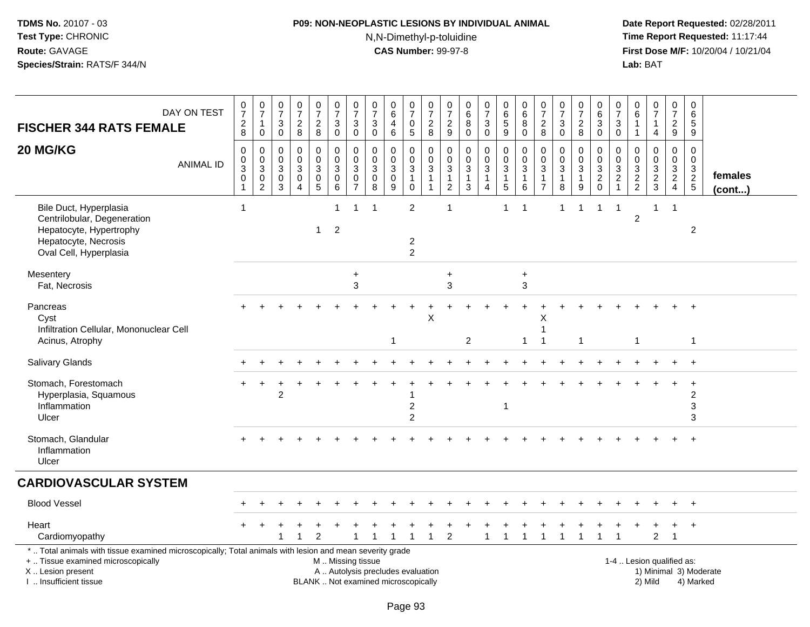# **P09: NON-NEOPLASTIC LESIONS BY INDIVIDUAL ANIMAL**N,N-Dimethyl-p-toluidine

| <b>FISCHER 344 RATS FEMALE</b>                                                                                                                                                                | DAY ON TEST      | $\frac{0}{7}$<br>$_{\rm 2}^2$                                | $\frac{0}{7}$<br>$\mathbf{1}$<br>0                                  | $\frac{0}{7}$<br>$\ensuremath{\mathsf{3}}$<br>$\mathbf 0$    | $\begin{array}{c} 0 \\ 7 \end{array}$<br>$\boldsymbol{2}$<br>8          | $\frac{0}{7}$<br>$\frac{2}{8}$                                         | $\frac{0}{7}$<br>$\ensuremath{\mathsf{3}}$<br>$\mathbf 0$ | $\frac{0}{7}$<br>3<br>$\mathbf 0$                              | 0<br>$\overline{7}$<br>$\mathbf{3}$<br>0                   | $\mathbf 0$<br>$\overline{6}$<br>$\overline{4}$<br>6                                | $\begin{array}{c} 0 \\ 7 \end{array}$<br>$\pmb{0}$<br>$\sqrt{5}$  | $\frac{0}{7}$<br>$\sqrt{2}$<br>8                                         | 0<br>$\overline{7}$<br>$\boldsymbol{2}$<br>9           | 0<br>$6\phantom{a}$<br>8<br>$\mathbf 0$                     | $\frac{0}{7}$<br>3<br>0                                 | $\begin{array}{c} 0 \\ 6 \\ 5 \end{array}$<br>$\boldsymbol{9}$      | $\mathbf 0$<br>$\overline{6}$<br>$\,8\,$<br>$\mathbf 0$           | $\pmb{0}$<br>$\overline{7}$<br>$\sqrt{2}$<br>8                   | $\frac{0}{7}$<br>$\mathbf{3}$<br>$\mathbf 0$                                                     | $\frac{0}{7}$<br>$\boldsymbol{2}$<br>$\,8\,$ | $_{6}^{\rm 0}$<br>$\ensuremath{\mathsf{3}}$<br>$\mathbf 0$  | 0<br>$\overline{7}$<br>3<br>$\mathbf 0$                 | 0<br>6<br>$\mathbf{1}$                                                   | $\begin{array}{c} 0 \\ 7 \end{array}$<br>$\mathbf 1$<br>4     | $\mathbf 0$<br>$\overline{7}$<br>$\overline{\mathbf{c}}$<br>9 | 0<br>$\,6\,$<br>$\sqrt{5}$<br>9             |                   |
|-----------------------------------------------------------------------------------------------------------------------------------------------------------------------------------------------|------------------|--------------------------------------------------------------|---------------------------------------------------------------------|--------------------------------------------------------------|-------------------------------------------------------------------------|------------------------------------------------------------------------|-----------------------------------------------------------|----------------------------------------------------------------|------------------------------------------------------------|-------------------------------------------------------------------------------------|-------------------------------------------------------------------|--------------------------------------------------------------------------|--------------------------------------------------------|-------------------------------------------------------------|---------------------------------------------------------|---------------------------------------------------------------------|-------------------------------------------------------------------|------------------------------------------------------------------|--------------------------------------------------------------------------------------------------|----------------------------------------------|-------------------------------------------------------------|---------------------------------------------------------|--------------------------------------------------------------------------|---------------------------------------------------------------|---------------------------------------------------------------|---------------------------------------------|-------------------|
| 20 MG/KG                                                                                                                                                                                      | <b>ANIMAL ID</b> | $\mathbf 0$<br>$_{3}^{\rm 0}$<br>$\mathbf 0$<br>$\mathbf{1}$ | 0<br>$_{3}^{\rm 0}$<br>$\begin{smallmatrix} 0\\2 \end{smallmatrix}$ | $\mathbf 0$<br>$\pmb{0}$<br>$\overline{3}$<br>$_{3}^{\rm 0}$ | $\mathbf 0$<br>$\mathbf 0$<br>$\sqrt{3}$<br>$\pmb{0}$<br>$\overline{4}$ | 0<br>$\mathsf{O}\xspace$<br>3<br>$\begin{array}{c} 0 \\ 5 \end{array}$ | $\pmb{0}$<br>$\pmb{0}$<br>$\overline{3}$<br>$\frac{0}{6}$ | $\mathbf 0$<br>$\mathbf 0$<br>3<br>$\pmb{0}$<br>$\overline{7}$ | $\mathbf 0$<br>$\mathbf 0$<br>$\sqrt{3}$<br>$\pmb{0}$<br>8 | $\mathbf 0$<br>$\pmb{0}$<br>$\overline{3}$<br>$\mathsf{O}\xspace$<br>$\overline{9}$ | 0<br>$\mathbf 0$<br>$\overline{3}$<br>$\mathbf{1}$<br>$\mathbf 0$ | $\mathbf 0$<br>$\mathbf 0$<br>$\sqrt{3}$<br>$\mathbf{1}$<br>$\mathbf{1}$ | $\mathbf 0$<br>$\mathbf 0$<br>3<br>1<br>$\overline{c}$ | $\mathbf 0$<br>$\pmb{0}$<br>$\overline{3}$<br>$\frac{1}{3}$ | 0<br>$\mathbf 0$<br>3<br>$\mathbf{1}$<br>$\overline{4}$ | $\pmb{0}$<br>$\frac{0}{3}$<br>$\begin{array}{c} 1 \\ 5 \end{array}$ | $\mathbf 0$<br>$\pmb{0}$<br>$\sqrt{3}$<br>$\mathbf{1}$<br>$\,6\,$ | 0<br>$\mathbf 0$<br>$\sqrt{3}$<br>$\mathbf{1}$<br>$\overline{7}$ | $\mathbf 0$<br>$\mathbf 0$<br>$\ensuremath{\mathsf{3}}$<br>$\begin{array}{c} 1 \\ 8 \end{array}$ | 0<br>$\mathbf 0$<br>$\sqrt{3}$<br>1<br>9     | 0<br>$\mathsf{O}\xspace$<br>$\overline{3}$<br>$\frac{2}{0}$ | 0<br>$\mathbf 0$<br>3<br>$\overline{c}$<br>$\mathbf{1}$ | $\mathbf 0$<br>$\mathbf 0$<br>$\ensuremath{\mathsf{3}}$<br>$\frac{2}{2}$ | $\mathbf 0$<br>$\mathsf 0$<br>$\overline{3}$<br>$\frac{2}{3}$ | 0<br>$\mathbf 0$<br>$\mathbf{3}$<br>$\frac{2}{4}$             | $\mathbf 0$<br>$\mathbf 0$<br>$\frac{3}{2}$ | females<br>(cont) |
| Bile Duct, Hyperplasia<br>Centrilobular, Degeneration<br>Hepatocyte, Hypertrophy<br>Hepatocyte, Necrosis<br>Oval Cell, Hyperplasia                                                            |                  | $\mathbf{1}$                                                 |                                                                     |                                                              |                                                                         | $\mathbf{1}$                                                           | 1<br>$\overline{2}$                                       | -1                                                             | $\overline{1}$                                             |                                                                                     | $\overline{2}$<br>2<br>$\overline{2}$                             |                                                                          | 1                                                      |                                                             |                                                         | $\mathbf 1$                                                         | $\overline{1}$                                                    |                                                                  | $\mathbf{1}$                                                                                     | -1                                           | -1                                                          | -1                                                      | $\overline{c}$                                                           | -1                                                            | -1                                                            | $\overline{c}$                              |                   |
| Mesentery<br>Fat, Necrosis                                                                                                                                                                    |                  |                                                              |                                                                     |                                                              |                                                                         |                                                                        |                                                           | $\ddot{}$<br>3                                                 |                                                            |                                                                                     |                                                                   |                                                                          | $\ddot{}$<br>3                                         |                                                             |                                                         |                                                                     | $\ddot{}$<br>3                                                    |                                                                  |                                                                                                  |                                              |                                                             |                                                         |                                                                          |                                                               |                                                               |                                             |                   |
| Pancreas<br>Cyst<br>Infiltration Cellular, Mononuclear Cell<br>Acinus, Atrophy                                                                                                                |                  |                                                              |                                                                     |                                                              |                                                                         |                                                                        |                                                           |                                                                |                                                            |                                                                                     |                                                                   | $\times$                                                                 |                                                        | $\overline{c}$                                              |                                                         |                                                                     | -1                                                                | Х<br>-1                                                          |                                                                                                  |                                              |                                                             |                                                         | -1                                                                       |                                                               |                                                               | $\mathbf 1$                                 |                   |
| Salivary Glands                                                                                                                                                                               |                  |                                                              |                                                                     |                                                              |                                                                         |                                                                        |                                                           |                                                                |                                                            |                                                                                     |                                                                   |                                                                          |                                                        |                                                             |                                                         |                                                                     |                                                                   |                                                                  |                                                                                                  |                                              |                                                             |                                                         |                                                                          |                                                               |                                                               | $\ddot{+}$                                  |                   |
| Stomach, Forestomach<br>Hyperplasia, Squamous<br>Inflammation<br>Ulcer                                                                                                                        |                  |                                                              |                                                                     | 2                                                            |                                                                         |                                                                        |                                                           |                                                                |                                                            |                                                                                     | 2<br>$\overline{2}$                                               |                                                                          |                                                        |                                                             |                                                         | $\overline{1}$                                                      |                                                                   |                                                                  |                                                                                                  |                                              |                                                             |                                                         |                                                                          |                                                               |                                                               | $\overline{\mathbf{c}}$<br>3<br>3           |                   |
| Stomach, Glandular<br>Inflammation<br>Ulcer                                                                                                                                                   |                  |                                                              |                                                                     |                                                              |                                                                         |                                                                        |                                                           |                                                                |                                                            |                                                                                     |                                                                   |                                                                          |                                                        |                                                             |                                                         |                                                                     |                                                                   |                                                                  |                                                                                                  |                                              |                                                             |                                                         |                                                                          |                                                               |                                                               | $\ddot{}$                                   |                   |
| <b>CARDIOVASCULAR SYSTEM</b>                                                                                                                                                                  |                  |                                                              |                                                                     |                                                              |                                                                         |                                                                        |                                                           |                                                                |                                                            |                                                                                     |                                                                   |                                                                          |                                                        |                                                             |                                                         |                                                                     |                                                                   |                                                                  |                                                                                                  |                                              |                                                             |                                                         |                                                                          |                                                               |                                                               |                                             |                   |
| <b>Blood Vessel</b>                                                                                                                                                                           |                  |                                                              |                                                                     |                                                              |                                                                         |                                                                        |                                                           |                                                                |                                                            |                                                                                     |                                                                   |                                                                          |                                                        |                                                             |                                                         |                                                                     |                                                                   |                                                                  |                                                                                                  |                                              |                                                             |                                                         |                                                                          |                                                               |                                                               | $\overline{+}$                              |                   |
| Heart<br>Cardiomyopathy                                                                                                                                                                       |                  |                                                              |                                                                     |                                                              |                                                                         | 2                                                                      |                                                           |                                                                |                                                            |                                                                                     |                                                                   |                                                                          | 2                                                      |                                                             | $\mathbf{1}$                                            |                                                                     |                                                                   |                                                                  |                                                                                                  |                                              |                                                             | $\mathbf{1}$                                            | $\ddot{}$                                                                | $\ddot{}$<br>$\overline{2}$                                   | $\ddot{}$<br>$\overline{1}$                                   | $+$                                         |                   |
| *  Total animals with tissue examined microscopically; Total animals with lesion and mean severity grade<br>+  Tissue examined microscopically<br>X  Lesion present<br>I. Insufficient tissue |                  |                                                              |                                                                     |                                                              |                                                                         |                                                                        | M  Missing tissue                                         |                                                                |                                                            | A  Autolysis precludes evaluation<br>BLANK  Not examined microscopically            |                                                                   |                                                                          |                                                        |                                                             |                                                         |                                                                     |                                                                   |                                                                  |                                                                                                  |                                              |                                                             |                                                         |                                                                          | 1-4  Lesion qualified as:<br>2) Mild                          |                                                               | 1) Minimal 3) Moderate<br>4) Marked         |                   |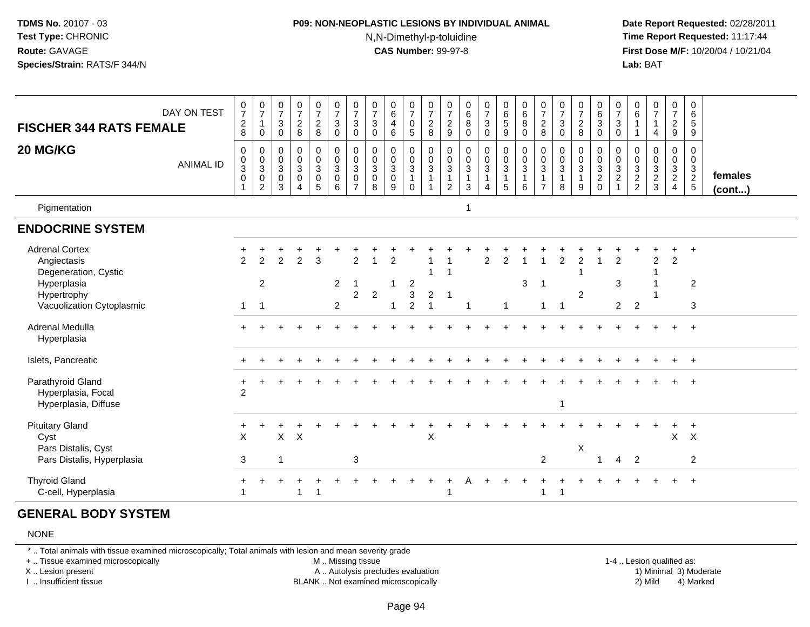#### **P09: NON-NEOPLASTIC LESIONS BY INDIVIDUAL ANIMAL**N,N-Dimethyl-p-toluidine

 **Date Report Requested:** 02/28/2011 **Time Report Requested:** 11:17:44 **First Dose M/F:** 10/20/04 / 10/21/04<br>**Lab:** BAT **Lab:** BAT

| <b>FISCHER 344 RATS FEMALE</b>                                                      | DAY ON TEST      | $\frac{0}{7}$<br>$\overline{c}$<br>8                    | $\frac{0}{7}$<br>$\mathbf 0$                                  | $\frac{0}{7}$<br>$\sqrt{3}$<br>$\mathsf{O}\xspace$ | $\frac{0}{7}$<br>$\overline{c}$<br>8                                | $\frac{0}{7}$<br>$\overline{c}$<br>$\bf8$                          | $\frac{0}{7}$<br>$\sqrt{3}$<br>$\mathsf 0$                             | $\frac{0}{7}$<br>$\ensuremath{\mathsf{3}}$<br>$\mathbf 0$         | $\frac{0}{7}$<br>$\sqrt{3}$<br>$\mathsf{O}\xspace$          | $\begin{array}{c} 0 \\ 6 \end{array}$<br>$\overline{4}$<br>$\,6\,$                | $\frac{0}{7}$<br>$\mathbf 0$<br>$5\phantom{.0}$        | $\frac{0}{7}$<br>$\frac{2}{8}$                                           | $\frac{0}{7}$<br>$\sqrt{2}$<br>$\boldsymbol{9}$                  | $\begin{array}{c} 0 \\ 6 \end{array}$<br>8<br>$\mathbf 0$          | $\frac{0}{7}$<br>3<br>$\mathsf{O}$                  | $\begin{array}{c} 0 \\ 6 \\ 5 \end{array}$<br>$\boldsymbol{9}$ | $_{\rm 6}^{\rm 0}$<br>$\overline{8}$<br>$\mathbf 0$                | $\frac{0}{7}$<br>$\overline{2}$<br>8    | $\frac{0}{7}$<br>$\sqrt{3}$<br>$\mathbf 0$                                 | $\frac{0}{7}$<br>$\overline{c}$<br>8                  | $_{6}^{\rm 0}$<br>$\overline{3}$<br>$\pmb{0}$        | $\frac{0}{7}$<br>$\mathbf{3}$<br>$\mathsf{O}\xspace$ | 0<br>6                         | $\begin{array}{c} 0 \\ 7 \end{array}$<br>1<br>4 | $\frac{0}{7}$<br>$\sqrt{2}$<br>$\boldsymbol{9}$     | 0<br>6<br>5<br>9                                               |                         |
|-------------------------------------------------------------------------------------|------------------|---------------------------------------------------------|---------------------------------------------------------------|----------------------------------------------------|---------------------------------------------------------------------|--------------------------------------------------------------------|------------------------------------------------------------------------|-------------------------------------------------------------------|-------------------------------------------------------------|-----------------------------------------------------------------------------------|--------------------------------------------------------|--------------------------------------------------------------------------|------------------------------------------------------------------|--------------------------------------------------------------------|-----------------------------------------------------|----------------------------------------------------------------|--------------------------------------------------------------------|-----------------------------------------|----------------------------------------------------------------------------|-------------------------------------------------------|------------------------------------------------------|------------------------------------------------------|--------------------------------|-------------------------------------------------|-----------------------------------------------------|----------------------------------------------------------------|-------------------------|
| 20 MG/KG                                                                            | <b>ANIMAL ID</b> | 0<br>0<br>$\ensuremath{\mathsf{3}}$<br>$\mathbf 0$<br>1 | $\mathbf 0$<br>0<br>$\sqrt{3}$<br>$\pmb{0}$<br>$\overline{c}$ | 0<br>0<br>$\mathbf{3}$<br>$\mathsf{O}\xspace$<br>3 | $\pmb{0}$<br>$\pmb{0}$<br>$\sqrt{3}$<br>$\pmb{0}$<br>$\overline{4}$ | 0<br>$\overline{0}$<br>$\mathbf{3}$<br>$\pmb{0}$<br>$\overline{5}$ | $\mathbf 0$<br>$\ddot{\mathbf{0}}$<br>$\mathbf{3}$<br>$\mathbf 0$<br>6 | $\mathbf{0}$<br>$\mathbf 0$<br>3<br>$\mathbf 0$<br>$\overline{7}$ | $\Omega$<br>$\pmb{0}$<br>$\mathfrak{Z}$<br>$\mathbf 0$<br>8 | $\mathbf 0$<br>$\pmb{0}$<br>$\ensuremath{\mathsf{3}}$<br>$\mathsf{O}\xspace$<br>9 | $\Omega$<br>$\mathbf 0$<br>$\mathbf{3}$<br>$\mathbf 0$ | $\mathbf 0$<br>$\pmb{0}$<br>$\sqrt{3}$<br>$\mathbf{1}$<br>$\overline{1}$ | 0<br>$\pmb{0}$<br>$\mathbf{3}$<br>$\mathbf{1}$<br>$\overline{2}$ | $\mathbf 0$<br>$\boldsymbol{0}$<br>$\sqrt{3}$<br>$\mathbf{1}$<br>3 | 0<br>$\pmb{0}$<br>$\mathbf{3}$<br>$\mathbf{1}$<br>4 | 0<br>$\overline{0}$<br>3<br>$\mathbf{1}$<br>5                  | 0<br>$\mathsf 0$<br>$\ensuremath{\mathsf{3}}$<br>$\mathbf{1}$<br>6 | $\mathbf 0$<br>0<br>3<br>$\overline{7}$ | $\mathbf 0$<br>$\pmb{0}$<br>$\ensuremath{\mathsf{3}}$<br>$\mathbf{1}$<br>8 | 0<br>$\mathbf 0$<br>$\mathbf{3}$<br>$\mathbf{1}$<br>9 | 0<br>$\begin{array}{c} 0 \\ 3 \\ 2 \\ 0 \end{array}$ | 0<br>$\pmb{0}$<br>$\frac{3}{2}$                      | $\Omega$<br>0<br>$\frac{3}{2}$ | $\mathbf 0$<br>$\mathbf 0$<br>$\frac{3}{2}$     | 0<br>$\mathbf 0$<br>$\frac{3}{2}$<br>$\overline{4}$ | $\mathbf 0$<br>0<br>$\ensuremath{\mathsf{3}}$<br>$\frac{2}{5}$ | females<br>$($ cont $)$ |
| Pigmentation                                                                        |                  |                                                         |                                                               |                                                    |                                                                     |                                                                    |                                                                        |                                                                   |                                                             |                                                                                   |                                                        |                                                                          |                                                                  | 1                                                                  |                                                     |                                                                |                                                                    |                                         |                                                                            |                                                       |                                                      |                                                      |                                |                                                 |                                                     |                                                                |                         |
| <b>ENDOCRINE SYSTEM</b>                                                             |                  |                                                         |                                                               |                                                    |                                                                     |                                                                    |                                                                        |                                                                   |                                                             |                                                                                   |                                                        |                                                                          |                                                                  |                                                                    |                                                     |                                                                |                                                                    |                                         |                                                                            |                                                       |                                                      |                                                      |                                |                                                 |                                                     |                                                                |                         |
| <b>Adrenal Cortex</b><br>Angiectasis<br>Degeneration, Cystic<br>Hyperplasia         |                  | $\overline{2}$                                          | $\overline{2}$<br>2                                           | $\overline{2}$                                     | $\overline{2}$                                                      | $\mathbf{3}$                                                       | 2                                                                      | $\overline{2}$                                                    |                                                             | $\overline{2}$                                                                    | 2                                                      |                                                                          |                                                                  |                                                                    | $\overline{2}$                                      | $\overline{2}$                                                 | $\overline{1}$<br>3                                                | -1                                      | $\overline{c}$                                                             | $\overline{2}$                                        | $\overline{1}$                                       | $\overline{2}$<br>3                                  |                                | $\overline{c}$                                  | $\overline{2}$                                      | $\ddot{}$<br>$\overline{2}$                                    |                         |
| Hypertrophy<br>Vacuolization Cytoplasmic                                            |                  | -1                                                      | $\overline{1}$                                                |                                                    |                                                                     |                                                                    | $\overline{2}$                                                         | $\overline{c}$                                                    | $\overline{c}$                                              | $\overline{1}$                                                                    | 3<br>$\overline{2}$                                    | 2<br>$\overline{1}$                                                      | $\overline{1}$                                                   | 1                                                                  |                                                     |                                                                |                                                                    | 1                                       | -1                                                                         | 2                                                     |                                                      | $\overline{2}$                                       | $\overline{2}$                 |                                                 |                                                     | 3                                                              |                         |
| Adrenal Medulla<br>Hyperplasia                                                      |                  |                                                         |                                                               |                                                    |                                                                     |                                                                    |                                                                        |                                                                   |                                                             |                                                                                   |                                                        |                                                                          |                                                                  |                                                                    |                                                     |                                                                |                                                                    |                                         |                                                                            |                                                       |                                                      |                                                      |                                |                                                 |                                                     | $\ddot{}$                                                      |                         |
| Islets, Pancreatic                                                                  |                  |                                                         |                                                               |                                                    |                                                                     |                                                                    |                                                                        |                                                                   |                                                             |                                                                                   |                                                        |                                                                          |                                                                  |                                                                    |                                                     |                                                                |                                                                    |                                         |                                                                            |                                                       |                                                      |                                                      |                                |                                                 |                                                     |                                                                |                         |
| Parathyroid Gland<br>Hyperplasia, Focal<br>Hyperplasia, Diffuse                     |                  | $\overline{2}$                                          |                                                               |                                                    |                                                                     |                                                                    |                                                                        |                                                                   |                                                             |                                                                                   |                                                        |                                                                          |                                                                  |                                                                    |                                                     |                                                                |                                                                    |                                         | 1                                                                          |                                                       |                                                      |                                                      |                                |                                                 |                                                     |                                                                |                         |
| <b>Pituitary Gland</b><br>Cyst<br>Pars Distalis, Cyst<br>Pars Distalis, Hyperplasia |                  | X<br>3                                                  |                                                               | $\mathsf{X}^-$<br>1                                | $\mathsf{X}$                                                        |                                                                    |                                                                        | 3                                                                 |                                                             |                                                                                   |                                                        | $\mathsf X$                                                              |                                                                  |                                                                    |                                                     |                                                                |                                                                    | $\overline{2}$                          |                                                                            | Χ                                                     |                                                      | $\overline{4}$                                       | 2                              |                                                 | X                                                   | $\mathsf{X}$<br>$\overline{2}$                                 |                         |
| <b>Thyroid Gland</b><br>C-cell, Hyperplasia                                         |                  |                                                         |                                                               |                                                    | -1                                                                  |                                                                    |                                                                        |                                                                   |                                                             |                                                                                   |                                                        |                                                                          |                                                                  |                                                                    |                                                     |                                                                |                                                                    | 1                                       | -1                                                                         |                                                       |                                                      |                                                      |                                |                                                 |                                                     | $\overline{1}$                                                 |                         |

#### **GENERAL BODY SYSTEM**

#### NONE

\* .. Total animals with tissue examined microscopically; Total animals with lesion and mean severity grade

+ .. Tissue examined microscopically

X .. Lesion present

I .. Insufficient tissue

M .. Missing tissue

A .. Autolysis precludes evaluation

BLANK .. Not examined microscopically 2) Mild 4) Marked

1-4 .. Lesion qualified as: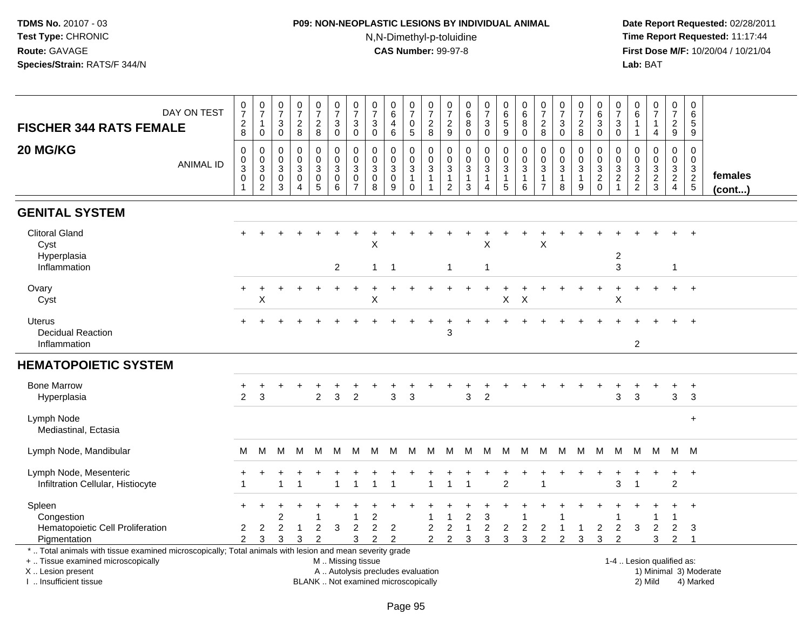# **P09: NON-NEOPLASTIC LESIONS BY INDIVIDUAL ANIMAL**N,N-Dimethyl-p-toluidine

| DAY ON TEST<br><b>FISCHER 344 RATS FEMALE</b><br>20 MG/KG<br><b>ANIMAL ID</b>                                                                                                                 | $\frac{0}{7}$<br>$_{\rm 2}^2$<br>$\pmb{0}$<br>$\pmb{0}$<br>$\overline{3}$<br>$\pmb{0}$<br>1 | $\frac{0}{7}$<br>$\mathbf{1}$<br>0<br>$\mathbf 0$<br>$\mathbf 0$<br>3<br>0<br>$\overline{2}$ | 0<br>$\overline{7}$<br>$\sqrt{3}$<br>0<br>$\mathbf 0$<br>0<br>$\mathbf{3}$<br>$\pmb{0}$<br>3 | $\begin{smallmatrix}0\\7\end{smallmatrix}$<br>$\frac{2}{8}$<br>$\pmb{0}$<br>$\mathbf 0$<br>$\sqrt{3}$<br>$\mathsf 0$<br>$\overline{4}$ | $\pmb{0}$<br>$\overline{7}$<br>$\frac{2}{8}$<br>0<br>$\pmb{0}$<br>$\sqrt{3}$<br>$\pmb{0}$<br>$\overline{5}$ | $\begin{array}{c} 0 \\ 7 \end{array}$<br>$\sqrt{3}$<br>$\mathbf 0$<br>$\pmb{0}$<br>$\mathbf 0$<br>$\sqrt{3}$<br>$\mathbf 0$<br>$6\phantom{1}6$ | 0<br>$\overline{7}$<br>3<br>$\mathbf 0$<br>0<br>$\mathbf 0$<br>3<br>0<br>$\overline{7}$ | $\frac{0}{7}$<br>$\sqrt{3}$<br>$\mathbf 0$<br>$\mathbf 0$<br>$\mathbf 0$<br>$\mathbf 3$<br>$\pmb{0}$<br>8 | $_6^0$<br>$\overline{4}$<br>6<br>0<br>0<br>$\mathbf{3}$<br>$\pmb{0}$<br>9 | $\frac{0}{7}$<br>$\begin{matrix} 0 \\ 5 \end{matrix}$<br>0<br>0<br>$\mathbf{3}$<br>$\mathbf{1}$<br>$\mathsf{O}\xspace$ | $\pmb{0}$<br>$\overline{7}$<br>$\frac{2}{8}$<br>$\mathbf 0$<br>$\mathbf 0$<br>$\sqrt{3}$<br>$\mathbf{1}$ | 0<br>$\overline{7}$<br>$\boldsymbol{2}$<br>9<br>0<br>$\mathbf 0$<br>3<br>$\mathbf{1}$<br>$\overline{2}$ | $\mathbf 0$<br>$\,6\,$<br>$\bf8$<br>$\mathbf 0$<br>$\pmb{0}$<br>$\Omega$<br>$\sqrt{3}$<br>$\mathbf{1}$<br>3 | $\frac{0}{7}$<br>$\sqrt{3}$<br>$\mathbf 0$<br>0<br>$\mathbf 0$<br>$\mathfrak{S}$<br>1<br>4 | $\begin{array}{c} 0 \\ 6 \end{array}$<br>$\sqrt{5}$<br>$\boldsymbol{9}$<br>0<br>$\mathbf 0$<br>$\sqrt{3}$<br>$\mathbf{1}$<br>5 | $\pmb{0}$<br>$\overline{6}$<br>$\bf 8$<br>$\mathbf 0$<br>$\mathbf 0$<br>$\pmb{0}$<br>$\ensuremath{\mathsf{3}}$<br>$\mathbf{1}$<br>6 | 0<br>$\overline{7}$<br>$\sqrt{2}$<br>8<br>$\Omega$<br>$\mathbf 0$<br>3<br>$\mathbf{1}$<br>$\overline{7}$ | $\mathbf 0$<br>$\overline{7}$<br>$\sqrt{3}$<br>$\mathbf 0$<br>$\mathbf 0$<br>$\mathbf 0$<br>$\mathbf{3}$<br>$\mathbf{1}$<br>8 | 0<br>$\overline{7}$<br>$\frac{2}{8}$<br>0<br>$\mathbf 0$<br>$\mathfrak{S}$<br>1<br>9 | $\mathbf 0$<br>$\,6\,$<br>$\ensuremath{\mathsf{3}}$<br>$\mathbf 0$<br>$\Omega$<br>$\mathbf 0$<br>$\mathbf{3}$<br>$^2_{\rm 0}$ | 0<br>$\overline{7}$<br>$\ensuremath{\mathsf{3}}$<br>$\mathbf 0$<br>$\Omega$<br>0<br>3<br>$\overline{c}$<br>$\mathbf{1}$ | 0<br>6<br>$\mathbf 1$<br>$\mathbf{1}$<br>0<br>0<br>3<br>$\frac{2}{2}$ | $\frac{0}{7}$<br>1<br>$\overline{4}$<br>$\pmb{0}$<br>$\mathbf 0$<br>$\ensuremath{\mathsf{3}}$<br>$\frac{2}{3}$ | 0<br>$\overline{7}$<br>$\frac{2}{9}$<br>0<br>$\overline{0}$<br>$\mathbf{3}$<br>$\frac{2}{4}$ | $\mathbf 0$<br>6<br>$\overline{5}$<br>9<br>$\Omega$<br>$\mathbf 0$<br>$\frac{3}{2}$ | females<br>$($ cont $)$ |
|-----------------------------------------------------------------------------------------------------------------------------------------------------------------------------------------------|---------------------------------------------------------------------------------------------|----------------------------------------------------------------------------------------------|----------------------------------------------------------------------------------------------|----------------------------------------------------------------------------------------------------------------------------------------|-------------------------------------------------------------------------------------------------------------|------------------------------------------------------------------------------------------------------------------------------------------------|-----------------------------------------------------------------------------------------|-----------------------------------------------------------------------------------------------------------|---------------------------------------------------------------------------|------------------------------------------------------------------------------------------------------------------------|----------------------------------------------------------------------------------------------------------|---------------------------------------------------------------------------------------------------------|-------------------------------------------------------------------------------------------------------------|--------------------------------------------------------------------------------------------|--------------------------------------------------------------------------------------------------------------------------------|-------------------------------------------------------------------------------------------------------------------------------------|----------------------------------------------------------------------------------------------------------|-------------------------------------------------------------------------------------------------------------------------------|--------------------------------------------------------------------------------------|-------------------------------------------------------------------------------------------------------------------------------|-------------------------------------------------------------------------------------------------------------------------|-----------------------------------------------------------------------|----------------------------------------------------------------------------------------------------------------|----------------------------------------------------------------------------------------------|-------------------------------------------------------------------------------------|-------------------------|
| <b>GENITAL SYSTEM</b>                                                                                                                                                                         |                                                                                             |                                                                                              |                                                                                              |                                                                                                                                        |                                                                                                             |                                                                                                                                                |                                                                                         |                                                                                                           |                                                                           |                                                                                                                        |                                                                                                          |                                                                                                         |                                                                                                             |                                                                                            |                                                                                                                                |                                                                                                                                     |                                                                                                          |                                                                                                                               |                                                                                      |                                                                                                                               |                                                                                                                         |                                                                       |                                                                                                                |                                                                                              |                                                                                     |                         |
| <b>Clitoral Gland</b><br>Cyst<br>Hyperplasia<br>Inflammation                                                                                                                                  |                                                                                             |                                                                                              |                                                                                              |                                                                                                                                        |                                                                                                             | 2                                                                                                                                              |                                                                                         | $\sf X$<br>$\mathbf{1}$                                                                                   | $\overline{1}$                                                            |                                                                                                                        |                                                                                                          | $\overline{1}$                                                                                          |                                                                                                             | X<br>$\mathbf{1}$                                                                          |                                                                                                                                |                                                                                                                                     | X                                                                                                        |                                                                                                                               |                                                                                      |                                                                                                                               | 2<br>3                                                                                                                  |                                                                       |                                                                                                                | $\mathbf{1}$                                                                                 | $\ddot{}$                                                                           |                         |
| Ovary<br>Cyst                                                                                                                                                                                 | $\ddot{}$                                                                                   | $\ddot{}$<br>X                                                                               |                                                                                              |                                                                                                                                        |                                                                                                             |                                                                                                                                                |                                                                                         | Χ                                                                                                         | $\ddot{}$                                                                 | ÷                                                                                                                      |                                                                                                          |                                                                                                         |                                                                                                             | $\ddot{}$                                                                                  | $\ddot{}$<br>$\mathsf{X}$                                                                                                      | $\ddot{}$<br>$\sf X$                                                                                                                |                                                                                                          |                                                                                                                               | $\ddot{}$                                                                            | $\ddot{}$                                                                                                                     | $\ddot{}$<br>X                                                                                                          | $\ddot{}$                                                             |                                                                                                                |                                                                                              | $+$                                                                                 |                         |
| Uterus<br><b>Decidual Reaction</b><br>Inflammation                                                                                                                                            |                                                                                             |                                                                                              |                                                                                              |                                                                                                                                        |                                                                                                             |                                                                                                                                                |                                                                                         |                                                                                                           |                                                                           |                                                                                                                        |                                                                                                          | 3                                                                                                       |                                                                                                             |                                                                                            |                                                                                                                                |                                                                                                                                     |                                                                                                          |                                                                                                                               |                                                                                      |                                                                                                                               |                                                                                                                         | $\overline{2}$                                                        |                                                                                                                |                                                                                              | $\overline{+}$                                                                      |                         |
| <b>HEMATOPOIETIC SYSTEM</b>                                                                                                                                                                   |                                                                                             |                                                                                              |                                                                                              |                                                                                                                                        |                                                                                                             |                                                                                                                                                |                                                                                         |                                                                                                           |                                                                           |                                                                                                                        |                                                                                                          |                                                                                                         |                                                                                                             |                                                                                            |                                                                                                                                |                                                                                                                                     |                                                                                                          |                                                                                                                               |                                                                                      |                                                                                                                               |                                                                                                                         |                                                                       |                                                                                                                |                                                                                              |                                                                                     |                         |
| <b>Bone Marrow</b><br>Hyperplasia                                                                                                                                                             | $\overline{c}$                                                                              | 3                                                                                            |                                                                                              |                                                                                                                                        | $\overline{c}$                                                                                              | 3                                                                                                                                              | $\overline{c}$                                                                          |                                                                                                           | 3                                                                         | $\mathsf 3$                                                                                                            |                                                                                                          |                                                                                                         | 3                                                                                                           | $\overline{c}$                                                                             |                                                                                                                                |                                                                                                                                     |                                                                                                          |                                                                                                                               |                                                                                      |                                                                                                                               | 3                                                                                                                       | 3                                                                     |                                                                                                                | ٠<br>$\mathbf{3}$                                                                            | $\ddot{}$<br>$\mathbf{3}$                                                           |                         |
| Lymph Node<br>Mediastinal, Ectasia                                                                                                                                                            |                                                                                             |                                                                                              |                                                                                              |                                                                                                                                        |                                                                                                             |                                                                                                                                                |                                                                                         |                                                                                                           |                                                                           |                                                                                                                        |                                                                                                          |                                                                                                         |                                                                                                             |                                                                                            |                                                                                                                                |                                                                                                                                     |                                                                                                          |                                                                                                                               |                                                                                      |                                                                                                                               |                                                                                                                         |                                                                       |                                                                                                                |                                                                                              | $\ddot{}$                                                                           |                         |
| Lymph Node, Mandibular                                                                                                                                                                        | M                                                                                           | М                                                                                            | М                                                                                            | M                                                                                                                                      | M                                                                                                           | M                                                                                                                                              | M                                                                                       | M                                                                                                         | M                                                                         | M                                                                                                                      | M                                                                                                        | М                                                                                                       | M                                                                                                           | M                                                                                          | M                                                                                                                              | M                                                                                                                                   | M                                                                                                        | M                                                                                                                             | M                                                                                    | M                                                                                                                             | M                                                                                                                       | M                                                                     | M                                                                                                              | M                                                                                            | M                                                                                   |                         |
| Lymph Node, Mesenteric<br>Infiltration Cellular, Histiocyte                                                                                                                                   |                                                                                             | $\div$                                                                                       |                                                                                              |                                                                                                                                        |                                                                                                             |                                                                                                                                                |                                                                                         |                                                                                                           |                                                                           |                                                                                                                        |                                                                                                          |                                                                                                         |                                                                                                             |                                                                                            | $\ddot{}$<br>$\overline{2}$                                                                                                    | $\ddot{}$                                                                                                                           | ٠                                                                                                        |                                                                                                                               | $\ddot{}$                                                                            | $\overline{+}$                                                                                                                | +<br>3                                                                                                                  |                                                                       | $\ddot{}$                                                                                                      | $\ddot{}$<br>$\overline{2}$                                                                  | $+$                                                                                 |                         |
| Spleen<br>Congestion<br>Hematopoietic Cell Proliferation<br>Pigmentation                                                                                                                      | $\overline{2}$<br>$\overline{2}$                                                            | $\overline{c}$<br>3                                                                          | 2<br>2<br>3                                                                                  | $\mathbf{1}$<br>3                                                                                                                      | $\overline{c}$<br>$\overline{2}$                                                                            | 3                                                                                                                                              | 1<br>$\overline{c}$<br>3                                                                | 2<br>$\overline{c}$<br>$\overline{2}$                                                                     | $\overline{2}$<br>2                                                       |                                                                                                                        | $\overline{c}$<br>$\overline{2}$                                                                         | $\boldsymbol{2}$<br>$\overline{c}$                                                                      | 2<br>1<br>3                                                                                                 | $\mathbf{3}$<br>$\overline{c}$<br>$\mathfrak{Z}$                                           | $\overline{2}$<br>3                                                                                                            | $\overline{c}$<br>3                                                                                                                 | $\overline{2}$<br>$\overline{2}$                                                                         | -1<br>$\overline{2}$                                                                                                          | $\mathbf{1}$<br>3                                                                    | 2<br>3                                                                                                                        | 1<br>$\overline{2}$<br>$\overline{2}$                                                                                   | 3                                                                     | 1<br>$\overline{2}$<br>3                                                                                       | $\overline{2}$<br>$\overline{c}$                                                             | $\ddot{}$<br>3<br>$\overline{1}$                                                    |                         |
| *  Total animals with tissue examined microscopically; Total animals with lesion and mean severity grade<br>+  Tissue examined microscopically<br>X  Lesion present<br>I. Insufficient tissue |                                                                                             |                                                                                              |                                                                                              |                                                                                                                                        |                                                                                                             | M  Missing tissue                                                                                                                              |                                                                                         |                                                                                                           | A  Autolysis precludes evaluation<br>BLANK  Not examined microscopically  |                                                                                                                        |                                                                                                          |                                                                                                         |                                                                                                             |                                                                                            |                                                                                                                                |                                                                                                                                     |                                                                                                          |                                                                                                                               |                                                                                      |                                                                                                                               |                                                                                                                         |                                                                       | 1-4  Lesion qualified as:<br>2) Mild                                                                           |                                                                                              | 1) Minimal 3) Moderate<br>4) Marked                                                 |                         |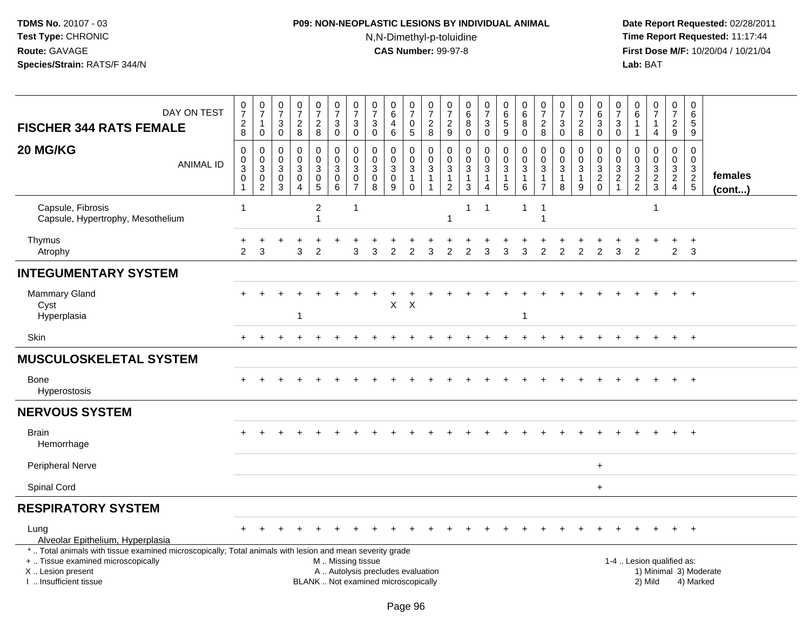# **P09: NON-NEOPLASTIC LESIONS BY INDIVIDUAL ANIMAL**N,N-Dimethyl-p-toluidine

| DAY ON TEST<br><b>FISCHER 344 RATS FEMALE</b>                                                                                                        | $\frac{0}{7}$<br>$\boldsymbol{2}$<br>8                                    | $\begin{matrix} 0 \\ 7 \end{matrix}$<br>$\overline{1}$<br>$\mathbf 0$   | $\boldsymbol{0}$<br>$\overline{7}$<br>3<br>$\mathbf 0$ | $\frac{0}{7}$<br>$\overline{a}$<br>8                 | $\pmb{0}$<br>$\overline{7}$<br>$\overline{c}$<br>8                       | $\begin{array}{c} 0 \\ 7 \end{array}$<br>$\sqrt{3}$<br>$\pmb{0}$                              | $\frac{0}{7}$<br>$\sqrt{3}$<br>$\mathbf 0$                                             | $\pmb{0}$<br>$\overline{7}$<br>$\sqrt{3}$<br>$\mathbf 0$       | $\begin{array}{c} 0 \\ 6 \end{array}$<br>$\overline{4}$<br>$\,6\,$ | 0<br>$\overline{7}$<br>$\pmb{0}$<br>$\sqrt{5}$                        | 0<br>$\overline{7}$<br>$\overline{c}$<br>8            | 0<br>$\overline{7}$<br>$\overline{c}$<br>$\mathsf g$                                              | $\begin{array}{c} 0 \\ 6 \end{array}$<br>$\overline{8}$<br>$\pmb{0}$ | $\pmb{0}$<br>$\overline{7}$<br>$\mathsf 3$<br>$\mathsf{O}\xspace$  | $\pmb{0}$<br>$\,6$<br>$\overline{5}$<br>9                                                        | $\pmb{0}$<br>6<br>8<br>$\mathbf 0$         | $\pmb{0}$<br>$\overline{7}$<br>$\overline{c}$<br>8                | $\frac{0}{7}$<br>3<br>$\mathbf 0$          | 0<br>$\overline{7}$<br>$\overline{c}$<br>8              | $\boldsymbol{0}$<br>$\,6$<br>$\overline{3}$<br>$\pmb{0}$ | 0<br>$\overline{7}$<br>$\mathbf{3}$<br>$\mathbf 0$                    | $\boldsymbol{0}$<br>$\,6\,$<br>$\overline{1}$<br>$\overline{1}$ | $\frac{0}{7}$<br>$\mathbf{1}$<br>$\overline{4}$  | $\pmb{0}$<br>$\overline{7}$<br>$\overline{a}$<br>9                             | 0<br>6<br>5<br>9                                            |                        |
|------------------------------------------------------------------------------------------------------------------------------------------------------|---------------------------------------------------------------------------|-------------------------------------------------------------------------|--------------------------------------------------------|------------------------------------------------------|--------------------------------------------------------------------------|-----------------------------------------------------------------------------------------------|----------------------------------------------------------------------------------------|----------------------------------------------------------------|--------------------------------------------------------------------|-----------------------------------------------------------------------|-------------------------------------------------------|---------------------------------------------------------------------------------------------------|----------------------------------------------------------------------|--------------------------------------------------------------------|--------------------------------------------------------------------------------------------------|--------------------------------------------|-------------------------------------------------------------------|--------------------------------------------|---------------------------------------------------------|----------------------------------------------------------|-----------------------------------------------------------------------|-----------------------------------------------------------------|--------------------------------------------------|--------------------------------------------------------------------------------|-------------------------------------------------------------|------------------------|
| 20 MG/KG<br><b>ANIMAL ID</b>                                                                                                                         | $\mathbf 0$<br>$\mathsf 0$<br>$\sqrt{3}$<br>$\mathbf 0$<br>$\overline{1}$ | $\mathbf 0$<br>$\mathbf 0$<br>$\sqrt{3}$<br>$\pmb{0}$<br>$\overline{2}$ | $\mathbf 0$<br>$\mathbf 0$<br>3<br>0<br>3              | 0<br>$\mathbf 0$<br>3<br>$\pmb{0}$<br>$\overline{4}$ | $\pmb{0}$<br>$\mathbf 0$<br>$\mathsf 3$<br>$\mathsf 0$<br>$\overline{5}$ | $\mathbf 0$<br>$\pmb{0}$<br>$\ensuremath{\mathsf{3}}$<br>$\pmb{0}$<br>$6\phantom{1}$          | $\mathbf 0$<br>$\mathbf 0$<br>$\ensuremath{\mathsf{3}}$<br>$\pmb{0}$<br>$\overline{7}$ | $\mathbf 0$<br>$\mathbf 0$<br>$\mathbf{3}$<br>$\mathbf 0$<br>8 | 0<br>$\mathbf 0$<br>$\overline{3}$<br>$\pmb{0}$<br>9               | 0<br>$\mathsf{O}\xspace$<br>$\sqrt{3}$<br>$\mathbf{1}$<br>$\mathbf 0$ | $\mathbf 0$<br>$\mathsf{O}\xspace$<br>$\sqrt{3}$<br>1 | $\mathsf{O}\xspace$<br>$\mathbf 0$<br>$\ensuremath{\mathsf{3}}$<br>$\mathbf{1}$<br>$\overline{c}$ | 0<br>$\pmb{0}$<br>$\overline{3}$<br>$\mathbf{1}$<br>$\mathbf{3}$     | 0<br>$\mathbf 0$<br>$\sqrt{3}$<br>$\overline{1}$<br>$\overline{4}$ | $\mathbf 0$<br>$\mathbf 0$<br>$\ensuremath{\mathsf{3}}$<br>$\begin{array}{c} 1 \\ 5 \end{array}$ | 0<br>$\mathbf 0$<br>3<br>$\mathbf{1}$<br>6 | $\mathbf 0$<br>$\mathbf 0$<br>3<br>$\mathbf{1}$<br>$\overline{7}$ | 0<br>$\mathbf 0$<br>3<br>$\mathbf{1}$<br>8 | 0<br>$\mathbf 0$<br>$\overline{3}$<br>$\mathbf{1}$<br>9 | 0<br>$\mathbf 0$<br>$\frac{3}{2}$ <sub>0</sub>           | $\mathbf 0$<br>$\mathbf 0$<br>$\ensuremath{\mathsf{3}}$<br>$\sqrt{2}$ | $\mathbf 0$<br>$\mathbf 0$<br>$\sqrt{3}$<br>$\frac{2}{2}$       | 0<br>$\mathbf 0$<br>$\mathsf 3$<br>$\frac{2}{3}$ | $\mathbf 0$<br>$\mathbf 0$<br>$\ensuremath{\mathsf{3}}$<br>$\overline{a}$<br>4 | $\Omega$<br>0<br>$\begin{array}{c} 3 \\ 2 \\ 5 \end{array}$ | females<br>(cont)      |
| Capsule, Fibrosis<br>Capsule, Hypertrophy, Mesothelium                                                                                               | $\overline{1}$                                                            |                                                                         |                                                        |                                                      | $\overline{c}$<br>1                                                      |                                                                                               | $\overline{1}$                                                                         |                                                                |                                                                    |                                                                       |                                                       | $\overline{1}$                                                                                    | $\mathbf{1}$                                                         | $\mathbf 1$                                                        |                                                                                                  | $\mathbf{1}$                               | -1                                                                |                                            |                                                         |                                                          |                                                                       |                                                                 | 1                                                |                                                                                |                                                             |                        |
| Thymus<br>Atrophy                                                                                                                                    | $\overline{2}$                                                            | 3                                                                       |                                                        | 3                                                    | $\overline{2}$                                                           |                                                                                               | 3                                                                                      | 3                                                              | $\overline{2}$                                                     |                                                                       | 3                                                     | 2                                                                                                 | $\overline{2}$                                                       | 3                                                                  | 3                                                                                                | 3                                          |                                                                   | $\overline{2}$                             | $\overline{2}$                                          | $\overline{2}$                                           | 3                                                                     | $\overline{2}$                                                  |                                                  | $\overline{2}$                                                                 | $\ddot{}$<br>3                                              |                        |
| <b>INTEGUMENTARY SYSTEM</b>                                                                                                                          |                                                                           |                                                                         |                                                        |                                                      |                                                                          |                                                                                               |                                                                                        |                                                                |                                                                    |                                                                       |                                                       |                                                                                                   |                                                                      |                                                                    |                                                                                                  |                                            |                                                                   |                                            |                                                         |                                                          |                                                                       |                                                                 |                                                  |                                                                                |                                                             |                        |
| Mammary Gland<br>Cyst<br>Hyperplasia                                                                                                                 |                                                                           |                                                                         |                                                        | -1                                                   |                                                                          |                                                                                               |                                                                                        |                                                                | X                                                                  | $\mathsf{X}$                                                          |                                                       |                                                                                                   |                                                                      |                                                                    |                                                                                                  | 1                                          |                                                                   |                                            |                                                         |                                                          |                                                                       |                                                                 |                                                  |                                                                                |                                                             |                        |
| Skin                                                                                                                                                 |                                                                           |                                                                         |                                                        |                                                      |                                                                          |                                                                                               |                                                                                        |                                                                |                                                                    |                                                                       |                                                       |                                                                                                   |                                                                      |                                                                    |                                                                                                  |                                            |                                                                   |                                            |                                                         |                                                          |                                                                       |                                                                 |                                                  |                                                                                | $+$                                                         |                        |
| <b>MUSCULOSKELETAL SYSTEM</b>                                                                                                                        |                                                                           |                                                                         |                                                        |                                                      |                                                                          |                                                                                               |                                                                                        |                                                                |                                                                    |                                                                       |                                                       |                                                                                                   |                                                                      |                                                                    |                                                                                                  |                                            |                                                                   |                                            |                                                         |                                                          |                                                                       |                                                                 |                                                  |                                                                                |                                                             |                        |
| <b>Bone</b><br>Hyperostosis                                                                                                                          |                                                                           |                                                                         |                                                        |                                                      |                                                                          |                                                                                               |                                                                                        |                                                                |                                                                    |                                                                       |                                                       |                                                                                                   |                                                                      |                                                                    |                                                                                                  |                                            |                                                                   |                                            |                                                         |                                                          |                                                                       |                                                                 |                                                  |                                                                                |                                                             |                        |
| <b>NERVOUS SYSTEM</b>                                                                                                                                |                                                                           |                                                                         |                                                        |                                                      |                                                                          |                                                                                               |                                                                                        |                                                                |                                                                    |                                                                       |                                                       |                                                                                                   |                                                                      |                                                                    |                                                                                                  |                                            |                                                                   |                                            |                                                         |                                                          |                                                                       |                                                                 |                                                  |                                                                                |                                                             |                        |
| <b>Brain</b><br>Hemorrhage                                                                                                                           |                                                                           |                                                                         |                                                        |                                                      |                                                                          |                                                                                               |                                                                                        |                                                                |                                                                    |                                                                       |                                                       |                                                                                                   |                                                                      |                                                                    |                                                                                                  |                                            |                                                                   |                                            |                                                         |                                                          |                                                                       |                                                                 |                                                  |                                                                                |                                                             |                        |
| <b>Peripheral Nerve</b>                                                                                                                              |                                                                           |                                                                         |                                                        |                                                      |                                                                          |                                                                                               |                                                                                        |                                                                |                                                                    |                                                                       |                                                       |                                                                                                   |                                                                      |                                                                    |                                                                                                  |                                            |                                                                   |                                            |                                                         | $\ddot{}$                                                |                                                                       |                                                                 |                                                  |                                                                                |                                                             |                        |
| Spinal Cord                                                                                                                                          |                                                                           |                                                                         |                                                        |                                                      |                                                                          |                                                                                               |                                                                                        |                                                                |                                                                    |                                                                       |                                                       |                                                                                                   |                                                                      |                                                                    |                                                                                                  |                                            |                                                                   |                                            |                                                         | $\ddot{}$                                                |                                                                       |                                                                 |                                                  |                                                                                |                                                             |                        |
| <b>RESPIRATORY SYSTEM</b>                                                                                                                            |                                                                           |                                                                         |                                                        |                                                      |                                                                          |                                                                                               |                                                                                        |                                                                |                                                                    |                                                                       |                                                       |                                                                                                   |                                                                      |                                                                    |                                                                                                  |                                            |                                                                   |                                            |                                                         |                                                          |                                                                       |                                                                 |                                                  |                                                                                |                                                             |                        |
| Lung<br>Alveolar Epithelium, Hyperplasia<br>*  Total animals with tissue examined microscopically; Total animals with lesion and mean severity grade |                                                                           |                                                                         |                                                        |                                                      |                                                                          |                                                                                               |                                                                                        |                                                                |                                                                    |                                                                       |                                                       |                                                                                                   |                                                                      |                                                                    |                                                                                                  |                                            |                                                                   |                                            |                                                         |                                                          |                                                                       |                                                                 |                                                  |                                                                                | $\ddot{}$                                                   |                        |
| +  Tissue examined microscopically<br>X  Lesion present<br>I  Insufficient tissue                                                                    |                                                                           |                                                                         |                                                        |                                                      |                                                                          | M  Missing tissue<br>A  Autolysis precludes evaluation<br>BLANK  Not examined microscopically |                                                                                        |                                                                |                                                                    |                                                                       |                                                       |                                                                                                   |                                                                      |                                                                    |                                                                                                  |                                            |                                                                   |                                            |                                                         |                                                          |                                                                       |                                                                 | 1-4  Lesion qualified as:<br>2) Mild             |                                                                                | 4) Marked                                                   | 1) Minimal 3) Moderate |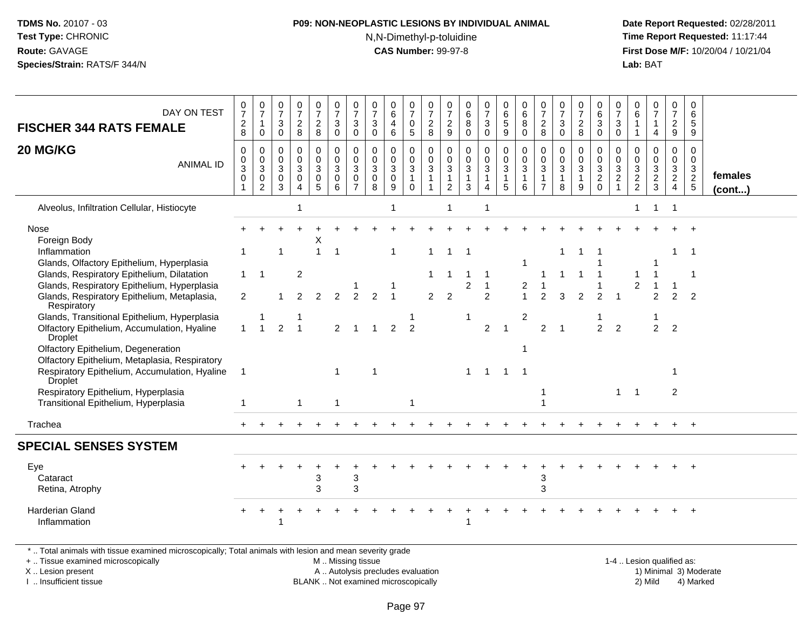#### **P09: NON-NEOPLASTIC LESIONS BY INDIVIDUAL ANIMAL**N,N-Dimethyl-p-toluidine

 **Date Report Requested:** 02/28/2011 **Time Report Requested:** 11:17:44 **First Dose M/F:** 10/20/04 / 10/21/04<br>**Lab:** BAT **Lab:** BAT

| <b>FISCHER 344 RATS FEMALE</b>                                                                                                                                                        | $_{\rm 8}^2$                                                  | $\frac{0}{7}$<br>$\mathbf{1}$<br>$\mathbf 0$ | $\boldsymbol{7}$<br>$\mathbf{3}$<br>$\mathbf 0$ | $\frac{0}{7}$<br>$_{\rm 8}^2$                         | $\frac{0}{7}$<br>$\frac{2}{8}$           | $\begin{array}{c} 0 \\ 7 \end{array}$<br>$\mathbf{3}$<br>$\mathbf 0$ | $\frac{0}{7}$<br>3<br>$\mathbf 0$            | 0<br>$\overline{7}$<br>$\mathbf{3}$<br>$\mathbf{0}$ | $_6^0$<br>$\overline{4}$<br>6   | 0<br>$\overline{7}$<br>$\mathsf{O}$<br>$5\phantom{.0}$          | $\pmb{0}$<br>$\overline{7}$<br>$^2_{\bf 8}$                        | 0<br>$\overline{7}$<br>$\frac{2}{9}$                     | 0<br>$\,6\,$<br>8<br>$\Omega$                       | $\frac{0}{7}$<br>3<br>$\Omega$              | $\mathbf 0$<br>$\,6\,$<br>$5\phantom{.0}$<br>$\overline{9}$     | $\begin{array}{c} 0 \\ 6 \end{array}$<br>8<br>$\mathbf 0$       | 0<br>$\overline{7}$<br>$\overline{c}$<br>8              | $\begin{array}{c} 0 \\ 7 \end{array}$<br>$\sqrt{3}$<br>$\Omega$ | 0<br>$\overline{7}$<br>$\overline{2}$<br>8  | 0<br>$\,6\,$<br>$\mathbf{3}$<br>$\mathbf 0$                               | 0<br>$\overline{7}$<br>3<br>$\mathbf 0$                 | 0<br>6<br>$\overline{1}$<br>$\overline{1}$                 | $\frac{0}{7}$<br>$\mathbf{1}$<br>$\overline{4}$            | $\mathbf 0$<br>$\overline{7}$<br>$\overline{2}$<br>9         | 0<br>$\,6\,$<br>5<br>9                      |                         |
|---------------------------------------------------------------------------------------------------------------------------------------------------------------------------------------|---------------------------------------------------------------|----------------------------------------------|-------------------------------------------------|-------------------------------------------------------|------------------------------------------|----------------------------------------------------------------------|----------------------------------------------|-----------------------------------------------------|---------------------------------|-----------------------------------------------------------------|--------------------------------------------------------------------|----------------------------------------------------------|-----------------------------------------------------|---------------------------------------------|-----------------------------------------------------------------|-----------------------------------------------------------------|---------------------------------------------------------|-----------------------------------------------------------------|---------------------------------------------|---------------------------------------------------------------------------|---------------------------------------------------------|------------------------------------------------------------|------------------------------------------------------------|--------------------------------------------------------------|---------------------------------------------|-------------------------|
| 20 MG/KG<br><b>ANIMAL ID</b>                                                                                                                                                          | 0<br>$\pmb{0}$<br>$\mathbf{3}$<br>$\mathbf 0$<br>$\mathbf{1}$ | 0<br>0<br>3<br>$\mathbf 0$<br>$\overline{2}$ | 0<br>0<br>$\mathbf{3}$<br>0<br>3                | 0<br>0<br>$\sqrt{3}$<br>$\mathbf 0$<br>$\overline{4}$ | 0<br>0<br>3<br>$\mathbf 0$<br>$\sqrt{5}$ | $\mathbf 0$<br>$\mathbf 0$<br>$\mathbf{3}$<br>$\mathbf 0$<br>6       | 0<br>0<br>3<br>$\mathbf 0$<br>$\overline{7}$ | 0<br>0<br>$\mathbf{3}$<br>0<br>8                    | 0<br>0<br>3<br>$\mathsf 0$<br>9 | 0<br>$\mathbf 0$<br>$\mathbf{3}$<br>$\mathbf{1}$<br>$\mathbf 0$ | 0<br>$\mathbf 0$<br>$\overline{3}$<br>$\mathbf{1}$<br>$\mathbf{1}$ | 0<br>0<br>$\sqrt{3}$<br>$\overline{1}$<br>$\overline{c}$ | $\mathbf 0$<br>0<br>$\sqrt{3}$<br>$\mathbf{1}$<br>3 | 0<br>0<br>$\mathbf{3}$<br>$\mathbf{1}$<br>4 | $\mathbf 0$<br>$\mathbf 0$<br>$\mathbf{3}$<br>$\mathbf{1}$<br>5 | $\mathbf 0$<br>$\mathbf 0$<br>$\mathbf{3}$<br>$\mathbf{1}$<br>6 | $\mathbf 0$<br>0<br>3<br>$\mathbf{1}$<br>$\overline{7}$ | $\mathbf 0$<br>$_{3}^{\rm 0}$<br>$\mathbf{1}$<br>8              | 0<br>0<br>$\mathbf{3}$<br>$\mathbf{1}$<br>9 | $\mathbf 0$<br>$\mathbf 0$<br>$\mathsf 3$<br>$\boldsymbol{2}$<br>$\Omega$ | 0<br>$\mathbf 0$<br>3<br>$\overline{c}$<br>$\mathbf{1}$ | 0<br>0<br>$\mathbf{3}$<br>$\overline{c}$<br>$\overline{2}$ | 0<br>0<br>$\ensuremath{\mathsf{3}}$<br>$\overline{c}$<br>3 | 0<br>$\overline{0}$<br>3<br>$\overline{a}$<br>$\overline{4}$ | $\mathbf 0$<br>$\mathbf 0$<br>$\frac{3}{2}$ | females<br>$($ cont $)$ |
| Alveolus, Infiltration Cellular, Histiocyte                                                                                                                                           |                                                               |                                              |                                                 | -1                                                    |                                          |                                                                      |                                              |                                                     | 1                               |                                                                 |                                                                    | $\overline{1}$                                           |                                                     | $\mathbf 1$                                 |                                                                 |                                                                 |                                                         |                                                                 |                                             |                                                                           |                                                         | 1                                                          | $\mathbf{1}$                                               | $\overline{1}$                                               |                                             |                         |
| Nose<br>Foreign Body<br>Inflammation                                                                                                                                                  | 1                                                             |                                              |                                                 |                                                       | Х<br>1                                   | $\overline{\mathbf{1}}$                                              |                                              |                                                     | -1                              |                                                                 | 1                                                                  | 1                                                        | -1                                                  |                                             |                                                                 |                                                                 |                                                         |                                                                 |                                             |                                                                           |                                                         |                                                            |                                                            |                                                              | -1                                          |                         |
| Glands, Olfactory Epithelium, Hyperplasia<br>Glands, Respiratory Epithelium, Dilatation<br>Glands, Respiratory Epithelium, Hyperplasia<br>Glands, Respiratory Epithelium, Metaplasia, | $\mathbf{1}$<br>$\overline{2}$                                | $\overline{1}$                               |                                                 | 2<br>$\mathfrak{p}$                                   | $\mathcal{P}$                            | $\mathfrak{p}$                                                       | $\mathcal{P}$                                | $\mathfrak{p}$                                      | $\overline{A}$                  |                                                                 | $\mathfrak{p}$                                                     | $\overline{2}$                                           | 1<br>2                                              | -1<br>$\mathbf 1$<br>$\mathfrak{D}$         |                                                                 | $\mathbf{1}$<br>$\overline{c}$<br>$\overline{1}$                | $\mathfrak{p}$                                          | 3                                                               | $\overline{2}$                              | $\mathcal{P}$                                                             |                                                         | $\overline{c}$                                             | $\mathfrak{p}$                                             | $\overline{2}$                                               | -1<br>$\overline{2}$                        |                         |
| Respiratory<br>Glands, Transitional Epithelium, Hyperplasia<br>Olfactory Epithelium, Accumulation, Hyaline<br>Droplet                                                                 | $\mathbf{1}$                                                  | $\overline{1}$                               | 2                                               | $\overline{1}$                                        |                                          | $\overline{2}$                                                       | $\overline{1}$                               | $\overline{1}$                                      | 2                               | $\overline{2}$                                                  |                                                                    |                                                          | $\mathbf{1}$                                        | 2                                           | $\overline{1}$                                                  | $\overline{c}$                                                  | $\overline{2}$                                          | $\overline{1}$                                                  |                                             | $\mathcal{P}$                                                             | $\overline{2}$                                          |                                                            | $\overline{2}$                                             | 2                                                            |                                             |                         |
| Olfactory Epithelium, Degeneration<br>Olfactory Epithelium, Metaplasia, Respiratory<br>Respiratory Epithelium, Accumulation, Hyaline<br><b>Droplet</b>                                | -1                                                            |                                              |                                                 |                                                       |                                          | $\mathbf 1$                                                          |                                              | -1                                                  |                                 |                                                                 |                                                                    |                                                          | $\mathbf{1}$                                        | $\overline{1}$                              | -1                                                              | -1<br>$\overline{\mathbf{1}}$                                   |                                                         |                                                                 |                                             |                                                                           |                                                         |                                                            |                                                            |                                                              |                                             |                         |
| Respiratory Epithelium, Hyperplasia<br>Transitional Epithelium, Hyperplasia                                                                                                           |                                                               |                                              |                                                 | $\mathbf{1}$                                          |                                          | $\mathbf{1}$                                                         |                                              |                                                     |                                 |                                                                 |                                                                    |                                                          |                                                     |                                             |                                                                 |                                                                 |                                                         |                                                                 |                                             |                                                                           | $\mathbf{1}$                                            | $\overline{1}$                                             |                                                            | 2                                                            |                                             |                         |
| Trachea                                                                                                                                                                               |                                                               |                                              |                                                 |                                                       |                                          |                                                                      |                                              |                                                     |                                 |                                                                 |                                                                    |                                                          |                                                     |                                             |                                                                 |                                                                 |                                                         |                                                                 |                                             |                                                                           |                                                         |                                                            |                                                            |                                                              | $+$                                         |                         |
| <b>SPECIAL SENSES SYSTEM</b>                                                                                                                                                          |                                                               |                                              |                                                 |                                                       |                                          |                                                                      |                                              |                                                     |                                 |                                                                 |                                                                    |                                                          |                                                     |                                             |                                                                 |                                                                 |                                                         |                                                                 |                                             |                                                                           |                                                         |                                                            |                                                            |                                                              |                                             |                         |
| Eye<br>Cataract<br>Retina, Atrophy                                                                                                                                                    |                                                               |                                              |                                                 |                                                       | 3<br>3                                   |                                                                      | 3<br>3                                       |                                                     |                                 |                                                                 |                                                                    |                                                          |                                                     |                                             |                                                                 |                                                                 | 3<br>3                                                  |                                                                 |                                             |                                                                           |                                                         |                                                            |                                                            |                                                              |                                             |                         |
| <b>Harderian Gland</b><br>Inflammation                                                                                                                                                |                                                               |                                              |                                                 |                                                       |                                          |                                                                      |                                              |                                                     |                                 |                                                                 |                                                                    |                                                          |                                                     |                                             |                                                                 |                                                                 |                                                         |                                                                 |                                             |                                                                           |                                                         |                                                            |                                                            |                                                              |                                             |                         |

\* .. Total animals with tissue examined microscopically; Total animals with lesion and mean severity grade

+ .. Tissue examined microscopically

X .. Lesion present

I .. Insufficient tissue

 M .. Missing tissueA .. Autolysis precludes evaluation

BLANK .. Not examined microscopically 2) Mild 4) Marked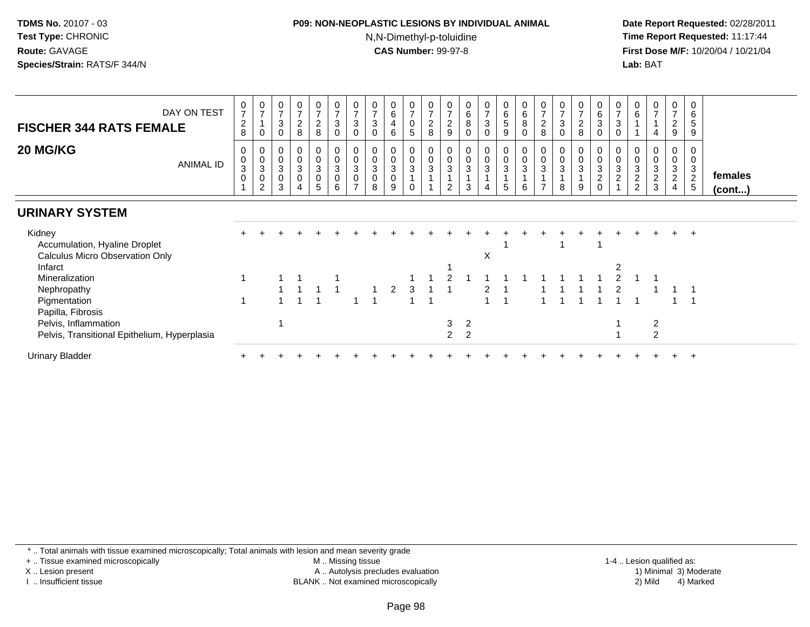#### **P09: NON-NEOPLASTIC LESIONS BY INDIVIDUAL ANIMAL**N,N-Dimethyl-p-toluidine

 **Date Report Requested:** 02/28/2011 **Time Report Requested:** 11:17:44 **First Dose M/F:** 10/20/04 / 10/21/04<br>**Lab:** BAT **Lab:** BAT

| DAY ON TEST<br><b>FISCHER 344 RATS FEMALE</b>                                             | $\frac{0}{7}$<br>$\boldsymbol{2}$<br>8 | $\begin{array}{c} 0 \\ 7 \end{array}$<br>$\mathbf 0$ | $\frac{0}{7}$<br>$\ensuremath{\mathsf{3}}$<br>$\mathbf 0$ | 0<br>7<br>$\overline{c}$<br>8                            | $\frac{0}{7}$<br>$\frac{2}{8}$                            | $\frac{0}{7}$<br>$\mathbf{3}$<br>$\mathsf 0$           | $\frac{0}{7}$<br>$\sqrt{3}$<br>$\mathbf 0$                 | $\frac{0}{7}$<br>$\ensuremath{\mathsf{3}}$<br>$\pmb{0}$         | $\begin{array}{c} 0 \\ 6 \end{array}$<br>$\overline{4}$<br>6 | $\frac{0}{7}$<br>$\pmb{0}$<br>$5\phantom{.0}$        | $\frac{0}{7}$<br>$\boldsymbol{2}$<br>8 | $\frac{0}{7}$<br>$\overline{c}$<br>9 | $_{6}^{\rm 0}$<br>$\bf 8$<br>$\pmb{0}$ | $\frac{0}{7}$<br>$\sqrt{3}$<br>0 | $\begin{array}{c} 0 \\ 6 \\ 5 \end{array}$<br>9    | $\begin{array}{c} 0 \\ 6 \end{array}$<br>8<br>$\mathbf 0$ | $\frac{0}{7}$<br>$\boldsymbol{2}$<br>8                   | $\boldsymbol{0}$<br>$\overline{7}$<br>$\sqrt{3}$<br>$\mathbf 0$ | 0<br>$\overline{7}$<br>$\overline{c}$<br>8 | $_6^0$<br>3<br>0                                        | $\frac{0}{7}$<br>$\ensuremath{\mathsf{3}}$<br>$\mathbf 0$ | $\mathbf 0$<br>$\,6\,$                   | $\frac{0}{7}$<br>$\overline{4}$               | $\mathbf 0$<br>$\overline{7}$<br>$\overline{c}$<br>9                            | $\mathbf 0$<br>6<br>5<br>9                         |                         |
|-------------------------------------------------------------------------------------------|----------------------------------------|------------------------------------------------------|-----------------------------------------------------------|----------------------------------------------------------|-----------------------------------------------------------|--------------------------------------------------------|------------------------------------------------------------|-----------------------------------------------------------------|--------------------------------------------------------------|------------------------------------------------------|----------------------------------------|--------------------------------------|----------------------------------------|----------------------------------|----------------------------------------------------|-----------------------------------------------------------|----------------------------------------------------------|-----------------------------------------------------------------|--------------------------------------------|---------------------------------------------------------|-----------------------------------------------------------|------------------------------------------|-----------------------------------------------|---------------------------------------------------------------------------------|----------------------------------------------------|-------------------------|
| 20 MG/KG<br><b>ANIMAL ID</b>                                                              | 0<br>$_{3}^{\rm 0}$<br>$\pmb{0}$       | 0<br>$_{3}^{\rm 0}$<br>$\pmb{0}$<br>$\overline{2}$   | 0<br>$\pmb{0}$<br>$\sqrt{3}$<br>$\mathbf 0$<br>3          | $\pmb{0}$<br>$\ensuremath{\mathsf{3}}$<br>$\overline{0}$ | 0<br>$\mathbf 0$<br>$\mathbf{3}$<br>$\boldsymbol{0}$<br>5 | $_{\rm 0}^{\rm 0}$<br>$\mathsf 3$<br>$\mathsf{O}$<br>6 | 0<br>$\pmb{0}$<br>$\sqrt{3}$<br>$\pmb{0}$<br>$\rightarrow$ | $\begin{smallmatrix}0\\0\\3\end{smallmatrix}$<br>$\pmb{0}$<br>8 | 0<br>$\pmb{0}$<br>$\mathbf{3}$<br>$\pmb{0}$<br>9             | $\begin{smallmatrix} 0\\0\\3 \end{smallmatrix}$<br>0 | $\pmb{0}$<br>$\ensuremath{\mathsf{3}}$ | $\pmb{0}$<br>3<br>$\overline{2}$     | $\pmb{0}$<br>$\mathbf{3}$<br>3         | 0<br>$\mathbf 0$<br>$\sqrt{3}$   | $\begin{smallmatrix}0\\0\\3\end{smallmatrix}$<br>5 | $\pmb{0}$<br>$\,0\,$<br>$\sqrt{3}$<br>6                   | $\pmb{0}$<br>$\pmb{0}$<br>$\mathbf{3}$<br>$\overline{ }$ | $\mathbf 0$<br>8                                                | 0<br>0<br>3<br>9                           | $\pmb{0}$<br>$\ensuremath{\mathsf{3}}$<br>$\frac{2}{0}$ | $\pmb{0}$<br>$\ensuremath{\mathsf{3}}$<br>$\overline{c}$  | $\pmb{0}$<br>$\sqrt{3}$<br>$\frac{2}{2}$ | 0<br>$\pmb{0}$<br>$\sqrt{3}$<br>$\frac{2}{3}$ | 0<br>$\pmb{0}$<br>$\ensuremath{\mathsf{3}}$<br>$\overline{2}$<br>$\overline{4}$ | $\mathbf 0$<br>$\mathbf{3}$<br>$\overline{c}$<br>5 | females<br>$($ cont $)$ |
| <b>URINARY SYSTEM</b>                                                                     |                                        |                                                      |                                                           |                                                          |                                                           |                                                        |                                                            |                                                                 |                                                              |                                                      |                                        |                                      |                                        |                                  |                                                    |                                                           |                                                          |                                                                 |                                            |                                                         |                                                           |                                          |                                               |                                                                                 |                                                    |                         |
| Kidney<br>Accumulation, Hyaline Droplet<br><b>Calculus Micro Observation Only</b>         |                                        |                                                      |                                                           |                                                          |                                                           |                                                        |                                                            |                                                                 |                                                              |                                                      |                                        |                                      |                                        | X                                |                                                    |                                                           |                                                          |                                                                 |                                            |                                                         |                                                           |                                          |                                               |                                                                                 | $\div$                                             |                         |
| Infarct<br>Mineralization<br>Nephropathy<br>Pigmentation                                  |                                        |                                                      |                                                           |                                                          |                                                           |                                                        |                                                            |                                                                 | 2                                                            | 3                                                    |                                        |                                      |                                        |                                  |                                                    |                                                           |                                                          |                                                                 |                                            |                                                         | 2                                                         |                                          |                                               |                                                                                 |                                                    |                         |
| Papilla, Fibrosis<br>Pelvis, Inflammation<br>Pelvis, Transitional Epithelium, Hyperplasia |                                        |                                                      |                                                           |                                                          |                                                           |                                                        |                                                            |                                                                 |                                                              |                                                      |                                        | 3<br>$\overline{2}$                  | $\overline{2}$<br>$\overline{2}$       |                                  |                                                    |                                                           |                                                          |                                                                 |                                            |                                                         |                                                           |                                          | 2<br>$\overline{2}$                           |                                                                                 |                                                    |                         |
| <b>Urinary Bladder</b>                                                                    |                                        |                                                      |                                                           |                                                          |                                                           |                                                        |                                                            |                                                                 |                                                              |                                                      |                                        |                                      |                                        |                                  |                                                    |                                                           |                                                          |                                                                 |                                            |                                                         |                                                           |                                          |                                               |                                                                                 |                                                    |                         |

\* .. Total animals with tissue examined microscopically; Total animals with lesion and mean severity grade

+ .. Tissue examined microscopically

X .. Lesion present

I .. Insufficient tissue

 M .. Missing tissueA .. Autolysis precludes evaluation

1-4 .. Lesion qualified as:<br>1) Minimal 3) Moderate BLANK .. Not examined microscopically 2) Mild 4) Marked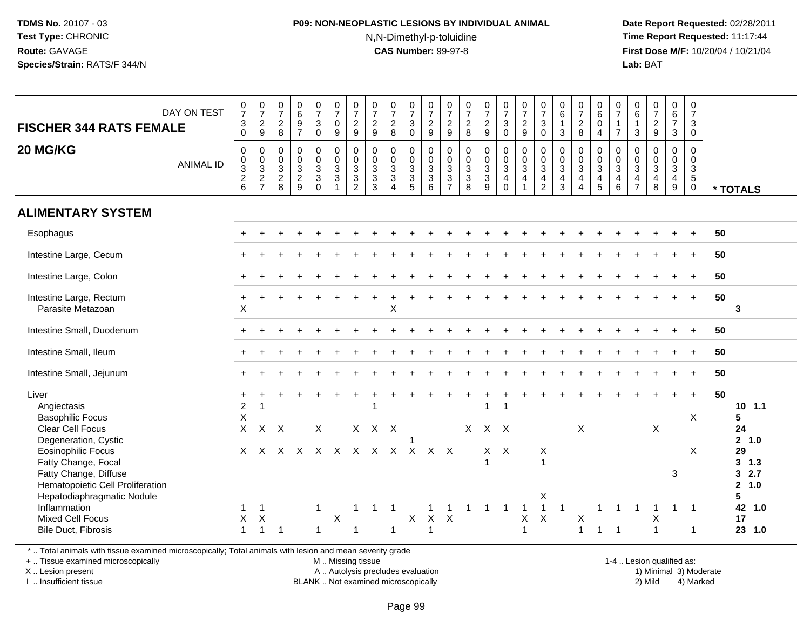#### **P09: NON-NEOPLASTIC LESIONS BY INDIVIDUAL ANIMAL**N,N-Dimethyl-p-toluidine

 **Date Report Requested:** 02/28/2011 **Time Report Requested:** 11:17:44 **First Dose M/F:** 10/20/04 / 10/21/04<br>**Lab:** BAT **Lab:** BAT

| DAY ON TEST<br><b>FISCHER 344 RATS FEMALE</b>                                                                                                                                                                                                              | $\frac{0}{7}$<br>$\ensuremath{\mathsf{3}}$<br>$\mathbf 0$ | $\frac{0}{7}$<br>$\frac{2}{9}$                                      | $\frac{0}{7}$<br>$\frac{2}{8}$              | $\begin{array}{c} 0 \\ 6 \\ 9 \end{array}$<br>$\overline{7}$ | $\frac{0}{7}$<br>$\mathbf 3$<br>$\mathbf 0$                                | $\frac{0}{7}$<br>$\mathbf 0$<br>9                 | $\frac{0}{7}$<br>$\sqrt{2}$<br>$\boldsymbol{9}$ | $\frac{0}{7}$<br>$\frac{2}{9}$                         | $\frac{0}{7}$<br>$\frac{2}{8}$                    | $\frac{0}{7}$<br>$\ensuremath{\mathsf{3}}$<br>$\mathbf 0$   | $\frac{0}{7}$<br>$\frac{2}{9}$         | $\frac{0}{7}$<br>$\frac{2}{9}$                                      | $\frac{0}{7}$<br>8                                           | $\frac{0}{7}$<br>$\frac{2}{9}$                                     | $\begin{array}{c} 0 \\ 7 \\ 3 \end{array}$<br>$\mathbf 0$ | $\frac{0}{7}$<br>$\overline{2}$<br>9                                    | $\frac{0}{7}$<br>$\ensuremath{\mathsf{3}}$<br>$\mathsf{O}\xspace$ | $\begin{matrix} 0 \\ 6 \end{matrix}$<br>$\mathbf{1}$<br>$\mathbf{3}$      | $\frac{0}{7}$<br>8                                                    | 0<br>$\,6\,$<br>$\mathbf 0$<br>$\overline{4}$           | $\frac{0}{7}$<br>$\mathbf{1}$<br>$\overline{7}$                     | $_6^0$<br>$\mathbf{1}$<br>3                          | $\frac{0}{7}$<br>$\frac{2}{9}$                                            | $\begin{array}{c} 0 \\ 6 \\ 7 \end{array}$<br>3 | 0<br>$\overline{7}$<br>3<br>0                       |                                                                                         |  |
|------------------------------------------------------------------------------------------------------------------------------------------------------------------------------------------------------------------------------------------------------------|-----------------------------------------------------------|---------------------------------------------------------------------|---------------------------------------------|--------------------------------------------------------------|----------------------------------------------------------------------------|---------------------------------------------------|-------------------------------------------------|--------------------------------------------------------|---------------------------------------------------|-------------------------------------------------------------|----------------------------------------|---------------------------------------------------------------------|--------------------------------------------------------------|--------------------------------------------------------------------|-----------------------------------------------------------|-------------------------------------------------------------------------|-------------------------------------------------------------------|---------------------------------------------------------------------------|-----------------------------------------------------------------------|---------------------------------------------------------|---------------------------------------------------------------------|------------------------------------------------------|---------------------------------------------------------------------------|-------------------------------------------------|-----------------------------------------------------|-----------------------------------------------------------------------------------------|--|
| 20 MG/KG<br><b>ANIMAL ID</b>                                                                                                                                                                                                                               | 0<br>$\frac{0}{2}$ 6                                      | $\boldsymbol{0}$<br>$\begin{array}{c} 0 \\ 3 \\ 2 \\ 7 \end{array}$ | $\mathsf 0$<br>$\mathbf 0$<br>$\frac{3}{2}$ | $\pmb{0}$<br>$\mathsf{O}\xspace$<br>$rac{3}{2}$              | $\pmb{0}$<br>$\overline{0}$<br>$\overline{3}$<br>$\sqrt{3}$<br>$\mathbf 0$ | $\pmb{0}$<br>$\mathsf{O}\xspace$<br>$\frac{3}{3}$ | $\pmb{0}$<br>$\frac{0}{3}$<br>$\overline{2}$    | $\pmb{0}$<br>$\ddot{\mathbf{0}}$<br>$\frac{3}{3}$<br>3 | 0<br>$\pmb{0}$<br>$\frac{3}{3}$<br>$\overline{4}$ | $\begin{smallmatrix}0\\0\end{smallmatrix}$<br>$\frac{3}{3}$ | $\boldsymbol{0}$<br>$\frac{0}{3}$<br>6 | $\pmb{0}$<br>$\ddot{\mathbf{0}}$<br>$\frac{3}{3}$<br>$\overline{7}$ | $\pmb{0}$<br>$\ddot{\mathbf{0}}$<br>$\frac{3}{3}$<br>$\,8\,$ | $\begin{smallmatrix} 0\\0 \end{smallmatrix}$<br>$\frac{3}{3}$<br>9 | $\mathbf 0$<br>$\overline{0}$<br>3<br>4<br>$\mathbf 0$    | $\pmb{0}$<br>$\mathsf{O}\xspace$<br>$\overline{3}$<br>4<br>$\mathbf{1}$ | $\pmb{0}$<br>$\frac{0}{3}$<br>$\overline{4}$<br>$\overline{2}$    | $\mathbf 0$<br>$\mathsf{O}\xspace$<br>$\mathbf{3}$<br>$\overline{a}$<br>3 | $\boldsymbol{0}$<br>$\frac{0}{3}$<br>$\overline{4}$<br>$\overline{4}$ | 0<br>$\mathbf 0$<br>$\mathbf{3}$<br>$\overline{4}$<br>5 | $\mathbf 0$<br>$\mathbf 0$<br>$\overline{3}$<br>$\overline{4}$<br>6 | 0<br>$\mathsf{O}\xspace$<br>3<br>4<br>$\overline{7}$ | $\begin{matrix} 0 \\ 0 \\ 3 \end{matrix}$<br>$\overline{\mathbf{4}}$<br>8 | 0<br>$\mathsf{O}\xspace$<br>3<br>4<br>9         | 0<br>0<br>$\mathbf{3}$<br>$\sqrt{5}$<br>$\mathbf 0$ | * TOTALS                                                                                |  |
| <b>ALIMENTARY SYSTEM</b>                                                                                                                                                                                                                                   |                                                           |                                                                     |                                             |                                                              |                                                                            |                                                   |                                                 |                                                        |                                                   |                                                             |                                        |                                                                     |                                                              |                                                                    |                                                           |                                                                         |                                                                   |                                                                           |                                                                       |                                                         |                                                                     |                                                      |                                                                           |                                                 |                                                     |                                                                                         |  |
| Esophagus                                                                                                                                                                                                                                                  |                                                           |                                                                     |                                             |                                                              |                                                                            |                                                   |                                                 |                                                        |                                                   |                                                             |                                        |                                                                     |                                                              |                                                                    |                                                           |                                                                         |                                                                   |                                                                           |                                                                       |                                                         |                                                                     |                                                      |                                                                           |                                                 |                                                     | 50                                                                                      |  |
| Intestine Large, Cecum                                                                                                                                                                                                                                     |                                                           |                                                                     |                                             |                                                              |                                                                            |                                                   |                                                 |                                                        |                                                   |                                                             |                                        |                                                                     |                                                              |                                                                    |                                                           |                                                                         |                                                                   |                                                                           |                                                                       |                                                         |                                                                     |                                                      |                                                                           |                                                 |                                                     | 50                                                                                      |  |
| Intestine Large, Colon                                                                                                                                                                                                                                     |                                                           |                                                                     |                                             |                                                              |                                                                            |                                                   |                                                 |                                                        |                                                   |                                                             |                                        |                                                                     |                                                              |                                                                    |                                                           |                                                                         |                                                                   |                                                                           |                                                                       |                                                         |                                                                     |                                                      |                                                                           |                                                 |                                                     | 50                                                                                      |  |
| Intestine Large, Rectum<br>Parasite Metazoan                                                                                                                                                                                                               | $\mathsf X$                                               |                                                                     |                                             |                                                              |                                                                            |                                                   |                                                 |                                                        | X                                                 |                                                             |                                        |                                                                     |                                                              |                                                                    |                                                           |                                                                         |                                                                   |                                                                           |                                                                       |                                                         |                                                                     |                                                      |                                                                           |                                                 | $\ddot{}$                                           | 50<br>3                                                                                 |  |
| Intestine Small, Duodenum                                                                                                                                                                                                                                  |                                                           |                                                                     |                                             |                                                              |                                                                            |                                                   |                                                 |                                                        |                                                   |                                                             |                                        |                                                                     |                                                              |                                                                    |                                                           |                                                                         |                                                                   |                                                                           |                                                                       |                                                         |                                                                     |                                                      |                                                                           |                                                 |                                                     | 50                                                                                      |  |
| Intestine Small, Ileum                                                                                                                                                                                                                                     |                                                           |                                                                     |                                             |                                                              |                                                                            |                                                   |                                                 |                                                        |                                                   |                                                             |                                        |                                                                     |                                                              |                                                                    |                                                           |                                                                         |                                                                   |                                                                           |                                                                       |                                                         |                                                                     |                                                      |                                                                           |                                                 |                                                     | 50                                                                                      |  |
| Intestine Small, Jejunum                                                                                                                                                                                                                                   |                                                           |                                                                     |                                             |                                                              |                                                                            |                                                   |                                                 |                                                        |                                                   |                                                             |                                        |                                                                     |                                                              |                                                                    |                                                           |                                                                         |                                                                   |                                                                           |                                                                       |                                                         |                                                                     |                                                      |                                                                           |                                                 |                                                     | 50                                                                                      |  |
| Liver<br>Angiectasis<br><b>Basophilic Focus</b><br>Clear Cell Focus<br>Degeneration, Cystic<br><b>Eosinophilic Focus</b><br>Fatty Change, Focal<br>Fatty Change, Diffuse<br>Hematopoietic Cell Proliferation<br>Hepatodiaphragmatic Nodule<br>Inflammation | +<br>$\boldsymbol{2}$<br>$\sf X$<br>X<br>X                | $\overline{1}$<br>X<br>-1                                           | $\times$<br>x x x                           |                                                              | X<br>-1                                                                    |                                                   | X                                               | $X$ $X$<br>X X X X X X<br>1                            |                                                   | $\overline{1}$                                              | $X \times$                             |                                                                     | X                                                            | $\overline{1}$<br>$X$ $X$<br>$X$ $X$                               | $\overline{1}$<br>$\mathbf 1$                             |                                                                         | Χ<br>$\overline{1}$<br>Χ<br>$\mathbf{1}$                          |                                                                           | X                                                                     |                                                         |                                                                     |                                                      | $\boldsymbol{\mathsf{X}}$                                                 | 3                                               | $+$<br>X<br>X                                       | 50<br>$10$ 1.1<br>5<br>24<br>2, 1.0<br>29<br>$3 \t1.3$<br>32.7<br>2, 1.0<br>5<br>42 1.0 |  |
| <b>Mixed Cell Focus</b><br><b>Bile Duct, Fibrosis</b>                                                                                                                                                                                                      | Χ<br>1                                                    | $\sf X$<br>$\overline{1}$                                           | $\overline{\mathbf{1}}$                     |                                                              | $\mathbf{1}$                                                               | X                                                 | 1                                               |                                                        | $\overline{1}$                                    | Χ                                                           | X<br>$\overline{1}$                    | X                                                                   |                                                              |                                                                    |                                                           | X<br>$\mathbf{1}$                                                       | $\boldsymbol{\mathsf{X}}$                                         |                                                                           | $\pmb{\times}$<br>$\overline{1}$                                      | $\overline{1}$                                          | $\overline{1}$                                                      |                                                      | X                                                                         |                                                 | $\mathbf 1$                                         | 17<br>23 1.0                                                                            |  |

\* .. Total animals with tissue examined microscopically; Total animals with lesion and mean severity grade

+ .. Tissue examined microscopically

X .. Lesion present

I .. Insufficient tissue

 M .. Missing tissueA .. Autolysis precludes evaluation

BLANK .. Not examined microscopically 2) Mild 4) Marked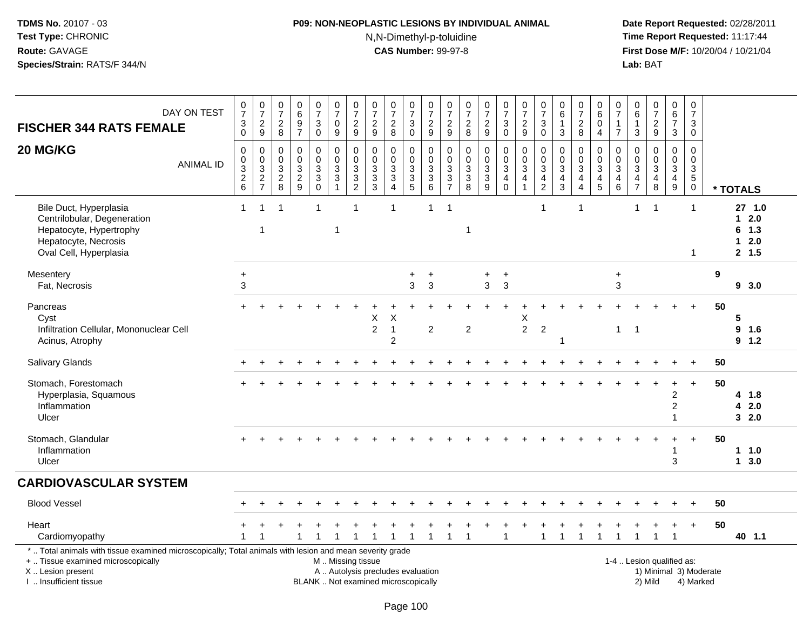# **P09: NON-NEOPLASTIC LESIONS BY INDIVIDUAL ANIMAL**N,N-Dimethyl-p-toluidine

| <b>FISCHER 344 RATS FEMALE</b>                                                                                                                                                                | DAY ON TEST      | $\begin{smallmatrix}0\\7\end{smallmatrix}$<br>$\mathbf{3}$<br>$\mathbf 0$ | $\frac{0}{7}$<br>$\frac{2}{9}$                                 | $\begin{matrix} 0 \\ 7 \end{matrix}$<br>$\frac{2}{8}$ | $\begin{array}{c} 0 \\ 6 \end{array}$<br>$\frac{9}{7}$          | $\frac{0}{7}$<br>$\ensuremath{\mathsf{3}}$<br>$\mathbf 0$ | $\begin{smallmatrix} 0\\7 \end{smallmatrix}$<br>$\pmb{0}$<br>9                 | $\frac{0}{7}$<br>$\sqrt{2}$<br>$\boldsymbol{9}$ | $\frac{0}{7}$<br>$\frac{2}{9}$                                           | $\frac{0}{7}$<br>$\sqrt{2}$<br>8                                             | $\begin{array}{c} 0 \\ 7 \end{array}$<br>$\ensuremath{\mathsf{3}}$<br>$\mathbf 0$ | $\frac{0}{7}$<br>$\frac{2}{9}$                                             | $\frac{0}{7}$<br>$\frac{2}{9}$                              | $\frac{0}{7}$<br>$\frac{2}{8}$                                      | $\frac{0}{7}$<br>$\frac{2}{9}$                                      | $\begin{array}{c} 0 \\ 7 \end{array}$<br>$_{\rm 0}^3$ | $\frac{0}{7}$<br>$\sqrt{2}$<br>9                                               | $\frac{0}{7}$<br>3<br>$\mathbf 0$                            | $\begin{array}{c} 0 \\ 6 \end{array}$<br>$\mathbf{1}$<br>$\mathbf{3}$ | $\frac{0}{7}$<br>$_{8}^2$                                                       | $_{6}^{\rm 0}$<br>$\overline{0}$<br>$\overline{4}$ | $\begin{array}{c} 0 \\ 7 \end{array}$<br>$\mathbf{1}$<br>$\overline{7}$        | $\begin{array}{c} 0 \\ 6 \end{array}$<br>$\overline{1}$<br>3  | $\begin{array}{c} 0 \\ 7 \end{array}$<br>$\frac{2}{9}$              | $_{6}^{\rm 0}$<br>$\overline{7}$<br>3                     | $\begin{array}{c} 0 \\ 7 \end{array}$<br>$\mathbf{3}$<br>$\mathsf 0$ |    |                                                 |
|-----------------------------------------------------------------------------------------------------------------------------------------------------------------------------------------------|------------------|---------------------------------------------------------------------------|----------------------------------------------------------------|-------------------------------------------------------|-----------------------------------------------------------------|-----------------------------------------------------------|--------------------------------------------------------------------------------|-------------------------------------------------|--------------------------------------------------------------------------|------------------------------------------------------------------------------|-----------------------------------------------------------------------------------|----------------------------------------------------------------------------|-------------------------------------------------------------|---------------------------------------------------------------------|---------------------------------------------------------------------|-------------------------------------------------------|--------------------------------------------------------------------------------|--------------------------------------------------------------|-----------------------------------------------------------------------|---------------------------------------------------------------------------------|----------------------------------------------------|--------------------------------------------------------------------------------|---------------------------------------------------------------|---------------------------------------------------------------------|-----------------------------------------------------------|----------------------------------------------------------------------|----|-------------------------------------------------|
| 20 MG/KG                                                                                                                                                                                      | <b>ANIMAL ID</b> | 0<br>$\mathbf 0$<br>$\overline{3}$<br>$\frac{2}{6}$                       | $\mathbf 0$<br>$\begin{array}{c} 0 \\ 3 \\ 2 \\ 7 \end{array}$ | $\mathbf 0$<br>$\mathbf 0$<br>3<br>$\sqrt{2}$<br>8    | $\mathbf 0$<br>$\mathbf 0$<br>$\sqrt{3}$<br>$\overline{2}$<br>9 | 0<br>$\mathbf 0$<br>3<br>$\overline{3}$ 0                 | $\mathsf 0$<br>$\mathbf 0$<br>$\overline{3}$<br>$\overline{3}$<br>$\mathbf{1}$ | $\mathbf 0$<br>$\frac{0}{3}$<br>$\frac{3}{2}$   | $\mathbf 0$<br>$\pmb{0}$<br>$\overline{3}$<br>$\frac{3}{3}$              | $\mathbf 0$<br>$\mathbf 0$<br>$\sqrt{3}$<br>$\overline{3}$<br>$\overline{4}$ | 0<br>$\mathbf 0$<br>$\overline{3}$<br>$\frac{3}{5}$                               | $\mathbf 0$<br>$\pmb{0}$<br>$\sqrt{3}$<br>$\overline{3}$<br>$6\phantom{1}$ | $\mathbf 0$<br>$\pmb{0}$<br>$\overline{3}$<br>$\frac{3}{7}$ | $\mathsf 0$<br>$\mathbf 0$<br>$\overline{3}$<br>$\overline{3}$<br>8 | $\mathbf 0$<br>$\mathbf 0$<br>$\overline{3}$<br>$\overline{3}$<br>9 | 0<br>$\frac{0}{3}$<br>$\overline{4}$<br>$\mathbf 0$   | $\mathbf 0$<br>$\mathbf 0$<br>$\overline{3}$<br>$\overline{4}$<br>$\mathbf{1}$ | 0<br>$\boldsymbol{0}$<br>$\mathbf{3}$<br>4<br>$\overline{2}$ | $\mathbf 0$<br>$\frac{0}{3}$<br>$\frac{4}{3}$                         | $\mathbf{0}$<br>$\mathbf 0$<br>$\mathbf{3}$<br>$\overline{4}$<br>$\overline{4}$ | 0<br>$\frac{0}{3}$<br>$\frac{4}{5}$                | $\mathbf 0$<br>$\pmb{0}$<br>$\overline{3}$<br>$\overline{4}$<br>$6\phantom{1}$ | $\mathbf 0$<br>$\mathbf 0$<br>$\overline{3}$<br>$\frac{4}{7}$ | $\mathbf 0$<br>$\mathbf 0$<br>$\overline{3}$<br>$\overline{4}$<br>8 | 0<br>$\mathbf 0$<br>$\overline{3}$<br>$\overline{4}$<br>9 | $\mathbf 0$<br>$\frac{0}{3}$<br>$\mathbf 0$                          |    | * TOTALS                                        |
| Bile Duct, Hyperplasia<br>Centrilobular, Degeneration<br>Hepatocyte, Hypertrophy<br>Hepatocyte, Necrosis<br>Oval Cell, Hyperplasia                                                            |                  | $\mathbf{1}$                                                              | $\overline{1}$<br>$\overline{1}$                               | $\overline{1}$                                        |                                                                 | 1                                                         | $\mathbf 1$                                                                    | $\overline{1}$                                  |                                                                          | $\overline{1}$                                                               |                                                                                   | $\mathbf{1}$                                                               | $\overline{1}$                                              | $\mathbf{1}$                                                        |                                                                     |                                                       |                                                                                | $\mathbf{1}$                                                 |                                                                       | 1                                                                               |                                                    |                                                                                | $\mathbf 1$                                                   | $\overline{1}$                                                      |                                                           | $\mathbf 1$<br>$\mathbf 1$                                           |    | 27 1.0<br>$12.0$<br>$6$ 1.3<br>$12.0$<br>2, 1.5 |
| Mesentery<br>Fat, Necrosis                                                                                                                                                                    |                  | $\ddot{}$<br>3                                                            |                                                                |                                                       |                                                                 |                                                           |                                                                                |                                                 |                                                                          |                                                                              | $\ddot{}$<br>3                                                                    | $\ddot{}$<br>3                                                             |                                                             |                                                                     | $\ddot{}$<br>$\mathbf{3}$                                           | $\ddot{}$<br>$\mathbf{3}$                             |                                                                                |                                                              |                                                                       |                                                                                 |                                                    | $\ddot{}$<br>3                                                                 |                                                               |                                                                     |                                                           |                                                                      | 9  | 93.0                                            |
| Pancreas<br>Cyst<br>Infiltration Cellular, Mononuclear Cell<br>Acinus, Atrophy                                                                                                                |                  |                                                                           |                                                                |                                                       |                                                                 |                                                           |                                                                                |                                                 | Χ<br>$\overline{2}$                                                      | X<br>$\overline{1}$<br>$\overline{c}$                                        |                                                                                   | $\overline{c}$                                                             |                                                             | $\overline{2}$                                                      |                                                                     |                                                       | X<br>$\overline{2}$                                                            | $\overline{2}$                                               | -1                                                                    |                                                                                 |                                                    | $\overline{1}$                                                                 | $\overline{1}$                                                |                                                                     |                                                           | $\ddot{}$                                                            | 50 | 5<br>9 1.6<br>$9$ 1.2                           |
| Salivary Glands                                                                                                                                                                               |                  |                                                                           |                                                                |                                                       |                                                                 |                                                           |                                                                                |                                                 |                                                                          |                                                                              |                                                                                   |                                                                            |                                                             |                                                                     |                                                                     |                                                       |                                                                                |                                                              |                                                                       |                                                                                 |                                                    |                                                                                |                                                               |                                                                     |                                                           |                                                                      | 50 |                                                 |
| Stomach, Forestomach<br>Hyperplasia, Squamous<br>Inflammation<br>Ulcer                                                                                                                        |                  |                                                                           |                                                                |                                                       |                                                                 |                                                           |                                                                                |                                                 |                                                                          |                                                                              |                                                                                   |                                                                            |                                                             |                                                                     |                                                                     |                                                       |                                                                                |                                                              |                                                                       |                                                                                 |                                                    |                                                                                |                                                               |                                                                     | $\overline{c}$<br>$\overline{c}$<br>1                     | $+$                                                                  | 50 | 4 1.8<br>42.0<br>32.0                           |
| Stomach, Glandular<br>Inflammation<br>Ulcer                                                                                                                                                   |                  |                                                                           |                                                                |                                                       |                                                                 |                                                           |                                                                                |                                                 |                                                                          |                                                                              |                                                                                   |                                                                            |                                                             |                                                                     |                                                                     |                                                       |                                                                                |                                                              |                                                                       |                                                                                 |                                                    |                                                                                |                                                               |                                                                     | 1<br>3                                                    | $+$                                                                  | 50 | 11.0<br>13.0                                    |
| <b>CARDIOVASCULAR SYSTEM</b>                                                                                                                                                                  |                  |                                                                           |                                                                |                                                       |                                                                 |                                                           |                                                                                |                                                 |                                                                          |                                                                              |                                                                                   |                                                                            |                                                             |                                                                     |                                                                     |                                                       |                                                                                |                                                              |                                                                       |                                                                                 |                                                    |                                                                                |                                                               |                                                                     |                                                           |                                                                      |    |                                                 |
| <b>Blood Vessel</b>                                                                                                                                                                           |                  |                                                                           |                                                                |                                                       |                                                                 |                                                           |                                                                                |                                                 |                                                                          |                                                                              |                                                                                   |                                                                            |                                                             |                                                                     |                                                                     |                                                       |                                                                                |                                                              |                                                                       |                                                                                 |                                                    |                                                                                |                                                               |                                                                     |                                                           |                                                                      | 50 |                                                 |
| Heart<br>Cardiomyopathy                                                                                                                                                                       |                  |                                                                           |                                                                |                                                       |                                                                 |                                                           |                                                                                |                                                 |                                                                          |                                                                              |                                                                                   |                                                                            |                                                             |                                                                     |                                                                     | 1                                                     |                                                                                | 1                                                            |                                                                       |                                                                                 |                                                    |                                                                                |                                                               | 1                                                                   | $\ddot{}$<br>$\mathbf{1}$                                 | $\ddot{}$                                                            | 50 | 40 1.1                                          |
| *  Total animals with tissue examined microscopically; Total animals with lesion and mean severity grade<br>+  Tissue examined microscopically<br>X  Lesion present<br>I. Insufficient tissue |                  |                                                                           |                                                                |                                                       |                                                                 |                                                           | M  Missing tissue                                                              |                                                 | A  Autolysis precludes evaluation<br>BLANK  Not examined microscopically |                                                                              |                                                                                   |                                                                            |                                                             |                                                                     |                                                                     |                                                       |                                                                                |                                                              |                                                                       |                                                                                 |                                                    |                                                                                |                                                               | 1-4  Lesion qualified as:<br>1) Minimal 3) Moderate<br>2) Mild      |                                                           | 4) Marked                                                            |    |                                                 |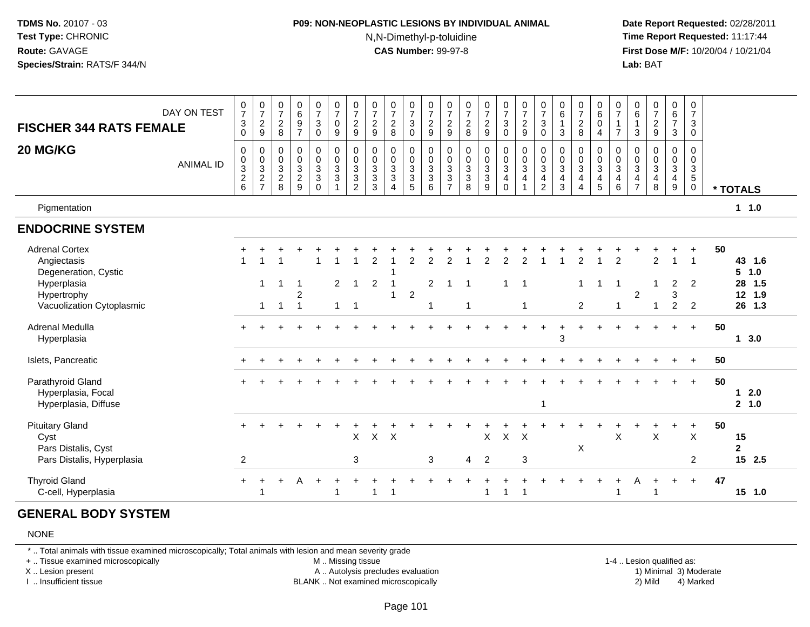#### **P09: NON-NEOPLASTIC LESIONS BY INDIVIDUAL ANIMAL**N,N-Dimethyl-p-toluidine

 **Date Report Requested:** 02/28/2011 **Time Report Requested:** 11:17:44 **First Dose M/F:** 10/20/04 / 10/21/04<br>**Lab:** BAT **Lab:** BAT

| <b>FISCHER 344 RATS FEMALE</b><br>20 MG/KG                                          | DAY ON TEST<br><b>ANIMAL ID</b> | 0<br>$\overline{7}$<br>$\ensuremath{\mathsf{3}}$<br>$\Omega$<br>$\mathbf 0$<br>$\mathsf{O}\xspace$<br>$\overline{3}$<br>$\frac{2}{6}$ | $\frac{0}{7}$<br>$\frac{2}{9}$<br>0<br>$\mathbf 0$<br>$\mathbf{3}$<br>$\frac{2}{7}$ | $\pmb{0}$<br>$\overline{7}$<br>$^2_{\bf 8}$<br>0<br>$\pmb{0}$<br>$\ensuremath{\mathsf{3}}$<br>$\sqrt{2}$<br>8 | 0697<br>$\pmb{0}$<br>$\mathsf{O}\xspace$<br>$\frac{3}{2}$ | $\frac{0}{7}$<br>$\ensuremath{\mathsf{3}}$<br>0<br>$\begin{smallmatrix}0\0\0\end{smallmatrix}$<br>$\mathfrak{S}$<br>3<br>$\mathbf 0$ | $\frac{0}{7}$<br>$\pmb{0}$<br>9<br>$\pmb{0}$<br>$\pmb{0}$<br>$\overline{3}$<br>$\sqrt{3}$<br>$\mathbf{1}$ | $\frac{0}{7}$<br>$\overline{c}$<br>9<br>$\mathbf 0$<br>$\pmb{0}$<br>3<br>$\mathbf{3}$<br>$\overline{c}$ | $\frac{0}{7}$<br>$\overline{c}$<br>$9\,$<br>$\mathbf 0$<br>$\mathbf 0$<br>$\ensuremath{\mathsf{3}}$<br>$\ensuremath{\mathsf{3}}$<br>$\sqrt{3}$ | $\frac{0}{7}$<br>$\overline{c}$<br>8<br>0<br>$\pmb{0}$<br>$\ensuremath{\mathsf{3}}$<br>$\sqrt{3}$<br>$\overline{4}$ | $\frac{0}{7}$<br>$\sqrt{3}$<br>$\mathbf 0$<br>0<br>$\mathsf{O}\xspace$<br>$\sqrt{3}$<br>$\frac{3}{5}$ | $\frac{0}{7}$<br>$\boldsymbol{2}$<br>$9\,$<br>$\mathbf 0$<br>$\mathbf 0$<br>$\sqrt{3}$<br>$\ensuremath{\mathsf{3}}$<br>6 | $\frac{0}{7}$<br>$\sqrt{2}$<br>9<br>$\mathbf 0$<br>$\pmb{0}$<br>$\ensuremath{\mathsf{3}}$<br>$\ensuremath{\mathsf{3}}$<br>$\overline{7}$ | $\frac{0}{7}$<br>$_{8}^2$<br>$\mathbf 0$<br>$\frac{0}{3}$<br>8 | $\frac{0}{7}$<br>$\frac{2}{9}$<br>$\begin{array}{c} 0 \\ 0 \\ 3 \\ 3 \end{array}$<br>9 | $\frac{0}{7}$<br>$\mathbf{3}$<br>$\mathbf 0$<br>0<br>$\mathbf 0$<br>$\overline{3}$<br>$\overline{\mathbf{4}}$<br>$\mathbf 0$ | $\frac{0}{7}$<br>$\frac{2}{9}$<br>$\pmb{0}$<br>$\overline{0}$<br>$\overline{3}$<br>$\overline{4}$<br>1 | $\frac{0}{7}$<br>$\sqrt{3}$<br>$\mathbf 0$<br>0<br>$\mathbf 0$<br>$\sqrt{3}$<br>4<br>$\overline{2}$ | 0<br>$\,6\,$<br>3<br>$\mathbf 0$<br>$\mathbf 0$<br>$\sqrt{3}$<br>$\overline{4}$<br>$\mathbf{3}$ | $\frac{0}{7}$<br>$\frac{2}{8}$<br>0<br>0<br>$\mathbf{3}$<br>$\overline{4}$<br>$\overline{4}$ | 0<br>6<br>$\pmb{0}$<br>$\overline{4}$<br>$\mathbf 0$<br>$\mathsf{O}\xspace$<br>$\overline{3}$<br>$\overline{4}$<br>5 | $\frac{0}{7}$<br>$\overline{7}$<br>$\Omega$<br>$\pmb{0}$<br>$\overline{3}$<br>$\overline{4}$<br>$\,6\,$ | $\begin{array}{c} 0 \\ 6 \end{array}$<br>$\overline{1}$<br>$\mathbf{3}$<br>$\mathbf 0$<br>$_{3}^{\rm 0}$<br>$\frac{4}{7}$ | $\frac{0}{7}$<br>$\boldsymbol{2}$<br>$\boldsymbol{9}$<br>$\mathbf 0$<br>$\mathsf 0$<br>$\overline{3}$<br>$\overline{\mathbf{4}}$<br>$\boldsymbol{8}$ | $\begin{array}{c} 0 \\ 6 \\ 7 \end{array}$<br>3<br>0<br>$\mathbf 0$<br>3<br>$\overline{\mathbf{4}}$<br>9 | 0<br>$\overline{7}$<br>$\mathbf{3}$<br>$\mathbf 0$<br>$\mathbf 0$<br>$\mathsf{O}\xspace$<br>$\overline{3}$<br>$\sqrt{5}$<br>$\mathbf 0$ |    | * TOTALS                     |
|-------------------------------------------------------------------------------------|---------------------------------|---------------------------------------------------------------------------------------------------------------------------------------|-------------------------------------------------------------------------------------|---------------------------------------------------------------------------------------------------------------|-----------------------------------------------------------|--------------------------------------------------------------------------------------------------------------------------------------|-----------------------------------------------------------------------------------------------------------|---------------------------------------------------------------------------------------------------------|------------------------------------------------------------------------------------------------------------------------------------------------|---------------------------------------------------------------------------------------------------------------------|-------------------------------------------------------------------------------------------------------|--------------------------------------------------------------------------------------------------------------------------|------------------------------------------------------------------------------------------------------------------------------------------|----------------------------------------------------------------|----------------------------------------------------------------------------------------|------------------------------------------------------------------------------------------------------------------------------|--------------------------------------------------------------------------------------------------------|-----------------------------------------------------------------------------------------------------|-------------------------------------------------------------------------------------------------|----------------------------------------------------------------------------------------------|----------------------------------------------------------------------------------------------------------------------|---------------------------------------------------------------------------------------------------------|---------------------------------------------------------------------------------------------------------------------------|------------------------------------------------------------------------------------------------------------------------------------------------------|----------------------------------------------------------------------------------------------------------|-----------------------------------------------------------------------------------------------------------------------------------------|----|------------------------------|
| Pigmentation                                                                        |                                 |                                                                                                                                       |                                                                                     |                                                                                                               |                                                           |                                                                                                                                      |                                                                                                           |                                                                                                         |                                                                                                                                                |                                                                                                                     |                                                                                                       |                                                                                                                          |                                                                                                                                          |                                                                |                                                                                        |                                                                                                                              |                                                                                                        |                                                                                                     |                                                                                                 |                                                                                              |                                                                                                                      |                                                                                                         |                                                                                                                           |                                                                                                                                                      |                                                                                                          |                                                                                                                                         |    | 1.0                          |
| <b>ENDOCRINE SYSTEM</b>                                                             |                                 |                                                                                                                                       |                                                                                     |                                                                                                               |                                                           |                                                                                                                                      |                                                                                                           |                                                                                                         |                                                                                                                                                |                                                                                                                     |                                                                                                       |                                                                                                                          |                                                                                                                                          |                                                                |                                                                                        |                                                                                                                              |                                                                                                        |                                                                                                     |                                                                                                 |                                                                                              |                                                                                                                      |                                                                                                         |                                                                                                                           |                                                                                                                                                      |                                                                                                          |                                                                                                                                         |    |                              |
| <b>Adrenal Cortex</b><br>Angiectasis<br>Degeneration, Cystic<br>Hyperplasia         |                                 |                                                                                                                                       | 1                                                                                   |                                                                                                               | -1                                                        |                                                                                                                                      | $\overline{2}$                                                                                            | $\mathbf{1}$                                                                                            | 2<br>$\overline{2}$                                                                                                                            |                                                                                                                     | $\overline{2}$                                                                                        | $\mathcal{P}$<br>$\overline{2}$                                                                                          | $\mathcal{P}$<br>$\mathbf 1$                                                                                                             | $\mathbf 1$                                                    | $\overline{2}$                                                                         | $\overline{2}$                                                                                                               | $\overline{2}$<br>-1                                                                                   |                                                                                                     |                                                                                                 | $\overline{2}$<br>$\mathbf 1$                                                                |                                                                                                                      | $\overline{2}$<br>-1                                                                                    |                                                                                                                           | $\overline{2}$<br>-1                                                                                                                                 | $\overline{1}$<br>$\overline{c}$                                                                         | $\overline{1}$<br>$\overline{2}$                                                                                                        | 50 | 43 1.6<br>5 1.0<br>28 1.5    |
| Hypertrophy<br>Vacuolization Cytoplasmic                                            |                                 |                                                                                                                                       | $\mathbf{1}$                                                                        |                                                                                                               | $\overline{c}$<br>$\overline{1}$                          |                                                                                                                                      | $\mathbf{1}$                                                                                              | $\overline{1}$                                                                                          |                                                                                                                                                |                                                                                                                     | $\overline{c}$                                                                                        | -1                                                                                                                       |                                                                                                                                          | $\overline{1}$                                                 |                                                                                        |                                                                                                                              | $\overline{1}$                                                                                         |                                                                                                     |                                                                                                 | 2                                                                                            |                                                                                                                      | -1                                                                                                      | $\overline{c}$                                                                                                            | 1                                                                                                                                                    | 3<br>$\overline{2}$                                                                                      | 2                                                                                                                                       |    | 12<br>1.9<br>26 1.3          |
| Adrenal Medulla<br>Hyperplasia                                                      |                                 |                                                                                                                                       |                                                                                     |                                                                                                               |                                                           |                                                                                                                                      |                                                                                                           |                                                                                                         |                                                                                                                                                |                                                                                                                     |                                                                                                       |                                                                                                                          |                                                                                                                                          |                                                                |                                                                                        |                                                                                                                              |                                                                                                        |                                                                                                     | 3                                                                                               |                                                                                              |                                                                                                                      |                                                                                                         |                                                                                                                           |                                                                                                                                                      | $\ddot{}$                                                                                                | $+$                                                                                                                                     | 50 | 1, 3.0                       |
| Islets, Pancreatic                                                                  |                                 |                                                                                                                                       |                                                                                     |                                                                                                               |                                                           |                                                                                                                                      |                                                                                                           |                                                                                                         |                                                                                                                                                |                                                                                                                     |                                                                                                       |                                                                                                                          |                                                                                                                                          |                                                                |                                                                                        |                                                                                                                              |                                                                                                        |                                                                                                     |                                                                                                 |                                                                                              |                                                                                                                      |                                                                                                         |                                                                                                                           |                                                                                                                                                      |                                                                                                          | $+$                                                                                                                                     | 50 |                              |
| Parathyroid Gland<br>Hyperplasia, Focal<br>Hyperplasia, Diffuse                     |                                 |                                                                                                                                       |                                                                                     |                                                                                                               |                                                           |                                                                                                                                      |                                                                                                           |                                                                                                         |                                                                                                                                                |                                                                                                                     |                                                                                                       |                                                                                                                          |                                                                                                                                          |                                                                |                                                                                        |                                                                                                                              |                                                                                                        | 1                                                                                                   |                                                                                                 |                                                                                              |                                                                                                                      |                                                                                                         |                                                                                                                           |                                                                                                                                                      |                                                                                                          | $+$                                                                                                                                     | 50 | $12.0$<br>2, 1.0             |
| <b>Pituitary Gland</b><br>Cyst<br>Pars Distalis, Cyst<br>Pars Distalis, Hyperplasia |                                 | 2                                                                                                                                     |                                                                                     |                                                                                                               |                                                           |                                                                                                                                      |                                                                                                           | X<br>3                                                                                                  | X                                                                                                                                              | $\boldsymbol{\mathsf{X}}$                                                                                           |                                                                                                       | 3                                                                                                                        |                                                                                                                                          | 4                                                              | X<br>$\overline{2}$                                                                    | $\pmb{\times}$                                                                                                               | $\times$<br>3                                                                                          |                                                                                                     |                                                                                                 | X                                                                                            |                                                                                                                      | X                                                                                                       |                                                                                                                           | X                                                                                                                                                    |                                                                                                          | $+$<br>X<br>2                                                                                                                           | 50 | 15<br>$\mathbf{2}$<br>15 2.5 |
| <b>Thyroid Gland</b><br>C-cell, Hyperplasia                                         |                                 | $+$                                                                                                                                   |                                                                                     | $\pm$                                                                                                         | A                                                         | $+$                                                                                                                                  | -1                                                                                                        |                                                                                                         |                                                                                                                                                |                                                                                                                     |                                                                                                       |                                                                                                                          |                                                                                                                                          |                                                                | -1                                                                                     |                                                                                                                              | -1                                                                                                     |                                                                                                     |                                                                                                 |                                                                                              |                                                                                                                      |                                                                                                         | Α                                                                                                                         |                                                                                                                                                      | $\div$                                                                                                   | $+$                                                                                                                                     | 47 | 15, 1.0                      |

#### **GENERAL BODY SYSTEM**

#### NONE

\* .. Total animals with tissue examined microscopically; Total animals with lesion and mean severity grade

+ .. Tissue examined microscopically

X .. Lesion present

I .. Insufficient tissue

M .. Missing tissue

A .. Autolysis precludes evaluation

BLANK .. Not examined microscopically 2) Mild 4) Marked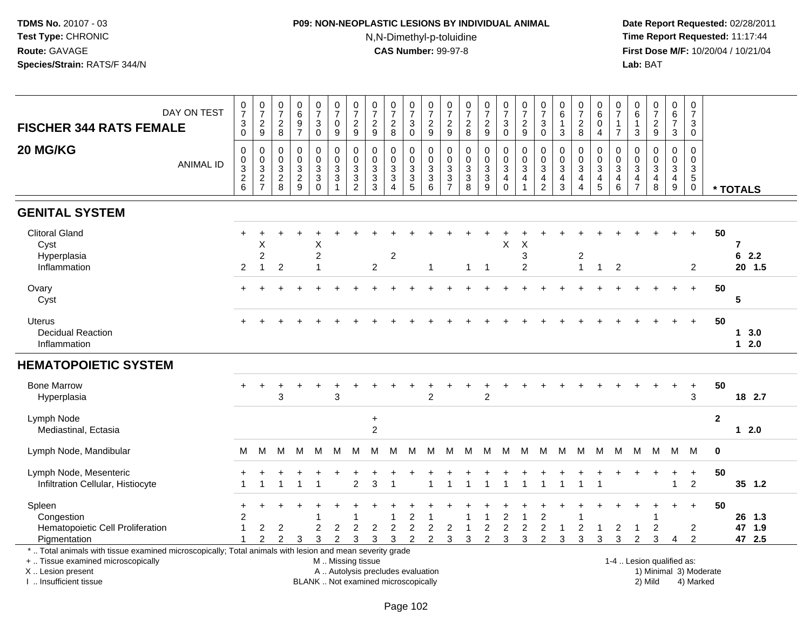# **P09: NON-NEOPLASTIC LESIONS BY INDIVIDUAL ANIMAL**N,N-Dimethyl-p-toluidine

| DAY ON TEST<br><b>FISCHER 344 RATS FEMALE</b><br>20 MG/KG<br><b>ANIMAL ID</b>                                                                                                                 | $\frac{0}{7}$<br>$\ensuremath{\mathsf{3}}$<br>$\overline{0}$<br>$\mathbf 0$<br>$\pmb{0}$<br>$\overline{3}$ | $\begin{smallmatrix} 0\\7 \end{smallmatrix}$<br>$\frac{2}{9}$<br>0<br>$\pmb{0}$<br>$\mathbf{3}$ | $\begin{array}{c} 0 \\ 7 \end{array}$<br>$_{\rm 8}^2$<br>0<br>0<br>$\sqrt{3}$ | 0697<br>$\mathbf 0$<br>$\pmb{0}$<br>$\ensuremath{\mathsf{3}}$ | $\begin{array}{c} 0 \\ 7 \end{array}$<br>$\sqrt{3}$<br>0<br>0<br>0<br>$\sqrt{3}$ | $\frac{0}{7}$<br>$\pmb{0}$<br>$9\,$<br>$\mathbf 0$<br>$\mathbf 0$<br>$\sqrt{3}$ | $\frac{0}{7}$<br>$\frac{2}{9}$<br>$\mathbf 0$<br>0<br>$\ensuremath{\mathsf{3}}$ | $\frac{0}{7}$<br>$\frac{2}{9}$<br>$\mathbf 0$<br>$\mathbf 0$<br>$\mathfrak{Z}$ | $\begin{array}{c} 0 \\ 7 \end{array}$<br>$\overline{c}$<br>8<br>$\mathbf 0$<br>$\mathbf 0$<br>$\sqrt{3}$ | $\frac{0}{7}$<br>$\sqrt{3}$<br>$\mathbf 0$<br>0<br>$\mathbf 0$<br>$\mathbf{3}$ | $\frac{0}{7}$<br>$\frac{2}{9}$<br>$\mathbf 0$<br>$\boldsymbol{0}$ | $\pmb{0}$<br>$\overline{7}$<br>$\frac{2}{9}$<br>$\mathbf 0$<br>0<br>$\ensuremath{\mathsf{3}}$ | $\frac{0}{7}$<br>$\frac{2}{8}$<br>$\mathbf 0$<br>$\mathbf 0$<br>$\sqrt{3}$ | $\frac{0}{7}$<br>$\frac{2}{9}$<br>$\mathbf 0$<br>0<br>$\mathbf{3}$ | $\begin{smallmatrix}0\\7\end{smallmatrix}$<br>$\ensuremath{\mathsf{3}}$<br>$\mathbf 0$<br>$\mathbf 0$<br>0<br>$\mathbf{3}$ | $\begin{array}{c} 0 \\ 7 \end{array}$<br>$\overline{c}$<br>$\boldsymbol{9}$<br>$\mathbf 0$<br>$\pmb{0}$<br>$\sqrt{3}$ | $\frac{0}{7}$<br>$\sqrt{3}$<br>$\mathbf 0$<br>$\mathbf 0$<br>0<br>$\sqrt{3}$ | $\pmb{0}$<br>$6\phantom{a}$<br>$\overline{1}$<br>$\mathbf{3}$<br>$\mathbf 0$<br>$\mathbf 0$<br>$\sqrt{3}$ | $\frac{0}{7}$<br>$\begin{array}{c} 2 \\ 8 \end{array}$<br>0<br>$\mathbf 0$<br>$\sqrt{3}$ | 0<br>6<br>0<br>4<br>$\Omega$<br>$\mathbf 0$<br>3 | 0<br>$\overline{7}$<br>$\mathbf{1}$<br>$\overline{7}$<br>$\mathbf 0$<br>0<br>3 | $\pmb{0}$<br>$6\phantom{a}$<br>$\mathbf 1$<br>$\mathbf{3}$<br>$\mathbf 0$<br>0<br>$\mathbf{3}$ | $\frac{0}{7}$<br>$\frac{2}{9}$<br>$\mathbf 0$<br>$\mathbf 0$<br>$\mathbf{3}$ | $\mathbf 0$<br>$6\phantom{a}$<br>$\boldsymbol{7}$<br>$\ensuremath{\mathsf{3}}$<br>$\mathbf 0$<br>$\mathsf{O}\xspace$<br>$\sqrt{3}$ | $\boldsymbol{0}$<br>$\overline{7}$<br>$\ensuremath{\mathsf{3}}$<br>$\mathbf 0$<br>$\mathbf 0$<br>$\mathbf 0$<br>$\mathbf{3}$ |                        |                        |                            |  |
|-----------------------------------------------------------------------------------------------------------------------------------------------------------------------------------------------|------------------------------------------------------------------------------------------------------------|-------------------------------------------------------------------------------------------------|-------------------------------------------------------------------------------|---------------------------------------------------------------|----------------------------------------------------------------------------------|---------------------------------------------------------------------------------|---------------------------------------------------------------------------------|--------------------------------------------------------------------------------|----------------------------------------------------------------------------------------------------------|--------------------------------------------------------------------------------|-------------------------------------------------------------------|-----------------------------------------------------------------------------------------------|----------------------------------------------------------------------------|--------------------------------------------------------------------|----------------------------------------------------------------------------------------------------------------------------|-----------------------------------------------------------------------------------------------------------------------|------------------------------------------------------------------------------|-----------------------------------------------------------------------------------------------------------|------------------------------------------------------------------------------------------|--------------------------------------------------|--------------------------------------------------------------------------------|------------------------------------------------------------------------------------------------|------------------------------------------------------------------------------|------------------------------------------------------------------------------------------------------------------------------------|------------------------------------------------------------------------------------------------------------------------------|------------------------|------------------------|----------------------------|--|
|                                                                                                                                                                                               | $\frac{2}{6}$                                                                                              | $\frac{2}{7}$                                                                                   | $_{\rm 8}^2$                                                                  | $\frac{2}{9}$                                                 | $\sqrt{3}$<br>$\mathbf 0$                                                        | $\sqrt{3}$<br>$\mathbf{1}$                                                      | $\ensuremath{\mathsf{3}}$<br>$\overline{2}$                                     | $\frac{3}{3}$                                                                  | $\overline{3}$<br>$\overline{4}$                                                                         | $\frac{3}{5}$                                                                  | $\frac{3}{6}$                                                     | $\ensuremath{\mathsf{3}}$<br>$\overline{7}$                                                   | $\sqrt{3}$<br>8                                                            | $\ensuremath{\mathsf{3}}$<br>9                                     | $\overline{\mathbf{4}}$<br>$\mathbf 0$                                                                                     | 4                                                                                                                     | $\overline{4}$<br>$\overline{2}$                                             | $\overline{\mathbf{4}}$<br>$\mathbf{3}$                                                                   | $\overline{\mathbf{4}}$<br>$\overline{4}$                                                | $\frac{4}{5}$                                    | $\overline{4}$<br>$\,6\,$                                                      | $\frac{4}{7}$                                                                                  | $\overline{4}$<br>8                                                          | $\overline{4}$<br>$\boldsymbol{9}$                                                                                                 | $\sqrt{5}$<br>$\mathbf 0$                                                                                                    |                        | * TOTALS               |                            |  |
| <b>GENITAL SYSTEM</b>                                                                                                                                                                         |                                                                                                            |                                                                                                 |                                                                               |                                                               |                                                                                  |                                                                                 |                                                                                 |                                                                                |                                                                                                          |                                                                                |                                                                   |                                                                                               |                                                                            |                                                                    |                                                                                                                            |                                                                                                                       |                                                                              |                                                                                                           |                                                                                          |                                                  |                                                                                |                                                                                                |                                                                              |                                                                                                                                    |                                                                                                                              |                        |                        |                            |  |
| <b>Clitoral Gland</b><br>Cyst<br>Hyperplasia<br>Inflammation                                                                                                                                  | $+$<br>$\overline{2}$                                                                                      | Χ<br>$\overline{2}$<br>$\mathbf{1}$                                                             | $\overline{2}$                                                                |                                                               | X<br>$\overline{c}$<br>$\overline{1}$                                            |                                                                                 |                                                                                 | $\overline{c}$                                                                 | $\sqrt{2}$                                                                                               |                                                                                | $\overline{1}$                                                    |                                                                                               | $\mathbf{1}$                                                               | $\mathbf 1$                                                        | X                                                                                                                          | Χ<br>3<br>$\boldsymbol{2}$                                                                                            |                                                                              |                                                                                                           | $\overline{\mathbf{c}}$<br>$\mathbf{1}$                                                  | $\mathbf{1}$                                     | $\overline{2}$                                                                 |                                                                                                |                                                                              |                                                                                                                                    | $\overline{2}$                                                                                                               | 50                     | $\overline{7}$<br>62.2 | 20 1.5                     |  |
| Ovary<br>Cyst                                                                                                                                                                                 | $+$                                                                                                        |                                                                                                 |                                                                               |                                                               |                                                                                  |                                                                                 |                                                                                 |                                                                                |                                                                                                          |                                                                                |                                                                   |                                                                                               |                                                                            |                                                                    |                                                                                                                            |                                                                                                                       |                                                                              |                                                                                                           |                                                                                          |                                                  |                                                                                |                                                                                                |                                                                              | $+$                                                                                                                                | $+$                                                                                                                          | 50                     | 5                      |                            |  |
| <b>Uterus</b><br><b>Decidual Reaction</b><br>Inflammation                                                                                                                                     |                                                                                                            |                                                                                                 |                                                                               |                                                               |                                                                                  |                                                                                 |                                                                                 |                                                                                |                                                                                                          |                                                                                |                                                                   |                                                                                               |                                                                            |                                                                    |                                                                                                                            |                                                                                                                       |                                                                              |                                                                                                           |                                                                                          |                                                  |                                                                                |                                                                                                |                                                                              |                                                                                                                                    | $+$                                                                                                                          | 50                     | 1<br>$\mathbf{1}$      | 3.0<br>2.0                 |  |
| <b>HEMATOPOIETIC SYSTEM</b>                                                                                                                                                                   |                                                                                                            |                                                                                                 |                                                                               |                                                               |                                                                                  |                                                                                 |                                                                                 |                                                                                |                                                                                                          |                                                                                |                                                                   |                                                                                               |                                                                            |                                                                    |                                                                                                                            |                                                                                                                       |                                                                              |                                                                                                           |                                                                                          |                                                  |                                                                                |                                                                                                |                                                                              |                                                                                                                                    |                                                                                                                              |                        |                        |                            |  |
| <b>Bone Marrow</b><br>Hyperplasia                                                                                                                                                             |                                                                                                            |                                                                                                 | 3                                                                             |                                                               |                                                                                  | 3                                                                               |                                                                                 |                                                                                |                                                                                                          |                                                                                | 2                                                                 |                                                                                               |                                                                            | $\overline{2}$                                                     |                                                                                                                            |                                                                                                                       |                                                                              |                                                                                                           |                                                                                          |                                                  |                                                                                |                                                                                                |                                                                              |                                                                                                                                    | $\ddot{}$<br>3                                                                                                               | 50                     |                        | 18 2.7                     |  |
| Lymph Node<br>Mediastinal, Ectasia                                                                                                                                                            |                                                                                                            |                                                                                                 |                                                                               |                                                               |                                                                                  |                                                                                 |                                                                                 | $\ddot{}$<br>$\overline{2}$                                                    |                                                                                                          |                                                                                |                                                                   |                                                                                               |                                                                            |                                                                    |                                                                                                                            |                                                                                                                       |                                                                              |                                                                                                           |                                                                                          |                                                  |                                                                                |                                                                                                |                                                                              |                                                                                                                                    |                                                                                                                              | $\mathbf{2}$           | $12.0$                 |                            |  |
| Lymph Node, Mandibular                                                                                                                                                                        | M                                                                                                          | M                                                                                               | м                                                                             | м                                                             | М                                                                                | M                                                                               | M                                                                               | м                                                                              | M                                                                                                        | м                                                                              | М                                                                 | M                                                                                             | М                                                                          | M                                                                  | M                                                                                                                          | M                                                                                                                     | м                                                                            | M                                                                                                         | M                                                                                        | M                                                | M                                                                              | M                                                                                              | M                                                                            | M                                                                                                                                  | M                                                                                                                            | 0                      |                        |                            |  |
| Lymph Node, Mesenteric<br>Infiltration Cellular, Histiocyte                                                                                                                                   |                                                                                                            | 1                                                                                               |                                                                               |                                                               |                                                                                  |                                                                                 | $\overline{2}$                                                                  | 3                                                                              |                                                                                                          |                                                                                |                                                                   |                                                                                               |                                                                            |                                                                    |                                                                                                                            |                                                                                                                       |                                                                              |                                                                                                           |                                                                                          |                                                  |                                                                                |                                                                                                | $\ddot{}$                                                                    | $\ddot{}$<br>1                                                                                                                     | $\ddot{}$<br>$\overline{2}$                                                                                                  | 50                     |                        | 35 1.2                     |  |
| Spleen<br>Congestion<br>Hematopoietic Cell Proliferation<br>Pigmentation                                                                                                                      | $\overline{c}$                                                                                             | $\overline{c}$<br>2                                                                             | 2<br>$\overline{c}$                                                           | 3                                                             | $\overline{c}$<br>3                                                              | 2<br>$\overline{c}$                                                             | 2<br>3                                                                          | $\overline{c}$<br>3                                                            | 1<br>$\overline{c}$<br>3                                                                                 | 2<br>$\overline{c}$<br>$\overline{c}$                                          | $\overline{2}$<br>$\overline{2}$                                  | $\overline{c}$<br>3                                                                           | 3                                                                          | $\overline{c}$<br>$\overline{2}$                                   | $\overline{c}$<br>$\overline{c}$<br>3                                                                                      | 1<br>$\overline{2}$<br>3                                                                                              | $\overline{c}$<br>$\overline{c}$<br>$\overline{2}$                           | $\overline{1}$<br>3                                                                                       | $\overline{c}$<br>3                                                                      | 3                                                | 2<br>3                                                                         | $\mathbf 1$<br>$\overline{2}$                                                                  | $\overline{c}$<br>3                                                          | $+$<br>4                                                                                                                           | $\ddot{}$<br>$\overline{c}$<br>$\overline{2}$                                                                                | 50                     |                        | 26 1.3<br>47 1.9<br>47 2.5 |  |
| *  Total animals with tissue examined microscopically; Total animals with lesion and mean severity grade<br>+  Tissue examined microscopically<br>X  Lesion present<br>I. Insufficient tissue |                                                                                                            |                                                                                                 |                                                                               |                                                               |                                                                                  | M  Missing tissue                                                               |                                                                                 |                                                                                | A  Autolysis precludes evaluation<br>BLANK  Not examined microscopically                                 |                                                                                |                                                                   |                                                                                               |                                                                            |                                                                    |                                                                                                                            |                                                                                                                       |                                                                              |                                                                                                           |                                                                                          |                                                  |                                                                                |                                                                                                | 1-4  Lesion qualified as:<br>2) Mild                                         |                                                                                                                                    | 4) Marked                                                                                                                    | 1) Minimal 3) Moderate |                        |                            |  |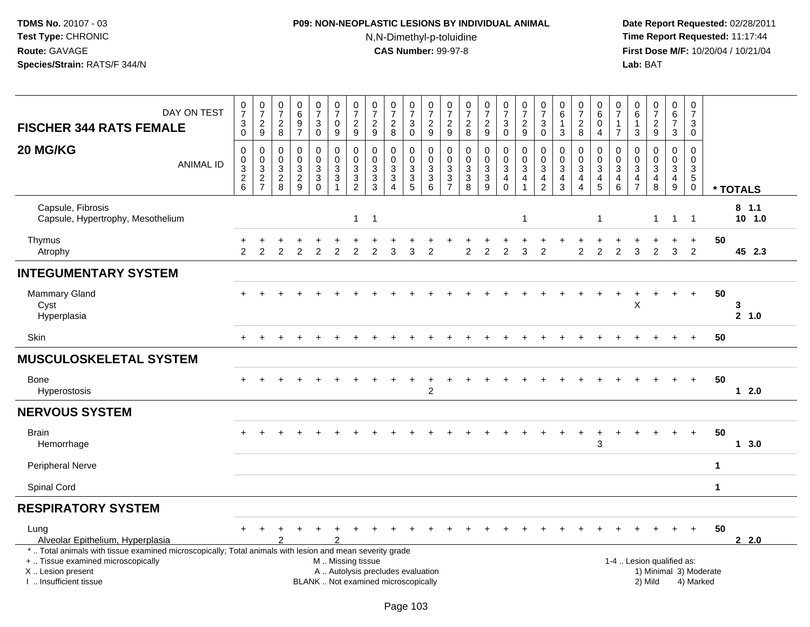# **P09: NON-NEOPLASTIC LESIONS BY INDIVIDUAL ANIMAL**N,N-Dimethyl-p-toluidine

| <b>FISCHER 344 RATS FEMALE</b>                                                                                                                                                                | DAY ON TEST      | $\frac{0}{7}$<br>$_{0}^{3}$ | $\begin{array}{c} 0 \\ 7 \end{array}$<br>$\frac{2}{9}$ | $\frac{0}{7}$<br>$_{\rm 8}^2$                    | $\begin{array}{c} 0 \\ 6 \end{array}$<br>$\frac{9}{7}$ | $\frac{0}{7}$<br>3<br>$\ddot{\mathbf{0}}$           | $\frac{0}{7}$<br>$\mathbf 0$<br>$\overline{9}$                 | $\begin{array}{c} 0 \\ 7 \end{array}$<br>$\frac{2}{9}$ | $\frac{0}{7}$<br>$\frac{2}{9}$                                                        | $\frac{0}{7}$<br>$^{\,2}_{\,8}$                                              | $\frac{0}{7}$<br>$\sqrt{3}$<br>$\mathbf 0$                                    | $\frac{0}{7}$<br>$\frac{2}{9}$                           | $\frac{0}{7}$<br>$\frac{2}{9}$                                 | $\frac{0}{7}$<br>$\frac{2}{8}$                             | $\frac{0}{7}$<br>$\frac{2}{9}$  | $\frac{0}{7}$<br>3<br>$\mathsf{O}\xspace$           | $\frac{0}{7}$<br>$\frac{2}{9}$                                                      | $\frac{0}{7}$<br>3<br>$\mathbf 0$                                            | 0<br>6<br>$\mathbf{1}$<br>$\mathbf{3}$                          | $\frac{0}{7}$<br>$^2_{\bf 8}$                | 0<br>$\overline{6}$<br>0<br>$\overline{4}$              | $\begin{array}{c} 0 \\ 7 \end{array}$<br>$\mathbf{1}$<br>$\overline{7}$                             | $\begin{array}{c} 0 \\ 6 \end{array}$<br>$\mathbf{1}$<br>$\mathbf{3}$          | $\frac{0}{7}$<br>$\frac{2}{9}$                                 | $\begin{array}{c} 0 \\ 6 \\ 7 \end{array}$<br>$\mathbf{3}$                       | $\pmb{0}$<br>$\overline{7}$<br>3<br>$\mathbf 0$                                           |              |                    |
|-----------------------------------------------------------------------------------------------------------------------------------------------------------------------------------------------|------------------|-----------------------------|--------------------------------------------------------|--------------------------------------------------|--------------------------------------------------------|-----------------------------------------------------|----------------------------------------------------------------|--------------------------------------------------------|---------------------------------------------------------------------------------------|------------------------------------------------------------------------------|-------------------------------------------------------------------------------|----------------------------------------------------------|----------------------------------------------------------------|------------------------------------------------------------|---------------------------------|-----------------------------------------------------|-------------------------------------------------------------------------------------|------------------------------------------------------------------------------|-----------------------------------------------------------------|----------------------------------------------|---------------------------------------------------------|-----------------------------------------------------------------------------------------------------|--------------------------------------------------------------------------------|----------------------------------------------------------------|----------------------------------------------------------------------------------|-------------------------------------------------------------------------------------------|--------------|--------------------|
| 20 MG/KG                                                                                                                                                                                      | <b>ANIMAL ID</b> | 0<br>$\frac{0}{2}$ 8        | $\mathbf 0$<br>$\overline{0}$<br>$\frac{3}{2}$         | $\mathbf 0$<br>$\boldsymbol{0}$<br>$\frac{3}{2}$ | $\mathbf 0$<br>$\mathbf 0$<br>$\frac{3}{2}$            | $\mathbf 0$<br>$\mathbf 0$<br>3<br>3<br>$\mathbf 0$ | $\mathbf 0$<br>$\overline{0}$<br>$\frac{3}{3}$<br>$\mathbf{1}$ | 0<br>$\overline{0}$<br>$\mathbf{3}$<br>$\frac{3}{2}$   | $\mathbf 0$<br>$\mathbf 0$<br>$\sqrt{3}$<br>$\ensuremath{\mathsf{3}}$<br>$\mathbf{3}$ | $\mathbf 0$<br>$\ddot{\mathbf{0}}$<br>$\frac{3}{3}$<br>$\boldsymbol{\Delta}$ | 0<br>$\mathbf 0$<br>$\sqrt{3}$<br>$\ensuremath{\mathsf{3}}$<br>$\overline{5}$ | $\mathbf 0$<br>$\ddot{\mathbf{0}}$<br>$\frac{3}{3}$<br>6 | 0<br>$\mathbf 0$<br>$\ensuremath{\mathsf{3}}$<br>$\frac{3}{7}$ | $\mathbf 0$<br>$\ddot{\mathbf{0}}$<br>$\sqrt{3}$<br>$_8^3$ | 0<br>$\pmb{0}$<br>$\frac{3}{9}$ | 0<br>$\mathbf 0$<br>$\mathfrak{S}$<br>4<br>$\Omega$ | $\mathbf 0$<br>$\overline{0}$<br>$\overline{3}$<br>$\overline{4}$<br>$\overline{1}$ | $\mathbf 0$<br>$\mathbf 0$<br>$\sqrt{3}$<br>$\overline{4}$<br>$\overline{2}$ | $\mathbf 0$<br>$\mathbf 0$<br>$\sqrt{3}$<br>$\overline{4}$<br>3 | 0<br>$\mathbf 0$<br>3<br>4<br>$\overline{4}$ | 0<br>$\mathbf 0$<br>$\mathbf{3}$<br>$\overline{4}$<br>5 | $\mathbf 0$<br>$\ddot{\mathbf{0}}$<br>$\ensuremath{\mathsf{3}}$<br>$\overline{4}$<br>$6\phantom{1}$ | $\mathbf 0$<br>$\mathbf 0$<br>$\mathbf{3}$<br>$\overline{4}$<br>$\overline{7}$ | 0<br>$\Omega$<br>$\sqrt{3}$<br>$\overline{4}$<br>8             | $\mathbf 0$<br>$\mathbf 0$<br>$\mathbf{3}$<br>$\overline{4}$<br>$\boldsymbol{9}$ | $\mathbf 0$<br>$\mathbf 0$<br>$\ensuremath{\mathsf{3}}$<br>$5\phantom{.0}$<br>$\mathbf 0$ |              | * TOTALS           |
| Capsule, Fibrosis<br>Capsule, Hypertrophy, Mesothelium                                                                                                                                        |                  |                             |                                                        |                                                  |                                                        |                                                     |                                                                | $\mathbf{1}$                                           | -1                                                                                    |                                                                              |                                                                               |                                                          |                                                                |                                                            |                                 |                                                     | $\overline{\mathbf{1}}$                                                             |                                                                              |                                                                 |                                              | 1                                                       |                                                                                                     |                                                                                | 1                                                              | $\mathbf{1}$                                                                     | $\overline{1}$                                                                            |              | $8$ 1.1<br>10, 1.0 |
| Thymus<br>Atrophy                                                                                                                                                                             |                  | $\overline{2}$              | $\overline{2}$                                         | 2                                                |                                                        |                                                     |                                                                | $\overline{2}$                                         |                                                                                       |                                                                              | 3                                                                             | 2                                                        |                                                                |                                                            | $\overline{c}$                  | $\overline{2}$                                      | 3                                                                                   | $\overline{2}$                                                               |                                                                 | 2                                            | $\overline{2}$                                          | 2                                                                                                   | 3                                                                              | $\overline{2}$                                                 | 3                                                                                | +<br>$\overline{2}$                                                                       | 50           | 45 2.3             |
| <b>INTEGUMENTARY SYSTEM</b>                                                                                                                                                                   |                  |                             |                                                        |                                                  |                                                        |                                                     |                                                                |                                                        |                                                                                       |                                                                              |                                                                               |                                                          |                                                                |                                                            |                                 |                                                     |                                                                                     |                                                                              |                                                                 |                                              |                                                         |                                                                                                     |                                                                                |                                                                |                                                                                  |                                                                                           |              |                    |
| <b>Mammary Gland</b><br>Cyst<br>Hyperplasia                                                                                                                                                   |                  |                             |                                                        |                                                  |                                                        |                                                     |                                                                |                                                        |                                                                                       |                                                                              |                                                                               |                                                          |                                                                |                                                            |                                 |                                                     |                                                                                     |                                                                              |                                                                 |                                              |                                                         |                                                                                                     | $\boldsymbol{\mathsf{X}}$                                                      |                                                                |                                                                                  |                                                                                           | 50           | 3<br>2 1.0         |
| Skin                                                                                                                                                                                          |                  |                             |                                                        |                                                  |                                                        |                                                     |                                                                |                                                        |                                                                                       |                                                                              |                                                                               |                                                          |                                                                |                                                            |                                 |                                                     |                                                                                     |                                                                              |                                                                 |                                              |                                                         |                                                                                                     |                                                                                |                                                                |                                                                                  |                                                                                           | 50           |                    |
| <b>MUSCULOSKELETAL SYSTEM</b>                                                                                                                                                                 |                  |                             |                                                        |                                                  |                                                        |                                                     |                                                                |                                                        |                                                                                       |                                                                              |                                                                               |                                                          |                                                                |                                                            |                                 |                                                     |                                                                                     |                                                                              |                                                                 |                                              |                                                         |                                                                                                     |                                                                                |                                                                |                                                                                  |                                                                                           |              |                    |
| Bone<br>Hyperostosis                                                                                                                                                                          |                  |                             |                                                        |                                                  |                                                        |                                                     |                                                                |                                                        |                                                                                       |                                                                              |                                                                               | $\overline{2}$                                           |                                                                |                                                            |                                 |                                                     |                                                                                     |                                                                              |                                                                 |                                              |                                                         |                                                                                                     |                                                                                |                                                                |                                                                                  | $+$                                                                                       | 50           | $12.0$             |
| <b>NERVOUS SYSTEM</b>                                                                                                                                                                         |                  |                             |                                                        |                                                  |                                                        |                                                     |                                                                |                                                        |                                                                                       |                                                                              |                                                                               |                                                          |                                                                |                                                            |                                 |                                                     |                                                                                     |                                                                              |                                                                 |                                              |                                                         |                                                                                                     |                                                                                |                                                                |                                                                                  |                                                                                           |              |                    |
| <b>Brain</b><br>Hemorrhage                                                                                                                                                                    |                  |                             |                                                        |                                                  |                                                        |                                                     |                                                                |                                                        |                                                                                       |                                                                              |                                                                               |                                                          |                                                                |                                                            |                                 |                                                     |                                                                                     |                                                                              |                                                                 |                                              | $\ddot{}$<br>3                                          |                                                                                                     |                                                                                |                                                                |                                                                                  | $+$                                                                                       | 50           | 13.0               |
| <b>Peripheral Nerve</b>                                                                                                                                                                       |                  |                             |                                                        |                                                  |                                                        |                                                     |                                                                |                                                        |                                                                                       |                                                                              |                                                                               |                                                          |                                                                |                                                            |                                 |                                                     |                                                                                     |                                                                              |                                                                 |                                              |                                                         |                                                                                                     |                                                                                |                                                                |                                                                                  |                                                                                           | $\mathbf{1}$ |                    |
| Spinal Cord                                                                                                                                                                                   |                  |                             |                                                        |                                                  |                                                        |                                                     |                                                                |                                                        |                                                                                       |                                                                              |                                                                               |                                                          |                                                                |                                                            |                                 |                                                     |                                                                                     |                                                                              |                                                                 |                                              |                                                         |                                                                                                     |                                                                                |                                                                |                                                                                  |                                                                                           | $\mathbf{1}$ |                    |
| <b>RESPIRATORY SYSTEM</b>                                                                                                                                                                     |                  |                             |                                                        |                                                  |                                                        |                                                     |                                                                |                                                        |                                                                                       |                                                                              |                                                                               |                                                          |                                                                |                                                            |                                 |                                                     |                                                                                     |                                                                              |                                                                 |                                              |                                                         |                                                                                                     |                                                                                |                                                                |                                                                                  |                                                                                           |              |                    |
| Lung<br>Alveolar Epithelium, Hyperplasia                                                                                                                                                      |                  |                             |                                                        |                                                  |                                                        |                                                     |                                                                |                                                        |                                                                                       |                                                                              |                                                                               |                                                          |                                                                |                                                            |                                 |                                                     |                                                                                     |                                                                              |                                                                 |                                              |                                                         |                                                                                                     |                                                                                |                                                                |                                                                                  |                                                                                           | 50           | 2.0                |
| *  Total animals with tissue examined microscopically; Total animals with lesion and mean severity grade<br>+  Tissue examined microscopically<br>X  Lesion present<br>I  Insufficient tissue |                  |                             |                                                        |                                                  |                                                        | BLANK  Not examined microscopically                 |                                                                | M  Missing tissue                                      | A  Autolysis precludes evaluation                                                     |                                                                              |                                                                               |                                                          |                                                                |                                                            |                                 |                                                     |                                                                                     |                                                                              |                                                                 |                                              |                                                         |                                                                                                     |                                                                                | 1-4  Lesion qualified as:<br>1) Minimal 3) Moderate<br>2) Mild |                                                                                  | 4) Marked                                                                                 |              |                    |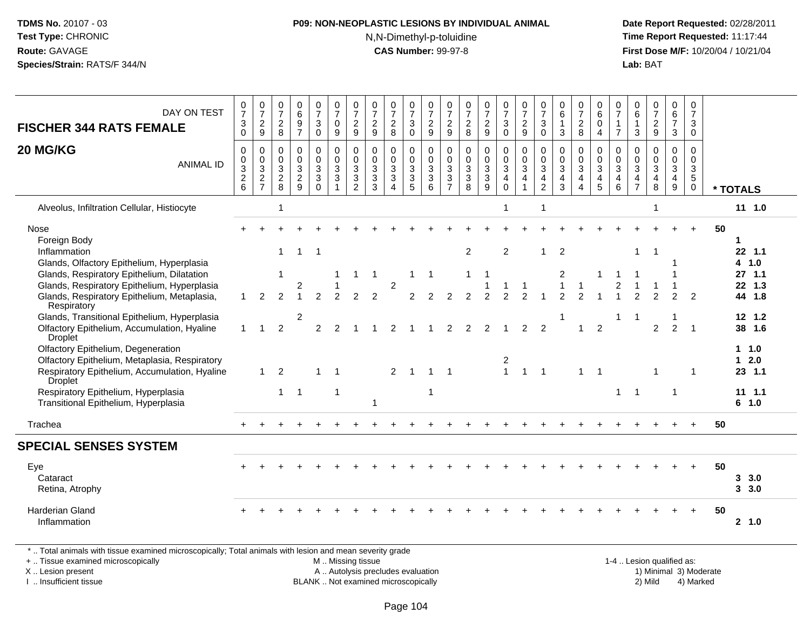# **P09: NON-NEOPLASTIC LESIONS BY INDIVIDUAL ANIMAL**N,N-Dimethyl-p-toluidine

 **Date Report Requested:** 02/28/2011 **Time Report Requested:** 11:17:44 **First Dose M/F:** 10/20/04 / 10/21/04<br>**Lab:** BAT **Lab:** BAT

| DAY ON TEST<br><b>FISCHER 344 RATS FEMALE</b>                                                                                                           | 0<br>$\overline{7}$<br>$\mathbf{3}$<br>$\overline{0}$ | $\begin{array}{c} 0 \\ 7 \end{array}$<br>$\boldsymbol{2}$<br>$\mathsf g$ | $\frac{0}{7}$<br>$\overline{c}$<br>8              | 0<br>6<br>$\boldsymbol{9}$<br>$\overline{7}$                  | $\frac{0}{7}$<br>3<br>$\mathbf 0$                            | 0<br>$\overline{7}$<br>$\mathbf 0$<br>9                  | $\frac{0}{7}$<br>$\boldsymbol{2}$<br>9                                      | 0<br>$\overline{7}$<br>$\frac{2}{9}$                 | 0<br>$\overline{7}$<br>$\sqrt{2}$<br>8                                 | 0<br>$\overline{7}$<br>$\mathfrak{S}$<br>$\mathbf 0$              | 0<br>$\overline{7}$<br>$\overline{2}$<br>9                      | $\frac{0}{7}$<br>$\overline{c}$<br>9                                         | 0<br>$\overline{7}$<br>$\frac{2}{8}$                | $\begin{array}{c} 0 \\ 7 \end{array}$<br>$\frac{2}{9}$              | $\frac{0}{7}$<br>$\mathfrak{Z}$<br>$\Omega$ | $\frac{0}{7}$<br>$\overline{2}$<br>$\overline{9}$                              | 0<br>$\overline{7}$<br>$\mathbf{3}$<br>$\mathbf{0}$                                       | 0<br>6<br>$\mathbf{1}$<br>$\mathbf{3}$                         | $\begin{array}{c} 0 \\ 7 \end{array}$<br>$\boldsymbol{2}$<br>8                        | 0<br>$6\overline{6}$<br>$\mathbf 0$<br>$\overline{4}$     | 0<br>$\overline{7}$<br>$\overline{1}$<br>$\overline{7}$                        | 0<br>$\,6\,$<br>$\mathbf{1}$<br>3             | $\begin{smallmatrix}0\\7\end{smallmatrix}$<br>$\frac{2}{9}$   | $\begin{array}{c} 0 \\ 6 \\ 7 \end{array}$<br>3        | 0<br>$\overline{7}$<br>3<br>$\mathbf 0$                 |    |                                       |
|---------------------------------------------------------------------------------------------------------------------------------------------------------|-------------------------------------------------------|--------------------------------------------------------------------------|---------------------------------------------------|---------------------------------------------------------------|--------------------------------------------------------------|----------------------------------------------------------|-----------------------------------------------------------------------------|------------------------------------------------------|------------------------------------------------------------------------|-------------------------------------------------------------------|-----------------------------------------------------------------|------------------------------------------------------------------------------|-----------------------------------------------------|---------------------------------------------------------------------|---------------------------------------------|--------------------------------------------------------------------------------|-------------------------------------------------------------------------------------------|----------------------------------------------------------------|---------------------------------------------------------------------------------------|-----------------------------------------------------------|--------------------------------------------------------------------------------|-----------------------------------------------|---------------------------------------------------------------|--------------------------------------------------------|---------------------------------------------------------|----|---------------------------------------|
| 20 MG/KG<br><b>ANIMAL ID</b>                                                                                                                            | $\pmb{0}$<br>$_{3}^{\rm 0}$<br>$\frac{2}{6}$          | 0<br>$\mathsf{O}\xspace$<br>$\frac{3}{2}$                                | $\mathbf 0$<br>0<br>$\mathbf{3}$<br>$\frac{2}{8}$ | $\mathbf 0$<br>$\mathbf 0$<br>$\mathbf{3}$<br>$\sqrt{2}$<br>9 | $\mathbf 0$<br>0<br>$\mathbf{3}$<br>$\mathbf{3}$<br>$\Omega$ | 0<br>0<br>$\mathfrak{Z}$<br>$\sqrt{3}$<br>$\overline{1}$ | $\mathbf 0$<br>$\pmb{0}$<br>$\overline{3}$<br>$\mathsf 3$<br>$\overline{2}$ | $\mathbf 0$<br>$\mathbf 0$<br>3<br>$\mathbf{3}$<br>3 | $\mathbf 0$<br>$\mathbf 0$<br>$\mathbf{3}$<br>$\mathbf{3}$<br>$\Delta$ | 0<br>$\mathsf{O}\xspace$<br>$\overline{3}$<br>$\mathfrak{S}$<br>5 | $\mathbf 0$<br>$\mathbf 0$<br>$\mathbf{3}$<br>$\mathbf{3}$<br>6 | $\mathbf 0$<br>$\mathbf 0$<br>$\overline{3}$<br>$\sqrt{3}$<br>$\overline{7}$ | $\mathbf 0$<br>0<br>$\overline{3}$<br>$\frac{3}{8}$ | $\mathbf 0$<br>$\mathbf 0$<br>$\overline{3}$<br>$\overline{3}$<br>9 | 0<br>0<br>$\overline{3}$<br>4<br>0          | $\mathbf 0$<br>$\pmb{0}$<br>$\overline{3}$<br>$\overline{4}$<br>$\overline{1}$ | $\mathbf 0$<br>$\mathbf 0$<br>$\overline{3}$<br>$\overline{\mathbf{4}}$<br>$\overline{c}$ | $\Omega$<br>$\mathbf 0$<br>3<br>$\overline{a}$<br>$\mathbf{3}$ | $\Omega$<br>$\mathbf 0$<br>$\overline{3}$<br>$\overline{4}$<br>$\boldsymbol{\Lambda}$ | $\mathbf 0$<br>0<br>$\overline{3}$<br>$\overline{4}$<br>5 | $\Omega$<br>$\mathbf 0$<br>$\overline{3}$<br>$\overline{4}$<br>$6\phantom{1}6$ | $\Omega$<br>$\mathbf 0$<br>3<br>$\frac{4}{7}$ | $\mathbf 0$<br>$\mathbf 0$<br>$\overline{3}$<br>$\frac{4}{8}$ | $\mathsf 0$<br>$\mathbf 0$<br>$\overline{3}$<br>4<br>9 | $\mathbf{0}$<br>$\mathbf 0$<br>3<br>$\overline{5}$<br>0 |    | * TOTALS                              |
| Alveolus, Infiltration Cellular, Histiocyte                                                                                                             |                                                       |                                                                          | $\overline{1}$                                    |                                                               |                                                              |                                                          |                                                                             |                                                      |                                                                        |                                                                   |                                                                 |                                                                              |                                                     |                                                                     | 1                                           |                                                                                | $\mathbf{1}$                                                                              |                                                                |                                                                                       |                                                           |                                                                                |                                               | 1                                                             |                                                        |                                                         |    | $11 \t1.0$                            |
| Nose<br>Foreign Body<br>Inflammation<br>Glands, Olfactory Epithelium, Hyperplasia                                                                       |                                                       |                                                                          | $\overline{1}$                                    | $\mathbf{1}$                                                  | $\overline{\phantom{0}}$                                     |                                                          |                                                                             |                                                      |                                                                        |                                                                   |                                                                 |                                                                              | $\overline{2}$                                      |                                                                     | $\overline{c}$                              |                                                                                | 1                                                                                         | 2                                                              |                                                                                       |                                                           |                                                                                | $\mathbf 1$                                   | -1                                                            |                                                        |                                                         | 50 | $\mathbf{1}$<br>22, 1.1<br>4 1.0      |
| Glands, Respiratory Epithelium, Dilatation<br>Glands, Respiratory Epithelium, Hyperplasia<br>Glands, Respiratory Epithelium, Metaplasia,<br>Respiratory |                                                       | 2                                                                        | -1<br>2                                           | 2                                                             | 2                                                            | $\overline{2}$                                           | 1<br>2                                                                      | -1<br>2                                              | $\overline{2}$                                                         | 1<br>2                                                            | $\overline{1}$                                                  |                                                                              | 1                                                   |                                                                     | $\mathcal{P}$                               |                                                                                |                                                                                           | 2                                                              |                                                                                       |                                                           | 2                                                                              |                                               |                                                               | 2                                                      | $\mathfrak{p}$                                          |    | 27, 1.1<br>22 1.3<br>44 1.8           |
| Glands, Transitional Epithelium, Hyperplasia<br>Olfactory Epithelium, Accumulation, Hyaline<br>Droplet<br>Olfactory Epithelium, Degeneration            | $\mathbf{1}$                                          | 1                                                                        | $\overline{2}$                                    | 2                                                             | 2                                                            | 2                                                        |                                                                             |                                                      | 2                                                                      |                                                                   |                                                                 | 2                                                                            | 2                                                   | $\overline{2}$                                                      | $\overline{1}$                              | $\overline{2}$                                                                 | 2                                                                                         |                                                                |                                                                                       | 2                                                         |                                                                                | -1                                            | $\overline{2}$                                                | $\overline{2}$                                         | -1                                                      |    | $12 \quad 1.2$<br>38 1.6<br>$1 \t1.0$ |
| Olfactory Epithelium, Metaplasia, Respiratory<br>Respiratory Epithelium, Accumulation, Hyaline<br>Droplet                                               |                                                       | $\mathbf{1}$                                                             | $\overline{2}$                                    |                                                               |                                                              |                                                          |                                                                             |                                                      | $\overline{2}$                                                         | $\overline{1}$                                                    | -1                                                              | $\overline{1}$                                                               |                                                     |                                                                     | 2<br>$\mathbf{1}$                           | $\mathbf{1}$                                                                   | $\overline{1}$                                                                            |                                                                | $\mathbf{1}$                                                                          | $\overline{1}$                                            |                                                                                |                                               |                                                               |                                                        |                                                         |    | $12.0$<br>23, 1.1                     |
| Respiratory Epithelium, Hyperplasia<br>Transitional Epithelium, Hyperplasia                                                                             |                                                       |                                                                          | $\overline{1}$                                    | $\mathbf 1$                                                   |                                                              |                                                          |                                                                             |                                                      |                                                                        |                                                                   |                                                                 |                                                                              |                                                     |                                                                     |                                             |                                                                                |                                                                                           |                                                                |                                                                                       |                                                           | 1                                                                              | $\mathbf 1$                                   |                                                               | -1                                                     |                                                         |    | $11 \t1.1$<br>6 1.0                   |
| Trachea                                                                                                                                                 |                                                       |                                                                          |                                                   |                                                               |                                                              |                                                          |                                                                             |                                                      |                                                                        |                                                                   |                                                                 |                                                                              |                                                     |                                                                     |                                             |                                                                                |                                                                                           |                                                                |                                                                                       |                                                           |                                                                                |                                               |                                                               |                                                        | $\ddot{}$                                               | 50 |                                       |
| <b>SPECIAL SENSES SYSTEM</b>                                                                                                                            |                                                       |                                                                          |                                                   |                                                               |                                                              |                                                          |                                                                             |                                                      |                                                                        |                                                                   |                                                                 |                                                                              |                                                     |                                                                     |                                             |                                                                                |                                                                                           |                                                                |                                                                                       |                                                           |                                                                                |                                               |                                                               |                                                        |                                                         |    |                                       |
| Eye<br>Cataract<br>Retina, Atrophy                                                                                                                      |                                                       |                                                                          |                                                   |                                                               |                                                              |                                                          |                                                                             |                                                      |                                                                        |                                                                   |                                                                 |                                                                              |                                                     |                                                                     |                                             |                                                                                |                                                                                           |                                                                |                                                                                       |                                                           |                                                                                |                                               |                                                               |                                                        | $\ddot{}$                                               | 50 | 3, 3.0<br>3, 3.0                      |
| Harderian Gland<br>Inflammation                                                                                                                         |                                                       |                                                                          |                                                   |                                                               |                                                              |                                                          |                                                                             |                                                      |                                                                        |                                                                   |                                                                 |                                                                              |                                                     |                                                                     |                                             |                                                                                |                                                                                           |                                                                |                                                                                       |                                                           |                                                                                |                                               |                                                               |                                                        | $\ddot{}$                                               | 50 | 2, 1.0                                |
| . Total animals with tissue examined microscopically: Total animals with lesion and mean severity grade                                                 |                                                       |                                                                          |                                                   |                                                               |                                                              |                                                          |                                                                             |                                                      |                                                                        |                                                                   |                                                                 |                                                                              |                                                     |                                                                     |                                             |                                                                                |                                                                                           |                                                                |                                                                                       |                                                           |                                                                                |                                               |                                                               |                                                        |                                                         |    |                                       |

. Total animals with tissue examined microscopically; Total animals with lesion and mean severity grade M .. Missing tissue

+ .. Tissue examined microscopically

X .. Lesion present

I .. Insufficient tissue

Lesion present A .. Autolysis precludes evaluation 1) Minimal 3) Moderate

1-4 .. Lesion qualified as:<br>1) Minimal 3) Moderate BLANK .. Not examined microscopically 2) Mild 4) Marked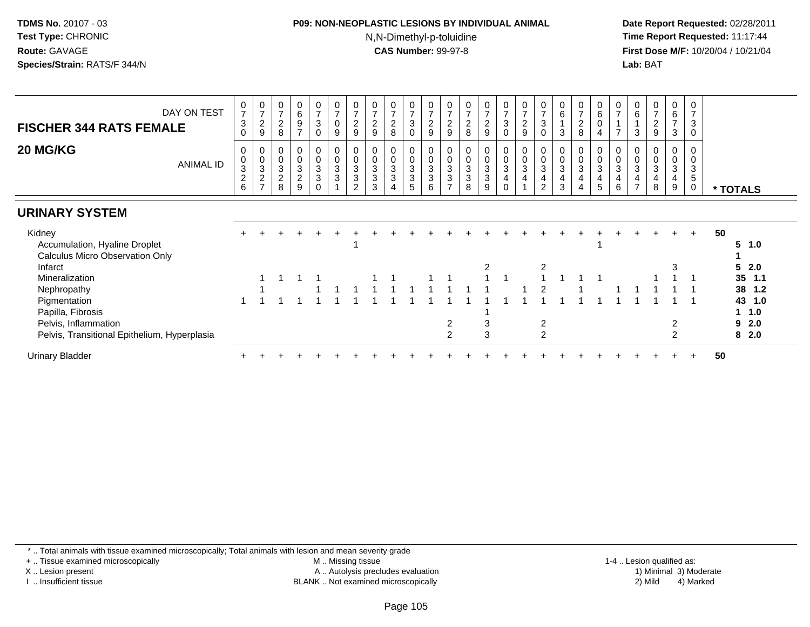#### **P09: NON-NEOPLASTIC LESIONS BY INDIVIDUAL ANIMAL**N,N-Dimethyl-p-toluidine

 **Date Report Requested:** 02/28/2011 **Time Report Requested:** 11:17:44 **First Dose M/F:** 10/20/04 / 10/21/04<br>**Lab:** BAT **Lab:** BAT

| DAY ON TEST<br><b>FISCHER 344 RATS FEMALE</b>                                     | $\frac{0}{7}$<br>$\mathbf{3}$        | $\frac{0}{7}$<br>$\sqrt{2}$<br>9                            | $\frac{0}{7}$<br>$\frac{2}{8}$           | 0<br>$\frac{6}{9}$<br>$\overline{ }$     | $\frac{0}{7}$<br>3<br>0                       | $\frac{0}{7}$<br>$\mathbf 0$<br>9                             | 0<br>$\overline{7}$<br>$\overline{c}$<br>9 | $\overline{7}$<br>$\boldsymbol{2}$<br>9                        | $\overline{ }$<br>$\overline{c}$<br>8                     | $\frac{0}{7}$<br>$\mathbf{3}$<br>$\mathbf 0$                             | $\frac{0}{7}$<br>$\overline{2}$<br>9        | $\frac{0}{7}$<br>$\sqrt{2}$<br>9                                              | $\overline{\mathcal{I}}$<br>$\sqrt{2}$<br>8                              | $\overline{ }$<br>$\overline{a}$<br>9 | $\frac{0}{7}$<br>3<br>$\Omega$      | 0<br>$\overline{z}$<br>$\boldsymbol{2}$<br>9                      | 3<br>$\Omega$                      | 0<br>$\,6\,$<br>3                                                    | $\frac{0}{7}$<br>$\overline{c}$<br>8 | $\begin{array}{c} 0 \\ 6 \end{array}$<br>$\boldsymbol{0}$<br>$\overline{4}$ | 0<br>$\overline{ }$<br>$\overline{ }$ | 6<br>3                                                     | 0<br>$\overline{7}$<br>$\overline{c}$<br>9 | 0<br>$\frac{6}{7}$<br>3                                                     | 0<br>$\overline{ }$<br>3<br>$\mathbf 0$             |                        |
|-----------------------------------------------------------------------------------|--------------------------------------|-------------------------------------------------------------|------------------------------------------|------------------------------------------|-----------------------------------------------|---------------------------------------------------------------|--------------------------------------------|----------------------------------------------------------------|-----------------------------------------------------------|--------------------------------------------------------------------------|---------------------------------------------|-------------------------------------------------------------------------------|--------------------------------------------------------------------------|---------------------------------------|-------------------------------------|-------------------------------------------------------------------|------------------------------------|----------------------------------------------------------------------|--------------------------------------|-----------------------------------------------------------------------------|---------------------------------------|------------------------------------------------------------|--------------------------------------------|-----------------------------------------------------------------------------|-----------------------------------------------------|------------------------|
| <b>20 MG/KG</b><br><b>ANIMAL ID</b>                                               | 0<br>$\pmb{0}$<br>3<br>$\frac{2}{6}$ | $\mathbf 0$<br>$\pmb{0}$<br>$\frac{3}{2}$<br>$\overline{ }$ | $_{\rm 0}^{\rm 0}$<br>$\frac{3}{2}$<br>8 | $_{\rm 0}^{\rm 0}$<br>$\frac{3}{2}$<br>9 | 0<br>$\mathsf 0$<br>$\frac{3}{3}$<br>$\Omega$ | $\begin{smallmatrix} 0\\0 \end{smallmatrix}$<br>$\frac{3}{3}$ | 0<br>0<br>$\mathbf{3}$<br>3<br>2           | 0<br>$\pmb{0}$<br>$\ensuremath{\mathsf{3}}$<br>$\sqrt{3}$<br>3 | 0<br>$\pmb{0}$<br>$\ensuremath{\mathsf{3}}$<br>$\sqrt{3}$ | 0<br>$\mathsf{O}\xspace$<br>$\ensuremath{\mathsf{3}}$<br>$\sqrt{3}$<br>5 | $\begin{matrix}0\\0\\3\\3\end{matrix}$<br>6 | 0<br>$\pmb{0}$<br>$\ensuremath{\mathsf{3}}$<br>$\ensuremath{\mathsf{3}}$<br>⇁ | $\pmb{0}$<br>$\ensuremath{\mathsf{3}}$<br>$\ensuremath{\mathsf{3}}$<br>8 | 0<br>$\mathsf 0$<br>3<br>3<br>9       | 0<br>$\mathbf 0$<br>$\sqrt{3}$<br>4 | $_{\rm 0}^{\rm 0}$<br>$\ensuremath{\mathsf{3}}$<br>$\overline{4}$ | $\mathbf 0$<br>3<br>$\overline{2}$ | $\begin{smallmatrix} 0\\0 \end{smallmatrix}$<br>$\sqrt{3}$<br>4<br>3 | 0<br>0<br>3<br>4<br>4                | $_{\rm 0}^{\rm 0}$<br>$\sqrt{3}$<br>$\overline{4}$<br>5                     | 0<br>$\mathbf 0$<br>3<br>4<br>6       | $\mathbf 0$<br>$\ensuremath{\mathsf{3}}$<br>$\overline{ }$ | 0<br>0<br>$\mathbf{3}$<br>4<br>8           | $\overline{0}$<br>$\pmb{0}$<br>$\mathbf{3}$<br>$\overline{\mathbf{4}}$<br>9 | 0<br>$\mathbf 0$<br>$\mathbf{3}$<br>$\sqrt{5}$<br>0 | * TOTALS               |
| <b>URINARY SYSTEM</b>                                                             |                                      |                                                             |                                          |                                          |                                               |                                                               |                                            |                                                                |                                                           |                                                                          |                                             |                                                                               |                                                                          |                                       |                                     |                                                                   |                                    |                                                                      |                                      |                                                                             |                                       |                                                            |                                            |                                                                             |                                                     |                        |
| Kidney<br>Accumulation, Hyaline Droplet<br><b>Calculus Micro Observation Only</b> |                                      |                                                             |                                          |                                          |                                               |                                                               |                                            |                                                                |                                                           |                                                                          |                                             |                                                                               |                                                                          |                                       |                                     |                                                                   |                                    |                                                                      |                                      |                                                                             |                                       |                                                            |                                            |                                                                             | $+$                                                 | 50<br>5<br>1.0         |
| Infarct                                                                           |                                      |                                                             |                                          |                                          |                                               |                                                               |                                            |                                                                |                                                           |                                                                          |                                             |                                                                               |                                                                          | 2                                     |                                     |                                                                   | 2                                  |                                                                      |                                      |                                                                             |                                       |                                                            |                                            | 3                                                                           |                                                     | 5<br>2.0               |
| Mineralization                                                                    |                                      |                                                             |                                          |                                          |                                               |                                                               |                                            |                                                                |                                                           |                                                                          |                                             |                                                                               |                                                                          |                                       |                                     |                                                                   |                                    |                                                                      |                                      |                                                                             |                                       |                                                            |                                            |                                                                             |                                                     | 35 <sub>5</sub><br>1.1 |
| Nephropathy                                                                       |                                      |                                                             |                                          |                                          |                                               |                                                               |                                            |                                                                |                                                           |                                                                          |                                             |                                                                               |                                                                          |                                       |                                     |                                                                   | 2                                  |                                                                      |                                      |                                                                             |                                       |                                                            |                                            |                                                                             |                                                     | 38<br>1.2              |
| Pigmentation<br>Papilla, Fibrosis                                                 |                                      |                                                             |                                          |                                          |                                               |                                                               |                                            |                                                                |                                                           |                                                                          |                                             |                                                                               |                                                                          |                                       |                                     |                                                                   |                                    |                                                                      |                                      |                                                                             |                                       |                                                            |                                            |                                                                             |                                                     | 43<br>1.0<br>$1 \t1.0$ |
| Pelvis, Inflammation                                                              |                                      |                                                             |                                          |                                          |                                               |                                                               |                                            |                                                                |                                                           |                                                                          |                                             | 2                                                                             |                                                                          | 3                                     |                                     |                                                                   | $\overline{\mathbf{c}}$            |                                                                      |                                      |                                                                             |                                       |                                                            |                                            | 2                                                                           |                                                     | 2.0<br>9               |
| Pelvis, Transitional Epithelium, Hyperplasia                                      |                                      |                                                             |                                          |                                          |                                               |                                                               |                                            |                                                                |                                                           |                                                                          |                                             | $\overline{2}$                                                                |                                                                          | 3                                     |                                     |                                                                   | $\overline{2}$                     |                                                                      |                                      |                                                                             |                                       |                                                            |                                            | 2                                                                           |                                                     | 82.0                   |
| Urinary Bladder                                                                   |                                      |                                                             |                                          |                                          |                                               |                                                               |                                            |                                                                |                                                           |                                                                          |                                             |                                                                               |                                                                          |                                       |                                     |                                                                   |                                    |                                                                      |                                      |                                                                             |                                       |                                                            |                                            |                                                                             |                                                     | 50                     |

\* .. Total animals with tissue examined microscopically; Total animals with lesion and mean severity grade

+ .. Tissue examined microscopically

X .. Lesion present

I .. Insufficient tissue

 M .. Missing tissueA .. Autolysis precludes evaluation

BLANK .. Not examined microscopically 2) Mild 4) Marked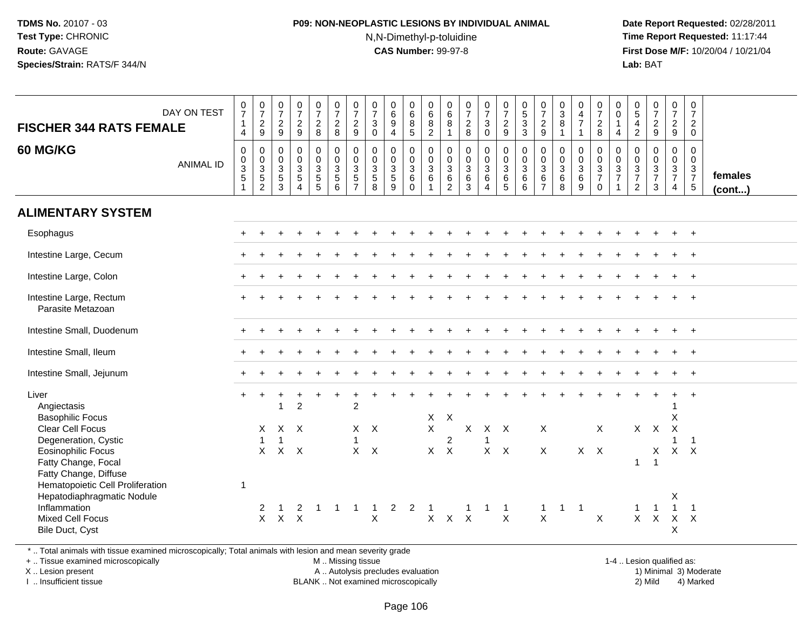#### **P09: NON-NEOPLASTIC LESIONS BY INDIVIDUAL ANIMAL**N,N-Dimethyl-p-toluidine

 **Date Report Requested:** 02/28/2011 **Time Report Requested:** 11:17:44 **First Dose M/F:** 10/20/04 / 10/21/04<br>**Lab:** BAT **Lab:** BAT

| <b>FISCHER 344 RATS FEMALE</b><br><b>60 MG/KG</b>                                                                                                                        | DAY ON TEST<br><b>ANIMAL ID</b> | $\frac{0}{7}$<br>$\mathbf{1}$<br>$\overline{4}$<br>$\mathbf 0$<br>$\mathbf 0$<br>$\ensuremath{\mathsf{3}}$<br>5<br>1 | $\frac{0}{7}$<br>$\frac{2}{9}$<br>0<br>$\pmb{0}$<br>$\mathbf{3}$<br>5<br>$\overline{2}$ | $\frac{0}{7}$<br>$\frac{2}{9}$<br>$\pmb{0}$<br>$\pmb{0}$<br>$\sqrt{3}$<br>$\sqrt{5}$<br>3 | $\begin{smallmatrix}0\\7\end{smallmatrix}$<br>$\frac{2}{9}$<br>$\mathbf 0$<br>$\frac{0}{3}$<br>$\,$ 5 $\,$<br>$\boldsymbol{\Lambda}$ | $\begin{smallmatrix}0\\7\end{smallmatrix}$<br>$\frac{2}{8}$<br>0<br>$\mathbf 0$<br>$\overline{3}$<br>$\sqrt{5}$<br>$5\phantom{.0}$ | $\begin{array}{c} 0 \\ 7 \end{array}$<br>$\overline{2}$<br>8<br>$\mathbf 0$<br>$_{3}^{\rm 0}$<br>$\sqrt{5}$<br>6 | $\frac{0}{7}$<br>$\overline{2}$<br>9<br>$\mathbf 0$<br>$\mathbf 0$<br>$\mathbf{3}$<br>5<br>7 | $\frac{0}{7}$<br>$\ensuremath{\mathsf{3}}$<br>$\mathbf 0$<br>$\mathbf 0$<br>$\mathbf 0$<br>$\mathbf{3}$<br>$\sqrt{5}$<br>8 | $_{6}^{\rm 0}$<br>$\boldsymbol{9}$<br>$\overline{4}$<br>0<br>$\pmb{0}$<br>$\sqrt{3}$<br>$\sqrt{5}$<br>9 | $\begin{array}{c} 0 \\ 6 \end{array}$<br>$\bf 8$<br>$5\phantom{.0}$<br>0<br>$\mathsf{O}\xspace$<br>$\sqrt{3}$<br>$\,6\,$<br>$\Omega$ | $\begin{array}{c} 0 \\ 6 \end{array}$<br>$\bf 8$<br>$\overline{2}$<br>0<br>$_{3}^{\rm 0}$<br>$\,6\,$<br>$\blacktriangleleft$ | $\begin{array}{c} 0 \\ 6 \end{array}$<br>8<br>$\mathbf{1}$<br>0<br>$\mathsf 0$<br>$\mathbf{3}$<br>$\,6\,$<br>2 | $\frac{0}{7}$<br>$\frac{2}{8}$<br>$\mathbf 0$<br>$\frac{0}{3}$<br>$\,6\,$<br>3 | $\frac{0}{7}$<br>$\mathbf{3}$<br>$\overline{0}$<br>$\mathbf 0$<br>$_3^0$<br>6<br>4 | $\begin{smallmatrix}0\\7\end{smallmatrix}$<br>$\frac{2}{9}$<br>$\overline{0}$<br>$\overline{0}$<br>3<br>$\,6\,$<br>5 | $\begin{array}{c} 0 \\ 5 \\ 3 \end{array}$<br>$\mathbf 0$<br>$\frac{0}{3}$<br>$\,6\,$<br>6 | $\frac{0}{7}$<br>$\overline{2}$<br>9<br>$\mathbf 0$<br>$_{3}^{\rm 0}$<br>$\,6\,$<br>$\overline{7}$ | $_{3}^{\rm 0}$<br>8<br>$\overline{1}$<br>$\mathbf 0$<br>$\pmb{0}$<br>$\mathbf{3}$<br>$\,6\,$<br>8 | $\begin{smallmatrix}0\0\4\end{smallmatrix}$<br>$\overline{7}$<br>$\mathbf{1}$<br>0<br>$\mathbf 0$<br>$\mathbf{3}$<br>$\,6\,$<br>9 | $\begin{smallmatrix}0\\7\end{smallmatrix}$<br>$\overline{a}$<br>8<br>$\pmb{0}$<br>$_{3}^{\rm 0}$<br>$\overline{7}$<br>$\mathbf 0$ | 0<br>$\overline{0}$<br>$\mathbf{1}$<br>$\overline{4}$<br>$\mathbf 0$<br>$\frac{0}{3}$<br>$\overline{7}$<br>$\blacktriangleleft$ | $\begin{array}{c} 0 \\ 5 \end{array}$<br>$\overline{4}$<br>$\overline{2}$<br>0<br>$\pmb{0}$<br>$\mathbf{3}$<br>$\overline{7}$<br>2 | $\frac{0}{7}$<br>$\frac{2}{9}$<br>$\mathbf 0$<br>$\pmb{0}$<br>$\frac{3}{7}$<br>3 | $\frac{0}{7}$<br>$\frac{2}{9}$<br>0<br>$\mathbf 0$<br>$\mathbf{3}$<br>$\overline{7}$<br>$\overline{4}$ | $\begin{smallmatrix}0\\7\end{smallmatrix}$<br>$\overline{2}$<br>$\mathbf 0$<br>0<br>$\mathbf 0$<br>$\mathbf{3}$<br>$\overline{7}$<br>$5\phantom{.0}$ | females<br>(cont) |
|--------------------------------------------------------------------------------------------------------------------------------------------------------------------------|---------------------------------|----------------------------------------------------------------------------------------------------------------------|-----------------------------------------------------------------------------------------|-------------------------------------------------------------------------------------------|--------------------------------------------------------------------------------------------------------------------------------------|------------------------------------------------------------------------------------------------------------------------------------|------------------------------------------------------------------------------------------------------------------|----------------------------------------------------------------------------------------------|----------------------------------------------------------------------------------------------------------------------------|---------------------------------------------------------------------------------------------------------|--------------------------------------------------------------------------------------------------------------------------------------|------------------------------------------------------------------------------------------------------------------------------|----------------------------------------------------------------------------------------------------------------|--------------------------------------------------------------------------------|------------------------------------------------------------------------------------|----------------------------------------------------------------------------------------------------------------------|--------------------------------------------------------------------------------------------|----------------------------------------------------------------------------------------------------|---------------------------------------------------------------------------------------------------|-----------------------------------------------------------------------------------------------------------------------------------|-----------------------------------------------------------------------------------------------------------------------------------|---------------------------------------------------------------------------------------------------------------------------------|------------------------------------------------------------------------------------------------------------------------------------|----------------------------------------------------------------------------------|--------------------------------------------------------------------------------------------------------|------------------------------------------------------------------------------------------------------------------------------------------------------|-------------------|
| <b>ALIMENTARY SYSTEM</b>                                                                                                                                                 |                                 |                                                                                                                      |                                                                                         |                                                                                           |                                                                                                                                      |                                                                                                                                    |                                                                                                                  |                                                                                              |                                                                                                                            |                                                                                                         |                                                                                                                                      |                                                                                                                              |                                                                                                                |                                                                                |                                                                                    |                                                                                                                      |                                                                                            |                                                                                                    |                                                                                                   |                                                                                                                                   |                                                                                                                                   |                                                                                                                                 |                                                                                                                                    |                                                                                  |                                                                                                        |                                                                                                                                                      |                   |
| Esophagus                                                                                                                                                                |                                 |                                                                                                                      |                                                                                         |                                                                                           |                                                                                                                                      |                                                                                                                                    |                                                                                                                  |                                                                                              |                                                                                                                            |                                                                                                         |                                                                                                                                      |                                                                                                                              |                                                                                                                |                                                                                |                                                                                    |                                                                                                                      |                                                                                            |                                                                                                    |                                                                                                   |                                                                                                                                   |                                                                                                                                   |                                                                                                                                 |                                                                                                                                    |                                                                                  |                                                                                                        | $\ddot{}$                                                                                                                                            |                   |
| Intestine Large, Cecum                                                                                                                                                   |                                 |                                                                                                                      |                                                                                         |                                                                                           |                                                                                                                                      |                                                                                                                                    |                                                                                                                  |                                                                                              |                                                                                                                            |                                                                                                         |                                                                                                                                      |                                                                                                                              |                                                                                                                |                                                                                |                                                                                    |                                                                                                                      |                                                                                            |                                                                                                    |                                                                                                   |                                                                                                                                   |                                                                                                                                   |                                                                                                                                 |                                                                                                                                    |                                                                                  |                                                                                                        | $\ddot{}$                                                                                                                                            |                   |
| Intestine Large, Colon                                                                                                                                                   |                                 |                                                                                                                      |                                                                                         |                                                                                           |                                                                                                                                      |                                                                                                                                    |                                                                                                                  |                                                                                              |                                                                                                                            |                                                                                                         |                                                                                                                                      |                                                                                                                              |                                                                                                                |                                                                                |                                                                                    |                                                                                                                      |                                                                                            |                                                                                                    |                                                                                                   |                                                                                                                                   |                                                                                                                                   |                                                                                                                                 |                                                                                                                                    |                                                                                  |                                                                                                        | $\ddot{}$                                                                                                                                            |                   |
| Intestine Large, Rectum<br>Parasite Metazoan                                                                                                                             |                                 |                                                                                                                      |                                                                                         |                                                                                           |                                                                                                                                      |                                                                                                                                    |                                                                                                                  |                                                                                              |                                                                                                                            |                                                                                                         |                                                                                                                                      |                                                                                                                              |                                                                                                                |                                                                                |                                                                                    |                                                                                                                      |                                                                                            |                                                                                                    |                                                                                                   |                                                                                                                                   |                                                                                                                                   |                                                                                                                                 |                                                                                                                                    |                                                                                  |                                                                                                        |                                                                                                                                                      |                   |
| Intestine Small, Duodenum                                                                                                                                                |                                 |                                                                                                                      |                                                                                         |                                                                                           |                                                                                                                                      |                                                                                                                                    |                                                                                                                  |                                                                                              |                                                                                                                            |                                                                                                         |                                                                                                                                      |                                                                                                                              |                                                                                                                |                                                                                |                                                                                    |                                                                                                                      |                                                                                            |                                                                                                    |                                                                                                   |                                                                                                                                   |                                                                                                                                   |                                                                                                                                 |                                                                                                                                    |                                                                                  |                                                                                                        | $+$                                                                                                                                                  |                   |
| Intestine Small, Ileum                                                                                                                                                   |                                 |                                                                                                                      |                                                                                         |                                                                                           |                                                                                                                                      |                                                                                                                                    |                                                                                                                  |                                                                                              |                                                                                                                            |                                                                                                         |                                                                                                                                      |                                                                                                                              |                                                                                                                |                                                                                |                                                                                    |                                                                                                                      |                                                                                            |                                                                                                    |                                                                                                   |                                                                                                                                   |                                                                                                                                   |                                                                                                                                 |                                                                                                                                    |                                                                                  |                                                                                                        |                                                                                                                                                      |                   |
| Intestine Small, Jejunum                                                                                                                                                 |                                 |                                                                                                                      |                                                                                         |                                                                                           |                                                                                                                                      |                                                                                                                                    |                                                                                                                  |                                                                                              |                                                                                                                            |                                                                                                         |                                                                                                                                      |                                                                                                                              |                                                                                                                |                                                                                |                                                                                    |                                                                                                                      |                                                                                            |                                                                                                    |                                                                                                   |                                                                                                                                   |                                                                                                                                   |                                                                                                                                 |                                                                                                                                    |                                                                                  |                                                                                                        |                                                                                                                                                      |                   |
| Liver<br>Angiectasis<br><b>Basophilic Focus</b><br>Clear Cell Focus<br>Degeneration, Cystic<br><b>Eosinophilic Focus</b><br>Fatty Change, Focal<br>Fatty Change, Diffuse |                                 |                                                                                                                      | X<br>$\mathbf{1}$<br>X                                                                  | 1<br>1                                                                                    | $\overline{2}$<br>$X$ $X$<br>$X$ $X$                                                                                                 |                                                                                                                                    |                                                                                                                  | $\overline{c}$<br>$\mathbf{1}$                                                               | $X$ $X$<br>$X$ $X$                                                                                                         |                                                                                                         |                                                                                                                                      | X<br>$\pmb{\times}$<br>$X$ $X$                                                                                               | $\boldsymbol{\mathsf{X}}$<br>$\overline{c}$                                                                    | $\sf X$                                                                        | $X$ $X$<br>$\mathbf{1}$                                                            | $X$ $X$                                                                                                              |                                                                                            | $\sf X$<br>$\mathsf{X}$                                                                            |                                                                                                   | $X$ $X$                                                                                                                           | $\sf X$                                                                                                                           |                                                                                                                                 | X<br>$\overline{1}$                                                                                                                | $\mathsf{X}$<br>$\times$<br>$\overline{1}$                                       | X<br>$\times$<br>$\mathbf{1}$<br>$X$ $X$                                                               | -1                                                                                                                                                   |                   |
| Hematopoietic Cell Proliferation<br>Hepatodiaphragmatic Nodule<br>Inflammation<br>Mixed Cell Focus<br>Bile Duct, Cyst                                                    |                                 | $\overline{1}$                                                                                                       | 2<br>X                                                                                  |                                                                                           | 2<br>$X$ $X$                                                                                                                         |                                                                                                                                    |                                                                                                                  |                                                                                              | X                                                                                                                          | $\overline{2}$                                                                                          | $\overline{a}$                                                                                                                       | $\mathbf{1}$<br>$\mathsf{X}$                                                                                                 | $\mathsf{X}$                                                                                                   | $\mathsf{X}$                                                                   | 1                                                                                  | $\mathsf{X}$                                                                                                         |                                                                                            | $\mathbf{1}$<br>$\mathsf{X}$                                                                       | $\mathbf{1}$                                                                                      | $\overline{1}$                                                                                                                    | $\times$                                                                                                                          |                                                                                                                                 | $\overline{1}$<br>$\mathsf{X}$                                                                                                     | $\mathbf{1}$<br>$\mathsf{X}$                                                     | X<br>$\mathbf{1}$<br>$X$ $X$<br>X                                                                      | $\mathbf{1}$                                                                                                                                         |                   |

\* .. Total animals with tissue examined microscopically; Total animals with lesion and mean severity grade

+ .. Tissue examined microscopically

X .. Lesion present

I .. Insufficient tissue

M .. Missing tissue

A .. Autolysis precludes evaluation

BLANK .. Not examined microscopically 2) Mild 4) Marked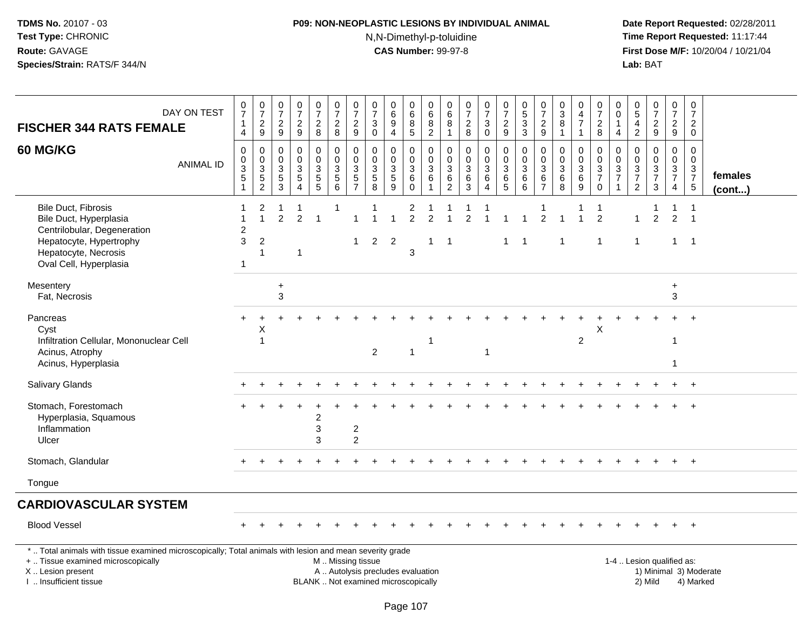# **P09: NON-NEOPLASTIC LESIONS BY INDIVIDUAL ANIMAL**N,N-Dimethyl-p-toluidine

 **Date Report Requested:** 02/28/2011 **Time Report Requested:** 11:17:44 **First Dose M/F:** 10/20/04 / 10/21/04<br>**Lab:** BAT **Lab:** BAT

| DAY ON TEST<br><b>FISCHER 344 RATS FEMALE</b>                                                                                                                                                 | $\frac{0}{7}$<br>4                                           | $\frac{0}{7}$<br>$\frac{2}{9}$                                 | $\frac{0}{7}$<br>$\frac{2}{9}$                   | $\begin{array}{c} 0 \\ 7 \end{array}$<br>$\frac{2}{9}$                | $\frac{0}{7}$<br>$\frac{2}{8}$                  | $\begin{array}{c} 0 \\ 7 \end{array}$<br>$_{8}^{\rm 2}$                                          | $\begin{array}{c} 0 \\ 7 \end{array}$<br>$\frac{2}{9}$                 | $\mathbf 0$<br>$\overline{7}$<br>$\mathbf{3}$<br>$\mathbf 0$                        | $\boldsymbol{0}$<br>$6\phantom{1}6$<br>9<br>4          | 0<br>$6\phantom{a}$<br>8<br>$\overline{5}$ | $\pmb{0}$<br>6<br>8<br>$\overline{2}$                             | 0<br>$6\phantom{1}$<br>8<br>$\mathbf{1}$                                       | $\begin{array}{c} 0 \\ 7 \end{array}$<br>$\frac{2}{8}$ | $\frac{0}{7}$<br>3<br>$\overline{0}$                                  | $\begin{array}{c} 0 \\ 7 \end{array}$<br>$\frac{2}{9}$   | $\begin{array}{c} 0 \\ 5 \\ 3 \end{array}$                    | 0<br>$\overline{7}$<br>$\frac{2}{9}$                                               | $\pmb{0}$<br>$\overline{3}$<br>8<br>$\mathbf{1}$           | 0<br>$\overline{\mathbf{4}}$<br>$\overline{7}$<br>$\mathbf{1}$ | $\frac{0}{7}$<br>$\frac{2}{8}$                                 | 0<br>$\Omega$<br>4                                        | $\mathbf 0$<br>$\overline{5}$<br>4<br>$\sqrt{2}$                 | $\begin{array}{c} 0 \\ 7 \end{array}$<br>$\frac{2}{9}$ | 0<br>$\overline{7}$<br>$\frac{2}{9}$                                                        | $\mathbf 0$<br>$\overline{7}$<br>$\overline{a}$<br>$\overline{0}$ |                   |
|-----------------------------------------------------------------------------------------------------------------------------------------------------------------------------------------------|--------------------------------------------------------------|----------------------------------------------------------------|--------------------------------------------------|-----------------------------------------------------------------------|-------------------------------------------------|--------------------------------------------------------------------------------------------------|------------------------------------------------------------------------|-------------------------------------------------------------------------------------|--------------------------------------------------------|--------------------------------------------|-------------------------------------------------------------------|--------------------------------------------------------------------------------|--------------------------------------------------------|-----------------------------------------------------------------------|----------------------------------------------------------|---------------------------------------------------------------|------------------------------------------------------------------------------------|------------------------------------------------------------|----------------------------------------------------------------|----------------------------------------------------------------|-----------------------------------------------------------|------------------------------------------------------------------|--------------------------------------------------------|---------------------------------------------------------------------------------------------|-------------------------------------------------------------------|-------------------|
| <b>60 MG/KG</b><br><b>ANIMAL ID</b>                                                                                                                                                           | $\mathbf 0$<br>$\mathbf 0$<br>$\ensuremath{\mathsf{3}}$<br>5 | $\mathbf 0$<br>$\begin{array}{c} 0 \\ 3 \\ 5 \\ 2 \end{array}$ | $\mathbf 0$<br>$\mathbf 0$<br>3<br>$\frac{5}{3}$ | $\Omega$<br>$\mathbf 0$<br>$\sqrt{3}$<br>$\sqrt{5}$<br>$\overline{4}$ | $\mathbf 0$<br>0<br>$\sqrt{3}$<br>$\frac{5}{5}$ | $\mathbf 0$<br>$\mathbf 0$<br>$\ensuremath{\mathsf{3}}$<br>$\begin{array}{c} 5 \\ 6 \end{array}$ | $\mathbf 0$<br>$\pmb{0}$<br>$\ensuremath{\mathsf{3}}$<br>$\frac{5}{7}$ | $\mathbf{0}$<br>$\mathbf 0$<br>$\mathsf 3$<br>$\begin{array}{c} 5 \\ 8 \end{array}$ | $\Omega$<br>$\mathbf 0$<br>$\sqrt{3}$<br>$\frac{5}{9}$ | 0<br>0<br>3<br>$^6_0$                      | $\mathbf 0$<br>$\mathbf 0$<br>$\mathbf{3}$<br>6<br>$\overline{1}$ | $\mathbf 0$<br>$\mathbf 0$<br>$\ensuremath{\mathsf{3}}$<br>6<br>$\overline{2}$ | $\mathbf 0$<br>$\mathbf 0$<br>$\mathbf{3}$<br>$^6_3$   | $\mathbf 0$<br>$\pmb{0}$<br>$\overline{3}$<br>$\,6$<br>$\overline{4}$ | $\mathbf 0$<br>$\mathbf 0$<br>$\mathbf{3}$<br>$6\over 5$ | $\mathbf 0$<br>$\mathbf 0$<br>$\mathbf{3}$<br>$6\overline{6}$ | $\mathbf 0$<br>$\mathbf 0$<br>$\ensuremath{\mathsf{3}}$<br>$\,6$<br>$\overline{7}$ | $\mathbf 0$<br>$\mathbf 0$<br>$\mathfrak{Z}$<br>$\,6$<br>8 | $\Omega$<br>$\mathbf 0$<br>$\ensuremath{\mathsf{3}}$<br>$^6_9$ | $\Omega$<br>0<br>$\mathbf{3}$<br>$\overline{7}$<br>$\mathbf 0$ | $\Omega$<br>$\pmb{0}$<br>$\overline{3}$<br>$\overline{7}$ | $\mathbf{0}$<br>$\mathbf 0$<br>$\sqrt{3}$<br>$\overline{7}$<br>2 | $\Omega$<br>$\mathbf 0$<br>$\frac{3}{7}$<br>3          | $\mathbf 0$<br>$\mathbf 0$<br>$\ensuremath{\mathsf{3}}$<br>$\overline{7}$<br>$\overline{4}$ | $\Omega$<br>$\mathbf 0$<br>$\sqrt{3}$<br>$7\over 5$               | females<br>(cont) |
| <b>Bile Duct, Fibrosis</b><br>Bile Duct, Hyperplasia<br>Centrilobular, Degeneration<br>Hepatocyte, Hypertrophy<br>Hepatocyte, Necrosis<br>Oval Cell, Hyperplasia                              | 2<br>3<br>1                                                  | 2<br>$\overline{1}$<br>$\overline{2}$<br>$\overline{1}$        | $\overline{2}$                                   | $\overline{2}$<br>$\overline{1}$                                      | $\overline{1}$                                  |                                                                                                  | 1<br>$\mathbf{1}$                                                      | $\overline{2}$                                                                      | $\overline{2}$                                         | 2<br>$\overline{2}$<br>3                   | $\mathfrak{p}$<br>$\mathbf 1$                                     | $\overline{1}$                                                                 | $\mathfrak{p}$                                         |                                                                       | $\mathbf{1}$                                             | -1<br>$\overline{1}$                                          | $\overline{2}$                                                                     | -1                                                         |                                                                | $\overline{2}$<br>-1                                           |                                                           | 1                                                                | $\overline{2}$                                         | $\overline{2}$<br>$\mathbf{1}$                                                              | $\overline{\phantom{0}}$                                          |                   |
| Mesentery<br>Fat, Necrosis                                                                                                                                                                    |                                                              |                                                                | $\ddot{}$<br>3                                   |                                                                       |                                                 |                                                                                                  |                                                                        |                                                                                     |                                                        |                                            |                                                                   |                                                                                |                                                        |                                                                       |                                                          |                                                               |                                                                                    |                                                            |                                                                |                                                                |                                                           |                                                                  |                                                        | $\ddot{}$<br>3                                                                              |                                                                   |                   |
| Pancreas<br>Cyst<br>Infiltration Cellular, Mononuclear Cell<br>Acinus, Atrophy<br>Acinus, Hyperplasia                                                                                         |                                                              | X<br>$\overline{\phantom{a}}$                                  |                                                  |                                                                       |                                                 |                                                                                                  |                                                                        | $\overline{2}$                                                                      |                                                        | $\overline{1}$                             | -1                                                                |                                                                                |                                                        | $\mathbf 1$                                                           |                                                          |                                                               |                                                                                    |                                                            | $\sqrt{2}$                                                     | X                                                              |                                                           |                                                                  |                                                        | 1<br>1                                                                                      |                                                                   |                   |
| Salivary Glands                                                                                                                                                                               |                                                              |                                                                |                                                  |                                                                       |                                                 |                                                                                                  |                                                                        |                                                                                     |                                                        |                                            |                                                                   |                                                                                |                                                        |                                                                       |                                                          |                                                               |                                                                                    |                                                            |                                                                |                                                                |                                                           |                                                                  |                                                        |                                                                                             |                                                                   |                   |
| Stomach, Forestomach<br>Hyperplasia, Squamous<br>Inflammation<br>Ulcer                                                                                                                        |                                                              |                                                                |                                                  |                                                                       | $\overline{2}$<br>3<br>3                        |                                                                                                  | $\overline{c}$<br>$\overline{2}$                                       |                                                                                     |                                                        |                                            |                                                                   |                                                                                |                                                        |                                                                       |                                                          |                                                               |                                                                                    |                                                            |                                                                |                                                                |                                                           |                                                                  |                                                        |                                                                                             |                                                                   |                   |
| Stomach, Glandular                                                                                                                                                                            |                                                              |                                                                |                                                  |                                                                       |                                                 |                                                                                                  |                                                                        |                                                                                     |                                                        |                                            |                                                                   |                                                                                |                                                        |                                                                       |                                                          |                                                               |                                                                                    |                                                            |                                                                |                                                                |                                                           |                                                                  |                                                        |                                                                                             |                                                                   |                   |
| Tongue                                                                                                                                                                                        |                                                              |                                                                |                                                  |                                                                       |                                                 |                                                                                                  |                                                                        |                                                                                     |                                                        |                                            |                                                                   |                                                                                |                                                        |                                                                       |                                                          |                                                               |                                                                                    |                                                            |                                                                |                                                                |                                                           |                                                                  |                                                        |                                                                                             |                                                                   |                   |
| <b>CARDIOVASCULAR SYSTEM</b>                                                                                                                                                                  |                                                              |                                                                |                                                  |                                                                       |                                                 |                                                                                                  |                                                                        |                                                                                     |                                                        |                                            |                                                                   |                                                                                |                                                        |                                                                       |                                                          |                                                               |                                                                                    |                                                            |                                                                |                                                                |                                                           |                                                                  |                                                        |                                                                                             |                                                                   |                   |
| <b>Blood Vessel</b>                                                                                                                                                                           |                                                              |                                                                |                                                  |                                                                       |                                                 |                                                                                                  |                                                                        |                                                                                     |                                                        |                                            |                                                                   |                                                                                |                                                        |                                                                       |                                                          |                                                               |                                                                                    |                                                            |                                                                |                                                                |                                                           |                                                                  |                                                        | $\ddot{}$                                                                                   | $^{+}$                                                            |                   |
| *  Total animals with tissue examined microscopically; Total animals with lesion and mean severity grade<br>+  Tissue examined microscopically<br>X  Lesion present<br>I  Insufficient tissue |                                                              |                                                                |                                                  |                                                                       |                                                 | M  Missing tissue                                                                                |                                                                        | A  Autolysis precludes evaluation<br>BLANK  Not examined microscopically            |                                                        |                                            |                                                                   |                                                                                |                                                        |                                                                       |                                                          |                                                               |                                                                                    |                                                            |                                                                |                                                                |                                                           |                                                                  | 1-4  Lesion qualified as:<br>2) Mild                   |                                                                                             | 1) Minimal 3) Moderate<br>4) Marked                               |                   |

I .. Insufficient tissue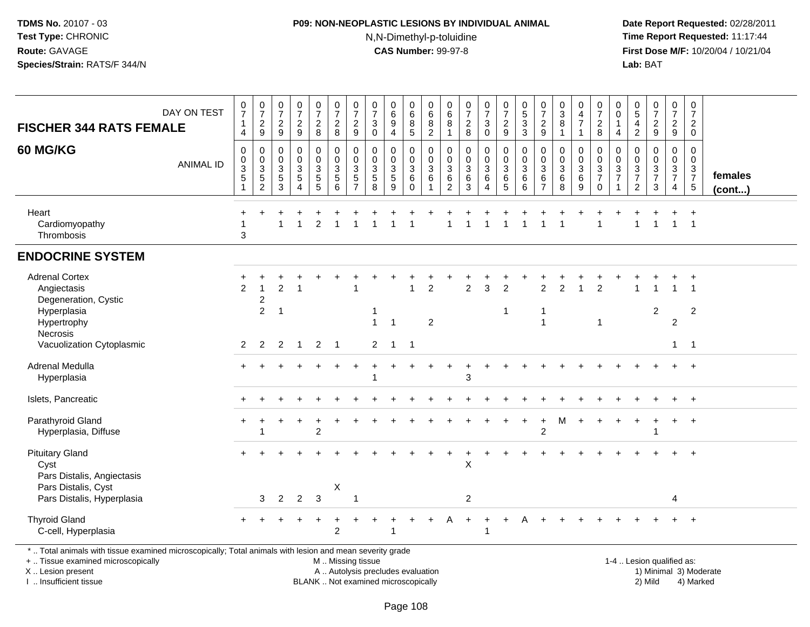#### **P09: NON-NEOPLASTIC LESIONS BY INDIVIDUAL ANIMAL**N,N-Dimethyl-p-toluidine

 **Date Report Requested:** 02/28/2011 **Time Report Requested:** 11:17:44 **First Dose M/F:** 10/20/04 / 10/21/04<br>**Lab:** BAT **Lab:** BAT

| <b>FISCHER 344 RATS FEMALE</b>                                                                                                                 | DAY ON TEST      | $\frac{0}{7}$<br>4                                            | $\frac{0}{7}$<br>$\frac{2}{9}$         | $\frac{0}{7}$<br>$\frac{2}{9}$                                  | $\frac{0}{7}$<br>$\frac{2}{9}$                    | $\begin{smallmatrix}0\\7\end{smallmatrix}$<br>$\frac{2}{8}$ | $\frac{0}{7}$<br>$_{\rm 8}^2$                                  | $\pmb{0}$<br>$\overline{7}$<br>$\frac{2}{9}$                               | $\frac{0}{7}$<br>3<br>$\Omega$                                               | $\begin{matrix} 0 \\ 6 \\ 9 \end{matrix}$<br>$\overline{4}$       | 0<br>6<br>8<br>5                                                     | 0<br>6<br>8<br>$\overline{2}$         | 0<br>6<br>8<br>$\mathbf{1}$                        | $\frac{0}{7}$<br>$\frac{2}{8}$                              | $\begin{array}{c} 0 \\ 7 \end{array}$<br>$_{\rm 0}^3$                           | $\frac{0}{7}$<br>$\frac{2}{9}$                 | $\begin{array}{c} 0 \\ 5 \end{array}$<br>$\sqrt{3}$<br>$\mathbf{3}$ | $\begin{smallmatrix}0\\7\end{smallmatrix}$<br>$\frac{2}{9}$         | $\begin{smallmatrix}0\3\8\end{smallmatrix}$<br>$\mathbf{1}$ | $\mathbf 0$<br>$\overline{\mathbf{4}}$<br>$\overline{7}$<br>$\mathbf{1}$ | $\begin{array}{c} 0 \\ 7 \end{array}$<br>$\frac{2}{8}$ | 0<br>0<br>$\mathbf{1}$<br>4                                     | 0<br>$\sqrt{5}$<br>4<br>$\overline{2}$                                     | $\frac{0}{7}$<br>$\frac{2}{9}$ | $\begin{smallmatrix}0\\7\end{smallmatrix}$<br>$\frac{2}{9}$                    | $\pmb{0}$<br>$\overline{7}$<br>$\overline{2}$<br>$\mathbf 0$ |                   |
|------------------------------------------------------------------------------------------------------------------------------------------------|------------------|---------------------------------------------------------------|----------------------------------------|-----------------------------------------------------------------|---------------------------------------------------|-------------------------------------------------------------|----------------------------------------------------------------|----------------------------------------------------------------------------|------------------------------------------------------------------------------|-------------------------------------------------------------------|----------------------------------------------------------------------|---------------------------------------|----------------------------------------------------|-------------------------------------------------------------|---------------------------------------------------------------------------------|------------------------------------------------|---------------------------------------------------------------------|---------------------------------------------------------------------|-------------------------------------------------------------|--------------------------------------------------------------------------|--------------------------------------------------------|-----------------------------------------------------------------|----------------------------------------------------------------------------|--------------------------------|--------------------------------------------------------------------------------|--------------------------------------------------------------|-------------------|
| <b>60 MG/KG</b>                                                                                                                                | <b>ANIMAL ID</b> | 0<br>$\pmb{0}$<br>$\ensuremath{\mathsf{3}}$<br>$\overline{5}$ | 0<br>$\mathbf 0$<br>$\frac{3}{5}$<br>2 | $\mathbf 0$<br>$\mathbf 0$<br>$\sqrt{3}$<br>$\overline{5}$<br>3 | 0<br>$\pmb{0}$<br>$\mathbf{3}$<br>$\sqrt{5}$<br>4 | $\mathbf 0$<br>$\mathbf 0$<br>$\sqrt{3}$<br>$\sqrt{5}$<br>5 | 0<br>$\pmb{0}$<br>$\ensuremath{\mathsf{3}}$<br>$\sqrt{5}$<br>6 | $\mathbf 0$<br>$\mathbf 0$<br>$\mathbf{3}$<br>$\sqrt{5}$<br>$\overline{7}$ | $\mathbf 0$<br>$\mathbf 0$<br>$\mathbf{3}$<br>$\overline{5}$<br>$\mathbf{8}$ | 0<br>$\mathbf 0$<br>$\ensuremath{\mathsf{3}}$<br>$\,$ 5 $\,$<br>9 | 0<br>$\mathbf 0$<br>$\ensuremath{\mathsf{3}}$<br>$\,6\,$<br>$\Omega$ | 0<br>$\mathbf 0$<br>$\mathbf{3}$<br>6 | 0<br>0<br>$\mathsf 3$<br>$\,6\,$<br>$\overline{2}$ | 0<br>$\pmb{0}$<br>$\ensuremath{\mathsf{3}}$<br>$\,6\,$<br>3 | 0<br>$\pmb{0}$<br>$\ensuremath{\mathsf{3}}$<br>$6\phantom{a}$<br>$\overline{4}$ | 0<br>$\mathbf 0$<br>$\sqrt{3}$<br>$\,6\,$<br>5 | 0<br>$\mathbf 0$<br>3<br>6<br>6                                     | $\Omega$<br>$\mathbf 0$<br>$\mathbf 3$<br>$\,6\,$<br>$\overline{7}$ | 0<br>$\mathbf 0$<br>$\mathbf{3}$<br>$\,6\,$<br>8            | 0<br>$\mathbf 0$<br>$\mathbf{3}$<br>$\,6$<br>9                           | 0<br>$\mathbf 0$<br>$\frac{3}{7}$<br>$\mathbf{0}$      | $\Omega$<br>$\mathbf{0}$<br>$\mathbf{3}$<br>$\overline{7}$<br>1 | $\Omega$<br>$\Omega$<br>$\mathbf{3}$<br>$\boldsymbol{7}$<br>$\overline{2}$ | 0<br>0<br>$\frac{3}{7}$<br>3   | $\mathbf 0$<br>$\mathbf 0$<br>$\mathbf{3}$<br>$\overline{7}$<br>$\overline{4}$ | 0<br>0<br>3<br>$\overline{7}$<br>5                           | females<br>(cont) |
| Heart<br>Cardiomyopathy<br>Thrombosis                                                                                                          |                  | 3                                                             |                                        | 1                                                               |                                                   | $\overline{2}$                                              | $\overline{1}$                                                 |                                                                            |                                                                              |                                                                   |                                                                      |                                       |                                                    |                                                             |                                                                                 |                                                |                                                                     |                                                                     |                                                             |                                                                          |                                                        |                                                                 | 1                                                                          | $\mathbf{1}$                   | $\mathbf{1}$                                                                   | $\ddot{}$<br>$\overline{1}$                                  |                   |
| <b>ENDOCRINE SYSTEM</b>                                                                                                                        |                  |                                                               |                                        |                                                                 |                                                   |                                                             |                                                                |                                                                            |                                                                              |                                                                   |                                                                      |                                       |                                                    |                                                             |                                                                                 |                                                |                                                                     |                                                                     |                                                             |                                                                          |                                                        |                                                                 |                                                                            |                                |                                                                                |                                                              |                   |
| <b>Adrenal Cortex</b><br>Angiectasis<br>Degeneration, Cystic                                                                                   |                  | $\overline{2}$                                                | 2                                      | $\mathfrak{p}$                                                  |                                                   |                                                             |                                                                |                                                                            |                                                                              |                                                                   |                                                                      | $\overline{2}$                        |                                                    | $\overline{2}$                                              | 3                                                                               | $\overline{2}$                                 |                                                                     | $\overline{2}$                                                      | $\overline{2}$                                              |                                                                          | $\overline{2}$                                         |                                                                 |                                                                            |                                | $\mathbf{1}$                                                                   | $\ddot{}$<br>$\overline{1}$                                  |                   |
| Hyperplasia<br>Hypertrophy<br>Necrosis                                                                                                         |                  |                                                               | $\overline{2}$                         | 1                                                               |                                                   |                                                             |                                                                |                                                                            | 1<br>$\mathbf{1}$                                                            | $\overline{1}$                                                    |                                                                      | $\overline{2}$                        |                                                    |                                                             |                                                                                 | -1                                             |                                                                     | -1<br>1                                                             |                                                             |                                                                          | $\overline{1}$                                         |                                                                 |                                                                            | $\overline{c}$                 | $\overline{2}$                                                                 | $\overline{2}$                                               |                   |
| Vacuolization Cytoplasmic                                                                                                                      |                  | 2                                                             | 2                                      | 2                                                               | $\overline{1}$                                    | $\overline{2}$                                              | - 1                                                            |                                                                            | $\overline{2}$                                                               | $\overline{1}$                                                    | $\overline{1}$                                                       |                                       |                                                    |                                                             |                                                                                 |                                                |                                                                     |                                                                     |                                                             |                                                                          |                                                        |                                                                 |                                                                            |                                | $\mathbf{1}$                                                                   | $\overline{1}$                                               |                   |
| <b>Adrenal Medulla</b><br>Hyperplasia                                                                                                          |                  |                                                               |                                        |                                                                 |                                                   |                                                             |                                                                |                                                                            |                                                                              |                                                                   |                                                                      |                                       |                                                    | $\pm$<br>3                                                  |                                                                                 |                                                |                                                                     |                                                                     |                                                             |                                                                          |                                                        |                                                                 |                                                                            |                                |                                                                                | $+$                                                          |                   |
| Islets, Pancreatic                                                                                                                             |                  |                                                               |                                        |                                                                 |                                                   |                                                             |                                                                |                                                                            |                                                                              |                                                                   |                                                                      |                                       |                                                    |                                                             |                                                                                 |                                                |                                                                     |                                                                     |                                                             |                                                                          |                                                        |                                                                 |                                                                            |                                |                                                                                | $+$                                                          |                   |
| Parathyroid Gland<br>Hyperplasia, Diffuse                                                                                                      |                  |                                                               |                                        |                                                                 |                                                   | $\overline{2}$                                              |                                                                |                                                                            |                                                                              |                                                                   |                                                                      |                                       |                                                    |                                                             |                                                                                 |                                                |                                                                     | $\overline{c}$                                                      | м                                                           |                                                                          |                                                        |                                                                 |                                                                            |                                | $+$                                                                            | $+$                                                          |                   |
| <b>Pituitary Gland</b><br>Cyst<br>Pars Distalis, Angiectasis                                                                                   |                  |                                                               |                                        |                                                                 |                                                   |                                                             |                                                                |                                                                            |                                                                              |                                                                   |                                                                      |                                       |                                                    | X                                                           |                                                                                 |                                                |                                                                     |                                                                     |                                                             |                                                                          |                                                        |                                                                 |                                                                            |                                |                                                                                | $\ddot{}$                                                    |                   |
| Pars Distalis, Cyst<br>Pars Distalis, Hyperplasia                                                                                              |                  |                                                               | 3                                      | $\overline{2}$                                                  | $\overline{2}$                                    | 3                                                           | X                                                              | -1                                                                         |                                                                              |                                                                   |                                                                      |                                       |                                                    | $\overline{2}$                                              |                                                                                 |                                                |                                                                     |                                                                     |                                                             |                                                                          |                                                        |                                                                 |                                                                            |                                | 4                                                                              |                                                              |                   |
| <b>Thyroid Gland</b><br>C-cell, Hyperplasia                                                                                                    |                  |                                                               |                                        |                                                                 |                                                   |                                                             | $\overline{c}$                                                 |                                                                            |                                                                              |                                                                   |                                                                      |                                       |                                                    | $\ddot{}$                                                   | $\ddot{}$                                                                       |                                                | А                                                                   |                                                                     |                                                             |                                                                          |                                                        |                                                                 |                                                                            |                                |                                                                                | $+$                                                          |                   |
| *  Total animals with tissue examined microscopically; Total animals with lesion and mean severity grade<br>+  Tissue examined microscopically |                  |                                                               |                                        |                                                                 |                                                   |                                                             | M  Missing tissue                                              |                                                                            |                                                                              |                                                                   |                                                                      |                                       |                                                    |                                                             |                                                                                 |                                                |                                                                     |                                                                     |                                                             |                                                                          |                                                        |                                                                 |                                                                            | 1-4  Lesion qualified as:      |                                                                                |                                                              |                   |

+ .. Tissue examined microscopicallyX .. Lesion present

I .. Insufficient tissue

A .. Autolysis precludes evaluation

BLANK .. Not examined microscopically 2) Mild 4) Marked

1-4 .. Lesion qualified as: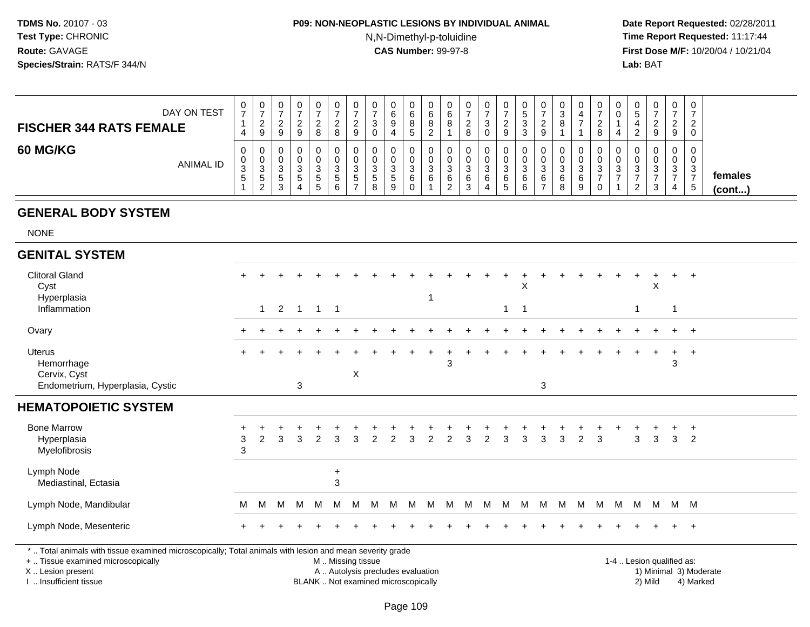# **P09: NON-NEOPLASTIC LESIONS BY INDIVIDUAL ANIMAL**N,N-Dimethyl-p-toluidine

 **Date Report Requested:** 02/28/2011 **Time Report Requested:** 11:17:44 **First Dose M/F:** 10/20/04 / 10/21/04<br>**Lab:** BAT **Lab:** BAT

| DAY ON TEST<br><b>FISCHER 344 RATS FEMALE</b> | 0<br>⇁<br>4                      | U<br>$\overline{\phantom{a}}$<br><u>_</u><br>9 | $\mathbf 0$<br>9                                                   | - 0<br>9        | 0<br>ົ<br><u>.</u><br>8           | U<br><u>_</u><br>8 | 0<br>ົ<br><u>_</u><br>9     | U<br>റ<br>C.<br>0           |                    | c. | J<br>⌒<br>ь<br>8<br>ے | v<br>6<br>O | <u>_</u><br>$\circ$ | v<br>3<br>0                     | J. | υ<br>_<br>9           | 0<br>◡<br>റ<br>o                 | 0                     | $\mathbf{0}$<br>8          |     | U<br>ت<br>◠                   | 9                | 0<br>ົ<br>9                     | 0<br>ົ<br><u>_</u><br>0                    |                         |
|-----------------------------------------------|----------------------------------|------------------------------------------------|--------------------------------------------------------------------|-----------------|-----------------------------------|--------------------|-----------------------------|-----------------------------|--------------------|----|-----------------------|-------------|---------------------|---------------------------------|----|-----------------------|----------------------------------|-----------------------|----------------------------|-----|-------------------------------|------------------|---------------------------------|--------------------------------------------|-------------------------|
| <b>60 MG/KG</b><br><b>ANIMAL ID</b>           | 0<br>0<br>◠<br>ູບ<br>$5^{\circ}$ | U<br>U<br>3<br><sub>5</sub><br>ົ               | υ<br>0<br>⌒<br>ບ<br>$\ddot{\phantom{1}}$<br>ັ<br><sup>o</sup><br>ບ | - 3<br>. 5<br>4 | 0<br>0<br>ົ<br>ۍ<br>5.<br>$\circ$ | ⌒<br>J<br><u>_</u> | 0<br>0<br>3<br>$\mathbf{p}$ | U<br>U<br>ົ<br>◡<br>.5<br>8 | $\sim$<br>ت.<br>J. | R  | u<br>پ<br>c           | U<br>ت<br>6 | ັ<br>6<br>دت        | υ<br>υ<br>ົ<br>◡<br>$\sim$<br>6 |    | υ<br>U<br>⌒<br>J<br>6 | 0<br>0<br>$\sim$<br>ن.<br>6<br>8 | 0<br>U<br>3<br>6<br>9 | 0<br>0<br>$\sim$<br>ບ<br>0 | -c) | 0<br>υ<br>۰J<br>ົ<br><u>_</u> | ◠<br>v<br>◠<br>J | $\mathbf 0$<br>0<br>3<br>-<br>4 | 0<br>0<br><sup>o</sup><br>◡<br>$5^{\circ}$ | females<br>$($ cont $)$ |

#### **GENERAL BODY SYSTEM**

NONE

| <b>GENITAL SYSTEM</b>                                                                                    |                     |                |                |                |                |                           |                           |                                   |   |   |   |   |   |                |                |                         |              |   |                |   |   |   |                           |       |                        |  |
|----------------------------------------------------------------------------------------------------------|---------------------|----------------|----------------|----------------|----------------|---------------------------|---------------------------|-----------------------------------|---|---|---|---|---|----------------|----------------|-------------------------|--------------|---|----------------|---|---|---|---------------------------|-------|------------------------|--|
| <b>Clitoral Gland</b><br>Cyst                                                                            |                     |                |                |                |                |                           |                           |                                   |   |   |   |   |   |                |                | X                       |              |   |                |   |   |   | X                         |       | $\overline{+}$         |  |
| Hyperplasia<br>Inflammation                                                                              |                     | $\mathbf{1}$   | $\overline{2}$ | $\overline{1}$ | $\overline{1}$ | $\overline{1}$            |                           |                                   |   |   | 1 |   |   |                | $\overline{1}$ | $\overline{\mathbf{1}}$ |              |   |                |   |   |   |                           | -1    |                        |  |
| Ovary                                                                                                    |                     |                |                |                |                |                           |                           |                                   |   |   |   |   |   |                |                |                         |              |   |                |   |   |   |                           |       | $+$                    |  |
| <b>Uterus</b><br>Hemorrhage<br>Cervix, Cyst                                                              | $\ddot{}$           |                |                |                |                |                           | $\boldsymbol{\mathsf{X}}$ |                                   |   |   |   | 3 |   |                |                |                         |              |   |                |   |   |   | $+$                       | 3     | $+$ $+$                |  |
| Endometrium, Hyperplasia, Cystic                                                                         |                     |                |                | 3              |                |                           |                           |                                   |   |   |   |   |   |                |                |                         | $\mathbf{3}$ |   |                |   |   |   |                           |       |                        |  |
| <b>HEMATOPOIETIC SYSTEM</b>                                                                              |                     |                |                |                |                |                           |                           |                                   |   |   |   |   |   |                |                |                         |              |   |                |   |   |   |                           |       |                        |  |
| <b>Bone Marrow</b>                                                                                       | +                   |                |                |                |                |                           |                           |                                   |   |   |   |   |   |                |                |                         |              |   |                |   |   |   |                           |       | $\ddot{}$              |  |
| Hyperplasia<br>Myelofibrosis                                                                             | $\mathfrak{S}$<br>3 | $\overline{2}$ | 3              | 3              | 2              | 3                         |                           | $\mathcal{P}$                     | 2 | 3 |   |   | 3 | $\overline{2}$ | 3              | 3                       | 3            | 3 | $\overline{2}$ | 3 |   | 3 | 3                         | 3     | $\overline{2}$         |  |
| Lymph Node<br>Mediastinal, Ectasia                                                                       |                     |                |                |                |                | $\ddot{}$<br>$\mathbf{3}$ |                           |                                   |   |   |   |   |   |                |                |                         |              |   |                |   |   |   |                           |       |                        |  |
| Lymph Node, Mandibular                                                                                   | M                   | M              | M              | M              | M              | M                         | M                         | M                                 | M | M | м | M | M | M              | M              | M                       | M            | M | M              | M | M | M |                           | M M M |                        |  |
| Lymph Node, Mesenteric                                                                                   | $\ddot{}$           |                |                |                |                |                           |                           |                                   |   |   |   |   |   |                |                |                         |              |   |                |   |   |   |                           | $+$   | $+$                    |  |
| *  Total animals with tissue examined microscopically; Total animals with lesion and mean severity grade |                     |                |                |                |                |                           |                           |                                   |   |   |   |   |   |                |                |                         |              |   |                |   |   |   |                           |       |                        |  |
| +  Tissue examined microscopically<br>X  Lesion present                                                  |                     |                |                |                |                | M  Missing tissue         |                           | A  Autolysis precludes evaluation |   |   |   |   |   |                |                |                         |              |   |                |   |   |   | 1-4  Lesion qualified as: |       | 1) Minimal 3) Moderate |  |

I .. Insufficient tissue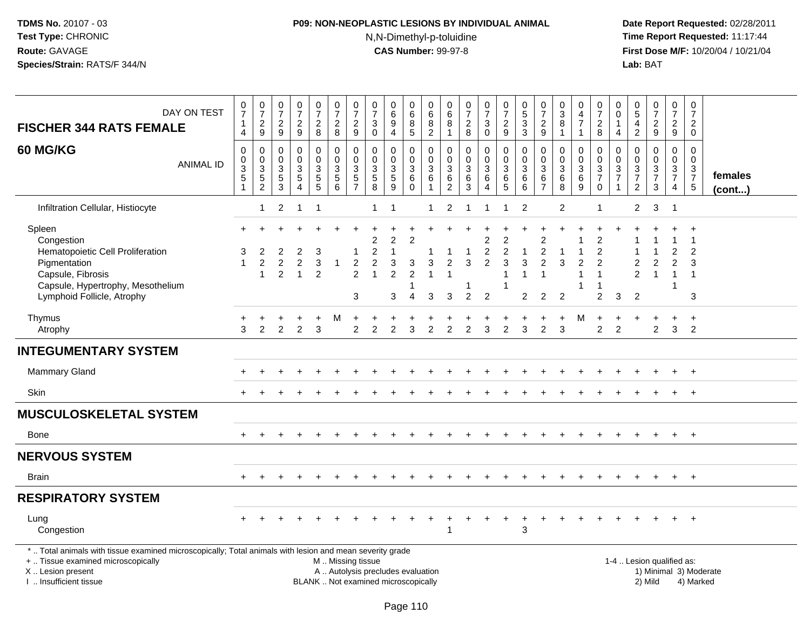# **P09: NON-NEOPLASTIC LESIONS BY INDIVIDUAL ANIMAL**N,N-Dimethyl-p-toluidine

| DAY ON TEST<br><b>FISCHER 344 RATS FEMALE</b>                                                                                                                                                 | $\frac{0}{7}$<br>$\mathbf{1}$<br>4               | $\frac{0}{7}$<br>$\frac{2}{9}$          | $\frac{0}{7}$<br>$\frac{2}{9}$                                 | $\frac{0}{7}$<br>$\frac{2}{9}$                                | $\frac{0}{7}$<br>$\overline{c}$<br>$\bf 8$                         | $\frac{0}{7}$<br>$\overline{c}$<br>$\bf 8$                                                    | 0<br>$\overline{7}$<br>$\overline{c}$<br>9                       | $\frac{0}{7}$<br>3<br>$\mathbf 0$                                                 | 0<br>$6\overline{6}$<br>9<br>$\overline{4}$                          | 0<br>$\,6\,$<br>8<br>$\overline{5}$                     | 0<br>$\,6\,$<br>$\bf 8$<br>$\overline{2}$                   | 0<br>$\,6\,$<br>$\,8\,$<br>$\mathbf{1}$                                  | $\frac{0}{7}$<br>$\frac{2}{8}$                                         | $\frac{0}{7}$<br>3<br>$\pmb{0}$                                      | $\frac{0}{7}$<br>$\frac{2}{9}$                                                | $\begin{array}{c} 0 \\ 5 \\ 3 \end{array}$<br>$\overline{3}$  | $\frac{0}{7}$<br>$\frac{2}{9}$                            | $\begin{smallmatrix}0\3\8\end{smallmatrix}$<br>$\mathbf{1}$ | 0<br>$\frac{4}{7}$<br>$\overline{1}$                                           | 0<br>$\overline{7}$<br>$\frac{2}{8}$                                                                   | 0<br>$\mathbf 0$<br>-1<br>4                                                               | 0<br>$\,$ 5 $\,$<br>4<br>$\overline{2}$                                      | $\frac{0}{7}$<br>$\frac{2}{9}$         | $\begin{array}{c} 0 \\ 7 \end{array}$<br>$\frac{2}{9}$        | $\pmb{0}$<br>$\overline{7}$<br>$\overline{2}$<br>$\pmb{0}$ |                         |
|-----------------------------------------------------------------------------------------------------------------------------------------------------------------------------------------------|--------------------------------------------------|-----------------------------------------|----------------------------------------------------------------|---------------------------------------------------------------|--------------------------------------------------------------------|-----------------------------------------------------------------------------------------------|------------------------------------------------------------------|-----------------------------------------------------------------------------------|----------------------------------------------------------------------|---------------------------------------------------------|-------------------------------------------------------------|--------------------------------------------------------------------------|------------------------------------------------------------------------|----------------------------------------------------------------------|-------------------------------------------------------------------------------|---------------------------------------------------------------|-----------------------------------------------------------|-------------------------------------------------------------|--------------------------------------------------------------------------------|--------------------------------------------------------------------------------------------------------|-------------------------------------------------------------------------------------------|------------------------------------------------------------------------------|----------------------------------------|---------------------------------------------------------------|------------------------------------------------------------|-------------------------|
| 60 MG/KG<br><b>ANIMAL ID</b>                                                                                                                                                                  | $\mathbf 0$<br>0<br>$\mathbf 3$<br>$\frac{5}{1}$ | $\pmb{0}$<br>$\pmb{0}$<br>$\frac{3}{5}$ | 0<br>$\mathbf 0$<br>$\sqrt{3}$<br>$\sqrt{5}$<br>$\overline{3}$ | $\mathbf 0$<br>$\mathbf 0$<br>$\frac{3}{5}$<br>$\overline{4}$ | 0<br>$\mathsf 0$<br>$\mathfrak{S}$<br>$\sqrt{5}$<br>$\overline{5}$ | $\mathbf 0$<br>$\pmb{0}$<br>$\sqrt{3}$<br>$\begin{array}{c} 5 \\ 6 \end{array}$               | 0<br>$\mathbf 0$<br>$\mathbf{3}$<br>$\sqrt{5}$<br>$\overline{7}$ | $\mathbf 0$<br>$\mathbf 0$<br>$\sqrt{3}$<br>$\begin{array}{c} 5 \\ 8 \end{array}$ | 0<br>$\mathbf 0$<br>$\mathbf{3}$<br>$\overline{5}$<br>$\overline{9}$ | 0<br>0<br>$\mathbf{3}$<br>6<br>$\ddot{\mathbf{0}}$      | 0<br>$\mathbf 0$<br>$\mathbf{3}$<br>$\,6$<br>$\overline{1}$ | 0<br>$\mathbf 0$<br>$\ensuremath{\mathsf{3}}$<br>$\,6$<br>$\overline{2}$ | $\mathbf 0$<br>$\mathbf 0$<br>$\mathsf 3$<br>$\,6\,$<br>$\overline{3}$ | 0<br>$\mathbf 0$<br>3<br>$\,6\,$<br>$\overline{4}$                   | $\mathbf 0$<br>$\ddot{\mathbf{0}}$<br>$\ensuremath{\mathsf{3}}$<br>$6\over 5$ | 0<br>$\mathbf 0$<br>$\mathbf{3}$<br>$\,6\,$<br>$\overline{6}$ | $\mathbf 0$<br>$\mathbf 0$<br>$\sqrt{3}$<br>$\frac{6}{7}$ | $\mathbf 0$<br>$\mathbf 0$<br>$\sqrt{3}$<br>$^6_8$          | $\mathbf 0$<br>$\mathbf 0$<br>$\ensuremath{\mathsf{3}}$<br>6<br>$\overline{9}$ | $\mathbf 0$<br>$\mathbf 0$<br>$\frac{3}{7}$<br>$\mathbf 0$                                             | $\mathbf 0$<br>$\mathbf 0$<br>$\ensuremath{\mathsf{3}}$<br>$\overline{7}$<br>$\mathbf{1}$ | $\mathbf 0$<br>$\mathbf 0$<br>$\sqrt{3}$<br>$\overline{7}$<br>$\overline{c}$ | 0<br>$\mathbf 0$<br>$\frac{3}{7}$<br>3 | $\mathbf 0$<br>$\mathbf 0$<br>$\frac{3}{7}$<br>$\overline{4}$ | $\mathbf 0$<br>$\mathbf 0$<br>$\frac{3}{7}$<br>$\sqrt{5}$  | females<br>$($ cont $)$ |
| Infiltration Cellular, Histiocyte                                                                                                                                                             |                                                  | $\mathbf{1}$                            | 2                                                              | $\overline{1}$                                                | -1                                                                 |                                                                                               |                                                                  | 1                                                                                 | $\overline{1}$                                                       |                                                         |                                                             | $\overline{c}$                                                           |                                                                        |                                                                      |                                                                               | $\overline{2}$                                                |                                                           | 2                                                           |                                                                                | 1                                                                                                      |                                                                                           | $\overline{2}$                                                               | 3                                      | $\overline{1}$                                                |                                                            |                         |
| Spleen<br>Congestion<br>Hematopoietic Cell Proliferation<br>Pigmentation<br>Capsule, Fibrosis<br>Capsule, Hypertrophy, Mesothelium<br>Lymphoid Follicle, Atrophy                              | 3                                                | 2<br>$\overline{c}$<br>-1               | $\overline{c}$<br>$\overline{2}$                               | $\overline{c}$<br>$\overline{1}$                              | 3<br>3<br>$\overline{2}$                                           | -1                                                                                            | $\overline{c}$<br>$\overline{2}$<br>$\sqrt{3}$                   | 2                                                                                 | $\overline{c}$<br>3<br>$\overline{2}$<br>3                           | $\overline{2}$<br>3<br>$\overline{2}$<br>$\overline{4}$ | 3<br>3                                                      | 2<br>3                                                                   | 3<br>$\overline{2}$                                                    | $\overline{2}$<br>$\overline{c}$<br>$\overline{2}$<br>$\overline{2}$ | $\overline{2}$<br>$\overline{c}$<br>3                                         | -1<br>3<br>$\overline{2}$                                     | 2<br>2<br>$\overline{2}$<br>$\overline{2}$                | 3<br>$\overline{2}$                                         | $\overline{c}$<br>1                                                            | $\overline{2}$<br>$\overline{c}$<br>$\overline{2}$<br>-1<br>$\overline{\phantom{a}}$<br>$\overline{2}$ | 3                                                                                         | $\overline{2}$<br>2                                                          | $\overline{2}$<br>$\mathbf{1}$         | 2<br>$\overline{2}$<br>1<br>1                                 | $\overline{2}$<br>3<br>$\overline{1}$<br>3                 |                         |
| Thymus<br>Atrophy                                                                                                                                                                             | 3                                                | 2                                       | 2                                                              | 2                                                             | 3                                                                  | M                                                                                             | $\overline{c}$                                                   | 2                                                                                 | $\overline{2}$                                                       | 3                                                       | $\overline{2}$                                              | $\overline{c}$                                                           | $\overline{2}$                                                         | 3                                                                    | $\overline{2}$                                                                | 3                                                             | $\overline{2}$                                            | 3                                                           | м                                                                              | $\overline{2}$                                                                                         | $\overline{2}$                                                                            |                                                                              | $\overline{c}$                         | 3                                                             | $\ddot{}$<br>2                                             |                         |
| <b>INTEGUMENTARY SYSTEM</b>                                                                                                                                                                   |                                                  |                                         |                                                                |                                                               |                                                                    |                                                                                               |                                                                  |                                                                                   |                                                                      |                                                         |                                                             |                                                                          |                                                                        |                                                                      |                                                                               |                                                               |                                                           |                                                             |                                                                                |                                                                                                        |                                                                                           |                                                                              |                                        |                                                               |                                                            |                         |
| Mammary Gland                                                                                                                                                                                 |                                                  |                                         |                                                                |                                                               |                                                                    |                                                                                               |                                                                  |                                                                                   |                                                                      |                                                         |                                                             |                                                                          |                                                                        |                                                                      |                                                                               |                                                               |                                                           |                                                             |                                                                                |                                                                                                        |                                                                                           |                                                                              |                                        |                                                               | $\ddot{}$                                                  |                         |
| <b>Skin</b>                                                                                                                                                                                   |                                                  |                                         |                                                                |                                                               |                                                                    |                                                                                               |                                                                  |                                                                                   |                                                                      |                                                         |                                                             |                                                                          |                                                                        |                                                                      |                                                                               |                                                               |                                                           |                                                             |                                                                                |                                                                                                        |                                                                                           |                                                                              |                                        | $+$                                                           | $+$                                                        |                         |
| <b>MUSCULOSKELETAL SYSTEM</b>                                                                                                                                                                 |                                                  |                                         |                                                                |                                                               |                                                                    |                                                                                               |                                                                  |                                                                                   |                                                                      |                                                         |                                                             |                                                                          |                                                                        |                                                                      |                                                                               |                                                               |                                                           |                                                             |                                                                                |                                                                                                        |                                                                                           |                                                                              |                                        |                                                               |                                                            |                         |
| Bone                                                                                                                                                                                          |                                                  |                                         |                                                                |                                                               |                                                                    |                                                                                               |                                                                  |                                                                                   |                                                                      |                                                         |                                                             |                                                                          |                                                                        |                                                                      |                                                                               |                                                               |                                                           |                                                             |                                                                                |                                                                                                        |                                                                                           |                                                                              |                                        | $+$                                                           | $+$                                                        |                         |
| <b>NERVOUS SYSTEM</b>                                                                                                                                                                         |                                                  |                                         |                                                                |                                                               |                                                                    |                                                                                               |                                                                  |                                                                                   |                                                                      |                                                         |                                                             |                                                                          |                                                                        |                                                                      |                                                                               |                                                               |                                                           |                                                             |                                                                                |                                                                                                        |                                                                                           |                                                                              |                                        |                                                               |                                                            |                         |
| <b>Brain</b>                                                                                                                                                                                  |                                                  |                                         |                                                                |                                                               |                                                                    |                                                                                               |                                                                  |                                                                                   |                                                                      |                                                         |                                                             |                                                                          |                                                                        |                                                                      |                                                                               |                                                               |                                                           |                                                             |                                                                                |                                                                                                        |                                                                                           |                                                                              |                                        |                                                               | $+$                                                        |                         |
| <b>RESPIRATORY SYSTEM</b>                                                                                                                                                                     |                                                  |                                         |                                                                |                                                               |                                                                    |                                                                                               |                                                                  |                                                                                   |                                                                      |                                                         |                                                             |                                                                          |                                                                        |                                                                      |                                                                               |                                                               |                                                           |                                                             |                                                                                |                                                                                                        |                                                                                           |                                                                              |                                        |                                                               |                                                            |                         |
| Lung<br>Congestion                                                                                                                                                                            |                                                  |                                         |                                                                |                                                               |                                                                    |                                                                                               |                                                                  |                                                                                   |                                                                      |                                                         |                                                             | 1                                                                        |                                                                        |                                                                      |                                                                               | $\ddot{}$<br>3                                                |                                                           |                                                             |                                                                                |                                                                                                        |                                                                                           |                                                                              |                                        | $+$                                                           | $+$                                                        |                         |
| *  Total animals with tissue examined microscopically; Total animals with lesion and mean severity grade<br>+  Tissue examined microscopically<br>X  Lesion present<br>I. Insufficient tissue |                                                  |                                         |                                                                |                                                               |                                                                    | M  Missing tissue<br>A  Autolysis precludes evaluation<br>BLANK  Not examined microscopically |                                                                  |                                                                                   |                                                                      |                                                         |                                                             |                                                                          |                                                                        |                                                                      |                                                                               |                                                               |                                                           |                                                             |                                                                                |                                                                                                        |                                                                                           | 1-4  Lesion qualified as:                                                    | 2) Mild                                |                                                               | 4) Marked                                                  | 1) Minimal 3) Moderate  |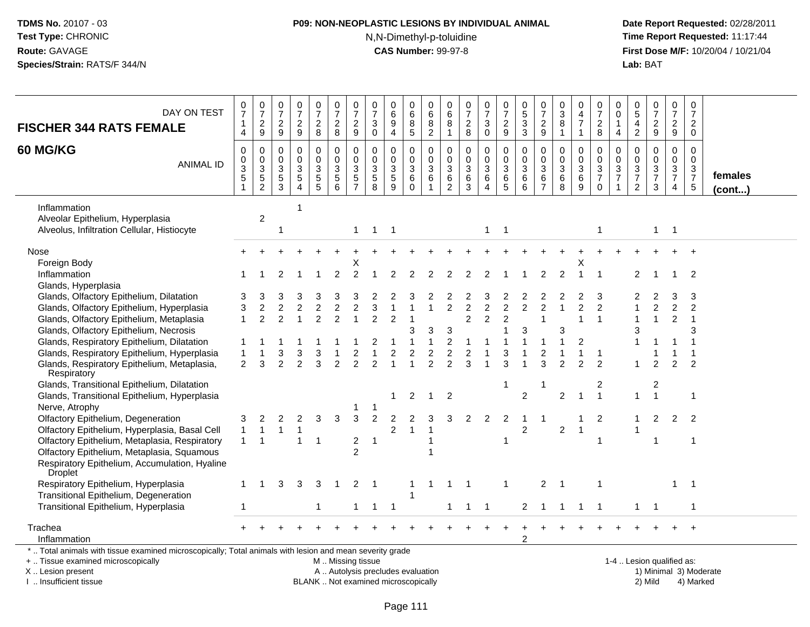# **P09: NON-NEOPLASTIC LESIONS BY INDIVIDUAL ANIMAL**N,N-Dimethyl-p-toluidine

 **Date Report Requested:** 02/28/2011 **Time Report Requested:** 11:17:44 **First Dose M/F:** 10/20/04 / 10/21/04<br>**Lab:** BAT **Lab:** BAT

| DAY ON TEST<br><b>FISCHER 344 RATS FEMALE</b>                                                                                                                      | 0<br>$\overline{7}$<br>$\mathbf{1}$<br>$\overline{4}$ | $\mathbf 0$<br>$\overline{7}$<br>$\sqrt{2}$<br>$9\,$ | $\mathbf 0$<br>$\overline{7}$<br>$\overline{2}$<br>9          | 0<br>$\overline{7}$<br>$\overline{2}$<br>$9\,$   | 0<br>$\overline{7}$<br>$\overline{a}$<br>8 | 0<br>$\overline{7}$<br>$\overline{2}$<br>8                               | $\pmb{0}$<br>$\overline{7}$<br>$\overline{2}$<br>$9\,$ | 0<br>$\overline{7}$<br>3<br>0                                        | $\mathbf 0$<br>$\,6$<br>9<br>4                                 | 0<br>$\,6\,$<br>8<br>$\sqrt{5}$            | $\mathbf 0$<br>6<br>8<br>$\sqrt{2}$               | 0<br>$\,6$<br>8<br>$\mathbf{1}$                     | 0<br>$\overline{7}$<br>$\overline{2}$<br>$\bf 8$               | $\pmb{0}$<br>$\overline{7}$<br>$\mathbf{3}$<br>$\mathsf 0$                     | $\pmb{0}$<br>$\overline{7}$<br>$\overline{c}$<br>9 | $\mathbf 0$<br>$\sqrt{5}$<br>$\sqrt{3}$<br>$\overline{3}$ | 0<br>$\overline{7}$<br>$\overline{2}$<br>9          | 0<br>$\sqrt{3}$<br>8<br>$\mathbf{1}$ | 0<br>$\overline{4}$<br>$\overline{7}$<br>$\mathbf 1$ | 0<br>$\boldsymbol{7}$<br>$\overline{2}$<br>8         | $\mathbf 0$<br>0<br>$\mathbf{1}$<br>$\overline{4}$  | 0<br>$\sqrt{5}$<br>$\overline{4}$<br>$\overline{2}$    | $\pmb{0}$<br>$\overline{7}$<br>$\overline{c}$<br>$\mathsf g$ | 0<br>$\overline{7}$<br>$\overline{2}$<br>9   | $\mathbf 0$<br>$\overline{7}$<br>$\overline{2}$<br>$\mathbf 0$    |                         |
|--------------------------------------------------------------------------------------------------------------------------------------------------------------------|-------------------------------------------------------|------------------------------------------------------|---------------------------------------------------------------|--------------------------------------------------|--------------------------------------------|--------------------------------------------------------------------------|--------------------------------------------------------|----------------------------------------------------------------------|----------------------------------------------------------------|--------------------------------------------|---------------------------------------------------|-----------------------------------------------------|----------------------------------------------------------------|--------------------------------------------------------------------------------|----------------------------------------------------|-----------------------------------------------------------|-----------------------------------------------------|--------------------------------------|------------------------------------------------------|------------------------------------------------------|-----------------------------------------------------|--------------------------------------------------------|--------------------------------------------------------------|----------------------------------------------|-------------------------------------------------------------------|-------------------------|
| 60 MG/KG<br><b>ANIMAL ID</b>                                                                                                                                       | $\Omega$<br>$\mathbf 0$<br>3<br>$\overline{5}$        | $\Omega$<br>$\mathbf 0$<br>$\frac{3}{2}$             | $\Omega$<br>$\mathbf 0$<br>3<br>$\mathbf 5$<br>$\overline{3}$ | $\Omega$<br>$\Omega$<br>3<br>5<br>$\overline{A}$ | 0<br>$\mathbf 0$<br>3<br>$\frac{5}{5}$     | $\Omega$<br>$\mathbf 0$<br>$\mathbf{3}$<br>$\overline{5}$<br>$6^{\circ}$ | $\Omega$<br>0<br>3<br>$\frac{5}{7}$                    | $\mathbf{0}$<br>$\mathbf 0$<br>3<br>$\overline{5}$<br>$\overline{8}$ | $\Omega$<br>$\mathbf 0$<br>$\mathbf{3}$<br>$\overline{5}$<br>9 | 0<br>$\mathbf 0$<br>3<br>$\,6$<br>$\Omega$ | $\Omega$<br>$\mathbf 0$<br>3<br>6<br>$\mathbf{1}$ | $\Omega$<br>$\mathbf 0$<br>3<br>6<br>$\overline{2}$ | $\Omega$<br>$\mathbf 0$<br>$\mathbf{3}$<br>6<br>$\overline{3}$ | $\mathbf 0$<br>$\mathbf 0$<br>$\mathbf{3}$<br>$6\phantom{a}$<br>$\overline{4}$ | $\mathbf 0$<br>$\mathbf{0}$<br>3<br>$6\over 5$     | $\Omega$<br>$\mathbf 0$<br>$\sqrt{3}$<br>$\,6$<br>6       | $\Omega$<br>$\mathbf 0$<br>3<br>6<br>$\overline{7}$ | $\Omega$<br>$\Omega$<br>3<br>6<br>8  | $\Omega$<br>$\mathbf 0$<br>3<br>6<br>9               | $\Omega$<br>$\mathbf 0$<br>$\frac{3}{7}$<br>$\Omega$ | $\Omega$<br>$\mathbf 0$<br>3<br>$\overline{7}$<br>1 | $\Omega$<br>0<br>3<br>$\overline{7}$<br>$\overline{c}$ | $\mathbf 0$<br>$\mathbf 0$<br>$\frac{3}{7}$<br>3             | 0<br>$\mathbf 0$<br>3<br>$\overline{7}$<br>4 | $\Omega$<br>$\mathbf 0$<br>3<br>$\overline{7}$<br>$5\phantom{.0}$ | females<br>$($ cont $)$ |
| Inflammation<br>Alveolar Epithelium, Hyperplasia<br>Alveolus, Infiltration Cellular, Histiocyte                                                                    |                                                       | $\sqrt{2}$                                           | $\mathbf{1}$                                                  |                                                  |                                            |                                                                          | $\mathbf{1}$                                           | $\mathbf{1}$                                                         | $\overline{\phantom{0}}$ 1                                     |                                            |                                                   |                                                     |                                                                | $\mathbf{1}$                                                                   | $\overline{1}$                                     |                                                           |                                                     |                                      |                                                      | $\mathbf{1}$                                         |                                                     |                                                        | $\mathbf{1}$                                                 | $\overline{\phantom{0}}$ 1                   |                                                                   |                         |
| Nose                                                                                                                                                               |                                                       |                                                      |                                                               |                                                  |                                            |                                                                          |                                                        |                                                                      |                                                                |                                            |                                                   |                                                     |                                                                |                                                                                |                                                    |                                                           |                                                     |                                      |                                                      |                                                      |                                                     |                                                        |                                                              |                                              |                                                                   |                         |
| Foreign Body                                                                                                                                                       |                                                       |                                                      |                                                               |                                                  |                                            |                                                                          | X                                                      |                                                                      |                                                                |                                            |                                                   |                                                     |                                                                |                                                                                |                                                    |                                                           |                                                     |                                      | Χ                                                    |                                                      |                                                     |                                                        |                                                              |                                              |                                                                   |                         |
| Inflammation                                                                                                                                                       |                                                       |                                                      |                                                               |                                                  |                                            |                                                                          |                                                        |                                                                      |                                                                |                                            |                                                   |                                                     |                                                                |                                                                                |                                                    |                                                           |                                                     |                                      |                                                      |                                                      |                                                     | 2                                                      |                                                              |                                              | $\overline{2}$                                                    |                         |
| Glands, Hyperplasia                                                                                                                                                |                                                       |                                                      |                                                               |                                                  |                                            |                                                                          |                                                        |                                                                      |                                                                |                                            |                                                   |                                                     |                                                                |                                                                                |                                                    |                                                           |                                                     |                                      |                                                      |                                                      |                                                     |                                                        |                                                              |                                              |                                                                   |                         |
| Glands, Olfactory Epithelium, Dilatation<br>Glands, Olfactory Epithelium, Hyperplasia                                                                              | 3<br>3                                                | 2                                                    |                                                               |                                                  |                                            |                                                                          |                                                        | 3                                                                    |                                                                |                                            |                                                   | $\overline{c}$                                      | $\overline{2}$                                                 | $\overline{c}$                                                                 | 2                                                  | 2                                                         | $\overline{c}$                                      |                                      | $\overline{c}$                                       | $\overline{c}$                                       |                                                     |                                                        | 2                                                            | 3<br>$\overline{c}$                          | 3<br>$\overline{2}$                                               |                         |
| Glands, Olfactory Epithelium, Metaplasia                                                                                                                           | $\mathbf{1}$                                          | 2                                                    | $\overline{2}$                                                |                                                  | $\overline{\mathbf{c}}$<br>$\overline{2}$  | $\overline{2}$                                                           | 2<br>$\overline{1}$                                    | 2                                                                    | 2                                                              |                                            |                                                   |                                                     | $\overline{2}$                                                 | $\overline{2}$                                                                 | $\overline{2}$                                     |                                                           |                                                     |                                      |                                                      | $\overline{1}$                                       |                                                     |                                                        | $\mathbf{1}$                                                 | $\overline{2}$                               | $\overline{1}$                                                    |                         |
| Glands, Olfactory Epithelium, Necrosis                                                                                                                             |                                                       |                                                      |                                                               |                                                  |                                            |                                                                          |                                                        |                                                                      |                                                                | 3                                          | 3                                                 | 3                                                   |                                                                |                                                                                |                                                    | 3                                                         |                                                     |                                      |                                                      |                                                      |                                                     | 3                                                      |                                                              |                                              | 3                                                                 |                         |
| Glands, Respiratory Epithelium, Dilatation                                                                                                                         |                                                       |                                                      |                                                               |                                                  |                                            |                                                                          |                                                        |                                                                      |                                                                |                                            |                                                   |                                                     |                                                                |                                                                                |                                                    |                                                           |                                                     |                                      | 2                                                    |                                                      |                                                     |                                                        |                                                              |                                              |                                                                   |                         |
| Glands, Respiratory Epithelium, Hyperplasia                                                                                                                        |                                                       |                                                      |                                                               |                                                  |                                            |                                                                          |                                                        |                                                                      |                                                                | $\overline{2}$                             |                                                   | $\overline{2}$                                      |                                                                |                                                                                |                                                    |                                                           | $\overline{c}$                                      |                                      |                                                      |                                                      |                                                     |                                                        |                                                              |                                              |                                                                   |                         |
| Glands, Respiratory Epithelium, Metaplasia,<br>Respiratory                                                                                                         | 2                                                     | 3                                                    | $\overline{2}$                                                | 2                                                | 3                                          | 2                                                                        | $\overline{2}$                                         | $\overline{2}$                                                       |                                                                |                                            | 2                                                 | $\overline{2}$                                      | 3                                                              |                                                                                | 3                                                  |                                                           | 3                                                   |                                      | $\overline{2}$                                       | $\overline{2}$                                       |                                                     |                                                        | $\overline{2}$                                               | $\overline{2}$                               | $\overline{2}$                                                    |                         |
| Glands, Transitional Epithelium, Dilatation                                                                                                                        |                                                       |                                                      |                                                               |                                                  |                                            |                                                                          |                                                        |                                                                      |                                                                |                                            |                                                   |                                                     |                                                                |                                                                                |                                                    |                                                           |                                                     |                                      |                                                      | 2                                                    |                                                     |                                                        | $\overline{c}$                                               |                                              |                                                                   |                         |
| Glands, Transitional Epithelium, Hyperplasia                                                                                                                       |                                                       |                                                      |                                                               |                                                  |                                            |                                                                          |                                                        |                                                                      | 1                                                              | 2                                          | $\mathbf{1}$                                      | 2                                                   |                                                                |                                                                                |                                                    | $\overline{2}$                                            |                                                     | $\overline{2}$                       | $\overline{1}$                                       | $\overline{1}$                                       |                                                     | $\mathbf{1}$                                           | $\overline{1}$                                               |                                              | $\overline{1}$                                                    |                         |
| Nerve, Atrophy                                                                                                                                                     |                                                       |                                                      |                                                               |                                                  |                                            |                                                                          |                                                        |                                                                      |                                                                |                                            |                                                   |                                                     |                                                                |                                                                                |                                                    |                                                           |                                                     |                                      |                                                      |                                                      |                                                     |                                                        |                                                              |                                              |                                                                   |                         |
| Olfactory Epithelium, Degeneration                                                                                                                                 |                                                       |                                                      |                                                               |                                                  | 3                                          | 3                                                                        | 3                                                      | 2                                                                    | 2                                                              | 2                                          | 3                                                 | 3                                                   | 2                                                              | 2                                                                              | 2                                                  |                                                           |                                                     |                                      |                                                      | 2                                                    |                                                     |                                                        | 2                                                            | 2                                            | $\overline{2}$                                                    |                         |
| Olfactory Epithelium, Hyperplasia, Basal Cell                                                                                                                      |                                                       | -1                                                   | $\mathbf{1}$                                                  |                                                  |                                            |                                                                          |                                                        |                                                                      | $\overline{c}$                                                 | $\overline{1}$                             |                                                   |                                                     |                                                                |                                                                                |                                                    | $\overline{c}$                                            |                                                     | 2                                    | -1                                                   |                                                      |                                                     | 1                                                      |                                                              |                                              |                                                                   |                         |
| Olfactory Epithelium, Metaplasia, Respiratory                                                                                                                      |                                                       | $\overline{1}$                                       |                                                               |                                                  | -1                                         |                                                                          | $\overline{c}$                                         |                                                                      |                                                                |                                            |                                                   |                                                     |                                                                |                                                                                |                                                    |                                                           |                                                     |                                      |                                                      |                                                      |                                                     |                                                        |                                                              |                                              | 1                                                                 |                         |
| Olfactory Epithelium, Metaplasia, Squamous<br>Respiratory Epithelium, Accumulation, Hyaline<br>Droplet                                                             |                                                       |                                                      |                                                               |                                                  |                                            |                                                                          | $\overline{2}$                                         |                                                                      |                                                                |                                            |                                                   |                                                     |                                                                |                                                                                |                                                    |                                                           |                                                     |                                      |                                                      |                                                      |                                                     |                                                        |                                                              |                                              |                                                                   |                         |
| Respiratory Epithelium, Hyperplasia                                                                                                                                |                                                       | -1                                                   | 3                                                             | 3                                                | 3                                          |                                                                          | 2                                                      |                                                                      |                                                                |                                            |                                                   |                                                     |                                                                |                                                                                |                                                    |                                                           | $\overline{2}$                                      | -1                                   |                                                      |                                                      |                                                     |                                                        |                                                              | 1                                            | - 1                                                               |                         |
| Transitional Epithelium, Degeneration                                                                                                                              |                                                       |                                                      |                                                               |                                                  |                                            |                                                                          |                                                        |                                                                      |                                                                |                                            |                                                   |                                                     |                                                                |                                                                                |                                                    |                                                           |                                                     |                                      |                                                      |                                                      |                                                     |                                                        |                                                              |                                              |                                                                   |                         |
| Transitional Epithelium, Hyperplasia                                                                                                                               |                                                       |                                                      |                                                               |                                                  | 1                                          |                                                                          | $\mathbf{1}$                                           |                                                                      | -1                                                             |                                            |                                                   | 1                                                   |                                                                | -1                                                                             |                                                    | 2                                                         |                                                     | -1                                   | 1                                                    | -1                                                   |                                                     | $\mathbf{1}$                                           | -1                                                           |                                              | -1                                                                |                         |
| Trachea<br>Inflammation                                                                                                                                            |                                                       |                                                      |                                                               |                                                  |                                            |                                                                          |                                                        |                                                                      |                                                                |                                            |                                                   |                                                     |                                                                |                                                                                |                                                    | 2                                                         |                                                     |                                      |                                                      |                                                      |                                                     |                                                        |                                                              |                                              |                                                                   |                         |
| *  Total animals with tissue examined microscopically; Total animals with lesion and mean severity grade<br>+  Tissue examined microscopically<br>X Lesion present |                                                       |                                                      |                                                               |                                                  |                                            | M. Missing tissue                                                        |                                                        |                                                                      | A  Autolysis precludes evaluation                              |                                            |                                                   |                                                     |                                                                |                                                                                |                                                    |                                                           |                                                     |                                      |                                                      |                                                      |                                                     |                                                        | 1-4  Lesion qualified as:                                    |                                              | 1) Minimal 3) Moderate                                            |                         |

I .. Insufficient tissue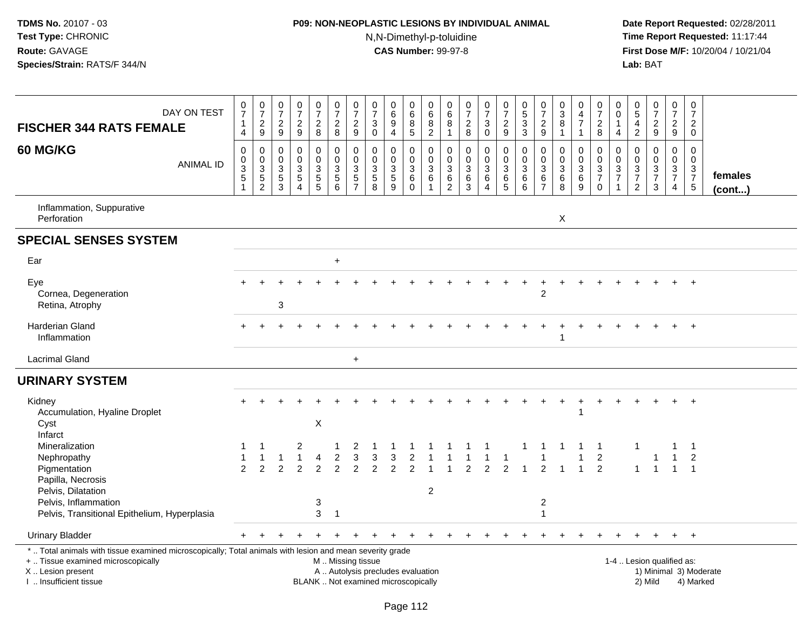# **P09: NON-NEOPLASTIC LESIONS BY INDIVIDUAL ANIMAL**N,N-Dimethyl-p-toluidine

| DAY ON TEST<br><b>FISCHER 344 RATS FEMALE</b>                                                                                                                                                 | $\begin{smallmatrix}0\\7\end{smallmatrix}$<br>$\mathbf{1}$<br>$\overline{4}$ | $\frac{0}{7}$<br>$\frac{2}{9}$                               | $\frac{0}{7}$<br>$\frac{2}{9}$                            | $\frac{0}{7}$<br>$\frac{2}{9}$                  | $\frac{0}{7}$<br>$\frac{2}{8}$                      | $\frac{0}{7}$<br>$\frac{2}{8}$                         | $\begin{array}{c} 0 \\ 7 \end{array}$<br>$\frac{2}{9}$ | $\begin{array}{c} 0 \\ 7 \end{array}$<br>3<br>$\pmb{0}$ | $\mathbf 0$<br>$6\phantom{a}$<br>9<br>$\overline{4}$ | $\mathbf 0$<br>$\,6\,$<br>8<br>$\overline{5}$                  | $\mathbf 0$<br>$\,6\,$<br>8<br>$\sqrt{2}$ | $\mathbf 0$<br>$\,6\,$<br>8<br>$\mathbf{1}$                    | $\frac{0}{7}$<br>$_{\rm 8}^2$                                 | $\frac{0}{7}$<br>$\mathbf{3}$<br>$\mathbf 0$                                | $\frac{0}{7}$<br>$\overline{c}$<br>$\overline{9}$         | 0<br>$\overline{5}$<br>3<br>$\mathfrak{Z}$ | $\begin{array}{c} 0 \\ 7 \end{array}$<br>$\frac{2}{9}$                             | $_{3}^{\rm 0}$<br>$\bf 8$<br>$\mathbf{1}$             | 0<br>$\overline{4}$<br>$\overline{7}$<br>$\mathbf{1}$                 | 0<br>$\overline{7}$<br>$_{\rm 8}^2$                                              | 0<br>$\pmb{0}$<br>4                               | $\begin{array}{c} 0 \\ 5 \end{array}$<br>$\overline{\mathbf{4}}$<br>$\overline{2}$ | $\begin{array}{c} 0 \\ 7 \end{array}$<br>$\frac{2}{9}$                         | $\frac{0}{7}$<br>$\boldsymbol{2}$<br>$\boldsymbol{9}$       | $\mathbf 0$<br>$\overline{7}$<br>$\overline{2}$<br>$\mathbf 0$ |                         |
|-----------------------------------------------------------------------------------------------------------------------------------------------------------------------------------------------|------------------------------------------------------------------------------|--------------------------------------------------------------|-----------------------------------------------------------|-------------------------------------------------|-----------------------------------------------------|--------------------------------------------------------|--------------------------------------------------------|---------------------------------------------------------|------------------------------------------------------|----------------------------------------------------------------|-------------------------------------------|----------------------------------------------------------------|---------------------------------------------------------------|-----------------------------------------------------------------------------|-----------------------------------------------------------|--------------------------------------------|------------------------------------------------------------------------------------|-------------------------------------------------------|-----------------------------------------------------------------------|----------------------------------------------------------------------------------|---------------------------------------------------|------------------------------------------------------------------------------------|--------------------------------------------------------------------------------|-------------------------------------------------------------|----------------------------------------------------------------|-------------------------|
| 60 MG/KG<br><b>ANIMAL ID</b>                                                                                                                                                                  | $\mathbf 0$<br>$\pmb{0}$<br>$\ensuremath{\mathsf{3}}$<br>5<br>$\overline{1}$ | 0<br>$\pmb{0}$<br>$\ensuremath{\mathsf{3}}$<br>$\frac{5}{2}$ | $\mathbf 0$<br>$\mathbf 0$<br>$\sqrt{3}$<br>$\frac{5}{3}$ | 0<br>$\mathbf 0$<br>3<br>$\sqrt{5}$<br>$\Delta$ | $\mathbf 0$<br>$\ddot{\mathbf{0}}$<br>$\frac{3}{5}$ | 0<br>$\mathbf 0$<br>3<br>$\frac{5}{6}$                 | 0<br>0<br>$\ensuremath{\mathsf{3}}$<br>$\frac{5}{7}$   | $\mathbf 0$<br>0<br>$\frac{3}{5}$                       | 0<br>$\mathbf 0$<br>$\frac{3}{5}$                    | $\mathbf 0$<br>$\mathbf 0$<br>$\mathbf{3}$<br>6<br>$\mathbf 0$ | $\mathbf 0$<br>$\mathbf 0$<br>3<br>6<br>1 | $\mathbf 0$<br>$\Omega$<br>$\mathbf{3}$<br>6<br>$\overline{2}$ | 0<br>$\mathbf 0$<br>$\mathbf{3}$<br>$\,6\,$<br>$\overline{3}$ | $\mathbf 0$<br>$\ddot{\mathbf{0}}$<br>$\mathfrak{Z}$<br>$\,6\,$<br>$\Delta$ | $\mathbf 0$<br>$\pmb{0}$<br>$\mathbf{3}$<br>$\frac{6}{5}$ | 0<br>$\mathbf 0$<br>3<br>$^6$ 6            | $\mathbf 0$<br>$\pmb{0}$<br>$\ensuremath{\mathsf{3}}$<br>$\,6\,$<br>$\overline{7}$ | 0<br>$\pmb{0}$<br>$\ensuremath{\mathsf{3}}$<br>$^6_8$ | $\mathbf 0$<br>$\mathbf 0$<br>$\sqrt{3}$<br>$\,6\,$<br>$\overline{9}$ | 0<br>$\mathbf 0$<br>$\ensuremath{\mathsf{3}}$<br>$\boldsymbol{7}$<br>$\mathbf 0$ | $\mathbf 0$<br>$\mathbf 0$<br>3<br>$\overline{7}$ | $\mathbf 0$<br>0<br>$\frac{3}{7}$<br>$\overline{2}$                                | $\mathbf 0$<br>$\mathbf 0$<br>$\ensuremath{\mathsf{3}}$<br>$\overline{7}$<br>3 | $\mathbf 0$<br>$\pmb{0}$<br>$\frac{3}{7}$<br>$\overline{4}$ | $\Omega$<br>$\Omega$<br>$\frac{3}{7}$<br>$\sqrt{5}$            | females<br>$($ cont $)$ |
| Inflammation, Suppurative<br>Perforation                                                                                                                                                      |                                                                              |                                                              |                                                           |                                                 |                                                     |                                                        |                                                        |                                                         |                                                      |                                                                |                                           |                                                                |                                                               |                                                                             |                                                           |                                            |                                                                                    | X                                                     |                                                                       |                                                                                  |                                                   |                                                                                    |                                                                                |                                                             |                                                                |                         |
| <b>SPECIAL SENSES SYSTEM</b>                                                                                                                                                                  |                                                                              |                                                              |                                                           |                                                 |                                                     |                                                        |                                                        |                                                         |                                                      |                                                                |                                           |                                                                |                                                               |                                                                             |                                                           |                                            |                                                                                    |                                                       |                                                                       |                                                                                  |                                                   |                                                                                    |                                                                                |                                                             |                                                                |                         |
| Ear                                                                                                                                                                                           |                                                                              |                                                              |                                                           |                                                 |                                                     | $\ddot{}$                                              |                                                        |                                                         |                                                      |                                                                |                                           |                                                                |                                                               |                                                                             |                                                           |                                            |                                                                                    |                                                       |                                                                       |                                                                                  |                                                   |                                                                                    |                                                                                |                                                             |                                                                |                         |
| Eye<br>Cornea, Degeneration<br>Retina, Atrophy                                                                                                                                                |                                                                              |                                                              | 3                                                         |                                                 |                                                     |                                                        |                                                        |                                                         |                                                      |                                                                |                                           |                                                                |                                                               |                                                                             |                                                           |                                            | $\overline{2}$                                                                     |                                                       |                                                                       |                                                                                  |                                                   |                                                                                    |                                                                                |                                                             | $\ddot{}$                                                      |                         |
| Harderian Gland<br>Inflammation                                                                                                                                                               |                                                                              |                                                              |                                                           |                                                 |                                                     |                                                        |                                                        |                                                         |                                                      |                                                                |                                           |                                                                |                                                               |                                                                             |                                                           |                                            |                                                                                    |                                                       |                                                                       |                                                                                  |                                                   |                                                                                    |                                                                                |                                                             |                                                                |                         |
| <b>Lacrimal Gland</b>                                                                                                                                                                         |                                                                              |                                                              |                                                           |                                                 |                                                     |                                                        | $\ddot{}$                                              |                                                         |                                                      |                                                                |                                           |                                                                |                                                               |                                                                             |                                                           |                                            |                                                                                    |                                                       |                                                                       |                                                                                  |                                                   |                                                                                    |                                                                                |                                                             |                                                                |                         |
| <b>URINARY SYSTEM</b>                                                                                                                                                                         |                                                                              |                                                              |                                                           |                                                 |                                                     |                                                        |                                                        |                                                         |                                                      |                                                                |                                           |                                                                |                                                               |                                                                             |                                                           |                                            |                                                                                    |                                                       |                                                                       |                                                                                  |                                                   |                                                                                    |                                                                                |                                                             |                                                                |                         |
| Kidney<br>Accumulation, Hyaline Droplet<br>Cyst                                                                                                                                               |                                                                              |                                                              |                                                           |                                                 | $\times$                                            |                                                        |                                                        |                                                         |                                                      |                                                                |                                           |                                                                |                                                               |                                                                             |                                                           |                                            |                                                                                    |                                                       | -1                                                                    |                                                                                  |                                                   |                                                                                    |                                                                                |                                                             | $\ddot{}$                                                      |                         |
| Infarct<br>Mineralization<br>Nephropathy<br>Pigmentation<br>Papilla, Necrosis                                                                                                                 | -1<br>$\mathfrak{p}$                                                         | $\mathfrak{p}$                                               | $\mathfrak{p}$                                            | $\mathfrak{p}$                                  | 4<br>$\mathfrak{p}$                                 | $\overline{c}$<br>$\overline{2}$                       | 2<br>3<br>$\overline{2}$                               | $\ensuremath{\mathsf{3}}$<br>$\mathcal{P}$              | 3<br>2                                               | $\overline{c}$<br>$\mathfrak{p}$                               |                                           |                                                                | $\mathfrak{p}$                                                | $\mathcal{P}$                                                               | $\overline{2}$                                            |                                            | $\mathfrak{p}$                                                                     |                                                       |                                                                       | $\mathbf{1}$<br>$\boldsymbol{2}$<br>$\mathfrak{p}$                               |                                                   | $\mathbf{1}$                                                                       |                                                                                | $\overline{1}$                                              | 1<br>$\overline{2}$<br>$\mathbf{1}$                            |                         |
| Pelvis, Dilatation<br>Pelvis, Inflammation<br>Pelvis, Transitional Epithelium, Hyperplasia                                                                                                    |                                                                              |                                                              |                                                           |                                                 | 3<br>3                                              | $\overline{1}$                                         |                                                        |                                                         |                                                      |                                                                | $\overline{c}$                            |                                                                |                                                               |                                                                             |                                                           |                                            | $\overline{c}$<br>1                                                                |                                                       |                                                                       |                                                                                  |                                                   |                                                                                    |                                                                                |                                                             |                                                                |                         |
| <b>Urinary Bladder</b>                                                                                                                                                                        |                                                                              |                                                              |                                                           |                                                 |                                                     |                                                        |                                                        |                                                         |                                                      |                                                                |                                           |                                                                |                                                               |                                                                             |                                                           |                                            |                                                                                    |                                                       |                                                                       |                                                                                  |                                                   |                                                                                    |                                                                                |                                                             | $\ddot{}$                                                      |                         |
| *  Total animals with tissue examined microscopically; Total animals with lesion and mean severity grade<br>+  Tissue examined microscopically<br>X  Lesion present<br>I  Insufficient tissue |                                                                              |                                                              |                                                           |                                                 | BLANK  Not examined microscopically                 | M. Missing tissue<br>A  Autolysis precludes evaluation |                                                        |                                                         |                                                      |                                                                |                                           |                                                                |                                                               |                                                                             |                                                           |                                            |                                                                                    |                                                       |                                                                       |                                                                                  |                                                   |                                                                                    | 1-4  Lesion qualified as:<br>2) Mild                                           |                                                             | 4) Marked                                                      | 1) Minimal 3) Moderate  |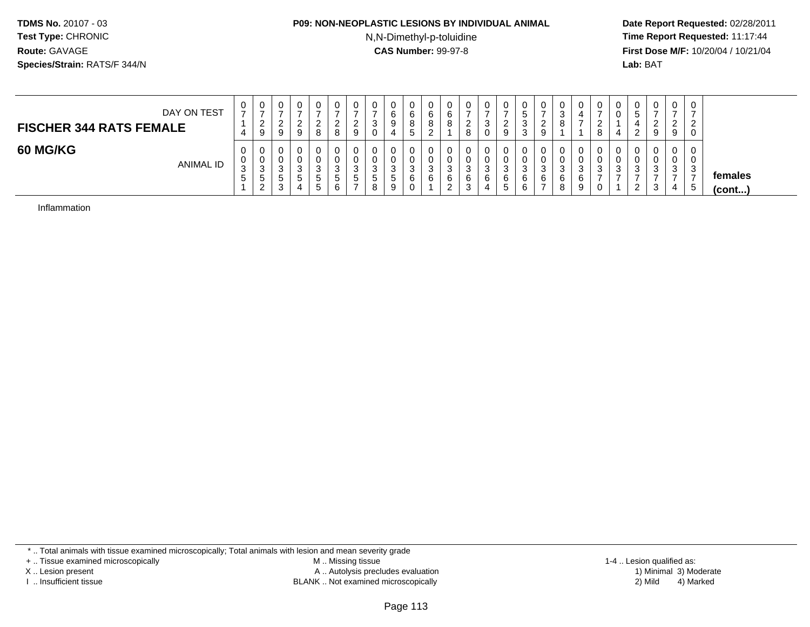## **P09: NON-NEOPLASTIC LESIONS BY INDIVIDUAL ANIMAL**N,N-Dimethyl-p-toluidine

 **Date Report Requested:** 02/28/2011 **Time Report Requested:** 11:17:44 **First Dose M/F:** 10/20/04 / 10/21/04<br>**Lab:** BAT **Lab:** BAT

| DAY ON TEST<br><b>FISCHER 344 RATS FEMALE</b> | v<br>$\overline{ }$<br>4         | 0<br>ົາ<br><u>_</u><br>9 | -<br>$\Omega$ | O  | 0<br>ົ<br>∼<br>8                       | ν<br><u>_</u><br>8 | 0<br>റ<br><u>_</u><br>9 | U<br>ີ<br>◡<br>U            | 6<br>9                        | O | v<br>6<br>8             | <u>_</u> | U<br>3      | 0<br>ົ<br><u>_</u><br>9    | ັ<br>ັບ<br>ົ | <u>_</u> | v<br>P<br>8           | U                          | 0<br><u>_</u><br>o    | v<br>v      | 0<br>∽<br>ັ<br><sup>o</sup>           | $\sim$<br>9   | $\cap$<br>U<br>-<br>$\sim$<br>$\sim$<br>$\Omega$<br>ັ | 0<br>ົ<br>∠<br>0 |                         |
|-----------------------------------------------|----------------------------------|--------------------------|---------------|----|----------------------------------------|--------------------|-------------------------|-----------------------------|-------------------------------|---|-------------------------|----------|-------------|----------------------------|--------------|----------|-----------------------|----------------------------|-----------------------|-------------|---------------------------------------|---------------|-------------------------------------------------------|------------------|-------------------------|
| <b>60 MG/KG</b><br><b>ANIMAL ID</b>           | U<br>◡<br>ົ<br>P<br><sub>5</sub> | 0<br>0<br>3<br>. 5<br>ົ  | ັ<br>ັ        | ৾৾ | υ<br>0<br>◠<br>د<br><sub>5</sub><br>5. | ັ<br>$5^{\circ}$   | 0<br>0<br>3<br>ა<br>-   | U<br>U<br>ົ<br>ັ<br>.5<br>8 | <b>U</b><br>ົ<br>J.<br>G<br>9 |   | ν<br><b>N</b><br>O<br>▃ | b        | 3<br>6<br>4 | 0<br>0<br>ົ<br>ັ<br>6<br>G |              | 6        | U<br>u<br>P<br>6<br>8 | U<br>Ü<br>◠<br>J<br>6<br>9 | 0<br>0<br>n<br>P<br>0 | υ<br>υ<br>3 | 0<br>0<br><sup>o</sup><br>ບ<br>c<br>∸ | ີ<br>- 0<br>ت | n<br>v<br>3<br>$\overline{\phantom{a}}$<br>4          | 0<br>υ<br>P<br>ಾ | females<br>$($ cont $)$ |

Inflammation

\* .. Total animals with tissue examined microscopically; Total animals with lesion and mean severity grade

+ .. Tissue examined microscopically

X .. Lesion present

I .. Insufficient tissue

 M .. Missing tissueA .. Autolysis precludes evaluation

1-4 .. Lesion qualified as:<br>1) Minimal 3) Moderate BLANK .. Not examined microscopically 2) Mild 4) Marked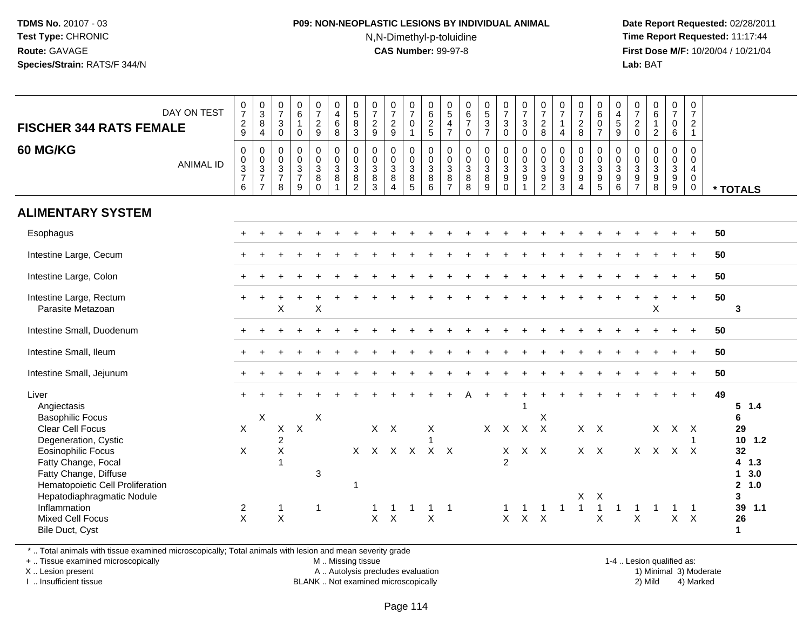# **P09: NON-NEOPLASTIC LESIONS BY INDIVIDUAL ANIMAL**N,N-Dimethyl-p-toluidine

 **Date Report Requested:** 02/28/2011 **Time Report Requested:** 11:17:44 **First Dose M/F:** 10/20/04 / 10/21/04<br>**Lab:** BAT **Lab:** BAT

| DAY ON TEST<br><b>FISCHER 344 RATS FEMALE</b>                                                                  | $\frac{0}{7}$<br>$\sqrt{2}$<br>$\boldsymbol{9}$ | $\begin{array}{c} 0 \\ 3 \\ 8 \end{array}$<br>$\overline{4}$ | $\frac{0}{7}$<br>$\mathbf{3}$<br>$\mathbf 0$   | $\begin{matrix} 0 \\ 6 \end{matrix}$<br>$\mathbf{1}$<br>$\mathbf 0$ | $\frac{0}{7}$<br>$\overline{2}$<br>9                       | $\begin{array}{c} 0 \\ 4 \\ 6 \end{array}$<br>8                | $\begin{array}{c} 0 \\ 5 \\ 8 \end{array}$<br>$\mathbf{3}$ | $\frac{0}{7}$<br>$\frac{2}{9}$                               | 0729                                                 | $\frac{0}{7}$<br>$\mathsf 0$<br>$\mathbf{1}$                               | 0625                                                          | $\begin{array}{c} 0 \\ 5 \\ 4 \end{array}$<br>$\overline{7}$                          | $\begin{array}{c} 0 \\ 6 \\ 7 \end{array}$<br>$\pmb{0}$           | $\begin{array}{c} 0 \\ 5 \\ 3 \\ 7 \end{array}$                                | $\begin{array}{c} 0 \\ 7 \\ 3 \end{array}$<br>$\mathbf 0$ | $\begin{matrix} 0 \\ 7 \\ 3 \end{matrix}$<br>$\mathbf 0$                            | $\frac{0}{7}$<br>$\sqrt{2}$<br>8                    | 0<br>$\overline{7}$<br>$\mathbf{1}$<br>$\overline{4}$                | $\frac{0}{7}$<br>8                           | 0<br>$6\phantom{a}$<br>$\mathbf 0$<br>$\overline{7}$      | $\begin{smallmatrix}0\0\4\end{smallmatrix}$<br>$\overline{5}$<br>9 | $\frac{0}{7}$<br>$\overline{2}$<br>$\mathbf 0$                           | $\begin{smallmatrix} 0\\ 6 \end{smallmatrix}$<br>$\frac{1}{2}$ | $\frac{0}{7}$<br>$\mathbf 0$<br>6          | $\begin{smallmatrix}0\\7\end{smallmatrix}$<br>$\overline{2}$<br>$\mathbf{1}$ |    |                                                         |
|----------------------------------------------------------------------------------------------------------------|-------------------------------------------------|--------------------------------------------------------------|------------------------------------------------|---------------------------------------------------------------------|------------------------------------------------------------|----------------------------------------------------------------|------------------------------------------------------------|--------------------------------------------------------------|------------------------------------------------------|----------------------------------------------------------------------------|---------------------------------------------------------------|---------------------------------------------------------------------------------------|-------------------------------------------------------------------|--------------------------------------------------------------------------------|-----------------------------------------------------------|-------------------------------------------------------------------------------------|-----------------------------------------------------|----------------------------------------------------------------------|----------------------------------------------|-----------------------------------------------------------|--------------------------------------------------------------------|--------------------------------------------------------------------------|----------------------------------------------------------------|--------------------------------------------|------------------------------------------------------------------------------|----|---------------------------------------------------------|
| <b>60 MG/KG</b><br><b>ANIMAL ID</b>                                                                            | $\pmb{0}$<br>$\pmb{0}$<br>$\frac{3}{7}$<br>6    | $\mathbf 0$<br>$\frac{0}{3}$<br>$\overline{7}$               | $\pmb{0}$<br>$\mathbf 0$<br>$\frac{3}{7}$<br>8 | $\mathbf 0$<br>$\mathsf{O}\xspace$<br>$\frac{3}{7}$<br>9            | $\pmb{0}$<br>$\overline{0}$<br>$\sqrt{3}$<br>8<br>$\Omega$ | $\boldsymbol{0}$<br>$\mathsf{O}\xspace$<br>$\overline{3}$<br>8 | $\mathbf 0$<br>$\overline{0}$<br>3<br>8<br>2               | $\mathsf{O}\xspace$<br>$\bar{0}$<br>$\overline{3}$<br>8<br>3 | $\mathbf 0$<br>$_{3}^{\rm 0}$<br>8<br>$\overline{4}$ | $\begin{smallmatrix}0\0\0\end{smallmatrix}$<br>$\frac{3}{8}$<br>$\sqrt{5}$ | $\begin{smallmatrix}0\\0\\3\end{smallmatrix}$<br>$\bf 8$<br>6 | $\begin{smallmatrix} 0\\0 \end{smallmatrix}$<br>$\overline{3}$<br>8<br>$\overline{7}$ | $\pmb{0}$<br>$\ddot{\mathbf{0}}$<br>$\overline{3}$<br>$\, 8$<br>8 | $\begin{smallmatrix} 0\\0 \end{smallmatrix}$<br>$\overline{3}$<br>$\,8\,$<br>9 | $\begin{array}{c} 0 \\ 0 \\ 3 \end{array}$<br>0           | $\mathsf{O}\xspace$<br>$\mathsf{O}\xspace$<br>$\overline{3}$<br>9<br>$\overline{1}$ | $\pmb{0}$<br>$\frac{0}{3}$<br>$\boldsymbol{9}$<br>2 | $\mathbf 0$<br>$\overline{0}$<br>$\ensuremath{\mathsf{3}}$<br>9<br>3 | $\pmb{0}$<br>$\frac{0}{3}$<br>$\overline{4}$ | 0<br>$\mathbf 0$<br>$\mathbf{3}$<br>$\boldsymbol{9}$<br>5 | $\pmb{0}$<br>$\mathbf 0$<br>$\overline{3}$<br>$9\,$<br>6           | 0<br>$\mathbf 0$<br>$\mathfrak{S}$<br>$\boldsymbol{9}$<br>$\overline{7}$ | $\begin{array}{c} 0 \\ 0 \\ 3 \\ 9 \end{array}$<br>8           | $\mathsf{O}$<br>$\mathbf 0$<br>3<br>9<br>9 | 0<br>0<br>4<br>$\mathbf 0$<br>$\mathbf 0$                                    |    | * TOTALS                                                |
| <b>ALIMENTARY SYSTEM</b>                                                                                       |                                                 |                                                              |                                                |                                                                     |                                                            |                                                                |                                                            |                                                              |                                                      |                                                                            |                                                               |                                                                                       |                                                                   |                                                                                |                                                           |                                                                                     |                                                     |                                                                      |                                              |                                                           |                                                                    |                                                                          |                                                                |                                            |                                                                              |    |                                                         |
| Esophagus                                                                                                      |                                                 |                                                              |                                                |                                                                     |                                                            |                                                                |                                                            |                                                              |                                                      |                                                                            |                                                               |                                                                                       |                                                                   |                                                                                |                                                           |                                                                                     |                                                     |                                                                      |                                              |                                                           |                                                                    |                                                                          |                                                                |                                            |                                                                              | 50 |                                                         |
| Intestine Large, Cecum                                                                                         |                                                 |                                                              |                                                |                                                                     |                                                            |                                                                |                                                            |                                                              |                                                      |                                                                            |                                                               |                                                                                       |                                                                   |                                                                                |                                                           |                                                                                     |                                                     |                                                                      |                                              |                                                           |                                                                    |                                                                          |                                                                |                                            |                                                                              | 50 |                                                         |
| Intestine Large, Colon                                                                                         |                                                 |                                                              |                                                |                                                                     |                                                            |                                                                |                                                            |                                                              |                                                      |                                                                            |                                                               |                                                                                       |                                                                   |                                                                                |                                                           |                                                                                     |                                                     |                                                                      |                                              |                                                           |                                                                    |                                                                          |                                                                |                                            |                                                                              | 50 |                                                         |
| Intestine Large, Rectum<br>Parasite Metazoan                                                                   |                                                 |                                                              | $\mathsf X$                                    |                                                                     | $\boldsymbol{\mathsf{X}}$                                  |                                                                |                                                            |                                                              |                                                      |                                                                            |                                                               |                                                                                       |                                                                   |                                                                                |                                                           |                                                                                     |                                                     |                                                                      |                                              |                                                           |                                                                    |                                                                          | $\pmb{\times}$                                                 |                                            |                                                                              | 50 | 3                                                       |
| Intestine Small, Duodenum                                                                                      |                                                 |                                                              |                                                |                                                                     |                                                            |                                                                |                                                            |                                                              |                                                      |                                                                            |                                                               |                                                                                       |                                                                   |                                                                                |                                                           |                                                                                     |                                                     |                                                                      |                                              |                                                           |                                                                    |                                                                          |                                                                |                                            |                                                                              | 50 |                                                         |
| Intestine Small, Ileum                                                                                         |                                                 |                                                              |                                                |                                                                     |                                                            |                                                                |                                                            |                                                              |                                                      |                                                                            |                                                               |                                                                                       |                                                                   |                                                                                |                                                           |                                                                                     |                                                     |                                                                      |                                              |                                                           |                                                                    |                                                                          |                                                                |                                            |                                                                              | 50 |                                                         |
| Intestine Small, Jejunum                                                                                       |                                                 |                                                              |                                                |                                                                     |                                                            |                                                                |                                                            |                                                              |                                                      |                                                                            |                                                               |                                                                                       |                                                                   |                                                                                |                                                           |                                                                                     |                                                     |                                                                      |                                              |                                                           |                                                                    |                                                                          |                                                                |                                            |                                                                              | 50 |                                                         |
| Liver<br>Angiectasis<br><b>Basophilic Focus</b>                                                                |                                                 | $\boldsymbol{\mathsf{X}}$                                    |                                                |                                                                     | X                                                          |                                                                |                                                            |                                                              |                                                      |                                                                            |                                                               |                                                                                       |                                                                   |                                                                                |                                                           |                                                                                     | X                                                   |                                                                      |                                              |                                                           |                                                                    |                                                                          |                                                                | $+$                                        | $+$                                                                          | 49 | $5 \t1.4$<br>6                                          |
| <b>Clear Cell Focus</b><br>Degeneration, Cystic<br><b>Eosinophilic Focus</b>                                   | X<br>X                                          |                                                              | X<br>$\overline{c}$<br>$\mathsf{X}$            | $\mathsf X$                                                         |                                                            |                                                                |                                                            | $X$ $X$ $X$ $X$ $X$ $X$                                      | $X$ $X$                                              |                                                                            | Χ                                                             |                                                                                       |                                                                   | X                                                                              | $\boldsymbol{\mathsf{X}}$<br>X                            | $X$ $X$<br>$X$ $X$                                                                  |                                                     |                                                                      | $X$ $X$                                      | $X$ $X$                                                   |                                                                    |                                                                          | $\times$<br>$X$ $X$                                            | X X                                        | $X$ $X$                                                                      |    | 29<br>$10$ 1.2<br>32                                    |
| Fatty Change, Focal<br>Fatty Change, Diffuse<br>Hematopoietic Cell Proliferation<br>Hepatodiaphragmatic Nodule |                                                 |                                                              |                                                |                                                                     | 3                                                          |                                                                |                                                            |                                                              |                                                      |                                                                            |                                                               |                                                                                       |                                                                   |                                                                                | $\overline{2}$                                            |                                                                                     |                                                     |                                                                      | X                                            | X                                                         |                                                                    |                                                                          |                                                                |                                            |                                                                              |    | 4 1.3<br>3.0<br>$\mathbf 1$<br>1.0<br>$\mathbf{2}$<br>3 |
| Inflammation<br>Mixed Cell Focus<br>Bile Duct, Cyst                                                            | $\overline{c}$<br>$\overline{\mathsf{X}}$       |                                                              | $\mathbf{1}$<br>$\boldsymbol{\mathsf{X}}$      |                                                                     | $\mathbf{1}$                                               |                                                                |                                                            | $\mathsf{X}$                                                 | $\boldsymbol{\mathsf{X}}$                            |                                                                            | -1<br>X                                                       | $\overline{1}$                                                                        |                                                                   |                                                                                | X                                                         | $\mathsf{X}^-$                                                                      | $\times$                                            |                                                                      | $\overline{1}$                               | 1<br>$\sf X$                                              |                                                                    | X                                                                        |                                                                | X                                          | $\boldsymbol{\mathsf{X}}$                                                    |    | 39 1.1<br>26<br>$\mathbf{1}$                            |

\* .. Total animals with tissue examined microscopically; Total animals with lesion and mean severity grade

+ .. Tissue examined microscopically

X .. Lesion present

I .. Insufficient tissue

M .. Missing tissue

A .. Autolysis precludes evaluation

BLANK .. Not examined microscopically 2) Mild 4) Marked

1-4 .. Lesion qualified as:<br>1) Minimal 3) Moderate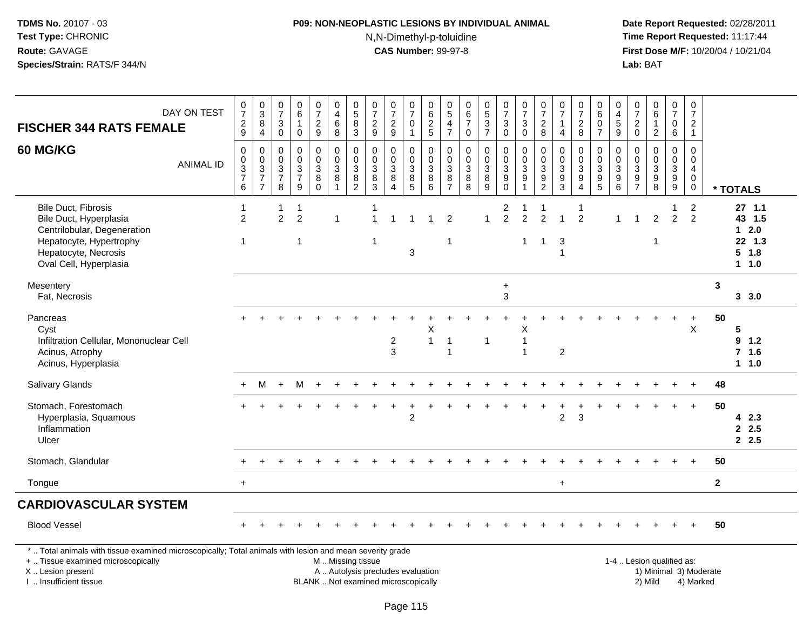# **P09: NON-NEOPLASTIC LESIONS BY INDIVIDUAL ANIMAL**N,N-Dimethyl-p-toluidine

| <b>FISCHER 344 RATS FEMALE</b>                                                                                                                                                                | DAY ON TEST      | $\frac{0}{7}$<br>$\boldsymbol{2}$<br>9                    | $_{3}^{\rm 0}$<br>$\overline{8}$<br>$\overline{4}$                          | $\pmb{0}$<br>$\overline{7}$<br>3<br>$\mathbf 0$                   | $\begin{array}{c} 0 \\ 6 \end{array}$<br>$\mathbf{1}$<br>$\mathbf 0$ | $\frac{0}{7}$<br>$\overline{c}$<br>9                                | $\begin{smallmatrix}0\0\4\end{smallmatrix}$<br>$\,6\,$<br>8                                   | $\begin{smallmatrix}0\\5\end{smallmatrix}$<br>$\overline{8}$<br>3 | $\frac{0}{7}$<br>$\overline{c}$<br>9             | $\frac{0}{7}$<br>$\boldsymbol{2}$<br>9                             | $\frac{0}{7}$<br>$\mathbf 0$<br>$\mathbf{1}$   | $\,0\,$<br>$\overline{6}$<br>$\overline{2}$<br>$\overline{5}$ | $\begin{array}{c} 0 \\ 5 \\ 4 \end{array}$<br>$\overline{7}$ | $\mathbf 0$<br>$\,6$<br>$\overline{7}$<br>$\mathbf 0$ | $\begin{array}{c} 0 \\ 5 \end{array}$<br>$\overline{3}$<br>$\overline{7}$ | $\begin{smallmatrix}0\\7\end{smallmatrix}$<br>$\ensuremath{\mathsf{3}}$<br>$\mathbf 0$ | $\frac{0}{7}$<br>$\mathbf{3}$<br>$\mathbf 0$                           | $\begin{smallmatrix}0\\7\end{smallmatrix}$<br>$\sqrt{2}$<br>8 | $\frac{0}{7}$<br>$\mathbf{1}$<br>$\overline{4}$   | $\frac{0}{7}$<br>$\boldsymbol{2}$<br>8                                        | $\begin{array}{c} 0 \\ 6 \end{array}$<br>$\mathbf 0$<br>$\overline{7}$ | 0<br>$\overline{4}$<br>$\overline{5}$<br>9                       | $\frac{0}{7}$<br>$\sqrt{2}$<br>$\mathbf 0$                  | $\pmb{0}$<br>$\overline{6}$<br>$\mathbf{1}$<br>$\overline{2}$ | $\frac{0}{7}$<br>$\mathbf 0$<br>6                                   | $\begin{smallmatrix}0\\7\end{smallmatrix}$<br>$\overline{c}$<br>$\mathbf{1}$ |                |                                                                |
|-----------------------------------------------------------------------------------------------------------------------------------------------------------------------------------------------|------------------|-----------------------------------------------------------|-----------------------------------------------------------------------------|-------------------------------------------------------------------|----------------------------------------------------------------------|---------------------------------------------------------------------|-----------------------------------------------------------------------------------------------|-------------------------------------------------------------------|--------------------------------------------------|--------------------------------------------------------------------|------------------------------------------------|---------------------------------------------------------------|--------------------------------------------------------------|-------------------------------------------------------|---------------------------------------------------------------------------|----------------------------------------------------------------------------------------|------------------------------------------------------------------------|---------------------------------------------------------------|---------------------------------------------------|-------------------------------------------------------------------------------|------------------------------------------------------------------------|------------------------------------------------------------------|-------------------------------------------------------------|---------------------------------------------------------------|---------------------------------------------------------------------|------------------------------------------------------------------------------|----------------|----------------------------------------------------------------|
| <b>60 MG/KG</b>                                                                                                                                                                               | <b>ANIMAL ID</b> | $\mathbf 0$<br>0<br>$\overline{3}$<br>$\overline{7}$<br>6 | $\mathbf 0$<br>$\begin{array}{c} 0 \\ 3 \\ 7 \end{array}$<br>$\overline{7}$ | $\Omega$<br>0<br>$\ensuremath{\mathsf{3}}$<br>$\overline{7}$<br>8 | $\mathbf 0$<br>$\mathbf 0$<br>$\sqrt{3}$<br>$\overline{7}$<br>9      | $\mathbf 0$<br>$\pmb{0}$<br>$\overline{3}$<br>$\bar{8}$<br>$\Omega$ | $\mathbf 0$<br>$\mathbf 0$<br>$\mathbf{3}$<br>$\bf 8$<br>$\mathbf{1}$                         | $\mathbf 0$<br>$\pmb{0}$<br>$\frac{3}{8}$                         | 0<br>$\mathbf 0$<br>3<br>$\bf 8$<br>$\mathbf{3}$ | $\Omega$<br>$\mathbf 0$<br>$\mathbf 3$<br>$\bf8$<br>$\overline{4}$ | 0<br>$\pmb{0}$<br>$\mathbf{3}$<br>$\bf 8$<br>5 | $\Omega$<br>0<br>$\overline{3}$<br>$\overline{8}$<br>6        | 0<br>$\mathbf 0$<br>$\overline{3}$<br>$\frac{8}{7}$          | $\Omega$<br>0<br>$\mathfrak{S}$<br>$\bar{8}$<br>8     | $\mathbf 0$<br>$\mathbf 0$<br>$\mathbf 3$<br>$\, 8$<br>9                  | $\mathbf 0$<br>$\pmb{0}$<br>$\overline{3}$<br>$\overline{9}$                           | $\mathbf 0$<br>0<br>$\overline{3}$<br>$\boldsymbol{9}$<br>$\mathbf{1}$ | 0<br>$\frac{0}{3}$<br>$\frac{9}{2}$                           | $\mathbf 0$<br>0<br>$\mathbf{3}$<br>$\frac{9}{3}$ | $\Omega$<br>$\mathbf 0$<br>$\overline{3}$<br>$\overline{9}$<br>$\overline{4}$ | $\mathbf 0$<br>$\mathbf 0$<br>$\overline{3}$<br>$\frac{9}{5}$          | $\Omega$<br>$\mathbf 0$<br>$\mathbf{3}$<br>$\boldsymbol{9}$<br>6 | $\mathbf 0$<br>$\mathbf 0$<br>$\mathbf{3}$<br>$\frac{9}{7}$ | $\mathbf 0$<br>$\mathbf 0$<br>$\overline{3}$<br>$\frac{9}{8}$ | $\Omega$<br>$\overline{0}$<br>$\overline{3}$<br>$\overline{9}$<br>9 | $\mathbf 0$<br>0<br>4<br>$\mathsf{O}\xspace$<br>0                            |                | * TOTALS                                                       |
| <b>Bile Duct, Fibrosis</b><br>Bile Duct, Hyperplasia<br>Centrilobular, Degeneration<br>Hepatocyte, Hypertrophy<br>Hepatocyte, Necrosis<br>Oval Cell, Hyperplasia                              |                  | $\overline{1}$<br>$\overline{2}$<br>$\overline{1}$        |                                                                             | 1<br>$\overline{2}$                                               | -1<br>$\overline{2}$<br>-1                                           |                                                                     | $\mathbf 1$                                                                                   |                                                                   | 1<br>1<br>$\mathbf{1}$                           |                                                                    | $\overline{1}$<br>3                            |                                                               | $\overline{2}$<br>$\overline{1}$                             |                                                       | -1                                                                        | 2<br>$\overline{2}$                                                                    | $\overline{2}$<br>$\mathbf{1}$                                         | $\overline{2}$<br>$\mathbf{1}$                                | 1<br>3<br>$\mathbf{1}$                            | -1<br>$\overline{2}$                                                          |                                                                        | 1                                                                | $\mathbf{1}$                                                | $\overline{2}$<br>$\mathbf{1}$                                | 1<br>$\overline{2}$                                                 | 2<br>$\overline{2}$                                                          |                | $27$ 1.1<br>43 1.5<br>$12.0$<br>22 1.3<br>$5 \t1.8$<br>$1 1.0$ |
| Mesentery<br>Fat, Necrosis                                                                                                                                                                    |                  |                                                           |                                                                             |                                                                   |                                                                      |                                                                     |                                                                                               |                                                                   |                                                  |                                                                    |                                                |                                                               |                                                              |                                                       |                                                                           | $\ddot{}$<br>3                                                                         |                                                                        |                                                               |                                                   |                                                                               |                                                                        |                                                                  |                                                             |                                                               |                                                                     |                                                                              | 3              | 3, 3.0                                                         |
| Pancreas<br>Cyst<br>Infiltration Cellular, Mononuclear Cell<br>Acinus, Atrophy<br>Acinus, Hyperplasia                                                                                         |                  |                                                           |                                                                             |                                                                   |                                                                      |                                                                     |                                                                                               |                                                                   |                                                  | $\overline{c}$<br>3                                                |                                                | х<br>$\mathbf{1}$                                             | $\overline{1}$<br>1                                          |                                                       | $\overline{1}$                                                            |                                                                                        | х<br>$\mathbf{1}$<br>$\overline{1}$                                    |                                                               | $\overline{2}$                                    |                                                                               |                                                                        |                                                                  |                                                             |                                                               |                                                                     | X                                                                            | 50             | 5<br>$9$ 1.2<br>7 <sub>1.6</sub><br>$1 1.0$                    |
| <b>Salivary Glands</b>                                                                                                                                                                        |                  | $+$                                                       | М                                                                           | $\ddot{}$                                                         | м                                                                    |                                                                     |                                                                                               |                                                                   |                                                  |                                                                    |                                                |                                                               |                                                              |                                                       |                                                                           |                                                                                        |                                                                        |                                                               |                                                   |                                                                               |                                                                        |                                                                  |                                                             |                                                               |                                                                     |                                                                              | 48             |                                                                |
| Stomach, Forestomach<br>Hyperplasia, Squamous<br>Inflammation<br>Ulcer                                                                                                                        |                  |                                                           |                                                                             |                                                                   |                                                                      |                                                                     |                                                                                               |                                                                   |                                                  |                                                                    | $\ddot{}$<br>$\overline{2}$                    |                                                               |                                                              |                                                       |                                                                           |                                                                                        |                                                                        |                                                               | $\overline{2}$                                    | 3                                                                             |                                                                        |                                                                  |                                                             |                                                               |                                                                     | $\ddot{}$                                                                    | 50             | 42.3<br>2.5<br>2.5                                             |
| Stomach, Glandular                                                                                                                                                                            |                  |                                                           |                                                                             |                                                                   |                                                                      |                                                                     |                                                                                               |                                                                   |                                                  |                                                                    |                                                |                                                               |                                                              |                                                       |                                                                           |                                                                                        |                                                                        |                                                               |                                                   |                                                                               |                                                                        |                                                                  |                                                             |                                                               |                                                                     | $+$                                                                          | 50             |                                                                |
| Tongue                                                                                                                                                                                        |                  | $+$                                                       |                                                                             |                                                                   |                                                                      |                                                                     |                                                                                               |                                                                   |                                                  |                                                                    |                                                |                                                               |                                                              |                                                       |                                                                           |                                                                                        |                                                                        |                                                               | $+$                                               |                                                                               |                                                                        |                                                                  |                                                             |                                                               |                                                                     |                                                                              | $\overline{2}$ |                                                                |
| <b>CARDIOVASCULAR SYSTEM</b>                                                                                                                                                                  |                  |                                                           |                                                                             |                                                                   |                                                                      |                                                                     |                                                                                               |                                                                   |                                                  |                                                                    |                                                |                                                               |                                                              |                                                       |                                                                           |                                                                                        |                                                                        |                                                               |                                                   |                                                                               |                                                                        |                                                                  |                                                             |                                                               |                                                                     |                                                                              |                |                                                                |
| <b>Blood Vessel</b>                                                                                                                                                                           |                  |                                                           |                                                                             |                                                                   |                                                                      |                                                                     |                                                                                               |                                                                   |                                                  |                                                                    |                                                |                                                               |                                                              |                                                       |                                                                           |                                                                                        |                                                                        |                                                               |                                                   |                                                                               |                                                                        |                                                                  |                                                             |                                                               |                                                                     |                                                                              | 50             |                                                                |
| *  Total animals with tissue examined microscopically; Total animals with lesion and mean severity grade<br>+  Tissue examined microscopically<br>X  Lesion present<br>I. Insufficient tissue |                  |                                                           |                                                                             |                                                                   |                                                                      |                                                                     | M  Missing tissue<br>A  Autolysis precludes evaluation<br>BLANK  Not examined microscopically |                                                                   |                                                  |                                                                    |                                                |                                                               |                                                              |                                                       |                                                                           |                                                                                        |                                                                        |                                                               |                                                   |                                                                               |                                                                        |                                                                  |                                                             | 1-4  Lesion qualified as:<br>2) Mild                          |                                                                     | 1) Minimal 3) Moderate<br>4) Marked                                          |                |                                                                |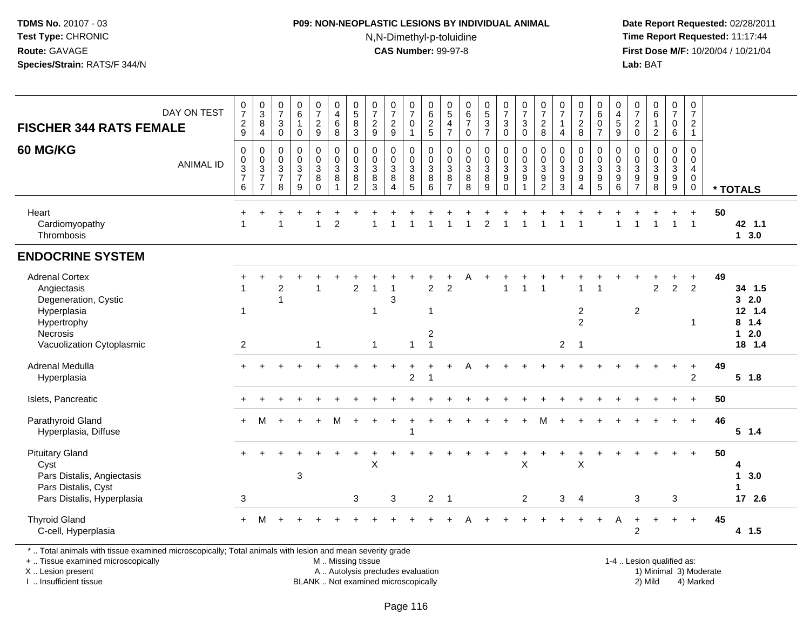### **P09: NON-NEOPLASTIC LESIONS BY INDIVIDUAL ANIMAL**N,N-Dimethyl-p-toluidine

 **Date Report Requested:** 02/28/2011 **Time Report Requested:** 11:17:44 **First Dose M/F:** 10/20/04 / 10/21/04<br>**Lab:** BAT **Lab:** BAT

| <b>FISCHER 344 RATS FEMALE</b><br>60 MG/KG                                                                                          | DAY ON TEST<br><b>ANIMAL ID</b> | $\begin{array}{c} 0 \\ 7 \end{array}$<br>$\frac{2}{9}$<br>$\boldsymbol{0}$<br>$_{3}^{\rm 0}$<br>$\overline{7}$<br>6 | $_{3}^{\rm 0}$<br>8<br>$\overline{4}$<br>0<br>$_{3}^{\rm 0}$<br>$\overline{7}$<br>$\overline{7}$ | $\frac{0}{7}$<br>$\mathbf{3}$<br>$\Omega$<br>$\mathbf 0$<br>$\mathbf 0$<br>$\sqrt{3}$<br>$\overline{7}$<br>8 | $_6^0$<br>$\mathbf{1}$<br>$\mathbf 0$<br>0<br>$_3^0$<br>$\overline{7}$<br>9 | $\begin{smallmatrix}0\\7\end{smallmatrix}$<br>$\frac{2}{9}$<br>$\pmb{0}$<br>$\frac{0}{3}$<br>8<br>$\mathbf 0$ | $\begin{smallmatrix} 0\\4 \end{smallmatrix}$<br>$\,6\,$<br>8<br>$\mathbf 0$<br>$\overline{0}$<br>3<br>$\bf 8$<br>$\overline{A}$ | $\begin{array}{c} 0 \\ 5 \end{array}$<br>$\bf8$<br>$\overline{3}$<br>$\boldsymbol{0}$<br>$\pmb{0}$<br>$\mathbf 3$<br>$\bf 8$<br>$\overline{2}$ | $\frac{0}{7}$<br>$\frac{2}{9}$<br>$\pmb{0}$<br>$_{3}^{\rm 0}$<br>$\, 8$<br>3 | $\frac{0}{7}$<br>$\frac{2}{9}$<br>0<br>$_{3}^{\rm 0}$<br>8<br>$\overline{4}$ | $\frac{0}{7}$<br>$\mathbf 0$<br>$\overline{1}$<br>$\mathbf 0$<br>$_{3}^{\rm 0}$<br>$\bf 8$<br>5 | $\begin{array}{c} 0 \\ 6 \end{array}$<br>$\frac{2}{5}$<br>$\pmb{0}$<br>$_{3}^{\rm 0}$<br>$\bf 8$<br>$6\phantom{1}6$ | $\begin{array}{c} 0 \\ 5 \end{array}$<br>$\overline{4}$<br>$\overline{7}$<br>$\boldsymbol{0}$<br>$_{3}^{\rm 0}$<br>$\, 8$<br>$\overline{7}$ | $\begin{array}{c} 0 \\ 6 \end{array}$<br>$\overline{7}$<br>$\mathbf 0$<br>$\pmb{0}$<br>$_{3}^{\rm 0}$<br>$\bf 8$<br>8 | $\begin{array}{c} 0 \\ 5 \end{array}$<br>$\mathbf{3}$<br>$\overline{7}$<br>0<br>$\frac{0}{3}$<br>$\bf 8$<br>$\boldsymbol{9}$ | $\frac{0}{7}$<br>$\mathbf{3}$<br>$\overline{0}$<br>$\begin{smallmatrix}0\0\0\3\end{smallmatrix}$<br>$\boldsymbol{9}$<br>$\mathbf 0$ | $\frac{0}{7}$<br>$\mathbf{3}$<br>$\mathbf 0$<br>$\pmb{0}$<br>$_{3}^{\rm 0}$<br>$\boldsymbol{9}$<br>$\overline{1}$ | $\frac{0}{7}$<br>$_{8}^2$<br>0<br>$_3^0$<br>$\boldsymbol{9}$<br>$\overline{c}$ | $\begin{array}{c} 0 \\ 7 \end{array}$<br>$\mathbf{1}$<br>$\overline{4}$<br>$\mathbf 0$<br>$_{3}^{\rm 0}$<br>$\boldsymbol{9}$<br>3 | $\begin{array}{c} 0 \\ 7 \end{array}$<br>$\boldsymbol{2}$<br>8<br>0<br>$_3^0$<br>$\boldsymbol{9}$<br>$\overline{4}$ | 0<br>6<br>$\mathbf 0$<br>$\overline{7}$<br>0<br>$\mathbf 0$<br>$\mathbf{3}$<br>$\boldsymbol{9}$<br>5 | $\begin{smallmatrix}0\0\4\end{smallmatrix}$<br>5<br>$\overline{9}$<br>0<br>$_{3}^{\rm 0}$<br>9<br>6 | $\begin{smallmatrix}0\\7\end{smallmatrix}$<br>$^2_{\rm 0}$<br>0<br>$_{3}^{\rm 0}$<br>$\boldsymbol{9}$<br>$\overline{7}$ | $\begin{array}{c} 0 \\ 6 \end{array}$<br>$\mathbf{1}$<br>$\overline{2}$<br>$\mathbf 0$<br>$\overline{0}$<br>3<br>$\boldsymbol{9}$<br>8 | $\begin{array}{c} 0 \\ 7 \end{array}$<br>0<br>$6\phantom{1}$<br>0<br>$\mathbf 0$<br>$\mathbf{3}$<br>$\boldsymbol{9}$<br>$\boldsymbol{9}$ | $\begin{array}{c} 0 \\ 7 \end{array}$<br>$\overline{2}$<br>$\overline{1}$<br>$\mathbf 0$<br>0<br>$\overline{4}$<br>$\boldsymbol{0}$<br>$\mathbf 0$ |    | * TOTALS                                                              |
|-------------------------------------------------------------------------------------------------------------------------------------|---------------------------------|---------------------------------------------------------------------------------------------------------------------|--------------------------------------------------------------------------------------------------|--------------------------------------------------------------------------------------------------------------|-----------------------------------------------------------------------------|---------------------------------------------------------------------------------------------------------------|---------------------------------------------------------------------------------------------------------------------------------|------------------------------------------------------------------------------------------------------------------------------------------------|------------------------------------------------------------------------------|------------------------------------------------------------------------------|-------------------------------------------------------------------------------------------------|---------------------------------------------------------------------------------------------------------------------|---------------------------------------------------------------------------------------------------------------------------------------------|-----------------------------------------------------------------------------------------------------------------------|------------------------------------------------------------------------------------------------------------------------------|-------------------------------------------------------------------------------------------------------------------------------------|-------------------------------------------------------------------------------------------------------------------|--------------------------------------------------------------------------------|-----------------------------------------------------------------------------------------------------------------------------------|---------------------------------------------------------------------------------------------------------------------|------------------------------------------------------------------------------------------------------|-----------------------------------------------------------------------------------------------------|-------------------------------------------------------------------------------------------------------------------------|----------------------------------------------------------------------------------------------------------------------------------------|------------------------------------------------------------------------------------------------------------------------------------------|----------------------------------------------------------------------------------------------------------------------------------------------------|----|-----------------------------------------------------------------------|
| Heart<br>Cardiomyopathy<br>Thrombosis                                                                                               |                                 | $\ddot{}$<br>$\overline{ }$                                                                                         |                                                                                                  |                                                                                                              |                                                                             | $\overline{1}$                                                                                                | $\overline{2}$                                                                                                                  |                                                                                                                                                | 1                                                                            | $\overline{1}$                                                               |                                                                                                 | $\overline{1}$                                                                                                      |                                                                                                                                             | 1                                                                                                                     | $\overline{2}$                                                                                                               | $\overline{1}$                                                                                                                      | $\overline{1}$                                                                                                    |                                                                                | 1                                                                                                                                 | 1                                                                                                                   |                                                                                                      |                                                                                                     |                                                                                                                         | $\overline{1}$                                                                                                                         | $\overline{1}$                                                                                                                           | $\ddot{}$<br>$\overline{1}$                                                                                                                        | 50 | 42 1.1<br>13.0                                                        |
| <b>ENDOCRINE SYSTEM</b>                                                                                                             |                                 |                                                                                                                     |                                                                                                  |                                                                                                              |                                                                             |                                                                                                               |                                                                                                                                 |                                                                                                                                                |                                                                              |                                                                              |                                                                                                 |                                                                                                                     |                                                                                                                                             |                                                                                                                       |                                                                                                                              |                                                                                                                                     |                                                                                                                   |                                                                                |                                                                                                                                   |                                                                                                                     |                                                                                                      |                                                                                                     |                                                                                                                         |                                                                                                                                        |                                                                                                                                          |                                                                                                                                                    |    |                                                                       |
| <b>Adrenal Cortex</b><br>Angiectasis<br>Degeneration, Cystic<br>Hyperplasia<br>Hypertrophy<br>Necrosis<br>Vacuolization Cytoplasmic |                                 | $\overline{1}$<br>2                                                                                                 |                                                                                                  | $\overline{2}$                                                                                               |                                                                             | $\mathbf{1}$                                                                                                  |                                                                                                                                 | $\overline{2}$                                                                                                                                 | -1<br>1<br>$\mathbf{1}$                                                      | 3                                                                            | $\mathbf{1}$                                                                                    | $\overline{2}$<br>-1<br>$\overline{c}$<br>$\overline{1}$                                                            | $\overline{2}$                                                                                                                              | А                                                                                                                     |                                                                                                                              |                                                                                                                                     |                                                                                                                   |                                                                                | $2^{\circ}$                                                                                                                       | 1<br>$\overline{\mathbf{c}}$<br>$\overline{2}$<br>$\overline{1}$                                                    |                                                                                                      |                                                                                                     | $\mathbf{2}$                                                                                                            | $\overline{2}$                                                                                                                         | $\overline{c}$                                                                                                                           | +<br>$\overline{2}$<br>-1                                                                                                                          | 49 | 34 1.5<br>32.0<br>$12$ 1.4<br>$8$ 1.4<br>2.0<br>$\mathbf 1$<br>18 1.4 |
| Adrenal Medulla<br>Hyperplasia                                                                                                      |                                 |                                                                                                                     |                                                                                                  |                                                                                                              |                                                                             |                                                                                                               |                                                                                                                                 |                                                                                                                                                |                                                                              |                                                                              | $\overline{c}$                                                                                  | $\overline{\mathbf{1}}$                                                                                             |                                                                                                                                             |                                                                                                                       |                                                                                                                              |                                                                                                                                     |                                                                                                                   |                                                                                |                                                                                                                                   |                                                                                                                     |                                                                                                      |                                                                                                     |                                                                                                                         |                                                                                                                                        |                                                                                                                                          | $+$<br>$\overline{2}$                                                                                                                              | 49 | $5$ 1.8                                                               |
| Islets, Pancreatic                                                                                                                  |                                 |                                                                                                                     |                                                                                                  |                                                                                                              |                                                                             |                                                                                                               |                                                                                                                                 |                                                                                                                                                |                                                                              |                                                                              |                                                                                                 |                                                                                                                     |                                                                                                                                             |                                                                                                                       |                                                                                                                              |                                                                                                                                     |                                                                                                                   |                                                                                |                                                                                                                                   |                                                                                                                     |                                                                                                      |                                                                                                     |                                                                                                                         |                                                                                                                                        |                                                                                                                                          |                                                                                                                                                    | 50 |                                                                       |
| Parathyroid Gland<br>Hyperplasia, Diffuse                                                                                           |                                 | $+$                                                                                                                 | м                                                                                                |                                                                                                              |                                                                             |                                                                                                               | м                                                                                                                               |                                                                                                                                                |                                                                              |                                                                              |                                                                                                 |                                                                                                                     |                                                                                                                                             |                                                                                                                       |                                                                                                                              |                                                                                                                                     |                                                                                                                   |                                                                                |                                                                                                                                   |                                                                                                                     |                                                                                                      |                                                                                                     |                                                                                                                         |                                                                                                                                        |                                                                                                                                          | $+$                                                                                                                                                | 46 | 5 1.4                                                                 |
| <b>Pituitary Gland</b><br>Cyst<br>Pars Distalis, Angiectasis<br>Pars Distalis, Cyst<br>Pars Distalis, Hyperplasia                   |                                 | 3                                                                                                                   |                                                                                                  |                                                                                                              | 3                                                                           |                                                                                                               |                                                                                                                                 | $\mathbf{3}$                                                                                                                                   | X                                                                            | $\mathbf{3}$                                                                 |                                                                                                 | $\overline{2}$                                                                                                      | $\overline{1}$                                                                                                                              |                                                                                                                       |                                                                                                                              |                                                                                                                                     | X<br>$\overline{2}$                                                                                               |                                                                                | 3                                                                                                                                 | X<br>$\overline{4}$                                                                                                 |                                                                                                      |                                                                                                     | 3                                                                                                                       |                                                                                                                                        | 3                                                                                                                                        | $+$                                                                                                                                                | 50 | 4<br>3.0<br>1<br>1<br>17 2.6                                          |
| <b>Thyroid Gland</b><br>C-cell, Hyperplasia                                                                                         |                                 |                                                                                                                     | м                                                                                                |                                                                                                              |                                                                             |                                                                                                               |                                                                                                                                 |                                                                                                                                                |                                                                              |                                                                              |                                                                                                 |                                                                                                                     |                                                                                                                                             |                                                                                                                       |                                                                                                                              |                                                                                                                                     |                                                                                                                   |                                                                                |                                                                                                                                   |                                                                                                                     |                                                                                                      | Α                                                                                                   | $\overline{2}$                                                                                                          |                                                                                                                                        |                                                                                                                                          | $+$                                                                                                                                                | 45 | 4 1.5                                                                 |

\* .. Total animals with tissue examined microscopically; Total animals with lesion and mean severity grade

+ .. Tissue examined microscopically

X .. Lesion present

I .. Insufficient tissue

 M .. Missing tissueA .. Autolysis precludes evaluation

BLANK .. Not examined microscopically 2) Mild 4) Marked

1-4 .. Lesion qualified as:<br>1) Minimal 3) Moderate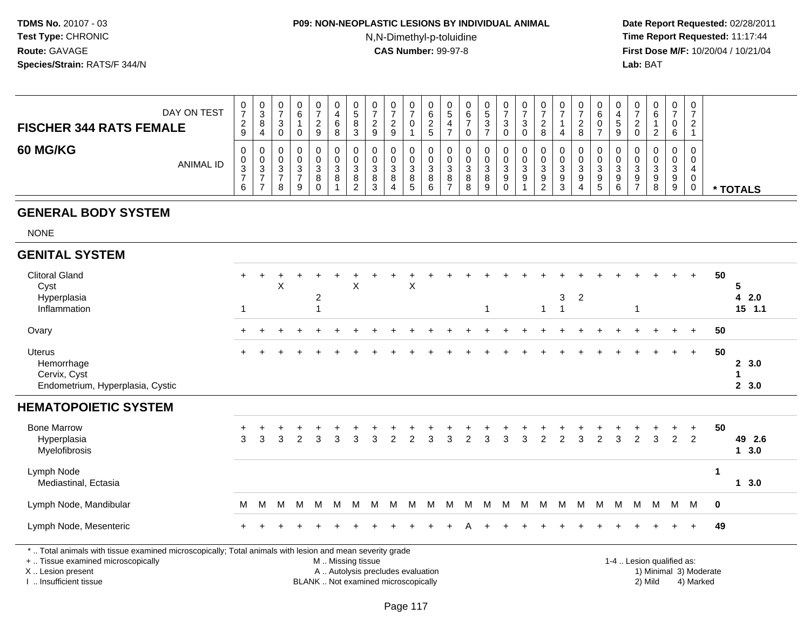# **P09: NON-NEOPLASTIC LESIONS BY INDIVIDUAL ANIMAL**N,N-Dimethyl-p-toluidine

 **Date Report Requested:** 02/28/2011 **Time Report Requested:** 11:17:44 **First Dose M/F:** 10/20/04 / 10/21/04<br>**Lab:** BAT **Lab:** BAT

| DAY ON TEST<br><b>FISCHER 344 RATS FEMALE</b> | v<br>∼ | U<br>J<br>8<br>,, | U<br>u           | 0<br>6<br>0      | 0<br><u>.</u><br>9          | Ω             | ບ           | <b>U</b><br>▃<br>g | υ<br><u>.</u><br>9                          | 0                                 | ◡<br>O<br><u>_</u><br>ີວ | 0<br>≎                           |                        |             | v<br>J            | U<br>3           | 0<br><u>_</u><br>8                     | 0                     | $\circ$     |         | υ<br>ັ<br>9           | v           | 0<br>6<br>ົ<br>∼      | U<br>ັບ<br>U          | 0<br>ാ           |          |
|-----------------------------------------------|--------|-------------------|------------------|------------------|-----------------------------|---------------|-------------|--------------------|---------------------------------------------|-----------------------------------|--------------------------|----------------------------------|------------------------|-------------|-------------------|------------------|----------------------------------------|-----------------------|-------------|---------|-----------------------|-------------|-----------------------|-----------------------|------------------|----------|
| <b>60 MG/KG</b><br><b>ANIMAL ID</b>           | U<br>చ | 0<br>0<br>P       | U<br>U<br>J<br>8 | 0<br>0<br>3<br>9 | 0<br>U<br>C.<br>ັ<br>8<br>0 | ີ<br>- ఎ<br>8 | ບ<br>o<br>∸ | J<br>3<br>o        | υ<br>U<br><sup>o</sup><br>J<br>$\circ$<br>o | 0<br>0<br>ົ<br>ູບ<br>$\circ$<br>5 | v<br>◡<br>3<br>8         | 0<br>0<br><sup>o</sup><br>ັ<br>8 | $\sim$<br>ັບ<br>8<br>8 | ັ<br>ت<br>8 | v<br>U<br>ັບ<br>9 | Ü<br>U<br>3<br>9 | 0<br>0<br>ົ<br>◡<br>9<br>ົ<br><u>_</u> | 0<br>0<br>3<br>9<br>3 | ⌒<br>J<br>Q | C.<br>C | 0<br>υ<br>د<br>9<br>6 | ◠<br>◡<br>9 | 0<br>0<br>3<br>9<br>8 | v<br>v<br>ັ<br>9<br>9 | 0<br>0<br>0<br>U | * TOTALS |

#### **GENERAL BODY SYSTEM**

NONE

I .. Insufficient tissue

| <b>GENITAL SYSTEM</b>                                                                                                                          |                |           |   |                |                |   |                   |   |                |                                   |   |   |   |   |   |   |                |                           |                |   |   |                |                           |                |                        |             |                     |
|------------------------------------------------------------------------------------------------------------------------------------------------|----------------|-----------|---|----------------|----------------|---|-------------------|---|----------------|-----------------------------------|---|---|---|---|---|---|----------------|---------------------------|----------------|---|---|----------------|---------------------------|----------------|------------------------|-------------|---------------------|
| <b>Clitoral Gland</b><br>Cyst                                                                                                                  | $\ddot{}$      | $\ddot{}$ | X |                | $\overline{c}$ |   | X                 |   |                | X                                 |   |   |   |   |   |   |                | $\ensuremath{\mathsf{3}}$ | $\overline{2}$ |   |   |                |                           |                | $+$                    | 50          | 5<br>42.0           |
| Hyperplasia<br>Inflammation                                                                                                                    | $\mathbf 1$    |           |   |                |                |   |                   |   |                |                                   |   |   |   | 1 |   |   |                | $\overline{1}$            |                |   |   |                |                           |                |                        |             | 15<br>1.1           |
| Ovary                                                                                                                                          |                |           |   |                |                |   |                   |   |                |                                   |   |   |   |   |   |   |                |                           |                |   |   |                |                           |                | $+$                    | 50          |                     |
| <b>Uterus</b><br>Hemorrhage<br>Cervix, Cyst<br>Endometrium, Hyperplasia, Cystic                                                                |                |           |   |                |                |   |                   |   |                |                                   |   |   |   |   |   |   |                |                           |                |   |   |                |                           |                | $+$                    | 50          | 2, 3.0<br>2, 3.0    |
| <b>HEMATOPOIETIC SYSTEM</b>                                                                                                                    |                |           |   |                |                |   |                   |   |                |                                   |   |   |   |   |   |   |                |                           |                |   |   |                |                           |                |                        |             |                     |
| <b>Bone Marrow</b><br>Hyperplasia<br>Myelofibrosis                                                                                             | $\overline{3}$ | 3         | 3 | $\overline{2}$ | 3              | 3 | 3                 | 3 | $\overline{2}$ | $\mathcal{P}$                     | 3 | 3 | 2 | 3 | 3 | 3 | $\overline{2}$ | 2                         | 3              | 2 | 3 | $\overline{2}$ | $\mathbf{3}$              | $\overline{2}$ | $+$<br>$\overline{2}$  | 50          | 49 2.6<br>$1 \t3.0$ |
| Lymph Node<br>Mediastinal, Ectasia                                                                                                             |                |           |   |                |                |   |                   |   |                |                                   |   |   |   |   |   |   |                |                           |                |   |   |                |                           |                |                        | 1           | $1 \quad 3.0$       |
| Lymph Node, Mandibular                                                                                                                         | м              | M         | M | M              | M              | M | M                 | M | M              | м                                 | м | м | M | M | M | M | м              | M                         | M              | M | M | м              | M                         | M              | M                      | $\mathbf 0$ |                     |
| Lymph Node, Mesenteric                                                                                                                         | $\pm$          |           |   |                |                |   |                   |   |                |                                   |   |   |   |   |   |   |                |                           |                |   |   |                |                           |                |                        | 49          |                     |
| *  Total animals with tissue examined microscopically; Total animals with lesion and mean severity grade<br>+  Tissue examined microscopically |                |           |   |                |                |   | M  Missing tissue |   |                |                                   |   |   |   |   |   |   |                |                           |                |   |   |                | 1-4  Lesion qualified as: |                |                        |             |                     |
| X  Lesion present                                                                                                                              |                |           |   |                |                |   |                   |   |                | A  Autolysis precludes evaluation |   |   |   |   |   |   |                |                           |                |   |   |                |                           |                | 1) Minimal 3) Moderate |             |                     |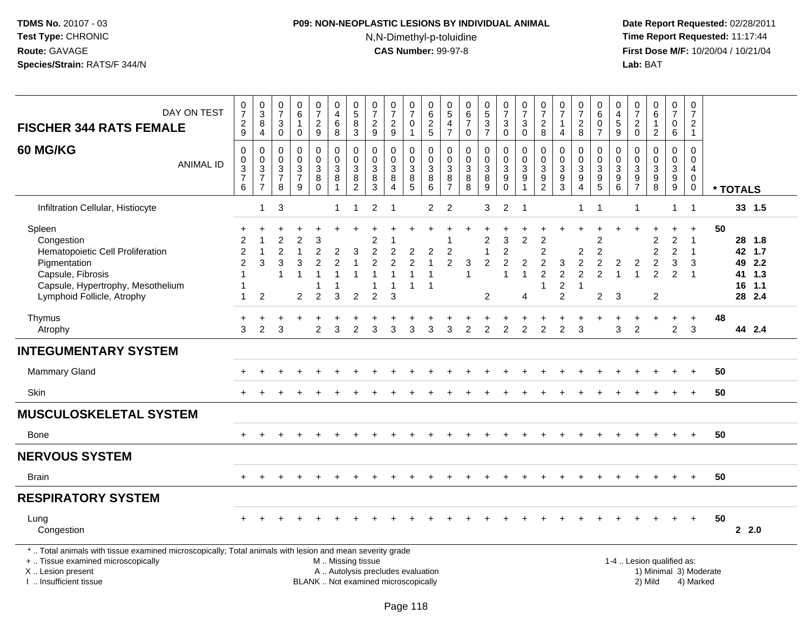# **P09: NON-NEOPLASTIC LESIONS BY INDIVIDUAL ANIMAL**N,N-Dimethyl-p-toluidine

| DAY ON TEST<br><b>FISCHER 344 RATS FEMALE</b>                                                                                                                                                 | $\frac{0}{7}$<br>$\frac{2}{9}$                         | $_{3}^{\rm 0}$<br>$\bf 8$<br>$\overline{4}$                                            | 0<br>$\overline{7}$<br>$\mathbf{3}$<br>$\mathsf 0$      | $\begin{array}{c} 0 \\ 6 \end{array}$<br>$\mathbf{1}$<br>0        | $\frac{0}{7}$<br>$\frac{2}{9}$                   | $\pmb{0}$<br>$\overline{4}$<br>$\,6\,$<br>$\bf8$              | 0<br>$\overline{5}$<br>8<br>$\overline{3}$                      | $\frac{0}{7}$<br>$\frac{2}{9}$                                 | $\begin{array}{c} 0 \\ 7 \end{array}$<br>$\frac{2}{9}$                   | 0<br>$\overline{7}$<br>$\mathbf 0$<br>$\mathbf{1}$                      | $\boldsymbol{0}$<br>$\frac{6}{2}$                           | 0<br>$\mathbf 5$<br>$\overline{4}$<br>$\overline{7}$ | $\mathbf 0$<br>$\overline{6}$<br>$\overline{7}$<br>$\mathbf 0$ | 0<br>5<br>3<br>7                                                   | $\begin{array}{c} 0 \\ 7 \end{array}$<br>$\mathbf{3}$<br>$\overline{0}$ | $\begin{array}{c} 0 \\ 7 \end{array}$<br>3<br>$\pmb{0}$                | $\begin{array}{c} 0 \\ 7 \end{array}$<br>$\frac{2}{8}$       | $\pmb{0}$<br>$\overline{7}$<br>$\mathbf 1$<br>$\overline{4}$                                  | 0<br>$\overline{7}$<br>$\begin{array}{c} 2 \\ 8 \end{array}$                               | 0<br>6<br>$\mathbf 0$<br>$\overline{7}$                                                | 0<br>$\begin{array}{c} 4 \\ 5 \\ 9 \end{array}$ | $\frac{0}{7}$<br>$^2_{\rm 0}$                                          | $\begin{array}{c} 0 \\ 6 \end{array}$<br>$\mathbf{1}$<br>$\overline{2}$                | $\begin{array}{c} 0 \\ 7 \end{array}$<br>$\mathbf 0$<br>$\overline{6}$ | $\pmb{0}$<br>$\overline{7}$<br>$\begin{array}{c} 2 \\ 1 \end{array}$ |                                     |          |                                                          |  |
|-----------------------------------------------------------------------------------------------------------------------------------------------------------------------------------------------|--------------------------------------------------------|----------------------------------------------------------------------------------------|---------------------------------------------------------|-------------------------------------------------------------------|--------------------------------------------------|---------------------------------------------------------------|-----------------------------------------------------------------|----------------------------------------------------------------|--------------------------------------------------------------------------|-------------------------------------------------------------------------|-------------------------------------------------------------|------------------------------------------------------|----------------------------------------------------------------|--------------------------------------------------------------------|-------------------------------------------------------------------------|------------------------------------------------------------------------|--------------------------------------------------------------|-----------------------------------------------------------------------------------------------|--------------------------------------------------------------------------------------------|----------------------------------------------------------------------------------------|-------------------------------------------------|------------------------------------------------------------------------|----------------------------------------------------------------------------------------|------------------------------------------------------------------------|----------------------------------------------------------------------|-------------------------------------|----------|----------------------------------------------------------|--|
| 60 MG/KG<br><b>ANIMAL ID</b>                                                                                                                                                                  | $\pmb{0}$<br>$\pmb{0}$<br>$\overline{3}$<br>$^7\rm{6}$ | $\mathsf{O}\xspace$<br>$\pmb{0}$<br>$\overline{3}$<br>$\overline{7}$<br>$\overline{7}$ | $\mathbf 0$<br>0<br>$\mathbf{3}$<br>$\overline{7}$<br>8 | $\mathbf 0$<br>$\pmb{0}$<br>$\overline{3}$<br>$\overline{7}$<br>9 | 0<br>$\mathsf 0$<br>$\sqrt{3}$<br>8<br>$\pmb{0}$ | $\mathbf 0$<br>$\mathbf 0$<br>$\sqrt{3}$<br>8<br>$\mathbf{1}$ | $\mathbf 0$<br>$\mathbf 0$<br>$\sqrt{3}$<br>8<br>$\overline{c}$ | $\mathbf 0$<br>$\Omega$<br>$\mathbf{3}$<br>8<br>$\overline{3}$ | $\mathbf 0$<br>$\mathbf 0$<br>$\sqrt{3}$<br>$\, 8$<br>$\overline{4}$     | $\mathbf 0$<br>0<br>$\sqrt{3}$<br>$\begin{array}{c} 8 \\ 5 \end{array}$ | $\boldsymbol{0}$<br>$\mathbf 0$<br>$\overline{3}$<br>$^8_6$ | $\pmb{0}$<br>$\mathbf 0$<br>3<br>8<br>$\overline{7}$ | $\pmb{0}$<br>$\mathbf 0$<br>$\mathbf{3}$<br>8<br>8             | 0<br>0<br>$\mathbf 3$<br>8<br>$\overline{9}$                       | $\pmb{0}$<br>$\mathbf 0$<br>$\sqrt{3}$<br>9<br>$\overline{0}$           | $\pmb{0}$<br>$\pmb{0}$<br>$\overline{3}$<br>$\boldsymbol{9}$<br>1      | $\pmb{0}$<br>$\mathbf 0$<br>$\overline{3}$<br>$\frac{9}{2}$  | $\mathbf 0$<br>$\mathbf 0$<br>$\ensuremath{\mathsf{3}}$<br>$\boldsymbol{9}$<br>$\overline{3}$ | 0<br>0<br>$\ensuremath{\mathsf{3}}$<br>$\frac{9}{4}$                                       | $\mathbf 0$<br>$\mathbf 0$<br>$\sqrt{3}$<br>$\frac{9}{5}$                              | 0<br>$\mathbf 0$<br>3<br>$^9$ 6                 | $\pmb{0}$<br>$\mathbf 0$<br>$\ensuremath{\mathsf{3}}$<br>$\frac{9}{7}$ | $\pmb{0}$<br>0<br>$\overline{3}$<br>$_{8}^{\rm 9}$                                     | $\pmb{0}$<br>$\mathsf{O}\xspace$<br>$\overline{3}$<br>$^9_9$           | $\mathbf 0$<br>$\mathbf 0$<br>$\overline{4}$<br>$\mathbf{0}$<br>0    |                                     | * TOTALS |                                                          |  |
| Infiltration Cellular, Histiocyte                                                                                                                                                             |                                                        | $\overline{1}$                                                                         | 3                                                       |                                                                   |                                                  | 1                                                             |                                                                 | 2                                                              |                                                                          |                                                                         | 2                                                           | $\overline{2}$                                       |                                                                | 3                                                                  | $\overline{2}$                                                          | $\overline{\mathbf{1}}$                                                |                                                              |                                                                                               | 1                                                                                          | -1                                                                                     |                                                 | 1                                                                      |                                                                                        | 1                                                                      | $\overline{1}$                                                       |                                     |          | 33 1.5                                                   |  |
| Spleen<br>Congestion<br>Hematopoietic Cell Proliferation<br>Pigmentation<br>Capsule, Fibrosis<br>Capsule, Hypertrophy, Mesothelium<br>Lymphoid Follicle, Atrophy                              | 2<br>2<br>$\overline{2}$                               | 3<br>2                                                                                 | 2<br>$\overline{2}$<br>3                                | $\overline{2}$<br>3<br>$\overline{2}$                             | 3<br>2<br>$\overline{2}$<br>$\overline{2}$       | $\overline{2}$<br>3                                           | 3<br>$\overline{2}$                                             | 2<br>$\overline{c}$<br>$\overline{2}$<br>$\mathcal{P}$         | $\overline{2}$<br>$\overline{2}$<br>3                                    | 2<br>$\overline{c}$                                                     | 2<br>1<br>-1                                                | $\overline{c}$<br>$\overline{2}$                     | 3<br>1                                                         | $\overline{2}$<br>$\mathbf{1}$<br>$\overline{c}$<br>$\overline{2}$ | 3<br>$\overline{c}$<br>$\overline{c}$<br>$\overline{ }$                 | $\overline{2}$<br>$\boldsymbol{2}$<br>$\overline{1}$<br>$\overline{4}$ | $\overline{c}$<br>2<br>$\overline{c}$<br>$\overline{c}$<br>1 | 3<br>2<br>$\boldsymbol{2}$<br>$\overline{c}$                                                  | $\ddot{}$<br>$\overline{\mathbf{c}}$<br>$\overline{c}$<br>$\overline{c}$<br>$\overline{1}$ | $\overline{2}$<br>$\overline{2}$<br>$\overline{c}$<br>$\overline{2}$<br>$\overline{c}$ | 2<br>$\overline{1}$<br>3                        | $\overline{2}$                                                         | $\overline{2}$<br>$\overline{c}$<br>$\overline{2}$<br>$\overline{2}$<br>$\overline{c}$ | $\overline{c}$<br>2<br>3<br>2                                          | $\ddot{}$<br>$\overline{1}$<br>$\overline{1}$<br>3<br>$\overline{1}$ | 50                                  |          | 28 1.8<br>42 1.7<br>49 2.2<br>41 1.3<br>16 1.1<br>28 2.4 |  |
| Thymus<br>Atrophy                                                                                                                                                                             | 3                                                      | $\overline{2}$                                                                         | 3                                                       |                                                                   | $\overline{2}$                                   | 3                                                             | $\overline{2}$                                                  | 3                                                              | 3                                                                        | 3                                                                       | 3                                                           | 3                                                    | 2                                                              | $\overline{2}$                                                     | 2                                                                       | $\overline{2}$                                                         | $\overline{2}$                                               | $\overline{2}$                                                                                | 3                                                                                          |                                                                                        | 3                                               | 2                                                                      |                                                                                        | $\overline{2}$                                                         | $\ddot{}$<br>3                                                       | 48                                  |          | 44 2.4                                                   |  |
| <b>INTEGUMENTARY SYSTEM</b>                                                                                                                                                                   |                                                        |                                                                                        |                                                         |                                                                   |                                                  |                                                               |                                                                 |                                                                |                                                                          |                                                                         |                                                             |                                                      |                                                                |                                                                    |                                                                         |                                                                        |                                                              |                                                                                               |                                                                                            |                                                                                        |                                                 |                                                                        |                                                                                        |                                                                        |                                                                      |                                     |          |                                                          |  |
| Mammary Gland                                                                                                                                                                                 |                                                        |                                                                                        |                                                         |                                                                   |                                                  |                                                               |                                                                 |                                                                |                                                                          |                                                                         |                                                             |                                                      |                                                                |                                                                    |                                                                         |                                                                        |                                                              |                                                                                               |                                                                                            |                                                                                        |                                                 |                                                                        |                                                                                        |                                                                        |                                                                      | 50                                  |          |                                                          |  |
| <b>Skin</b>                                                                                                                                                                                   | $+$                                                    |                                                                                        |                                                         |                                                                   |                                                  |                                                               |                                                                 |                                                                |                                                                          |                                                                         |                                                             |                                                      |                                                                |                                                                    |                                                                         |                                                                        |                                                              |                                                                                               |                                                                                            |                                                                                        |                                                 |                                                                        |                                                                                        |                                                                        | $+$                                                                  | 50                                  |          |                                                          |  |
| <b>MUSCULOSKELETAL SYSTEM</b>                                                                                                                                                                 |                                                        |                                                                                        |                                                         |                                                                   |                                                  |                                                               |                                                                 |                                                                |                                                                          |                                                                         |                                                             |                                                      |                                                                |                                                                    |                                                                         |                                                                        |                                                              |                                                                                               |                                                                                            |                                                                                        |                                                 |                                                                        |                                                                                        |                                                                        |                                                                      |                                     |          |                                                          |  |
| Bone                                                                                                                                                                                          |                                                        |                                                                                        |                                                         |                                                                   |                                                  |                                                               |                                                                 |                                                                |                                                                          |                                                                         |                                                             |                                                      |                                                                |                                                                    |                                                                         |                                                                        |                                                              |                                                                                               |                                                                                            |                                                                                        |                                                 |                                                                        |                                                                                        | $\ddot{}$                                                              | $+$                                                                  | 50                                  |          |                                                          |  |
| <b>NERVOUS SYSTEM</b>                                                                                                                                                                         |                                                        |                                                                                        |                                                         |                                                                   |                                                  |                                                               |                                                                 |                                                                |                                                                          |                                                                         |                                                             |                                                      |                                                                |                                                                    |                                                                         |                                                                        |                                                              |                                                                                               |                                                                                            |                                                                                        |                                                 |                                                                        |                                                                                        |                                                                        |                                                                      |                                     |          |                                                          |  |
| <b>Brain</b>                                                                                                                                                                                  |                                                        |                                                                                        |                                                         |                                                                   |                                                  |                                                               |                                                                 |                                                                |                                                                          |                                                                         |                                                             |                                                      |                                                                |                                                                    |                                                                         |                                                                        |                                                              |                                                                                               |                                                                                            |                                                                                        |                                                 |                                                                        |                                                                                        |                                                                        | $\ddot{}$                                                            | 50                                  |          |                                                          |  |
| <b>RESPIRATORY SYSTEM</b>                                                                                                                                                                     |                                                        |                                                                                        |                                                         |                                                                   |                                                  |                                                               |                                                                 |                                                                |                                                                          |                                                                         |                                                             |                                                      |                                                                |                                                                    |                                                                         |                                                                        |                                                              |                                                                                               |                                                                                            |                                                                                        |                                                 |                                                                        |                                                                                        |                                                                        |                                                                      |                                     |          |                                                          |  |
| Lung<br>Congestion                                                                                                                                                                            |                                                        |                                                                                        |                                                         |                                                                   |                                                  |                                                               |                                                                 |                                                                |                                                                          |                                                                         |                                                             |                                                      |                                                                |                                                                    |                                                                         |                                                                        |                                                              |                                                                                               |                                                                                            |                                                                                        |                                                 |                                                                        |                                                                                        |                                                                        | $+$                                                                  | 50                                  |          | 2.0                                                      |  |
| *  Total animals with tissue examined microscopically; Total animals with lesion and mean severity grade<br>+  Tissue examined microscopically<br>X  Lesion present<br>I  Insufficient tissue |                                                        |                                                                                        |                                                         |                                                                   |                                                  | M  Missing tissue                                             |                                                                 |                                                                | A  Autolysis precludes evaluation<br>BLANK  Not examined microscopically |                                                                         |                                                             |                                                      |                                                                |                                                                    |                                                                         |                                                                        |                                                              |                                                                                               |                                                                                            |                                                                                        | 1-4  Lesion qualified as:                       |                                                                        | 2) Mild                                                                                |                                                                        |                                                                      | 1) Minimal 3) Moderate<br>4) Marked |          |                                                          |  |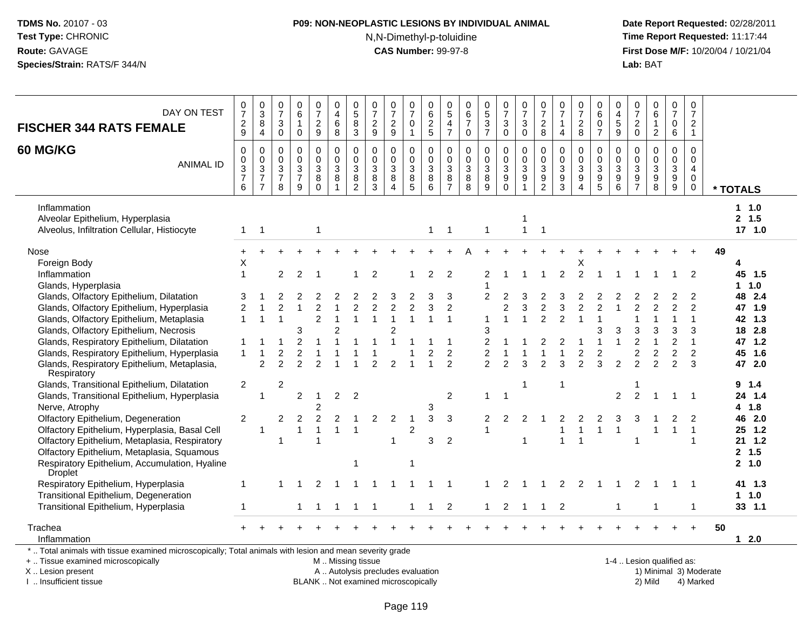# **P09: NON-NEOPLASTIC LESIONS BY INDIVIDUAL ANIMAL**N,N-Dimethyl-p-toluidine

 **Date Report Requested:** 02/28/2011 **Time Report Requested:** 11:17:44 **First Dose M/F:** 10/20/04 / 10/21/04<br>**Lab:** BAT **Lab:** BAT

| DAY ON TEST<br><b>FISCHER 344 RATS FEMALE</b>                                                                                                  | 0<br>$\overline{7}$<br>$\frac{2}{9}$ | 0<br>$\overline{3}$<br>$\, 8$<br>$\overline{4}$               | 0<br>$\overline{7}$<br>$\sqrt{3}$<br>$\mathbf 0$                               | 0<br>6<br>$\mathbf{1}$<br>$\mathbf 0$                           | $\frac{0}{7}$<br>$\frac{2}{9}$ | 0<br>$\overline{4}$<br>$\,6\,$<br>8                          | $\begin{array}{c} 0 \\ 5 \end{array}$<br>$\overline{8}$<br>$\mathbf{3}$              | 0<br>$\overline{7}$<br>$\sqrt{2}$<br>$9\,$                           | $\frac{0}{7}$<br>$\sqrt{2}$<br>$9\,$                 | 0<br>$\overline{7}$<br>$\pmb{0}$<br>$\overline{1}$                         | 0<br>$\,6\,$<br>$\overline{2}$<br>5                     | 0<br>5<br>$\overline{4}$<br>$\overline{7}$                      | 0<br>$\overline{6}$<br>$\overline{7}$<br>$\mathbf 0$                               | $\begin{array}{c} 0 \\ 5 \\ 3 \end{array}$<br>$\overline{7}$ | $\frac{0}{7}$<br>$\ensuremath{\mathsf{3}}$<br>$\mathbf 0$                                | 0<br>$\overline{7}$<br>$\ensuremath{\mathsf{3}}$<br>$\mathbf 0$ | 0<br>$\overline{7}$<br>$_{8}^{\rm 2}$                                    | 0<br>$\overline{7}$<br>$\mathbf{1}$<br>$\overline{4}$                                         | 0<br>$\overline{7}$<br>$\sqrt{2}$<br>8                               | 0<br>6<br>$\boldsymbol{0}$<br>$\overline{7}$                                   | 0<br>4<br>$\sqrt{5}$<br>9                 | $\frac{0}{7}$<br>$\frac{2}{0}$               | $_{6}^{\rm 0}$<br>$\mathbf{1}$<br>$\overline{2}$ | 0<br>$\overline{7}$<br>$\pmb{0}$<br>6     | $\mathbf 0$<br>$\overline{7}$<br>$\sqrt{2}$<br>$\mathbf{1}$                |                            |
|------------------------------------------------------------------------------------------------------------------------------------------------|--------------------------------------|---------------------------------------------------------------|--------------------------------------------------------------------------------|-----------------------------------------------------------------|--------------------------------|--------------------------------------------------------------|--------------------------------------------------------------------------------------|----------------------------------------------------------------------|------------------------------------------------------|----------------------------------------------------------------------------|---------------------------------------------------------|-----------------------------------------------------------------|------------------------------------------------------------------------------------|--------------------------------------------------------------|------------------------------------------------------------------------------------------|-----------------------------------------------------------------|--------------------------------------------------------------------------|-----------------------------------------------------------------------------------------------|----------------------------------------------------------------------|--------------------------------------------------------------------------------|-------------------------------------------|----------------------------------------------|--------------------------------------------------|-------------------------------------------|----------------------------------------------------------------------------|----------------------------|
| 60 MG/KG<br><b>ANIMAL ID</b>                                                                                                                   | 0<br>$\pmb{0}$<br>$\frac{3}{7}$<br>6 | $\mathbf 0$<br>$\mathsf 0$<br>$\frac{3}{7}$<br>$\overline{7}$ | $\mathbf 0$<br>$\mathbf 0$<br>$\ensuremath{\mathsf{3}}$<br>$\overline{7}$<br>8 | $\mathbf 0$<br>$\mathbf 0$<br>$\sqrt{3}$<br>$\overline{7}$<br>9 | 0<br>0<br>3<br>8<br>$\Omega$   | $\mathbf 0$<br>$\mathbf 0$<br>$\ensuremath{\mathsf{3}}$<br>8 | $\mathbf 0$<br>$\mathbf 0$<br>$\ensuremath{\mathsf{3}}$<br>$\bf 8$<br>$\overline{2}$ | $\Omega$<br>$\mathbf 0$<br>$\ensuremath{\mathsf{3}}$<br>$\bf 8$<br>3 | $\mathbf 0$<br>$\pmb{0}$<br>$_8^3$<br>$\overline{4}$ | 0<br>$\mathsf 0$<br>$\ensuremath{\mathsf{3}}$<br>$\bf 8$<br>$\overline{5}$ | $\mathbf 0$<br>$\mathbf 0$<br>$_8^3$<br>$6\phantom{1}6$ | $\mathbf 0$<br>$\mathbf 0$<br>$\sqrt{3}$<br>8<br>$\overline{7}$ | $\mathbf 0$<br>$\pmb{0}$<br>$\ensuremath{\mathsf{3}}$<br>$\bf 8$<br>$\overline{8}$ | $\mathbf 0$<br>$\mathbf 0$<br>3<br>8<br>$\overline{9}$       | $\pmb{0}$<br>$\ddot{\mathbf{0}}$<br>$\overline{3}$<br>$\boldsymbol{9}$<br>$\overline{0}$ | $\mathbf 0$<br>$\pmb{0}$<br>$\sqrt{3}$<br>$\boldsymbol{9}$      | $\mathbf 0$<br>$\mathbf 0$<br>$\ensuremath{\mathsf{3}}$<br>$\frac{9}{2}$ | $\mathbf 0$<br>$\mathbf 0$<br>$\ensuremath{\mathsf{3}}$<br>$\boldsymbol{9}$<br>$\overline{3}$ | 0<br>$\mathbf 0$<br>$\ensuremath{\mathsf{3}}$<br>9<br>$\overline{4}$ | $\mathbf 0$<br>$\mathbf 0$<br>$\sqrt{3}$<br>$\boldsymbol{9}$<br>$\overline{5}$ | $\mathbf 0$<br>$\mathbf 0$<br>3<br>9<br>6 | 0<br>$\mathbf 0$<br>$_9^3$<br>$\overline{7}$ | $\mathbf 0$<br>$\mathbf 0$<br>$\frac{3}{9}$      | 0<br>$\mathsf{O}\xspace$<br>$\frac{3}{9}$ | $\mathbf 0$<br>$\mathbf 0$<br>$\overline{4}$<br>$\mathbf 0$<br>$\mathbf 0$ | * TOTALS                   |
| Inflammation<br>Alveolar Epithelium, Hyperplasia<br>Alveolus, Infiltration Cellular, Histiocyte                                                | -1                                   | $\overline{1}$                                                |                                                                                |                                                                 | 1                              |                                                              |                                                                                      |                                                                      |                                                      |                                                                            | 1                                                       | -1                                                              |                                                                                    |                                                              |                                                                                          | $\overline{1}$                                                  | $\overline{1}$                                                           |                                                                                               |                                                                      |                                                                                |                                           |                                              |                                                  |                                           |                                                                            | 1 1.0<br>2, 1.5<br>17, 1.0 |
| Nose                                                                                                                                           |                                      |                                                               |                                                                                |                                                                 |                                |                                                              |                                                                                      |                                                                      |                                                      |                                                                            |                                                         |                                                                 |                                                                                    |                                                              |                                                                                          |                                                                 |                                                                          |                                                                                               |                                                                      |                                                                                |                                           |                                              |                                                  |                                           |                                                                            | 49                         |
| Foreign Body                                                                                                                                   | X                                    |                                                               |                                                                                |                                                                 |                                |                                                              |                                                                                      |                                                                      |                                                      |                                                                            |                                                         |                                                                 |                                                                                    |                                                              |                                                                                          |                                                                 |                                                                          |                                                                                               | X                                                                    |                                                                                |                                           |                                              |                                                  |                                           |                                                                            | 4                          |
| Inflammation                                                                                                                                   | 1                                    |                                                               | 2                                                                              | 2                                                               |                                |                                                              |                                                                                      | 2                                                                    |                                                      |                                                                            | 2                                                       | 2                                                               |                                                                                    | 2                                                            |                                                                                          |                                                                 |                                                                          | 2                                                                                             | $\overline{c}$                                                       |                                                                                |                                           |                                              |                                                  |                                           | $\overline{2}$                                                             | 45 1.5                     |
| Glands, Hyperplasia                                                                                                                            |                                      |                                                               |                                                                                |                                                                 |                                |                                                              |                                                                                      |                                                                      |                                                      |                                                                            |                                                         |                                                                 |                                                                                    | -1                                                           |                                                                                          |                                                                 |                                                                          |                                                                                               |                                                                      |                                                                                |                                           |                                              |                                                  |                                           |                                                                            | $1 \quad 1.0$              |
| Glands, Olfactory Epithelium, Dilatation                                                                                                       | 3                                    |                                                               |                                                                                |                                                                 |                                |                                                              |                                                                                      |                                                                      |                                                      |                                                                            |                                                         | 3                                                               |                                                                                    | $\overline{2}$                                               | 2                                                                                        |                                                                 |                                                                          |                                                                                               |                                                                      |                                                                                |                                           |                                              |                                                  |                                           | $\overline{2}$                                                             | 48<br>2.4                  |
| Glands, Olfactory Epithelium, Hyperplasia                                                                                                      | $\overline{c}$                       |                                                               | $\mathfrak{p}$                                                                 |                                                                 | $\overline{c}$                 |                                                              | $\mathcal{P}$                                                                        | $\overline{c}$                                                       | $\overline{c}$                                       | $\overline{c}$                                                             | 3                                                       | $\overline{2}$                                                  |                                                                                    |                                                              | $\overline{2}$                                                                           | 3                                                               | $\overline{c}$                                                           | $\ensuremath{\mathsf{3}}$                                                                     | $\overline{c}$                                                       | 2                                                                              |                                           |                                              | $\overline{2}$                                   | $\overline{2}$                            | $\overline{2}$                                                             | 47 1.9                     |
| Glands, Olfactory Epithelium, Metaplasia                                                                                                       | $\mathbf{1}$                         | 1                                                             |                                                                                |                                                                 | $\overline{2}$                 |                                                              | 1                                                                                    |                                                                      | $\overline{1}$                                       | $\overline{1}$                                                             | $\overline{1}$                                          | 1                                                               |                                                                                    | 1                                                            | $\mathbf{1}$                                                                             | $\overline{1}$                                                  | 2                                                                        | 2                                                                                             | $\mathbf{1}$                                                         |                                                                                |                                           |                                              |                                                  |                                           | $\overline{1}$                                                             | 42 1.3                     |
| Glands, Olfactory Epithelium, Necrosis                                                                                                         |                                      |                                                               |                                                                                |                                                                 |                                | 2                                                            |                                                                                      |                                                                      | $\overline{2}$                                       |                                                                            |                                                         |                                                                 |                                                                                    | 3                                                            |                                                                                          |                                                                 |                                                                          |                                                                                               |                                                                      | 3                                                                              | 3                                         | 3                                            | 3                                                | 3                                         | 3                                                                          | 18 2.8                     |
| Glands, Respiratory Epithelium, Dilatation                                                                                                     |                                      |                                                               |                                                                                |                                                                 |                                |                                                              |                                                                                      |                                                                      |                                                      |                                                                            |                                                         | -1                                                              |                                                                                    | $\overline{2}$                                               |                                                                                          |                                                                 |                                                                          |                                                                                               |                                                                      |                                                                                |                                           |                                              |                                                  | 2                                         | $\overline{1}$                                                             | 47 1.2                     |
| Glands, Respiratory Epithelium, Hyperplasia                                                                                                    |                                      | 1                                                             | 2                                                                              |                                                                 |                                |                                                              |                                                                                      |                                                                      |                                                      |                                                                            |                                                         | $\overline{c}$                                                  |                                                                                    | $\overline{2}$                                               |                                                                                          |                                                                 |                                                                          | -1                                                                                            | $\overline{c}$                                                       | 2                                                                              |                                           | 2                                            | $\overline{2}$                                   | $\overline{c}$                            | $\overline{2}$                                                             | 45<br>1.6                  |
| Glands, Respiratory Epithelium, Metaplasia,<br>Respiratory                                                                                     |                                      | $\mathcal{P}$                                                 | $\mathcal{P}$                                                                  |                                                                 |                                |                                                              |                                                                                      |                                                                      | 2                                                    |                                                                            |                                                         | $\mathcal{P}$                                                   |                                                                                    | $\overline{2}$                                               | 2                                                                                        | 3                                                               |                                                                          | 3                                                                                             | $\overline{2}$                                                       | 3                                                                              | $\mathfrak{p}$                            | 2                                            | $\mathcal{P}$                                    | $\mathcal{P}$                             | 3                                                                          | 47 2.0                     |
| Glands, Transitional Epithelium, Dilatation                                                                                                    | $\overline{2}$                       |                                                               | $\overline{c}$                                                                 |                                                                 |                                |                                                              |                                                                                      |                                                                      |                                                      |                                                                            |                                                         |                                                                 |                                                                                    |                                                              |                                                                                          |                                                                 |                                                                          | -1                                                                                            |                                                                      |                                                                                |                                           |                                              |                                                  |                                           |                                                                            | $9 \t1.4$                  |
| Glands, Transitional Epithelium, Hyperplasia                                                                                                   |                                      | -1                                                            |                                                                                | $\overline{2}$                                                  | $\overline{1}$                 | 2                                                            | $\overline{2}$                                                                       |                                                                      |                                                      |                                                                            |                                                         | $\overline{2}$                                                  |                                                                                    | $\mathbf{1}$                                                 | -1                                                                                       |                                                                 |                                                                          |                                                                                               |                                                                      |                                                                                | 2                                         | $\overline{2}$                               |                                                  |                                           |                                                                            | 24 1.4                     |
| Nerve, Atrophy                                                                                                                                 |                                      |                                                               |                                                                                |                                                                 | $\overline{2}$                 |                                                              |                                                                                      |                                                                      |                                                      |                                                                            | 3                                                       |                                                                 |                                                                                    |                                                              |                                                                                          |                                                                 |                                                                          |                                                                                               |                                                                      |                                                                                |                                           |                                              |                                                  |                                           |                                                                            | 4 1.8                      |
| Olfactory Epithelium, Degeneration                                                                                                             | $\overline{2}$                       |                                                               | $\overline{2}$                                                                 |                                                                 | $\overline{c}$                 | 2                                                            |                                                                                      | $\overline{2}$                                                       | 2                                                    |                                                                            | 3                                                       | 3                                                               |                                                                                    | 2                                                            | 2                                                                                        |                                                                 |                                                                          |                                                                                               |                                                                      |                                                                                |                                           |                                              |                                                  | 2                                         | 2                                                                          | 46 2.0                     |
| Olfactory Epithelium, Hyperplasia, Basal Cell                                                                                                  |                                      | $\overline{\mathbf{1}}$                                       |                                                                                | 1                                                               | $\mathbf{1}$                   | $\mathbf 1$                                                  | $\overline{1}$                                                                       |                                                                      |                                                      | $\overline{c}$                                                             |                                                         |                                                                 |                                                                                    | $\mathbf{1}$                                                 |                                                                                          |                                                                 |                                                                          | 1                                                                                             | $\mathbf{1}$                                                         | $\mathbf{1}$                                                                   | $\mathbf{1}$                              |                                              | $\overline{1}$                                   | 1                                         | $\overline{1}$                                                             | 25 1.2                     |
| Olfactory Epithelium, Metaplasia, Respiratory                                                                                                  |                                      |                                                               | 1                                                                              |                                                                 | $\overline{1}$                 |                                                              |                                                                                      |                                                                      |                                                      |                                                                            | 3                                                       | $\overline{2}$                                                  |                                                                                    |                                                              |                                                                                          |                                                                 |                                                                          | 1                                                                                             |                                                                      |                                                                                |                                           |                                              |                                                  |                                           |                                                                            | $21$ 1.2                   |
| Olfactory Epithelium, Metaplasia, Squamous                                                                                                     |                                      |                                                               |                                                                                |                                                                 |                                |                                                              |                                                                                      |                                                                      |                                                      |                                                                            |                                                         |                                                                 |                                                                                    |                                                              |                                                                                          |                                                                 |                                                                          |                                                                                               |                                                                      |                                                                                |                                           |                                              |                                                  |                                           |                                                                            | 2, 1.5                     |
| Respiratory Epithelium, Accumulation, Hyaline<br><b>Droplet</b>                                                                                |                                      |                                                               |                                                                                |                                                                 |                                |                                                              | -1                                                                                   |                                                                      |                                                      |                                                                            |                                                         |                                                                 |                                                                                    |                                                              |                                                                                          |                                                                 |                                                                          |                                                                                               |                                                                      |                                                                                |                                           |                                              |                                                  |                                           |                                                                            | 2, 1.0                     |
| Respiratory Epithelium, Hyperplasia                                                                                                            | 1                                    |                                                               | 1                                                                              |                                                                 | $\overline{2}$                 |                                                              |                                                                                      |                                                                      |                                                      |                                                                            |                                                         |                                                                 |                                                                                    |                                                              | $\overline{2}$                                                                           |                                                                 |                                                                          | 2                                                                                             | 2                                                                    |                                                                                |                                           |                                              |                                                  |                                           |                                                                            | 41 1.3                     |
| Transitional Epithelium, Degeneration                                                                                                          |                                      |                                                               |                                                                                |                                                                 |                                |                                                              |                                                                                      |                                                                      |                                                      |                                                                            |                                                         |                                                                 |                                                                                    |                                                              |                                                                                          |                                                                 |                                                                          |                                                                                               |                                                                      |                                                                                |                                           |                                              |                                                  |                                           |                                                                            | 1 1.0                      |
| Transitional Epithelium, Hyperplasia                                                                                                           | 1                                    |                                                               |                                                                                | 1                                                               | $\mathbf 1$                    | -1                                                           | $\mathbf 1$                                                                          | -1                                                                   |                                                      | -1                                                                         | $\overline{1}$                                          | 2                                                               |                                                                                    | $\mathbf{1}$                                                 | 2                                                                                        | -1                                                              | -1                                                                       | 2                                                                                             |                                                                      |                                                                                | -1                                        |                                              | -1                                               |                                           | $\mathbf 1$                                                                | 33 1.1                     |
| Trachea                                                                                                                                        |                                      |                                                               |                                                                                |                                                                 |                                |                                                              |                                                                                      |                                                                      |                                                      |                                                                            |                                                         |                                                                 |                                                                                    |                                                              |                                                                                          |                                                                 |                                                                          |                                                                                               |                                                                      |                                                                                |                                           |                                              |                                                  |                                           |                                                                            | 50                         |
| Inflammation                                                                                                                                   |                                      |                                                               |                                                                                |                                                                 |                                |                                                              |                                                                                      |                                                                      |                                                      |                                                                            |                                                         |                                                                 |                                                                                    |                                                              |                                                                                          |                                                                 |                                                                          |                                                                                               |                                                                      |                                                                                |                                           |                                              |                                                  |                                           |                                                                            | $12.0$                     |
| *  Total animals with tissue examined microscopically; Total animals with lesion and mean severity grade<br>+  Tissue examined microscopically |                                      |                                                               |                                                                                |                                                                 |                                | M  Missing tissue                                            |                                                                                      |                                                                      |                                                      |                                                                            |                                                         |                                                                 |                                                                                    |                                                              |                                                                                          |                                                                 |                                                                          |                                                                                               |                                                                      |                                                                                |                                           |                                              | 1-4  Lesion qualified as:                        |                                           |                                                                            |                            |
| X  Lesion present                                                                                                                              |                                      |                                                               |                                                                                |                                                                 |                                |                                                              |                                                                                      |                                                                      | A  Autolysis precludes evaluation                    |                                                                            |                                                         |                                                                 |                                                                                    |                                                              |                                                                                          |                                                                 |                                                                          |                                                                                               |                                                                      |                                                                                |                                           |                                              | 1) Minimal 3) Moderate                           |                                           |                                                                            |                            |

I .. Insufficient tissue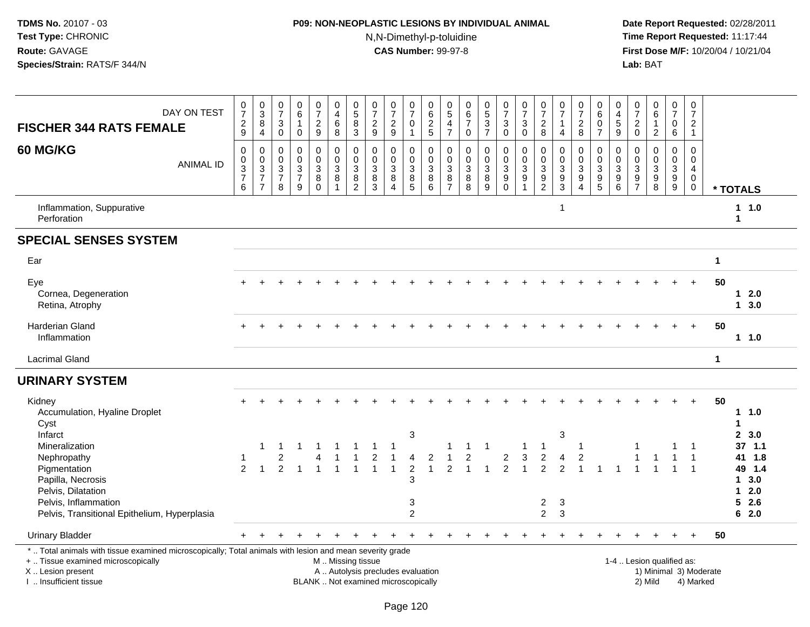# **P09: NON-NEOPLASTIC LESIONS BY INDIVIDUAL ANIMAL**N,N-Dimethyl-p-toluidine

| DAY ON TEST<br><b>FISCHER 344 RATS FEMALE</b>                                                                                                                                                 | $\frac{0}{7}$<br>$\frac{2}{9}$                   | $_{3}^{\rm 0}$<br>8<br>$\overline{4}$                         | $\frac{0}{7}$<br>$\sqrt{3}$<br>$\mathbf 0$             | $^{\rm 0}_{\rm 6}$<br>$\mathbf{1}$<br>$\mathbf 0$ | $\frac{0}{7}$<br>$\frac{2}{9}$                   | $\begin{smallmatrix}0\0\4\end{smallmatrix}$<br>$\,6\,$<br>8                                   | $\begin{array}{c} 0 \\ 5 \\ 8 \end{array}$<br>$\mathbf{3}$               | $\frac{0}{7}$<br>$\frac{2}{9}$                                           | $\frac{0}{7}$<br>$\frac{2}{9}$                                                | $\frac{0}{7}$<br>$\mathsf{O}\xspace$<br>$\mathbf{1}$ | $^{\rm 0}_{\rm 6}$<br>$\frac{2}{5}$                | 0<br>$\overline{5}$<br>$\overline{4}$<br>$\overline{7}$                     | $\begin{matrix} 0 \\ 6 \end{matrix}$<br>$\overline{7}$<br>$\mathsf 0$ | 0537                                                                    | $\frac{0}{7}$<br>$\sqrt{3}$<br>$\mathbf 0$                    | $\frac{0}{7}$<br>$\sqrt{3}$<br>$\mathbf 0$  | $\frac{0}{7}$<br>$\sqrt{2}$<br>8                                         | $\frac{0}{7}$<br>$\mathbf{1}$<br>$\overline{4}$            | $\frac{0}{7}$<br>$\overline{c}$<br>8                                                | $_{6}^{\rm 0}$<br>$\bar{0}$<br>$\overline{7}$        | 0<br>$\overline{4}$<br>$\,$ 5 $\,$<br>$\overline{9}$                  | $\frac{0}{7}$<br>$\overline{c}$<br>$\mathbf 0$                           | $\begin{array}{c} 0 \\ 6 \end{array}$<br>$\mathbf{1}$<br>$\overline{2}$ | $\frac{0}{7}$<br>0<br>6                             | $\frac{0}{7}$<br>$\overline{c}$<br>$\mathbf{1}$                                     |                        |                                 |
|-----------------------------------------------------------------------------------------------------------------------------------------------------------------------------------------------|--------------------------------------------------|---------------------------------------------------------------|--------------------------------------------------------|---------------------------------------------------|--------------------------------------------------|-----------------------------------------------------------------------------------------------|--------------------------------------------------------------------------|--------------------------------------------------------------------------|-------------------------------------------------------------------------------|------------------------------------------------------|----------------------------------------------------|-----------------------------------------------------------------------------|-----------------------------------------------------------------------|-------------------------------------------------------------------------|---------------------------------------------------------------|---------------------------------------------|--------------------------------------------------------------------------|------------------------------------------------------------|-------------------------------------------------------------------------------------|------------------------------------------------------|-----------------------------------------------------------------------|--------------------------------------------------------------------------|-------------------------------------------------------------------------|-----------------------------------------------------|-------------------------------------------------------------------------------------|------------------------|---------------------------------|
| <b>60 MG/KG</b><br><b>ANIMAL ID</b>                                                                                                                                                           | $\mathbf 0$<br>$\mathbf 0$<br>$\frac{3}{7}$<br>6 | $\mathbf 0$<br>$\mathbf 0$<br>$\frac{3}{7}$<br>$\overline{7}$ | $\mathbf 0$<br>$\mathbf 0$<br>3<br>$\overline{7}$<br>8 | $\mathbf 0$<br>$\mathbf 0$<br>$\frac{3}{7}$<br>9  | $\mathbf 0$<br>$\mathbf 0$<br>3<br>8<br>$\Omega$ | $\mathbf 0$<br>0<br>$\ensuremath{\mathsf{3}}$<br>$\,8\,$<br>$\mathbf{1}$                      | $\mathbf 0$<br>$\mathbf 0$<br>$\ensuremath{\mathsf{3}}$<br>$\frac{8}{2}$ | $\mathbf 0$<br>$\mathbf 0$<br>$\ensuremath{\mathsf{3}}$<br>$\frac{8}{3}$ | $\mathbf 0$<br>$\mathbf 0$<br>$\sqrt{3}$<br>$\,8\,$<br>$\boldsymbol{\Lambda}$ | 0<br>0<br>3<br>$\bf8$<br>5                           | 0<br>$\mathbf 0$<br>$\overline{3}$<br>$\bf 8$<br>6 | $\Omega$<br>$\mathbf 0$<br>$\ensuremath{\mathsf{3}}$<br>8<br>$\overline{7}$ | $\mathbf 0$<br>0<br>$\ensuremath{\mathsf{3}}$<br>$\frac{8}{8}$        | $\mathbf 0$<br>$\mathbf 0$<br>$\ensuremath{\mathsf{3}}$<br>$\bf 8$<br>9 | 0<br>$\pmb{0}$<br>$\ensuremath{\mathsf{3}}$<br>$\overline{9}$ | $\mathbf 0$<br>$\mathbf 0$<br>$\frac{3}{9}$ | $\mathbf 0$<br>$\mathbf 0$<br>$\ensuremath{\mathsf{3}}$<br>$\frac{9}{2}$ | $\Omega$<br>$\mathbf 0$<br>$\overline{3}$<br>$\frac{9}{3}$ | $\Omega$<br>$\mathbf 0$<br>$\sqrt{3}$<br>$\boldsymbol{9}$<br>$\boldsymbol{\Lambda}$ | 0<br>0<br>$\ensuremath{\mathsf{3}}$<br>$\frac{9}{5}$ | $\mathbf 0$<br>$\Omega$<br>$\ensuremath{\mathsf{3}}$<br>$\frac{9}{6}$ | $\mathbf 0$<br>$\mathbf 0$<br>$\ensuremath{\mathsf{3}}$<br>$\frac{9}{7}$ | $\mathbf 0$<br>$\mathbf 0$<br>$\overline{3}$<br>$\frac{9}{8}$           | 0<br>0<br>3<br>$\boldsymbol{9}$<br>$\boldsymbol{9}$ | $\mathbf 0$<br>$\mathbf 0$<br>$\overline{\mathbf{4}}$<br>$\mathbf 0$<br>$\mathbf 0$ |                        | * TOTALS                        |
| Inflammation, Suppurative<br>Perforation                                                                                                                                                      |                                                  |                                                               |                                                        |                                                   |                                                  |                                                                                               |                                                                          |                                                                          |                                                                               |                                                      |                                                    |                                                                             |                                                                       |                                                                         |                                                               |                                             |                                                                          | $\mathbf{1}$                                               |                                                                                     |                                                      |                                                                       |                                                                          |                                                                         |                                                     |                                                                                     |                        | 1 1.0<br>$\mathbf 1$            |
| <b>SPECIAL SENSES SYSTEM</b>                                                                                                                                                                  |                                                  |                                                               |                                                        |                                                   |                                                  |                                                                                               |                                                                          |                                                                          |                                                                               |                                                      |                                                    |                                                                             |                                                                       |                                                                         |                                                               |                                             |                                                                          |                                                            |                                                                                     |                                                      |                                                                       |                                                                          |                                                                         |                                                     |                                                                                     |                        |                                 |
| Ear                                                                                                                                                                                           |                                                  |                                                               |                                                        |                                                   |                                                  |                                                                                               |                                                                          |                                                                          |                                                                               |                                                      |                                                    |                                                                             |                                                                       |                                                                         |                                                               |                                             |                                                                          |                                                            |                                                                                     |                                                      |                                                                       |                                                                          |                                                                         |                                                     |                                                                                     | $\mathbf 1$            |                                 |
| Eye<br>Cornea, Degeneration<br>Retina, Atrophy                                                                                                                                                |                                                  |                                                               |                                                        |                                                   |                                                  |                                                                                               |                                                                          |                                                                          |                                                                               |                                                      |                                                    |                                                                             |                                                                       |                                                                         |                                                               |                                             |                                                                          |                                                            |                                                                                     |                                                      |                                                                       |                                                                          |                                                                         |                                                     |                                                                                     | 50                     | $1 2.0$<br>13.0                 |
| <b>Harderian Gland</b><br>Inflammation                                                                                                                                                        |                                                  |                                                               |                                                        |                                                   |                                                  |                                                                                               |                                                                          |                                                                          |                                                                               |                                                      |                                                    |                                                                             |                                                                       |                                                                         |                                                               |                                             |                                                                          |                                                            |                                                                                     |                                                      |                                                                       |                                                                          |                                                                         |                                                     | $+$                                                                                 | 50                     | 1 1.0                           |
| <b>Lacrimal Gland</b>                                                                                                                                                                         |                                                  |                                                               |                                                        |                                                   |                                                  |                                                                                               |                                                                          |                                                                          |                                                                               |                                                      |                                                    |                                                                             |                                                                       |                                                                         |                                                               |                                             |                                                                          |                                                            |                                                                                     |                                                      |                                                                       |                                                                          |                                                                         |                                                     |                                                                                     | $\mathbf{1}$           |                                 |
| <b>URINARY SYSTEM</b>                                                                                                                                                                         |                                                  |                                                               |                                                        |                                                   |                                                  |                                                                                               |                                                                          |                                                                          |                                                                               |                                                      |                                                    |                                                                             |                                                                       |                                                                         |                                                               |                                             |                                                                          |                                                            |                                                                                     |                                                      |                                                                       |                                                                          |                                                                         |                                                     |                                                                                     |                        |                                 |
| Kidney<br>Accumulation, Hyaline Droplet<br>Cyst<br>Infarct                                                                                                                                    |                                                  |                                                               |                                                        |                                                   |                                                  |                                                                                               |                                                                          |                                                                          |                                                                               | 3                                                    |                                                    |                                                                             |                                                                       |                                                                         |                                                               |                                             |                                                                          | 3                                                          |                                                                                     |                                                      |                                                                       |                                                                          |                                                                         |                                                     | $\ddot{}$                                                                           | 50                     | $1 \t1.0$<br>1<br>2, 3.0        |
| Mineralization<br>Nephropathy<br>Pigmentation                                                                                                                                                 | $\mathbf 1$<br>$\mathfrak{p}$                    | $\overline{1}$                                                | $\overline{c}$<br>$\mathfrak{p}$                       |                                                   |                                                  |                                                                                               |                                                                          | 2<br>1                                                                   | $\mathbf 1$                                                                   | 4<br>$\overline{2}$                                  | 2<br>$\overline{1}$                                | $\mathcal{P}$                                                               | 2                                                                     | -1<br>$\overline{1}$                                                    | 2<br>$\overline{2}$                                           | 3<br>$\overline{1}$                         | $\boldsymbol{2}$<br>$\mathfrak{p}$                                       | 4<br>$\mathfrak{p}$                                        | -1<br>$\overline{2}$<br>$\overline{\mathbf{1}}$                                     |                                                      |                                                                       |                                                                          |                                                                         |                                                     |                                                                                     |                        | 37, 1.1<br>41 1.8<br>49 1.4     |
| Papilla, Necrosis<br>Pelvis, Dilatation<br>Pelvis, Inflammation<br>Pelvis, Transitional Epithelium, Hyperplasia                                                                               |                                                  |                                                               |                                                        |                                                   |                                                  |                                                                                               |                                                                          |                                                                          |                                                                               | 3<br>3<br>$\overline{2}$                             |                                                    |                                                                             |                                                                       |                                                                         |                                                               |                                             | $\overline{c}$<br>$\overline{2}$                                         | 3<br>3                                                     |                                                                                     |                                                      |                                                                       |                                                                          |                                                                         |                                                     |                                                                                     |                        | 13.0<br>12.0<br>$5$ 2.6<br>62.0 |
| <b>Urinary Bladder</b>                                                                                                                                                                        |                                                  |                                                               |                                                        |                                                   |                                                  |                                                                                               |                                                                          |                                                                          |                                                                               |                                                      |                                                    |                                                                             |                                                                       |                                                                         |                                                               |                                             |                                                                          |                                                            |                                                                                     |                                                      |                                                                       |                                                                          |                                                                         |                                                     |                                                                                     | 50                     |                                 |
| *  Total animals with tissue examined microscopically; Total animals with lesion and mean severity grade<br>+  Tissue examined microscopically<br>X  Lesion present<br>I  Insufficient tissue |                                                  |                                                               |                                                        |                                                   |                                                  | M  Missing tissue<br>A  Autolysis precludes evaluation<br>BLANK  Not examined microscopically |                                                                          |                                                                          |                                                                               |                                                      |                                                    |                                                                             |                                                                       |                                                                         |                                                               |                                             |                                                                          |                                                            |                                                                                     |                                                      |                                                                       |                                                                          | 1-4  Lesion qualified as:<br>2) Mild                                    |                                                     | 4) Marked                                                                           | 1) Minimal 3) Moderate |                                 |